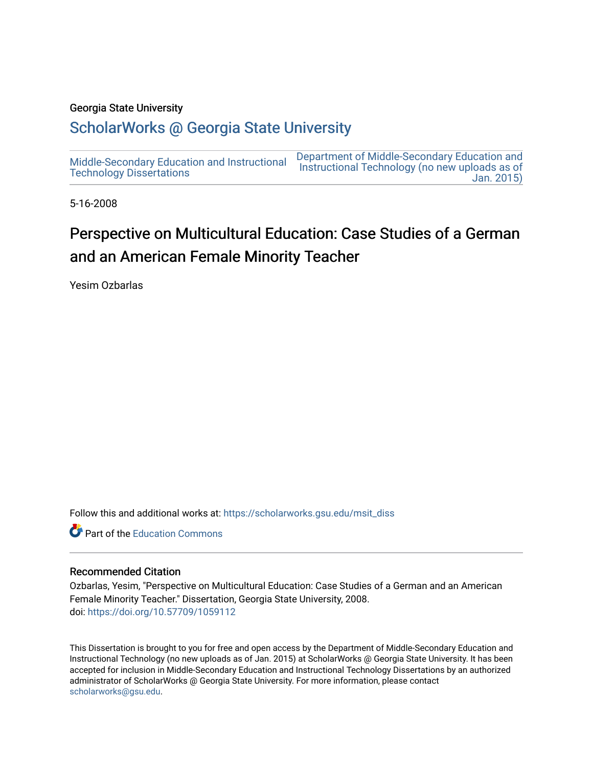### Georgia State University

# [ScholarWorks @ Georgia State University](https://scholarworks.gsu.edu/)

[Middle-Secondary Education and Instructional](https://scholarworks.gsu.edu/msit_diss) [Technology Dissertations](https://scholarworks.gsu.edu/msit_diss)  [Department of Middle-Secondary Education and](https://scholarworks.gsu.edu/msit)  [Instructional Technology \(no new uploads as of](https://scholarworks.gsu.edu/msit)  [Jan. 2015\)](https://scholarworks.gsu.edu/msit) 

5-16-2008

# Perspective on Multicultural Education: Case Studies of a German and an American Female Minority Teacher

Yesim Ozbarlas

Follow this and additional works at: [https://scholarworks.gsu.edu/msit\\_diss](https://scholarworks.gsu.edu/msit_diss?utm_source=scholarworks.gsu.edu%2Fmsit_diss%2F34&utm_medium=PDF&utm_campaign=PDFCoverPages) 

**C** Part of the [Education Commons](http://network.bepress.com/hgg/discipline/784?utm_source=scholarworks.gsu.edu%2Fmsit_diss%2F34&utm_medium=PDF&utm_campaign=PDFCoverPages)

### Recommended Citation

Ozbarlas, Yesim, "Perspective on Multicultural Education: Case Studies of a German and an American Female Minority Teacher." Dissertation, Georgia State University, 2008. doi: <https://doi.org/10.57709/1059112>

This Dissertation is brought to you for free and open access by the Department of Middle-Secondary Education and Instructional Technology (no new uploads as of Jan. 2015) at ScholarWorks @ Georgia State University. It has been accepted for inclusion in Middle-Secondary Education and Instructional Technology Dissertations by an authorized administrator of ScholarWorks @ Georgia State University. For more information, please contact [scholarworks@gsu.edu.](mailto:scholarworks@gsu.edu)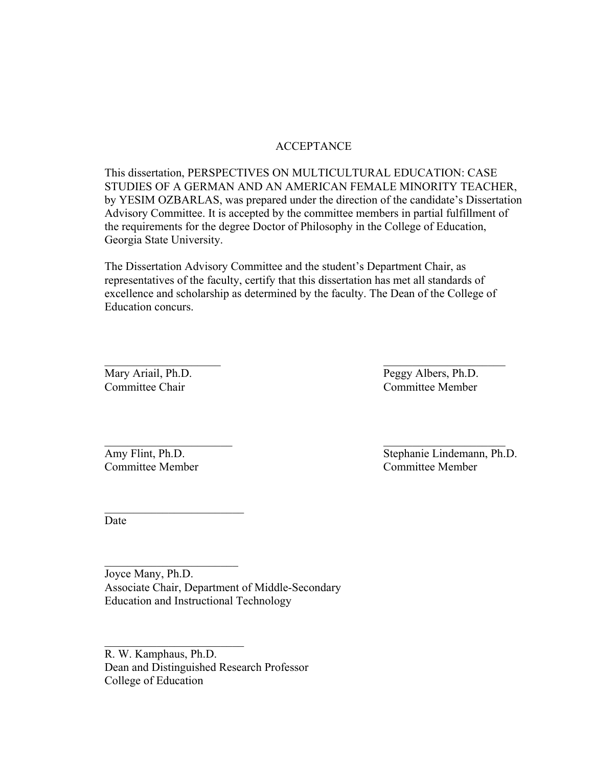# ACCEPTANCE

This dissertation, PERSPECTIVES ON MULTICULTURAL EDUCATION: CASE STUDIES OF A GERMAN AND AN AMERICAN FEMALE MINORITY TEACHER, by YESIM OZBARLAS, was prepared under the direction of the candidate's Dissertation Advisory Committee. It is accepted by the committee members in partial fulfillment of the requirements for the degree Doctor of Philosophy in the College of Education, Georgia State University.

The Dissertation Advisory Committee and the student's Department Chair, as representatives of the faculty, certify that this dissertation has met all standards of excellence and scholarship as determined by the faculty. The Dean of the College of Education concurs.

 $\mathcal{L}_\mathcal{L} = \mathcal{L}_\mathcal{L} = \mathcal{L}_\mathcal{L} = \mathcal{L}_\mathcal{L} = \mathcal{L}_\mathcal{L} = \mathcal{L}_\mathcal{L} = \mathcal{L}_\mathcal{L} = \mathcal{L}_\mathcal{L} = \mathcal{L}_\mathcal{L} = \mathcal{L}_\mathcal{L} = \mathcal{L}_\mathcal{L} = \mathcal{L}_\mathcal{L} = \mathcal{L}_\mathcal{L} = \mathcal{L}_\mathcal{L} = \mathcal{L}_\mathcal{L} = \mathcal{L}_\mathcal{L} = \mathcal{L}_\mathcal{L}$ 

 $\mathcal{L}_\mathcal{L} = \{ \mathcal{L}_\mathcal{L} = \{ \mathcal{L}_\mathcal{L} = \{ \mathcal{L}_\mathcal{L} = \{ \mathcal{L}_\mathcal{L} = \{ \mathcal{L}_\mathcal{L} = \{ \mathcal{L}_\mathcal{L} = \{ \mathcal{L}_\mathcal{L} = \{ \mathcal{L}_\mathcal{L} = \{ \mathcal{L}_\mathcal{L} = \{ \mathcal{L}_\mathcal{L} = \{ \mathcal{L}_\mathcal{L} = \{ \mathcal{L}_\mathcal{L} = \{ \mathcal{L}_\mathcal{L} = \{ \mathcal{L}_\mathcal{$ 

Mary Ariail, Ph.D. Peggy Albers, Ph.D. Committee Chair Committee Member

Committee Member Committee Member

 $\mathcal{L}_\text{max}$  , where  $\mathcal{L}_\text{max}$  and  $\mathcal{L}_\text{max}$ 

 $\mathcal{L}_\text{max}$  , where  $\mathcal{L}_\text{max}$  , we have the set of  $\mathcal{L}_\text{max}$ 

 $\mathcal{L}_\text{max}$  , where  $\mathcal{L}_\text{max}$  and  $\mathcal{L}_\text{max}$ 

Amy Flint, Ph.D. Stephanie Lindemann, Ph.D.

Date

Joyce Many, Ph.D. Associate Chair, Department of Middle-Secondary Education and Instructional Technology

R. W. Kamphaus, Ph.D. Dean and Distinguished Research Professor College of Education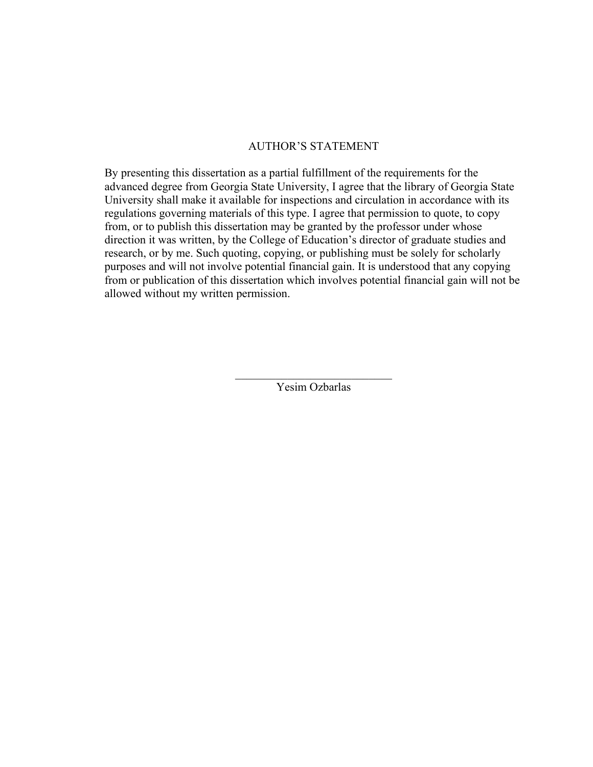## AUTHOR'S STATEMENT

By presenting this dissertation as a partial fulfillment of the requirements for the advanced degree from Georgia State University, I agree that the library of Georgia State University shall make it available for inspections and circulation in accordance with its regulations governing materials of this type. I agree that permission to quote, to copy from, or to publish this dissertation may be granted by the professor under whose direction it was written, by the College of Education's director of graduate studies and research, or by me. Such quoting, copying, or publishing must be solely for scholarly purposes and will not involve potential financial gain. It is understood that any copying from or publication of this dissertation which involves potential financial gain will not be allowed without my written permission.

> $\mathcal{L}_\text{max}$  , where  $\mathcal{L}_\text{max}$  and  $\mathcal{L}_\text{max}$ Yesim Ozbarlas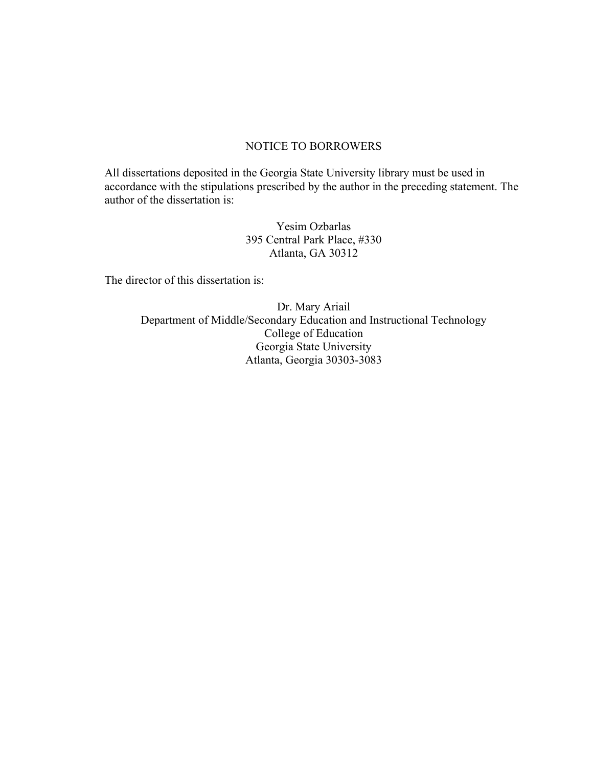# NOTICE TO BORROWERS

All dissertations deposited in the Georgia State University library must be used in accordance with the stipulations prescribed by the author in the preceding statement. The author of the dissertation is:

> Yesim Ozbarlas 395 Central Park Place, #330 Atlanta, GA 30312

The director of this dissertation is:

Dr. Mary Ariail Department of Middle/Secondary Education and Instructional Technology College of Education Georgia State University Atlanta, Georgia 30303-3083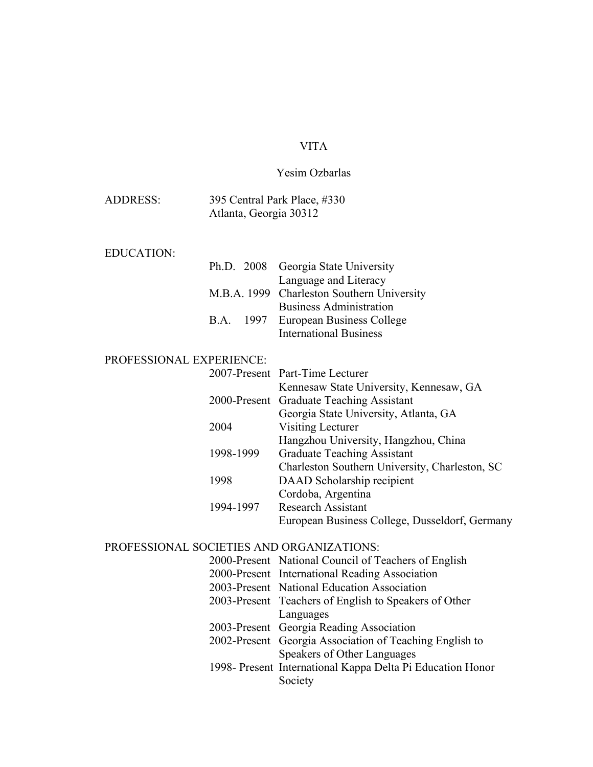# VITA

# Yesim Ozbarlas

| <b>ADDRESS:</b>          | Atlanta, Georgia 30312 | 395 Central Park Place, #330                                                                      |  |  |
|--------------------------|------------------------|---------------------------------------------------------------------------------------------------|--|--|
| <b>EDUCATION:</b>        |                        |                                                                                                   |  |  |
|                          | Ph.D. 2008             | Georgia State University<br>Language and Literacy                                                 |  |  |
|                          |                        | M.B.A. 1999 Charleston Southern University<br><b>Business Administration</b>                      |  |  |
|                          | B.A. 1997              | European Business College<br><b>International Business</b>                                        |  |  |
| PROFESSIONAL EXPERIENCE: |                        |                                                                                                   |  |  |
|                          |                        | 2007-Present Part-Time Lecturer<br>Kennesaw State University, Kennesaw, GA                        |  |  |
|                          |                        | 2000-Present Graduate Teaching Assistant<br>Georgia State University, Atlanta, GA                 |  |  |
|                          | 2004                   | Visiting Lecturer                                                                                 |  |  |
|                          | 1998-1999              | Hangzhou University, Hangzhou, China<br><b>Graduate Teaching Assistant</b>                        |  |  |
|                          | 1998                   | Charleston Southern University, Charleston, SC<br>DAAD Scholarship recipient                      |  |  |
|                          | 1994-1997              | Cordoba, Argentina<br><b>Research Assistant</b><br>European Business College, Dusseldorf, Germany |  |  |

# PROFESSIONAL SOCIETIES AND ORGANIZATIONS:

| 2000-Present National Council of Teachers of English       |
|------------------------------------------------------------|
| 2000-Present International Reading Association             |
| 2003-Present National Education Association                |
| 2003-Present Teachers of English to Speakers of Other      |
| Languages                                                  |
| 2003-Present Georgia Reading Association                   |
| 2002-Present Georgia Association of Teaching English to    |
| Speakers of Other Languages                                |
| 1998- Present International Kappa Delta Pi Education Honor |
| Society                                                    |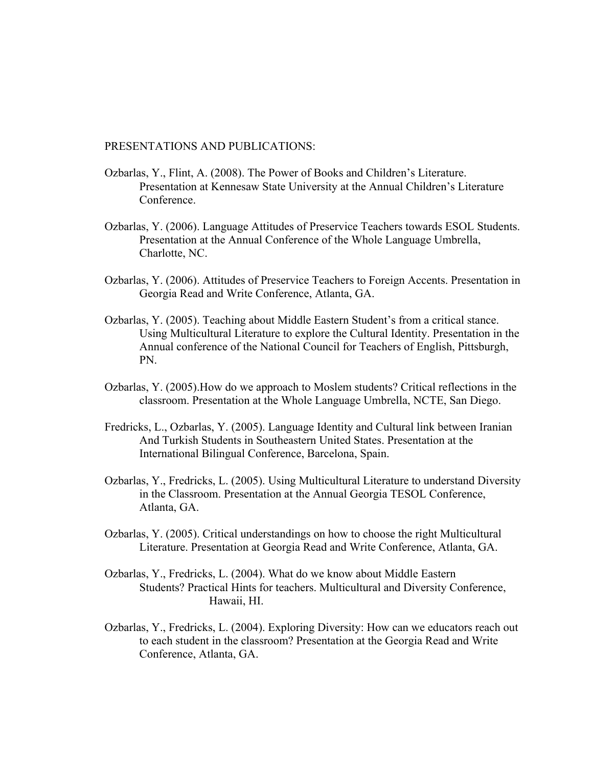PRESENTATIONS AND PUBLICATIONS:

- Ozbarlas, Y., Flint, A. (2008). The Power of Books and Children's Literature. Presentation at Kennesaw State University at the Annual Children's Literature **Conference**
- Ozbarlas, Y. (2006). Language Attitudes of Preservice Teachers towards ESOL Students. Presentation at the Annual Conference of the Whole Language Umbrella, Charlotte, NC.
- Ozbarlas, Y. (2006). Attitudes of Preservice Teachers to Foreign Accents. Presentation in Georgia Read and Write Conference, Atlanta, GA.
- Ozbarlas, Y. (2005). Teaching about Middle Eastern Student's from a critical stance. Using Multicultural Literature to explore the Cultural Identity. Presentation in the Annual conference of the National Council for Teachers of English, Pittsburgh, PN.
- Ozbarlas, Y. (2005).How do we approach to Moslem students? Critical reflections in the classroom. Presentation at the Whole Language Umbrella, NCTE, San Diego.
- Fredricks, L., Ozbarlas, Y. (2005). Language Identity and Cultural link between Iranian And Turkish Students in Southeastern United States. Presentation at the International Bilingual Conference, Barcelona, Spain.
- Ozbarlas, Y., Fredricks, L. (2005). Using Multicultural Literature to understand Diversity in the Classroom. Presentation at the Annual Georgia TESOL Conference, Atlanta, GA.
- Ozbarlas, Y. (2005). Critical understandings on how to choose the right Multicultural Literature. Presentation at Georgia Read and Write Conference, Atlanta, GA.
- Ozbarlas, Y., Fredricks, L. (2004). What do we know about Middle Eastern Students? Practical Hints for teachers. Multicultural and Diversity Conference, Hawaii, HI.
- Ozbarlas, Y., Fredricks, L. (2004). Exploring Diversity: How can we educators reach out to each student in the classroom? Presentation at the Georgia Read and Write Conference, Atlanta, GA.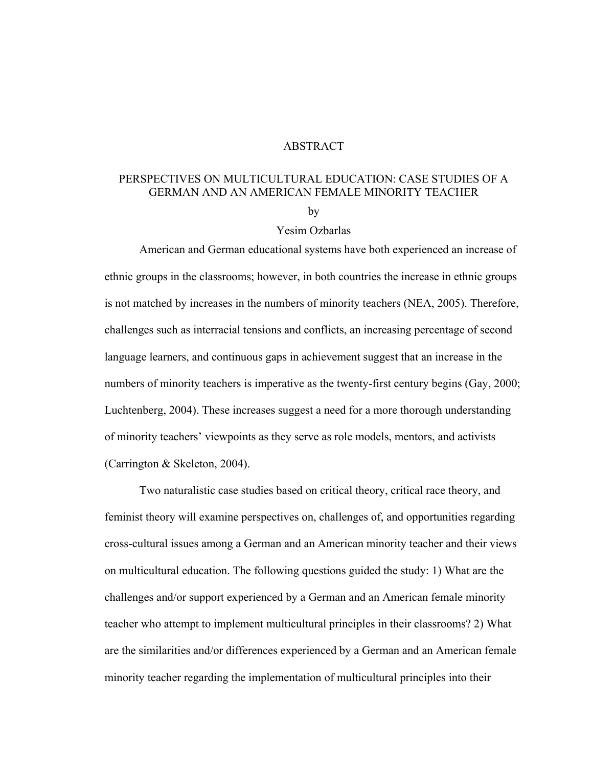# ABSTRACT

# PERSPECTIVES ON MULTICULTURAL EDUCATION: CASE STUDIES OF A GERMAN AND AN AMERICAN FEMALE MINORITY TEACHER

by

### Yesim Ozbarlas

American and German educational systems have both experienced an increase of ethnic groups in the classrooms; however, in both countries the increase in ethnic groups is not matched by increases in the numbers of minority teachers (NEA, 2005). Therefore, challenges such as interracial tensions and conflicts, an increasing percentage of second language learners, and continuous gaps in achievement suggest that an increase in the numbers of minority teachers is imperative as the twenty-first century begins (Gay, 2000; Luchtenberg, 2004). These increases suggest a need for a more thorough understanding of minority teachers' viewpoints as they serve as role models, mentors, and activists (Carrington & Skeleton, 2004).

Two naturalistic case studies based on critical theory, critical race theory, and feminist theory will examine perspectives on, challenges of, and opportunities regarding cross-cultural issues among a German and an American minority teacher and their views on multicultural education. The following questions guided the study: 1) What are the challenges and/or support experienced by a German and an American female minority teacher who attempt to implement multicultural principles in their classrooms? 2) What are the similarities and/or differences experienced by a German and an American female minority teacher regarding the implementation of multicultural principles into their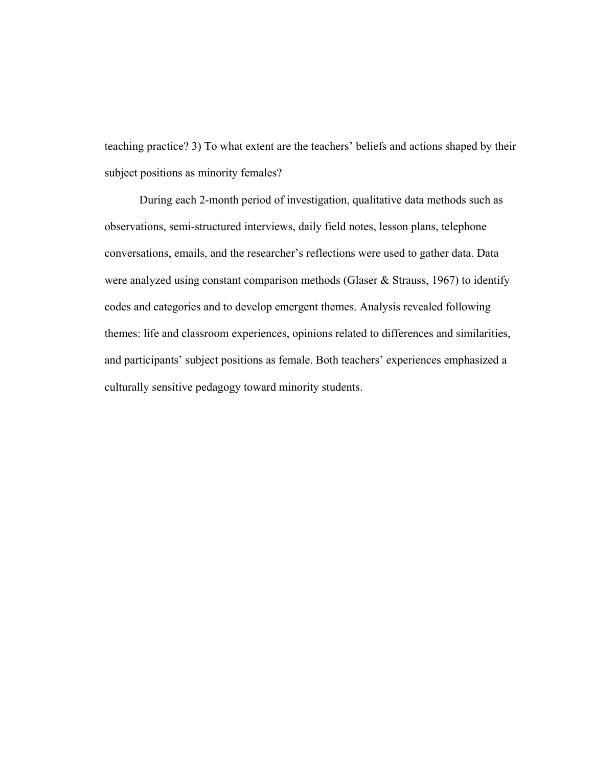teaching practice? 3) To what extent are the teachers' beliefs and actions shaped by their subject positions as minority females?

During each 2-month period of investigation, qualitative data methods such as observations, semi-structured interviews, daily field notes, lesson plans, telephone conversations, emails, and the researcher's reflections were used to gather data. Data were analyzed using constant comparison methods (Glaser & Strauss, 1967) to identify codes and categories and to develop emergent themes. Analysis revealed following themes: life and classroom experiences, opinions related to differences and similarities, and participants' subject positions as female. Both teachers' experiences emphasized a culturally sensitive pedagogy toward minority students.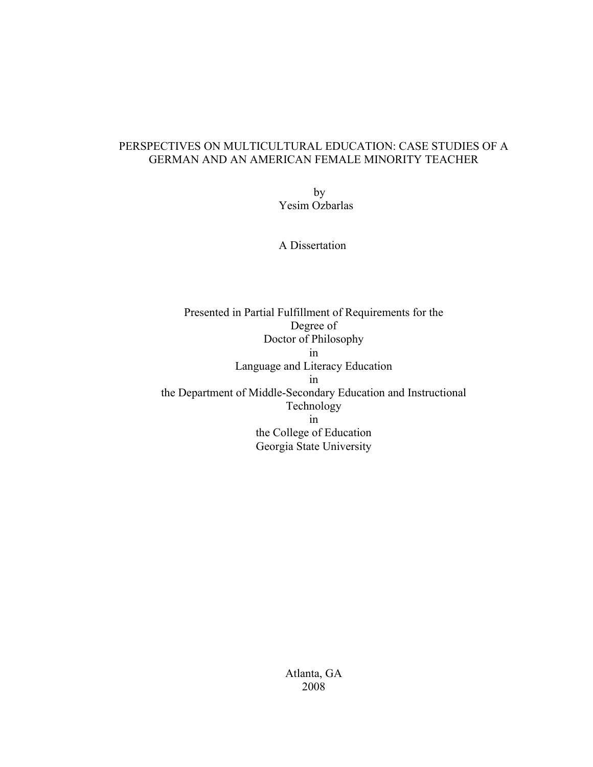# PERSPECTIVES ON MULTICULTURAL EDUCATION: CASE STUDIES OF A GERMAN AND AN AMERICAN FEMALE MINORITY TEACHER

by Yesim Ozbarlas

A Dissertation

Presented in Partial Fulfillment of Requirements for the Degree of Doctor of Philosophy in Language and Literacy Education in the Department of Middle-Secondary Education and Instructional Technology in the College of Education Georgia State University

> Atlanta, GA 2008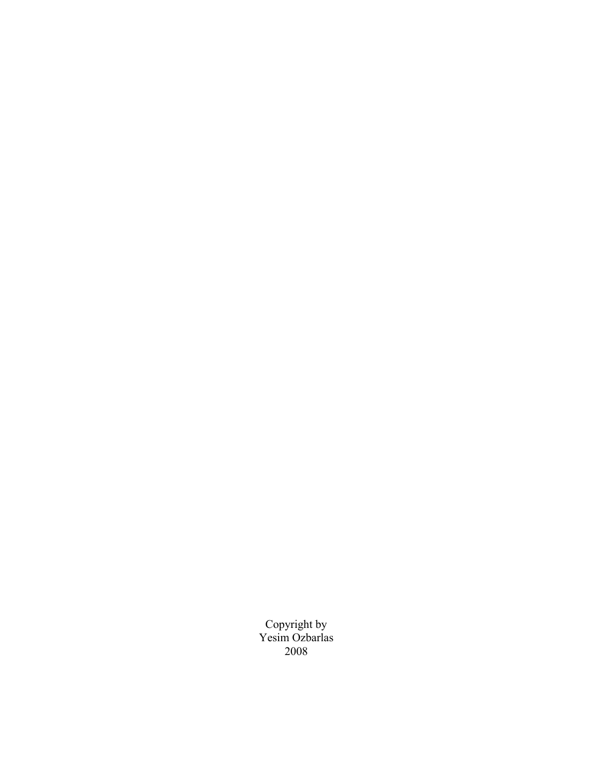Copyright by Yesim Ozbarlas 2008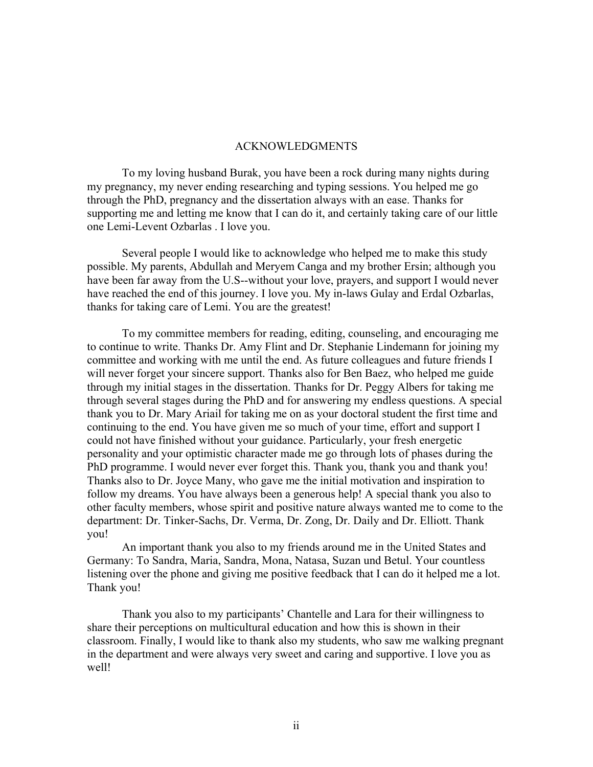### ACKNOWLEDGMENTS

To my loving husband Burak, you have been a rock during many nights during my pregnancy, my never ending researching and typing sessions. You helped me go through the PhD, pregnancy and the dissertation always with an ease. Thanks for supporting me and letting me know that I can do it, and certainly taking care of our little one Lemi-Levent Ozbarlas . I love you.

Several people I would like to acknowledge who helped me to make this study possible. My parents, Abdullah and Meryem Canga and my brother Ersin; although you have been far away from the U.S--without your love, prayers, and support I would never have reached the end of this journey. I love you. My in-laws Gulay and Erdal Ozbarlas, thanks for taking care of Lemi. You are the greatest!

 To my committee members for reading, editing, counseling, and encouraging me to continue to write. Thanks Dr. Amy Flint and Dr. Stephanie Lindemann for joining my committee and working with me until the end. As future colleagues and future friends I will never forget your sincere support. Thanks also for Ben Baez, who helped me guide through my initial stages in the dissertation. Thanks for Dr. Peggy Albers for taking me through several stages during the PhD and for answering my endless questions. A special thank you to Dr. Mary Ariail for taking me on as your doctoral student the first time and continuing to the end. You have given me so much of your time, effort and support I could not have finished without your guidance. Particularly, your fresh energetic personality and your optimistic character made me go through lots of phases during the PhD programme. I would never ever forget this. Thank you, thank you and thank you! Thanks also to Dr. Joyce Many, who gave me the initial motivation and inspiration to follow my dreams. You have always been a generous help! A special thank you also to other faculty members, whose spirit and positive nature always wanted me to come to the department: Dr. Tinker-Sachs, Dr. Verma, Dr. Zong, Dr. Daily and Dr. Elliott. Thank you!

An important thank you also to my friends around me in the United States and Germany: To Sandra, Maria, Sandra, Mona, Natasa, Suzan und Betul. Your countless listening over the phone and giving me positive feedback that I can do it helped me a lot. Thank you!

 Thank you also to my participants' Chantelle and Lara for their willingness to share their perceptions on multicultural education and how this is shown in their classroom. Finally, I would like to thank also my students, who saw me walking pregnant in the department and were always very sweet and caring and supportive. I love you as well!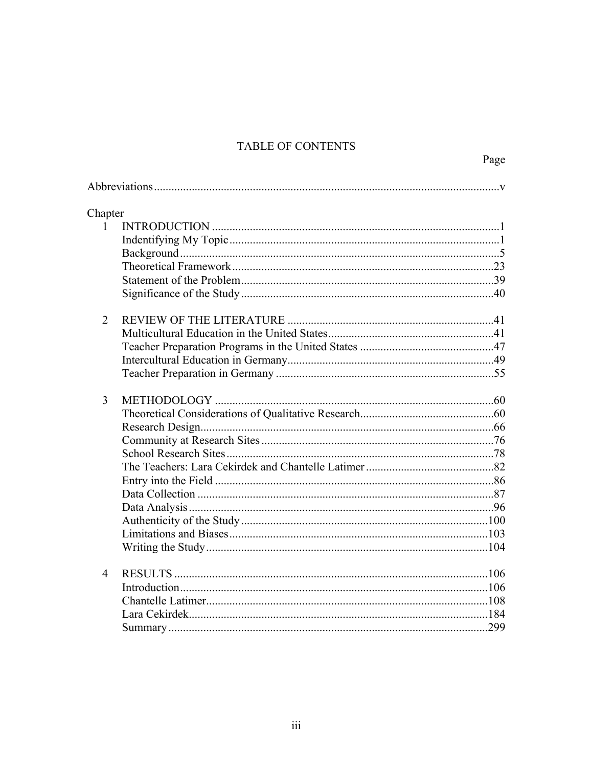# TABLE OF CONTENTS

Page

| Chapter        |  |
|----------------|--|
| $\mathbf{1}$   |  |
|                |  |
|                |  |
|                |  |
|                |  |
|                |  |
| $\overline{2}$ |  |
|                |  |
|                |  |
|                |  |
|                |  |
| $\overline{3}$ |  |
|                |  |
|                |  |
|                |  |
|                |  |
|                |  |
|                |  |
|                |  |
|                |  |
|                |  |
|                |  |
|                |  |
| $\overline{4}$ |  |
|                |  |
|                |  |
|                |  |
|                |  |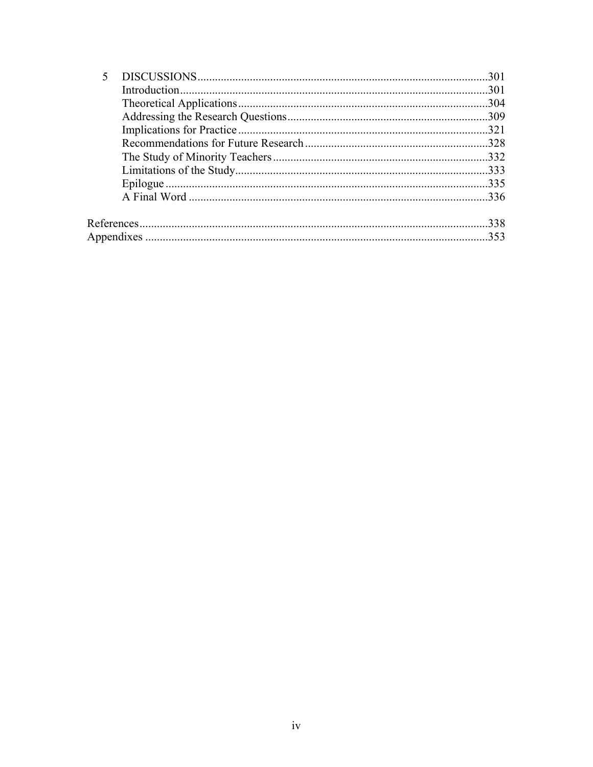| 301  |
|------|
| .301 |
| .304 |
|      |
|      |
|      |
|      |
|      |
| 335  |
| 336  |
| 338  |
| 353  |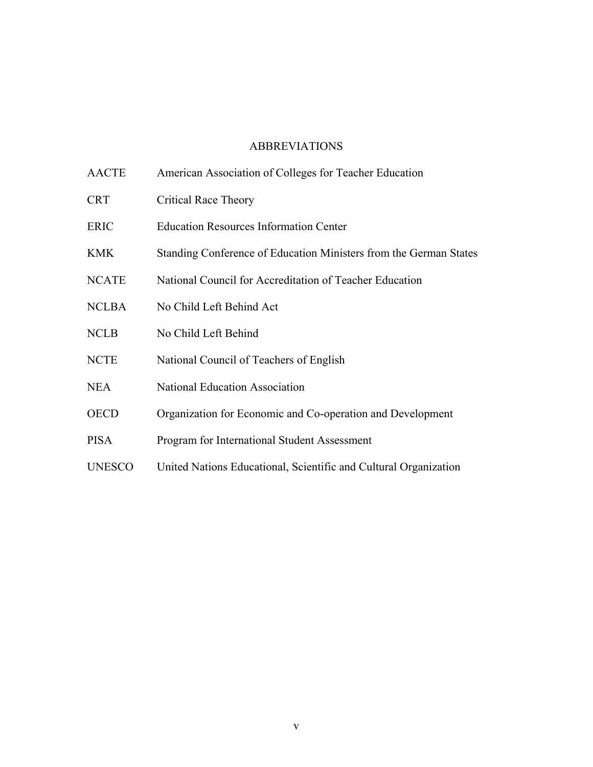# ABBREVIATIONS

AACTE American Association of Colleges for Teacher Education CRT Critical Race Theory ERIC Education Resources Information Center KMK Standing Conference of Education Ministers from the German States NCATE National Council for Accreditation of Teacher Education NCLBA No Child Left Behind Act NCLB No Child Left Behind NCTE National Council of Teachers of English NEA National Education Association OECD Organization for Economic and Co-operation and Development PISA Program for International Student Assessment UNESCO United Nations Educational, Scientific and Cultural Organization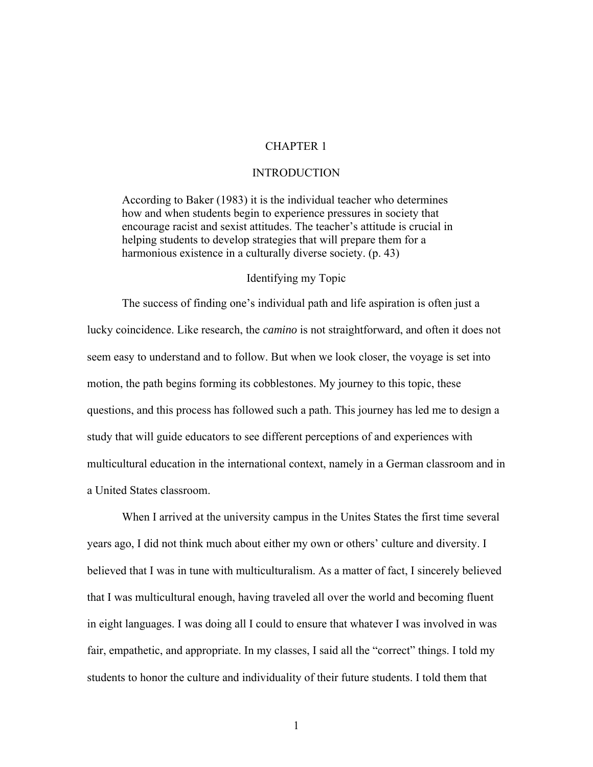# CHAPTER 1

### INTRODUCTION

According to Baker (1983) it is the individual teacher who determines how and when students begin to experience pressures in society that encourage racist and sexist attitudes. The teacher's attitude is crucial in helping students to develop strategies that will prepare them for a harmonious existence in a culturally diverse society. (p. 43)

# Identifying my Topic

The success of finding one's individual path and life aspiration is often just a lucky coincidence. Like research, the *camino* is not straightforward, and often it does not seem easy to understand and to follow. But when we look closer, the voyage is set into motion, the path begins forming its cobblestones. My journey to this topic, these questions, and this process has followed such a path. This journey has led me to design a study that will guide educators to see different perceptions of and experiences with multicultural education in the international context, namely in a German classroom and in a United States classroom.

When I arrived at the university campus in the Unites States the first time several years ago, I did not think much about either my own or others' culture and diversity. I believed that I was in tune with multiculturalism. As a matter of fact, I sincerely believed that I was multicultural enough, having traveled all over the world and becoming fluent in eight languages. I was doing all I could to ensure that whatever I was involved in was fair, empathetic, and appropriate. In my classes, I said all the "correct" things. I told my students to honor the culture and individuality of their future students. I told them that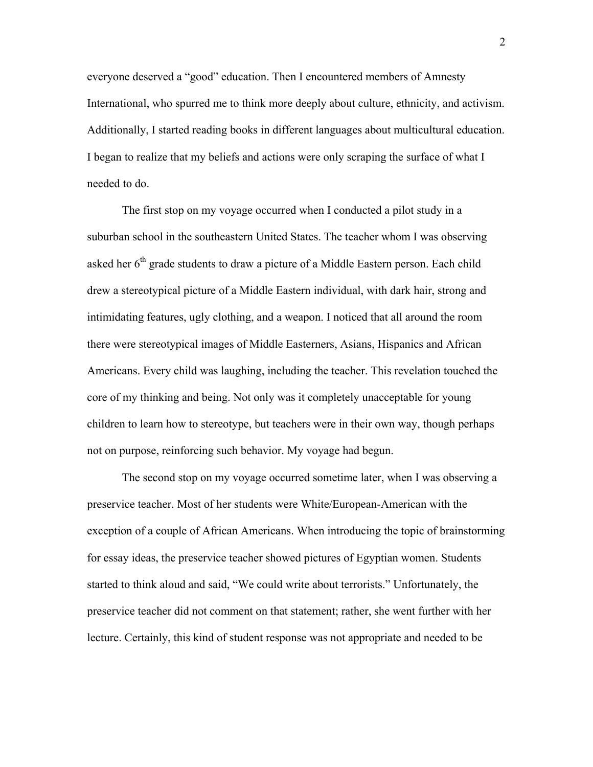everyone deserved a "good" education. Then I encountered members of Amnesty International, who spurred me to think more deeply about culture, ethnicity, and activism. Additionally, I started reading books in different languages about multicultural education. I began to realize that my beliefs and actions were only scraping the surface of what I needed to do.

The first stop on my voyage occurred when I conducted a pilot study in a suburban school in the southeastern United States. The teacher whom I was observing asked her 6<sup>th</sup> grade students to draw a picture of a Middle Eastern person. Each child drew a stereotypical picture of a Middle Eastern individual, with dark hair, strong and intimidating features, ugly clothing, and a weapon. I noticed that all around the room there were stereotypical images of Middle Easterners, Asians, Hispanics and African Americans. Every child was laughing, including the teacher. This revelation touched the core of my thinking and being. Not only was it completely unacceptable for young children to learn how to stereotype, but teachers were in their own way, though perhaps not on purpose, reinforcing such behavior. My voyage had begun.

The second stop on my voyage occurred sometime later, when I was observing a preservice teacher. Most of her students were White/European-American with the exception of a couple of African Americans. When introducing the topic of brainstorming for essay ideas, the preservice teacher showed pictures of Egyptian women. Students started to think aloud and said, "We could write about terrorists." Unfortunately, the preservice teacher did not comment on that statement; rather, she went further with her lecture. Certainly, this kind of student response was not appropriate and needed to be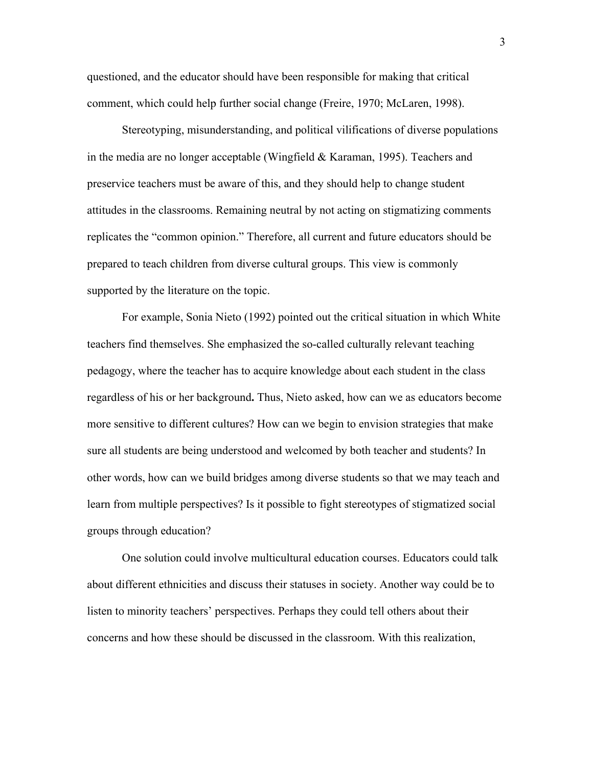questioned, and the educator should have been responsible for making that critical comment, which could help further social change (Freire, 1970; McLaren, 1998).

Stereotyping, misunderstanding, and political vilifications of diverse populations in the media are no longer acceptable (Wingfield & Karaman, 1995). Teachers and preservice teachers must be aware of this, and they should help to change student attitudes in the classrooms. Remaining neutral by not acting on stigmatizing comments replicates the "common opinion." Therefore, all current and future educators should be prepared to teach children from diverse cultural groups. This view is commonly supported by the literature on the topic.

For example, Sonia Nieto (1992) pointed out the critical situation in which White teachers find themselves. She emphasized the so-called culturally relevant teaching pedagogy, where the teacher has to acquire knowledge about each student in the class regardless of his or her background**.** Thus, Nieto asked, how can we as educators become more sensitive to different cultures? How can we begin to envision strategies that make sure all students are being understood and welcomed by both teacher and students? In other words, how can we build bridges among diverse students so that we may teach and learn from multiple perspectives? Is it possible to fight stereotypes of stigmatized social groups through education?

One solution could involve multicultural education courses. Educators could talk about different ethnicities and discuss their statuses in society. Another way could be to listen to minority teachers' perspectives. Perhaps they could tell others about their concerns and how these should be discussed in the classroom. With this realization,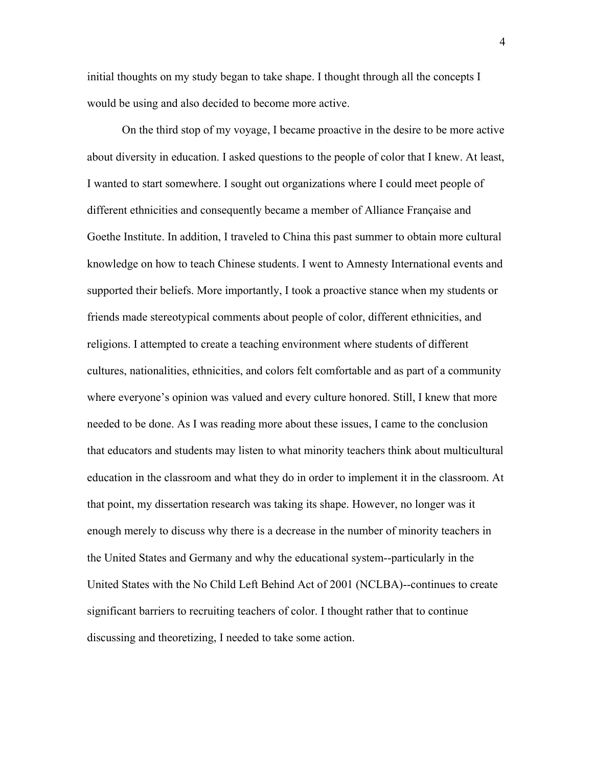initial thoughts on my study began to take shape. I thought through all the concepts I would be using and also decided to become more active.

On the third stop of my voyage, I became proactive in the desire to be more active about diversity in education. I asked questions to the people of color that I knew. At least, I wanted to start somewhere. I sought out organizations where I could meet people of different ethnicities and consequently became a member of Alliance Française and Goethe Institute. In addition, I traveled to China this past summer to obtain more cultural knowledge on how to teach Chinese students. I went to Amnesty International events and supported their beliefs. More importantly, I took a proactive stance when my students or friends made stereotypical comments about people of color, different ethnicities, and religions. I attempted to create a teaching environment where students of different cultures, nationalities, ethnicities, and colors felt comfortable and as part of a community where everyone's opinion was valued and every culture honored. Still, I knew that more needed to be done. As I was reading more about these issues, I came to the conclusion that educators and students may listen to what minority teachers think about multicultural education in the classroom and what they do in order to implement it in the classroom. At that point, my dissertation research was taking its shape. However, no longer was it enough merely to discuss why there is a decrease in the number of minority teachers in the United States and Germany and why the educational system--particularly in the United States with the No Child Left Behind Act of 2001 (NCLBA)--continues to create significant barriers to recruiting teachers of color. I thought rather that to continue discussing and theoretizing, I needed to take some action.

4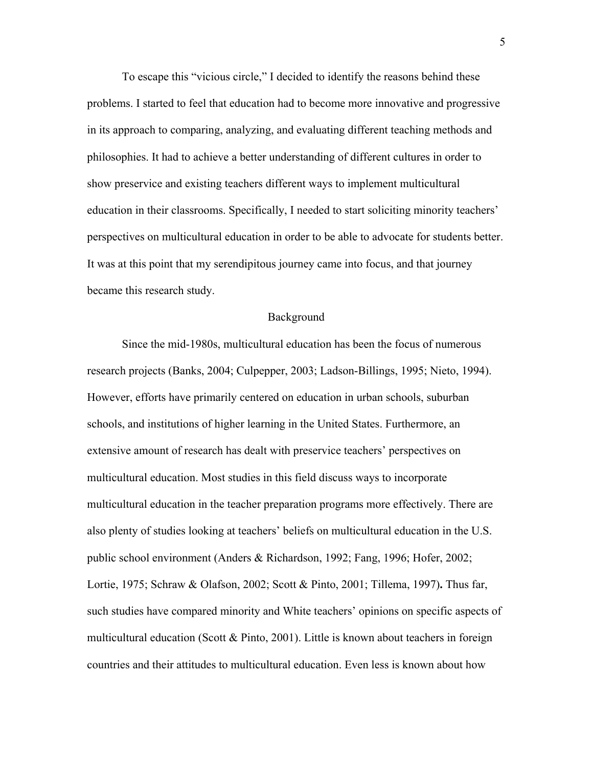To escape this "vicious circle," I decided to identify the reasons behind these problems. I started to feel that education had to become more innovative and progressive in its approach to comparing, analyzing, and evaluating different teaching methods and philosophies. It had to achieve a better understanding of different cultures in order to show preservice and existing teachers different ways to implement multicultural education in their classrooms. Specifically, I needed to start soliciting minority teachers' perspectives on multicultural education in order to be able to advocate for students better. It was at this point that my serendipitous journey came into focus, and that journey became this research study.

#### Background

Since the mid-1980s, multicultural education has been the focus of numerous research projects (Banks, 2004; Culpepper, 2003; Ladson-Billings, 1995; Nieto, 1994). However, efforts have primarily centered on education in urban schools, suburban schools, and institutions of higher learning in the United States. Furthermore, an extensive amount of research has dealt with preservice teachers' perspectives on multicultural education. Most studies in this field discuss ways to incorporate multicultural education in the teacher preparation programs more effectively. There are also plenty of studies looking at teachers' beliefs on multicultural education in the U.S. public school environment (Anders & Richardson, 1992; Fang, 1996; Hofer, 2002; Lortie, 1975; Schraw & Olafson, 2002; Scott & Pinto, 2001; Tillema, 1997)**.** Thus far, such studies have compared minority and White teachers' opinions on specific aspects of multicultural education (Scott  $\&$  Pinto, 2001). Little is known about teachers in foreign countries and their attitudes to multicultural education. Even less is known about how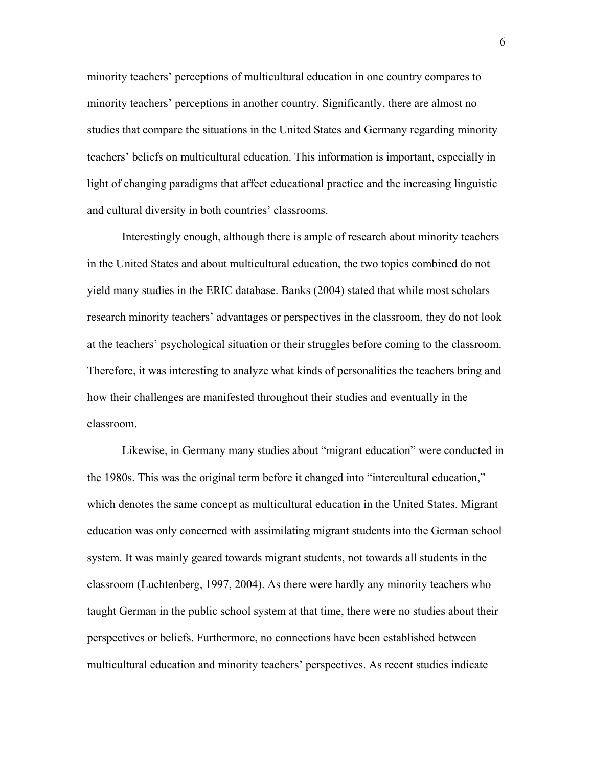minority teachers' perceptions of multicultural education in one country compares to minority teachers' perceptions in another country. Significantly, there are almost no studies that compare the situations in the United States and Germany regarding minority teachers' beliefs on multicultural education. This information is important, especially in light of changing paradigms that affect educational practice and the increasing linguistic and cultural diversity in both countries' classrooms.

Interestingly enough, although there is ample of research about minority teachers in the United States and about multicultural education, the two topics combined do not yield many studies in the ERIC database. Banks (2004) stated that while most scholars research minority teachers' advantages or perspectives in the classroom, they do not look at the teachers' psychological situation or their struggles before coming to the classroom. Therefore, it was interesting to analyze what kinds of personalities the teachers bring and how their challenges are manifested throughout their studies and eventually in the classroom.

Likewise, in Germany many studies about "migrant education" were conducted in the 1980s. This was the original term before it changed into "intercultural education," which denotes the same concept as multicultural education in the United States. Migrant education was only concerned with assimilating migrant students into the German school system. It was mainly geared towards migrant students, not towards all students in the classroom (Luchtenberg, 1997, 2004). As there were hardly any minority teachers who taught German in the public school system at that time, there were no studies about their perspectives or beliefs. Furthermore, no connections have been established between multicultural education and minority teachers' perspectives. As recent studies indicate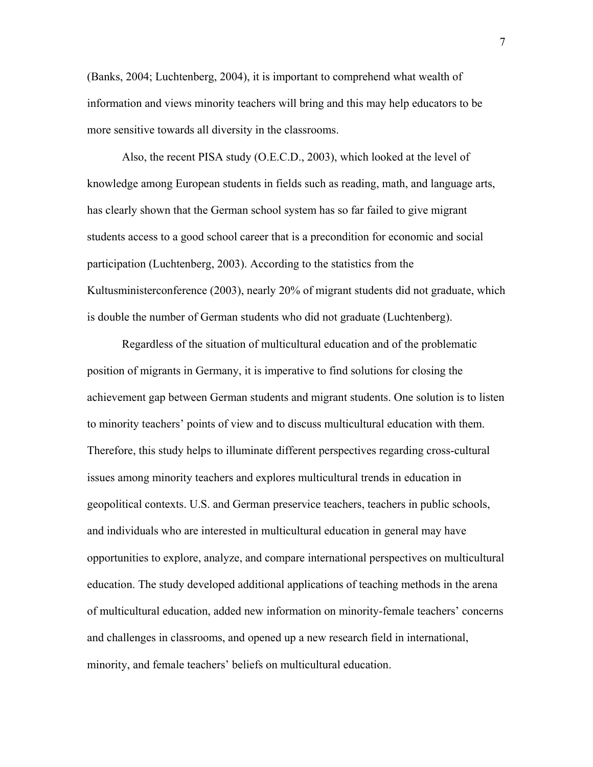(Banks, 2004; Luchtenberg, 2004), it is important to comprehend what wealth of information and views minority teachers will bring and this may help educators to be more sensitive towards all diversity in the classrooms.

Also, the recent PISA study (O.E.C.D., 2003), which looked at the level of knowledge among European students in fields such as reading, math, and language arts, has clearly shown that the German school system has so far failed to give migrant students access to a good school career that is a precondition for economic and social participation (Luchtenberg, 2003). According to the statistics from the Kultusministerconference (2003), nearly 20% of migrant students did not graduate, which is double the number of German students who did not graduate (Luchtenberg).

Regardless of the situation of multicultural education and of the problematic position of migrants in Germany, it is imperative to find solutions for closing the achievement gap between German students and migrant students. One solution is to listen to minority teachers' points of view and to discuss multicultural education with them. Therefore, this study helps to illuminate different perspectives regarding cross-cultural issues among minority teachers and explores multicultural trends in education in geopolitical contexts. U.S. and German preservice teachers, teachers in public schools, and individuals who are interested in multicultural education in general may have opportunities to explore, analyze, and compare international perspectives on multicultural education. The study developed additional applications of teaching methods in the arena of multicultural education, added new information on minority-female teachers' concerns and challenges in classrooms, and opened up a new research field in international, minority, and female teachers' beliefs on multicultural education.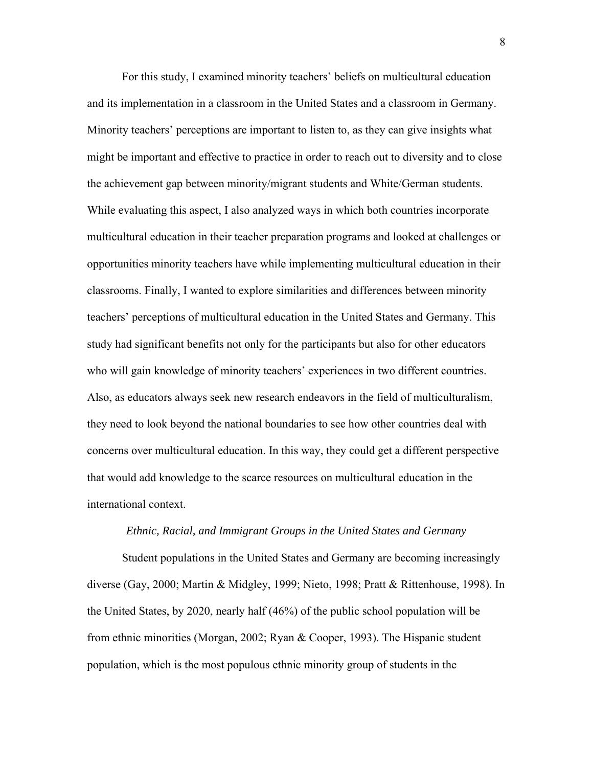For this study, I examined minority teachers' beliefs on multicultural education and its implementation in a classroom in the United States and a classroom in Germany. Minority teachers' perceptions are important to listen to, as they can give insights what might be important and effective to practice in order to reach out to diversity and to close the achievement gap between minority/migrant students and White/German students. While evaluating this aspect, I also analyzed ways in which both countries incorporate multicultural education in their teacher preparation programs and looked at challenges or opportunities minority teachers have while implementing multicultural education in their classrooms. Finally, I wanted to explore similarities and differences between minority teachers' perceptions of multicultural education in the United States and Germany. This study had significant benefits not only for the participants but also for other educators who will gain knowledge of minority teachers' experiences in two different countries. Also, as educators always seek new research endeavors in the field of multiculturalism, they need to look beyond the national boundaries to see how other countries deal with concerns over multicultural education. In this way, they could get a different perspective that would add knowledge to the scarce resources on multicultural education in the international context.

#### *Ethnic, Racial, and Immigrant Groups in the United States and Germany*

Student populations in the United States and Germany are becoming increasingly diverse (Gay, 2000; Martin & Midgley, 1999; Nieto, 1998; Pratt & Rittenhouse, 1998). In the United States, by 2020, nearly half (46%) of the public school population will be from ethnic minorities (Morgan, 2002; Ryan & Cooper, 1993). The Hispanic student population, which is the most populous ethnic minority group of students in the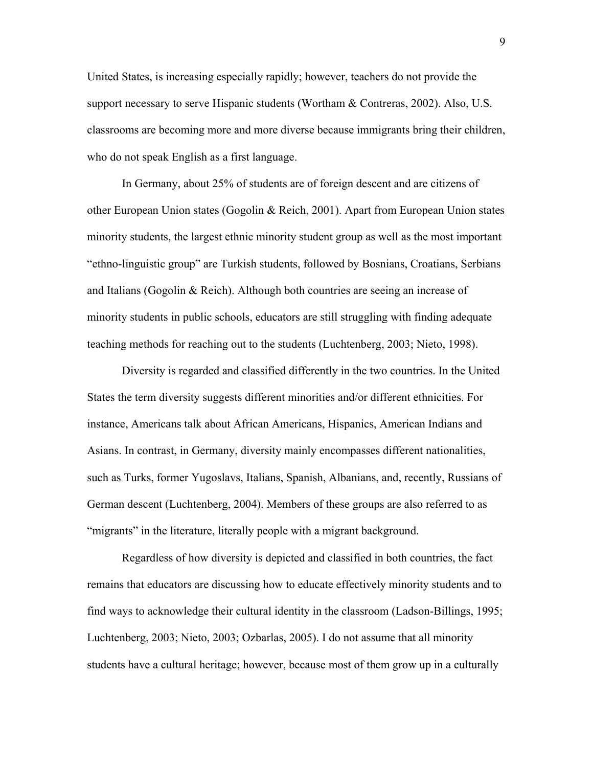United States, is increasing especially rapidly; however, teachers do not provide the support necessary to serve Hispanic students (Wortham  $\&$  Contreras, 2002). Also, U.S. classrooms are becoming more and more diverse because immigrants bring their children, who do not speak English as a first language.

In Germany, about 25% of students are of foreign descent and are citizens of other European Union states (Gogolin & Reich, 2001). Apart from European Union states minority students, the largest ethnic minority student group as well as the most important "ethno-linguistic group" are Turkish students, followed by Bosnians, Croatians, Serbians and Italians (Gogolin & Reich). Although both countries are seeing an increase of minority students in public schools, educators are still struggling with finding adequate teaching methods for reaching out to the students (Luchtenberg, 2003; Nieto, 1998).

Diversity is regarded and classified differently in the two countries. In the United States the term diversity suggests different minorities and/or different ethnicities. For instance, Americans talk about African Americans, Hispanics, American Indians and Asians. In contrast, in Germany, diversity mainly encompasses different nationalities, such as Turks, former Yugoslavs, Italians, Spanish, Albanians, and, recently, Russians of German descent (Luchtenberg, 2004). Members of these groups are also referred to as "migrants" in the literature, literally people with a migrant background.

Regardless of how diversity is depicted and classified in both countries, the fact remains that educators are discussing how to educate effectively minority students and to find ways to acknowledge their cultural identity in the classroom (Ladson-Billings, 1995; Luchtenberg, 2003; Nieto, 2003; Ozbarlas, 2005). I do not assume that all minority students have a cultural heritage; however, because most of them grow up in a culturally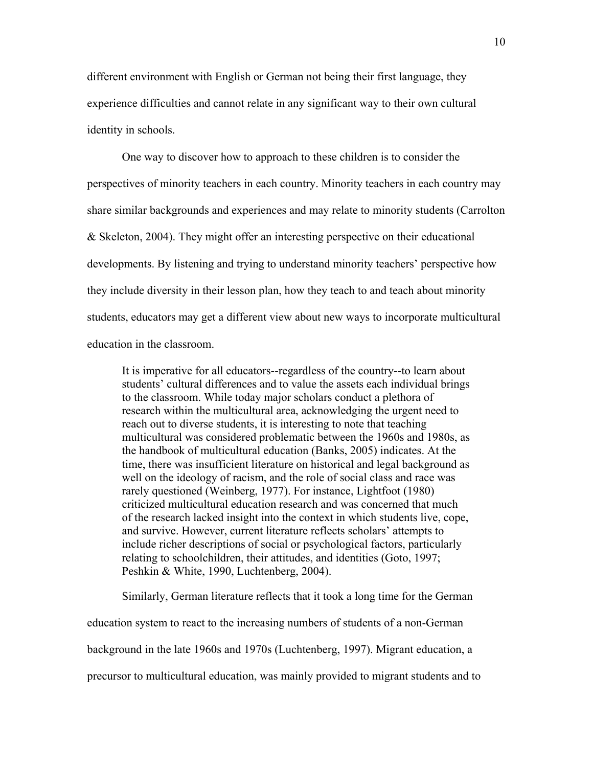different environment with English or German not being their first language, they experience difficulties and cannot relate in any significant way to their own cultural identity in schools.

One way to discover how to approach to these children is to consider the perspectives of minority teachers in each country. Minority teachers in each country may share similar backgrounds and experiences and may relate to minority students (Carrolton & Skeleton, 2004). They might offer an interesting perspective on their educational developments. By listening and trying to understand minority teachers' perspective how they include diversity in their lesson plan, how they teach to and teach about minority students, educators may get a different view about new ways to incorporate multicultural education in the classroom.

It is imperative for all educators--regardless of the country--to learn about students' cultural differences and to value the assets each individual brings to the classroom. While today major scholars conduct a plethora of research within the multicultural area, acknowledging the urgent need to reach out to diverse students, it is interesting to note that teaching multicultural was considered problematic between the 1960s and 1980s, as the handbook of multicultural education (Banks, 2005) indicates. At the time, there was insufficient literature on historical and legal background as well on the ideology of racism, and the role of social class and race was rarely questioned (Weinberg, 1977). For instance, Lightfoot (1980) criticized multicultural education research and was concerned that much of the research lacked insight into the context in which students live, cope, and survive. However, current literature reflects scholars' attempts to include richer descriptions of social or psychological factors, particularly relating to schoolchildren, their attitudes, and identities (Goto, 1997; Peshkin & White, 1990, Luchtenberg, 2004).

Similarly, German literature reflects that it took a long time for the German education system to react to the increasing numbers of students of a non-German background in the late 1960s and 1970s (Luchtenberg, 1997). Migrant education, a precursor to multicultural education, was mainly provided to migrant students and to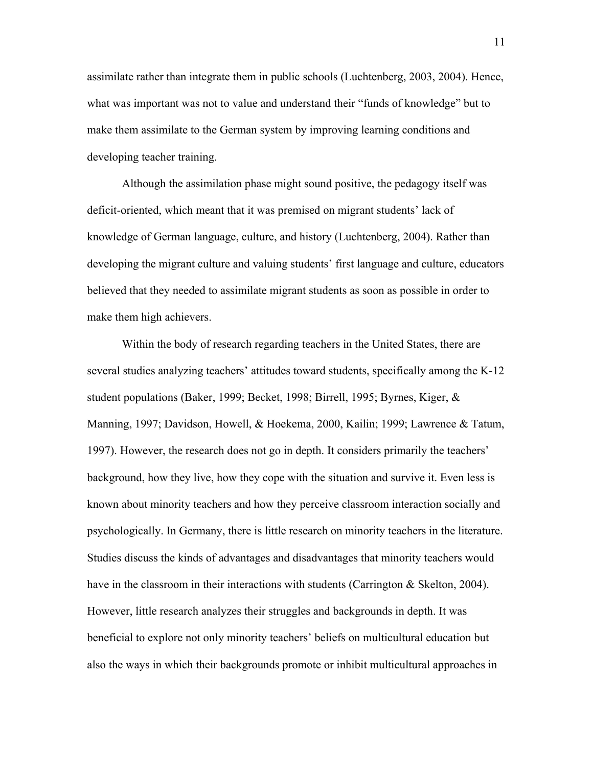assimilate rather than integrate them in public schools (Luchtenberg, 2003, 2004). Hence, what was important was not to value and understand their "funds of knowledge" but to make them assimilate to the German system by improving learning conditions and developing teacher training.

Although the assimilation phase might sound positive, the pedagogy itself was deficit-oriented, which meant that it was premised on migrant students' lack of knowledge of German language, culture, and history (Luchtenberg, 2004). Rather than developing the migrant culture and valuing students' first language and culture, educators believed that they needed to assimilate migrant students as soon as possible in order to make them high achievers.

Within the body of research regarding teachers in the United States, there are several studies analyzing teachers' attitudes toward students, specifically among the K-12 student populations (Baker, 1999; Becket, 1998; Birrell, 1995; Byrnes, Kiger, & Manning, 1997; Davidson, Howell, & Hoekema, 2000, Kailin; 1999; Lawrence & Tatum, 1997). However, the research does not go in depth. It considers primarily the teachers' background, how they live, how they cope with the situation and survive it. Even less is known about minority teachers and how they perceive classroom interaction socially and psychologically. In Germany, there is little research on minority teachers in the literature. Studies discuss the kinds of advantages and disadvantages that minority teachers would have in the classroom in their interactions with students (Carrington & Skelton, 2004). However, little research analyzes their struggles and backgrounds in depth. It was beneficial to explore not only minority teachers' beliefs on multicultural education but also the ways in which their backgrounds promote or inhibit multicultural approaches in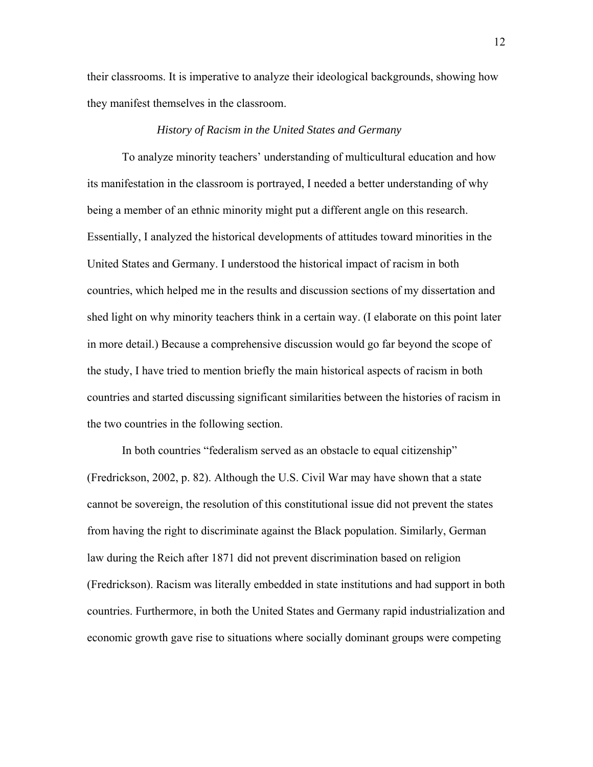their classrooms. It is imperative to analyze their ideological backgrounds, showing how they manifest themselves in the classroom.

#### *History of Racism in the United States and Germany*

To analyze minority teachers' understanding of multicultural education and how its manifestation in the classroom is portrayed, I needed a better understanding of why being a member of an ethnic minority might put a different angle on this research. Essentially, I analyzed the historical developments of attitudes toward minorities in the United States and Germany. I understood the historical impact of racism in both countries, which helped me in the results and discussion sections of my dissertation and shed light on why minority teachers think in a certain way. (I elaborate on this point later in more detail.) Because a comprehensive discussion would go far beyond the scope of the study, I have tried to mention briefly the main historical aspects of racism in both countries and started discussing significant similarities between the histories of racism in the two countries in the following section.

In both countries "federalism served as an obstacle to equal citizenship" (Fredrickson, 2002, p. 82). Although the U.S. Civil War may have shown that a state cannot be sovereign, the resolution of this constitutional issue did not prevent the states from having the right to discriminate against the Black population. Similarly, German law during the Reich after 1871 did not prevent discrimination based on religion (Fredrickson). Racism was literally embedded in state institutions and had support in both countries. Furthermore, in both the United States and Germany rapid industrialization and economic growth gave rise to situations where socially dominant groups were competing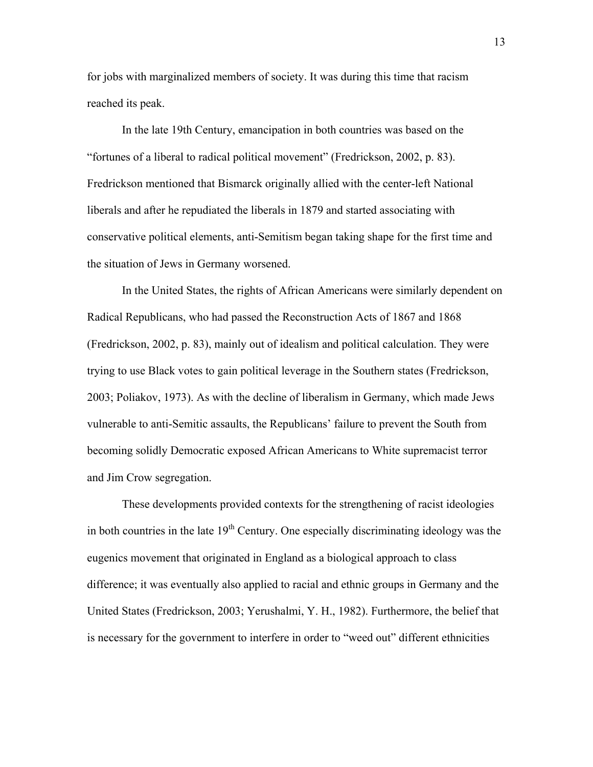for jobs with marginalized members of society. It was during this time that racism reached its peak.

In the late 19th Century, emancipation in both countries was based on the "fortunes of a liberal to radical political movement" (Fredrickson, 2002, p. 83). Fredrickson mentioned that Bismarck originally allied with the center-left National liberals and after he repudiated the liberals in 1879 and started associating with conservative political elements, anti-Semitism began taking shape for the first time and the situation of Jews in Germany worsened.

In the United States, the rights of African Americans were similarly dependent on Radical Republicans, who had passed the Reconstruction Acts of 1867 and 1868 (Fredrickson, 2002, p. 83), mainly out of idealism and political calculation. They were trying to use Black votes to gain political leverage in the Southern states (Fredrickson, 2003; Poliakov, 1973). As with the decline of liberalism in Germany, which made Jews vulnerable to anti-Semitic assaults, the Republicans' failure to prevent the South from becoming solidly Democratic exposed African Americans to White supremacist terror and Jim Crow segregation.

These developments provided contexts for the strengthening of racist ideologies in both countries in the late  $19<sup>th</sup>$  Century. One especially discriminating ideology was the eugenics movement that originated in England as a biological approach to class difference; it was eventually also applied to racial and ethnic groups in Germany and the United States (Fredrickson, 2003; Yerushalmi, Y. H., 1982). Furthermore, the belief that is necessary for the government to interfere in order to "weed out" different ethnicities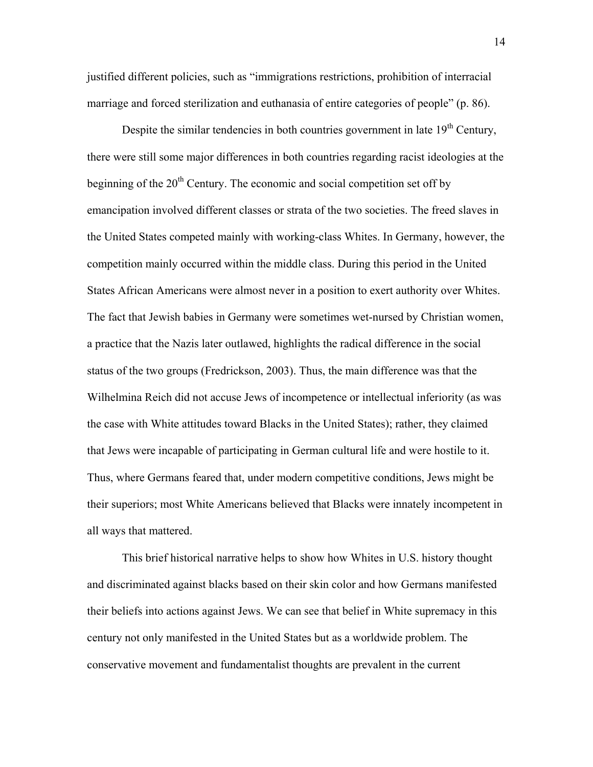justified different policies, such as "immigrations restrictions, prohibition of interracial marriage and forced sterilization and euthanasia of entire categories of people" (p. 86).

Despite the similar tendencies in both countries government in late  $19<sup>th</sup>$  Century, there were still some major differences in both countries regarding racist ideologies at the beginning of the  $20<sup>th</sup>$  Century. The economic and social competition set off by emancipation involved different classes or strata of the two societies. The freed slaves in the United States competed mainly with working-class Whites. In Germany, however, the competition mainly occurred within the middle class. During this period in the United States African Americans were almost never in a position to exert authority over Whites. The fact that Jewish babies in Germany were sometimes wet-nursed by Christian women, a practice that the Nazis later outlawed, highlights the radical difference in the social status of the two groups (Fredrickson, 2003). Thus, the main difference was that the Wilhelmina Reich did not accuse Jews of incompetence or intellectual inferiority (as was the case with White attitudes toward Blacks in the United States); rather, they claimed that Jews were incapable of participating in German cultural life and were hostile to it. Thus, where Germans feared that, under modern competitive conditions, Jews might be their superiors; most White Americans believed that Blacks were innately incompetent in all ways that mattered.

This brief historical narrative helps to show how Whites in U.S. history thought and discriminated against blacks based on their skin color and how Germans manifested their beliefs into actions against Jews. We can see that belief in White supremacy in this century not only manifested in the United States but as a worldwide problem. The conservative movement and fundamentalist thoughts are prevalent in the current

14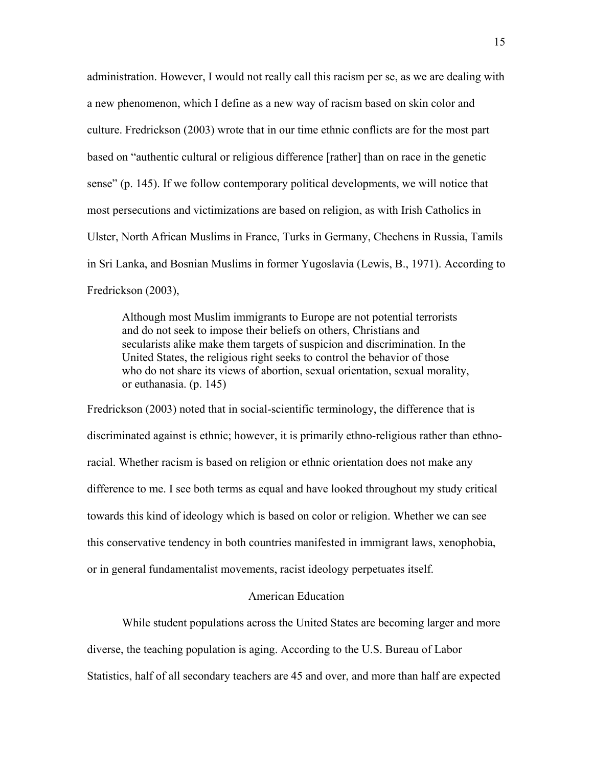administration. However, I would not really call this racism per se, as we are dealing with a new phenomenon, which I define as a new way of racism based on skin color and culture. Fredrickson (2003) wrote that in our time ethnic conflicts are for the most part based on "authentic cultural or religious difference [rather] than on race in the genetic sense" (p. 145). If we follow contemporary political developments, we will notice that most persecutions and victimizations are based on religion, as with Irish Catholics in Ulster, North African Muslims in France, Turks in Germany, Chechens in Russia, Tamils in Sri Lanka, and Bosnian Muslims in former Yugoslavia (Lewis, B., 1971). According to Fredrickson (2003),

Although most Muslim immigrants to Europe are not potential terrorists and do not seek to impose their beliefs on others, Christians and secularists alike make them targets of suspicion and discrimination. In the United States, the religious right seeks to control the behavior of those who do not share its views of abortion, sexual orientation, sexual morality, or euthanasia. (p. 145)

Fredrickson (2003) noted that in social-scientific terminology, the difference that is discriminated against is ethnic; however, it is primarily ethno-religious rather than ethnoracial. Whether racism is based on religion or ethnic orientation does not make any difference to me. I see both terms as equal and have looked throughout my study critical towards this kind of ideology which is based on color or religion. Whether we can see this conservative tendency in both countries manifested in immigrant laws, xenophobia, or in general fundamentalist movements, racist ideology perpetuates itself.

### American Education

While student populations across the United States are becoming larger and more diverse, the teaching population is aging. According to the U.S. Bureau of Labor Statistics, half of all secondary teachers are 45 and over, and more than half are expected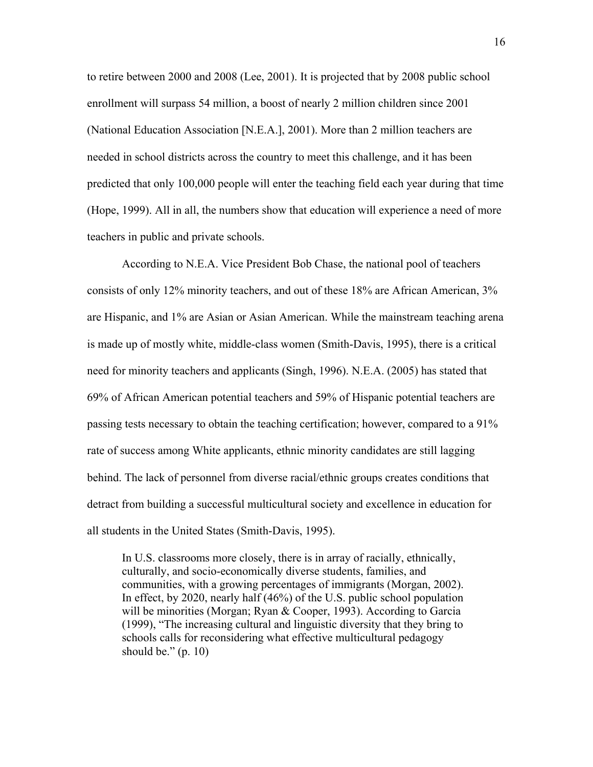to retire between 2000 and 2008 (Lee, 2001). It is projected that by 2008 public school enrollment will surpass 54 million, a boost of nearly 2 million children since 2001 (National Education Association [N.E.A.], 2001). More than 2 million teachers are needed in school districts across the country to meet this challenge, and it has been predicted that only 100,000 people will enter the teaching field each year during that time (Hope, 1999). All in all, the numbers show that education will experience a need of more teachers in public and private schools.

According to N.E.A. Vice President Bob Chase, the national pool of teachers consists of only 12% minority teachers, and out of these 18% are African American, 3% are Hispanic, and 1% are Asian or Asian American. While the mainstream teaching arena is made up of mostly white, middle-class women (Smith-Davis, 1995), there is a critical need for minority teachers and applicants (Singh, 1996). N.E.A. (2005) has stated that 69% of African American potential teachers and 59% of Hispanic potential teachers are passing tests necessary to obtain the teaching certification; however, compared to a 91% rate of success among White applicants, ethnic minority candidates are still lagging behind. The lack of personnel from diverse racial/ethnic groups creates conditions that detract from building a successful multicultural society and excellence in education for all students in the United States (Smith-Davis, 1995).

In U.S. classrooms more closely, there is in array of racially, ethnically, culturally, and socio-economically diverse students, families, and communities, with a growing percentages of immigrants (Morgan, 2002). In effect, by 2020, nearly half (46%) of the U.S. public school population will be minorities (Morgan; Ryan & Cooper, 1993). According to Garcia (1999), "The increasing cultural and linguistic diversity that they bring to schools calls for reconsidering what effective multicultural pedagogy should be."  $(p. 10)$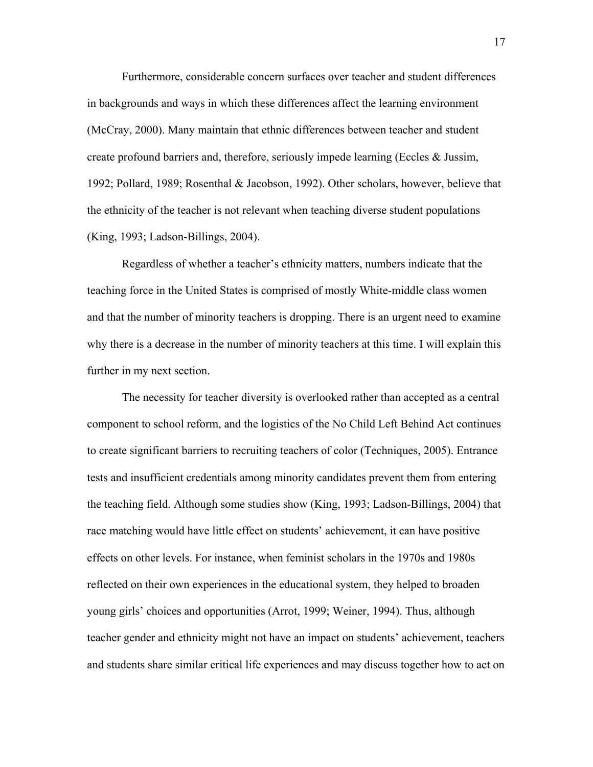Furthermore, considerable concern surfaces over teacher and student differences in backgrounds and ways in which these differences affect the learning environment (McCray, 2000). Many maintain that ethnic differences between teacher and student create profound barriers and, therefore, seriously impede learning (Eccles & Jussim, 1992; Pollard, 1989; Rosenthal & Jacobson, 1992). Other scholars, however, believe that the ethnicity of the teacher is not relevant when teaching diverse student populations (King, 1993; Ladson-Billings, 2004).

Regardless of whether a teacher's ethnicity matters, numbers indicate that the teaching force in the United States is comprised of mostly White-middle class women and that the number of minority teachers is dropping. There is an urgent need to examine why there is a decrease in the number of minority teachers at this time. I will explain this further in my next section.

The necessity for teacher diversity is overlooked rather than accepted as a central component to school reform, and the logistics of the No Child Left Behind Act continues to create significant barriers to recruiting teachers of color (Techniques, 2005). Entrance tests and insufficient credentials among minority candidates prevent them from entering the teaching field. Although some studies show (King, 1993; Ladson-Billings, 2004) that race matching would have little effect on students' achievement, it can have positive effects on other levels. For instance, when feminist scholars in the 1970s and 1980s reflected on their own experiences in the educational system, they helped to broaden young girls' choices and opportunities (Arrot, 1999; Weiner, 1994). Thus, although teacher gender and ethnicity might not have an impact on students' achievement, teachers and students share similar critical life experiences and may discuss together how to act on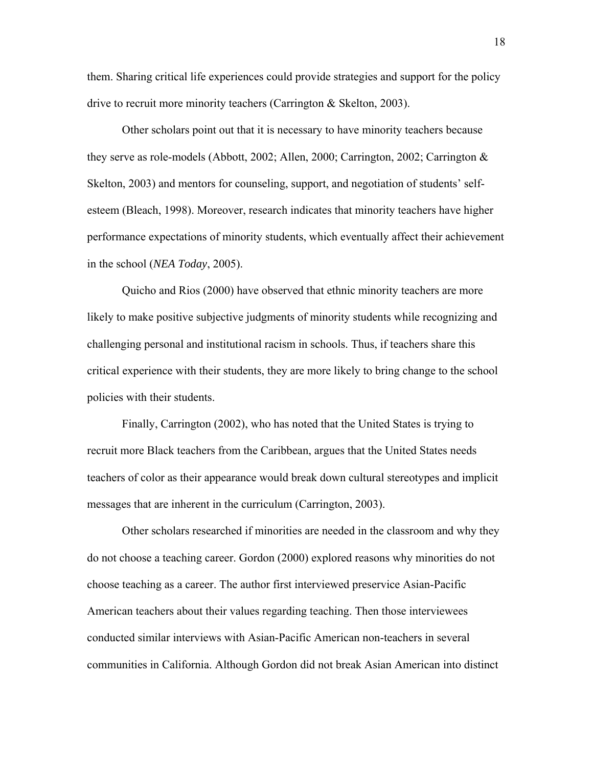them. Sharing critical life experiences could provide strategies and support for the policy drive to recruit more minority teachers (Carrington & Skelton, 2003).

Other scholars point out that it is necessary to have minority teachers because they serve as role-models (Abbott, 2002; Allen, 2000; Carrington, 2002; Carrington & Skelton, 2003) and mentors for counseling, support, and negotiation of students' selfesteem (Bleach, 1998). Moreover, research indicates that minority teachers have higher performance expectations of minority students, which eventually affect their achievement in the school (*NEA Today*, 2005).

Quicho and Rios (2000) have observed that ethnic minority teachers are more likely to make positive subjective judgments of minority students while recognizing and challenging personal and institutional racism in schools. Thus, if teachers share this critical experience with their students, they are more likely to bring change to the school policies with their students.

Finally, Carrington (2002), who has noted that the United States is trying to recruit more Black teachers from the Caribbean, argues that the United States needs teachers of color as their appearance would break down cultural stereotypes and implicit messages that are inherent in the curriculum (Carrington, 2003).

Other scholars researched if minorities are needed in the classroom and why they do not choose a teaching career. Gordon (2000) explored reasons why minorities do not choose teaching as a career. The author first interviewed preservice Asian-Pacific American teachers about their values regarding teaching. Then those interviewees conducted similar interviews with Asian-Pacific American non-teachers in several communities in California. Although Gordon did not break Asian American into distinct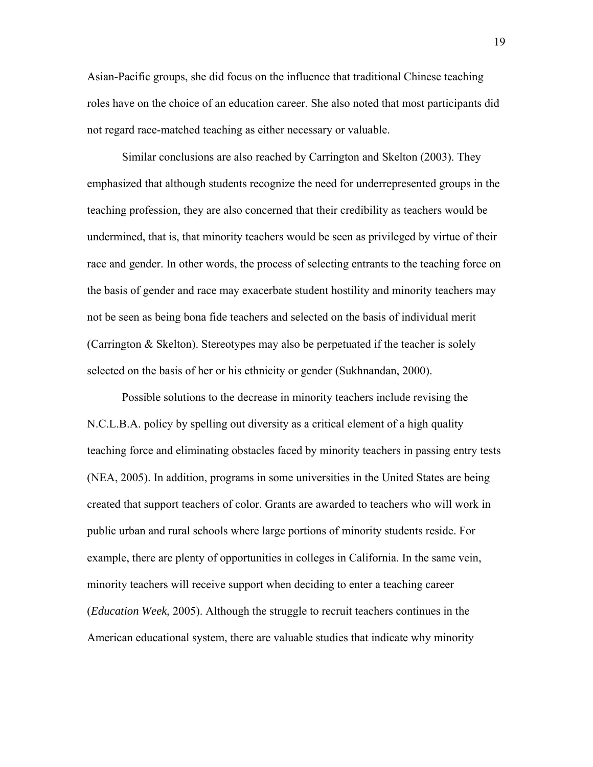Asian-Pacific groups, she did focus on the influence that traditional Chinese teaching roles have on the choice of an education career. She also noted that most participants did not regard race-matched teaching as either necessary or valuable.

Similar conclusions are also reached by Carrington and Skelton (2003). They emphasized that although students recognize the need for underrepresented groups in the teaching profession, they are also concerned that their credibility as teachers would be undermined, that is, that minority teachers would be seen as privileged by virtue of their race and gender. In other words, the process of selecting entrants to the teaching force on the basis of gender and race may exacerbate student hostility and minority teachers may not be seen as being bona fide teachers and selected on the basis of individual merit (Carrington & Skelton). Stereotypes may also be perpetuated if the teacher is solely selected on the basis of her or his ethnicity or gender (Sukhnandan, 2000).

Possible solutions to the decrease in minority teachers include revising the N.C.L.B.A. policy by spelling out diversity as a critical element of a high quality teaching force and eliminating obstacles faced by minority teachers in passing entry tests (NEA, 2005). In addition, programs in some universities in the United States are being created that support teachers of color. Grants are awarded to teachers who will work in public urban and rural schools where large portions of minority students reside. For example, there are plenty of opportunities in colleges in California. In the same vein, minority teachers will receive support when deciding to enter a teaching career (*Education Week*, 2005). Although the struggle to recruit teachers continues in the American educational system, there are valuable studies that indicate why minority

19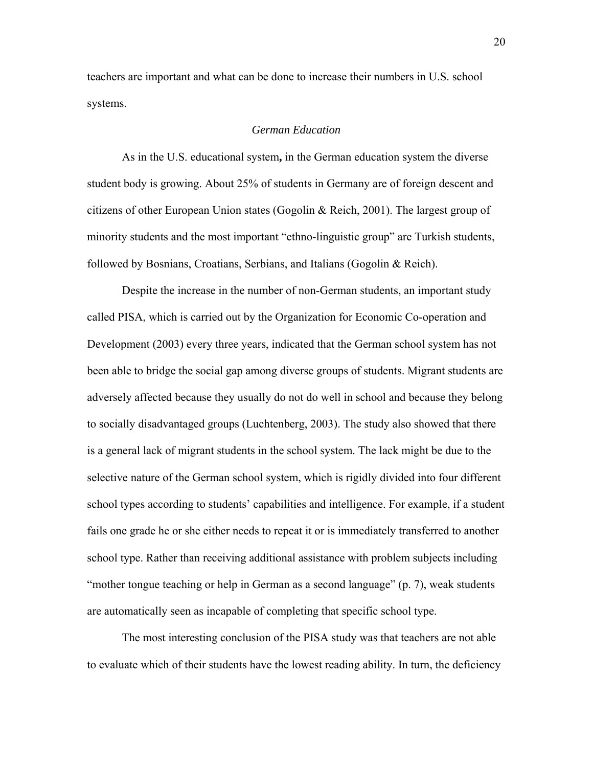teachers are important and what can be done to increase their numbers in U.S. school systems.

# *German Education*

As in the U.S. educational system**,** in the German education system the diverse student body is growing. About 25% of students in Germany are of foreign descent and citizens of other European Union states (Gogolin  $\&$  Reich, 2001). The largest group of minority students and the most important "ethno-linguistic group" are Turkish students, followed by Bosnians, Croatians, Serbians, and Italians (Gogolin & Reich).

Despite the increase in the number of non-German students, an important study called PISA, which is carried out by the Organization for Economic Co-operation and Development (2003) every three years, indicated that the German school system has not been able to bridge the social gap among diverse groups of students. Migrant students are adversely affected because they usually do not do well in school and because they belong to socially disadvantaged groups (Luchtenberg, 2003). The study also showed that there is a general lack of migrant students in the school system. The lack might be due to the selective nature of the German school system, which is rigidly divided into four different school types according to students' capabilities and intelligence. For example, if a student fails one grade he or she either needs to repeat it or is immediately transferred to another school type. Rather than receiving additional assistance with problem subjects including "mother tongue teaching or help in German as a second language" (p. 7), weak students are automatically seen as incapable of completing that specific school type.

The most interesting conclusion of the PISA study was that teachers are not able to evaluate which of their students have the lowest reading ability. In turn, the deficiency

20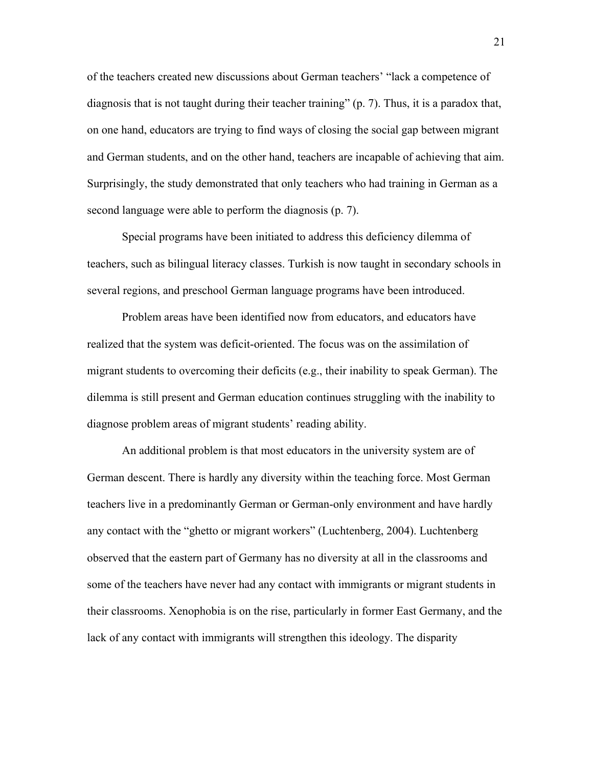of the teachers created new discussions about German teachers' "lack a competence of diagnosis that is not taught during their teacher training" (p. 7). Thus, it is a paradox that, on one hand, educators are trying to find ways of closing the social gap between migrant and German students, and on the other hand, teachers are incapable of achieving that aim. Surprisingly, the study demonstrated that only teachers who had training in German as a second language were able to perform the diagnosis (p. 7).

Special programs have been initiated to address this deficiency dilemma of teachers, such as bilingual literacy classes. Turkish is now taught in secondary schools in several regions, and preschool German language programs have been introduced.

Problem areas have been identified now from educators, and educators have realized that the system was deficit-oriented. The focus was on the assimilation of migrant students to overcoming their deficits (e.g., their inability to speak German). The dilemma is still present and German education continues struggling with the inability to diagnose problem areas of migrant students' reading ability.

An additional problem is that most educators in the university system are of German descent. There is hardly any diversity within the teaching force. Most German teachers live in a predominantly German or German-only environment and have hardly any contact with the "ghetto or migrant workers" (Luchtenberg, 2004). Luchtenberg observed that the eastern part of Germany has no diversity at all in the classrooms and some of the teachers have never had any contact with immigrants or migrant students in their classrooms. Xenophobia is on the rise, particularly in former East Germany, and the lack of any contact with immigrants will strengthen this ideology. The disparity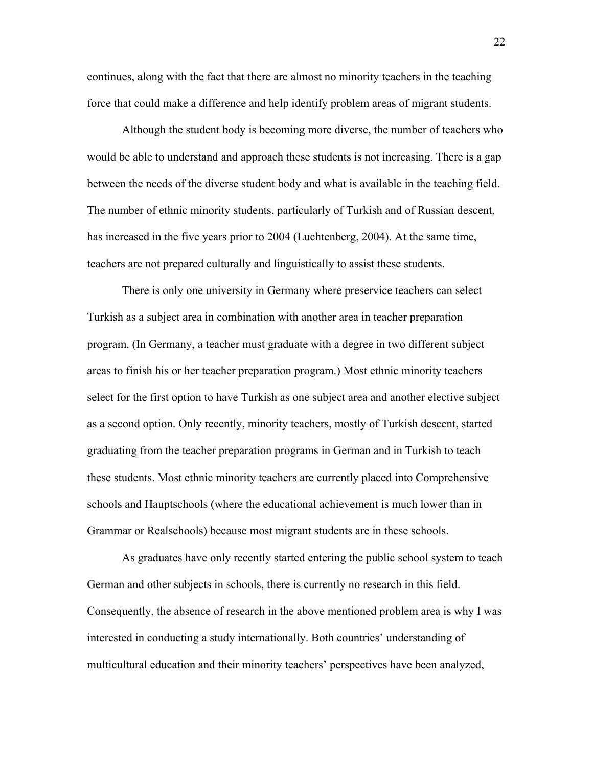continues, along with the fact that there are almost no minority teachers in the teaching force that could make a difference and help identify problem areas of migrant students.

Although the student body is becoming more diverse, the number of teachers who would be able to understand and approach these students is not increasing. There is a gap between the needs of the diverse student body and what is available in the teaching field. The number of ethnic minority students, particularly of Turkish and of Russian descent, has increased in the five years prior to 2004 (Luchtenberg, 2004). At the same time, teachers are not prepared culturally and linguistically to assist these students.

There is only one university in Germany where preservice teachers can select Turkish as a subject area in combination with another area in teacher preparation program. (In Germany, a teacher must graduate with a degree in two different subject areas to finish his or her teacher preparation program.) Most ethnic minority teachers select for the first option to have Turkish as one subject area and another elective subject as a second option. Only recently, minority teachers, mostly of Turkish descent, started graduating from the teacher preparation programs in German and in Turkish to teach these students. Most ethnic minority teachers are currently placed into Comprehensive schools and Hauptschools (where the educational achievement is much lower than in Grammar or Realschools) because most migrant students are in these schools.

As graduates have only recently started entering the public school system to teach German and other subjects in schools, there is currently no research in this field. Consequently, the absence of research in the above mentioned problem area is why I was interested in conducting a study internationally. Both countries' understanding of multicultural education and their minority teachers' perspectives have been analyzed,

22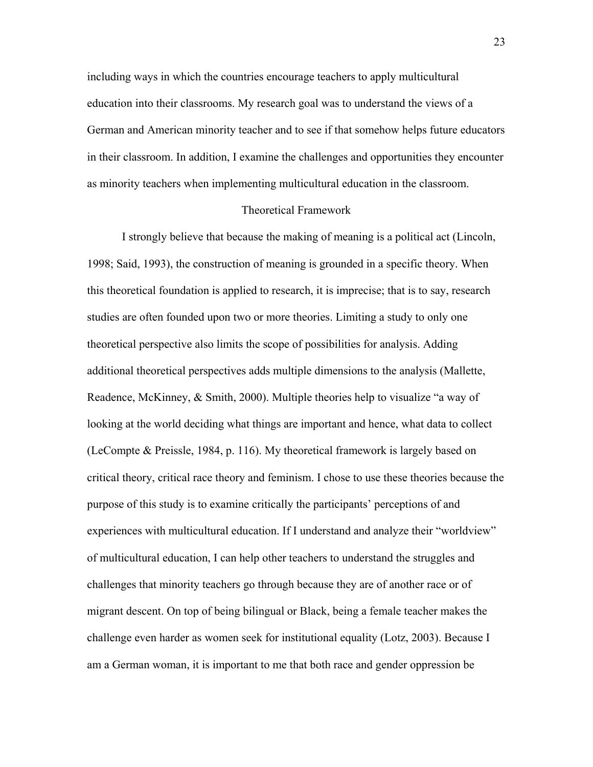including ways in which the countries encourage teachers to apply multicultural education into their classrooms. My research goal was to understand the views of a German and American minority teacher and to see if that somehow helps future educators in their classroom. In addition, I examine the challenges and opportunities they encounter as minority teachers when implementing multicultural education in the classroom.

### Theoretical Framework

I strongly believe that because the making of meaning is a political act (Lincoln, 1998; Said, 1993), the construction of meaning is grounded in a specific theory. When this theoretical foundation is applied to research, it is imprecise; that is to say, research studies are often founded upon two or more theories. Limiting a study to only one theoretical perspective also limits the scope of possibilities for analysis. Adding additional theoretical perspectives adds multiple dimensions to the analysis (Mallette, Readence, McKinney, & Smith, 2000). Multiple theories help to visualize "a way of looking at the world deciding what things are important and hence, what data to collect (LeCompte & Preissle, 1984, p. 116). My theoretical framework is largely based on critical theory, critical race theory and feminism. I chose to use these theories because the purpose of this study is to examine critically the participants' perceptions of and experiences with multicultural education. If I understand and analyze their "worldview" of multicultural education, I can help other teachers to understand the struggles and challenges that minority teachers go through because they are of another race or of migrant descent. On top of being bilingual or Black, being a female teacher makes the challenge even harder as women seek for institutional equality (Lotz, 2003). Because I am a German woman, it is important to me that both race and gender oppression be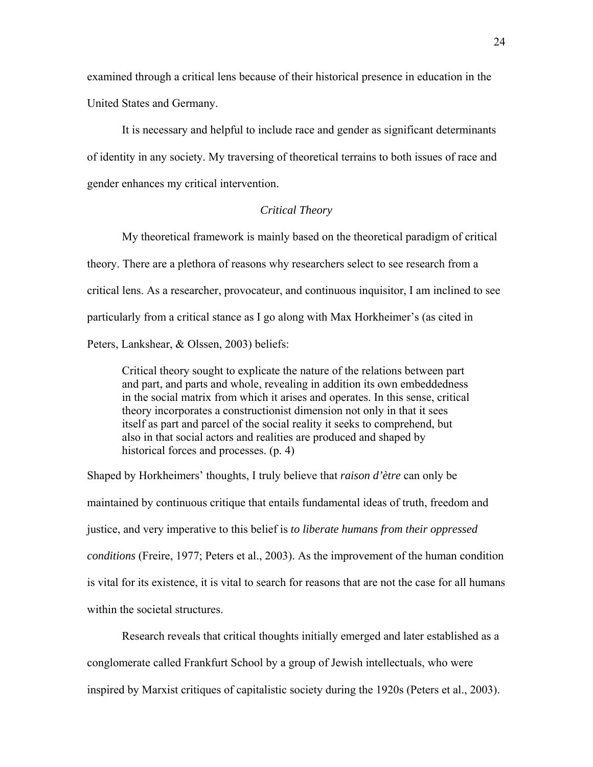examined through a critical lens because of their historical presence in education in the United States and Germany.

It is necessary and helpful to include race and gender as significant determinants of identity in any society. My traversing of theoretical terrains to both issues of race and gender enhances my critical intervention.

# *Critical Theory*

My theoretical framework is mainly based on the theoretical paradigm of critical theory. There are a plethora of reasons why researchers select to see research from a critical lens. As a researcher, provocateur, and continuous inquisitor, I am inclined to see particularly from a critical stance as I go along with Max Horkheimer's (as cited in Peters, Lankshear, & Olssen, 2003) beliefs:

Critical theory sought to explicate the nature of the relations between part and part, and parts and whole, revealing in addition its own embeddedness in the social matrix from which it arises and operates. In this sense, critical theory incorporates a constructionist dimension not only in that it sees itself as part and parcel of the social reality it seeks to comprehend, but also in that social actors and realities are produced and shaped by historical forces and processes. (p. 4)

Shaped by Horkheimers' thoughts, I truly believe that *raison d'ètre* can only be maintained by continuous critique that entails fundamental ideas of truth, freedom and justice, and very imperative to this belief is *to liberate humans from their oppressed conditions* (Freire, 1977; Peters et al., 2003). As the improvement of the human condition is vital for its existence, it is vital to search for reasons that are not the case for all humans within the societal structures.

Research reveals that critical thoughts initially emerged and later established as a conglomerate called Frankfurt School by a group of Jewish intellectuals, who were inspired by Marxist critiques of capitalistic society during the 1920s (Peters et al., 2003).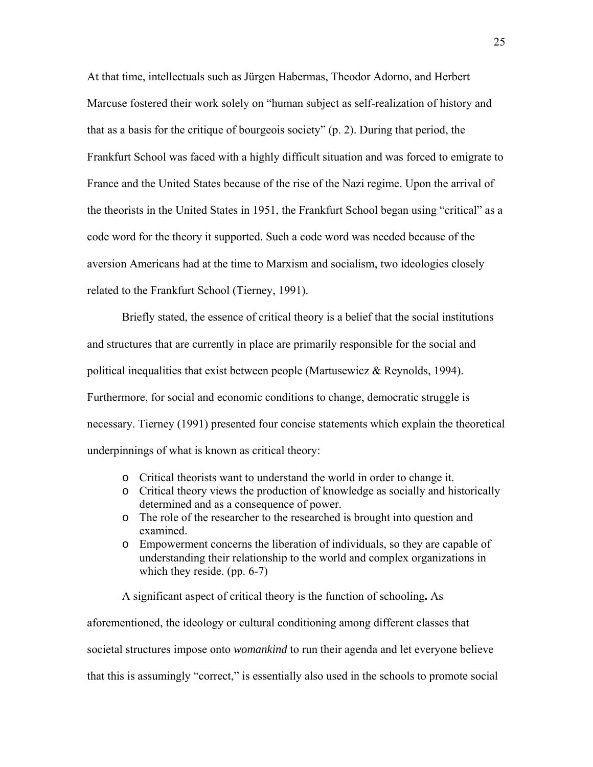At that time, intellectuals such as Jürgen Habermas, Theodor Adorno, and Herbert Marcuse fostered their work solely on "human subject as self-realization of history and that as a basis for the critique of bourgeois society" (p. 2). During that period, the Frankfurt School was faced with a highly difficult situation and was forced to emigrate to France and the United States because of the rise of the Nazi regime. Upon the arrival of the theorists in the United States in 1951, the Frankfurt School began using "critical" as a code word for the theory it supported. Such a code word was needed because of the aversion Americans had at the time to Marxism and socialism, two ideologies closely related to the Frankfurt School (Tierney, 1991).

Briefly stated, the essence of critical theory is a belief that the social institutions and structures that are currently in place are primarily responsible for the social and political inequalities that exist between people (Martusewicz & Reynolds, 1994). Furthermore, for social and economic conditions to change, democratic struggle is necessary. Tierney (1991) presented four concise statements which explain the theoretical underpinnings of what is known as critical theory:

- o Critical theorists want to understand the world in order to change it.
- o Critical theory views the production of knowledge as socially and historically determined and as a consequence of power.
- o The role of the researcher to the researched is brought into question and examined.
- o Empowerment concerns the liberation of individuals, so they are capable of understanding their relationship to the world and complex organizations in which they reside. (pp. 6-7)

A significant aspect of critical theory is the function of schooling**.** As

aforementioned, the ideology or cultural conditioning among different classes that societal structures impose onto *womankind* to run their agenda and let everyone believe that this is assumingly "correct," is essentially also used in the schools to promote social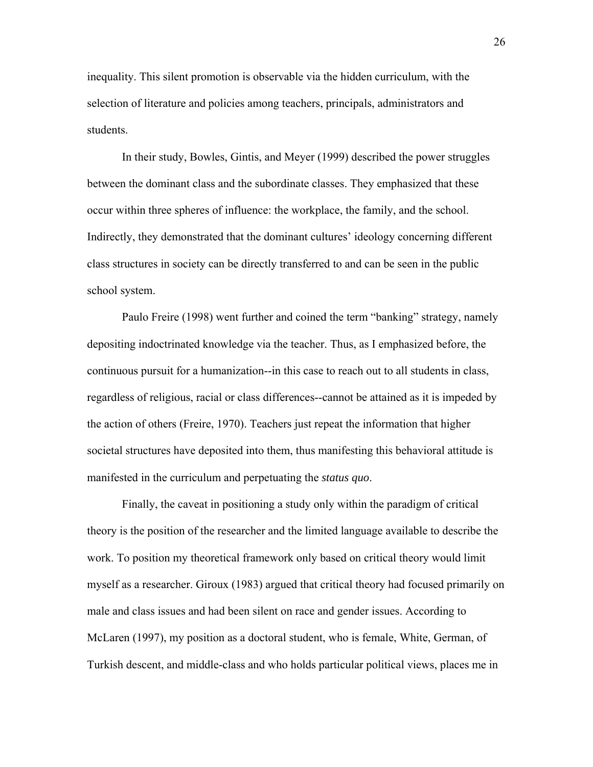inequality. This silent promotion is observable via the hidden curriculum, with the selection of literature and policies among teachers, principals, administrators and students.

In their study, Bowles, Gintis, and Meyer (1999) described the power struggles between the dominant class and the subordinate classes. They emphasized that these occur within three spheres of influence: the workplace, the family, and the school. Indirectly, they demonstrated that the dominant cultures' ideology concerning different class structures in society can be directly transferred to and can be seen in the public school system.

Paulo Freire (1998) went further and coined the term "banking" strategy, namely depositing indoctrinated knowledge via the teacher. Thus, as I emphasized before, the continuous pursuit for a humanization--in this case to reach out to all students in class, regardless of religious, racial or class differences--cannot be attained as it is impeded by the action of others (Freire, 1970). Teachers just repeat the information that higher societal structures have deposited into them, thus manifesting this behavioral attitude is manifested in the curriculum and perpetuating the *status quo*.

Finally, the caveat in positioning a study only within the paradigm of critical theory is the position of the researcher and the limited language available to describe the work. To position my theoretical framework only based on critical theory would limit myself as a researcher. Giroux (1983) argued that critical theory had focused primarily on male and class issues and had been silent on race and gender issues. According to McLaren (1997), my position as a doctoral student, who is female, White, German, of Turkish descent, and middle-class and who holds particular political views, places me in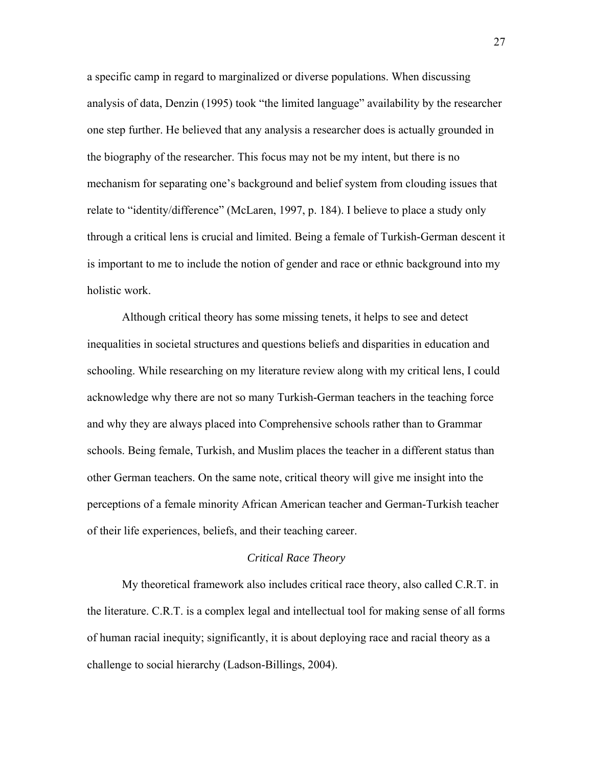a specific camp in regard to marginalized or diverse populations. When discussing analysis of data, Denzin (1995) took "the limited language" availability by the researcher one step further. He believed that any analysis a researcher does is actually grounded in the biography of the researcher. This focus may not be my intent, but there is no mechanism for separating one's background and belief system from clouding issues that relate to "identity/difference" (McLaren, 1997, p. 184). I believe to place a study only through a critical lens is crucial and limited. Being a female of Turkish-German descent it is important to me to include the notion of gender and race or ethnic background into my holistic work.

Although critical theory has some missing tenets, it helps to see and detect inequalities in societal structures and questions beliefs and disparities in education and schooling. While researching on my literature review along with my critical lens, I could acknowledge why there are not so many Turkish-German teachers in the teaching force and why they are always placed into Comprehensive schools rather than to Grammar schools. Being female, Turkish, and Muslim places the teacher in a different status than other German teachers. On the same note, critical theory will give me insight into the perceptions of a female minority African American teacher and German-Turkish teacher of their life experiences, beliefs, and their teaching career.

#### *Critical Race Theory*

My theoretical framework also includes critical race theory, also called C.R.T. in the literature. C.R.T. is a complex legal and intellectual tool for making sense of all forms of human racial inequity; significantly, it is about deploying race and racial theory as a challenge to social hierarchy (Ladson-Billings, 2004).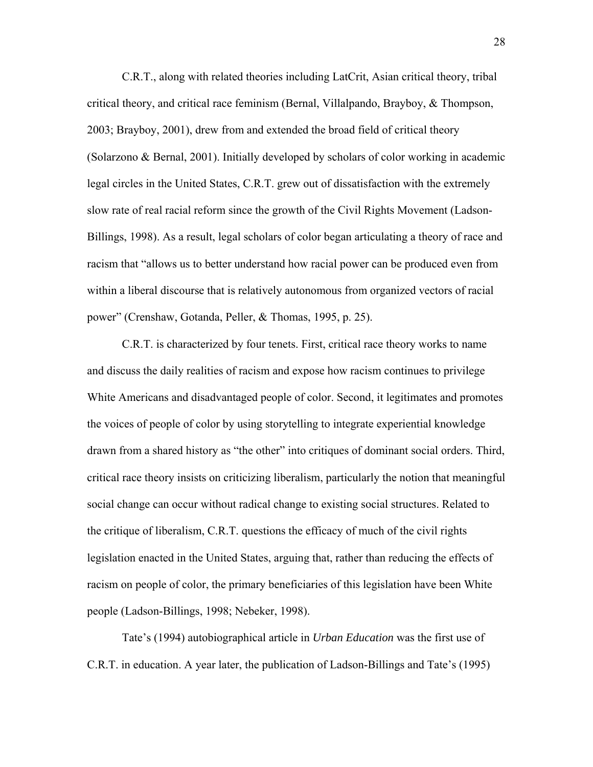C.R.T., along with related theories including LatCrit, Asian critical theory, tribal critical theory, and critical race feminism (Bernal, Villalpando, Brayboy,  $\&$  Thompson, 2003; Brayboy, 2001), drew from and extended the broad field of critical theory (Solarzono & Bernal, 2001). Initially developed by scholars of color working in academic legal circles in the United States, C.R.T. grew out of dissatisfaction with the extremely slow rate of real racial reform since the growth of the Civil Rights Movement (Ladson-Billings, 1998). As a result, legal scholars of color began articulating a theory of race and racism that "allows us to better understand how racial power can be produced even from within a liberal discourse that is relatively autonomous from organized vectors of racial power" (Crenshaw, Gotanda, Peller, & Thomas, 1995, p. 25).

C.R.T. is characterized by four tenets. First, critical race theory works to name and discuss the daily realities of racism and expose how racism continues to privilege White Americans and disadvantaged people of color. Second, it legitimates and promotes the voices of people of color by using storytelling to integrate experiential knowledge drawn from a shared history as "the other" into critiques of dominant social orders. Third, critical race theory insists on criticizing liberalism, particularly the notion that meaningful social change can occur without radical change to existing social structures. Related to the critique of liberalism, C.R.T. questions the efficacy of much of the civil rights legislation enacted in the United States, arguing that, rather than reducing the effects of racism on people of color, the primary beneficiaries of this legislation have been White people (Ladson-Billings, 1998; Nebeker, 1998).

Tate's (1994) autobiographical article in *Urban Education* was the first use of C.R.T. in education. A year later, the publication of Ladson-Billings and Tate's (1995)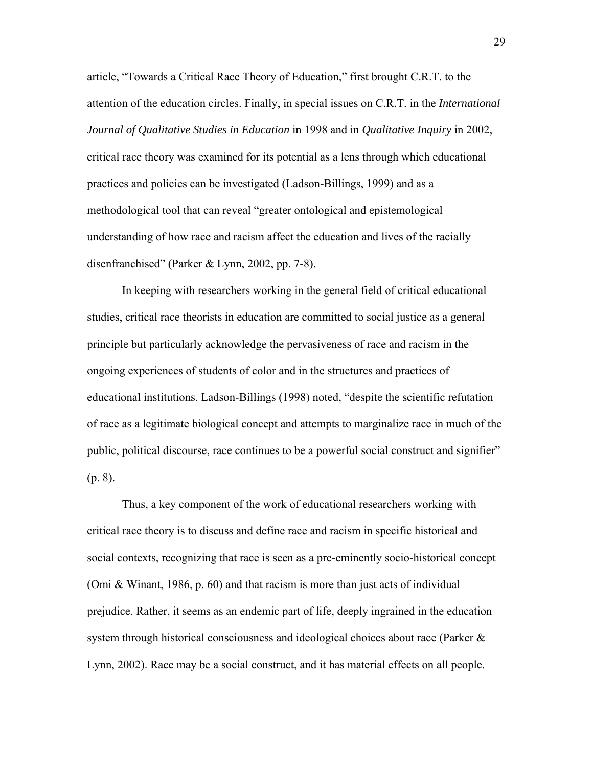article, "Towards a Critical Race Theory of Education," first brought C.R.T. to the attention of the education circles. Finally, in special issues on C.R.T. in the *International Journal of Qualitative Studies in Education* in 1998 and in *Qualitative Inquiry* in 2002, critical race theory was examined for its potential as a lens through which educational practices and policies can be investigated (Ladson-Billings, 1999) and as a methodological tool that can reveal "greater ontological and epistemological understanding of how race and racism affect the education and lives of the racially disenfranchised" (Parker & Lynn, 2002, pp. 7-8).

In keeping with researchers working in the general field of critical educational studies, critical race theorists in education are committed to social justice as a general principle but particularly acknowledge the pervasiveness of race and racism in the ongoing experiences of students of color and in the structures and practices of educational institutions. Ladson-Billings (1998) noted, "despite the scientific refutation of race as a legitimate biological concept and attempts to marginalize race in much of the public, political discourse, race continues to be a powerful social construct and signifier" (p. 8).

Thus, a key component of the work of educational researchers working with critical race theory is to discuss and define race and racism in specific historical and social contexts, recognizing that race is seen as a pre-eminently socio-historical concept (Omi & Winant, 1986, p. 60) and that racism is more than just acts of individual prejudice. Rather, it seems as an endemic part of life, deeply ingrained in the education system through historical consciousness and ideological choices about race (Parker  $\&$ Lynn, 2002). Race may be a social construct, and it has material effects on all people.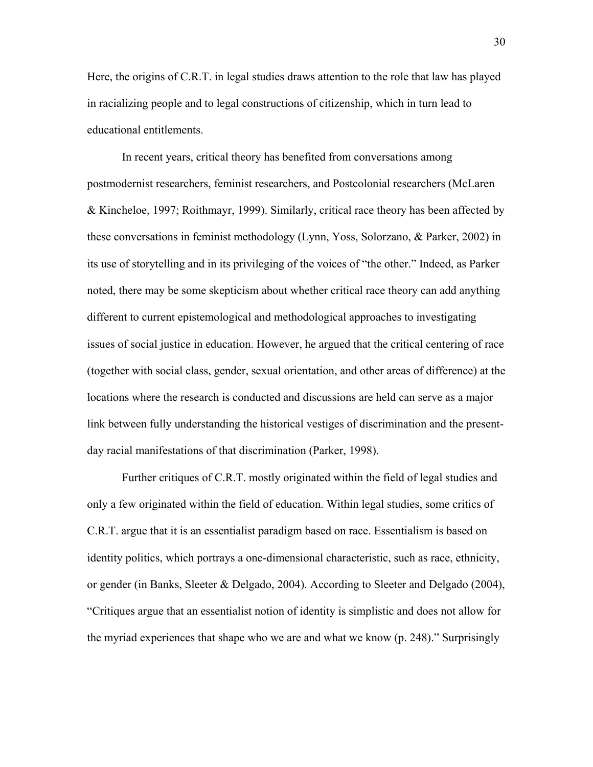Here, the origins of C.R.T. in legal studies draws attention to the role that law has played in racializing people and to legal constructions of citizenship, which in turn lead to educational entitlements.

In recent years, critical theory has benefited from conversations among postmodernist researchers, feminist researchers, and Postcolonial researchers (McLaren & Kincheloe, 1997; Roithmayr, 1999). Similarly, critical race theory has been affected by these conversations in feminist methodology (Lynn, Yoss, Solorzano, & Parker, 2002) in its use of storytelling and in its privileging of the voices of "the other." Indeed, as Parker noted, there may be some skepticism about whether critical race theory can add anything different to current epistemological and methodological approaches to investigating issues of social justice in education. However, he argued that the critical centering of race (together with social class, gender, sexual orientation, and other areas of difference) at the locations where the research is conducted and discussions are held can serve as a major link between fully understanding the historical vestiges of discrimination and the presentday racial manifestations of that discrimination (Parker, 1998).

Further critiques of C.R.T. mostly originated within the field of legal studies and only a few originated within the field of education. Within legal studies, some critics of C.R.T. argue that it is an essentialist paradigm based on race. Essentialism is based on identity politics, which portrays a one-dimensional characteristic, such as race, ethnicity, or gender (in Banks, Sleeter & Delgado, 2004). According to Sleeter and Delgado (2004), "Critiques argue that an essentialist notion of identity is simplistic and does not allow for the myriad experiences that shape who we are and what we know (p. 248)." Surprisingly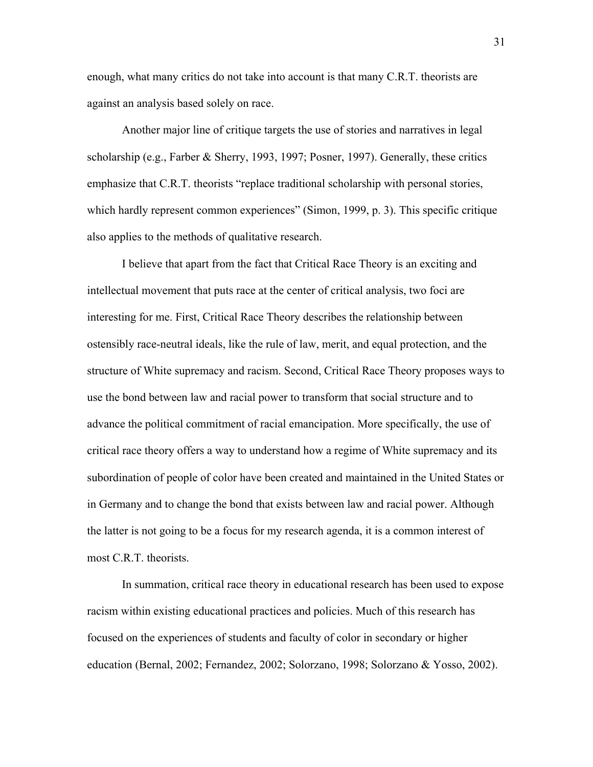enough, what many critics do not take into account is that many C.R.T. theorists are against an analysis based solely on race.

Another major line of critique targets the use of stories and narratives in legal scholarship (e.g., Farber & Sherry, 1993, 1997; Posner, 1997). Generally, these critics emphasize that C.R.T. theorists "replace traditional scholarship with personal stories, which hardly represent common experiences" (Simon, 1999, p. 3). This specific critique also applies to the methods of qualitative research.

I believe that apart from the fact that Critical Race Theory is an exciting and intellectual movement that puts race at the center of critical analysis, two foci are interesting for me. First, Critical Race Theory describes the relationship between ostensibly race-neutral ideals, like the rule of law, merit, and equal protection, and the structure of White supremacy and racism. Second, Critical Race Theory proposes ways to use the bond between law and racial power to transform that social structure and to advance the political commitment of racial emancipation. More specifically, the use of critical race theory offers a way to understand how a regime of White supremacy and its subordination of people of color have been created and maintained in the United States or in Germany and to change the bond that exists between law and racial power. Although the latter is not going to be a focus for my research agenda, it is a common interest of most C.R.T. theorists.

In summation, critical race theory in educational research has been used to expose racism within existing educational practices and policies. Much of this research has focused on the experiences of students and faculty of color in secondary or higher education (Bernal, 2002; Fernandez, 2002; Solorzano, 1998; Solorzano & Yosso, 2002).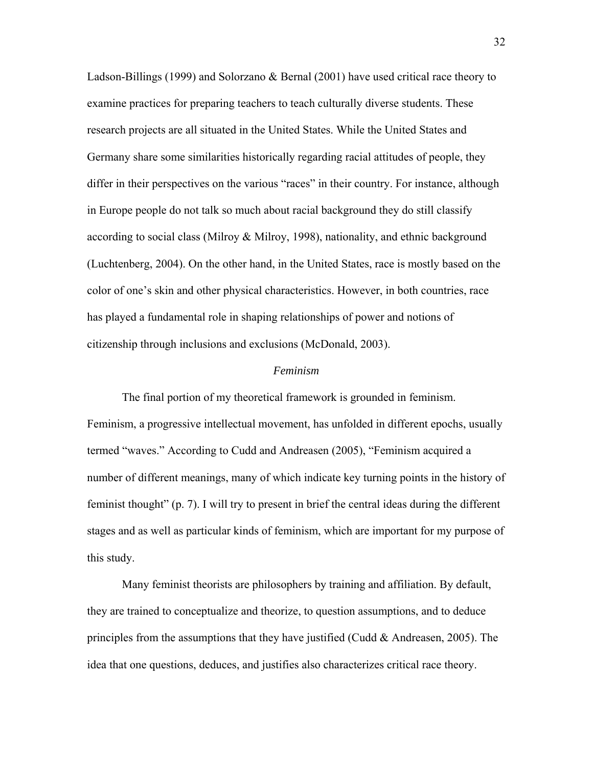Ladson-Billings (1999) and Solorzano & Bernal (2001) have used critical race theory to examine practices for preparing teachers to teach culturally diverse students. These research projects are all situated in the United States. While the United States and Germany share some similarities historically regarding racial attitudes of people, they differ in their perspectives on the various "races" in their country. For instance, although in Europe people do not talk so much about racial background they do still classify according to social class (Milroy & Milroy, 1998), nationality, and ethnic background (Luchtenberg, 2004). On the other hand, in the United States, race is mostly based on the color of one's skin and other physical characteristics. However, in both countries, race has played a fundamental role in shaping relationships of power and notions of citizenship through inclusions and exclusions (McDonald, 2003).

#### *Feminism*

The final portion of my theoretical framework is grounded in feminism. Feminism, a progressive intellectual movement, has unfolded in different epochs, usually termed "waves." According to Cudd and Andreasen (2005), "Feminism acquired a number of different meanings, many of which indicate key turning points in the history of feminist thought" (p. 7). I will try to present in brief the central ideas during the different stages and as well as particular kinds of feminism, which are important for my purpose of this study.

Many feminist theorists are philosophers by training and affiliation. By default, they are trained to conceptualize and theorize, to question assumptions, and to deduce principles from the assumptions that they have justified (Cudd  $\&$  Andreasen, 2005). The idea that one questions, deduces, and justifies also characterizes critical race theory.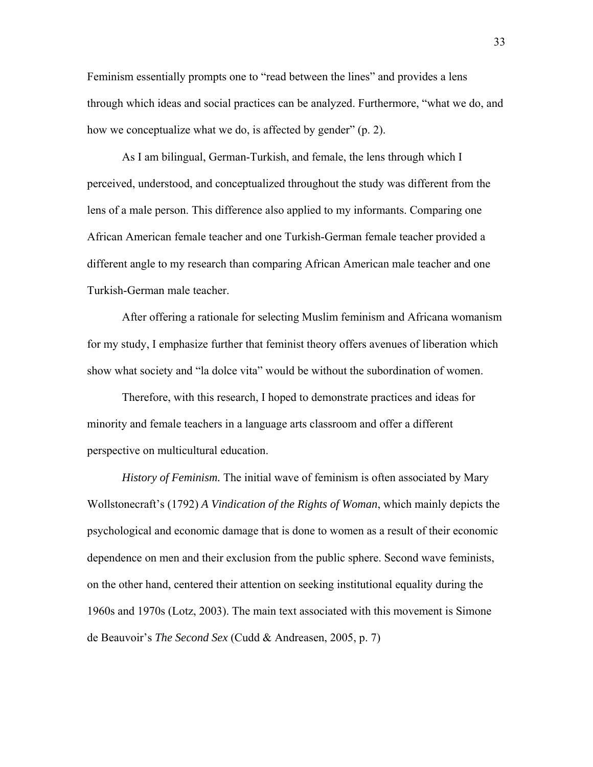Feminism essentially prompts one to "read between the lines" and provides a lens through which ideas and social practices can be analyzed. Furthermore, "what we do, and how we conceptualize what we do, is affected by gender" (p. 2).

As I am bilingual, German-Turkish, and female, the lens through which I perceived, understood, and conceptualized throughout the study was different from the lens of a male person. This difference also applied to my informants. Comparing one African American female teacher and one Turkish-German female teacher provided a different angle to my research than comparing African American male teacher and one Turkish-German male teacher.

After offering a rationale for selecting Muslim feminism and Africana womanism for my study, I emphasize further that feminist theory offers avenues of liberation which show what society and "la dolce vita" would be without the subordination of women.

Therefore, with this research, I hoped to demonstrate practices and ideas for minority and female teachers in a language arts classroom and offer a different perspective on multicultural education.

*History of Feminism.* The initial wave of feminism is often associated by Mary Wollstonecraft's (1792) *A Vindication of the Rights of Woman*, which mainly depicts the psychological and economic damage that is done to women as a result of their economic dependence on men and their exclusion from the public sphere. Second wave feminists, on the other hand, centered their attention on seeking institutional equality during the 1960s and 1970s (Lotz, 2003). The main text associated with this movement is Simone de Beauvoir's *The Second Sex* (Cudd & Andreasen, 2005, p. 7)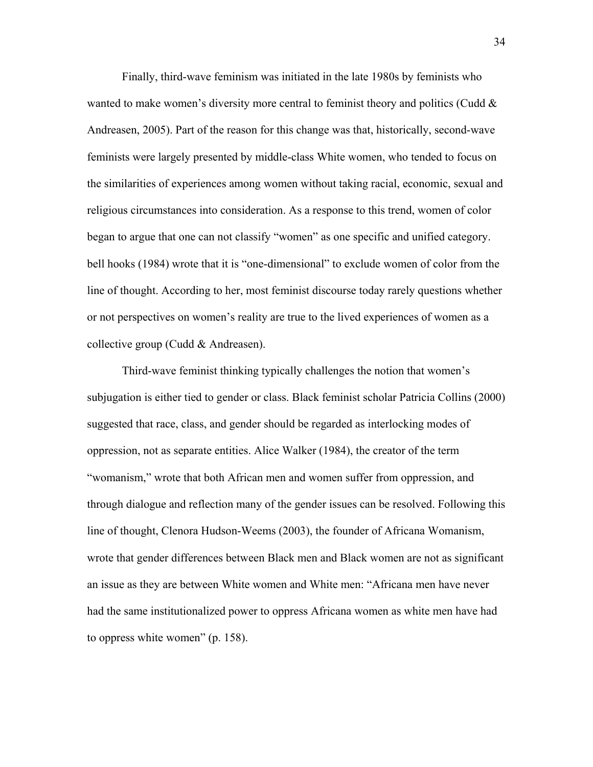Finally, third-wave feminism was initiated in the late 1980s by feminists who wanted to make women's diversity more central to feminist theory and politics (Cudd  $\&$ Andreasen, 2005). Part of the reason for this change was that, historically, second-wave feminists were largely presented by middle-class White women, who tended to focus on the similarities of experiences among women without taking racial, economic, sexual and religious circumstances into consideration. As a response to this trend, women of color began to argue that one can not classify "women" as one specific and unified category. bell hooks (1984) wrote that it is "one-dimensional" to exclude women of color from the line of thought. According to her, most feminist discourse today rarely questions whether or not perspectives on women's reality are true to the lived experiences of women as a collective group (Cudd & Andreasen).

Third-wave feminist thinking typically challenges the notion that women's subjugation is either tied to gender or class. Black feminist scholar Patricia Collins (2000) suggested that race, class, and gender should be regarded as interlocking modes of oppression, not as separate entities. Alice Walker (1984), the creator of the term "womanism," wrote that both African men and women suffer from oppression, and through dialogue and reflection many of the gender issues can be resolved. Following this line of thought, Clenora Hudson-Weems (2003), the founder of Africana Womanism, wrote that gender differences between Black men and Black women are not as significant an issue as they are between White women and White men: "Africana men have never had the same institutionalized power to oppress Africana women as white men have had to oppress white women" (p. 158).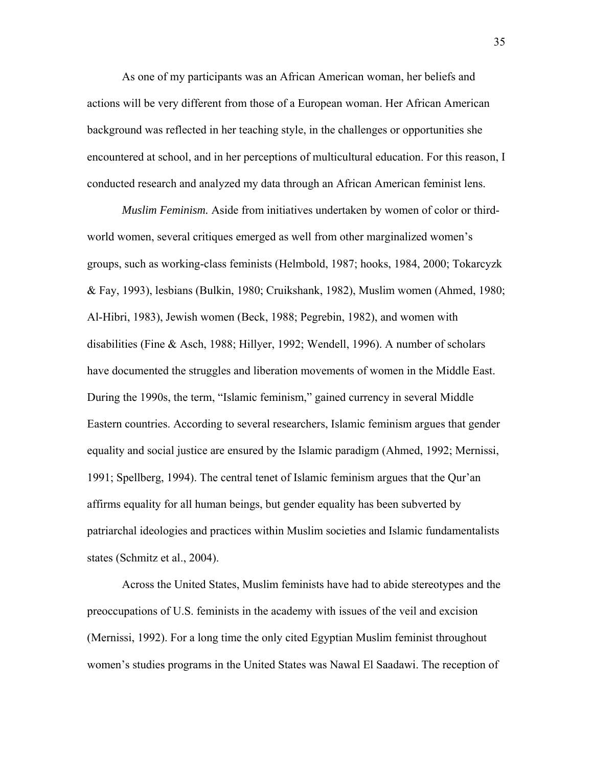As one of my participants was an African American woman, her beliefs and actions will be very different from those of a European woman. Her African American background was reflected in her teaching style, in the challenges or opportunities she encountered at school, and in her perceptions of multicultural education. For this reason, I conducted research and analyzed my data through an African American feminist lens.

*Muslim Feminism.* Aside from initiatives undertaken by women of color or thirdworld women, several critiques emerged as well from other marginalized women's groups, such as working-class feminists (Helmbold, 1987; hooks, 1984, 2000; Tokarcyzk & Fay, 1993), lesbians (Bulkin, 1980; Cruikshank, 1982), Muslim women (Ahmed, 1980; Al-Hibri, 1983), Jewish women (Beck, 1988; Pegrebin, 1982), and women with disabilities (Fine & Asch, 1988; Hillyer, 1992; Wendell, 1996). A number of scholars have documented the struggles and liberation movements of women in the Middle East. During the 1990s, the term, "Islamic feminism," gained currency in several Middle Eastern countries. According to several researchers, Islamic feminism argues that gender equality and social justice are ensured by the Islamic paradigm (Ahmed, 1992; Mernissi, 1991; Spellberg, 1994). The central tenet of Islamic feminism argues that the Qur'an affirms equality for all human beings, but gender equality has been subverted by patriarchal ideologies and practices within Muslim societies and Islamic fundamentalists states (Schmitz et al., 2004).

Across the United States, Muslim feminists have had to abide stereotypes and the preoccupations of U.S. feminists in the academy with issues of the veil and excision (Mernissi, 1992). For a long time the only cited Egyptian Muslim feminist throughout women's studies programs in the United States was Nawal El Saadawi. The reception of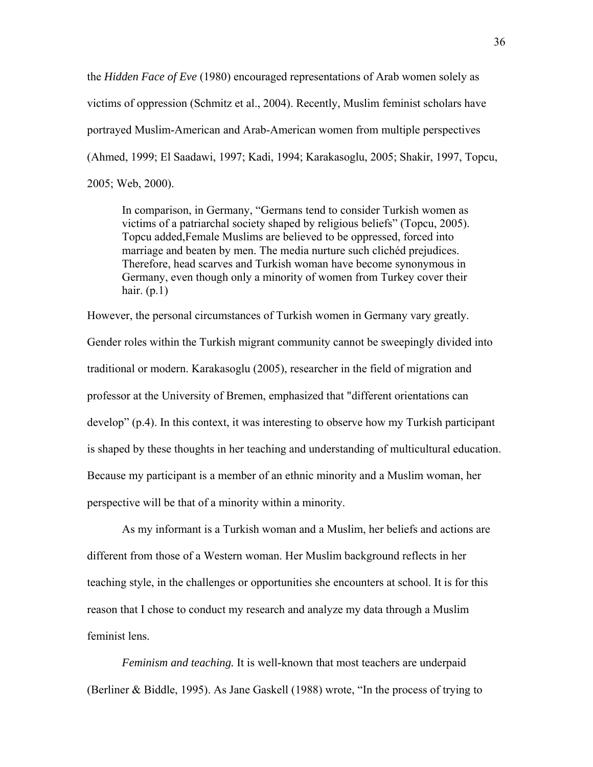the *Hidden Face of Eve* (1980) encouraged representations of Arab women solely as victims of oppression (Schmitz et al., 2004). Recently, Muslim feminist scholars have portrayed Muslim-American and Arab-American women from multiple perspectives (Ahmed, 1999; El Saadawi, 1997; Kadi, 1994; Karakasoglu, 2005; Shakir, 1997, Topcu, 2005; Web, 2000).

In comparison, in Germany, "Germans tend to consider Turkish women as victims of a patriarchal society shaped by religious beliefs" (Topcu, 2005). Topcu added,Female Muslims are believed to be oppressed, forced into marriage and beaten by men. The media nurture such clichéd prejudices. Therefore, head scarves and Turkish woman have become synonymous in Germany, even though only a minority of women from Turkey cover their hair.  $(p.1)$ 

However, the personal circumstances of Turkish women in Germany vary greatly.

Gender roles within the Turkish migrant community cannot be sweepingly divided into traditional or modern. Karakasoglu (2005), researcher in the field of migration and professor at the University of Bremen, emphasized that "different orientations can develop" (p.4). In this context, it was interesting to observe how my Turkish participant is shaped by these thoughts in her teaching and understanding of multicultural education. Because my participant is a member of an ethnic minority and a Muslim woman, her perspective will be that of a minority within a minority.

As my informant is a Turkish woman and a Muslim, her beliefs and actions are different from those of a Western woman. Her Muslim background reflects in her teaching style, in the challenges or opportunities she encounters at school. It is for this reason that I chose to conduct my research and analyze my data through a Muslim feminist lens.

*Feminism and teaching.* It is well-known that most teachers are underpaid (Berliner & Biddle, 1995). As Jane Gaskell (1988) wrote, "In the process of trying to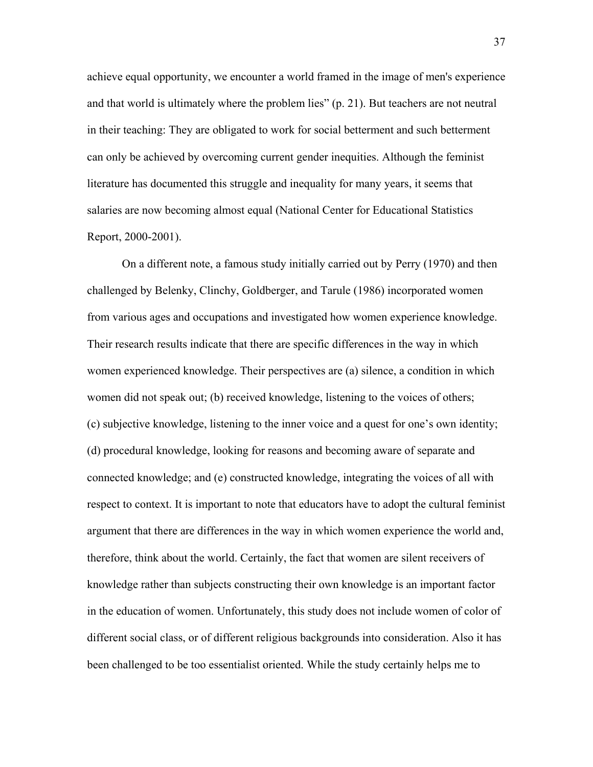achieve equal opportunity, we encounter a world framed in the image of men's experience and that world is ultimately where the problem lies" (p. 21). But teachers are not neutral in their teaching: They are obligated to work for social betterment and such betterment can only be achieved by overcoming current gender inequities. Although the feminist literature has documented this struggle and inequality for many years, it seems that salaries are now becoming almost equal (National Center for Educational Statistics Report, 2000-2001).

On a different note, a famous study initially carried out by Perry (1970) and then challenged by Belenky, Clinchy, Goldberger, and Tarule (1986) incorporated women from various ages and occupations and investigated how women experience knowledge. Their research results indicate that there are specific differences in the way in which women experienced knowledge. Their perspectives are (a) silence, a condition in which women did not speak out; (b) received knowledge, listening to the voices of others; (c) subjective knowledge, listening to the inner voice and a quest for one's own identity; (d) procedural knowledge, looking for reasons and becoming aware of separate and connected knowledge; and (e) constructed knowledge, integrating the voices of all with respect to context. It is important to note that educators have to adopt the cultural feminist argument that there are differences in the way in which women experience the world and, therefore, think about the world. Certainly, the fact that women are silent receivers of knowledge rather than subjects constructing their own knowledge is an important factor in the education of women. Unfortunately, this study does not include women of color of different social class, or of different religious backgrounds into consideration. Also it has been challenged to be too essentialist oriented. While the study certainly helps me to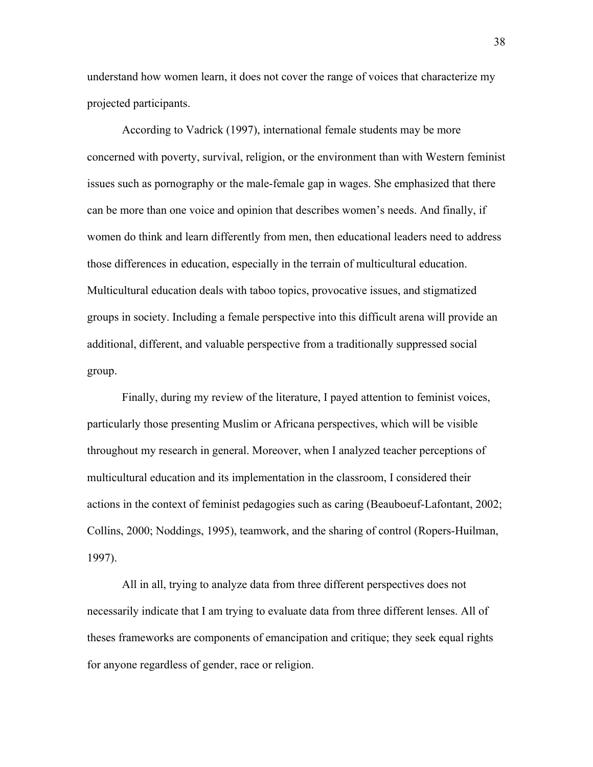understand how women learn, it does not cover the range of voices that characterize my projected participants.

According to Vadrick (1997), international female students may be more concerned with poverty, survival, religion, or the environment than with Western feminist issues such as pornography or the male-female gap in wages. She emphasized that there can be more than one voice and opinion that describes women's needs. And finally, if women do think and learn differently from men, then educational leaders need to address those differences in education, especially in the terrain of multicultural education. Multicultural education deals with taboo topics, provocative issues, and stigmatized groups in society. Including a female perspective into this difficult arena will provide an additional, different, and valuable perspective from a traditionally suppressed social group.

Finally, during my review of the literature, I payed attention to feminist voices, particularly those presenting Muslim or Africana perspectives, which will be visible throughout my research in general. Moreover, when I analyzed teacher perceptions of multicultural education and its implementation in the classroom, I considered their actions in the context of feminist pedagogies such as caring (Beauboeuf-Lafontant, 2002; Collins, 2000; Noddings, 1995), teamwork, and the sharing of control (Ropers-Huilman, 1997).

All in all, trying to analyze data from three different perspectives does not necessarily indicate that I am trying to evaluate data from three different lenses. All of theses frameworks are components of emancipation and critique; they seek equal rights for anyone regardless of gender, race or religion.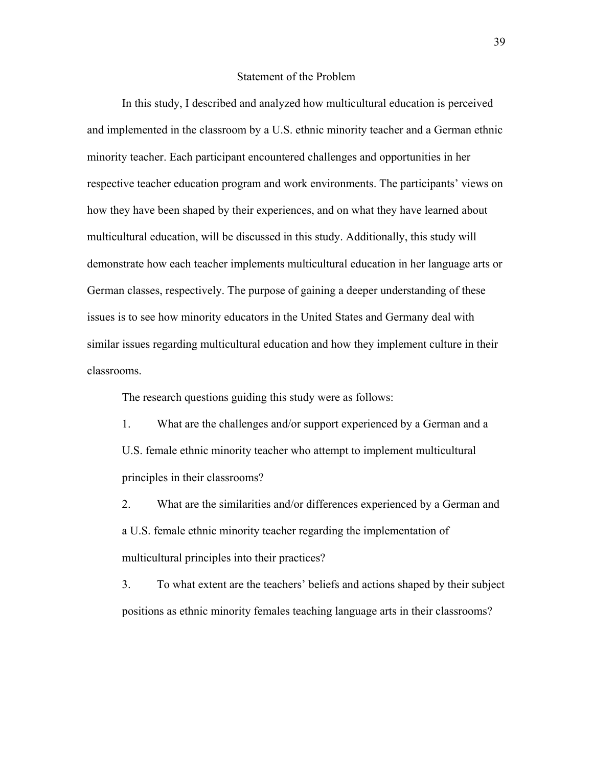#### Statement of the Problem

In this study, I described and analyzed how multicultural education is perceived and implemented in the classroom by a U.S. ethnic minority teacher and a German ethnic minority teacher. Each participant encountered challenges and opportunities in her respective teacher education program and work environments. The participants' views on how they have been shaped by their experiences, and on what they have learned about multicultural education, will be discussed in this study. Additionally, this study will demonstrate how each teacher implements multicultural education in her language arts or German classes, respectively. The purpose of gaining a deeper understanding of these issues is to see how minority educators in the United States and Germany deal with similar issues regarding multicultural education and how they implement culture in their classrooms.

The research questions guiding this study were as follows:

1. What are the challenges and/or support experienced by a German and a U.S. female ethnic minority teacher who attempt to implement multicultural principles in their classrooms?

2. What are the similarities and/or differences experienced by a German and a U.S. female ethnic minority teacher regarding the implementation of multicultural principles into their practices?

3. To what extent are the teachers' beliefs and actions shaped by their subject positions as ethnic minority females teaching language arts in their classrooms?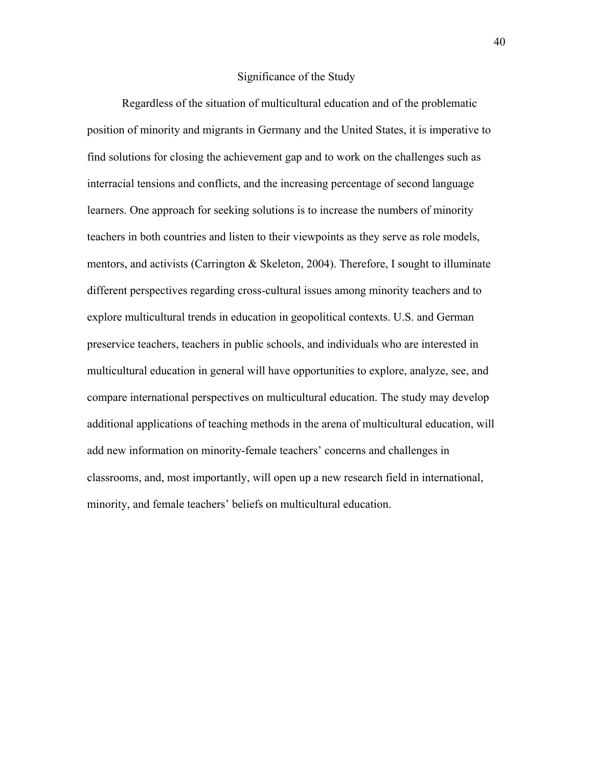## Significance of the Study

Regardless of the situation of multicultural education and of the problematic position of minority and migrants in Germany and the United States, it is imperative to find solutions for closing the achievement gap and to work on the challenges such as interracial tensions and conflicts, and the increasing percentage of second language learners. One approach for seeking solutions is to increase the numbers of minority teachers in both countries and listen to their viewpoints as they serve as role models, mentors, and activists (Carrington & Skeleton, 2004). Therefore, I sought to illuminate different perspectives regarding cross-cultural issues among minority teachers and to explore multicultural trends in education in geopolitical contexts. U.S. and German preservice teachers, teachers in public schools, and individuals who are interested in multicultural education in general will have opportunities to explore, analyze, see, and compare international perspectives on multicultural education. The study may develop additional applications of teaching methods in the arena of multicultural education, will add new information on minority-female teachers' concerns and challenges in classrooms, and, most importantly, will open up a new research field in international, minority, and female teachers' beliefs on multicultural education.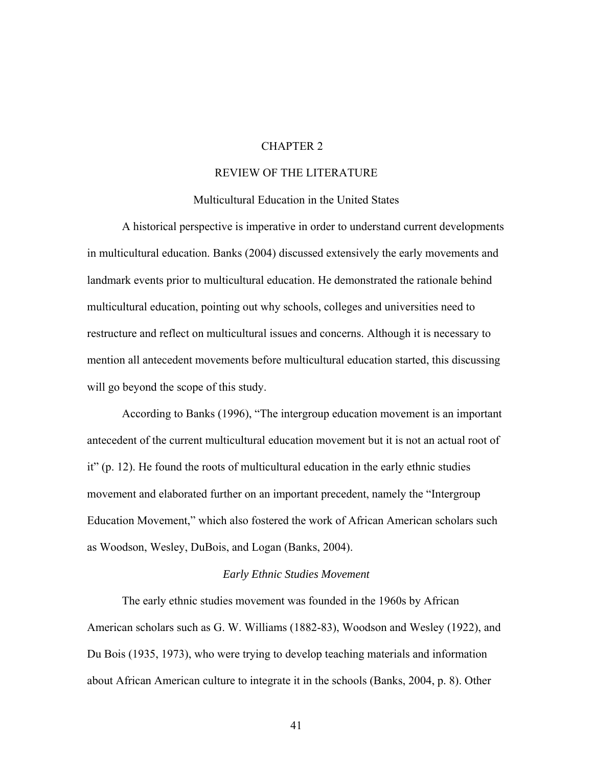# CHAPTER 2

# REVIEW OF THE LITERATURE

### Multicultural Education in the United States

A historical perspective is imperative in order to understand current developments in multicultural education. Banks (2004) discussed extensively the early movements and landmark events prior to multicultural education. He demonstrated the rationale behind multicultural education, pointing out why schools, colleges and universities need to restructure and reflect on multicultural issues and concerns. Although it is necessary to mention all antecedent movements before multicultural education started, this discussing will go beyond the scope of this study.

According to Banks (1996), "The intergroup education movement is an important antecedent of the current multicultural education movement but it is not an actual root of it" (p. 12). He found the roots of multicultural education in the early ethnic studies movement and elaborated further on an important precedent, namely the "Intergroup Education Movement," which also fostered the work of African American scholars such as Woodson, Wesley, DuBois, and Logan (Banks, 2004).

## *Early Ethnic Studies Movement*

The early ethnic studies movement was founded in the 1960s by African American scholars such as G. W. Williams (1882-83), Woodson and Wesley (1922), and Du Bois (1935, 1973), who were trying to develop teaching materials and information about African American culture to integrate it in the schools (Banks, 2004, p. 8). Other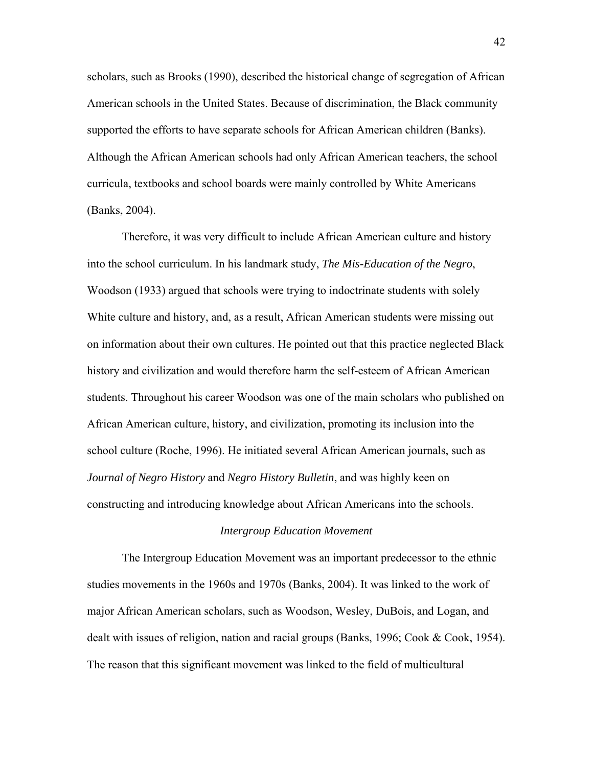scholars, such as Brooks (1990), described the historical change of segregation of African American schools in the United States. Because of discrimination, the Black community supported the efforts to have separate schools for African American children (Banks). Although the African American schools had only African American teachers, the school curricula, textbooks and school boards were mainly controlled by White Americans (Banks, 2004).

Therefore, it was very difficult to include African American culture and history into the school curriculum. In his landmark study, *The Mis-Education of the Negro*, Woodson (1933) argued that schools were trying to indoctrinate students with solely White culture and history, and, as a result, African American students were missing out on information about their own cultures. He pointed out that this practice neglected Black history and civilization and would therefore harm the self-esteem of African American students. Throughout his career Woodson was one of the main scholars who published on African American culture, history, and civilization, promoting its inclusion into the school culture (Roche, 1996). He initiated several African American journals, such as *Journal of Negro History* and *Negro History Bulletin*, and was highly keen on constructing and introducing knowledge about African Americans into the schools.

#### *Intergroup Education Movement*

The Intergroup Education Movement was an important predecessor to the ethnic studies movements in the 1960s and 1970s (Banks, 2004). It was linked to the work of major African American scholars, such as Woodson, Wesley, DuBois, and Logan, and dealt with issues of religion, nation and racial groups (Banks, 1996; Cook & Cook, 1954). The reason that this significant movement was linked to the field of multicultural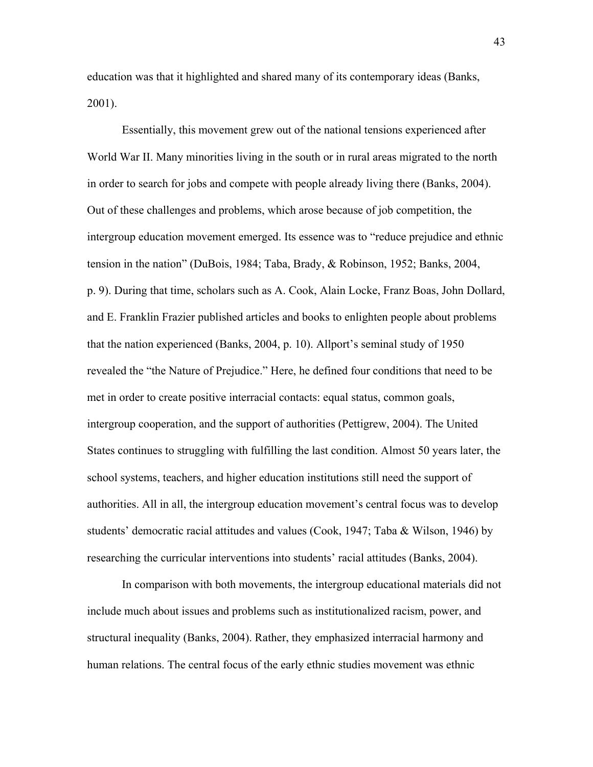education was that it highlighted and shared many of its contemporary ideas (Banks, 2001).

Essentially, this movement grew out of the national tensions experienced after World War II. Many minorities living in the south or in rural areas migrated to the north in order to search for jobs and compete with people already living there (Banks, 2004). Out of these challenges and problems, which arose because of job competition, the intergroup education movement emerged. Its essence was to "reduce prejudice and ethnic tension in the nation" (DuBois, 1984; Taba, Brady, & Robinson, 1952; Banks, 2004, p. 9). During that time, scholars such as A. Cook, Alain Locke, Franz Boas, John Dollard, and E. Franklin Frazier published articles and books to enlighten people about problems that the nation experienced (Banks, 2004, p. 10). Allport's seminal study of 1950 revealed the "the Nature of Prejudice." Here, he defined four conditions that need to be met in order to create positive interracial contacts: equal status, common goals, intergroup cooperation, and the support of authorities (Pettigrew, 2004). The United States continues to struggling with fulfilling the last condition. Almost 50 years later, the school systems, teachers, and higher education institutions still need the support of authorities. All in all, the intergroup education movement's central focus was to develop students' democratic racial attitudes and values (Cook, 1947; Taba & Wilson, 1946) by researching the curricular interventions into students' racial attitudes (Banks, 2004).

In comparison with both movements, the intergroup educational materials did not include much about issues and problems such as institutionalized racism, power, and structural inequality (Banks, 2004). Rather, they emphasized interracial harmony and human relations. The central focus of the early ethnic studies movement was ethnic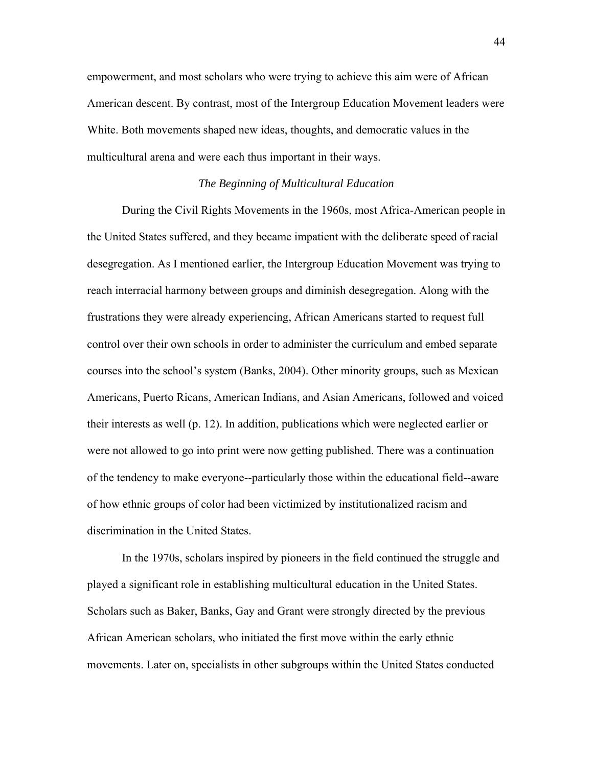empowerment, and most scholars who were trying to achieve this aim were of African American descent. By contrast, most of the Intergroup Education Movement leaders were White. Both movements shaped new ideas, thoughts, and democratic values in the multicultural arena and were each thus important in their ways.

## *The Beginning of Multicultural Education*

During the Civil Rights Movements in the 1960s, most Africa-American people in the United States suffered, and they became impatient with the deliberate speed of racial desegregation. As I mentioned earlier, the Intergroup Education Movement was trying to reach interracial harmony between groups and diminish desegregation. Along with the frustrations they were already experiencing, African Americans started to request full control over their own schools in order to administer the curriculum and embed separate courses into the school's system (Banks, 2004). Other minority groups, such as Mexican Americans, Puerto Ricans, American Indians, and Asian Americans, followed and voiced their interests as well (p. 12). In addition, publications which were neglected earlier or were not allowed to go into print were now getting published. There was a continuation of the tendency to make everyone--particularly those within the educational field--aware of how ethnic groups of color had been victimized by institutionalized racism and discrimination in the United States.

In the 1970s, scholars inspired by pioneers in the field continued the struggle and played a significant role in establishing multicultural education in the United States. Scholars such as Baker, Banks, Gay and Grant were strongly directed by the previous African American scholars, who initiated the first move within the early ethnic movements. Later on, specialists in other subgroups within the United States conducted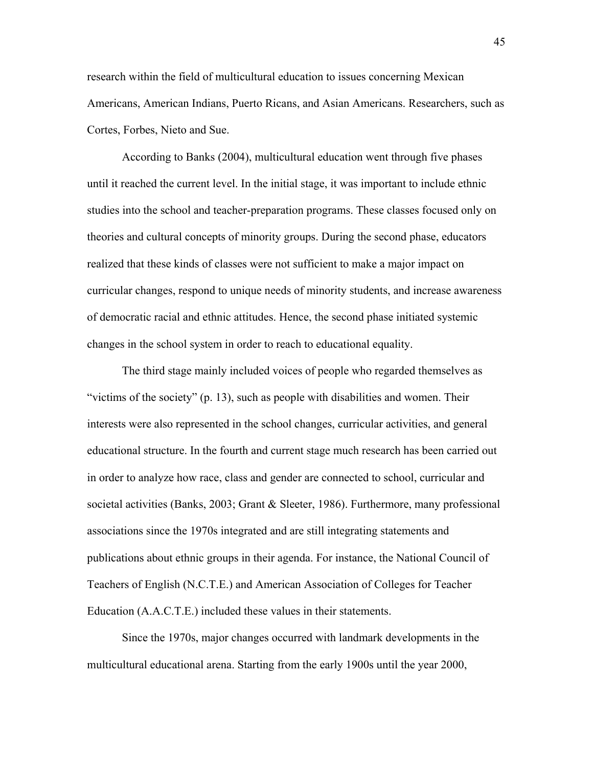research within the field of multicultural education to issues concerning Mexican Americans, American Indians, Puerto Ricans, and Asian Americans. Researchers, such as Cortes, Forbes, Nieto and Sue.

According to Banks (2004), multicultural education went through five phases until it reached the current level. In the initial stage, it was important to include ethnic studies into the school and teacher-preparation programs. These classes focused only on theories and cultural concepts of minority groups. During the second phase, educators realized that these kinds of classes were not sufficient to make a major impact on curricular changes, respond to unique needs of minority students, and increase awareness of democratic racial and ethnic attitudes. Hence, the second phase initiated systemic changes in the school system in order to reach to educational equality.

The third stage mainly included voices of people who regarded themselves as "victims of the society" (p. 13), such as people with disabilities and women. Their interests were also represented in the school changes, curricular activities, and general educational structure. In the fourth and current stage much research has been carried out in order to analyze how race, class and gender are connected to school, curricular and societal activities (Banks, 2003; Grant & Sleeter, 1986). Furthermore, many professional associations since the 1970s integrated and are still integrating statements and publications about ethnic groups in their agenda. For instance, the National Council of Teachers of English (N.C.T.E.) and American Association of Colleges for Teacher Education (A.A.C.T.E.) included these values in their statements.

Since the 1970s, major changes occurred with landmark developments in the multicultural educational arena. Starting from the early 1900s until the year 2000,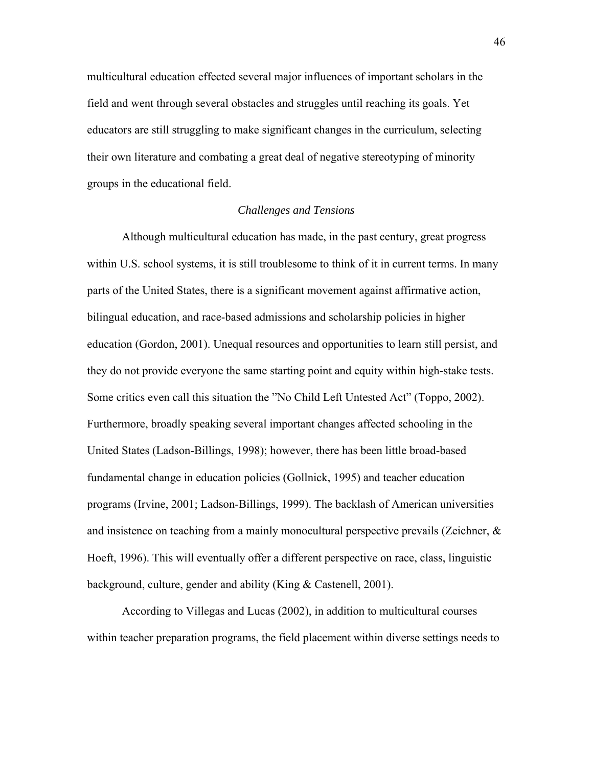multicultural education effected several major influences of important scholars in the field and went through several obstacles and struggles until reaching its goals. Yet educators are still struggling to make significant changes in the curriculum, selecting their own literature and combating a great deal of negative stereotyping of minority groups in the educational field.

## *Challenges and Tensions*

Although multicultural education has made, in the past century, great progress within U.S. school systems, it is still troublesome to think of it in current terms. In many parts of the United States, there is a significant movement against affirmative action, bilingual education, and race-based admissions and scholarship policies in higher education (Gordon, 2001). Unequal resources and opportunities to learn still persist, and they do not provide everyone the same starting point and equity within high-stake tests. Some critics even call this situation the "No Child Left Untested Act" (Toppo, 2002). Furthermore, broadly speaking several important changes affected schooling in the United States (Ladson-Billings, 1998); however, there has been little broad-based fundamental change in education policies (Gollnick, 1995) and teacher education programs (Irvine, 2001; Ladson-Billings, 1999). The backlash of American universities and insistence on teaching from a mainly monocultural perspective prevails (Zeichner, & Hoeft, 1996). This will eventually offer a different perspective on race, class, linguistic background, culture, gender and ability (King & Castenell, 2001).

According to Villegas and Lucas (2002), in addition to multicultural courses within teacher preparation programs, the field placement within diverse settings needs to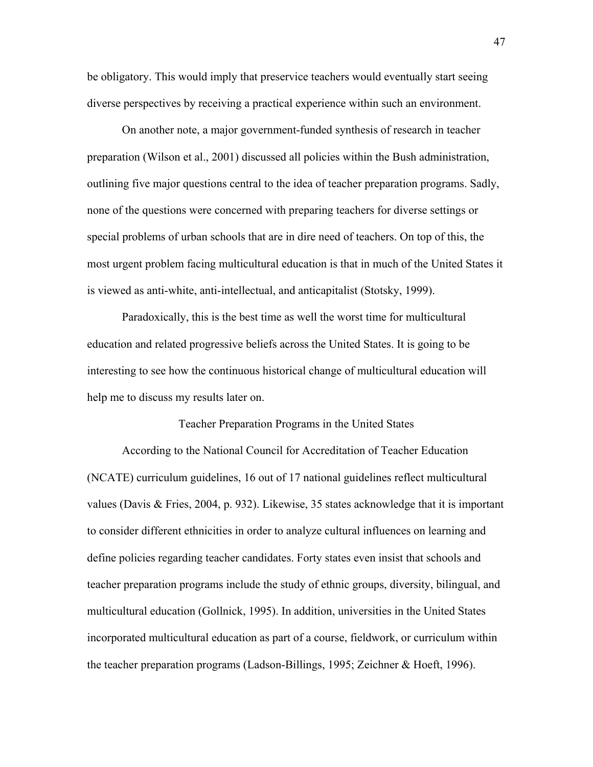be obligatory. This would imply that preservice teachers would eventually start seeing diverse perspectives by receiving a practical experience within such an environment.

On another note, a major government-funded synthesis of research in teacher preparation (Wilson et al., 2001) discussed all policies within the Bush administration, outlining five major questions central to the idea of teacher preparation programs. Sadly, none of the questions were concerned with preparing teachers for diverse settings or special problems of urban schools that are in dire need of teachers. On top of this, the most urgent problem facing multicultural education is that in much of the United States it is viewed as anti-white, anti-intellectual, and anticapitalist (Stotsky, 1999).

Paradoxically, this is the best time as well the worst time for multicultural education and related progressive beliefs across the United States. It is going to be interesting to see how the continuous historical change of multicultural education will help me to discuss my results later on.

#### Teacher Preparation Programs in the United States

According to the National Council for Accreditation of Teacher Education (NCATE) curriculum guidelines, 16 out of 17 national guidelines reflect multicultural values (Davis & Fries, 2004, p. 932). Likewise, 35 states acknowledge that it is important to consider different ethnicities in order to analyze cultural influences on learning and define policies regarding teacher candidates. Forty states even insist that schools and teacher preparation programs include the study of ethnic groups, diversity, bilingual, and multicultural education (Gollnick, 1995). In addition, universities in the United States incorporated multicultural education as part of a course, fieldwork, or curriculum within the teacher preparation programs (Ladson-Billings, 1995; Zeichner & Hoeft, 1996).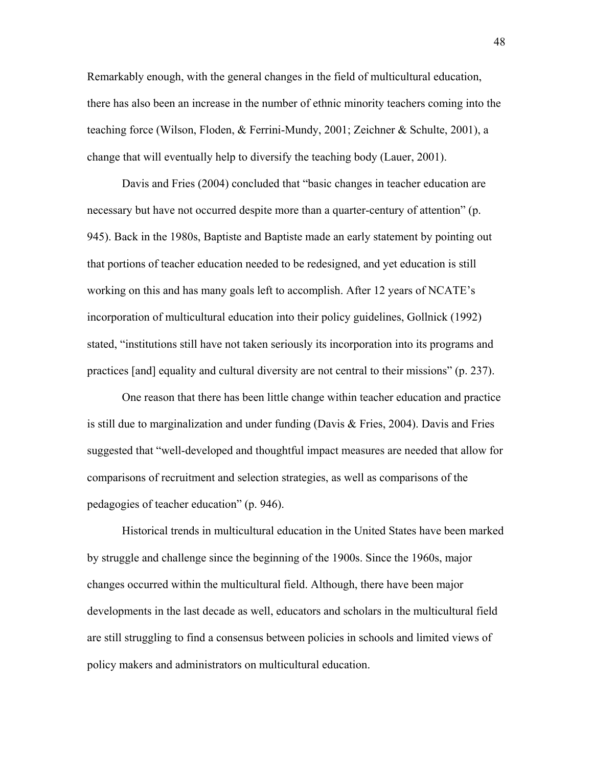Remarkably enough, with the general changes in the field of multicultural education, there has also been an increase in the number of ethnic minority teachers coming into the teaching force (Wilson, Floden, & Ferrini-Mundy, 2001; Zeichner & Schulte, 2001), a change that will eventually help to diversify the teaching body (Lauer, 2001).

Davis and Fries (2004) concluded that "basic changes in teacher education are necessary but have not occurred despite more than a quarter-century of attention" (p. 945). Back in the 1980s, Baptiste and Baptiste made an early statement by pointing out that portions of teacher education needed to be redesigned, and yet education is still working on this and has many goals left to accomplish. After 12 years of NCATE's incorporation of multicultural education into their policy guidelines, Gollnick (1992) stated, "institutions still have not taken seriously its incorporation into its programs and practices [and] equality and cultural diversity are not central to their missions" (p. 237).

One reason that there has been little change within teacher education and practice is still due to marginalization and under funding (Davis & Fries, 2004). Davis and Fries suggested that "well-developed and thoughtful impact measures are needed that allow for comparisons of recruitment and selection strategies, as well as comparisons of the pedagogies of teacher education" (p. 946).

Historical trends in multicultural education in the United States have been marked by struggle and challenge since the beginning of the 1900s. Since the 1960s, major changes occurred within the multicultural field. Although, there have been major developments in the last decade as well, educators and scholars in the multicultural field are still struggling to find a consensus between policies in schools and limited views of policy makers and administrators on multicultural education.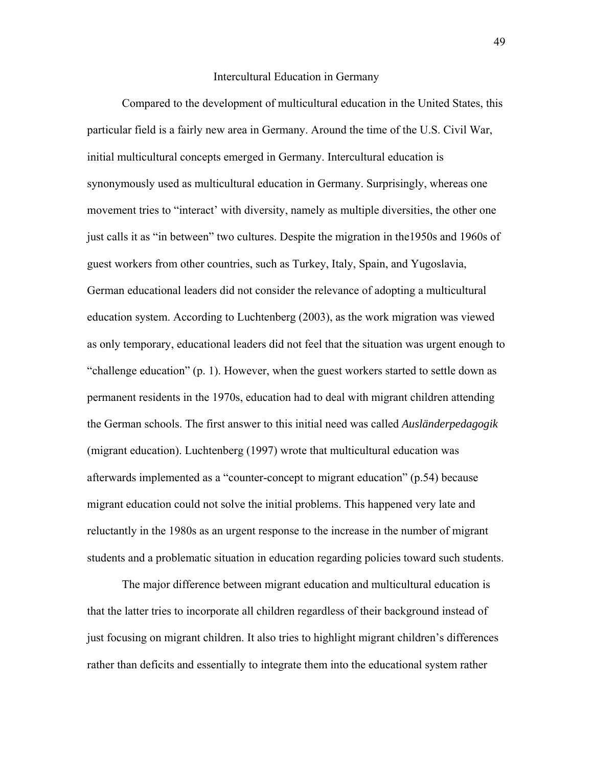#### Intercultural Education in Germany

Compared to the development of multicultural education in the United States, this particular field is a fairly new area in Germany. Around the time of the U.S. Civil War, initial multicultural concepts emerged in Germany. Intercultural education is synonymously used as multicultural education in Germany. Surprisingly, whereas one movement tries to "interact' with diversity, namely as multiple diversities, the other one just calls it as "in between" two cultures. Despite the migration in the1950s and 1960s of guest workers from other countries, such as Turkey, Italy, Spain, and Yugoslavia, German educational leaders did not consider the relevance of adopting a multicultural education system. According to Luchtenberg (2003), as the work migration was viewed as only temporary, educational leaders did not feel that the situation was urgent enough to "challenge education" (p. 1). However, when the guest workers started to settle down as permanent residents in the 1970s, education had to deal with migrant children attending the German schools. The first answer to this initial need was called *Ausländerpedagogik* (migrant education). Luchtenberg (1997) wrote that multicultural education was afterwards implemented as a "counter-concept to migrant education" (p.54) because migrant education could not solve the initial problems. This happened very late and reluctantly in the 1980s as an urgent response to the increase in the number of migrant students and a problematic situation in education regarding policies toward such students.

The major difference between migrant education and multicultural education is that the latter tries to incorporate all children regardless of their background instead of just focusing on migrant children. It also tries to highlight migrant children's differences rather than deficits and essentially to integrate them into the educational system rather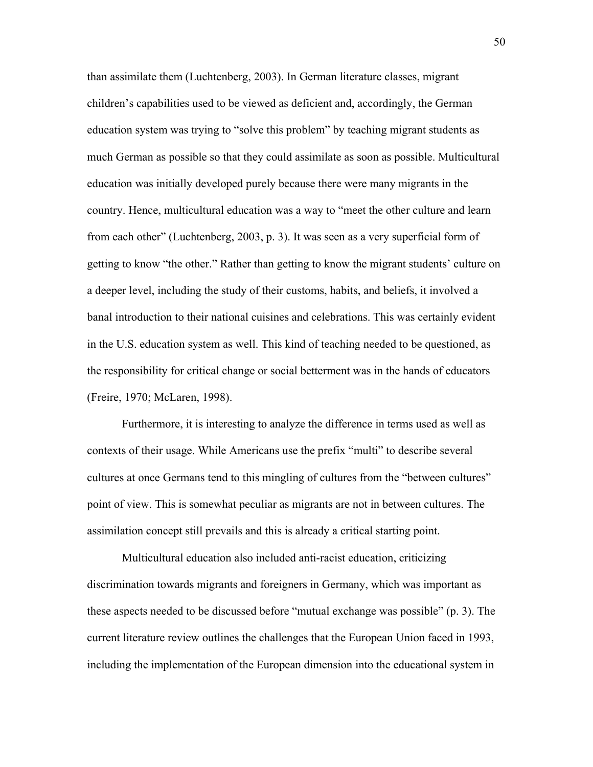than assimilate them (Luchtenberg, 2003). In German literature classes, migrant children's capabilities used to be viewed as deficient and, accordingly, the German education system was trying to "solve this problem" by teaching migrant students as much German as possible so that they could assimilate as soon as possible. Multicultural education was initially developed purely because there were many migrants in the country. Hence, multicultural education was a way to "meet the other culture and learn from each other" (Luchtenberg, 2003, p. 3). It was seen as a very superficial form of getting to know "the other." Rather than getting to know the migrant students' culture on a deeper level, including the study of their customs, habits, and beliefs, it involved a banal introduction to their national cuisines and celebrations. This was certainly evident in the U.S. education system as well. This kind of teaching needed to be questioned, as the responsibility for critical change or social betterment was in the hands of educators (Freire, 1970; McLaren, 1998).

Furthermore, it is interesting to analyze the difference in terms used as well as contexts of their usage. While Americans use the prefix "multi" to describe several cultures at once Germans tend to this mingling of cultures from the "between cultures" point of view. This is somewhat peculiar as migrants are not in between cultures. The assimilation concept still prevails and this is already a critical starting point.

Multicultural education also included anti-racist education, criticizing discrimination towards migrants and foreigners in Germany, which was important as these aspects needed to be discussed before "mutual exchange was possible" (p. 3). The current literature review outlines the challenges that the European Union faced in 1993, including the implementation of the European dimension into the educational system in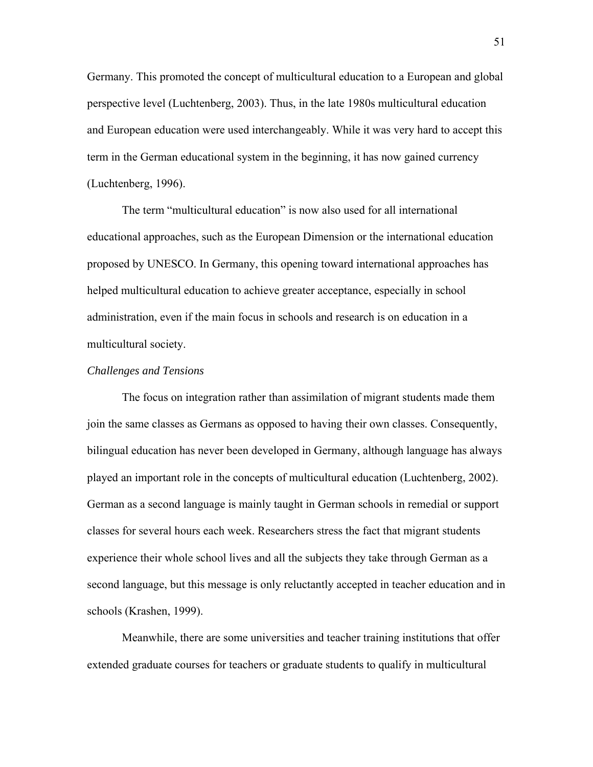Germany. This promoted the concept of multicultural education to a European and global perspective level (Luchtenberg, 2003). Thus, in the late 1980s multicultural education and European education were used interchangeably. While it was very hard to accept this term in the German educational system in the beginning, it has now gained currency (Luchtenberg, 1996).

The term "multicultural education" is now also used for all international educational approaches, such as the European Dimension or the international education proposed by UNESCO. In Germany, this opening toward international approaches has helped multicultural education to achieve greater acceptance, especially in school administration, even if the main focus in schools and research is on education in a multicultural society.

## *Challenges and Tensions*

The focus on integration rather than assimilation of migrant students made them join the same classes as Germans as opposed to having their own classes. Consequently, bilingual education has never been developed in Germany, although language has always played an important role in the concepts of multicultural education (Luchtenberg, 2002). German as a second language is mainly taught in German schools in remedial or support classes for several hours each week. Researchers stress the fact that migrant students experience their whole school lives and all the subjects they take through German as a second language, but this message is only reluctantly accepted in teacher education and in schools (Krashen, 1999).

Meanwhile, there are some universities and teacher training institutions that offer extended graduate courses for teachers or graduate students to qualify in multicultural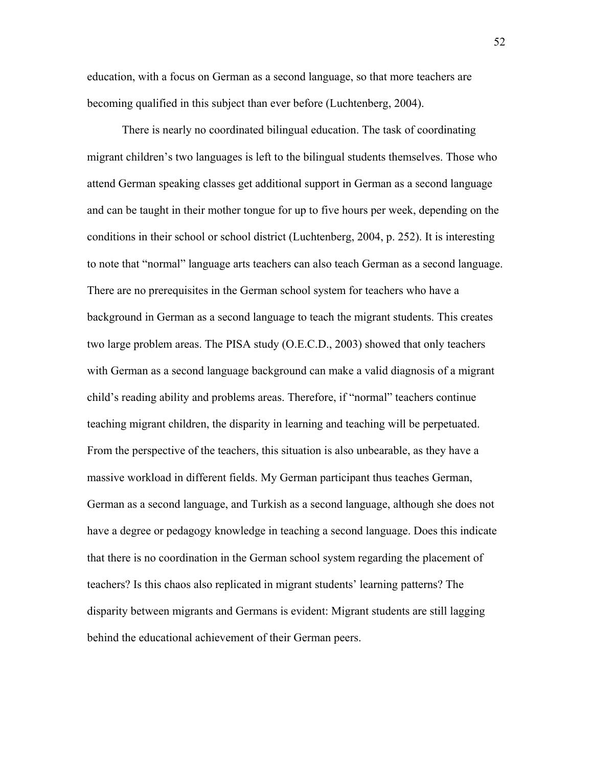education, with a focus on German as a second language, so that more teachers are becoming qualified in this subject than ever before (Luchtenberg, 2004).

There is nearly no coordinated bilingual education. The task of coordinating migrant children's two languages is left to the bilingual students themselves. Those who attend German speaking classes get additional support in German as a second language and can be taught in their mother tongue for up to five hours per week, depending on the conditions in their school or school district (Luchtenberg, 2004, p. 252). It is interesting to note that "normal" language arts teachers can also teach German as a second language. There are no prerequisites in the German school system for teachers who have a background in German as a second language to teach the migrant students. This creates two large problem areas. The PISA study (O.E.C.D., 2003) showed that only teachers with German as a second language background can make a valid diagnosis of a migrant child's reading ability and problems areas. Therefore, if "normal" teachers continue teaching migrant children, the disparity in learning and teaching will be perpetuated. From the perspective of the teachers, this situation is also unbearable, as they have a massive workload in different fields. My German participant thus teaches German, German as a second language, and Turkish as a second language, although she does not have a degree or pedagogy knowledge in teaching a second language. Does this indicate that there is no coordination in the German school system regarding the placement of teachers? Is this chaos also replicated in migrant students' learning patterns? The disparity between migrants and Germans is evident: Migrant students are still lagging behind the educational achievement of their German peers.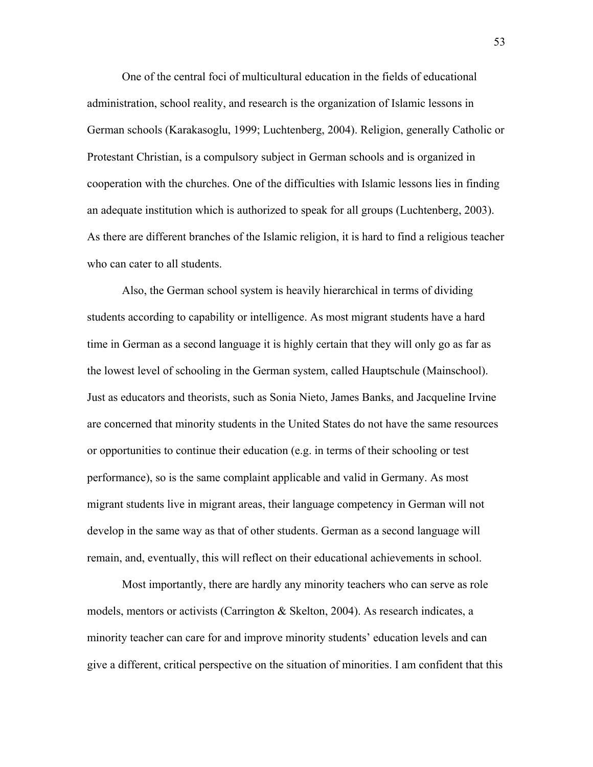One of the central foci of multicultural education in the fields of educational administration, school reality, and research is the organization of Islamic lessons in German schools (Karakasoglu, 1999; Luchtenberg, 2004). Religion, generally Catholic or Protestant Christian, is a compulsory subject in German schools and is organized in cooperation with the churches. One of the difficulties with Islamic lessons lies in finding an adequate institution which is authorized to speak for all groups (Luchtenberg, 2003). As there are different branches of the Islamic religion, it is hard to find a religious teacher who can cater to all students.

Also, the German school system is heavily hierarchical in terms of dividing students according to capability or intelligence. As most migrant students have a hard time in German as a second language it is highly certain that they will only go as far as the lowest level of schooling in the German system, called Hauptschule (Mainschool). Just as educators and theorists, such as Sonia Nieto, James Banks, and Jacqueline Irvine are concerned that minority students in the United States do not have the same resources or opportunities to continue their education (e.g. in terms of their schooling or test performance), so is the same complaint applicable and valid in Germany. As most migrant students live in migrant areas, their language competency in German will not develop in the same way as that of other students. German as a second language will remain, and, eventually, this will reflect on their educational achievements in school.

Most importantly, there are hardly any minority teachers who can serve as role models, mentors or activists (Carrington & Skelton, 2004). As research indicates, a minority teacher can care for and improve minority students' education levels and can give a different, critical perspective on the situation of minorities. I am confident that this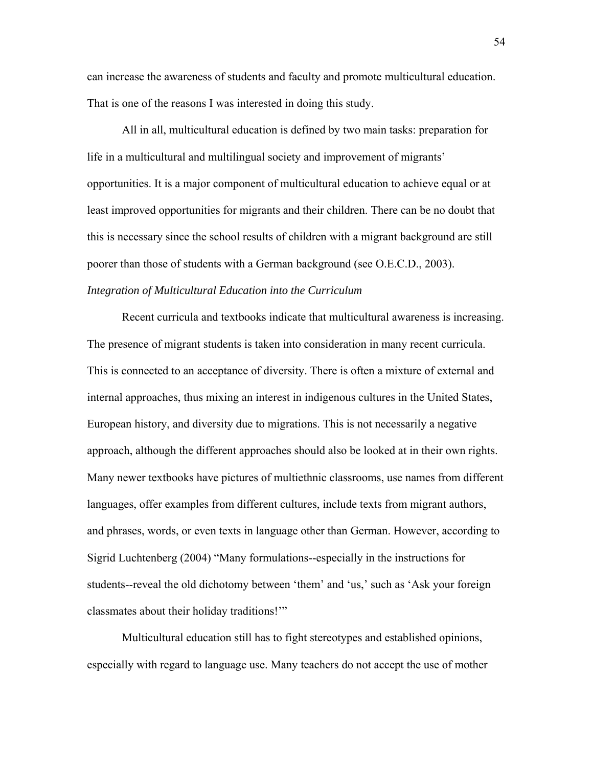can increase the awareness of students and faculty and promote multicultural education. That is one of the reasons I was interested in doing this study.

All in all, multicultural education is defined by two main tasks: preparation for life in a multicultural and multilingual society and improvement of migrants' opportunities. It is a major component of multicultural education to achieve equal or at least improved opportunities for migrants and their children. There can be no doubt that this is necessary since the school results of children with a migrant background are still poorer than those of students with a German background (see O.E.C.D., 2003). *Integration of Multicultural Education into the Curriculum* 

Recent curricula and textbooks indicate that multicultural awareness is increasing. The presence of migrant students is taken into consideration in many recent curricula. This is connected to an acceptance of diversity. There is often a mixture of external and internal approaches, thus mixing an interest in indigenous cultures in the United States, European history, and diversity due to migrations. This is not necessarily a negative approach, although the different approaches should also be looked at in their own rights. Many newer textbooks have pictures of multiethnic classrooms, use names from different languages, offer examples from different cultures, include texts from migrant authors, and phrases, words, or even texts in language other than German. However, according to Sigrid Luchtenberg (2004) "Many formulations--especially in the instructions for students--reveal the old dichotomy between 'them' and 'us,' such as 'Ask your foreign classmates about their holiday traditions!'"

Multicultural education still has to fight stereotypes and established opinions, especially with regard to language use. Many teachers do not accept the use of mother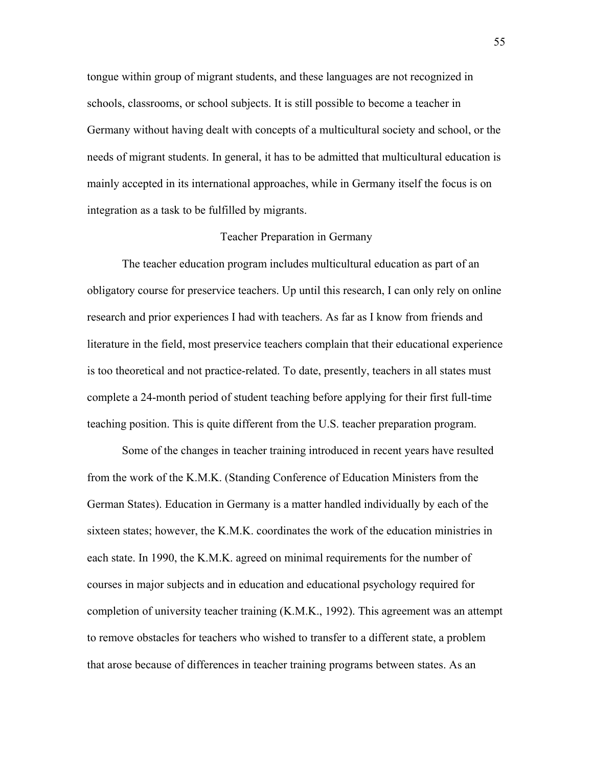tongue within group of migrant students, and these languages are not recognized in schools, classrooms, or school subjects. It is still possible to become a teacher in Germany without having dealt with concepts of a multicultural society and school, or the needs of migrant students. In general, it has to be admitted that multicultural education is mainly accepted in its international approaches, while in Germany itself the focus is on integration as a task to be fulfilled by migrants.

## Teacher Preparation in Germany

The teacher education program includes multicultural education as part of an obligatory course for preservice teachers. Up until this research, I can only rely on online research and prior experiences I had with teachers. As far as I know from friends and literature in the field, most preservice teachers complain that their educational experience is too theoretical and not practice-related. To date, presently, teachers in all states must complete a 24-month period of student teaching before applying for their first full-time teaching position. This is quite different from the U.S. teacher preparation program.

Some of the changes in teacher training introduced in recent years have resulted from the work of the K.M.K. (Standing Conference of Education Ministers from the German States). Education in Germany is a matter handled individually by each of the sixteen states; however, the K.M.K. coordinates the work of the education ministries in each state. In 1990, the K.M.K. agreed on minimal requirements for the number of courses in major subjects and in education and educational psychology required for completion of university teacher training (K.M.K., 1992). This agreement was an attempt to remove obstacles for teachers who wished to transfer to a different state, a problem that arose because of differences in teacher training programs between states. As an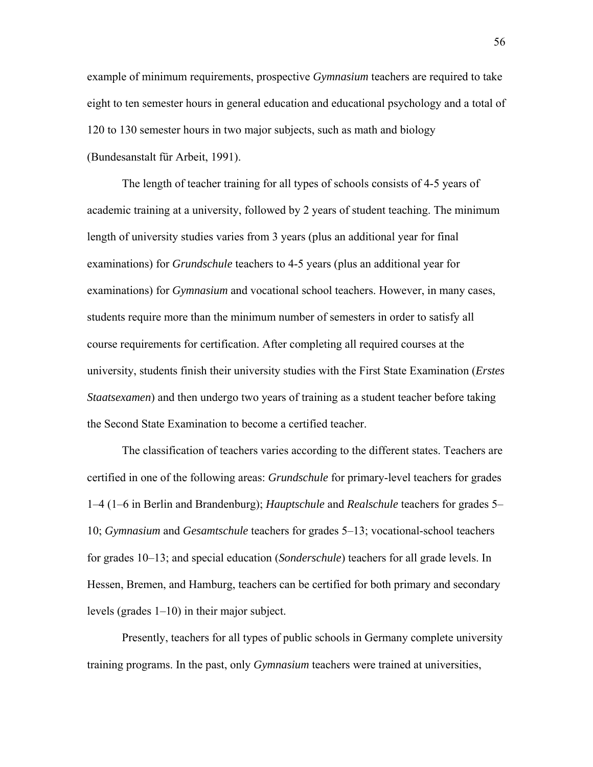example of minimum requirements, prospective *Gymnasium* teachers are required to take eight to ten semester hours in general education and educational psychology and a total of 120 to 130 semester hours in two major subjects, such as math and biology (Bundesanstalt für Arbeit, 1991).

The length of teacher training for all types of schools consists of 4-5 years of academic training at a university, followed by 2 years of student teaching. The minimum length of university studies varies from 3 years (plus an additional year for final examinations) for *Grundschule* teachers to 4-5 years (plus an additional year for examinations) for *Gymnasium* and vocational school teachers. However, in many cases, students require more than the minimum number of semesters in order to satisfy all course requirements for certification. After completing all required courses at the university, students finish their university studies with the First State Examination (*Erstes Staatsexamen*) and then undergo two years of training as a student teacher before taking the Second State Examination to become a certified teacher.

The classification of teachers varies according to the different states. Teachers are certified in one of the following areas: *Grundschule* for primary-level teachers for grades 1–4 (1–6 in Berlin and Brandenburg); *Hauptschule* and *Realschule* teachers for grades 5– 10; *Gymnasium* and *Gesamtschule* teachers for grades 5–13; vocational-school teachers for grades 10–13; and special education (*Sonderschule*) teachers for all grade levels. In Hessen, Bremen, and Hamburg, teachers can be certified for both primary and secondary levels (grades 1–10) in their major subject.

Presently, teachers for all types of public schools in Germany complete university training programs. In the past, only *Gymnasium* teachers were trained at universities,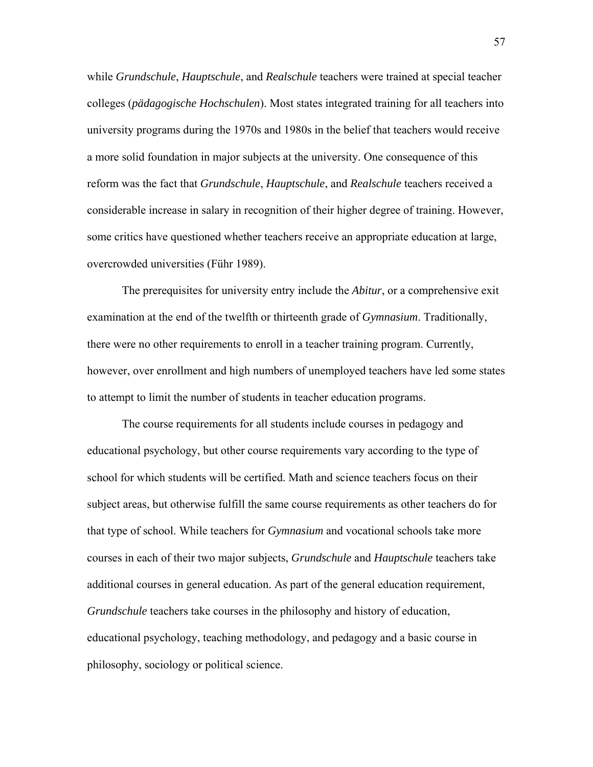while *Grundschule*, *Hauptschule*, and *Realschule* teachers were trained at special teacher colleges (*pädagogische Hochschulen*). Most states integrated training for all teachers into university programs during the 1970s and 1980s in the belief that teachers would receive a more solid foundation in major subjects at the university. One consequence of this reform was the fact that *Grundschule*, *Hauptschule*, and *Realschule* teachers received a considerable increase in salary in recognition of their higher degree of training. However, some critics have questioned whether teachers receive an appropriate education at large, overcrowded universities (Führ 1989).

The prerequisites for university entry include the *Abitur*, or a comprehensive exit examination at the end of the twelfth or thirteenth grade of *Gymnasium*. Traditionally, there were no other requirements to enroll in a teacher training program. Currently, however, over enrollment and high numbers of unemployed teachers have led some states to attempt to limit the number of students in teacher education programs.

The course requirements for all students include courses in pedagogy and educational psychology, but other course requirements vary according to the type of school for which students will be certified. Math and science teachers focus on their subject areas, but otherwise fulfill the same course requirements as other teachers do for that type of school. While teachers for *Gymnasium* and vocational schools take more courses in each of their two major subjects, *Grundschule* and *Hauptschule* teachers take additional courses in general education. As part of the general education requirement, *Grundschule* teachers take courses in the philosophy and history of education, educational psychology, teaching methodology, and pedagogy and a basic course in philosophy, sociology or political science.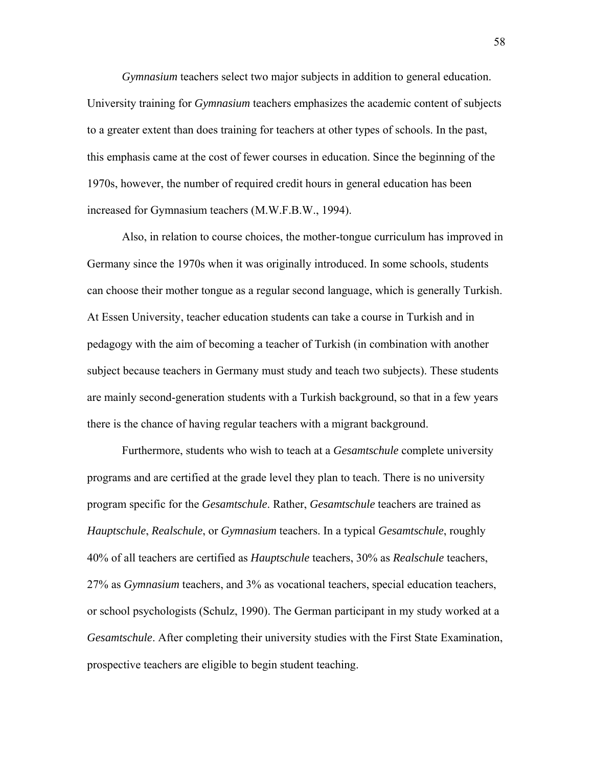*Gymnasium* teachers select two major subjects in addition to general education. University training for *Gymnasium* teachers emphasizes the academic content of subjects to a greater extent than does training for teachers at other types of schools. In the past, this emphasis came at the cost of fewer courses in education. Since the beginning of the 1970s, however, the number of required credit hours in general education has been increased for Gymnasium teachers (M.W.F.B.W., 1994).

Also, in relation to course choices, the mother-tongue curriculum has improved in Germany since the 1970s when it was originally introduced. In some schools, students can choose their mother tongue as a regular second language, which is generally Turkish. At Essen University, teacher education students can take a course in Turkish and in pedagogy with the aim of becoming a teacher of Turkish (in combination with another subject because teachers in Germany must study and teach two subjects). These students are mainly second-generation students with a Turkish background, so that in a few years there is the chance of having regular teachers with a migrant background.

Furthermore, students who wish to teach at a *Gesamtschule* complete university programs and are certified at the grade level they plan to teach. There is no university program specific for the *Gesamtschule*. Rather, *Gesamtschule* teachers are trained as *Hauptschule*, *Realschule*, or *Gymnasium* teachers. In a typical *Gesamtschule*, roughly 40% of all teachers are certified as *Hauptschule* teachers, 30% as *Realschule* teachers, 27% as *Gymnasium* teachers, and 3% as vocational teachers, special education teachers, or school psychologists (Schulz, 1990). The German participant in my study worked at a *Gesamtschule*. After completing their university studies with the First State Examination, prospective teachers are eligible to begin student teaching.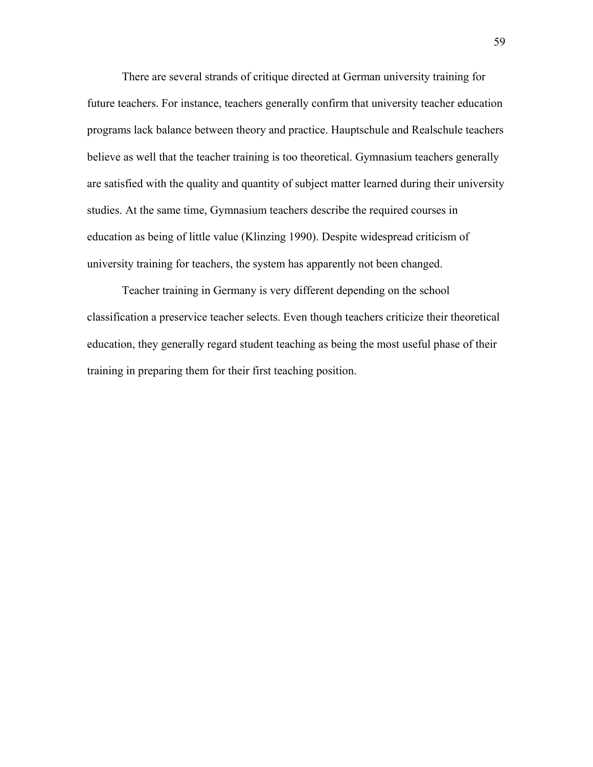There are several strands of critique directed at German university training for future teachers. For instance, teachers generally confirm that university teacher education programs lack balance between theory and practice. Hauptschule and Realschule teachers believe as well that the teacher training is too theoretical. Gymnasium teachers generally are satisfied with the quality and quantity of subject matter learned during their university studies. At the same time, Gymnasium teachers describe the required courses in education as being of little value (Klinzing 1990). Despite widespread criticism of university training for teachers, the system has apparently not been changed.

Teacher training in Germany is very different depending on the school classification a preservice teacher selects. Even though teachers criticize their theoretical education, they generally regard student teaching as being the most useful phase of their training in preparing them for their first teaching position.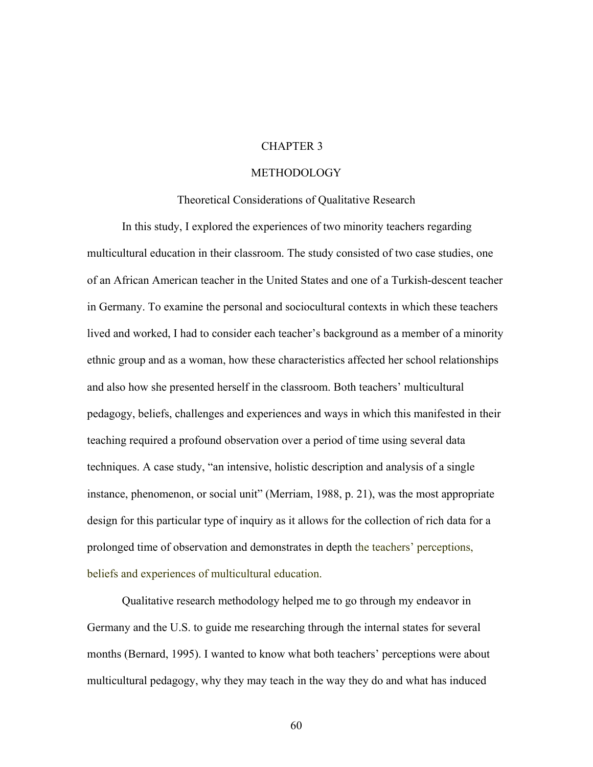# CHAPTER 3

## METHODOLOGY

## Theoretical Considerations of Qualitative Research

In this study, I explored the experiences of two minority teachers regarding multicultural education in their classroom. The study consisted of two case studies, one of an African American teacher in the United States and one of a Turkish-descent teacher in Germany. To examine the personal and sociocultural contexts in which these teachers lived and worked, I had to consider each teacher's background as a member of a minority ethnic group and as a woman, how these characteristics affected her school relationships and also how she presented herself in the classroom. Both teachers' multicultural pedagogy, beliefs, challenges and experiences and ways in which this manifested in their teaching required a profound observation over a period of time using several data techniques. A case study, "an intensive, holistic description and analysis of a single instance, phenomenon, or social unit" (Merriam, 1988, p. 21), was the most appropriate design for this particular type of inquiry as it allows for the collection of rich data for a prolonged time of observation and demonstrates in depth the teachers' perceptions, beliefs and experiences of multicultural education.

Qualitative research methodology helped me to go through my endeavor in Germany and the U.S. to guide me researching through the internal states for several months (Bernard, 1995). I wanted to know what both teachers' perceptions were about multicultural pedagogy, why they may teach in the way they do and what has induced

60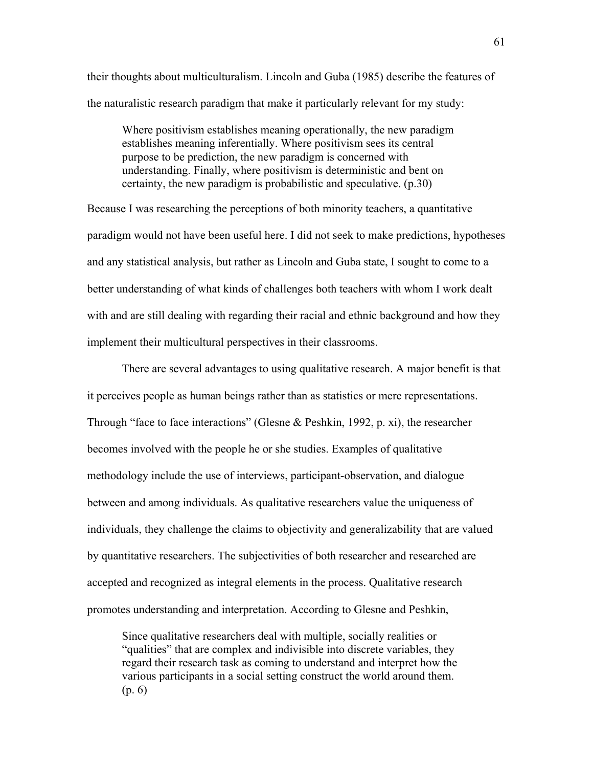their thoughts about multiculturalism. Lincoln and Guba (1985) describe the features of the naturalistic research paradigm that make it particularly relevant for my study:

Where positivism establishes meaning operationally, the new paradigm establishes meaning inferentially. Where positivism sees its central purpose to be prediction, the new paradigm is concerned with understanding. Finally, where positivism is deterministic and bent on certainty, the new paradigm is probabilistic and speculative. (p.30)

Because I was researching the perceptions of both minority teachers, a quantitative paradigm would not have been useful here. I did not seek to make predictions, hypotheses and any statistical analysis, but rather as Lincoln and Guba state, I sought to come to a better understanding of what kinds of challenges both teachers with whom I work dealt with and are still dealing with regarding their racial and ethnic background and how they implement their multicultural perspectives in their classrooms.

There are several advantages to using qualitative research. A major benefit is that it perceives people as human beings rather than as statistics or mere representations. Through "face to face interactions" (Glesne & Peshkin, 1992, p. xi), the researcher becomes involved with the people he or she studies. Examples of qualitative methodology include the use of interviews, participant-observation, and dialogue between and among individuals. As qualitative researchers value the uniqueness of individuals, they challenge the claims to objectivity and generalizability that are valued by quantitative researchers. The subjectivities of both researcher and researched are accepted and recognized as integral elements in the process. Qualitative research promotes understanding and interpretation. According to Glesne and Peshkin,

Since qualitative researchers deal with multiple, socially realities or "qualities" that are complex and indivisible into discrete variables, they regard their research task as coming to understand and interpret how the various participants in a social setting construct the world around them. (p. 6)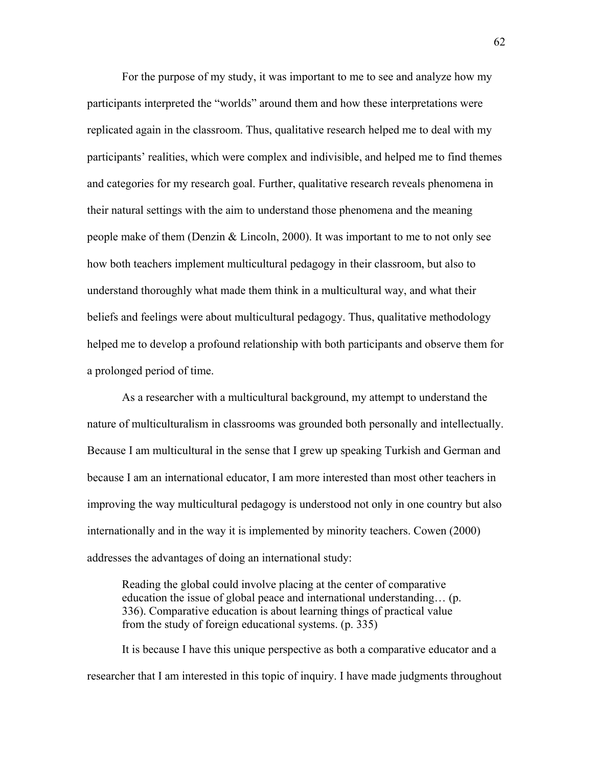For the purpose of my study, it was important to me to see and analyze how my participants interpreted the "worlds" around them and how these interpretations were replicated again in the classroom. Thus, qualitative research helped me to deal with my participants' realities, which were complex and indivisible, and helped me to find themes and categories for my research goal. Further, qualitative research reveals phenomena in their natural settings with the aim to understand those phenomena and the meaning people make of them (Denzin & Lincoln, 2000). It was important to me to not only see how both teachers implement multicultural pedagogy in their classroom, but also to understand thoroughly what made them think in a multicultural way, and what their beliefs and feelings were about multicultural pedagogy. Thus, qualitative methodology helped me to develop a profound relationship with both participants and observe them for a prolonged period of time.

As a researcher with a multicultural background, my attempt to understand the nature of multiculturalism in classrooms was grounded both personally and intellectually. Because I am multicultural in the sense that I grew up speaking Turkish and German and because I am an international educator, I am more interested than most other teachers in improving the way multicultural pedagogy is understood not only in one country but also internationally and in the way it is implemented by minority teachers. Cowen (2000) addresses the advantages of doing an international study:

Reading the global could involve placing at the center of comparative education the issue of global peace and international understanding… (p. 336). Comparative education is about learning things of practical value from the study of foreign educational systems. (p. 335)

It is because I have this unique perspective as both a comparative educator and a researcher that I am interested in this topic of inquiry. I have made judgments throughout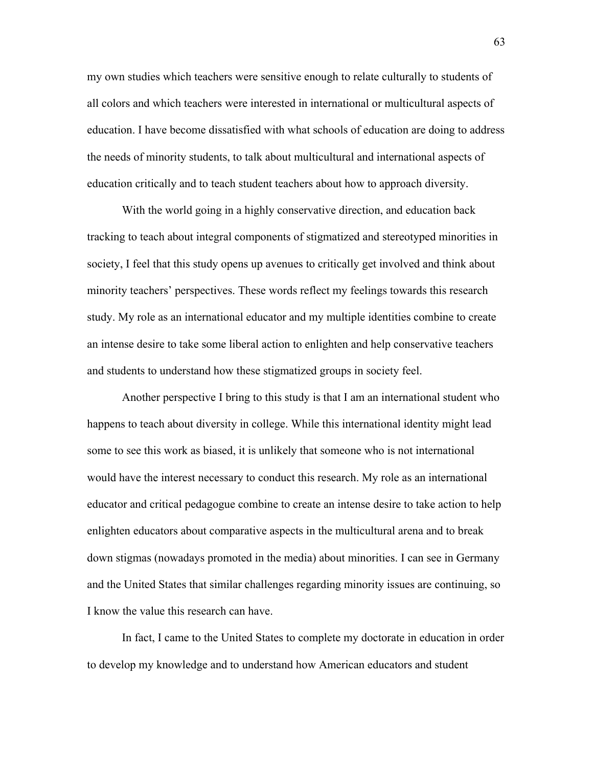my own studies which teachers were sensitive enough to relate culturally to students of all colors and which teachers were interested in international or multicultural aspects of education. I have become dissatisfied with what schools of education are doing to address the needs of minority students, to talk about multicultural and international aspects of education critically and to teach student teachers about how to approach diversity.

With the world going in a highly conservative direction, and education back tracking to teach about integral components of stigmatized and stereotyped minorities in society, I feel that this study opens up avenues to critically get involved and think about minority teachers' perspectives. These words reflect my feelings towards this research study. My role as an international educator and my multiple identities combine to create an intense desire to take some liberal action to enlighten and help conservative teachers and students to understand how these stigmatized groups in society feel.

Another perspective I bring to this study is that I am an international student who happens to teach about diversity in college. While this international identity might lead some to see this work as biased, it is unlikely that someone who is not international would have the interest necessary to conduct this research. My role as an international educator and critical pedagogue combine to create an intense desire to take action to help enlighten educators about comparative aspects in the multicultural arena and to break down stigmas (nowadays promoted in the media) about minorities. I can see in Germany and the United States that similar challenges regarding minority issues are continuing, so I know the value this research can have.

In fact, I came to the United States to complete my doctorate in education in order to develop my knowledge and to understand how American educators and student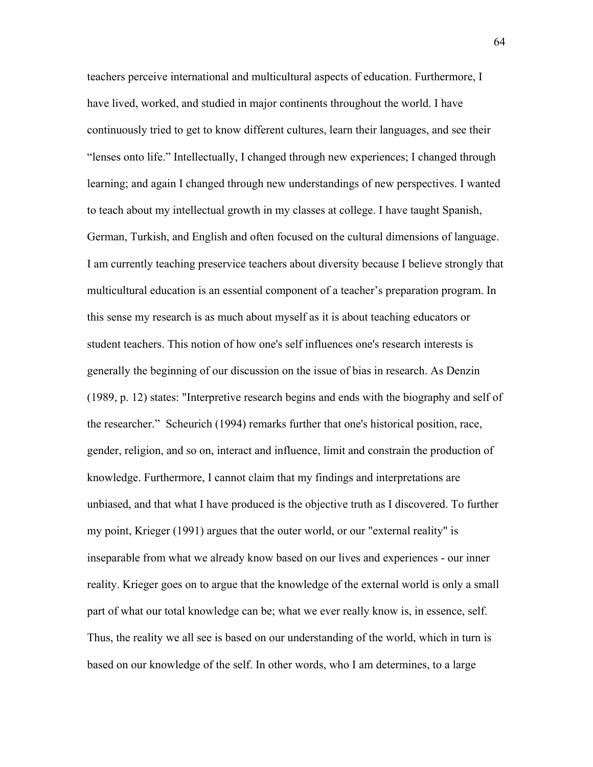teachers perceive international and multicultural aspects of education. Furthermore, I have lived, worked, and studied in major continents throughout the world. I have continuously tried to get to know different cultures, learn their languages, and see their "lenses onto life." Intellectually, I changed through new experiences; I changed through learning; and again I changed through new understandings of new perspectives. I wanted to teach about my intellectual growth in my classes at college. I have taught Spanish, German, Turkish, and English and often focused on the cultural dimensions of language. I am currently teaching preservice teachers about diversity because I believe strongly that multicultural education is an essential component of a teacher's preparation program. In this sense my research is as much about myself as it is about teaching educators or student teachers. This notion of how one's self influences one's research interests is generally the beginning of our discussion on the issue of bias in research. As Denzin (1989, p. 12) states: "Interpretive research begins and ends with the biography and self of the researcher." Scheurich (1994) remarks further that one's historical position, race, gender, religion, and so on, interact and influence, limit and constrain the production of knowledge. Furthermore, I cannot claim that my findings and interpretations are unbiased, and that what I have produced is the objective truth as I discovered. To further my point, Krieger (1991) argues that the outer world, or our "external reality" is inseparable from what we already know based on our lives and experiences - our inner reality. Krieger goes on to argue that the knowledge of the external world is only a small part of what our total knowledge can be; what we ever really know is, in essence, self. Thus, the reality we all see is based on our understanding of the world, which in turn is based on our knowledge of the self. In other words, who I am determines, to a large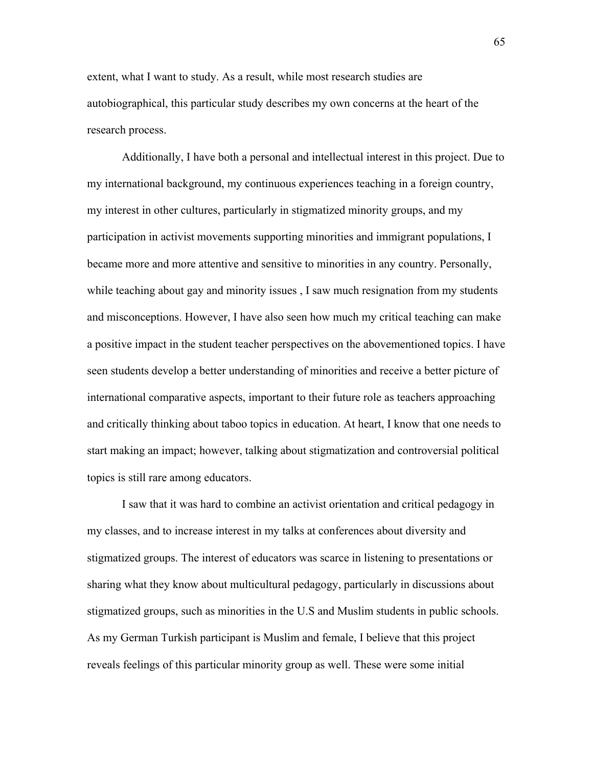extent, what I want to study. As a result, while most research studies are autobiographical, this particular study describes my own concerns at the heart of the research process.

Additionally, I have both a personal and intellectual interest in this project. Due to my international background, my continuous experiences teaching in a foreign country, my interest in other cultures, particularly in stigmatized minority groups, and my participation in activist movements supporting minorities and immigrant populations, I became more and more attentive and sensitive to minorities in any country. Personally, while teaching about gay and minority issues , I saw much resignation from my students and misconceptions. However, I have also seen how much my critical teaching can make a positive impact in the student teacher perspectives on the abovementioned topics. I have seen students develop a better understanding of minorities and receive a better picture of international comparative aspects, important to their future role as teachers approaching and critically thinking about taboo topics in education. At heart, I know that one needs to start making an impact; however, talking about stigmatization and controversial political topics is still rare among educators.

I saw that it was hard to combine an activist orientation and critical pedagogy in my classes, and to increase interest in my talks at conferences about diversity and stigmatized groups. The interest of educators was scarce in listening to presentations or sharing what they know about multicultural pedagogy, particularly in discussions about stigmatized groups, such as minorities in the U.S and Muslim students in public schools. As my German Turkish participant is Muslim and female, I believe that this project reveals feelings of this particular minority group as well. These were some initial

65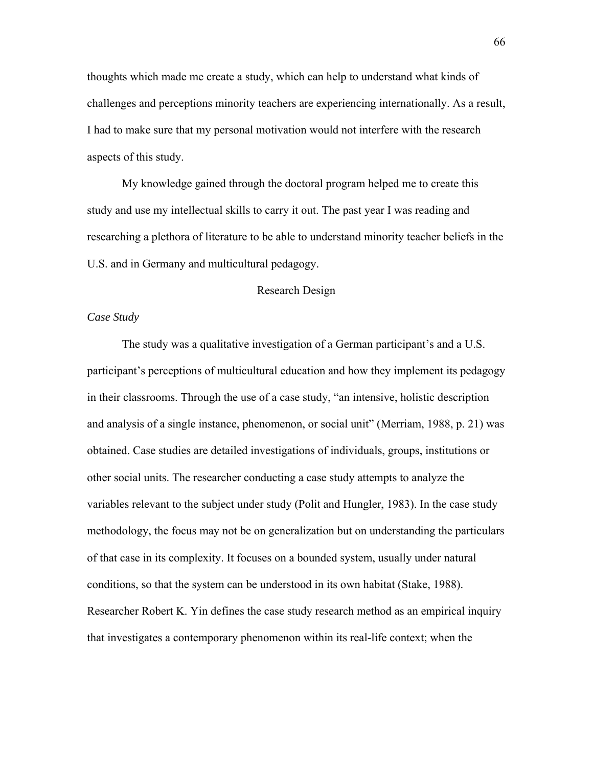thoughts which made me create a study, which can help to understand what kinds of challenges and perceptions minority teachers are experiencing internationally. As a result, I had to make sure that my personal motivation would not interfere with the research aspects of this study.

My knowledge gained through the doctoral program helped me to create this study and use my intellectual skills to carry it out. The past year I was reading and researching a plethora of literature to be able to understand minority teacher beliefs in the U.S. and in Germany and multicultural pedagogy.

## Research Design

# *Case Study*

The study was a qualitative investigation of a German participant's and a U.S. participant's perceptions of multicultural education and how they implement its pedagogy in their classrooms. Through the use of a case study, "an intensive, holistic description and analysis of a single instance, phenomenon, or social unit" (Merriam, 1988, p. 21) was obtained. Case studies are detailed investigations of individuals, groups, institutions or other social units. The researcher conducting a case study attempts to analyze the variables relevant to the subject under study (Polit and Hungler, 1983). In the case study methodology, the focus may not be on generalization but on understanding the particulars of that case in its complexity. It focuses on a bounded system, usually under natural conditions, so that the system can be understood in its own habitat (Stake, 1988). Researcher Robert K. Yin defines the case study research method as an empirical inquiry that investigates a contemporary phenomenon within its real-life context; when the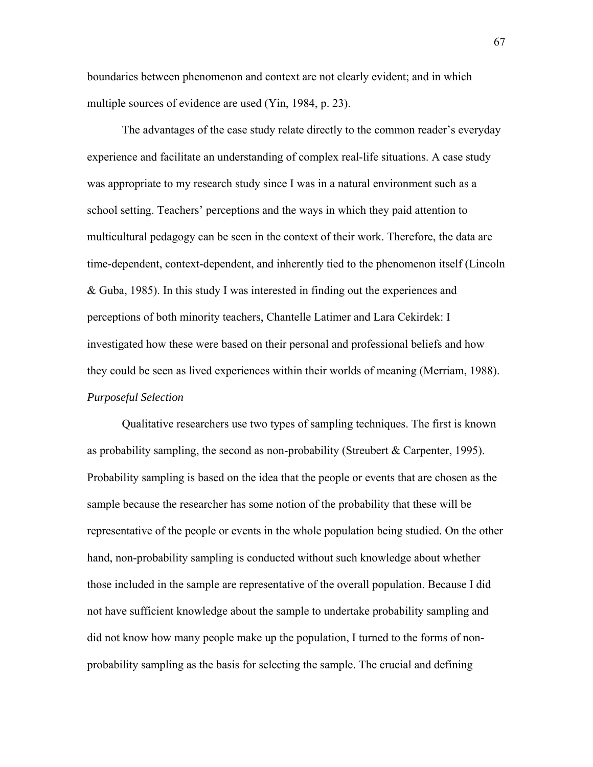boundaries between phenomenon and context are not clearly evident; and in which multiple sources of evidence are used (Yin, 1984, p. 23).

The advantages of the case study relate directly to the common reader's everyday experience and facilitate an understanding of complex real-life situations. A case study was appropriate to my research study since I was in a natural environment such as a school setting. Teachers' perceptions and the ways in which they paid attention to multicultural pedagogy can be seen in the context of their work. Therefore, the data are time-dependent, context-dependent, and inherently tied to the phenomenon itself (Lincoln & Guba, 1985). In this study I was interested in finding out the experiences and perceptions of both minority teachers, Chantelle Latimer and Lara Cekirdek: I investigated how these were based on their personal and professional beliefs and how they could be seen as lived experiences within their worlds of meaning (Merriam, 1988). *Purposeful Selection* 

Qualitative researchers use two types of sampling techniques. The first is known as probability sampling, the second as non-probability (Streubert  $\&$  Carpenter, 1995). Probability sampling is based on the idea that the people or events that are chosen as the sample because the researcher has some notion of the probability that these will be representative of the people or events in the whole population being studied. On the other hand, non-probability sampling is conducted without such knowledge about whether those included in the sample are representative of the overall population. Because I did not have sufficient knowledge about the sample to undertake probability sampling and did not know how many people make up the population, I turned to the forms of nonprobability sampling as the basis for selecting the sample. The crucial and defining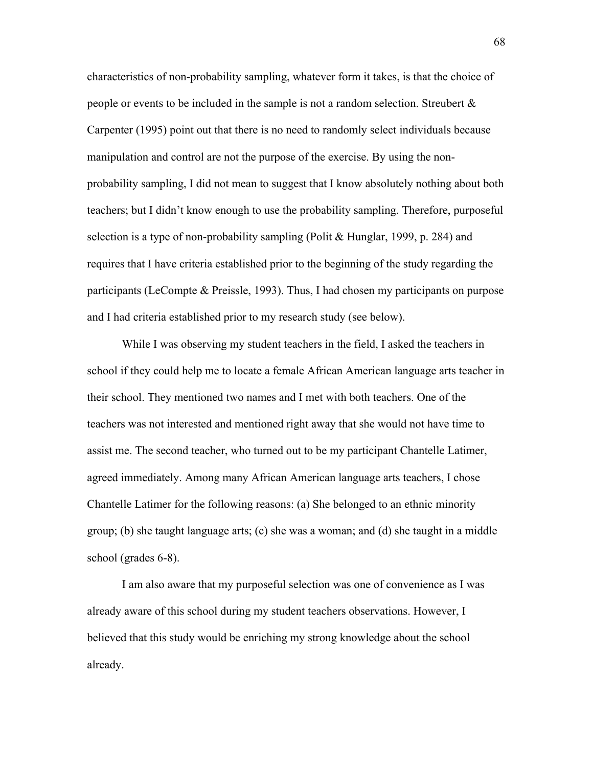characteristics of non-probability sampling, whatever form it takes, is that the choice of people or events to be included in the sample is not a random selection. Streubert & Carpenter (1995) point out that there is no need to randomly select individuals because manipulation and control are not the purpose of the exercise. By using the nonprobability sampling, I did not mean to suggest that I know absolutely nothing about both teachers; but I didn't know enough to use the probability sampling. Therefore, purposeful selection is a type of non-probability sampling (Polit & Hunglar, 1999, p. 284) and requires that I have criteria established prior to the beginning of the study regarding the participants (LeCompte & Preissle, 1993). Thus, I had chosen my participants on purpose and I had criteria established prior to my research study (see below).

While I was observing my student teachers in the field, I asked the teachers in school if they could help me to locate a female African American language arts teacher in their school. They mentioned two names and I met with both teachers. One of the teachers was not interested and mentioned right away that she would not have time to assist me. The second teacher, who turned out to be my participant Chantelle Latimer, agreed immediately. Among many African American language arts teachers, I chose Chantelle Latimer for the following reasons: (a) She belonged to an ethnic minority group; (b) she taught language arts; (c) she was a woman; and (d) she taught in a middle school (grades 6-8).

I am also aware that my purposeful selection was one of convenience as I was already aware of this school during my student teachers observations. However, I believed that this study would be enriching my strong knowledge about the school already.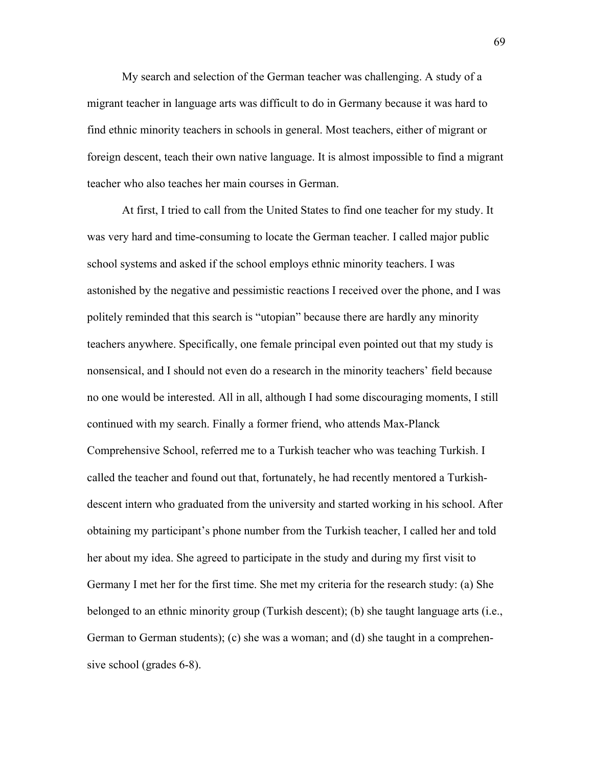My search and selection of the German teacher was challenging. A study of a migrant teacher in language arts was difficult to do in Germany because it was hard to find ethnic minority teachers in schools in general. Most teachers, either of migrant or foreign descent, teach their own native language. It is almost impossible to find a migrant teacher who also teaches her main courses in German.

At first, I tried to call from the United States to find one teacher for my study. It was very hard and time-consuming to locate the German teacher. I called major public school systems and asked if the school employs ethnic minority teachers. I was astonished by the negative and pessimistic reactions I received over the phone, and I was politely reminded that this search is "utopian" because there are hardly any minority teachers anywhere. Specifically, one female principal even pointed out that my study is nonsensical, and I should not even do a research in the minority teachers' field because no one would be interested. All in all, although I had some discouraging moments, I still continued with my search. Finally a former friend, who attends Max-Planck Comprehensive School, referred me to a Turkish teacher who was teaching Turkish. I called the teacher and found out that, fortunately, he had recently mentored a Turkishdescent intern who graduated from the university and started working in his school. After obtaining my participant's phone number from the Turkish teacher, I called her and told her about my idea. She agreed to participate in the study and during my first visit to Germany I met her for the first time. She met my criteria for the research study: (a) She belonged to an ethnic minority group (Turkish descent); (b) she taught language arts (i.e., German to German students); (c) she was a woman; and (d) she taught in a comprehensive school (grades 6-8).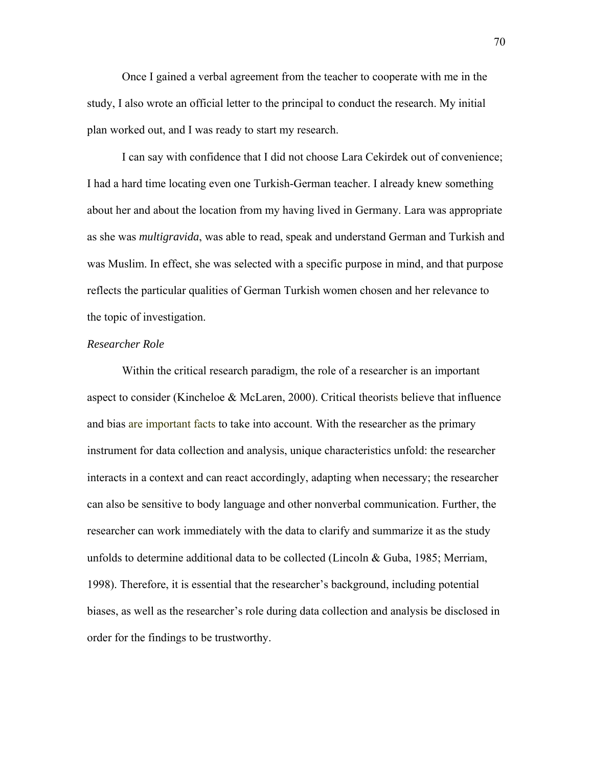Once I gained a verbal agreement from the teacher to cooperate with me in the study, I also wrote an official letter to the principal to conduct the research. My initial plan worked out, and I was ready to start my research.

I can say with confidence that I did not choose Lara Cekirdek out of convenience; I had a hard time locating even one Turkish-German teacher. I already knew something about her and about the location from my having lived in Germany. Lara was appropriate as she was *multigravida*, was able to read, speak and understand German and Turkish and was Muslim. In effect, she was selected with a specific purpose in mind, and that purpose reflects the particular qualities of German Turkish women chosen and her relevance to the topic of investigation.

### *Researcher Role*

Within the critical research paradigm, the role of a researcher is an important aspect to consider (Kincheloe & McLaren, 2000). Critical theorists believe that influence and bias are important facts to take into account. With the researcher as the primary instrument for data collection and analysis, unique characteristics unfold: the researcher interacts in a context and can react accordingly, adapting when necessary; the researcher can also be sensitive to body language and other nonverbal communication. Further, the researcher can work immediately with the data to clarify and summarize it as the study unfolds to determine additional data to be collected (Lincoln & Guba, 1985; Merriam, 1998). Therefore, it is essential that the researcher's background, including potential biases, as well as the researcher's role during data collection and analysis be disclosed in order for the findings to be trustworthy.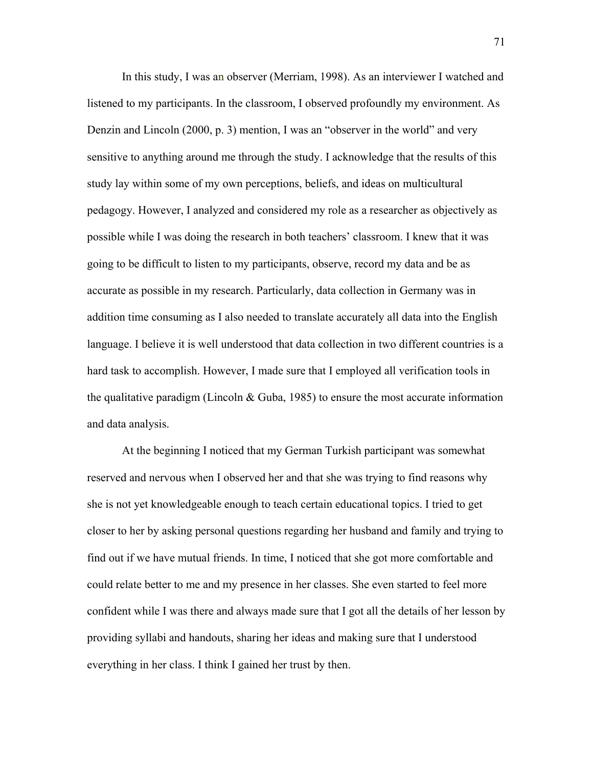In this study, I was an observer (Merriam, 1998). As an interviewer I watched and listened to my participants. In the classroom, I observed profoundly my environment. As Denzin and Lincoln (2000, p. 3) mention, I was an "observer in the world" and very sensitive to anything around me through the study. I acknowledge that the results of this study lay within some of my own perceptions, beliefs, and ideas on multicultural pedagogy. However, I analyzed and considered my role as a researcher as objectively as possible while I was doing the research in both teachers' classroom. I knew that it was going to be difficult to listen to my participants, observe, record my data and be as accurate as possible in my research. Particularly, data collection in Germany was in addition time consuming as I also needed to translate accurately all data into the English language. I believe it is well understood that data collection in two different countries is a hard task to accomplish. However, I made sure that I employed all verification tools in the qualitative paradigm (Lincoln  $& Guba, 1985$ ) to ensure the most accurate information and data analysis.

At the beginning I noticed that my German Turkish participant was somewhat reserved and nervous when I observed her and that she was trying to find reasons why she is not yet knowledgeable enough to teach certain educational topics. I tried to get closer to her by asking personal questions regarding her husband and family and trying to find out if we have mutual friends. In time, I noticed that she got more comfortable and could relate better to me and my presence in her classes. She even started to feel more confident while I was there and always made sure that I got all the details of her lesson by providing syllabi and handouts, sharing her ideas and making sure that I understood everything in her class. I think I gained her trust by then.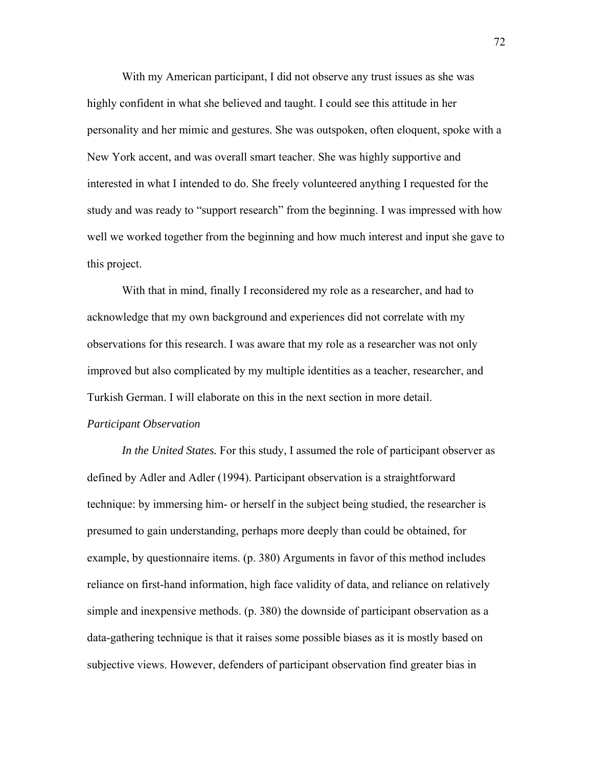With my American participant, I did not observe any trust issues as she was highly confident in what she believed and taught. I could see this attitude in her personality and her mimic and gestures. She was outspoken, often eloquent, spoke with a New York accent, and was overall smart teacher. She was highly supportive and interested in what I intended to do. She freely volunteered anything I requested for the study and was ready to "support research" from the beginning. I was impressed with how well we worked together from the beginning and how much interest and input she gave to this project.

 With that in mind, finally I reconsidered my role as a researcher, and had to acknowledge that my own background and experiences did not correlate with my observations for this research. I was aware that my role as a researcher was not only improved but also complicated by my multiple identities as a teacher, researcher, and Turkish German. I will elaborate on this in the next section in more detail.

#### *Participant Observation*

 *In the United States.* For this study, I assumed the role of participant observer as defined by Adler and Adler (1994). Participant observation is a straightforward technique: by immersing him- or herself in the subject being studied, the researcher is presumed to gain understanding, perhaps more deeply than could be obtained, for example, by questionnaire items. (p. 380) Arguments in favor of this method includes reliance on first-hand information, high face validity of data, and reliance on relatively simple and inexpensive methods. (p. 380) the downside of participant observation as a data-gathering technique is that it raises some possible biases as it is mostly based on subjective views. However, defenders of participant observation find greater bias in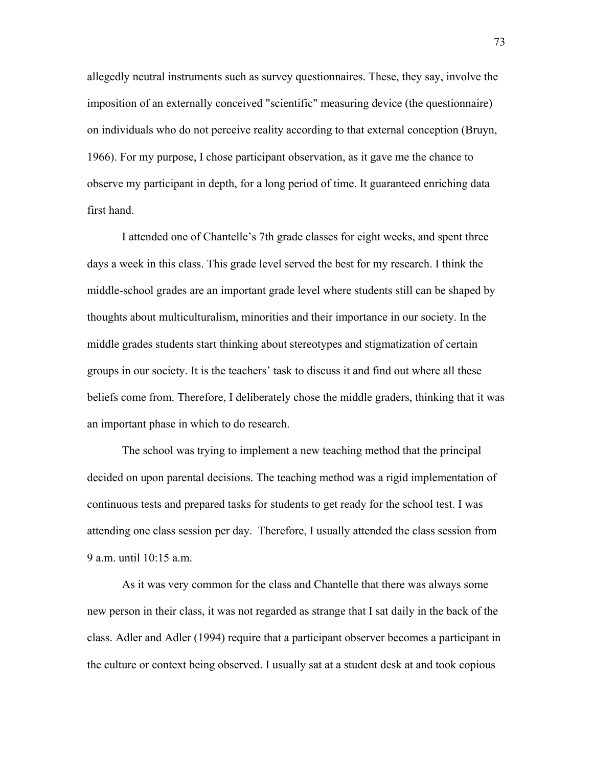allegedly neutral instruments such as survey questionnaires. These, they say, involve the imposition of an externally conceived "scientific" measuring device (the questionnaire) on individuals who do not perceive reality according to that external conception (Bruyn, 1966). For my purpose, I chose participant observation, as it gave me the chance to observe my participant in depth, for a long period of time. It guaranteed enriching data first hand.

I attended one of Chantelle's 7th grade classes for eight weeks, and spent three days a week in this class. This grade level served the best for my research. I think the middle-school grades are an important grade level where students still can be shaped by thoughts about multiculturalism, minorities and their importance in our society. In the middle grades students start thinking about stereotypes and stigmatization of certain groups in our society. It is the teachers' task to discuss it and find out where all these beliefs come from. Therefore, I deliberately chose the middle graders, thinking that it was an important phase in which to do research.

The school was trying to implement a new teaching method that the principal decided on upon parental decisions. The teaching method was a rigid implementation of continuous tests and prepared tasks for students to get ready for the school test. I was attending one class session per day. Therefore, I usually attended the class session from 9 a.m. until 10:15 a.m.

As it was very common for the class and Chantelle that there was always some new person in their class, it was not regarded as strange that I sat daily in the back of the class. Adler and Adler (1994) require that a participant observer becomes a participant in the culture or context being observed. I usually sat at a student desk at and took copious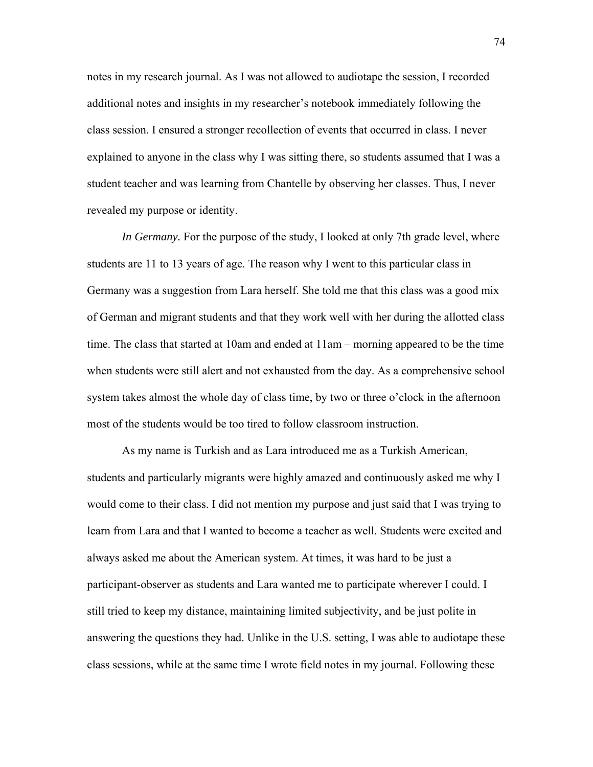notes in my research journal. As I was not allowed to audiotape the session, I recorded additional notes and insights in my researcher's notebook immediately following the class session. I ensured a stronger recollection of events that occurred in class. I never explained to anyone in the class why I was sitting there, so students assumed that I was a student teacher and was learning from Chantelle by observing her classes. Thus, I never revealed my purpose or identity.

*In Germany*. For the purpose of the study, I looked at only 7th grade level, where students are 11 to 13 years of age. The reason why I went to this particular class in Germany was a suggestion from Lara herself. She told me that this class was a good mix of German and migrant students and that they work well with her during the allotted class time. The class that started at 10am and ended at 11am – morning appeared to be the time when students were still alert and not exhausted from the day. As a comprehensive school system takes almost the whole day of class time, by two or three o'clock in the afternoon most of the students would be too tired to follow classroom instruction.

As my name is Turkish and as Lara introduced me as a Turkish American, students and particularly migrants were highly amazed and continuously asked me why I would come to their class. I did not mention my purpose and just said that I was trying to learn from Lara and that I wanted to become a teacher as well. Students were excited and always asked me about the American system. At times, it was hard to be just a participant-observer as students and Lara wanted me to participate wherever I could. I still tried to keep my distance, maintaining limited subjectivity, and be just polite in answering the questions they had. Unlike in the U.S. setting, I was able to audiotape these class sessions, while at the same time I wrote field notes in my journal. Following these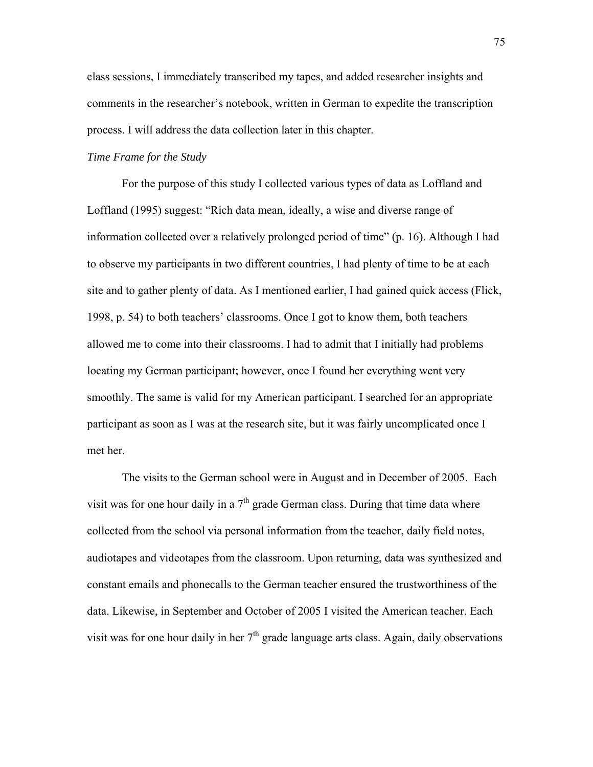class sessions, I immediately transcribed my tapes, and added researcher insights and comments in the researcher's notebook, written in German to expedite the transcription process. I will address the data collection later in this chapter.

## *Time Frame for the Study*

 For the purpose of this study I collected various types of data as Loffland and Loffland (1995) suggest: "Rich data mean, ideally, a wise and diverse range of information collected over a relatively prolonged period of time" (p. 16). Although I had to observe my participants in two different countries, I had plenty of time to be at each site and to gather plenty of data. As I mentioned earlier, I had gained quick access (Flick, 1998, p. 54) to both teachers' classrooms. Once I got to know them, both teachers allowed me to come into their classrooms. I had to admit that I initially had problems locating my German participant; however, once I found her everything went very smoothly. The same is valid for my American participant. I searched for an appropriate participant as soon as I was at the research site, but it was fairly uncomplicated once I met her.

The visits to the German school were in August and in December of 2005. Each visit was for one hour daily in a  $7<sup>th</sup>$  grade German class. During that time data where collected from the school via personal information from the teacher, daily field notes, audiotapes and videotapes from the classroom. Upon returning, data was synthesized and constant emails and phonecalls to the German teacher ensured the trustworthiness of the data. Likewise, in September and October of 2005 I visited the American teacher. Each visit was for one hour daily in her  $7<sup>th</sup>$  grade language arts class. Again, daily observations

75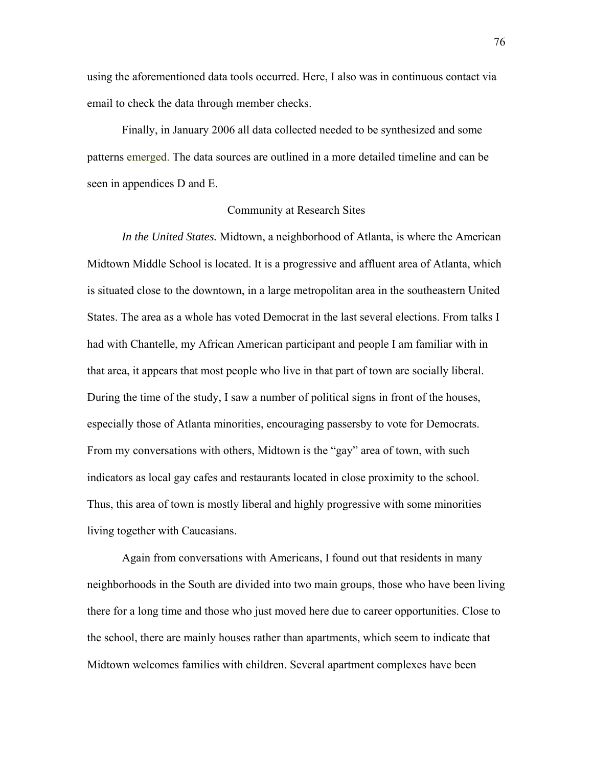using the aforementioned data tools occurred. Here, I also was in continuous contact via email to check the data through member checks.

Finally, in January 2006 all data collected needed to be synthesized and some patterns emerged. The data sources are outlined in a more detailed timeline and can be seen in appendices D and E.

# Community at Research Sites

*In the United States.* Midtown, a neighborhood of Atlanta, is where the American Midtown Middle School is located. It is a progressive and affluent area of Atlanta, which is situated close to the downtown, in a large metropolitan area in the southeastern United States. The area as a whole has voted Democrat in the last several elections. From talks I had with Chantelle, my African American participant and people I am familiar with in that area, it appears that most people who live in that part of town are socially liberal. During the time of the study, I saw a number of political signs in front of the houses, especially those of Atlanta minorities, encouraging passersby to vote for Democrats. From my conversations with others, Midtown is the "gay" area of town, with such indicators as local gay cafes and restaurants located in close proximity to the school. Thus, this area of town is mostly liberal and highly progressive with some minorities living together with Caucasians.

Again from conversations with Americans, I found out that residents in many neighborhoods in the South are divided into two main groups, those who have been living there for a long time and those who just moved here due to career opportunities. Close to the school, there are mainly houses rather than apartments, which seem to indicate that Midtown welcomes families with children. Several apartment complexes have been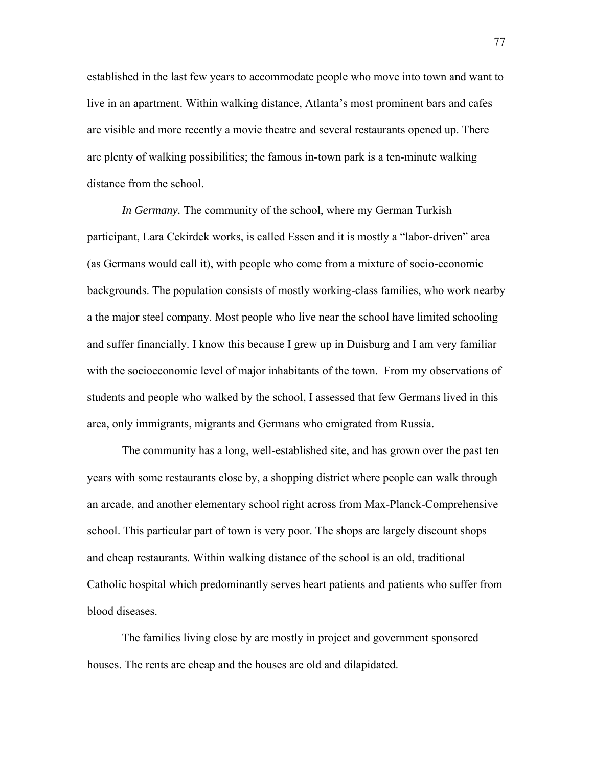established in the last few years to accommodate people who move into town and want to live in an apartment. Within walking distance, Atlanta's most prominent bars and cafes are visible and more recently a movie theatre and several restaurants opened up. There are plenty of walking possibilities; the famous in-town park is a ten-minute walking distance from the school.

*In Germany.* The community of the school, where my German Turkish participant, Lara Cekirdek works, is called Essen and it is mostly a "labor-driven" area (as Germans would call it), with people who come from a mixture of socio-economic backgrounds. The population consists of mostly working-class families, who work nearby a the major steel company. Most people who live near the school have limited schooling and suffer financially. I know this because I grew up in Duisburg and I am very familiar with the socioeconomic level of major inhabitants of the town. From my observations of students and people who walked by the school, I assessed that few Germans lived in this area, only immigrants, migrants and Germans who emigrated from Russia.

The community has a long, well-established site, and has grown over the past ten years with some restaurants close by, a shopping district where people can walk through an arcade, and another elementary school right across from Max-Planck-Comprehensive school. This particular part of town is very poor. The shops are largely discount shops and cheap restaurants. Within walking distance of the school is an old, traditional Catholic hospital which predominantly serves heart patients and patients who suffer from blood diseases.

The families living close by are mostly in project and government sponsored houses. The rents are cheap and the houses are old and dilapidated.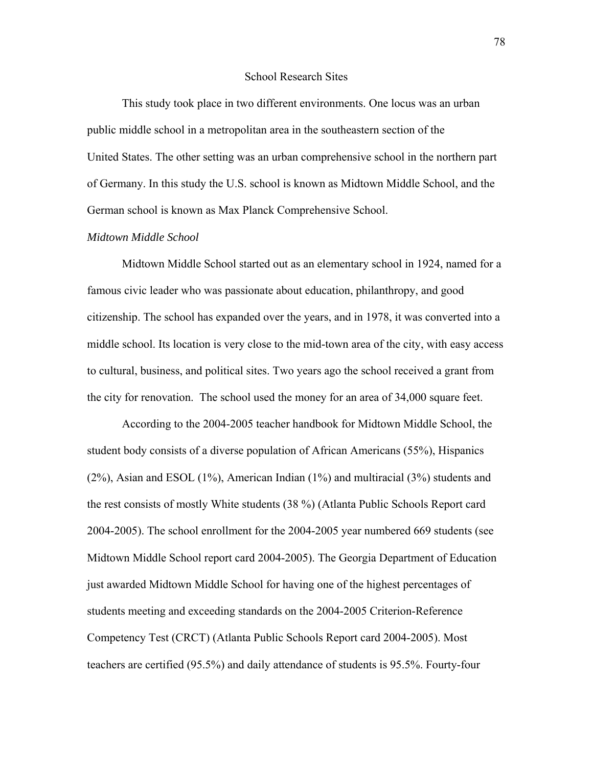#### School Research Sites

This study took place in two different environments. One locus was an urban public middle school in a metropolitan area in the southeastern section of the United States. The other setting was an urban comprehensive school in the northern part of Germany. In this study the U.S. school is known as Midtown Middle School, and the German school is known as Max Planck Comprehensive School.

### *Midtown Middle School*

Midtown Middle School started out as an elementary school in 1924, named for a famous civic leader who was passionate about education, philanthropy, and good citizenship. The school has expanded over the years, and in 1978, it was converted into a middle school. Its location is very close to the mid-town area of the city, with easy access to cultural, business, and political sites. Two years ago the school received a grant from the city for renovation. The school used the money for an area of 34,000 square feet.

According to the 2004-2005 teacher handbook for Midtown Middle School, the student body consists of a diverse population of African Americans (55%), Hispanics (2%), Asian and ESOL (1%), American Indian (1%) and multiracial (3%) students and the rest consists of mostly White students (38 %) (Atlanta Public Schools Report card 2004-2005). The school enrollment for the 2004-2005 year numbered 669 students (see Midtown Middle School report card 2004-2005). The Georgia Department of Education just awarded Midtown Middle School for having one of the highest percentages of students meeting and exceeding standards on the 2004-2005 Criterion-Reference Competency Test (CRCT) (Atlanta Public Schools Report card 2004-2005). Most teachers are certified (95.5%) and daily attendance of students is 95.5%. Fourty-four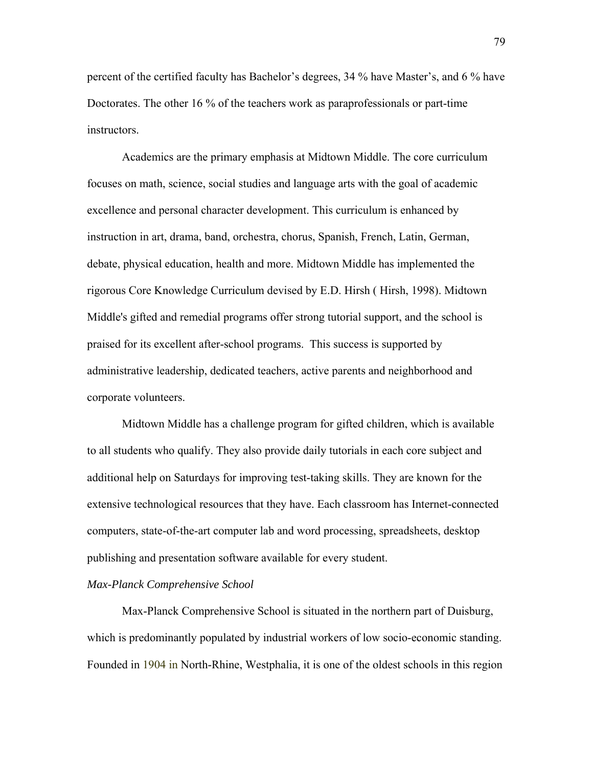percent of the certified faculty has Bachelor's degrees, 34 % have Master's, and 6 % have Doctorates. The other 16 % of the teachers work as paraprofessionals or part-time instructors.

Academics are the primary emphasis at Midtown Middle. The core curriculum focuses on math, science, social studies and language arts with the goal of academic excellence and personal character development. This curriculum is enhanced by instruction in art, drama, band, orchestra, chorus, Spanish, French, Latin, German, debate, physical education, health and more. Midtown Middle has implemented the rigorous Core Knowledge Curriculum devised by E.D. Hirsh ( Hirsh, 1998). Midtown Middle's gifted and remedial programs offer strong tutorial support, and the school is praised for its excellent after-school programs. This success is supported by administrative leadership, dedicated teachers, active parents and neighborhood and corporate volunteers.

Midtown Middle has a challenge program for gifted children, which is available to all students who qualify. They also provide daily tutorials in each core subject and additional help on Saturdays for improving test-taking skills. They are known for the extensive technological resources that they have. Each classroom has Internet-connected computers, state-of-the-art computer lab and word processing, spreadsheets, desktop publishing and presentation software available for every student.

### *Max-Planck Comprehensive School*

Max-Planck Comprehensive School is situated in the northern part of Duisburg, which is predominantly populated by industrial workers of low socio-economic standing. Founded in 1904 in North-Rhine, Westphalia, it is one of the oldest schools in this region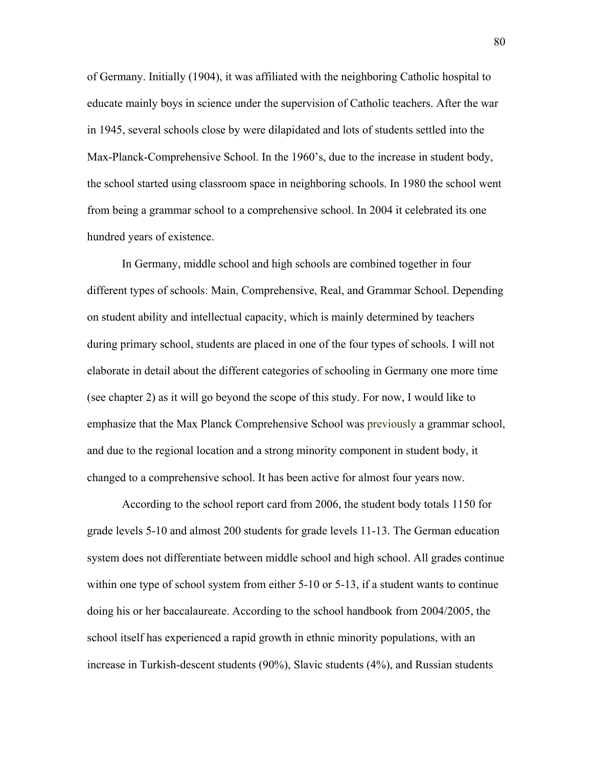of Germany. Initially (1904), it was affiliated with the neighboring Catholic hospital to educate mainly boys in science under the supervision of Catholic teachers. After the war in 1945, several schools close by were dilapidated and lots of students settled into the Max-Planck-Comprehensive School. In the 1960's, due to the increase in student body, the school started using classroom space in neighboring schools. In 1980 the school went from being a grammar school to a comprehensive school. In 2004 it celebrated its one hundred years of existence.

In Germany, middle school and high schools are combined together in four different types of schools: Main, Comprehensive, Real, and Grammar School. Depending on student ability and intellectual capacity, which is mainly determined by teachers during primary school, students are placed in one of the four types of schools. I will not elaborate in detail about the different categories of schooling in Germany one more time (see chapter 2) as it will go beyond the scope of this study. For now, I would like to emphasize that the Max Planck Comprehensive School was previously a grammar school, and due to the regional location and a strong minority component in student body, it changed to a comprehensive school. It has been active for almost four years now.

According to the school report card from 2006, the student body totals 1150 for grade levels 5-10 and almost 200 students for grade levels 11-13. The German education system does not differentiate between middle school and high school. All grades continue within one type of school system from either 5-10 or 5-13, if a student wants to continue doing his or her baccalaureate. According to the school handbook from 2004/2005, the school itself has experienced a rapid growth in ethnic minority populations, with an increase in Turkish-descent students (90%), Slavic students (4%), and Russian students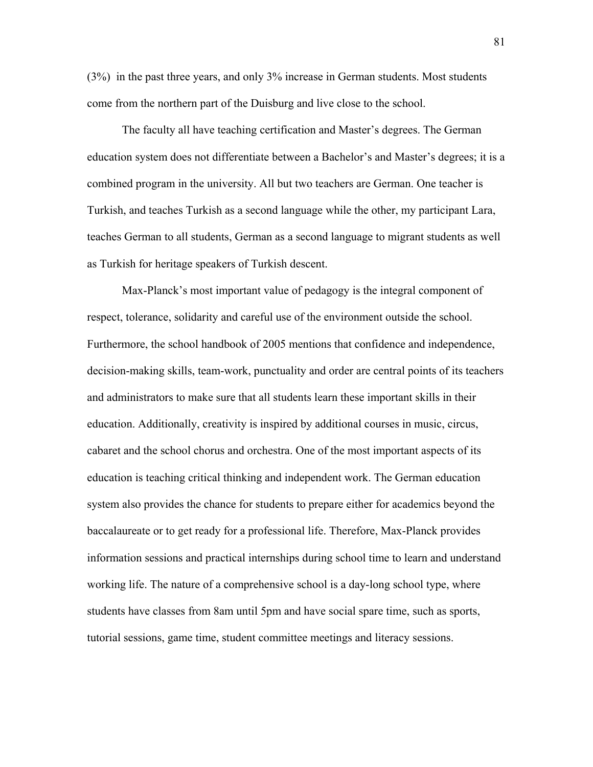(3%) in the past three years, and only 3% increase in German students. Most students come from the northern part of the Duisburg and live close to the school.

The faculty all have teaching certification and Master's degrees. The German education system does not differentiate between a Bachelor's and Master's degrees; it is a combined program in the university. All but two teachers are German. One teacher is Turkish, and teaches Turkish as a second language while the other, my participant Lara, teaches German to all students, German as a second language to migrant students as well as Turkish for heritage speakers of Turkish descent.

Max-Planck's most important value of pedagogy is the integral component of respect, tolerance, solidarity and careful use of the environment outside the school. Furthermore, the school handbook of 2005 mentions that confidence and independence, decision-making skills, team-work, punctuality and order are central points of its teachers and administrators to make sure that all students learn these important skills in their education. Additionally, creativity is inspired by additional courses in music, circus, cabaret and the school chorus and orchestra. One of the most important aspects of its education is teaching critical thinking and independent work. The German education system also provides the chance for students to prepare either for academics beyond the baccalaureate or to get ready for a professional life. Therefore, Max-Planck provides information sessions and practical internships during school time to learn and understand working life. The nature of a comprehensive school is a day-long school type, where students have classes from 8am until 5pm and have social spare time, such as sports, tutorial sessions, game time, student committee meetings and literacy sessions.

81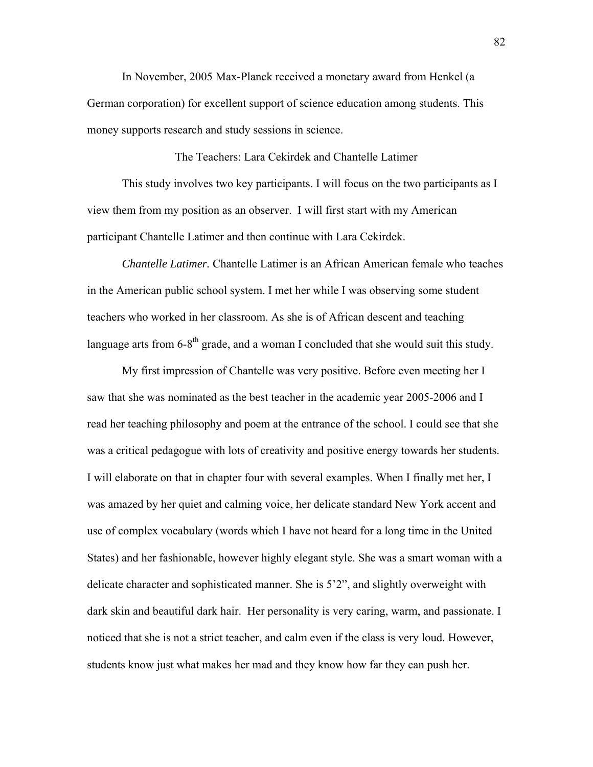In November, 2005 Max-Planck received a monetary award from Henkel (a German corporation) for excellent support of science education among students. This money supports research and study sessions in science.

This study involves two key participants. I will focus on the two participants as I view them from my position as an observer. I will first start with my American participant Chantelle Latimer and then continue with Lara Cekirdek.

The Teachers: Lara Cekirdek and Chantelle Latimer

*Chantelle Latimer.* Chantelle Latimer is an African American female who teaches in the American public school system. I met her while I was observing some student teachers who worked in her classroom. As she is of African descent and teaching language arts from  $6-8<sup>th</sup>$  grade, and a woman I concluded that she would suit this study.

My first impression of Chantelle was very positive. Before even meeting her I saw that she was nominated as the best teacher in the academic year 2005-2006 and I read her teaching philosophy and poem at the entrance of the school. I could see that she was a critical pedagogue with lots of creativity and positive energy towards her students. I will elaborate on that in chapter four with several examples. When I finally met her, I was amazed by her quiet and calming voice, her delicate standard New York accent and use of complex vocabulary (words which I have not heard for a long time in the United States) and her fashionable, however highly elegant style. She was a smart woman with a delicate character and sophisticated manner. She is 5'2", and slightly overweight with dark skin and beautiful dark hair. Her personality is very caring, warm, and passionate. I noticed that she is not a strict teacher, and calm even if the class is very loud. However, students know just what makes her mad and they know how far they can push her.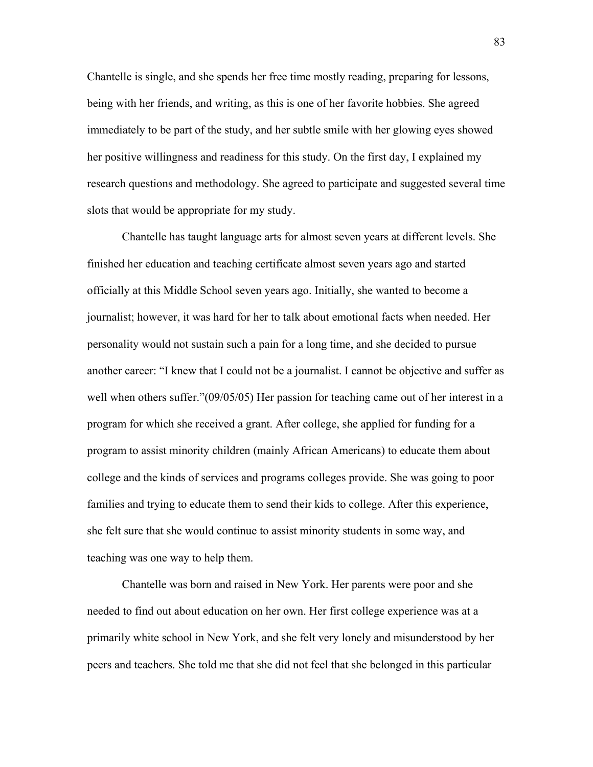Chantelle is single, and she spends her free time mostly reading, preparing for lessons, being with her friends, and writing, as this is one of her favorite hobbies. She agreed immediately to be part of the study, and her subtle smile with her glowing eyes showed her positive willingness and readiness for this study. On the first day, I explained my research questions and methodology. She agreed to participate and suggested several time slots that would be appropriate for my study.

Chantelle has taught language arts for almost seven years at different levels. She finished her education and teaching certificate almost seven years ago and started officially at this Middle School seven years ago. Initially, she wanted to become a journalist; however, it was hard for her to talk about emotional facts when needed. Her personality would not sustain such a pain for a long time, and she decided to pursue another career: "I knew that I could not be a journalist. I cannot be objective and suffer as well when others suffer."(09/05/05) Her passion for teaching came out of her interest in a program for which she received a grant. After college, she applied for funding for a program to assist minority children (mainly African Americans) to educate them about college and the kinds of services and programs colleges provide. She was going to poor families and trying to educate them to send their kids to college. After this experience, she felt sure that she would continue to assist minority students in some way, and teaching was one way to help them.

Chantelle was born and raised in New York. Her parents were poor and she needed to find out about education on her own. Her first college experience was at a primarily white school in New York, and she felt very lonely and misunderstood by her peers and teachers. She told me that she did not feel that she belonged in this particular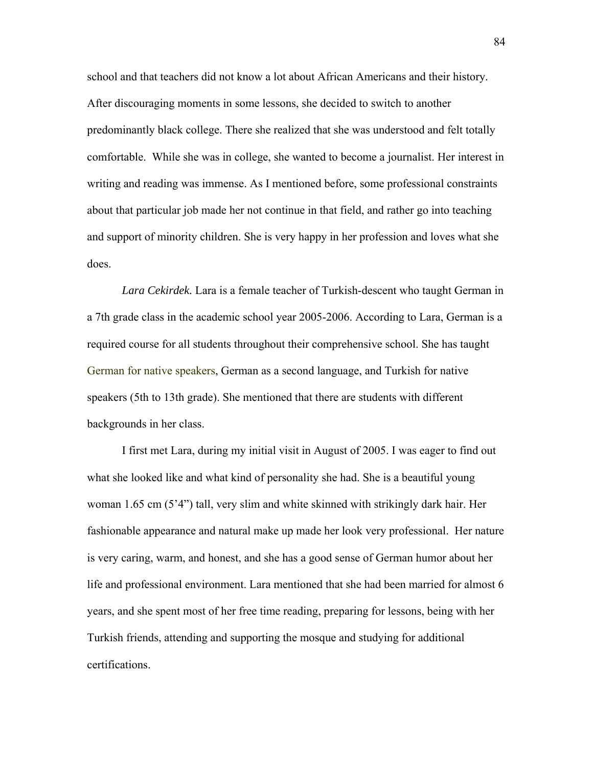school and that teachers did not know a lot about African Americans and their history. After discouraging moments in some lessons, she decided to switch to another predominantly black college. There she realized that she was understood and felt totally comfortable. While she was in college, she wanted to become a journalist. Her interest in writing and reading was immense. As I mentioned before, some professional constraints about that particular job made her not continue in that field, and rather go into teaching and support of minority children. She is very happy in her profession and loves what she does.

*Lara Cekirdek.* Lara is a female teacher of Turkish-descent who taught German in a 7th grade class in the academic school year 2005-2006. According to Lara, German is a required course for all students throughout their comprehensive school. She has taught German for native speakers, German as a second language, and Turkish for native speakers (5th to 13th grade). She mentioned that there are students with different backgrounds in her class.

I first met Lara, during my initial visit in August of 2005. I was eager to find out what she looked like and what kind of personality she had. She is a beautiful young woman 1.65 cm (5'4") tall, very slim and white skinned with strikingly dark hair. Her fashionable appearance and natural make up made her look very professional. Her nature is very caring, warm, and honest, and she has a good sense of German humor about her life and professional environment. Lara mentioned that she had been married for almost 6 years, and she spent most of her free time reading, preparing for lessons, being with her Turkish friends, attending and supporting the mosque and studying for additional certifications.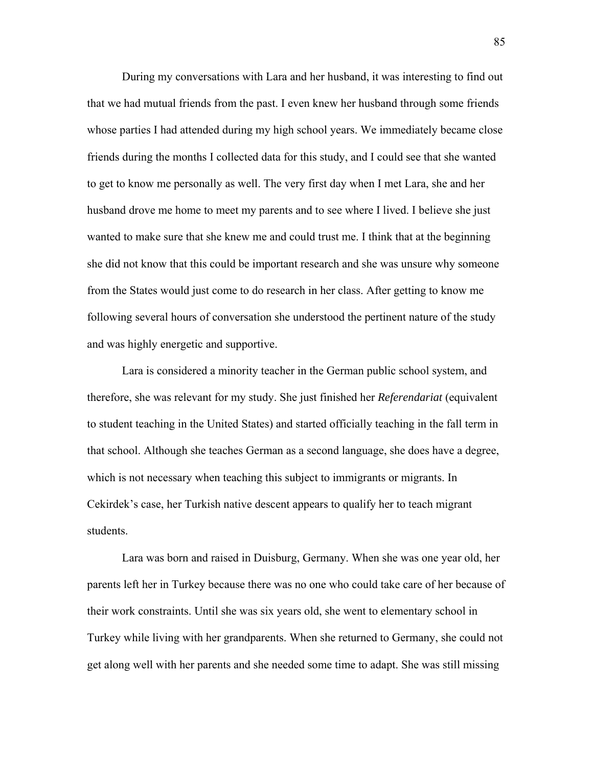During my conversations with Lara and her husband, it was interesting to find out that we had mutual friends from the past. I even knew her husband through some friends whose parties I had attended during my high school years. We immediately became close friends during the months I collected data for this study, and I could see that she wanted to get to know me personally as well. The very first day when I met Lara, she and her husband drove me home to meet my parents and to see where I lived. I believe she just wanted to make sure that she knew me and could trust me. I think that at the beginning she did not know that this could be important research and she was unsure why someone from the States would just come to do research in her class. After getting to know me following several hours of conversation she understood the pertinent nature of the study and was highly energetic and supportive.

Lara is considered a minority teacher in the German public school system, and therefore, she was relevant for my study. She just finished her *Referendariat* (equivalent to student teaching in the United States) and started officially teaching in the fall term in that school. Although she teaches German as a second language, she does have a degree, which is not necessary when teaching this subject to immigrants or migrants. In Cekirdek's case, her Turkish native descent appears to qualify her to teach migrant students.

Lara was born and raised in Duisburg, Germany. When she was one year old, her parents left her in Turkey because there was no one who could take care of her because of their work constraints. Until she was six years old, she went to elementary school in Turkey while living with her grandparents. When she returned to Germany, she could not get along well with her parents and she needed some time to adapt. She was still missing

85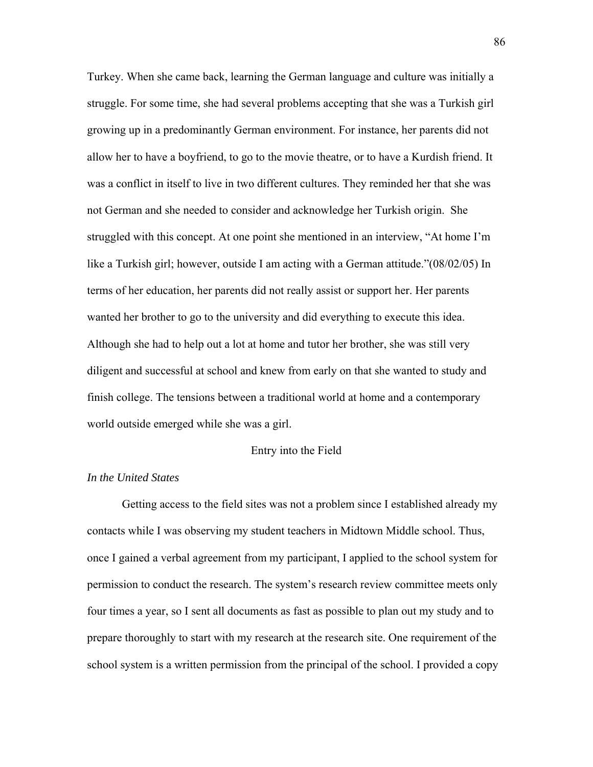Turkey. When she came back, learning the German language and culture was initially a struggle. For some time, she had several problems accepting that she was a Turkish girl growing up in a predominantly German environment. For instance, her parents did not allow her to have a boyfriend, to go to the movie theatre, or to have a Kurdish friend. It was a conflict in itself to live in two different cultures. They reminded her that she was not German and she needed to consider and acknowledge her Turkish origin. She struggled with this concept. At one point she mentioned in an interview, "At home I'm like a Turkish girl; however, outside I am acting with a German attitude."(08/02/05) In terms of her education, her parents did not really assist or support her. Her parents wanted her brother to go to the university and did everything to execute this idea. Although she had to help out a lot at home and tutor her brother, she was still very diligent and successful at school and knew from early on that she wanted to study and finish college. The tensions between a traditional world at home and a contemporary world outside emerged while she was a girl.

### Entry into the Field

## *In the United States*

Getting access to the field sites was not a problem since I established already my contacts while I was observing my student teachers in Midtown Middle school. Thus, once I gained a verbal agreement from my participant, I applied to the school system for permission to conduct the research. The system's research review committee meets only four times a year, so I sent all documents as fast as possible to plan out my study and to prepare thoroughly to start with my research at the research site. One requirement of the school system is a written permission from the principal of the school. I provided a copy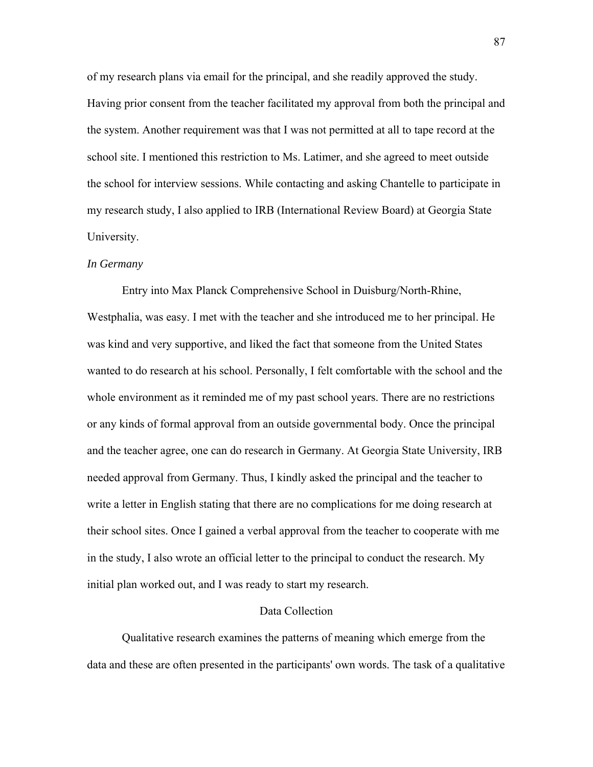of my research plans via email for the principal, and she readily approved the study. Having prior consent from the teacher facilitated my approval from both the principal and the system. Another requirement was that I was not permitted at all to tape record at the school site. I mentioned this restriction to Ms. Latimer, and she agreed to meet outside the school for interview sessions. While contacting and asking Chantelle to participate in my research study, I also applied to IRB (International Review Board) at Georgia State University.

## *In Germany*

Entry into Max Planck Comprehensive School in Duisburg/North-Rhine, Westphalia, was easy. I met with the teacher and she introduced me to her principal. He was kind and very supportive, and liked the fact that someone from the United States wanted to do research at his school. Personally, I felt comfortable with the school and the whole environment as it reminded me of my past school years. There are no restrictions or any kinds of formal approval from an outside governmental body. Once the principal and the teacher agree, one can do research in Germany. At Georgia State University, IRB needed approval from Germany. Thus, I kindly asked the principal and the teacher to write a letter in English stating that there are no complications for me doing research at their school sites. Once I gained a verbal approval from the teacher to cooperate with me in the study, I also wrote an official letter to the principal to conduct the research. My initial plan worked out, and I was ready to start my research.

#### Data Collection

Qualitative research examines the patterns of meaning which emerge from the data and these are often presented in the participants' own words. The task of a qualitative

87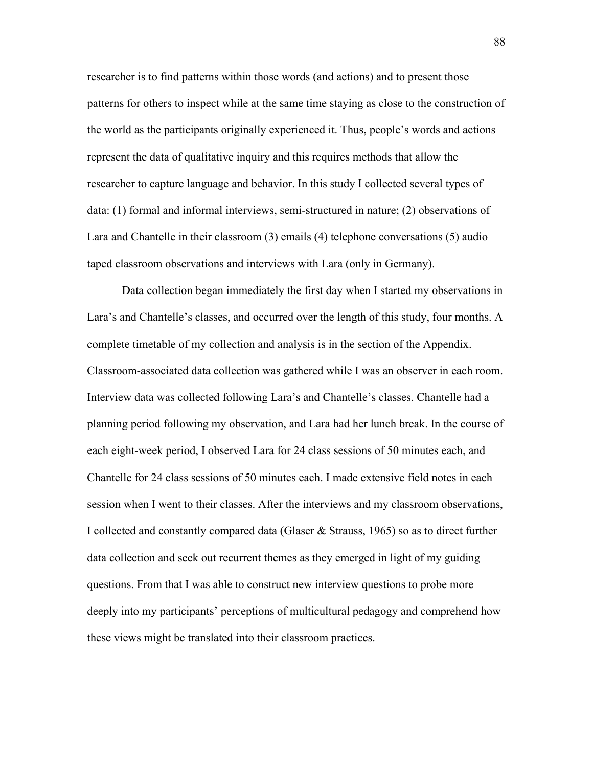researcher is to find patterns within those words (and actions) and to present those patterns for others to inspect while at the same time staying as close to the construction of the world as the participants originally experienced it. Thus, people's words and actions represent the data of qualitative inquiry and this requires methods that allow the researcher to capture language and behavior. In this study I collected several types of data: (1) formal and informal interviews, semi-structured in nature; (2) observations of Lara and Chantelle in their classroom (3) emails (4) telephone conversations (5) audio taped classroom observations and interviews with Lara (only in Germany).

Data collection began immediately the first day when I started my observations in Lara's and Chantelle's classes, and occurred over the length of this study, four months. A complete timetable of my collection and analysis is in the section of the Appendix. Classroom-associated data collection was gathered while I was an observer in each room. Interview data was collected following Lara's and Chantelle's classes. Chantelle had a planning period following my observation, and Lara had her lunch break. In the course of each eight-week period, I observed Lara for 24 class sessions of 50 minutes each, and Chantelle for 24 class sessions of 50 minutes each. I made extensive field notes in each session when I went to their classes. After the interviews and my classroom observations, I collected and constantly compared data (Glaser & Strauss, 1965) so as to direct further data collection and seek out recurrent themes as they emerged in light of my guiding questions. From that I was able to construct new interview questions to probe more deeply into my participants' perceptions of multicultural pedagogy and comprehend how these views might be translated into their classroom practices.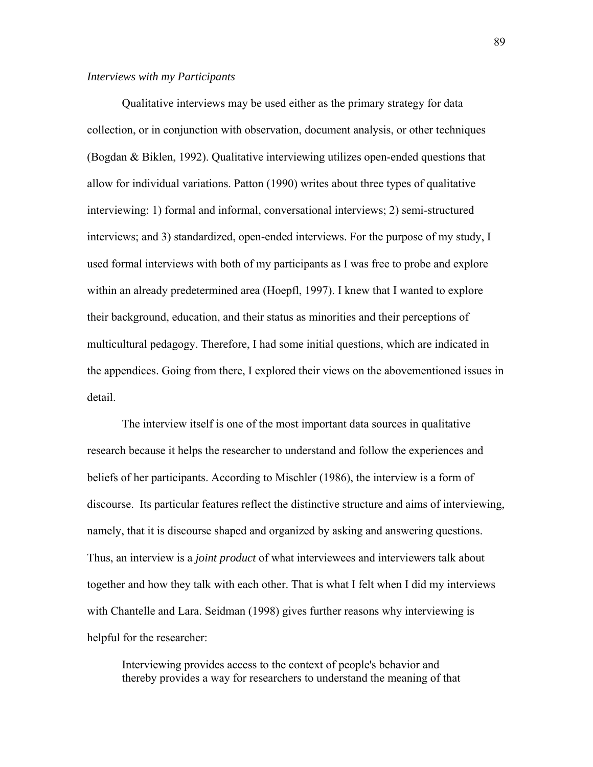#### *Interviews with my Participants*

Qualitative interviews may be used either as the primary strategy for data collection, or in conjunction with observation, document analysis, or other techniques (Bogdan & Biklen, 1992). Qualitative interviewing utilizes open-ended questions that allow for individual variations. Patton (1990) writes about three types of qualitative interviewing: 1) formal and informal, conversational interviews; 2) semi-structured interviews; and 3) standardized, open-ended interviews. For the purpose of my study, I used formal interviews with both of my participants as I was free to probe and explore within an already predetermined area (Hoepfl, 1997). I knew that I wanted to explore their background, education, and their status as minorities and their perceptions of multicultural pedagogy. Therefore, I had some initial questions, which are indicated in the appendices. Going from there, I explored their views on the abovementioned issues in detail.

The interview itself is one of the most important data sources in qualitative research because it helps the researcher to understand and follow the experiences and beliefs of her participants. According to Mischler (1986), the interview is a form of discourse. Its particular features reflect the distinctive structure and aims of interviewing, namely, that it is discourse shaped and organized by asking and answering questions. Thus, an interview is a *joint product* of what interviewees and interviewers talk about together and how they talk with each other. That is what I felt when I did my interviews with Chantelle and Lara. Seidman (1998) gives further reasons why interviewing is helpful for the researcher:

Interviewing provides access to the context of people's behavior and thereby provides a way for researchers to understand the meaning of that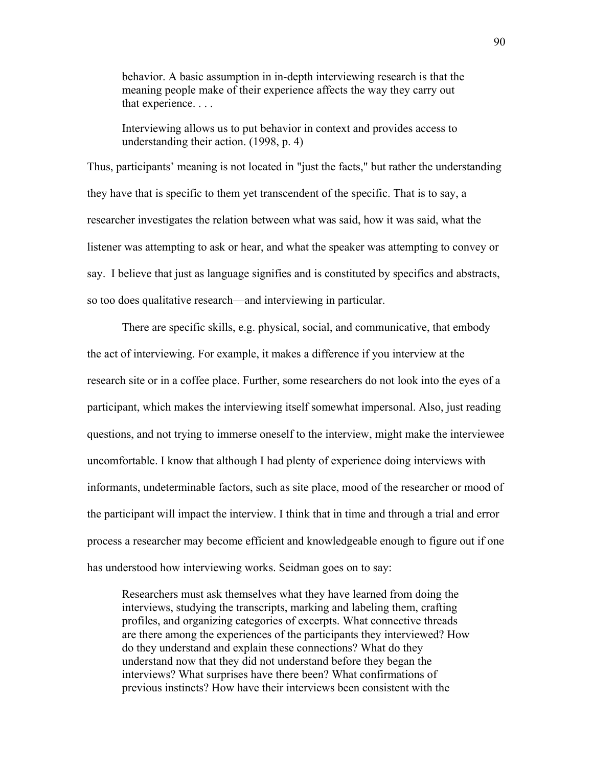behavior. A basic assumption in in-depth interviewing research is that the meaning people make of their experience affects the way they carry out that experience. . . .

Interviewing allows us to put behavior in context and provides access to understanding their action. (1998, p. 4)

Thus, participants' meaning is not located in "just the facts," but rather the understanding they have that is specific to them yet transcendent of the specific. That is to say, a researcher investigates the relation between what was said, how it was said, what the listener was attempting to ask or hear, and what the speaker was attempting to convey or say. I believe that just as language signifies and is constituted by specifics and abstracts, so too does qualitative research—and interviewing in particular.

There are specific skills, e.g. physical, social, and communicative, that embody the act of interviewing. For example, it makes a difference if you interview at the research site or in a coffee place. Further, some researchers do not look into the eyes of a participant, which makes the interviewing itself somewhat impersonal. Also, just reading questions, and not trying to immerse oneself to the interview, might make the interviewee uncomfortable. I know that although I had plenty of experience doing interviews with informants, undeterminable factors, such as site place, mood of the researcher or mood of the participant will impact the interview. I think that in time and through a trial and error process a researcher may become efficient and knowledgeable enough to figure out if one has understood how interviewing works. Seidman goes on to say:

Researchers must ask themselves what they have learned from doing the interviews, studying the transcripts, marking and labeling them, crafting profiles, and organizing categories of excerpts. What connective threads are there among the experiences of the participants they interviewed? How do they understand and explain these connections? What do they understand now that they did not understand before they began the interviews? What surprises have there been? What confirmations of previous instincts? How have their interviews been consistent with the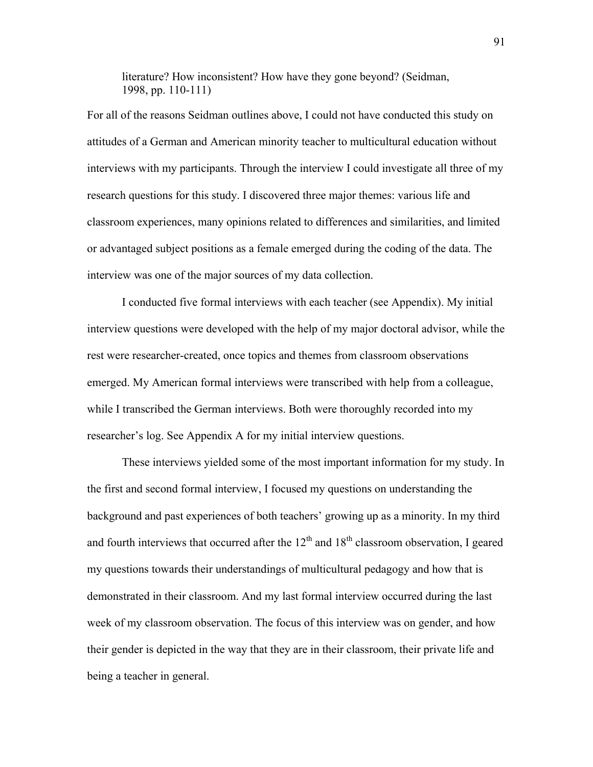literature? How inconsistent? How have they gone beyond? (Seidman, 1998, pp. 110-111)

For all of the reasons Seidman outlines above, I could not have conducted this study on attitudes of a German and American minority teacher to multicultural education without interviews with my participants. Through the interview I could investigate all three of my research questions for this study. I discovered three major themes: various life and classroom experiences, many opinions related to differences and similarities, and limited or advantaged subject positions as a female emerged during the coding of the data. The interview was one of the major sources of my data collection.

I conducted five formal interviews with each teacher (see Appendix). My initial interview questions were developed with the help of my major doctoral advisor, while the rest were researcher-created, once topics and themes from classroom observations emerged. My American formal interviews were transcribed with help from a colleague, while I transcribed the German interviews. Both were thoroughly recorded into my researcher's log. See Appendix A for my initial interview questions.

These interviews yielded some of the most important information for my study. In the first and second formal interview, I focused my questions on understanding the background and past experiences of both teachers' growing up as a minority. In my third and fourth interviews that occurred after the  $12<sup>th</sup>$  and  $18<sup>th</sup>$  classroom observation, I geared my questions towards their understandings of multicultural pedagogy and how that is demonstrated in their classroom. And my last formal interview occurred during the last week of my classroom observation. The focus of this interview was on gender, and how their gender is depicted in the way that they are in their classroom, their private life and being a teacher in general.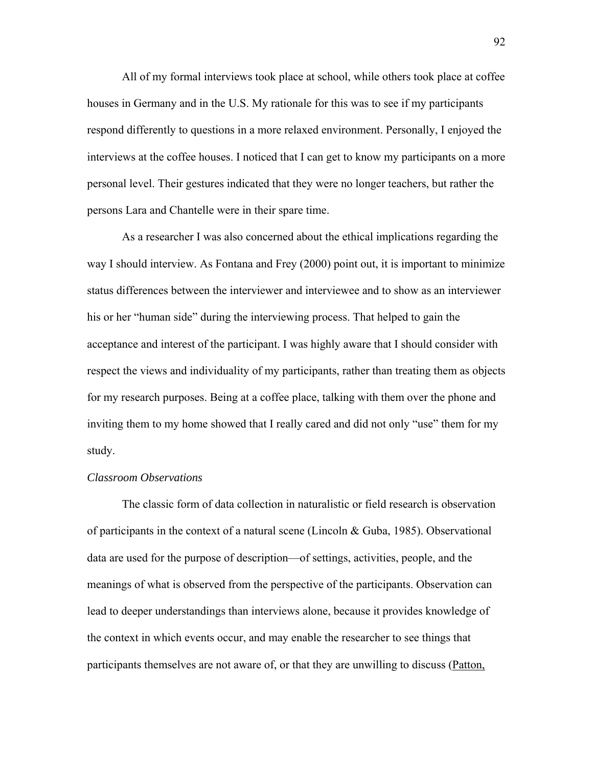All of my formal interviews took place at school, while others took place at coffee houses in Germany and in the U.S. My rationale for this was to see if my participants respond differently to questions in a more relaxed environment. Personally, I enjoyed the interviews at the coffee houses. I noticed that I can get to know my participants on a more personal level. Their gestures indicated that they were no longer teachers, but rather the persons Lara and Chantelle were in their spare time.

 As a researcher I was also concerned about the ethical implications regarding the way I should interview. As Fontana and Frey (2000) point out, it is important to minimize status differences between the interviewer and interviewee and to show as an interviewer his or her "human side" during the interviewing process. That helped to gain the acceptance and interest of the participant. I was highly aware that I should consider with respect the views and individuality of my participants, rather than treating them as objects for my research purposes. Being at a coffee place, talking with them over the phone and inviting them to my home showed that I really cared and did not only "use" them for my study.

## *Classroom Observations*

 The classic form of data collection in naturalistic or field research is observation of participants in the context of a natural scene (Lincoln  $& Guba, 1985)$ . Observational data are used for the purpose of description—of settings, activities, people, and the meanings of what is observed from the perspective of the participants. Observation can lead to deeper understandings than interviews alone, because it provides knowledge of the context in which events occur, and may enable the researcher to see things that participants themselves are not aware of, or that they are unwilling to discuss (Patton,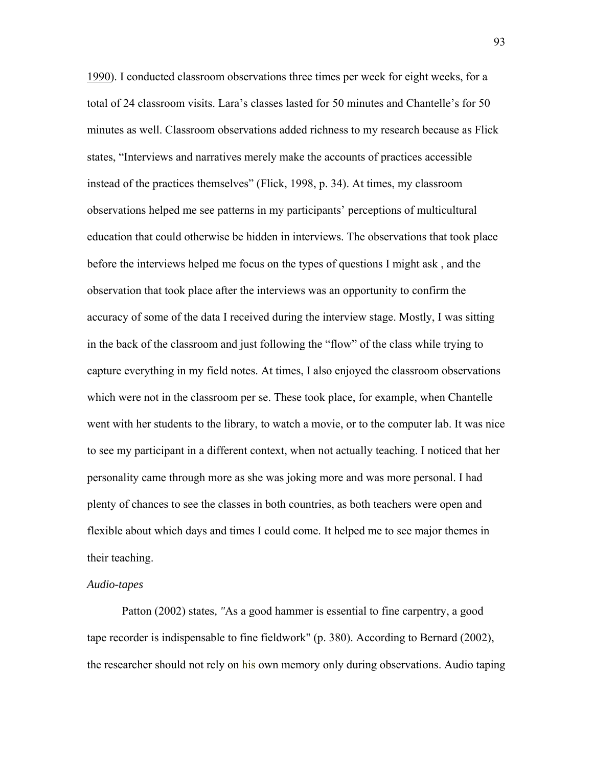1990). I conducted classroom observations three times per week for eight weeks, for a total of 24 classroom visits. Lara's classes lasted for 50 minutes and Chantelle's for 50 minutes as well. Classroom observations added richness to my research because as Flick states, "Interviews and narratives merely make the accounts of practices accessible instead of the practices themselves" (Flick, 1998, p. 34). At times, my classroom observations helped me see patterns in my participants' perceptions of multicultural education that could otherwise be hidden in interviews. The observations that took place before the interviews helped me focus on the types of questions I might ask , and the observation that took place after the interviews was an opportunity to confirm the accuracy of some of the data I received during the interview stage. Mostly, I was sitting in the back of the classroom and just following the "flow" of the class while trying to capture everything in my field notes. At times, I also enjoyed the classroom observations which were not in the classroom per se. These took place, for example, when Chantelle went with her students to the library, to watch a movie, or to the computer lab. It was nice to see my participant in a different context, when not actually teaching. I noticed that her personality came through more as she was joking more and was more personal. I had plenty of chances to see the classes in both countries, as both teachers were open and flexible about which days and times I could come. It helped me to see major themes in their teaching.

#### *Audio-tapes*

Patton (2002) states*, "*As a good hammer is essential to fine carpentry, a good tape recorder is indispensable to fine fieldwork" (p. 380). According to Bernard (2002), the researcher should not rely on his own memory only during observations. Audio taping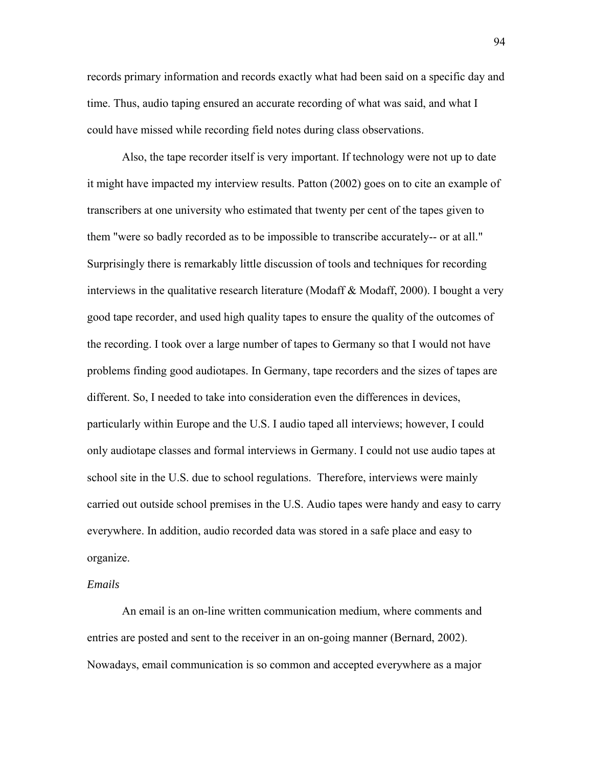records primary information and records exactly what had been said on a specific day and time. Thus, audio taping ensured an accurate recording of what was said, and what I could have missed while recording field notes during class observations.

Also, the tape recorder itself is very important. If technology were not up to date it might have impacted my interview results. Patton (2002) goes on to cite an example of transcribers at one university who estimated that twenty per cent of the tapes given to them "were so badly recorded as to be impossible to transcribe accurately-- or at all." Surprisingly there is remarkably little discussion of tools and techniques for recording interviews in the qualitative research literature (Modaff & Modaff, 2000). I bought a very good tape recorder, and used high quality tapes to ensure the quality of the outcomes of the recording. I took over a large number of tapes to Germany so that I would not have problems finding good audiotapes. In Germany, tape recorders and the sizes of tapes are different. So, I needed to take into consideration even the differences in devices, particularly within Europe and the U.S. I audio taped all interviews; however, I could only audiotape classes and formal interviews in Germany. I could not use audio tapes at school site in the U.S. due to school regulations. Therefore, interviews were mainly carried out outside school premises in the U.S. Audio tapes were handy and easy to carry everywhere. In addition, audio recorded data was stored in a safe place and easy to organize.

### *Emails*

An email is an on-line written communication medium, where comments and entries are posted and sent to the receiver in an on-going manner (Bernard, 2002). Nowadays, email communication is so common and accepted everywhere as a major 94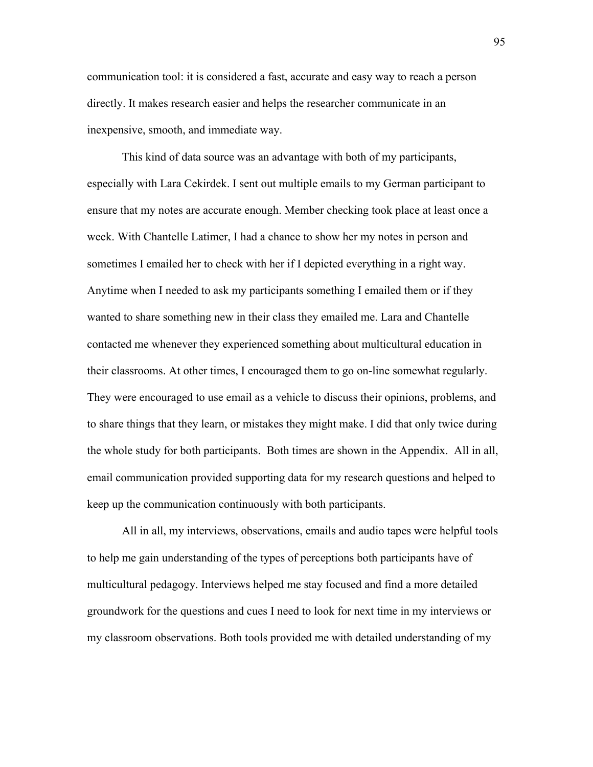communication tool: it is considered a fast, accurate and easy way to reach a person directly. It makes research easier and helps the researcher communicate in an inexpensive, smooth, and immediate way.

This kind of data source was an advantage with both of my participants, especially with Lara Cekirdek. I sent out multiple emails to my German participant to ensure that my notes are accurate enough. Member checking took place at least once a week. With Chantelle Latimer, I had a chance to show her my notes in person and sometimes I emailed her to check with her if I depicted everything in a right way. Anytime when I needed to ask my participants something I emailed them or if they wanted to share something new in their class they emailed me. Lara and Chantelle contacted me whenever they experienced something about multicultural education in their classrooms. At other times, I encouraged them to go on-line somewhat regularly. They were encouraged to use email as a vehicle to discuss their opinions, problems, and to share things that they learn, or mistakes they might make. I did that only twice during the whole study for both participants. Both times are shown in the Appendix. All in all, email communication provided supporting data for my research questions and helped to keep up the communication continuously with both participants.

All in all, my interviews, observations, emails and audio tapes were helpful tools to help me gain understanding of the types of perceptions both participants have of multicultural pedagogy. Interviews helped me stay focused and find a more detailed groundwork for the questions and cues I need to look for next time in my interviews or my classroom observations. Both tools provided me with detailed understanding of my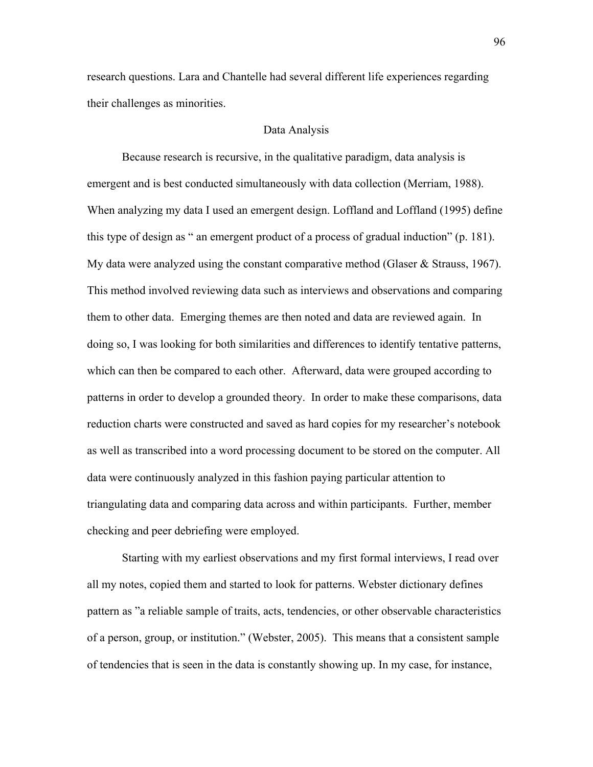research questions. Lara and Chantelle had several different life experiences regarding their challenges as minorities.

# Data Analysis

 Because research is recursive, in the qualitative paradigm, data analysis is emergent and is best conducted simultaneously with data collection (Merriam, 1988). When analyzing my data I used an emergent design. Loffland and Loffland (1995) define this type of design as " an emergent product of a process of gradual induction" (p. 181). My data were analyzed using the constant comparative method (Glaser  $\&$  Strauss, 1967). This method involved reviewing data such as interviews and observations and comparing them to other data. Emerging themes are then noted and data are reviewed again. In doing so, I was looking for both similarities and differences to identify tentative patterns, which can then be compared to each other. Afterward, data were grouped according to patterns in order to develop a grounded theory. In order to make these comparisons, data reduction charts were constructed and saved as hard copies for my researcher's notebook as well as transcribed into a word processing document to be stored on the computer. All data were continuously analyzed in this fashion paying particular attention to triangulating data and comparing data across and within participants. Further, member checking and peer debriefing were employed.

Starting with my earliest observations and my first formal interviews, I read over all my notes, copied them and started to look for patterns. Webster dictionary defines pattern as "a reliable sample of traits, acts, tendencies, or other observable characteristics of a person, group, or institution." (Webster, 2005). This means that a consistent sample of tendencies that is seen in the data is constantly showing up. In my case, for instance,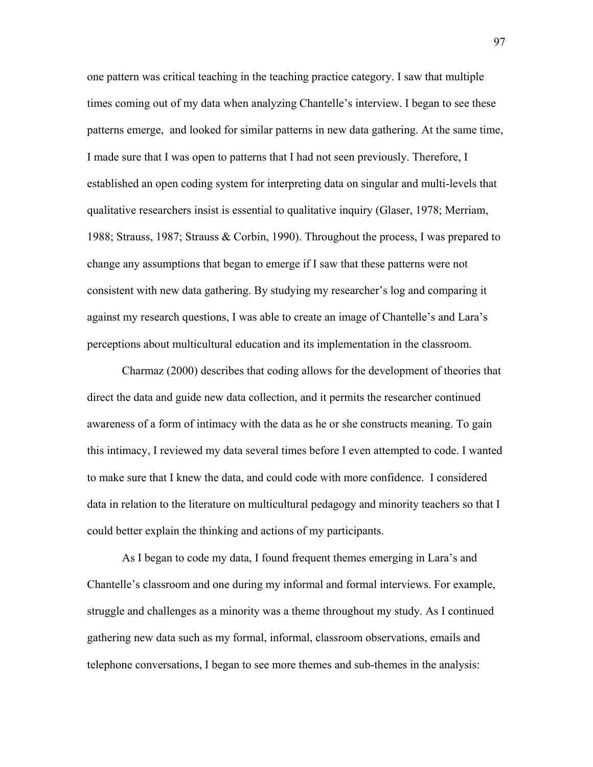one pattern was critical teaching in the teaching practice category. I saw that multiple times coming out of my data when analyzing Chantelle's interview. I began to see these patterns emerge, and looked for similar patterns in new data gathering. At the same time, I made sure that I was open to patterns that I had not seen previously. Therefore, I established an open coding system for interpreting data on singular and multi-levels that qualitative researchers insist is essential to qualitative inquiry (Glaser, 1978; Merriam, 1988; Strauss, 1987; Strauss & Corbin, 1990). Throughout the process, I was prepared to change any assumptions that began to emerge if I saw that these patterns were not consistent with new data gathering. By studying my researcher's log and comparing it against my research questions, I was able to create an image of Chantelle's and Lara's perceptions about multicultural education and its implementation in the classroom.

Charmaz (2000) describes that coding allows for the development of theories that direct the data and guide new data collection, and it permits the researcher continued awareness of a form of intimacy with the data as he or she constructs meaning. To gain this intimacy, I reviewed my data several times before I even attempted to code. I wanted to make sure that I knew the data, and could code with more confidence. I considered data in relation to the literature on multicultural pedagogy and minority teachers so that I could better explain the thinking and actions of my participants.

As I began to code my data, I found frequent themes emerging in Lara's and Chantelle's classroom and one during my informal and formal interviews. For example, struggle and challenges as a minority was a theme throughout my study. As I continued gathering new data such as my formal, informal, classroom observations, emails and telephone conversations, I began to see more themes and sub-themes in the analysis:

97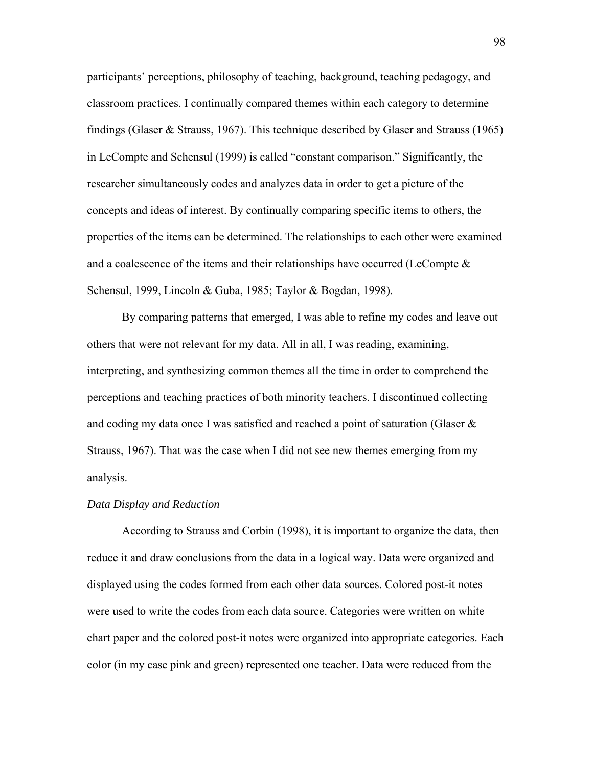participants' perceptions, philosophy of teaching, background, teaching pedagogy, and classroom practices. I continually compared themes within each category to determine findings (Glaser & Strauss, 1967). This technique described by Glaser and Strauss (1965) in LeCompte and Schensul (1999) is called "constant comparison." Significantly, the researcher simultaneously codes and analyzes data in order to get a picture of the concepts and ideas of interest. By continually comparing specific items to others, the properties of the items can be determined. The relationships to each other were examined and a coalescence of the items and their relationships have occurred (LeCompte  $\&$ Schensul, 1999, Lincoln & Guba, 1985; Taylor & Bogdan, 1998).

By comparing patterns that emerged, I was able to refine my codes and leave out others that were not relevant for my data. All in all, I was reading, examining, interpreting, and synthesizing common themes all the time in order to comprehend the perceptions and teaching practices of both minority teachers. I discontinued collecting and coding my data once I was satisfied and reached a point of saturation (Glaser & Strauss, 1967). That was the case when I did not see new themes emerging from my analysis.

## *Data Display and Reduction*

According to Strauss and Corbin (1998), it is important to organize the data, then reduce it and draw conclusions from the data in a logical way. Data were organized and displayed using the codes formed from each other data sources. Colored post-it notes were used to write the codes from each data source. Categories were written on white chart paper and the colored post-it notes were organized into appropriate categories. Each color (in my case pink and green) represented one teacher. Data were reduced from the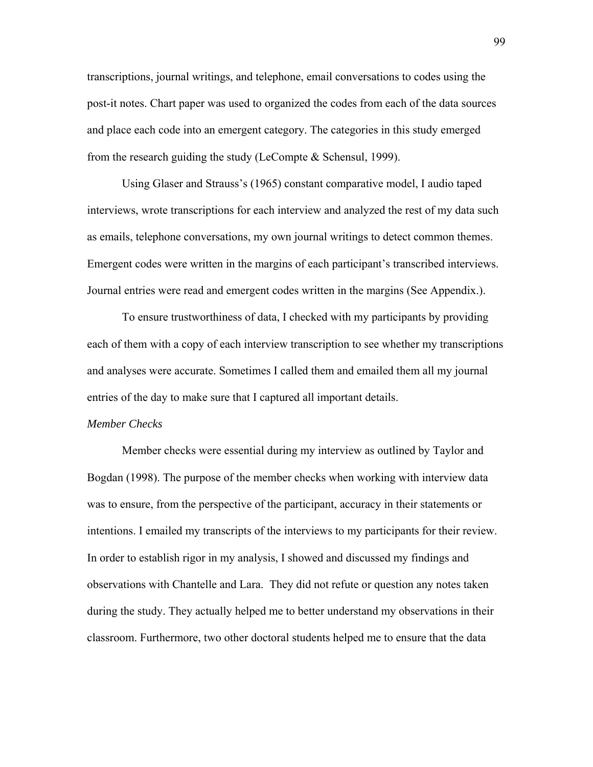transcriptions, journal writings, and telephone, email conversations to codes using the post-it notes. Chart paper was used to organized the codes from each of the data sources and place each code into an emergent category. The categories in this study emerged from the research guiding the study (LeCompte & Schensul, 1999).

Using Glaser and Strauss's (1965) constant comparative model, I audio taped interviews, wrote transcriptions for each interview and analyzed the rest of my data such as emails, telephone conversations, my own journal writings to detect common themes. Emergent codes were written in the margins of each participant's transcribed interviews. Journal entries were read and emergent codes written in the margins (See Appendix.).

To ensure trustworthiness of data, I checked with my participants by providing each of them with a copy of each interview transcription to see whether my transcriptions and analyses were accurate. Sometimes I called them and emailed them all my journal entries of the day to make sure that I captured all important details.

#### *Member Checks*

 Member checks were essential during my interview as outlined by Taylor and Bogdan (1998). The purpose of the member checks when working with interview data was to ensure, from the perspective of the participant, accuracy in their statements or intentions. I emailed my transcripts of the interviews to my participants for their review. In order to establish rigor in my analysis, I showed and discussed my findings and observations with Chantelle and Lara. They did not refute or question any notes taken during the study. They actually helped me to better understand my observations in their classroom. Furthermore, two other doctoral students helped me to ensure that the data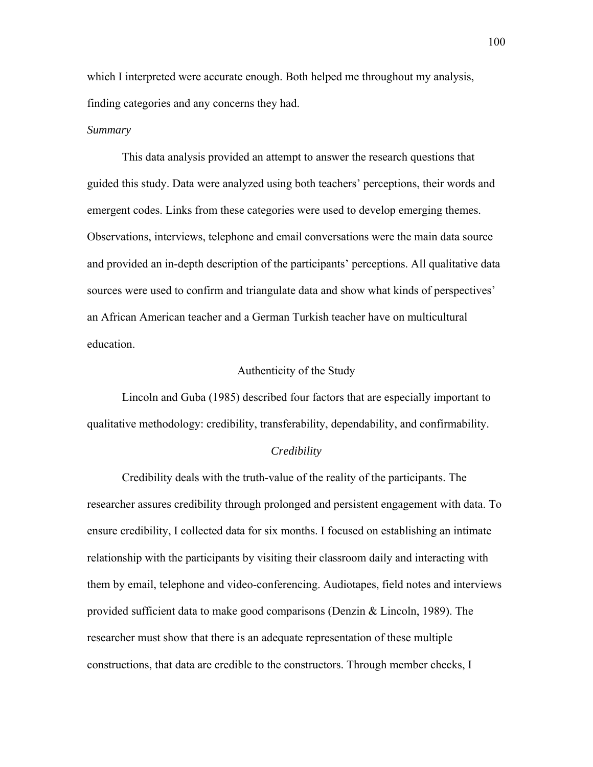which I interpreted were accurate enough. Both helped me throughout my analysis, finding categories and any concerns they had.

#### *Summary*

This data analysis provided an attempt to answer the research questions that guided this study. Data were analyzed using both teachers' perceptions, their words and emergent codes. Links from these categories were used to develop emerging themes. Observations, interviews, telephone and email conversations were the main data source and provided an in-depth description of the participants' perceptions. All qualitative data sources were used to confirm and triangulate data and show what kinds of perspectives' an African American teacher and a German Turkish teacher have on multicultural education.

## Authenticity of the Study

Lincoln and Guba (1985) described four factors that are especially important to qualitative methodology: credibility, transferability, dependability, and confirmability.

#### *Credibility*

Credibility deals with the truth-value of the reality of the participants. The researcher assures credibility through prolonged and persistent engagement with data. To ensure credibility, I collected data for six months. I focused on establishing an intimate relationship with the participants by visiting their classroom daily and interacting with them by email, telephone and video-conferencing. Audiotapes, field notes and interviews provided sufficient data to make good comparisons (Denzin & Lincoln, 1989). The researcher must show that there is an adequate representation of these multiple constructions, that data are credible to the constructors. Through member checks, I

100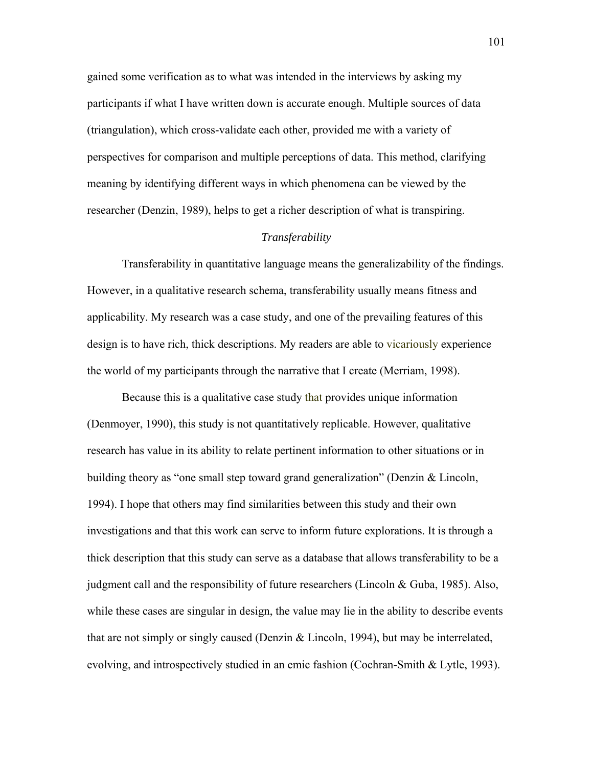gained some verification as to what was intended in the interviews by asking my participants if what I have written down is accurate enough. Multiple sources of data (triangulation), which cross-validate each other, provided me with a variety of perspectives for comparison and multiple perceptions of data. This method, clarifying meaning by identifying different ways in which phenomena can be viewed by the researcher (Denzin, 1989), helps to get a richer description of what is transpiring.

## *Transferability*

Transferability in quantitative language means the generalizability of the findings. However, in a qualitative research schema, transferability usually means fitness and applicability. My research was a case study, and one of the prevailing features of this design is to have rich, thick descriptions. My readers are able to vicariously experience the world of my participants through the narrative that I create (Merriam, 1998).

Because this is a qualitative case study that provides unique information (Denmoyer, 1990), this study is not quantitatively replicable. However, qualitative research has value in its ability to relate pertinent information to other situations or in building theory as "one small step toward grand generalization" (Denzin & Lincoln, 1994). I hope that others may find similarities between this study and their own investigations and that this work can serve to inform future explorations. It is through a thick description that this study can serve as a database that allows transferability to be a judgment call and the responsibility of future researchers (Lincoln & Guba, 1985). Also, while these cases are singular in design, the value may lie in the ability to describe events that are not simply or singly caused (Denzin & Lincoln, 1994), but may be interrelated, evolving, and introspectively studied in an emic fashion (Cochran-Smith & Lytle, 1993).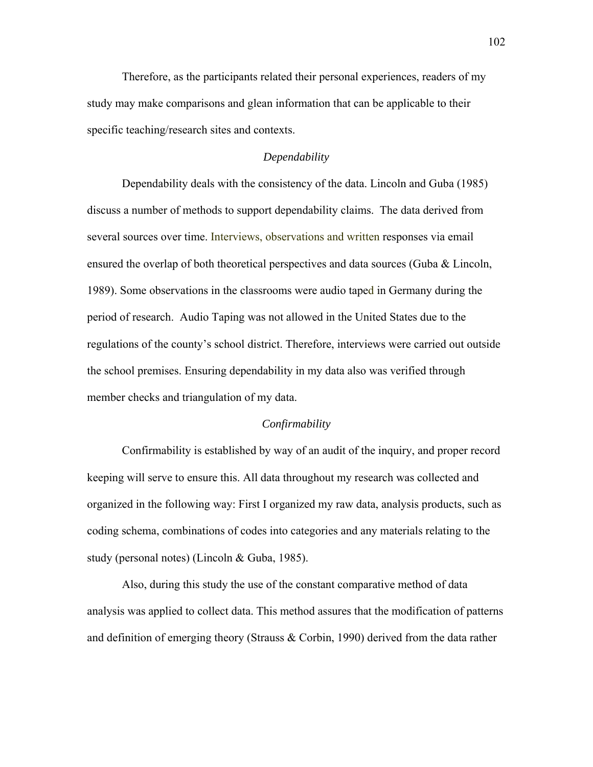Therefore, as the participants related their personal experiences, readers of my study may make comparisons and glean information that can be applicable to their specific teaching/research sites and contexts.

# *Dependability*

Dependability deals with the consistency of the data. Lincoln and Guba (1985) discuss a number of methods to support dependability claims. The data derived from several sources over time. Interviews, observations and written responses via email ensured the overlap of both theoretical perspectives and data sources (Guba & Lincoln, 1989). Some observations in the classrooms were audio taped in Germany during the period of research. Audio Taping was not allowed in the United States due to the regulations of the county's school district. Therefore, interviews were carried out outside the school premises. Ensuring dependability in my data also was verified through member checks and triangulation of my data.

#### *Confirmability*

Confirmability is established by way of an audit of the inquiry, and proper record keeping will serve to ensure this. All data throughout my research was collected and organized in the following way: First I organized my raw data, analysis products, such as coding schema, combinations of codes into categories and any materials relating to the study (personal notes) (Lincoln & Guba, 1985).

Also, during this study the use of the constant comparative method of data analysis was applied to collect data. This method assures that the modification of patterns and definition of emerging theory (Strauss & Corbin, 1990) derived from the data rather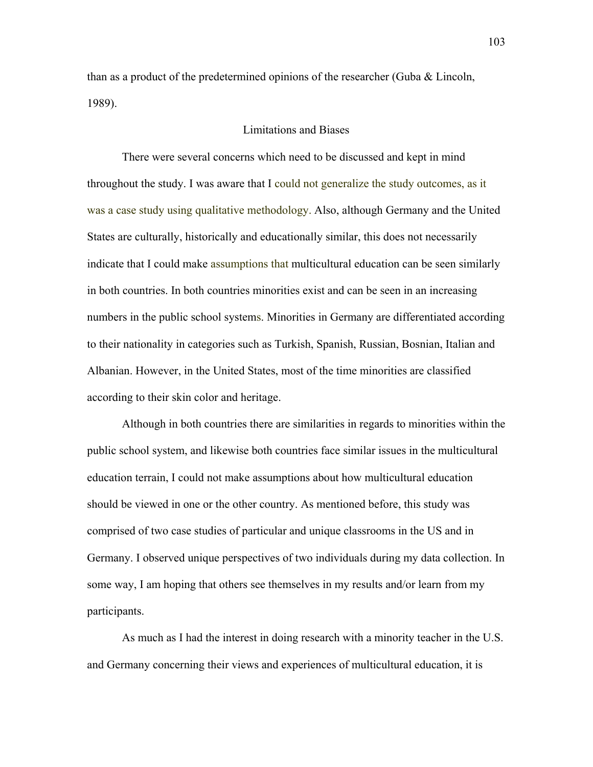than as a product of the predetermined opinions of the researcher (Guba & Lincoln, 1989).

# Limitations and Biases

There were several concerns which need to be discussed and kept in mind throughout the study. I was aware that I could not generalize the study outcomes, as it was a case study using qualitative methodology. Also, although Germany and the United States are culturally, historically and educationally similar, this does not necessarily indicate that I could make assumptions that multicultural education can be seen similarly in both countries. In both countries minorities exist and can be seen in an increasing numbers in the public school systems. Minorities in Germany are differentiated according to their nationality in categories such as Turkish, Spanish, Russian, Bosnian, Italian and Albanian. However, in the United States, most of the time minorities are classified according to their skin color and heritage.

Although in both countries there are similarities in regards to minorities within the public school system, and likewise both countries face similar issues in the multicultural education terrain, I could not make assumptions about how multicultural education should be viewed in one or the other country. As mentioned before, this study was comprised of two case studies of particular and unique classrooms in the US and in Germany. I observed unique perspectives of two individuals during my data collection. In some way, I am hoping that others see themselves in my results and/or learn from my participants.

As much as I had the interest in doing research with a minority teacher in the U.S. and Germany concerning their views and experiences of multicultural education, it is

103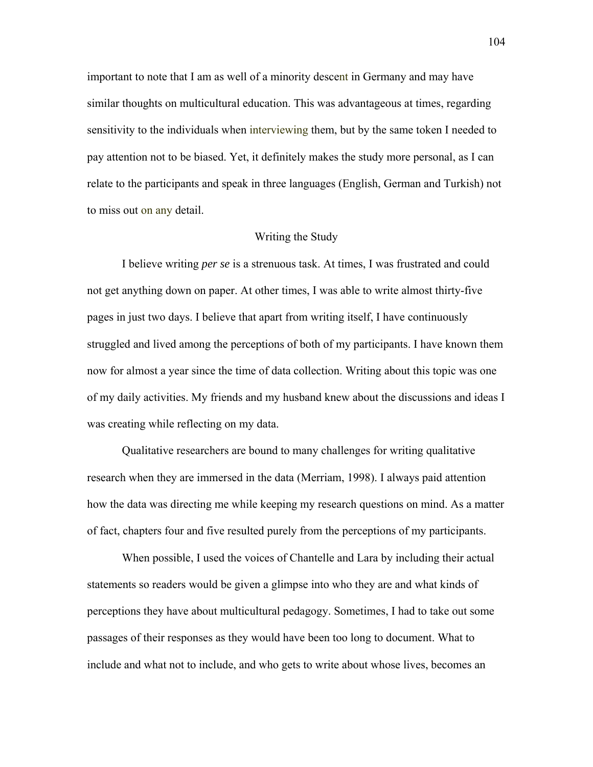important to note that I am as well of a minority descent in Germany and may have similar thoughts on multicultural education. This was advantageous at times, regarding sensitivity to the individuals when interviewing them, but by the same token I needed to pay attention not to be biased. Yet, it definitely makes the study more personal, as I can relate to the participants and speak in three languages (English, German and Turkish) not to miss out on any detail.

#### Writing the Study

I believe writing *per se* is a strenuous task. At times, I was frustrated and could not get anything down on paper. At other times, I was able to write almost thirty-five pages in just two days. I believe that apart from writing itself, I have continuously struggled and lived among the perceptions of both of my participants. I have known them now for almost a year since the time of data collection. Writing about this topic was one of my daily activities. My friends and my husband knew about the discussions and ideas I was creating while reflecting on my data.

 Qualitative researchers are bound to many challenges for writing qualitative research when they are immersed in the data (Merriam, 1998). I always paid attention how the data was directing me while keeping my research questions on mind. As a matter of fact, chapters four and five resulted purely from the perceptions of my participants.

 When possible, I used the voices of Chantelle and Lara by including their actual statements so readers would be given a glimpse into who they are and what kinds of perceptions they have about multicultural pedagogy. Sometimes, I had to take out some passages of their responses as they would have been too long to document. What to include and what not to include, and who gets to write about whose lives, becomes an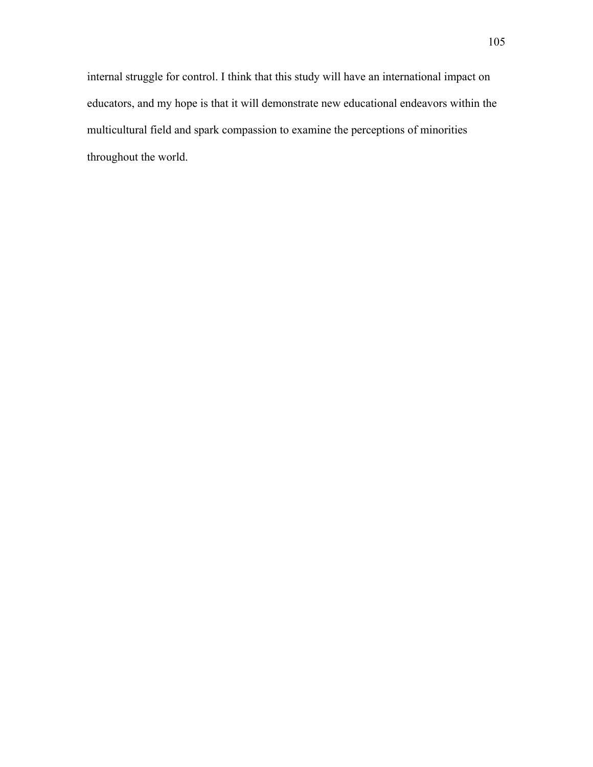internal struggle for control. I think that this study will have an international impact on educators, and my hope is that it will demonstrate new educational endeavors within the multicultural field and spark compassion to examine the perceptions of minorities throughout the world.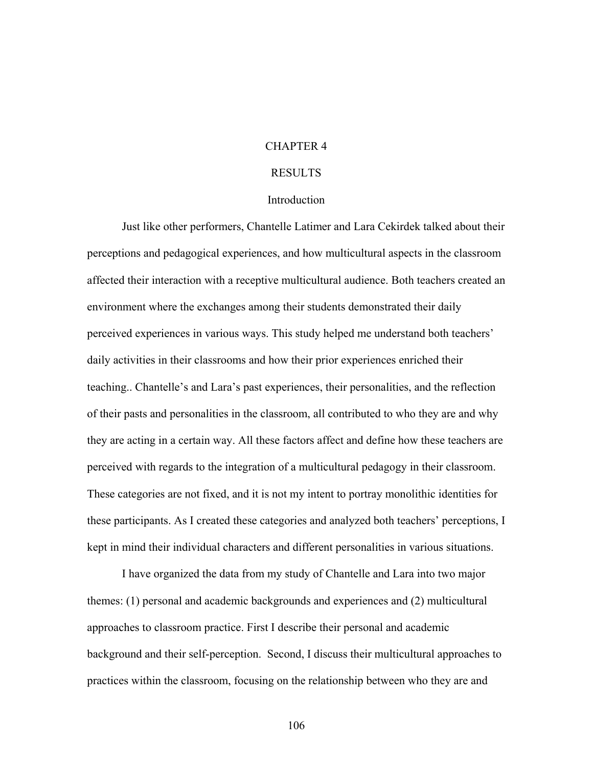# CHAPTER 4

# RESULTS

### **Introduction**

Just like other performers, Chantelle Latimer and Lara Cekirdek talked about their perceptions and pedagogical experiences, and how multicultural aspects in the classroom affected their interaction with a receptive multicultural audience. Both teachers created an environment where the exchanges among their students demonstrated their daily perceived experiences in various ways. This study helped me understand both teachers' daily activities in their classrooms and how their prior experiences enriched their teaching.. Chantelle's and Lara's past experiences, their personalities, and the reflection of their pasts and personalities in the classroom, all contributed to who they are and why they are acting in a certain way. All these factors affect and define how these teachers are perceived with regards to the integration of a multicultural pedagogy in their classroom. These categories are not fixed, and it is not my intent to portray monolithic identities for these participants. As I created these categories and analyzed both teachers' perceptions, I kept in mind their individual characters and different personalities in various situations.

I have organized the data from my study of Chantelle and Lara into two major themes: (1) personal and academic backgrounds and experiences and (2) multicultural approaches to classroom practice. First I describe their personal and academic background and their self-perception. Second, I discuss their multicultural approaches to practices within the classroom, focusing on the relationship between who they are and

106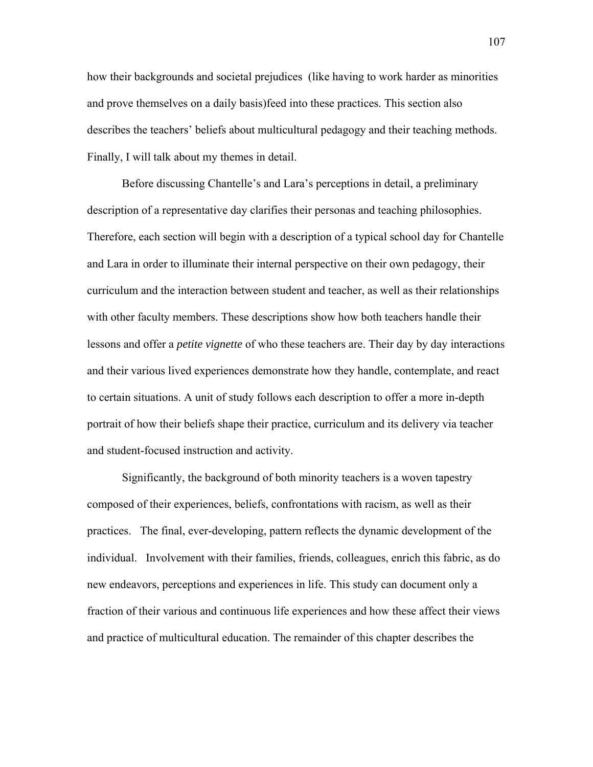how their backgrounds and societal prejudices (like having to work harder as minorities and prove themselves on a daily basis)feed into these practices. This section also describes the teachers' beliefs about multicultural pedagogy and their teaching methods. Finally, I will talk about my themes in detail.

 Before discussing Chantelle's and Lara's perceptions in detail, a preliminary description of a representative day clarifies their personas and teaching philosophies. Therefore, each section will begin with a description of a typical school day for Chantelle and Lara in order to illuminate their internal perspective on their own pedagogy, their curriculum and the interaction between student and teacher, as well as their relationships with other faculty members. These descriptions show how both teachers handle their lessons and offer a *petite vignette* of who these teachers are. Their day by day interactions and their various lived experiences demonstrate how they handle, contemplate, and react to certain situations. A unit of study follows each description to offer a more in-depth portrait of how their beliefs shape their practice, curriculum and its delivery via teacher and student-focused instruction and activity.

Significantly, the background of both minority teachers is a woven tapestry composed of their experiences, beliefs, confrontations with racism, as well as their practices. The final, ever-developing, pattern reflects the dynamic development of the individual. Involvement with their families, friends, colleagues, enrich this fabric, as do new endeavors, perceptions and experiences in life. This study can document only a fraction of their various and continuous life experiences and how these affect their views and practice of multicultural education. The remainder of this chapter describes the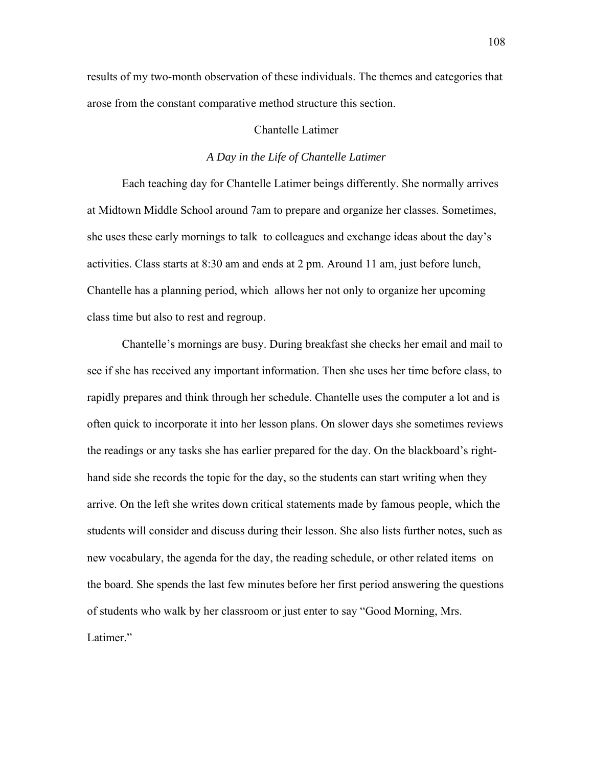results of my two-month observation of these individuals. The themes and categories that arose from the constant comparative method structure this section.

# Chantelle Latimer

## *A Day in the Life of Chantelle Latimer*

Each teaching day for Chantelle Latimer beings differently. She normally arrives at Midtown Middle School around 7am to prepare and organize her classes. Sometimes, she uses these early mornings to talk to colleagues and exchange ideas about the day's activities. Class starts at 8:30 am and ends at 2 pm. Around 11 am, just before lunch, Chantelle has a planning period, which allows her not only to organize her upcoming class time but also to rest and regroup.

 Chantelle's mornings are busy. During breakfast she checks her email and mail to see if she has received any important information. Then she uses her time before class, to rapidly prepares and think through her schedule. Chantelle uses the computer a lot and is often quick to incorporate it into her lesson plans. On slower days she sometimes reviews the readings or any tasks she has earlier prepared for the day. On the blackboard's righthand side she records the topic for the day, so the students can start writing when they arrive. On the left she writes down critical statements made by famous people, which the students will consider and discuss during their lesson. She also lists further notes, such as new vocabulary, the agenda for the day, the reading schedule, or other related items on the board. She spends the last few minutes before her first period answering the questions of students who walk by her classroom or just enter to say "Good Morning, Mrs. Latimer."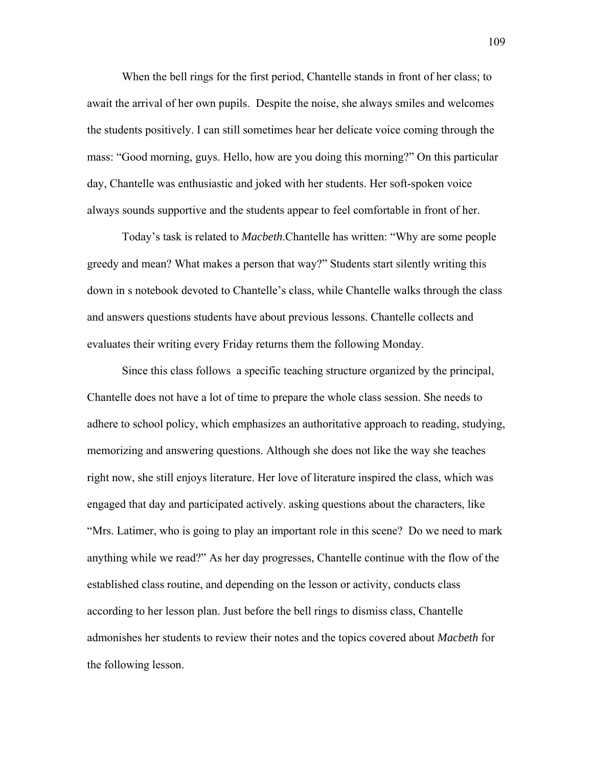When the bell rings for the first period, Chantelle stands in front of her class; to await the arrival of her own pupils. Despite the noise, she always smiles and welcomes the students positively. I can still sometimes hear her delicate voice coming through the mass: "Good morning, guys. Hello, how are you doing this morning?" On this particular day, Chantelle was enthusiastic and joked with her students. Her soft-spoken voice always sounds supportive and the students appear to feel comfortable in front of her.

Today's task is related to *Macbeth*.Chantelle has written: "Why are some people greedy and mean? What makes a person that way?" Students start silently writing this down in s notebook devoted to Chantelle's class, while Chantelle walks through the class and answers questions students have about previous lessons. Chantelle collects and evaluates their writing every Friday returns them the following Monday.

 Since this class follows a specific teaching structure organized by the principal, Chantelle does not have a lot of time to prepare the whole class session. She needs to adhere to school policy, which emphasizes an authoritative approach to reading, studying, memorizing and answering questions. Although she does not like the way she teaches right now, she still enjoys literature. Her love of literature inspired the class, which was engaged that day and participated actively. asking questions about the characters, like "Mrs. Latimer, who is going to play an important role in this scene? Do we need to mark anything while we read?" As her day progresses, Chantelle continue with the flow of the established class routine, and depending on the lesson or activity, conducts class according to her lesson plan. Just before the bell rings to dismiss class, Chantelle admonishes her students to review their notes and the topics covered about *Macbeth* for the following lesson.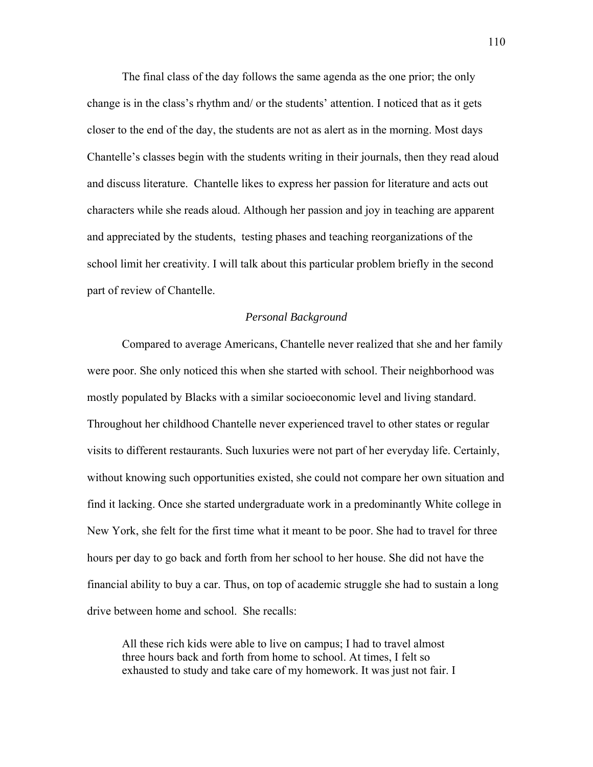The final class of the day follows the same agenda as the one prior; the only change is in the class's rhythm and/ or the students' attention. I noticed that as it gets closer to the end of the day, the students are not as alert as in the morning. Most days Chantelle's classes begin with the students writing in their journals, then they read aloud and discuss literature. Chantelle likes to express her passion for literature and acts out characters while she reads aloud. Although her passion and joy in teaching are apparent and appreciated by the students, testing phases and teaching reorganizations of the school limit her creativity. I will talk about this particular problem briefly in the second part of review of Chantelle.

### *Personal Background*

Compared to average Americans, Chantelle never realized that she and her family were poor. She only noticed this when she started with school. Their neighborhood was mostly populated by Blacks with a similar socioeconomic level and living standard. Throughout her childhood Chantelle never experienced travel to other states or regular visits to different restaurants. Such luxuries were not part of her everyday life. Certainly, without knowing such opportunities existed, she could not compare her own situation and find it lacking. Once she started undergraduate work in a predominantly White college in New York, she felt for the first time what it meant to be poor. She had to travel for three hours per day to go back and forth from her school to her house. She did not have the financial ability to buy a car. Thus, on top of academic struggle she had to sustain a long drive between home and school. She recalls:

All these rich kids were able to live on campus; I had to travel almost three hours back and forth from home to school. At times, I felt so exhausted to study and take care of my homework. It was just not fair. I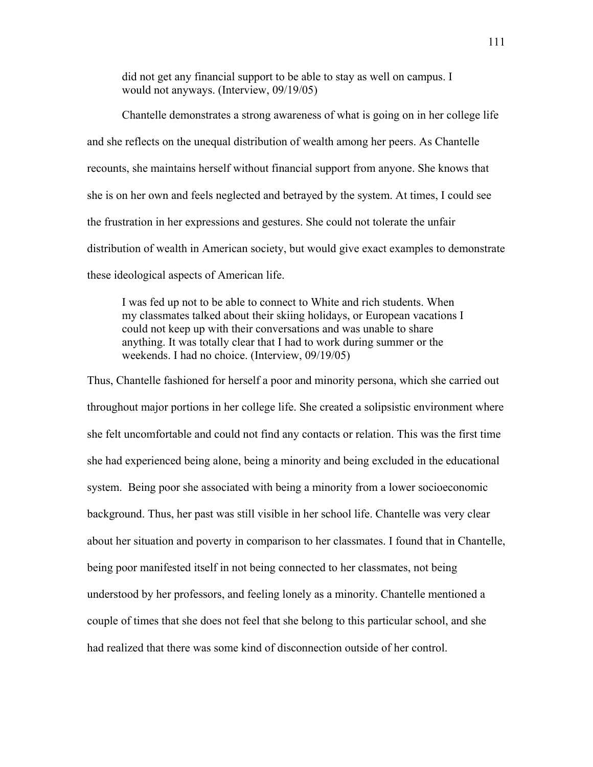did not get any financial support to be able to stay as well on campus. I would not anyways. (Interview, 09/19/05)

Chantelle demonstrates a strong awareness of what is going on in her college life and she reflects on the unequal distribution of wealth among her peers. As Chantelle recounts, she maintains herself without financial support from anyone. She knows that she is on her own and feels neglected and betrayed by the system. At times, I could see the frustration in her expressions and gestures. She could not tolerate the unfair distribution of wealth in American society, but would give exact examples to demonstrate these ideological aspects of American life.

I was fed up not to be able to connect to White and rich students. When my classmates talked about their skiing holidays, or European vacations I could not keep up with their conversations and was unable to share anything. It was totally clear that I had to work during summer or the weekends. I had no choice. (Interview, 09/19/05)

Thus, Chantelle fashioned for herself a poor and minority persona, which she carried out throughout major portions in her college life. She created a solipsistic environment where she felt uncomfortable and could not find any contacts or relation. This was the first time she had experienced being alone, being a minority and being excluded in the educational system. Being poor she associated with being a minority from a lower socioeconomic background. Thus, her past was still visible in her school life. Chantelle was very clear about her situation and poverty in comparison to her classmates. I found that in Chantelle, being poor manifested itself in not being connected to her classmates, not being understood by her professors, and feeling lonely as a minority. Chantelle mentioned a couple of times that she does not feel that she belong to this particular school, and she had realized that there was some kind of disconnection outside of her control.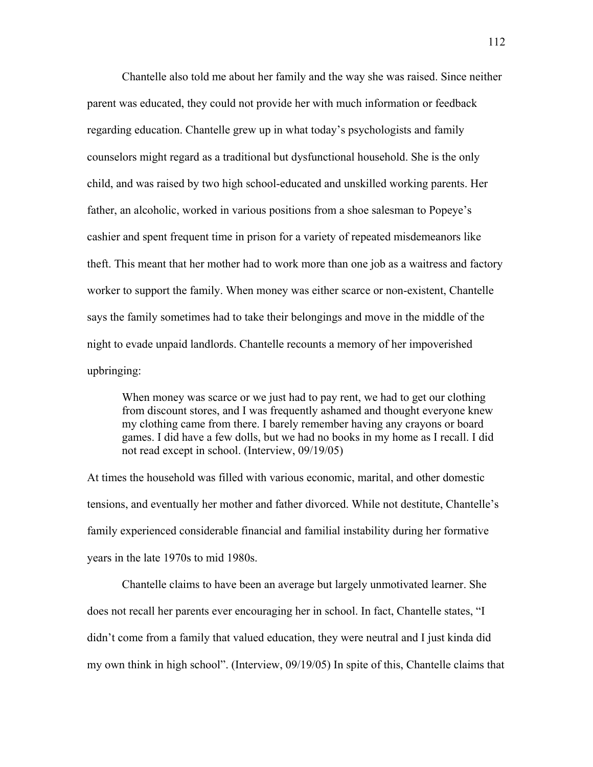Chantelle also told me about her family and the way she was raised. Since neither parent was educated, they could not provide her with much information or feedback regarding education. Chantelle grew up in what today's psychologists and family counselors might regard as a traditional but dysfunctional household. She is the only child, and was raised by two high school-educated and unskilled working parents. Her father, an alcoholic, worked in various positions from a shoe salesman to Popeye's cashier and spent frequent time in prison for a variety of repeated misdemeanors like theft. This meant that her mother had to work more than one job as a waitress and factory worker to support the family. When money was either scarce or non-existent, Chantelle says the family sometimes had to take their belongings and move in the middle of the night to evade unpaid landlords. Chantelle recounts a memory of her impoverished upbringing:

When money was scarce or we just had to pay rent, we had to get our clothing from discount stores, and I was frequently ashamed and thought everyone knew my clothing came from there. I barely remember having any crayons or board games. I did have a few dolls, but we had no books in my home as I recall. I did not read except in school. (Interview, 09/19/05)

At times the household was filled with various economic, marital, and other domestic tensions, and eventually her mother and father divorced. While not destitute, Chantelle's family experienced considerable financial and familial instability during her formative years in the late 1970s to mid 1980s.

 Chantelle claims to have been an average but largely unmotivated learner. She does not recall her parents ever encouraging her in school. In fact, Chantelle states, "I didn't come from a family that valued education, they were neutral and I just kinda did my own think in high school". (Interview, 09/19/05) In spite of this, Chantelle claims that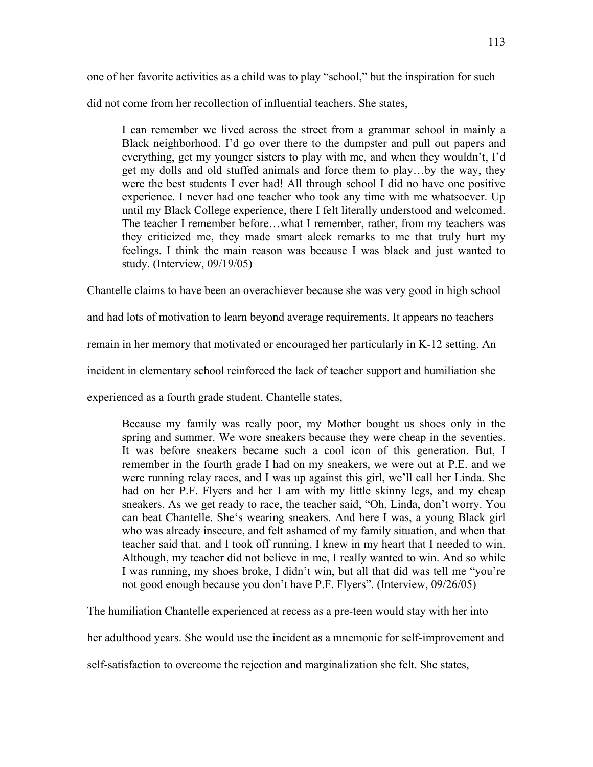one of her favorite activities as a child was to play "school," but the inspiration for such

did not come from her recollection of influential teachers. She states,

I can remember we lived across the street from a grammar school in mainly a Black neighborhood. I'd go over there to the dumpster and pull out papers and everything, get my younger sisters to play with me, and when they wouldn't, I'd get my dolls and old stuffed animals and force them to play…by the way, they were the best students I ever had! All through school I did no have one positive experience. I never had one teacher who took any time with me whatsoever. Up until my Black College experience, there I felt literally understood and welcomed. The teacher I remember before…what I remember, rather, from my teachers was they criticized me, they made smart aleck remarks to me that truly hurt my feelings. I think the main reason was because I was black and just wanted to study. (Interview, 09/19/05)

Chantelle claims to have been an overachiever because she was very good in high school

and had lots of motivation to learn beyond average requirements. It appears no teachers

remain in her memory that motivated or encouraged her particularly in K-12 setting. An

incident in elementary school reinforced the lack of teacher support and humiliation she

experienced as a fourth grade student. Chantelle states,

Because my family was really poor, my Mother bought us shoes only in the spring and summer. We wore sneakers because they were cheap in the seventies. It was before sneakers became such a cool icon of this generation. But, I remember in the fourth grade I had on my sneakers, we were out at P.E. and we were running relay races, and I was up against this girl, we'll call her Linda. She had on her P.F. Flyers and her I am with my little skinny legs, and my cheap sneakers. As we get ready to race, the teacher said, "Oh, Linda, don't worry. You can beat Chantelle. She's wearing sneakers. And here I was, a young Black girl who was already insecure, and felt ashamed of my family situation, and when that teacher said that. and I took off running, I knew in my heart that I needed to win. Although, my teacher did not believe in me, I really wanted to win. And so while I was running, my shoes broke, I didn't win, but all that did was tell me "you're not good enough because you don't have P.F. Flyers". (Interview, 09/26/05)

The humiliation Chantelle experienced at recess as a pre-teen would stay with her into

her adulthood years. She would use the incident as a mnemonic for self-improvement and

self-satisfaction to overcome the rejection and marginalization she felt. She states,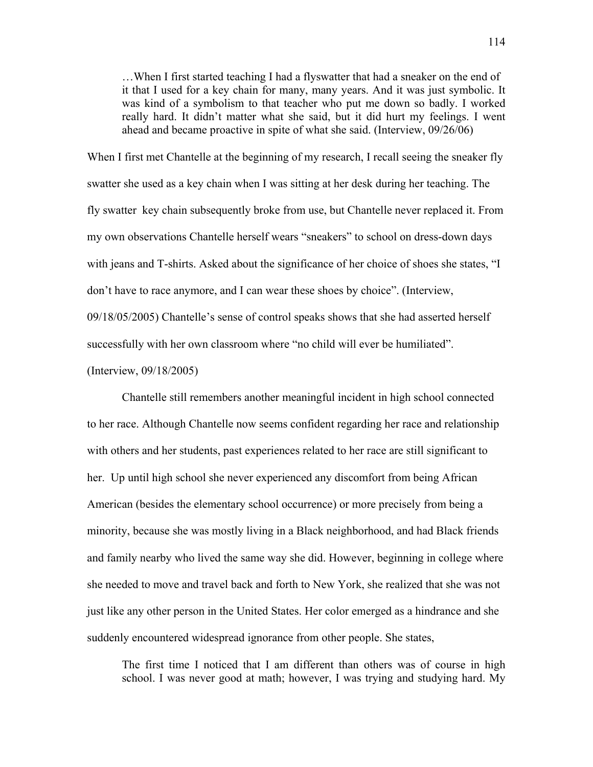…When I first started teaching I had a flyswatter that had a sneaker on the end of it that I used for a key chain for many, many years. And it was just symbolic. It was kind of a symbolism to that teacher who put me down so badly. I worked really hard. It didn't matter what she said, but it did hurt my feelings. I went ahead and became proactive in spite of what she said. (Interview, 09/26/06)

When I first met Chantelle at the beginning of my research, I recall seeing the sneaker fly swatter she used as a key chain when I was sitting at her desk during her teaching. The fly swatter key chain subsequently broke from use, but Chantelle never replaced it. From my own observations Chantelle herself wears "sneakers" to school on dress-down days with jeans and T-shirts. Asked about the significance of her choice of shoes she states, "I don't have to race anymore, and I can wear these shoes by choice". (Interview, 09/18/05/2005) Chantelle's sense of control speaks shows that she had asserted herself successfully with her own classroom where "no child will ever be humiliated".

(Interview, 09/18/2005)

 Chantelle still remembers another meaningful incident in high school connected to her race. Although Chantelle now seems confident regarding her race and relationship with others and her students, past experiences related to her race are still significant to her. Up until high school she never experienced any discomfort from being African American (besides the elementary school occurrence) or more precisely from being a minority, because she was mostly living in a Black neighborhood, and had Black friends and family nearby who lived the same way she did. However, beginning in college where she needed to move and travel back and forth to New York, she realized that she was not just like any other person in the United States. Her color emerged as a hindrance and she suddenly encountered widespread ignorance from other people. She states,

The first time I noticed that I am different than others was of course in high school. I was never good at math; however, I was trying and studying hard. My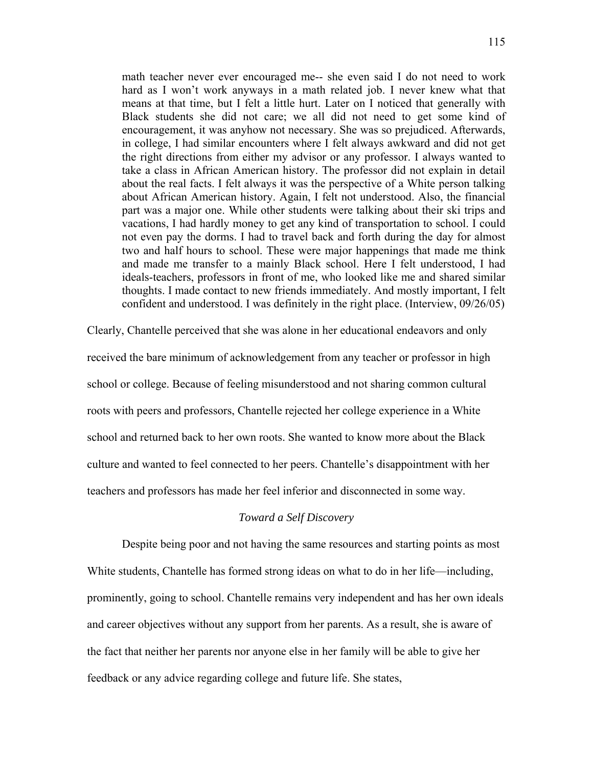math teacher never ever encouraged me-- she even said I do not need to work hard as I won't work anyways in a math related job. I never knew what that means at that time, but I felt a little hurt. Later on I noticed that generally with Black students she did not care; we all did not need to get some kind of encouragement, it was anyhow not necessary. She was so prejudiced. Afterwards, in college, I had similar encounters where I felt always awkward and did not get the right directions from either my advisor or any professor. I always wanted to take a class in African American history. The professor did not explain in detail about the real facts. I felt always it was the perspective of a White person talking about African American history. Again, I felt not understood. Also, the financial part was a major one. While other students were talking about their ski trips and vacations, I had hardly money to get any kind of transportation to school. I could not even pay the dorms. I had to travel back and forth during the day for almost two and half hours to school. These were major happenings that made me think and made me transfer to a mainly Black school. Here I felt understood, I had ideals-teachers, professors in front of me, who looked like me and shared similar thoughts. I made contact to new friends immediately. And mostly important, I felt confident and understood. I was definitely in the right place. (Interview, 09/26/05)

Clearly, Chantelle perceived that she was alone in her educational endeavors and only received the bare minimum of acknowledgement from any teacher or professor in high school or college. Because of feeling misunderstood and not sharing common cultural roots with peers and professors, Chantelle rejected her college experience in a White school and returned back to her own roots. She wanted to know more about the Black culture and wanted to feel connected to her peers. Chantelle's disappointment with her teachers and professors has made her feel inferior and disconnected in some way.

# *Toward a Self Discovery*

Despite being poor and not having the same resources and starting points as most White students, Chantelle has formed strong ideas on what to do in her life—including, prominently, going to school. Chantelle remains very independent and has her own ideals and career objectives without any support from her parents. As a result, she is aware of the fact that neither her parents nor anyone else in her family will be able to give her feedback or any advice regarding college and future life. She states,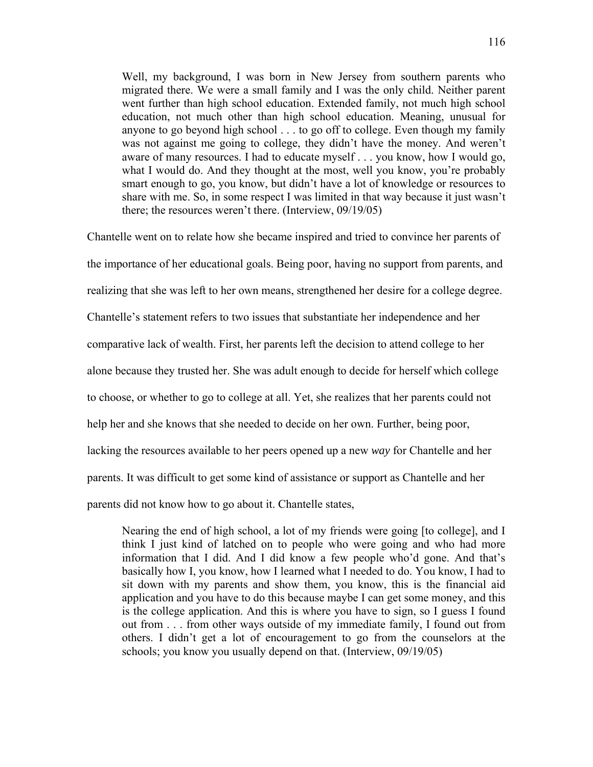Well, my background, I was born in New Jersey from southern parents who migrated there. We were a small family and I was the only child. Neither parent went further than high school education. Extended family, not much high school education, not much other than high school education. Meaning, unusual for anyone to go beyond high school . . . to go off to college. Even though my family was not against me going to college, they didn't have the money. And weren't aware of many resources. I had to educate myself . . . you know, how I would go, what I would do. And they thought at the most, well you know, you're probably smart enough to go, you know, but didn't have a lot of knowledge or resources to share with me. So, in some respect I was limited in that way because it just wasn't there; the resources weren't there. (Interview, 09/19/05)

Chantelle went on to relate how she became inspired and tried to convince her parents of the importance of her educational goals. Being poor, having no support from parents, and realizing that she was left to her own means, strengthened her desire for a college degree. Chantelle's statement refers to two issues that substantiate her independence and her comparative lack of wealth. First, her parents left the decision to attend college to her alone because they trusted her. She was adult enough to decide for herself which college to choose, or whether to go to college at all. Yet, she realizes that her parents could not help her and she knows that she needed to decide on her own. Further, being poor, lacking the resources available to her peers opened up a new *way* for Chantelle and her parents. It was difficult to get some kind of assistance or support as Chantelle and her parents did not know how to go about it. Chantelle states,

Nearing the end of high school, a lot of my friends were going [to college], and I think I just kind of latched on to people who were going and who had more information that I did. And I did know a few people who'd gone. And that's basically how I, you know, how I learned what I needed to do. You know, I had to sit down with my parents and show them, you know, this is the financial aid application and you have to do this because maybe I can get some money, and this is the college application. And this is where you have to sign, so I guess I found out from . . . from other ways outside of my immediate family, I found out from others. I didn't get a lot of encouragement to go from the counselors at the schools; you know you usually depend on that. (Interview, 09/19/05)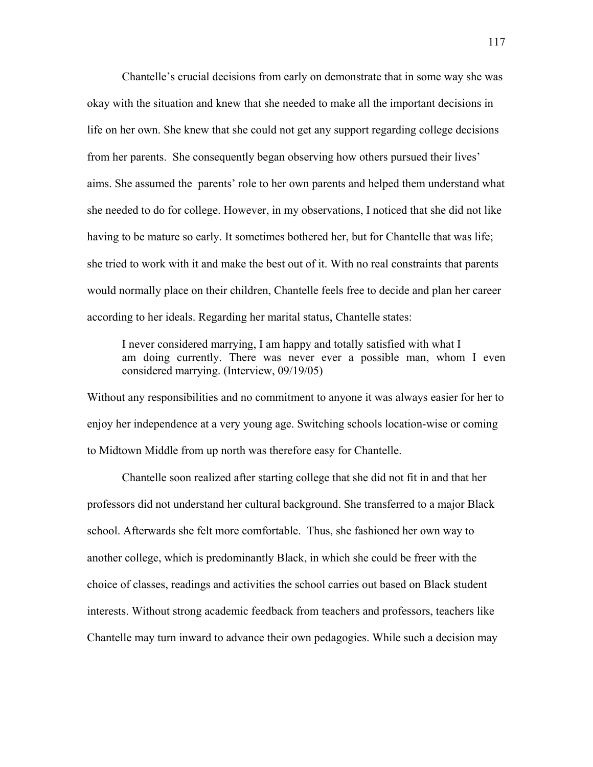Chantelle's crucial decisions from early on demonstrate that in some way she was okay with the situation and knew that she needed to make all the important decisions in life on her own. She knew that she could not get any support regarding college decisions from her parents. She consequently began observing how others pursued their lives' aims. She assumed the parents' role to her own parents and helped them understand what she needed to do for college. However, in my observations, I noticed that she did not like having to be mature so early. It sometimes bothered her, but for Chantelle that was life; she tried to work with it and make the best out of it. With no real constraints that parents would normally place on their children, Chantelle feels free to decide and plan her career according to her ideals. Regarding her marital status, Chantelle states:

I never considered marrying, I am happy and totally satisfied with what I am doing currently. There was never ever a possible man, whom I even considered marrying. (Interview, 09/19/05)

Without any responsibilities and no commitment to anyone it was always easier for her to enjoy her independence at a very young age. Switching schools location-wise or coming to Midtown Middle from up north was therefore easy for Chantelle.

 Chantelle soon realized after starting college that she did not fit in and that her professors did not understand her cultural background. She transferred to a major Black school. Afterwards she felt more comfortable. Thus, she fashioned her own way to another college, which is predominantly Black, in which she could be freer with the choice of classes, readings and activities the school carries out based on Black student interests. Without strong academic feedback from teachers and professors, teachers like Chantelle may turn inward to advance their own pedagogies. While such a decision may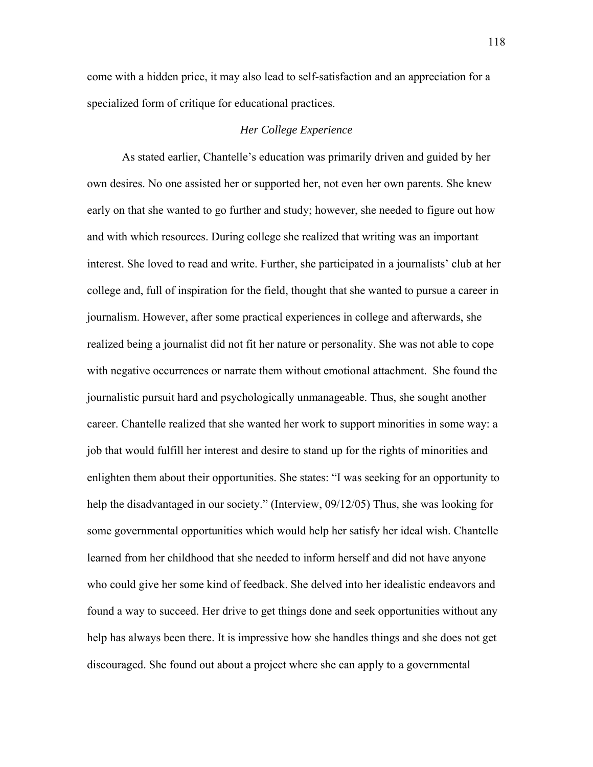come with a hidden price, it may also lead to self-satisfaction and an appreciation for a specialized form of critique for educational practices.

# *Her College Experience*

As stated earlier, Chantelle's education was primarily driven and guided by her own desires. No one assisted her or supported her, not even her own parents. She knew early on that she wanted to go further and study; however, she needed to figure out how and with which resources. During college she realized that writing was an important interest. She loved to read and write. Further, she participated in a journalists' club at her college and, full of inspiration for the field, thought that she wanted to pursue a career in journalism. However, after some practical experiences in college and afterwards, she realized being a journalist did not fit her nature or personality. She was not able to cope with negative occurrences or narrate them without emotional attachment. She found the journalistic pursuit hard and psychologically unmanageable. Thus, she sought another career. Chantelle realized that she wanted her work to support minorities in some way: a job that would fulfill her interest and desire to stand up for the rights of minorities and enlighten them about their opportunities. She states: "I was seeking for an opportunity to help the disadvantaged in our society." (Interview, 09/12/05) Thus, she was looking for some governmental opportunities which would help her satisfy her ideal wish. Chantelle learned from her childhood that she needed to inform herself and did not have anyone who could give her some kind of feedback. She delved into her idealistic endeavors and found a way to succeed. Her drive to get things done and seek opportunities without any help has always been there. It is impressive how she handles things and she does not get discouraged. She found out about a project where she can apply to a governmental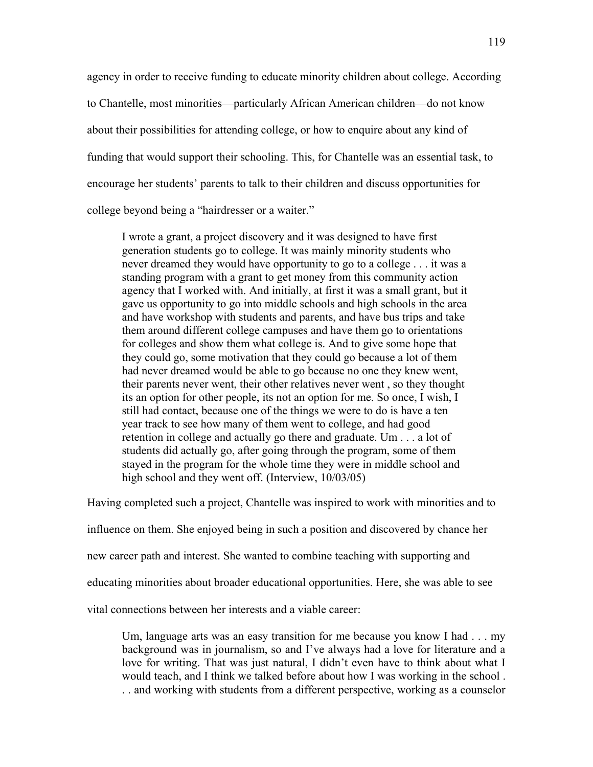agency in order to receive funding to educate minority children about college. According to Chantelle, most minorities—particularly African American children—do not know about their possibilities for attending college, or how to enquire about any kind of funding that would support their schooling. This, for Chantelle was an essential task, to encourage her students' parents to talk to their children and discuss opportunities for college beyond being a "hairdresser or a waiter."

I wrote a grant, a project discovery and it was designed to have first generation students go to college. It was mainly minority students who never dreamed they would have opportunity to go to a college . . . it was a standing program with a grant to get money from this community action agency that I worked with. And initially, at first it was a small grant, but it gave us opportunity to go into middle schools and high schools in the area and have workshop with students and parents, and have bus trips and take them around different college campuses and have them go to orientations for colleges and show them what college is. And to give some hope that they could go, some motivation that they could go because a lot of them had never dreamed would be able to go because no one they knew went, their parents never went, their other relatives never went , so they thought its an option for other people, its not an option for me. So once, I wish, I still had contact, because one of the things we were to do is have a ten year track to see how many of them went to college, and had good retention in college and actually go there and graduate. Um . . . a lot of students did actually go, after going through the program, some of them stayed in the program for the whole time they were in middle school and high school and they went off. (Interview,  $10/03/05$ )

Having completed such a project, Chantelle was inspired to work with minorities and to

influence on them. She enjoyed being in such a position and discovered by chance her

new career path and interest. She wanted to combine teaching with supporting and

educating minorities about broader educational opportunities. Here, she was able to see

vital connections between her interests and a viable career:

Um, language arts was an easy transition for me because you know I had . . . my background was in journalism, so and I've always had a love for literature and a love for writing. That was just natural, I didn't even have to think about what I would teach, and I think we talked before about how I was working in the school . . . and working with students from a different perspective, working as a counselor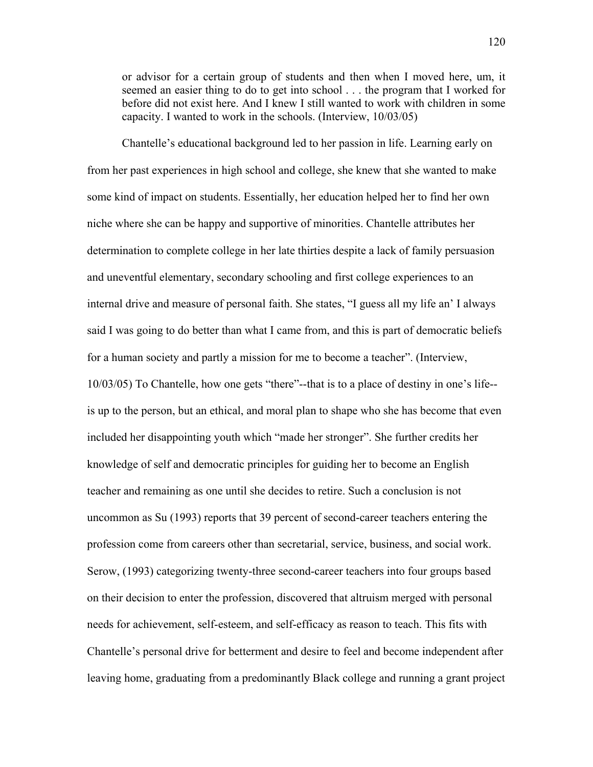or advisor for a certain group of students and then when I moved here, um, it seemed an easier thing to do to get into school . . . the program that I worked for before did not exist here. And I knew I still wanted to work with children in some capacity. I wanted to work in the schools. (Interview, 10/03/05)

Chantelle's educational background led to her passion in life. Learning early on from her past experiences in high school and college, she knew that she wanted to make some kind of impact on students. Essentially, her education helped her to find her own niche where she can be happy and supportive of minorities. Chantelle attributes her determination to complete college in her late thirties despite a lack of family persuasion and uneventful elementary, secondary schooling and first college experiences to an internal drive and measure of personal faith. She states, "I guess all my life an' I always said I was going to do better than what I came from, and this is part of democratic beliefs for a human society and partly a mission for me to become a teacher". (Interview, 10/03/05) To Chantelle, how one gets "there"--that is to a place of destiny in one's life- is up to the person, but an ethical, and moral plan to shape who she has become that even included her disappointing youth which "made her stronger". She further credits her knowledge of self and democratic principles for guiding her to become an English teacher and remaining as one until she decides to retire. Such a conclusion is not uncommon as Su (1993) reports that 39 percent of second-career teachers entering the profession come from careers other than secretarial, service, business, and social work. Serow, (1993) categorizing twenty-three second-career teachers into four groups based on their decision to enter the profession, discovered that altruism merged with personal needs for achievement, self-esteem, and self-efficacy as reason to teach. This fits with Chantelle's personal drive for betterment and desire to feel and become independent after leaving home, graduating from a predominantly Black college and running a grant project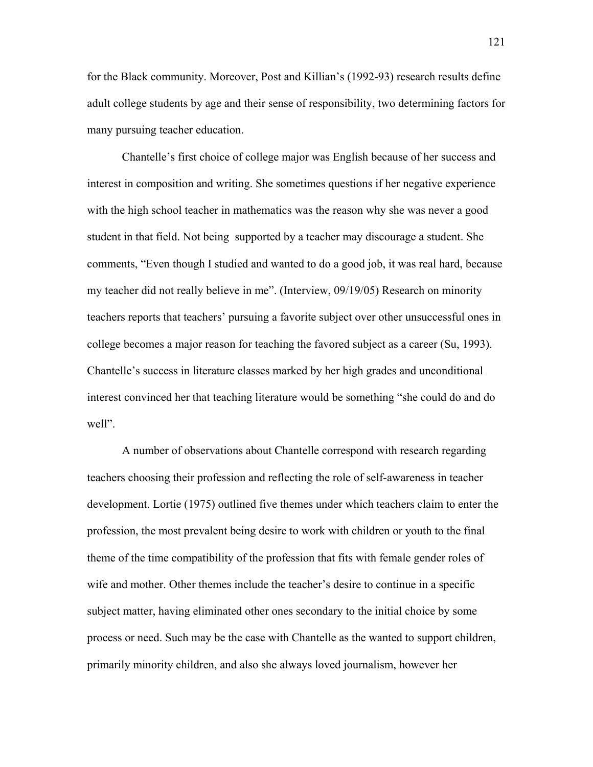for the Black community. Moreover, Post and Killian's (1992-93) research results define adult college students by age and their sense of responsibility, two determining factors for many pursuing teacher education.

Chantelle's first choice of college major was English because of her success and interest in composition and writing. She sometimes questions if her negative experience with the high school teacher in mathematics was the reason why she was never a good student in that field. Not being supported by a teacher may discourage a student. She comments, "Even though I studied and wanted to do a good job, it was real hard, because my teacher did not really believe in me". (Interview, 09/19/05) Research on minority teachers reports that teachers' pursuing a favorite subject over other unsuccessful ones in college becomes a major reason for teaching the favored subject as a career (Su, 1993). Chantelle's success in literature classes marked by her high grades and unconditional interest convinced her that teaching literature would be something "she could do and do well".

A number of observations about Chantelle correspond with research regarding teachers choosing their profession and reflecting the role of self-awareness in teacher development. Lortie (1975) outlined five themes under which teachers claim to enter the profession, the most prevalent being desire to work with children or youth to the final theme of the time compatibility of the profession that fits with female gender roles of wife and mother. Other themes include the teacher's desire to continue in a specific subject matter, having eliminated other ones secondary to the initial choice by some process or need. Such may be the case with Chantelle as the wanted to support children, primarily minority children, and also she always loved journalism, however her

121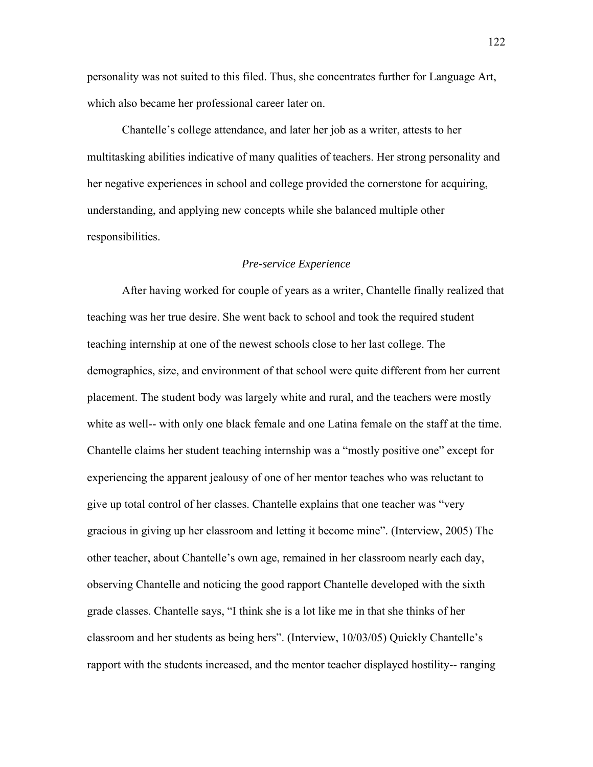personality was not suited to this filed. Thus, she concentrates further for Language Art, which also became her professional career later on.

Chantelle's college attendance, and later her job as a writer, attests to her multitasking abilities indicative of many qualities of teachers. Her strong personality and her negative experiences in school and college provided the cornerstone for acquiring, understanding, and applying new concepts while she balanced multiple other responsibilities.

#### *Pre-service Experience*

 After having worked for couple of years as a writer, Chantelle finally realized that teaching was her true desire. She went back to school and took the required student teaching internship at one of the newest schools close to her last college. The demographics, size, and environment of that school were quite different from her current placement. The student body was largely white and rural, and the teachers were mostly white as well-- with only one black female and one Latina female on the staff at the time. Chantelle claims her student teaching internship was a "mostly positive one" except for experiencing the apparent jealousy of one of her mentor teaches who was reluctant to give up total control of her classes. Chantelle explains that one teacher was "very gracious in giving up her classroom and letting it become mine". (Interview, 2005) The other teacher, about Chantelle's own age, remained in her classroom nearly each day, observing Chantelle and noticing the good rapport Chantelle developed with the sixth grade classes. Chantelle says, "I think she is a lot like me in that she thinks of her classroom and her students as being hers". (Interview, 10/03/05) Quickly Chantelle's rapport with the students increased, and the mentor teacher displayed hostility-- ranging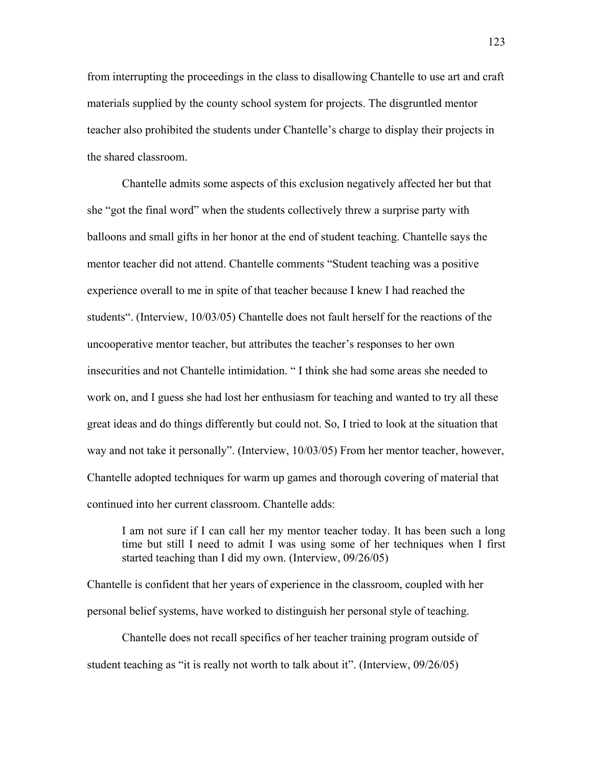from interrupting the proceedings in the class to disallowing Chantelle to use art and craft materials supplied by the county school system for projects. The disgruntled mentor teacher also prohibited the students under Chantelle's charge to display their projects in the shared classroom.

 Chantelle admits some aspects of this exclusion negatively affected her but that she "got the final word" when the students collectively threw a surprise party with balloons and small gifts in her honor at the end of student teaching. Chantelle says the mentor teacher did not attend. Chantelle comments "Student teaching was a positive experience overall to me in spite of that teacher because I knew I had reached the students". (Interview, 10/03/05) Chantelle does not fault herself for the reactions of the uncooperative mentor teacher, but attributes the teacher's responses to her own insecurities and not Chantelle intimidation. " I think she had some areas she needed to work on, and I guess she had lost her enthusiasm for teaching and wanted to try all these great ideas and do things differently but could not. So, I tried to look at the situation that way and not take it personally". (Interview, 10/03/05) From her mentor teacher, however, Chantelle adopted techniques for warm up games and thorough covering of material that continued into her current classroom. Chantelle adds:

I am not sure if I can call her my mentor teacher today. It has been such a long time but still I need to admit I was using some of her techniques when I first started teaching than I did my own. (Interview, 09/26/05)

Chantelle is confident that her years of experience in the classroom, coupled with her personal belief systems, have worked to distinguish her personal style of teaching.

 Chantelle does not recall specifics of her teacher training program outside of student teaching as "it is really not worth to talk about it". (Interview, 09/26/05)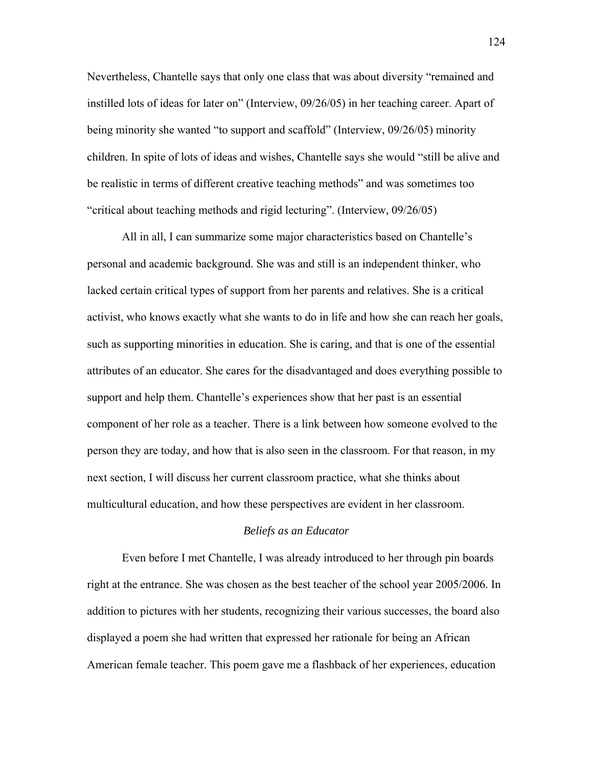Nevertheless, Chantelle says that only one class that was about diversity "remained and instilled lots of ideas for later on" (Interview, 09/26/05) in her teaching career. Apart of being minority she wanted "to support and scaffold" (Interview, 09/26/05) minority children. In spite of lots of ideas and wishes, Chantelle says she would "still be alive and be realistic in terms of different creative teaching methods" and was sometimes too "critical about teaching methods and rigid lecturing". (Interview, 09/26/05)

All in all, I can summarize some major characteristics based on Chantelle's personal and academic background. She was and still is an independent thinker, who lacked certain critical types of support from her parents and relatives. She is a critical activist, who knows exactly what she wants to do in life and how she can reach her goals, such as supporting minorities in education. She is caring, and that is one of the essential attributes of an educator. She cares for the disadvantaged and does everything possible to support and help them. Chantelle's experiences show that her past is an essential component of her role as a teacher. There is a link between how someone evolved to the person they are today, and how that is also seen in the classroom. For that reason, in my next section, I will discuss her current classroom practice, what she thinks about multicultural education, and how these perspectives are evident in her classroom.

## *Beliefs as an Educator*

Even before I met Chantelle, I was already introduced to her through pin boards right at the entrance. She was chosen as the best teacher of the school year 2005/2006. In addition to pictures with her students, recognizing their various successes, the board also displayed a poem she had written that expressed her rationale for being an African American female teacher. This poem gave me a flashback of her experiences, education

124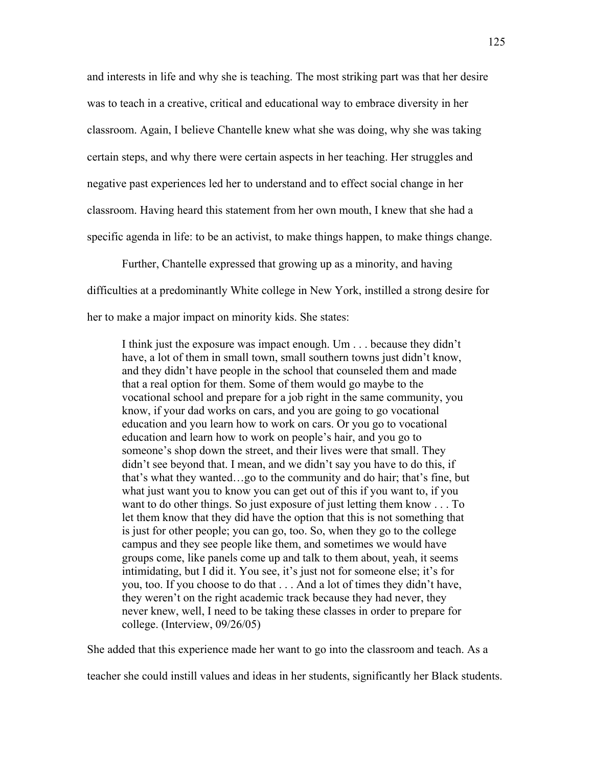and interests in life and why she is teaching. The most striking part was that her desire was to teach in a creative, critical and educational way to embrace diversity in her classroom. Again, I believe Chantelle knew what she was doing, why she was taking certain steps, and why there were certain aspects in her teaching. Her struggles and negative past experiences led her to understand and to effect social change in her classroom. Having heard this statement from her own mouth, I knew that she had a specific agenda in life: to be an activist, to make things happen, to make things change.

Further, Chantelle expressed that growing up as a minority, and having difficulties at a predominantly White college in New York, instilled a strong desire for her to make a major impact on minority kids. She states:

I think just the exposure was impact enough. Um . . . because they didn't have, a lot of them in small town, small southern towns just didn't know, and they didn't have people in the school that counseled them and made that a real option for them. Some of them would go maybe to the vocational school and prepare for a job right in the same community, you know, if your dad works on cars, and you are going to go vocational education and you learn how to work on cars. Or you go to vocational education and learn how to work on people's hair, and you go to someone's shop down the street, and their lives were that small. They didn't see beyond that. I mean, and we didn't say you have to do this, if that's what they wanted…go to the community and do hair; that's fine, but what just want you to know you can get out of this if you want to, if you want to do other things. So just exposure of just letting them know . . . To let them know that they did have the option that this is not something that is just for other people; you can go, too. So, when they go to the college campus and they see people like them, and sometimes we would have groups come, like panels come up and talk to them about, yeah, it seems intimidating, but I did it. You see, it's just not for someone else; it's for you, too. If you choose to do that . . . And a lot of times they didn't have, they weren't on the right academic track because they had never, they never knew, well, I need to be taking these classes in order to prepare for college. (Interview, 09/26/05)

She added that this experience made her want to go into the classroom and teach. As a

teacher she could instill values and ideas in her students, significantly her Black students.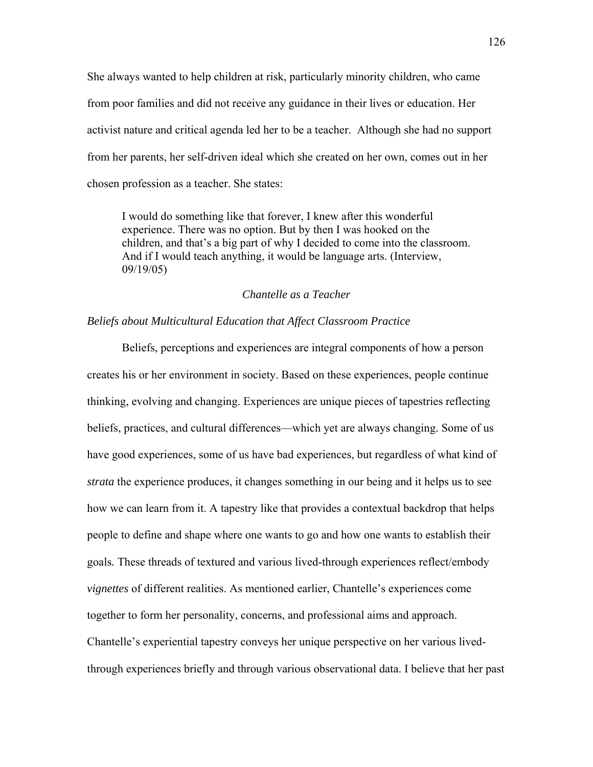She always wanted to help children at risk, particularly minority children, who came from poor families and did not receive any guidance in their lives or education. Her activist nature and critical agenda led her to be a teacher. Although she had no support from her parents, her self-driven ideal which she created on her own, comes out in her chosen profession as a teacher. She states:

I would do something like that forever, I knew after this wonderful experience. There was no option. But by then I was hooked on the children, and that's a big part of why I decided to come into the classroom. And if I would teach anything, it would be language arts. (Interview, 09/19/05)

### *Chantelle as a Teacher*

# *Beliefs about Multicultural Education that Affect Classroom Practice*

 Beliefs, perceptions and experiences are integral components of how a person creates his or her environment in society. Based on these experiences, people continue thinking, evolving and changing. Experiences are unique pieces of tapestries reflecting beliefs, practices, and cultural differences—which yet are always changing. Some of us have good experiences, some of us have bad experiences, but regardless of what kind of *strata* the experience produces, it changes something in our being and it helps us to see how we can learn from it. A tapestry like that provides a contextual backdrop that helps people to define and shape where one wants to go and how one wants to establish their goals*.* These threads of textured and various lived-through experiences reflect/embody *vignettes* of different realities. As mentioned earlier, Chantelle's experiences come together to form her personality, concerns, and professional aims and approach. Chantelle's experiential tapestry conveys her unique perspective on her various livedthrough experiences briefly and through various observational data. I believe that her past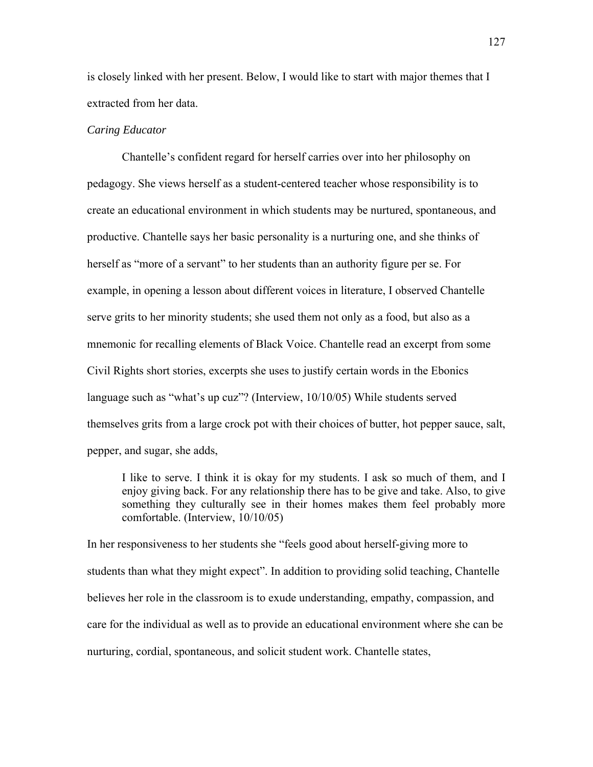is closely linked with her present. Below, I would like to start with major themes that I extracted from her data.

#### *Caring Educator*

Chantelle's confident regard for herself carries over into her philosophy on pedagogy. She views herself as a student-centered teacher whose responsibility is to create an educational environment in which students may be nurtured, spontaneous, and productive. Chantelle says her basic personality is a nurturing one, and she thinks of herself as "more of a servant" to her students than an authority figure per se. For example, in opening a lesson about different voices in literature, I observed Chantelle serve grits to her minority students; she used them not only as a food, but also as a mnemonic for recalling elements of Black Voice. Chantelle read an excerpt from some Civil Rights short stories, excerpts she uses to justify certain words in the Ebonics language such as "what's up cuz"? (Interview, 10/10/05) While students served themselves grits from a large crock pot with their choices of butter, hot pepper sauce, salt, pepper, and sugar, she adds,

I like to serve. I think it is okay for my students. I ask so much of them, and I enjoy giving back. For any relationship there has to be give and take. Also, to give something they culturally see in their homes makes them feel probably more comfortable. (Interview, 10/10/05)

In her responsiveness to her students she "feels good about herself-giving more to students than what they might expect". In addition to providing solid teaching, Chantelle believes her role in the classroom is to exude understanding, empathy, compassion, and care for the individual as well as to provide an educational environment where she can be nurturing, cordial, spontaneous, and solicit student work. Chantelle states,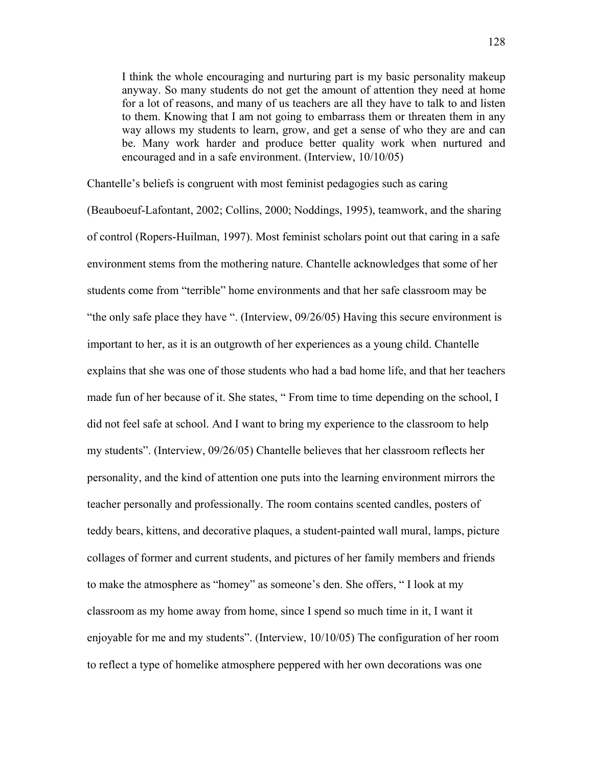I think the whole encouraging and nurturing part is my basic personality makeup anyway. So many students do not get the amount of attention they need at home for a lot of reasons, and many of us teachers are all they have to talk to and listen to them. Knowing that I am not going to embarrass them or threaten them in any way allows my students to learn, grow, and get a sense of who they are and can be. Many work harder and produce better quality work when nurtured and encouraged and in a safe environment. (Interview, 10/10/05)

Chantelle's beliefs is congruent with most feminist pedagogies such as caring

(Beauboeuf-Lafontant, 2002; Collins, 2000; Noddings, 1995), teamwork, and the sharing of control (Ropers-Huilman, 1997). Most feminist scholars point out that caring in a safe environment stems from the mothering nature. Chantelle acknowledges that some of her students come from "terrible" home environments and that her safe classroom may be "the only safe place they have ". (Interview, 09/26/05) Having this secure environment is important to her, as it is an outgrowth of her experiences as a young child. Chantelle explains that she was one of those students who had a bad home life, and that her teachers made fun of her because of it. She states, " From time to time depending on the school, I did not feel safe at school. And I want to bring my experience to the classroom to help my students". (Interview, 09/26/05) Chantelle believes that her classroom reflects her personality, and the kind of attention one puts into the learning environment mirrors the teacher personally and professionally. The room contains scented candles, posters of teddy bears, kittens, and decorative plaques, a student-painted wall mural, lamps, picture collages of former and current students, and pictures of her family members and friends to make the atmosphere as "homey" as someone's den. She offers, " I look at my classroom as my home away from home, since I spend so much time in it, I want it enjoyable for me and my students". (Interview, 10/10/05) The configuration of her room to reflect a type of homelike atmosphere peppered with her own decorations was one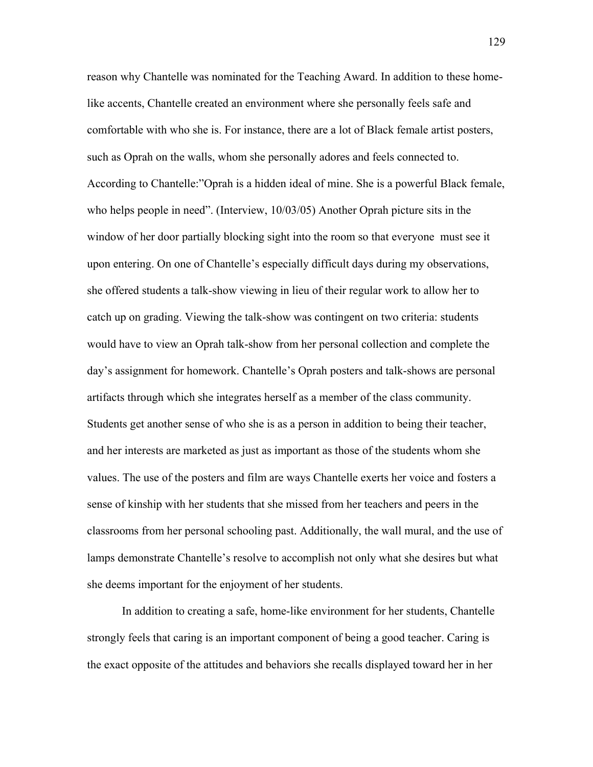reason why Chantelle was nominated for the Teaching Award. In addition to these homelike accents, Chantelle created an environment where she personally feels safe and comfortable with who she is. For instance, there are a lot of Black female artist posters, such as Oprah on the walls, whom she personally adores and feels connected to. According to Chantelle:"Oprah is a hidden ideal of mine. She is a powerful Black female, who helps people in need". (Interview, 10/03/05) Another Oprah picture sits in the window of her door partially blocking sight into the room so that everyone must see it upon entering. On one of Chantelle's especially difficult days during my observations, she offered students a talk-show viewing in lieu of their regular work to allow her to catch up on grading. Viewing the talk-show was contingent on two criteria: students would have to view an Oprah talk-show from her personal collection and complete the day's assignment for homework. Chantelle's Oprah posters and talk-shows are personal artifacts through which she integrates herself as a member of the class community. Students get another sense of who she is as a person in addition to being their teacher, and her interests are marketed as just as important as those of the students whom she values. The use of the posters and film are ways Chantelle exerts her voice and fosters a sense of kinship with her students that she missed from her teachers and peers in the classrooms from her personal schooling past. Additionally, the wall mural, and the use of lamps demonstrate Chantelle's resolve to accomplish not only what she desires but what she deems important for the enjoyment of her students.

 In addition to creating a safe, home-like environment for her students, Chantelle strongly feels that caring is an important component of being a good teacher. Caring is the exact opposite of the attitudes and behaviors she recalls displayed toward her in her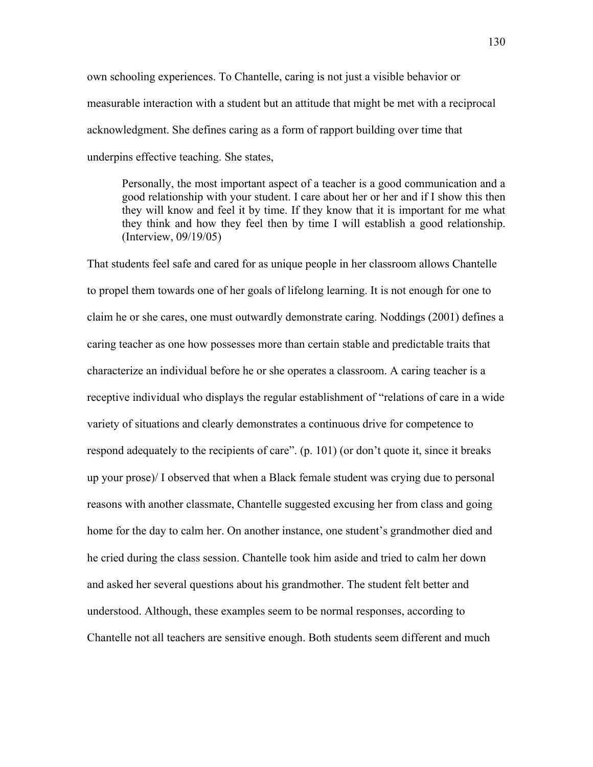own schooling experiences. To Chantelle, caring is not just a visible behavior or measurable interaction with a student but an attitude that might be met with a reciprocal acknowledgment. She defines caring as a form of rapport building over time that underpins effective teaching. She states,

Personally, the most important aspect of a teacher is a good communication and a good relationship with your student. I care about her or her and if I show this then they will know and feel it by time. If they know that it is important for me what they think and how they feel then by time I will establish a good relationship. (Interview, 09/19/05)

That students feel safe and cared for as unique people in her classroom allows Chantelle to propel them towards one of her goals of lifelong learning. It is not enough for one to claim he or she cares, one must outwardly demonstrate caring. Noddings (2001) defines a caring teacher as one how possesses more than certain stable and predictable traits that characterize an individual before he or she operates a classroom. A caring teacher is a receptive individual who displays the regular establishment of "relations of care in a wide variety of situations and clearly demonstrates a continuous drive for competence to respond adequately to the recipients of care". (p. 101) (or don't quote it, since it breaks up your prose)/ I observed that when a Black female student was crying due to personal reasons with another classmate, Chantelle suggested excusing her from class and going home for the day to calm her. On another instance, one student's grandmother died and he cried during the class session. Chantelle took him aside and tried to calm her down and asked her several questions about his grandmother. The student felt better and understood. Although, these examples seem to be normal responses, according to Chantelle not all teachers are sensitive enough. Both students seem different and much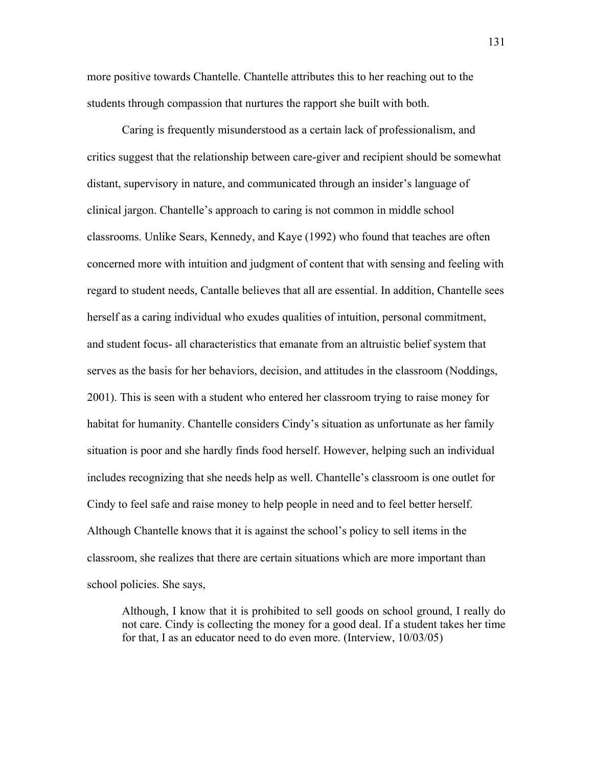more positive towards Chantelle. Chantelle attributes this to her reaching out to the students through compassion that nurtures the rapport she built with both.

 Caring is frequently misunderstood as a certain lack of professionalism, and critics suggest that the relationship between care-giver and recipient should be somewhat distant, supervisory in nature, and communicated through an insider's language of clinical jargon. Chantelle's approach to caring is not common in middle school classrooms. Unlike Sears, Kennedy, and Kaye (1992) who found that teaches are often concerned more with intuition and judgment of content that with sensing and feeling with regard to student needs, Cantalle believes that all are essential. In addition, Chantelle sees herself as a caring individual who exudes qualities of intuition, personal commitment, and student focus- all characteristics that emanate from an altruistic belief system that serves as the basis for her behaviors, decision, and attitudes in the classroom (Noddings, 2001). This is seen with a student who entered her classroom trying to raise money for habitat for humanity. Chantelle considers Cindy's situation as unfortunate as her family situation is poor and she hardly finds food herself. However, helping such an individual includes recognizing that she needs help as well. Chantelle's classroom is one outlet for Cindy to feel safe and raise money to help people in need and to feel better herself. Although Chantelle knows that it is against the school's policy to sell items in the classroom, she realizes that there are certain situations which are more important than school policies. She says,

Although, I know that it is prohibited to sell goods on school ground, I really do not care. Cindy is collecting the money for a good deal. If a student takes her time for that, I as an educator need to do even more. (Interview, 10/03/05)

131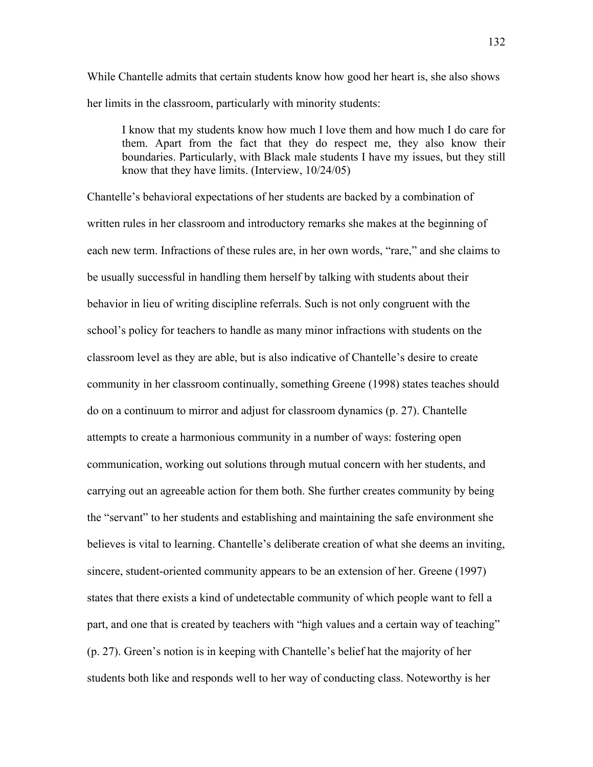While Chantelle admits that certain students know how good her heart is, she also shows her limits in the classroom, particularly with minority students:

I know that my students know how much I love them and how much I do care for them. Apart from the fact that they do respect me, they also know their boundaries. Particularly, with Black male students I have my issues, but they still know that they have limits. (Interview, 10/24/05)

Chantelle's behavioral expectations of her students are backed by a combination of written rules in her classroom and introductory remarks she makes at the beginning of each new term. Infractions of these rules are, in her own words, "rare," and she claims to be usually successful in handling them herself by talking with students about their behavior in lieu of writing discipline referrals. Such is not only congruent with the school's policy for teachers to handle as many minor infractions with students on the classroom level as they are able, but is also indicative of Chantelle's desire to create community in her classroom continually, something Greene (1998) states teaches should do on a continuum to mirror and adjust for classroom dynamics (p. 27). Chantelle attempts to create a harmonious community in a number of ways: fostering open communication, working out solutions through mutual concern with her students, and carrying out an agreeable action for them both. She further creates community by being the "servant" to her students and establishing and maintaining the safe environment she believes is vital to learning. Chantelle's deliberate creation of what she deems an inviting, sincere, student-oriented community appears to be an extension of her. Greene (1997) states that there exists a kind of undetectable community of which people want to fell a part, and one that is created by teachers with "high values and a certain way of teaching" (p. 27). Green's notion is in keeping with Chantelle's belief hat the majority of her students both like and responds well to her way of conducting class. Noteworthy is her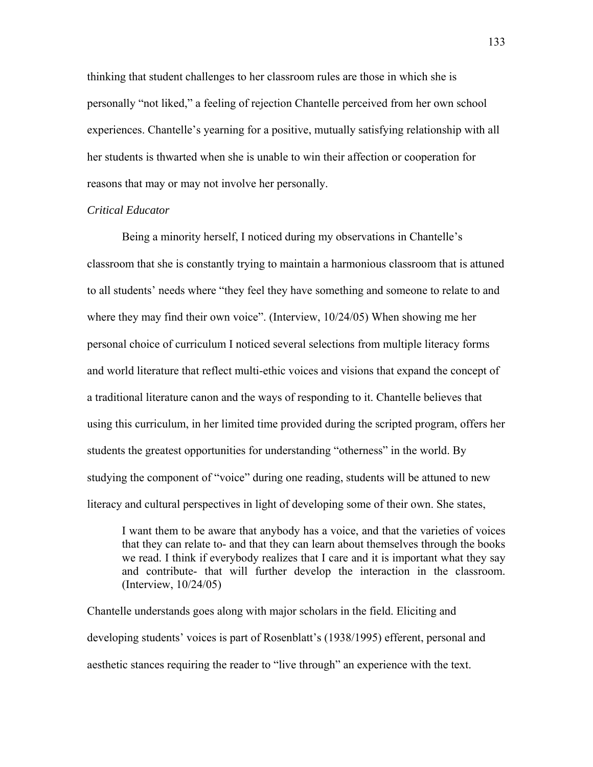thinking that student challenges to her classroom rules are those in which she is personally "not liked," a feeling of rejection Chantelle perceived from her own school experiences. Chantelle's yearning for a positive, mutually satisfying relationship with all her students is thwarted when she is unable to win their affection or cooperation for reasons that may or may not involve her personally.

## *Critical Educator*

Being a minority herself, I noticed during my observations in Chantelle's classroom that she is constantly trying to maintain a harmonious classroom that is attuned to all students' needs where "they feel they have something and someone to relate to and where they may find their own voice". (Interview, 10/24/05) When showing me her personal choice of curriculum I noticed several selections from multiple literacy forms and world literature that reflect multi-ethic voices and visions that expand the concept of a traditional literature canon and the ways of responding to it. Chantelle believes that using this curriculum, in her limited time provided during the scripted program, offers her students the greatest opportunities for understanding "otherness" in the world. By studying the component of "voice" during one reading, students will be attuned to new literacy and cultural perspectives in light of developing some of their own. She states,

I want them to be aware that anybody has a voice, and that the varieties of voices that they can relate to- and that they can learn about themselves through the books we read. I think if everybody realizes that I care and it is important what they say and contribute- that will further develop the interaction in the classroom. (Interview, 10/24/05)

Chantelle understands goes along with major scholars in the field. Eliciting and developing students' voices is part of Rosenblatt's (1938/1995) efferent, personal and aesthetic stances requiring the reader to "live through" an experience with the text.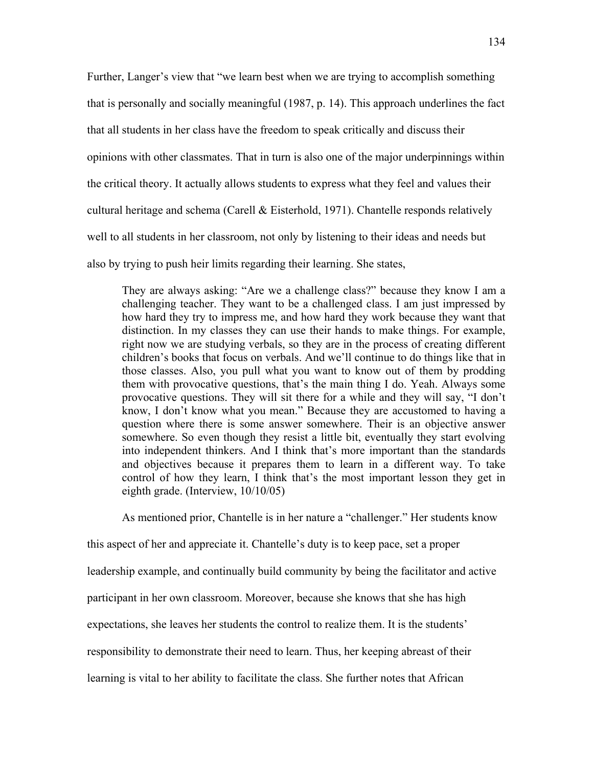Further, Langer's view that "we learn best when we are trying to accomplish something that is personally and socially meaningful (1987, p. 14). This approach underlines the fact that all students in her class have the freedom to speak critically and discuss their opinions with other classmates. That in turn is also one of the major underpinnings within the critical theory. It actually allows students to express what they feel and values their cultural heritage and schema (Carell & Eisterhold, 1971). Chantelle responds relatively well to all students in her classroom, not only by listening to their ideas and needs but also by trying to push heir limits regarding their learning. She states,

They are always asking: "Are we a challenge class?" because they know I am a challenging teacher. They want to be a challenged class. I am just impressed by how hard they try to impress me, and how hard they work because they want that distinction. In my classes they can use their hands to make things. For example, right now we are studying verbals, so they are in the process of creating different children's books that focus on verbals. And we'll continue to do things like that in those classes. Also, you pull what you want to know out of them by prodding them with provocative questions, that's the main thing I do. Yeah. Always some provocative questions. They will sit there for a while and they will say, "I don't know, I don't know what you mean." Because they are accustomed to having a question where there is some answer somewhere. Their is an objective answer somewhere. So even though they resist a little bit, eventually they start evolving into independent thinkers. And I think that's more important than the standards and objectives because it prepares them to learn in a different way. To take control of how they learn, I think that's the most important lesson they get in eighth grade. (Interview, 10/10/05)

As mentioned prior, Chantelle is in her nature a "challenger." Her students know

this aspect of her and appreciate it. Chantelle's duty is to keep pace, set a proper leadership example, and continually build community by being the facilitator and active participant in her own classroom. Moreover, because she knows that she has high expectations, she leaves her students the control to realize them. It is the students' responsibility to demonstrate their need to learn. Thus, her keeping abreast of their learning is vital to her ability to facilitate the class. She further notes that African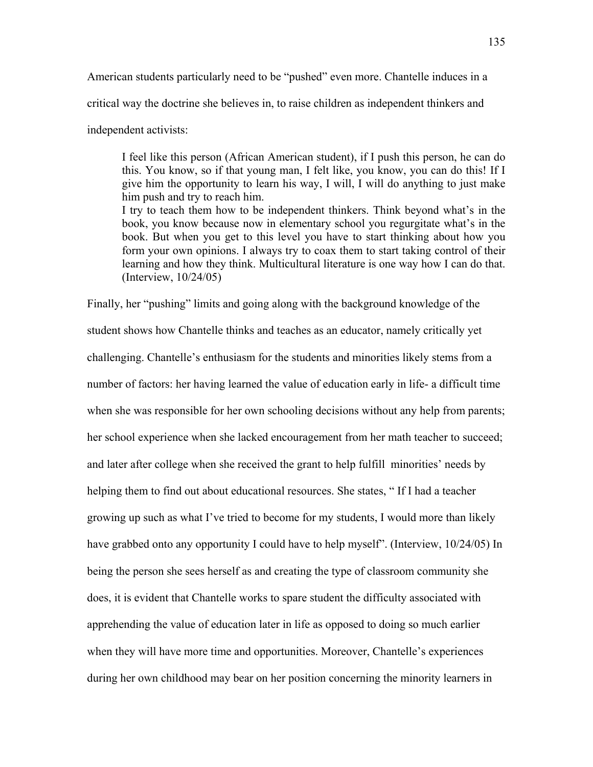American students particularly need to be "pushed" even more. Chantelle induces in a

critical way the doctrine she believes in, to raise children as independent thinkers and

independent activists:

I feel like this person (African American student), if I push this person, he can do this. You know, so if that young man, I felt like, you know, you can do this! If I give him the opportunity to learn his way, I will, I will do anything to just make him push and try to reach him. I try to teach them how to be independent thinkers. Think beyond what's in the book, you know because now in elementary school you regurgitate what's in the book. But when you get to this level you have to start thinking about how you form your own opinions. I always try to coax them to start taking control of their learning and how they think. Multicultural literature is one way how I can do that. (Interview, 10/24/05)

Finally, her "pushing" limits and going along with the background knowledge of the student shows how Chantelle thinks and teaches as an educator, namely critically yet challenging. Chantelle's enthusiasm for the students and minorities likely stems from a number of factors: her having learned the value of education early in life- a difficult time when she was responsible for her own schooling decisions without any help from parents; her school experience when she lacked encouragement from her math teacher to succeed; and later after college when she received the grant to help fulfill minorities' needs by helping them to find out about educational resources. She states, " If I had a teacher growing up such as what I've tried to become for my students, I would more than likely have grabbed onto any opportunity I could have to help myself". (Interview, 10/24/05) In being the person she sees herself as and creating the type of classroom community she does, it is evident that Chantelle works to spare student the difficulty associated with apprehending the value of education later in life as opposed to doing so much earlier when they will have more time and opportunities. Moreover, Chantelle's experiences during her own childhood may bear on her position concerning the minority learners in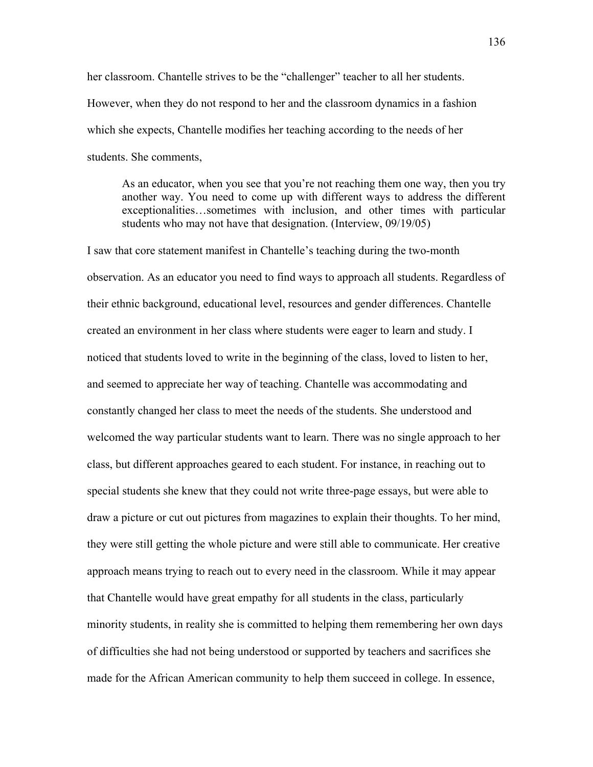her classroom. Chantelle strives to be the "challenger" teacher to all her students. However, when they do not respond to her and the classroom dynamics in a fashion which she expects, Chantelle modifies her teaching according to the needs of her students. She comments,

As an educator, when you see that you're not reaching them one way, then you try another way. You need to come up with different ways to address the different exceptionalities…sometimes with inclusion, and other times with particular students who may not have that designation. (Interview, 09/19/05)

I saw that core statement manifest in Chantelle's teaching during the two-month observation. As an educator you need to find ways to approach all students. Regardless of their ethnic background, educational level, resources and gender differences. Chantelle created an environment in her class where students were eager to learn and study. I noticed that students loved to write in the beginning of the class, loved to listen to her, and seemed to appreciate her way of teaching. Chantelle was accommodating and constantly changed her class to meet the needs of the students. She understood and welcomed the way particular students want to learn. There was no single approach to her class, but different approaches geared to each student. For instance, in reaching out to special students she knew that they could not write three-page essays, but were able to draw a picture or cut out pictures from magazines to explain their thoughts. To her mind, they were still getting the whole picture and were still able to communicate. Her creative approach means trying to reach out to every need in the classroom. While it may appear that Chantelle would have great empathy for all students in the class, particularly minority students, in reality she is committed to helping them remembering her own days of difficulties she had not being understood or supported by teachers and sacrifices she made for the African American community to help them succeed in college. In essence,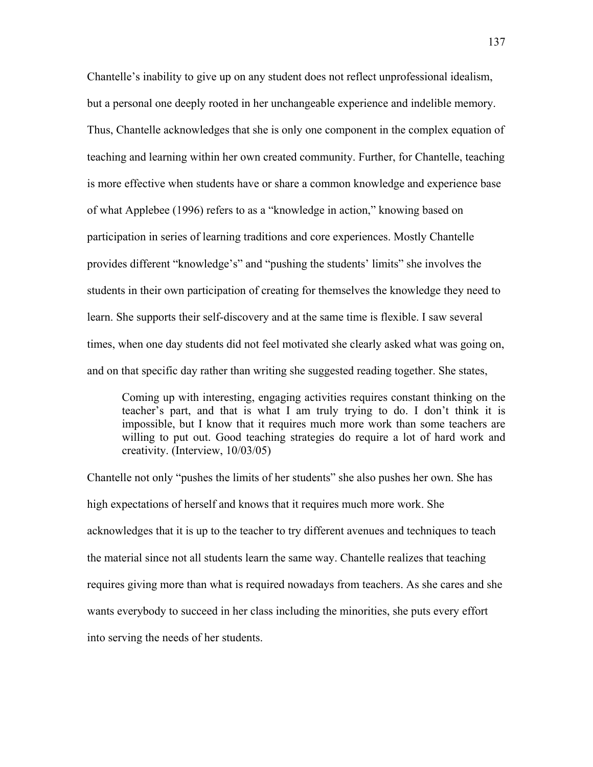Chantelle's inability to give up on any student does not reflect unprofessional idealism, but a personal one deeply rooted in her unchangeable experience and indelible memory. Thus, Chantelle acknowledges that she is only one component in the complex equation of teaching and learning within her own created community. Further, for Chantelle, teaching is more effective when students have or share a common knowledge and experience base of what Applebee (1996) refers to as a "knowledge in action," knowing based on participation in series of learning traditions and core experiences. Mostly Chantelle provides different "knowledge's" and "pushing the students' limits" she involves the students in their own participation of creating for themselves the knowledge they need to learn. She supports their self-discovery and at the same time is flexible. I saw several times, when one day students did not feel motivated she clearly asked what was going on, and on that specific day rather than writing she suggested reading together. She states,

Coming up with interesting, engaging activities requires constant thinking on the teacher's part, and that is what I am truly trying to do. I don't think it is impossible, but I know that it requires much more work than some teachers are willing to put out. Good teaching strategies do require a lot of hard work and creativity. (Interview, 10/03/05)

Chantelle not only "pushes the limits of her students" she also pushes her own. She has high expectations of herself and knows that it requires much more work. She acknowledges that it is up to the teacher to try different avenues and techniques to teach the material since not all students learn the same way. Chantelle realizes that teaching requires giving more than what is required nowadays from teachers. As she cares and she wants everybody to succeed in her class including the minorities, she puts every effort into serving the needs of her students.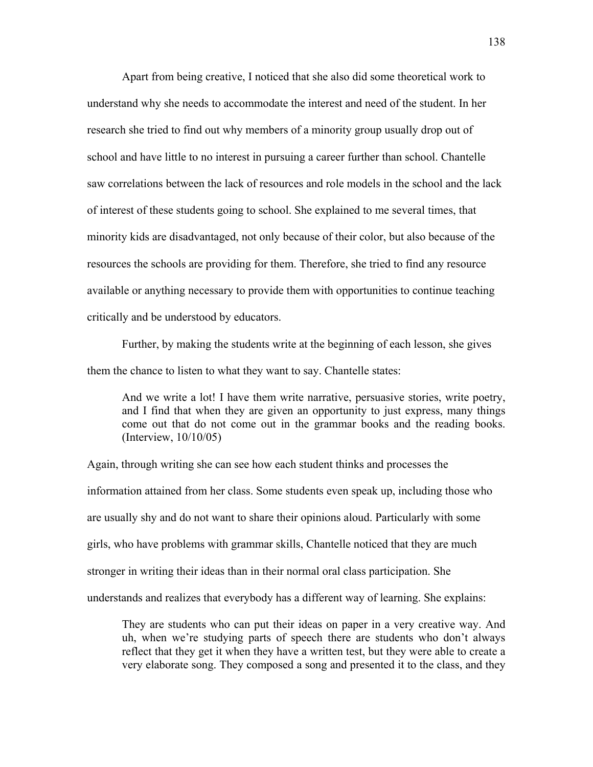Apart from being creative, I noticed that she also did some theoretical work to understand why she needs to accommodate the interest and need of the student. In her research she tried to find out why members of a minority group usually drop out of school and have little to no interest in pursuing a career further than school. Chantelle saw correlations between the lack of resources and role models in the school and the lack of interest of these students going to school. She explained to me several times, that minority kids are disadvantaged, not only because of their color, but also because of the resources the schools are providing for them. Therefore, she tried to find any resource available or anything necessary to provide them with opportunities to continue teaching critically and be understood by educators.

Further, by making the students write at the beginning of each lesson, she gives them the chance to listen to what they want to say. Chantelle states:

And we write a lot! I have them write narrative, persuasive stories, write poetry, and I find that when they are given an opportunity to just express, many things come out that do not come out in the grammar books and the reading books. (Interview, 10/10/05)

Again, through writing she can see how each student thinks and processes the information attained from her class. Some students even speak up, including those who are usually shy and do not want to share their opinions aloud. Particularly with some girls, who have problems with grammar skills, Chantelle noticed that they are much stronger in writing their ideas than in their normal oral class participation. She understands and realizes that everybody has a different way of learning. She explains:

They are students who can put their ideas on paper in a very creative way. And uh, when we're studying parts of speech there are students who don't always reflect that they get it when they have a written test, but they were able to create a very elaborate song. They composed a song and presented it to the class, and they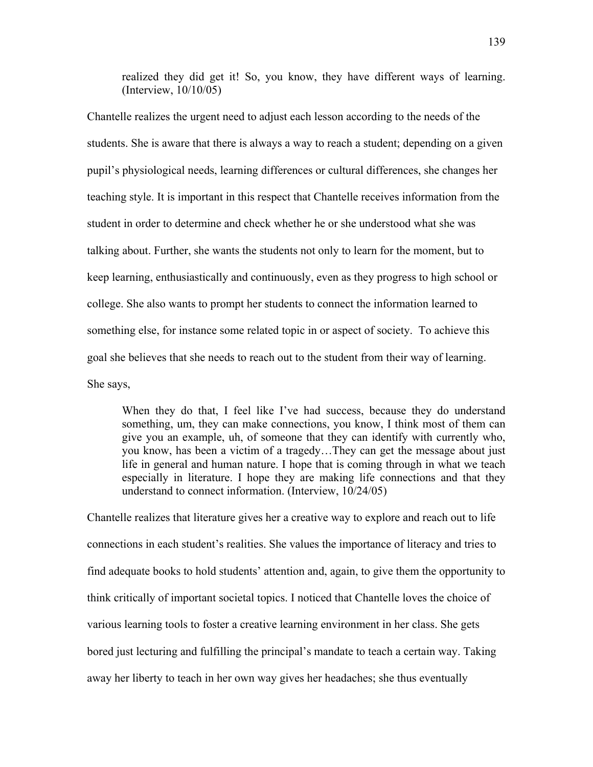realized they did get it! So, you know, they have different ways of learning. (Interview, 10/10/05)

Chantelle realizes the urgent need to adjust each lesson according to the needs of the students. She is aware that there is always a way to reach a student; depending on a given pupil's physiological needs, learning differences or cultural differences, she changes her teaching style. It is important in this respect that Chantelle receives information from the student in order to determine and check whether he or she understood what she was talking about. Further, she wants the students not only to learn for the moment, but to keep learning, enthusiastically and continuously, even as they progress to high school or college. She also wants to prompt her students to connect the information learned to something else, for instance some related topic in or aspect of society. To achieve this goal she believes that she needs to reach out to the student from their way of learning. She says,

When they do that, I feel like I've had success, because they do understand something, um, they can make connections, you know, I think most of them can give you an example, uh, of someone that they can identify with currently who, you know, has been a victim of a tragedy…They can get the message about just life in general and human nature. I hope that is coming through in what we teach especially in literature. I hope they are making life connections and that they understand to connect information. (Interview, 10/24/05)

Chantelle realizes that literature gives her a creative way to explore and reach out to life connections in each student's realities. She values the importance of literacy and tries to find adequate books to hold students' attention and, again, to give them the opportunity to think critically of important societal topics. I noticed that Chantelle loves the choice of various learning tools to foster a creative learning environment in her class. She gets bored just lecturing and fulfilling the principal's mandate to teach a certain way. Taking away her liberty to teach in her own way gives her headaches; she thus eventually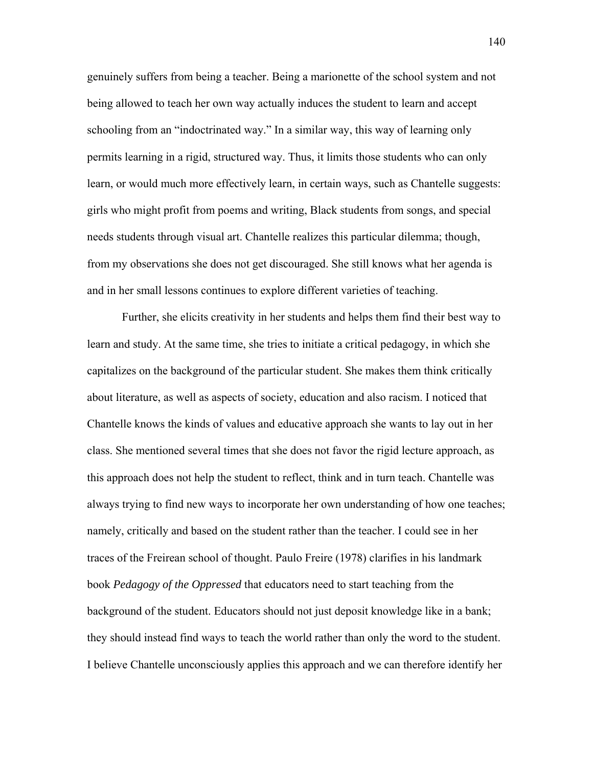genuinely suffers from being a teacher. Being a marionette of the school system and not being allowed to teach her own way actually induces the student to learn and accept schooling from an "indoctrinated way." In a similar way, this way of learning only permits learning in a rigid, structured way. Thus, it limits those students who can only learn, or would much more effectively learn, in certain ways, such as Chantelle suggests: girls who might profit from poems and writing, Black students from songs, and special needs students through visual art. Chantelle realizes this particular dilemma; though, from my observations she does not get discouraged. She still knows what her agenda is and in her small lessons continues to explore different varieties of teaching.

Further, she elicits creativity in her students and helps them find their best way to learn and study. At the same time, she tries to initiate a critical pedagogy, in which she capitalizes on the background of the particular student. She makes them think critically about literature, as well as aspects of society, education and also racism. I noticed that Chantelle knows the kinds of values and educative approach she wants to lay out in her class. She mentioned several times that she does not favor the rigid lecture approach, as this approach does not help the student to reflect, think and in turn teach. Chantelle was always trying to find new ways to incorporate her own understanding of how one teaches; namely, critically and based on the student rather than the teacher. I could see in her traces of the Freirean school of thought. Paulo Freire (1978) clarifies in his landmark book *Pedagogy of the Oppressed* that educators need to start teaching from the background of the student. Educators should not just deposit knowledge like in a bank; they should instead find ways to teach the world rather than only the word to the student. I believe Chantelle unconsciously applies this approach and we can therefore identify her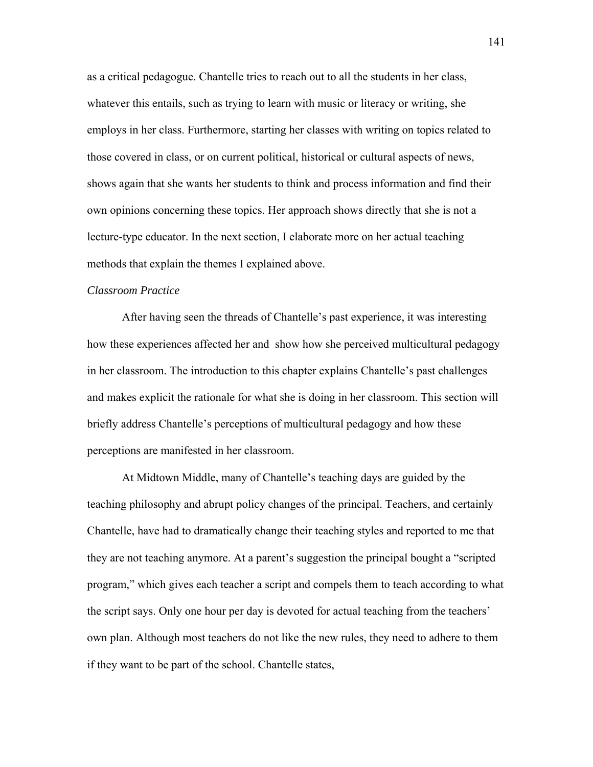as a critical pedagogue. Chantelle tries to reach out to all the students in her class, whatever this entails, such as trying to learn with music or literacy or writing, she employs in her class. Furthermore, starting her classes with writing on topics related to those covered in class, or on current political, historical or cultural aspects of news, shows again that she wants her students to think and process information and find their own opinions concerning these topics. Her approach shows directly that she is not a lecture-type educator. In the next section, I elaborate more on her actual teaching methods that explain the themes I explained above.

#### *Classroom Practice*

After having seen the threads of Chantelle's past experience, it was interesting how these experiences affected her and show how she perceived multicultural pedagogy in her classroom. The introduction to this chapter explains Chantelle's past challenges and makes explicit the rationale for what she is doing in her classroom. This section will briefly address Chantelle's perceptions of multicultural pedagogy and how these perceptions are manifested in her classroom.

At Midtown Middle, many of Chantelle's teaching days are guided by the teaching philosophy and abrupt policy changes of the principal. Teachers, and certainly Chantelle, have had to dramatically change their teaching styles and reported to me that they are not teaching anymore. At a parent's suggestion the principal bought a "scripted program," which gives each teacher a script and compels them to teach according to what the script says. Only one hour per day is devoted for actual teaching from the teachers' own plan. Although most teachers do not like the new rules, they need to adhere to them if they want to be part of the school. Chantelle states,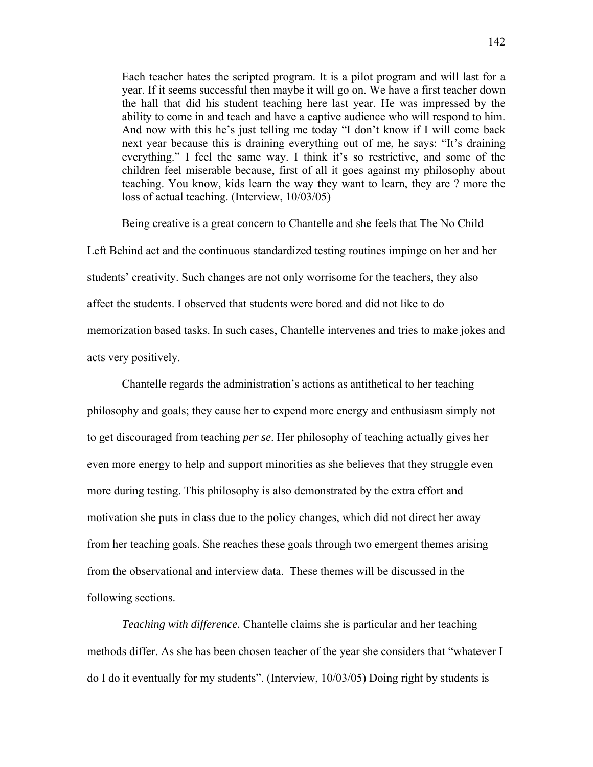Each teacher hates the scripted program. It is a pilot program and will last for a year. If it seems successful then maybe it will go on. We have a first teacher down the hall that did his student teaching here last year. He was impressed by the ability to come in and teach and have a captive audience who will respond to him. And now with this he's just telling me today "I don't know if I will come back next year because this is draining everything out of me, he says: "It's draining everything." I feel the same way. I think it's so restrictive, and some of the children feel miserable because, first of all it goes against my philosophy about teaching. You know, kids learn the way they want to learn, they are ? more the loss of actual teaching. (Interview, 10/03/05)

Being creative is a great concern to Chantelle and she feels that The No Child Left Behind act and the continuous standardized testing routines impinge on her and her students' creativity. Such changes are not only worrisome for the teachers, they also affect the students. I observed that students were bored and did not like to do memorization based tasks. In such cases, Chantelle intervenes and tries to make jokes and acts very positively.

Chantelle regards the administration's actions as antithetical to her teaching philosophy and goals; they cause her to expend more energy and enthusiasm simply not to get discouraged from teaching *per se*. Her philosophy of teaching actually gives her even more energy to help and support minorities as she believes that they struggle even more during testing. This philosophy is also demonstrated by the extra effort and motivation she puts in class due to the policy changes, which did not direct her away from her teaching goals. She reaches these goals through two emergent themes arising from the observational and interview data. These themes will be discussed in the following sections.

*Teaching with difference.* Chantelle claims she is particular and her teaching methods differ. As she has been chosen teacher of the year she considers that "whatever I do I do it eventually for my students". (Interview, 10/03/05) Doing right by students is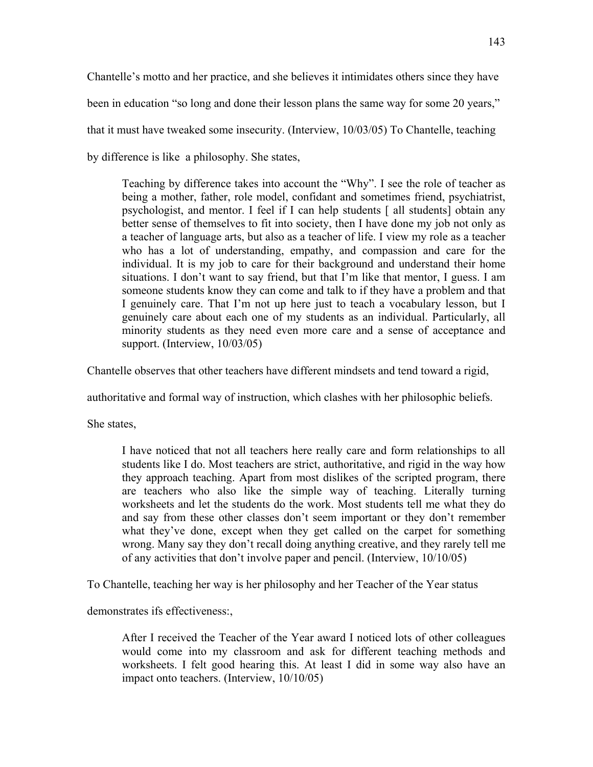Chantelle's motto and her practice, and she believes it intimidates others since they have been in education "so long and done their lesson plans the same way for some 20 years," that it must have tweaked some insecurity. (Interview, 10/03/05) To Chantelle, teaching by difference is like a philosophy. She states,

Teaching by difference takes into account the "Why". I see the role of teacher as being a mother, father, role model, confidant and sometimes friend, psychiatrist, psychologist, and mentor. I feel if I can help students [ all students] obtain any better sense of themselves to fit into society, then I have done my job not only as a teacher of language arts, but also as a teacher of life. I view my role as a teacher who has a lot of understanding, empathy, and compassion and care for the individual. It is my job to care for their background and understand their home situations. I don't want to say friend, but that I'm like that mentor, I guess. I am someone students know they can come and talk to if they have a problem and that I genuinely care. That I'm not up here just to teach a vocabulary lesson, but I genuinely care about each one of my students as an individual. Particularly, all minority students as they need even more care and a sense of acceptance and support. (Interview,  $10/03/05$ )

Chantelle observes that other teachers have different mindsets and tend toward a rigid,

authoritative and formal way of instruction, which clashes with her philosophic beliefs.

She states,

I have noticed that not all teachers here really care and form relationships to all students like I do. Most teachers are strict, authoritative, and rigid in the way how they approach teaching. Apart from most dislikes of the scripted program, there are teachers who also like the simple way of teaching. Literally turning worksheets and let the students do the work. Most students tell me what they do and say from these other classes don't seem important or they don't remember what they've done, except when they get called on the carpet for something wrong. Many say they don't recall doing anything creative, and they rarely tell me of any activities that don't involve paper and pencil. (Interview, 10/10/05)

To Chantelle, teaching her way is her philosophy and her Teacher of the Year status

demonstrates ifs effectiveness:,

After I received the Teacher of the Year award I noticed lots of other colleagues would come into my classroom and ask for different teaching methods and worksheets. I felt good hearing this. At least I did in some way also have an impact onto teachers. (Interview, 10/10/05)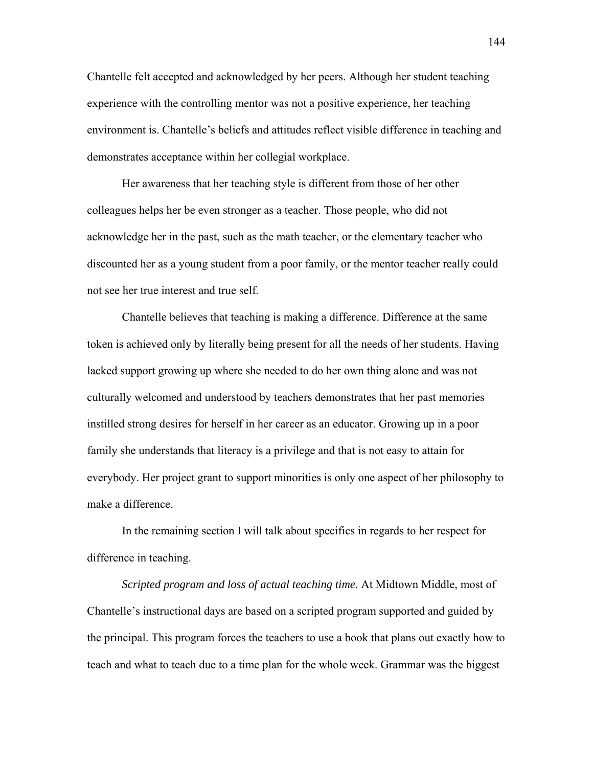Chantelle felt accepted and acknowledged by her peers. Although her student teaching experience with the controlling mentor was not a positive experience, her teaching environment is. Chantelle's beliefs and attitudes reflect visible difference in teaching and demonstrates acceptance within her collegial workplace.

Her awareness that her teaching style is different from those of her other colleagues helps her be even stronger as a teacher. Those people, who did not acknowledge her in the past, such as the math teacher, or the elementary teacher who discounted her as a young student from a poor family, or the mentor teacher really could not see her true interest and true self.

Chantelle believes that teaching is making a difference. Difference at the same token is achieved only by literally being present for all the needs of her students. Having lacked support growing up where she needed to do her own thing alone and was not culturally welcomed and understood by teachers demonstrates that her past memories instilled strong desires for herself in her career as an educator. Growing up in a poor family she understands that literacy is a privilege and that is not easy to attain for everybody. Her project grant to support minorities is only one aspect of her philosophy to make a difference.

In the remaining section I will talk about specifics in regards to her respect for difference in teaching.

*Scripted program and loss of actual teaching time.* At Midtown Middle, most of Chantelle's instructional days are based on a scripted program supported and guided by the principal. This program forces the teachers to use a book that plans out exactly how to teach and what to teach due to a time plan for the whole week. Grammar was the biggest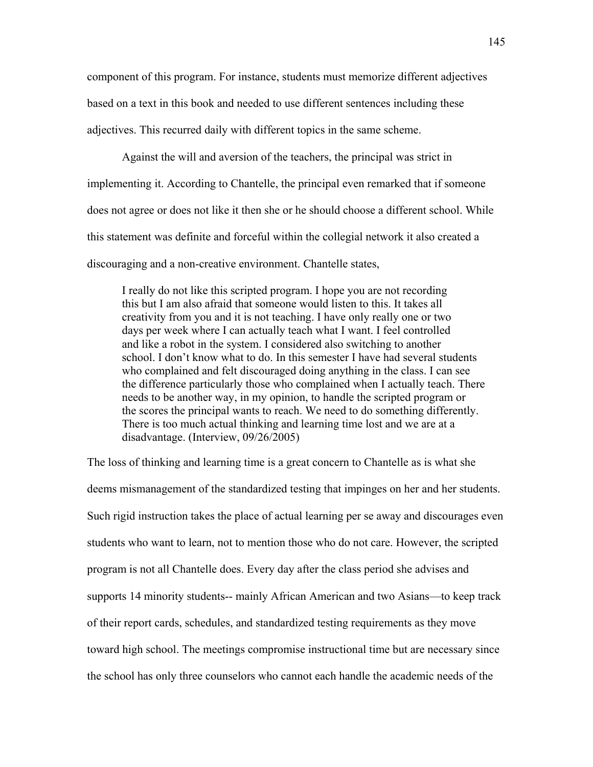component of this program. For instance, students must memorize different adjectives based on a text in this book and needed to use different sentences including these adjectives. This recurred daily with different topics in the same scheme.

Against the will and aversion of the teachers, the principal was strict in implementing it. According to Chantelle, the principal even remarked that if someone does not agree or does not like it then she or he should choose a different school. While this statement was definite and forceful within the collegial network it also created a discouraging and a non-creative environment. Chantelle states,

 I really do not like this scripted program. I hope you are not recording this but I am also afraid that someone would listen to this. It takes all creativity from you and it is not teaching. I have only really one or two days per week where I can actually teach what I want. I feel controlled and like a robot in the system. I considered also switching to another school. I don't know what to do. In this semester I have had several students who complained and felt discouraged doing anything in the class. I can see the difference particularly those who complained when I actually teach. There needs to be another way, in my opinion, to handle the scripted program or the scores the principal wants to reach. We need to do something differently. There is too much actual thinking and learning time lost and we are at a disadvantage. (Interview, 09/26/2005)

The loss of thinking and learning time is a great concern to Chantelle as is what she deems mismanagement of the standardized testing that impinges on her and her students. Such rigid instruction takes the place of actual learning per se away and discourages even students who want to learn, not to mention those who do not care. However, the scripted program is not all Chantelle does. Every day after the class period she advises and supports 14 minority students-- mainly African American and two Asians—to keep track of their report cards, schedules, and standardized testing requirements as they move toward high school. The meetings compromise instructional time but are necessary since the school has only three counselors who cannot each handle the academic needs of the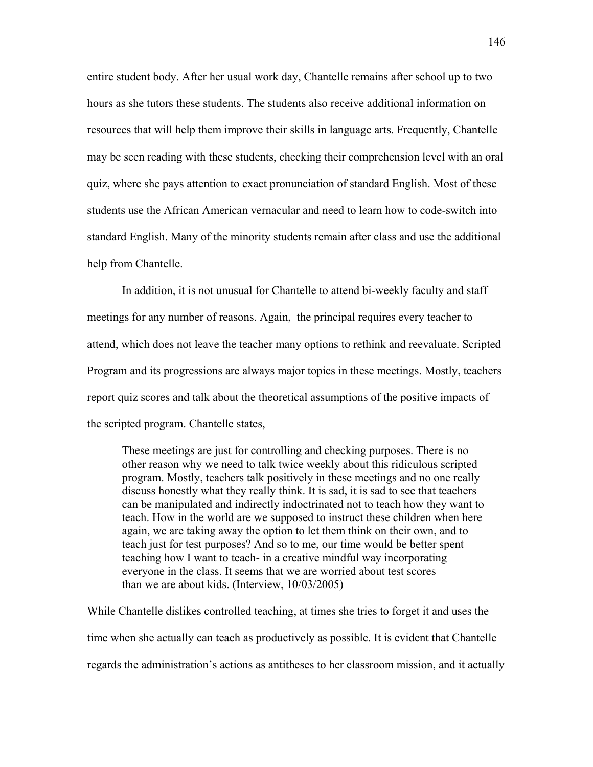entire student body. After her usual work day, Chantelle remains after school up to two hours as she tutors these students. The students also receive additional information on resources that will help them improve their skills in language arts. Frequently, Chantelle may be seen reading with these students, checking their comprehension level with an oral quiz, where she pays attention to exact pronunciation of standard English. Most of these students use the African American vernacular and need to learn how to code-switch into standard English. Many of the minority students remain after class and use the additional help from Chantelle.

In addition, it is not unusual for Chantelle to attend bi-weekly faculty and staff meetings for any number of reasons. Again, the principal requires every teacher to attend, which does not leave the teacher many options to rethink and reevaluate. Scripted Program and its progressions are always major topics in these meetings. Mostly, teachers report quiz scores and talk about the theoretical assumptions of the positive impacts of the scripted program. Chantelle states,

 These meetings are just for controlling and checking purposes. There is no other reason why we need to talk twice weekly about this ridiculous scripted program. Mostly, teachers talk positively in these meetings and no one really discuss honestly what they really think. It is sad, it is sad to see that teachers can be manipulated and indirectly indoctrinated not to teach how they want to teach. How in the world are we supposed to instruct these children when here again, we are taking away the option to let them think on their own, and to teach just for test purposes? And so to me, our time would be better spent teaching how I want to teach- in a creative mindful way incorporating everyone in the class. It seems that we are worried about test scores than we are about kids. (Interview, 10/03/2005)

While Chantelle dislikes controlled teaching, at times she tries to forget it and uses the time when she actually can teach as productively as possible. It is evident that Chantelle regards the administration's actions as antitheses to her classroom mission, and it actually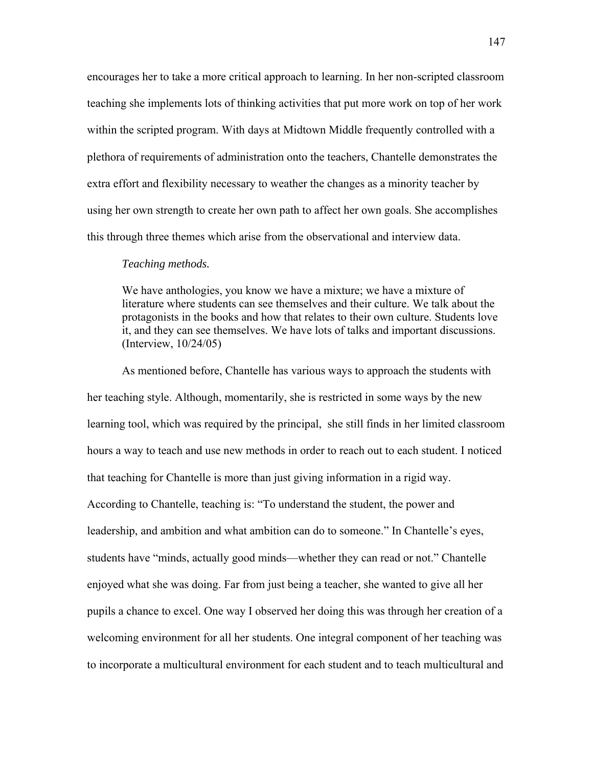encourages her to take a more critical approach to learning. In her non-scripted classroom teaching she implements lots of thinking activities that put more work on top of her work within the scripted program. With days at Midtown Middle frequently controlled with a plethora of requirements of administration onto the teachers, Chantelle demonstrates the extra effort and flexibility necessary to weather the changes as a minority teacher by using her own strength to create her own path to affect her own goals. She accomplishes this through three themes which arise from the observational and interview data.

#### *Teaching methods.*

We have anthologies, you know we have a mixture; we have a mixture of literature where students can see themselves and their culture. We talk about the protagonists in the books and how that relates to their own culture. Students love it, and they can see themselves. We have lots of talks and important discussions. (Interview, 10/24/05)

As mentioned before, Chantelle has various ways to approach the students with her teaching style. Although, momentarily, she is restricted in some ways by the new learning tool, which was required by the principal, she still finds in her limited classroom hours a way to teach and use new methods in order to reach out to each student. I noticed that teaching for Chantelle is more than just giving information in a rigid way. According to Chantelle, teaching is: "To understand the student, the power and leadership, and ambition and what ambition can do to someone." In Chantelle's eyes, students have "minds, actually good minds—whether they can read or not." Chantelle enjoyed what she was doing. Far from just being a teacher, she wanted to give all her pupils a chance to excel. One way I observed her doing this was through her creation of a welcoming environment for all her students. One integral component of her teaching was to incorporate a multicultural environment for each student and to teach multicultural and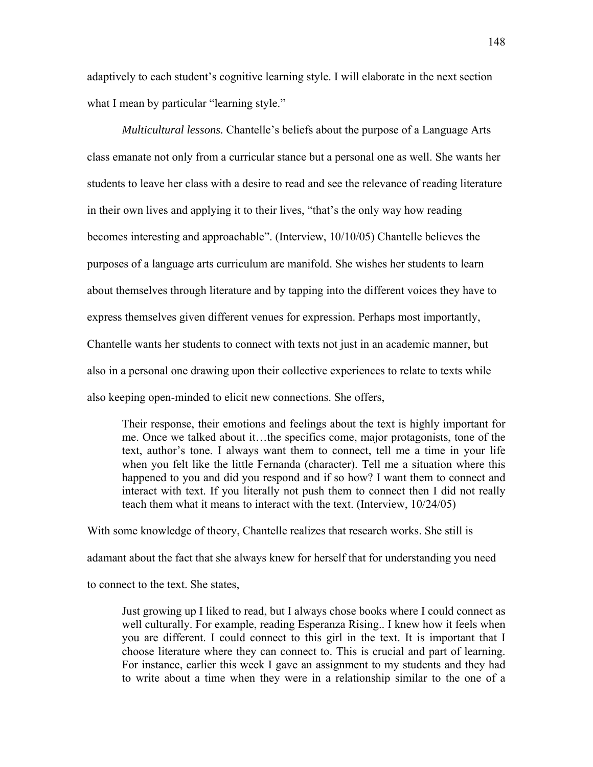adaptively to each student's cognitive learning style. I will elaborate in the next section what I mean by particular "learning style."

*Multicultural lessons.* Chantelle's beliefs about the purpose of a Language Arts class emanate not only from a curricular stance but a personal one as well. She wants her students to leave her class with a desire to read and see the relevance of reading literature in their own lives and applying it to their lives, "that's the only way how reading becomes interesting and approachable". (Interview, 10/10/05) Chantelle believes the purposes of a language arts curriculum are manifold. She wishes her students to learn about themselves through literature and by tapping into the different voices they have to express themselves given different venues for expression. Perhaps most importantly, Chantelle wants her students to connect with texts not just in an academic manner, but also in a personal one drawing upon their collective experiences to relate to texts while also keeping open-minded to elicit new connections. She offers,

Their response, their emotions and feelings about the text is highly important for me. Once we talked about it…the specifics come, major protagonists, tone of the text, author's tone. I always want them to connect, tell me a time in your life when you felt like the little Fernanda (character). Tell me a situation where this happened to you and did you respond and if so how? I want them to connect and interact with text. If you literally not push them to connect then I did not really teach them what it means to interact with the text. (Interview, 10/24/05)

With some knowledge of theory, Chantelle realizes that research works. She still is adamant about the fact that she always knew for herself that for understanding you need to connect to the text. She states,

Just growing up I liked to read, but I always chose books where I could connect as well culturally. For example, reading Esperanza Rising.. I knew how it feels when you are different. I could connect to this girl in the text. It is important that I choose literature where they can connect to. This is crucial and part of learning. For instance, earlier this week I gave an assignment to my students and they had to write about a time when they were in a relationship similar to the one of a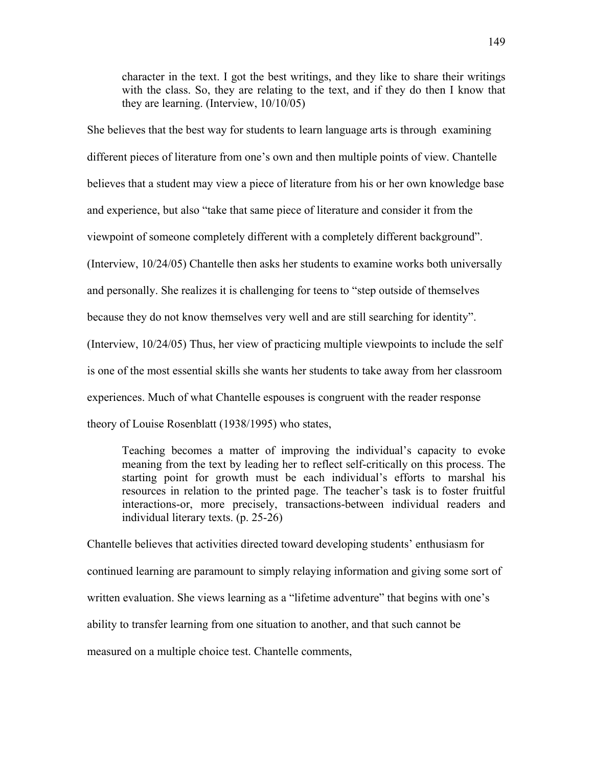character in the text. I got the best writings, and they like to share their writings with the class. So, they are relating to the text, and if they do then I know that they are learning. (Interview, 10/10/05)

She believes that the best way for students to learn language arts is through examining different pieces of literature from one's own and then multiple points of view. Chantelle believes that a student may view a piece of literature from his or her own knowledge base and experience, but also "take that same piece of literature and consider it from the viewpoint of someone completely different with a completely different background". (Interview, 10/24/05) Chantelle then asks her students to examine works both universally and personally. She realizes it is challenging for teens to "step outside of themselves because they do not know themselves very well and are still searching for identity". (Interview, 10/24/05) Thus, her view of practicing multiple viewpoints to include the self is one of the most essential skills she wants her students to take away from her classroom experiences. Much of what Chantelle espouses is congruent with the reader response theory of Louise Rosenblatt (1938/1995) who states,

Teaching becomes a matter of improving the individual's capacity to evoke meaning from the text by leading her to reflect self-critically on this process. The starting point for growth must be each individual's efforts to marshal his resources in relation to the printed page. The teacher's task is to foster fruitful interactions-or, more precisely, transactions-between individual readers and individual literary texts. (p. 25-26)

Chantelle believes that activities directed toward developing students' enthusiasm for continued learning are paramount to simply relaying information and giving some sort of written evaluation. She views learning as a "lifetime adventure" that begins with one's ability to transfer learning from one situation to another, and that such cannot be measured on a multiple choice test. Chantelle comments,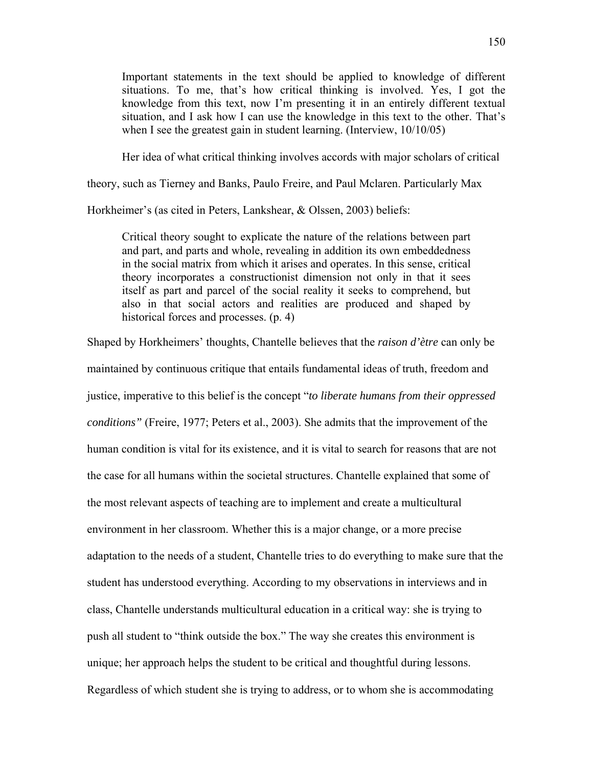Important statements in the text should be applied to knowledge of different situations. To me, that's how critical thinking is involved. Yes, I got the knowledge from this text, now I'm presenting it in an entirely different textual situation, and I ask how I can use the knowledge in this text to the other. That's when I see the greatest gain in student learning. (Interview,  $10/10/05$ )

Her idea of what critical thinking involves accords with major scholars of critical

theory, such as Tierney and Banks, Paulo Freire, and Paul Mclaren. Particularly Max

Horkheimer's (as cited in Peters, Lankshear, & Olssen, 2003) beliefs:

Critical theory sought to explicate the nature of the relations between part and part, and parts and whole, revealing in addition its own embeddedness in the social matrix from which it arises and operates. In this sense, critical theory incorporates a constructionist dimension not only in that it sees itself as part and parcel of the social reality it seeks to comprehend, but also in that social actors and realities are produced and shaped by historical forces and processes. (p. 4)

Shaped by Horkheimers' thoughts, Chantelle believes that the *raison d'ètre* can only be maintained by continuous critique that entails fundamental ideas of truth, freedom and justice, imperative to this belief is the concept "*to liberate humans from their oppressed conditions"* (Freire, 1977; Peters et al., 2003). She admits that the improvement of the human condition is vital for its existence, and it is vital to search for reasons that are not the case for all humans within the societal structures. Chantelle explained that some of the most relevant aspects of teaching are to implement and create a multicultural environment in her classroom. Whether this is a major change, or a more precise adaptation to the needs of a student, Chantelle tries to do everything to make sure that the student has understood everything. According to my observations in interviews and in class, Chantelle understands multicultural education in a critical way: she is trying to push all student to "think outside the box." The way she creates this environment is unique; her approach helps the student to be critical and thoughtful during lessons. Regardless of which student she is trying to address, or to whom she is accommodating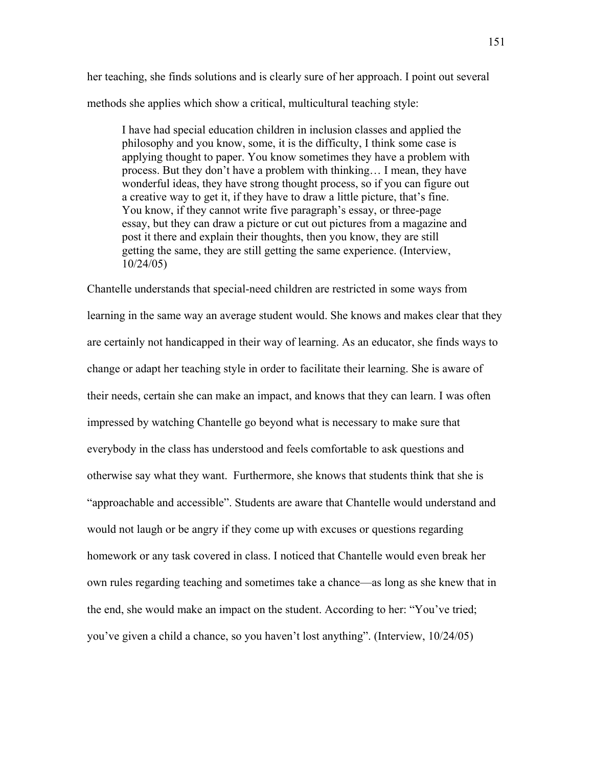her teaching, she finds solutions and is clearly sure of her approach. I point out several methods she applies which show a critical, multicultural teaching style:

I have had special education children in inclusion classes and applied the philosophy and you know, some, it is the difficulty, I think some case is applying thought to paper. You know sometimes they have a problem with process. But they don't have a problem with thinking… I mean, they have wonderful ideas, they have strong thought process, so if you can figure out a creative way to get it, if they have to draw a little picture, that's fine. You know, if they cannot write five paragraph's essay, or three-page essay, but they can draw a picture or cut out pictures from a magazine and post it there and explain their thoughts, then you know, they are still getting the same, they are still getting the same experience. (Interview, 10/24/05)

Chantelle understands that special-need children are restricted in some ways from learning in the same way an average student would. She knows and makes clear that they are certainly not handicapped in their way of learning. As an educator, she finds ways to change or adapt her teaching style in order to facilitate their learning. She is aware of their needs, certain she can make an impact, and knows that they can learn. I was often impressed by watching Chantelle go beyond what is necessary to make sure that everybody in the class has understood and feels comfortable to ask questions and otherwise say what they want. Furthermore, she knows that students think that she is "approachable and accessible". Students are aware that Chantelle would understand and would not laugh or be angry if they come up with excuses or questions regarding homework or any task covered in class. I noticed that Chantelle would even break her own rules regarding teaching and sometimes take a chance—as long as she knew that in the end, she would make an impact on the student. According to her: "You've tried; you've given a child a chance, so you haven't lost anything". (Interview, 10/24/05)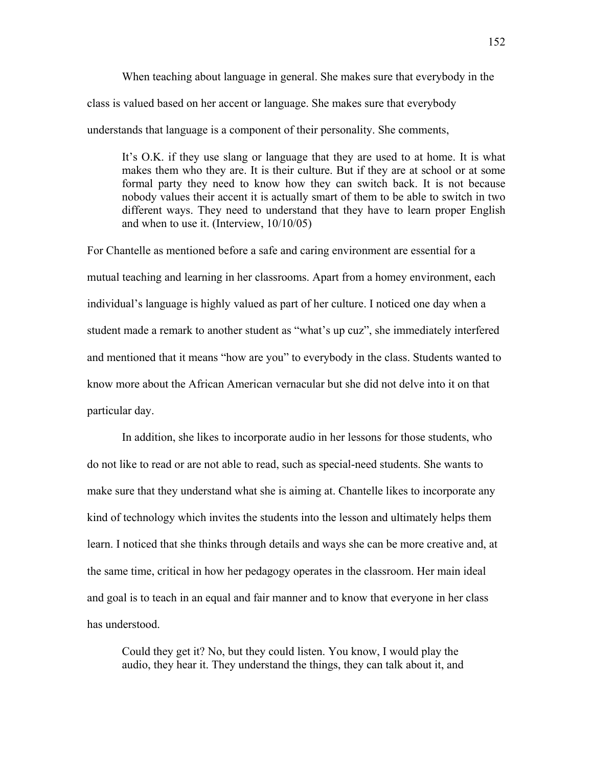When teaching about language in general. She makes sure that everybody in the class is valued based on her accent or language. She makes sure that everybody understands that language is a component of their personality. She comments,

It's O.K. if they use slang or language that they are used to at home. It is what makes them who they are. It is their culture. But if they are at school or at some formal party they need to know how they can switch back. It is not because nobody values their accent it is actually smart of them to be able to switch in two different ways. They need to understand that they have to learn proper English and when to use it. (Interview, 10/10/05)

For Chantelle as mentioned before a safe and caring environment are essential for a mutual teaching and learning in her classrooms. Apart from a homey environment, each individual's language is highly valued as part of her culture. I noticed one day when a student made a remark to another student as "what's up cuz", she immediately interfered and mentioned that it means "how are you" to everybody in the class. Students wanted to know more about the African American vernacular but she did not delve into it on that particular day.

In addition, she likes to incorporate audio in her lessons for those students, who do not like to read or are not able to read, such as special-need students. She wants to make sure that they understand what she is aiming at. Chantelle likes to incorporate any kind of technology which invites the students into the lesson and ultimately helps them learn. I noticed that she thinks through details and ways she can be more creative and, at the same time, critical in how her pedagogy operates in the classroom. Her main ideal and goal is to teach in an equal and fair manner and to know that everyone in her class has understood.

Could they get it? No, but they could listen. You know, I would play the audio, they hear it. They understand the things, they can talk about it, and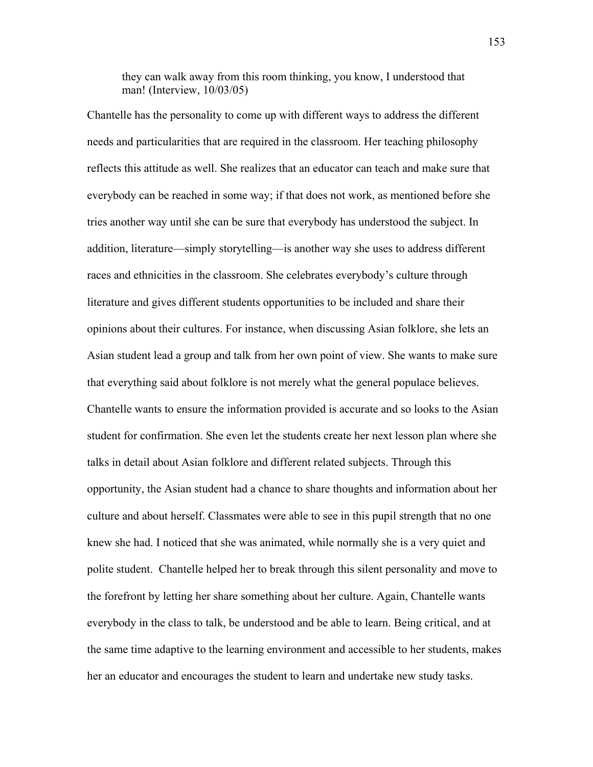they can walk away from this room thinking, you know, I understood that man! (Interview, 10/03/05)

Chantelle has the personality to come up with different ways to address the different needs and particularities that are required in the classroom. Her teaching philosophy reflects this attitude as well. She realizes that an educator can teach and make sure that everybody can be reached in some way; if that does not work, as mentioned before she tries another way until she can be sure that everybody has understood the subject. In addition, literature—simply storytelling—is another way she uses to address different races and ethnicities in the classroom. She celebrates everybody's culture through literature and gives different students opportunities to be included and share their opinions about their cultures. For instance, when discussing Asian folklore, she lets an Asian student lead a group and talk from her own point of view. She wants to make sure that everything said about folklore is not merely what the general populace believes. Chantelle wants to ensure the information provided is accurate and so looks to the Asian student for confirmation. She even let the students create her next lesson plan where she talks in detail about Asian folklore and different related subjects. Through this opportunity, the Asian student had a chance to share thoughts and information about her culture and about herself. Classmates were able to see in this pupil strength that no one knew she had. I noticed that she was animated, while normally she is a very quiet and polite student. Chantelle helped her to break through this silent personality and move to the forefront by letting her share something about her culture. Again, Chantelle wants everybody in the class to talk, be understood and be able to learn. Being critical, and at the same time adaptive to the learning environment and accessible to her students, makes her an educator and encourages the student to learn and undertake new study tasks.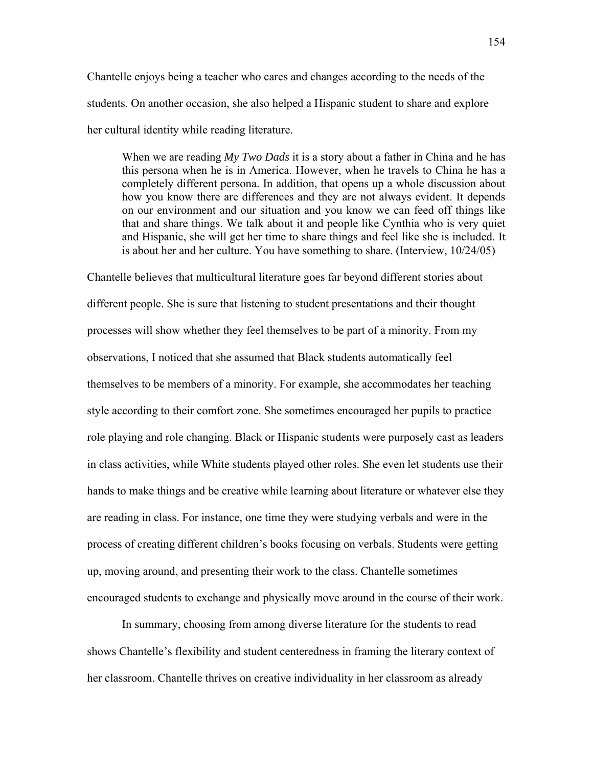Chantelle enjoys being a teacher who cares and changes according to the needs of the students. On another occasion, she also helped a Hispanic student to share and explore her cultural identity while reading literature.

When we are reading *My Two Dads* it is a story about a father in China and he has this persona when he is in America. However, when he travels to China he has a completely different persona. In addition, that opens up a whole discussion about how you know there are differences and they are not always evident. It depends on our environment and our situation and you know we can feed off things like that and share things. We talk about it and people like Cynthia who is very quiet and Hispanic, she will get her time to share things and feel like she is included. It is about her and her culture. You have something to share. (Interview, 10/24/05)

Chantelle believes that multicultural literature goes far beyond different stories about different people. She is sure that listening to student presentations and their thought processes will show whether they feel themselves to be part of a minority. From my observations, I noticed that she assumed that Black students automatically feel themselves to be members of a minority. For example, she accommodates her teaching style according to their comfort zone. She sometimes encouraged her pupils to practice role playing and role changing. Black or Hispanic students were purposely cast as leaders in class activities, while White students played other roles. She even let students use their hands to make things and be creative while learning about literature or whatever else they are reading in class. For instance, one time they were studying verbals and were in the process of creating different children's books focusing on verbals. Students were getting up, moving around, and presenting their work to the class. Chantelle sometimes encouraged students to exchange and physically move around in the course of their work.

In summary, choosing from among diverse literature for the students to read shows Chantelle's flexibility and student centeredness in framing the literary context of her classroom. Chantelle thrives on creative individuality in her classroom as already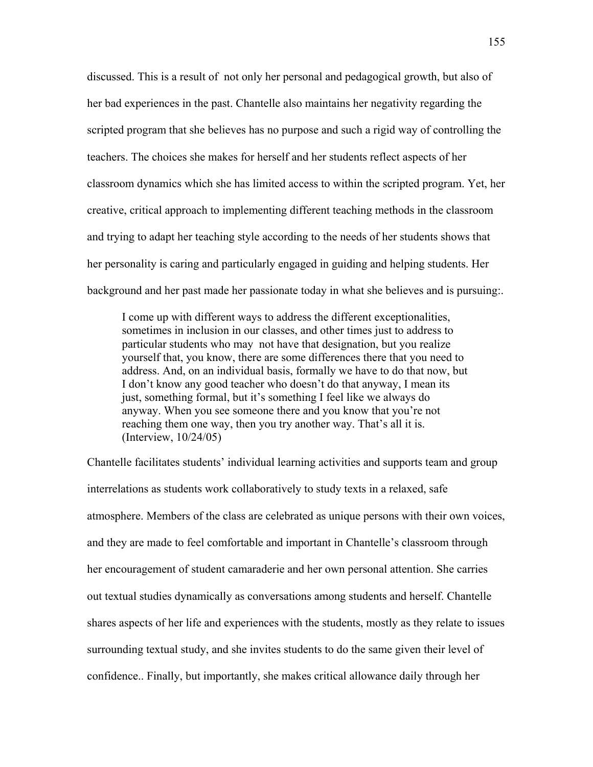discussed. This is a result of not only her personal and pedagogical growth, but also of her bad experiences in the past. Chantelle also maintains her negativity regarding the scripted program that she believes has no purpose and such a rigid way of controlling the teachers. The choices she makes for herself and her students reflect aspects of her classroom dynamics which she has limited access to within the scripted program. Yet, her creative, critical approach to implementing different teaching methods in the classroom and trying to adapt her teaching style according to the needs of her students shows that her personality is caring and particularly engaged in guiding and helping students. Her background and her past made her passionate today in what she believes and is pursuing:.

I come up with different ways to address the different exceptionalities, sometimes in inclusion in our classes, and other times just to address to particular students who may not have that designation, but you realize yourself that, you know, there are some differences there that you need to address. And, on an individual basis, formally we have to do that now, but I don't know any good teacher who doesn't do that anyway, I mean its just, something formal, but it's something I feel like we always do anyway. When you see someone there and you know that you're not reaching them one way, then you try another way. That's all it is. (Interview, 10/24/05)

Chantelle facilitates students' individual learning activities and supports team and group interrelations as students work collaboratively to study texts in a relaxed, safe atmosphere. Members of the class are celebrated as unique persons with their own voices, and they are made to feel comfortable and important in Chantelle's classroom through her encouragement of student camaraderie and her own personal attention. She carries out textual studies dynamically as conversations among students and herself. Chantelle shares aspects of her life and experiences with the students, mostly as they relate to issues surrounding textual study, and she invites students to do the same given their level of confidence.. Finally, but importantly, she makes critical allowance daily through her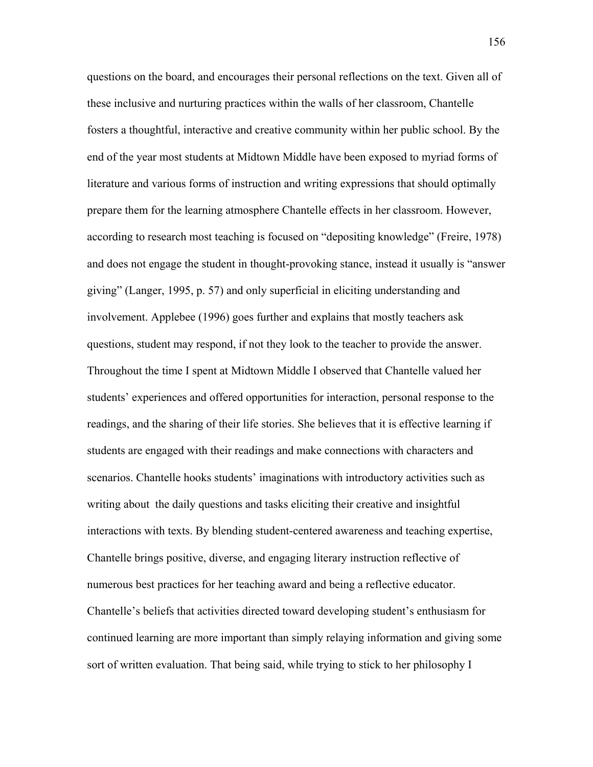questions on the board, and encourages their personal reflections on the text. Given all of these inclusive and nurturing practices within the walls of her classroom, Chantelle fosters a thoughtful, interactive and creative community within her public school. By the end of the year most students at Midtown Middle have been exposed to myriad forms of literature and various forms of instruction and writing expressions that should optimally prepare them for the learning atmosphere Chantelle effects in her classroom. However, according to research most teaching is focused on "depositing knowledge" (Freire, 1978) and does not engage the student in thought-provoking stance, instead it usually is "answer giving" (Langer, 1995, p. 57) and only superficial in eliciting understanding and involvement. Applebee (1996) goes further and explains that mostly teachers ask questions, student may respond, if not they look to the teacher to provide the answer. Throughout the time I spent at Midtown Middle I observed that Chantelle valued her students' experiences and offered opportunities for interaction, personal response to the readings, and the sharing of their life stories. She believes that it is effective learning if students are engaged with their readings and make connections with characters and scenarios. Chantelle hooks students' imaginations with introductory activities such as writing about the daily questions and tasks eliciting their creative and insightful interactions with texts. By blending student-centered awareness and teaching expertise, Chantelle brings positive, diverse, and engaging literary instruction reflective of numerous best practices for her teaching award and being a reflective educator. Chantelle's beliefs that activities directed toward developing student's enthusiasm for continued learning are more important than simply relaying information and giving some sort of written evaluation. That being said, while trying to stick to her philosophy I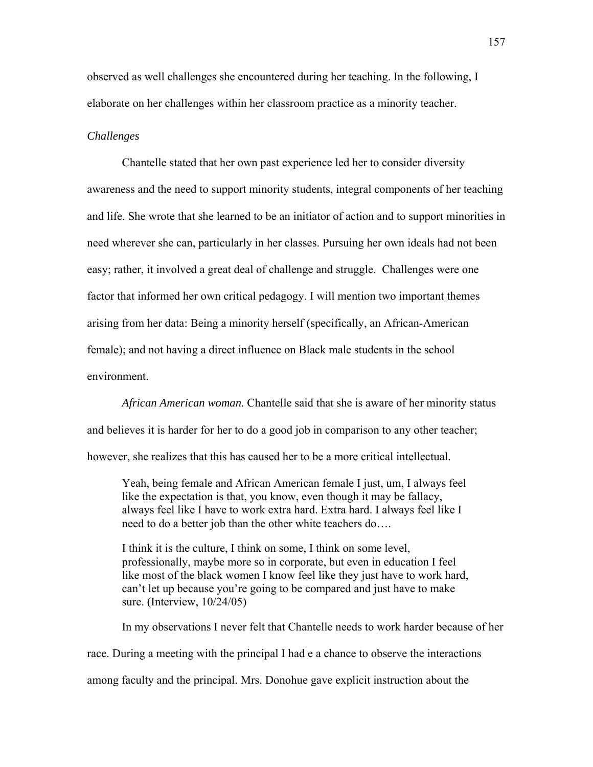observed as well challenges she encountered during her teaching. In the following, I elaborate on her challenges within her classroom practice as a minority teacher.

## *Challenges*

Chantelle stated that her own past experience led her to consider diversity awareness and the need to support minority students, integral components of her teaching and life. She wrote that she learned to be an initiator of action and to support minorities in need wherever she can, particularly in her classes. Pursuing her own ideals had not been easy; rather, it involved a great deal of challenge and struggle. Challenges were one factor that informed her own critical pedagogy. I will mention two important themes arising from her data: Being a minority herself (specifically, an African-American female); and not having a direct influence on Black male students in the school environment.

*African American woman.* Chantelle said that she is aware of her minority status and believes it is harder for her to do a good job in comparison to any other teacher; however, she realizes that this has caused her to be a more critical intellectual.

Yeah, being female and African American female I just, um, I always feel like the expectation is that, you know, even though it may be fallacy, always feel like I have to work extra hard. Extra hard. I always feel like I need to do a better job than the other white teachers do….

I think it is the culture, I think on some, I think on some level, professionally, maybe more so in corporate, but even in education I feel like most of the black women I know feel like they just have to work hard, can't let up because you're going to be compared and just have to make sure. (Interview, 10/24/05)

In my observations I never felt that Chantelle needs to work harder because of her

race. During a meeting with the principal I had e a chance to observe the interactions

among faculty and the principal. Mrs. Donohue gave explicit instruction about the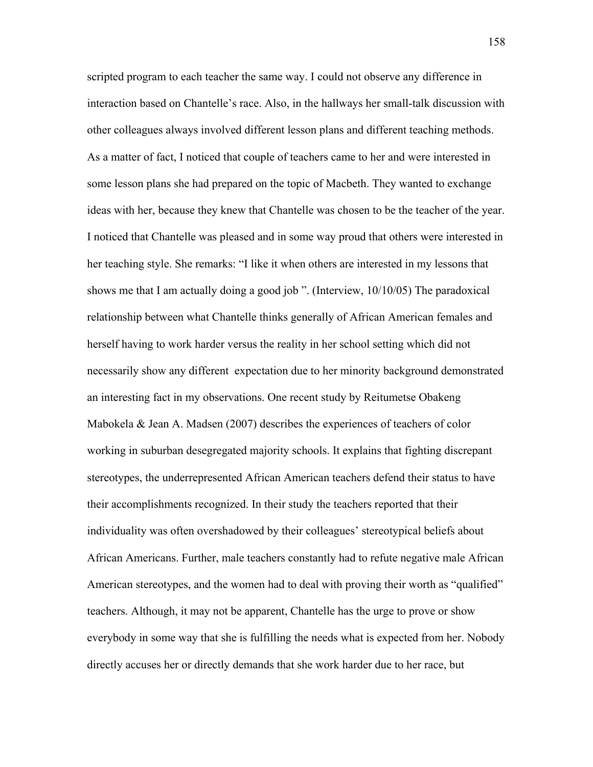scripted program to each teacher the same way. I could not observe any difference in interaction based on Chantelle's race. Also, in the hallways her small-talk discussion with other colleagues always involved different lesson plans and different teaching methods. As a matter of fact, I noticed that couple of teachers came to her and were interested in some lesson plans she had prepared on the topic of Macbeth. They wanted to exchange ideas with her, because they knew that Chantelle was chosen to be the teacher of the year. I noticed that Chantelle was pleased and in some way proud that others were interested in her teaching style. She remarks: "I like it when others are interested in my lessons that shows me that I am actually doing a good job ". (Interview, 10/10/05) The paradoxical relationship between what Chantelle thinks generally of African American females and herself having to work harder versus the reality in her school setting which did not necessarily show any different expectation due to her minority background demonstrated an interesting fact in my observations. One recent study by Reitumetse Obakeng Mabokela & Jean A. Madsen (2007) describes the experiences of teachers of color working in suburban desegregated majority schools. It explains that fighting discrepant stereotypes, the underrepresented African American teachers defend their status to have their accomplishments recognized. In their study the teachers reported that their individuality was often overshadowed by their colleagues' stereotypical beliefs about African Americans. Further, male teachers constantly had to refute negative male African American stereotypes, and the women had to deal with proving their worth as "qualified" teachers. Although, it may not be apparent, Chantelle has the urge to prove or show everybody in some way that she is fulfilling the needs what is expected from her. Nobody directly accuses her or directly demands that she work harder due to her race, but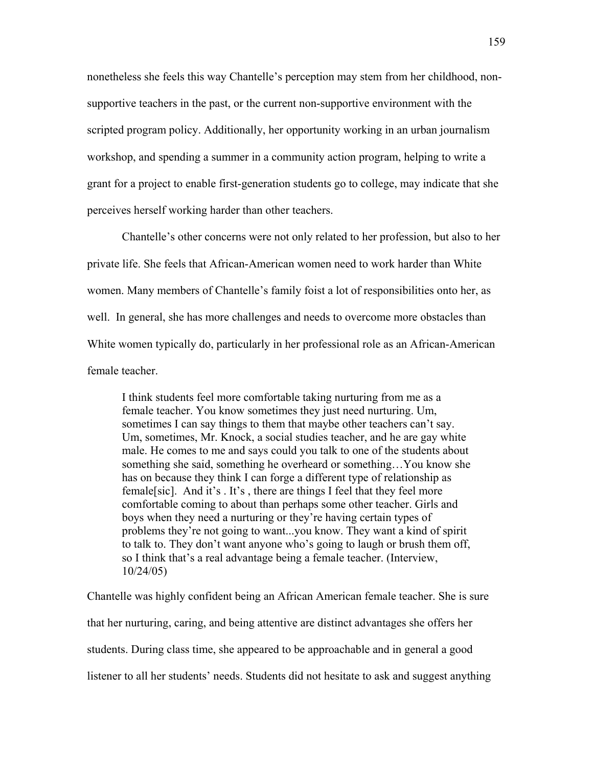nonetheless she feels this way Chantelle's perception may stem from her childhood, nonsupportive teachers in the past, or the current non-supportive environment with the scripted program policy. Additionally, her opportunity working in an urban journalism workshop, and spending a summer in a community action program, helping to write a grant for a project to enable first-generation students go to college, may indicate that she perceives herself working harder than other teachers.

Chantelle's other concerns were not only related to her profession, but also to her private life. She feels that African-American women need to work harder than White women. Many members of Chantelle's family foist a lot of responsibilities onto her, as well. In general, she has more challenges and needs to overcome more obstacles than White women typically do, particularly in her professional role as an African-American female teacher.

I think students feel more comfortable taking nurturing from me as a female teacher. You know sometimes they just need nurturing. Um, sometimes I can say things to them that maybe other teachers can't say. Um, sometimes, Mr. Knock, a social studies teacher, and he are gay white male. He comes to me and says could you talk to one of the students about something she said, something he overheard or something…You know she has on because they think I can forge a different type of relationship as female[sic]. And it's . It's , there are things I feel that they feel more comfortable coming to about than perhaps some other teacher. Girls and boys when they need a nurturing or they're having certain types of problems they're not going to want...you know. They want a kind of spirit to talk to. They don't want anyone who's going to laugh or brush them off, so I think that's a real advantage being a female teacher. (Interview, 10/24/05)

Chantelle was highly confident being an African American female teacher. She is sure that her nurturing, caring, and being attentive are distinct advantages she offers her students. During class time, she appeared to be approachable and in general a good listener to all her students' needs. Students did not hesitate to ask and suggest anything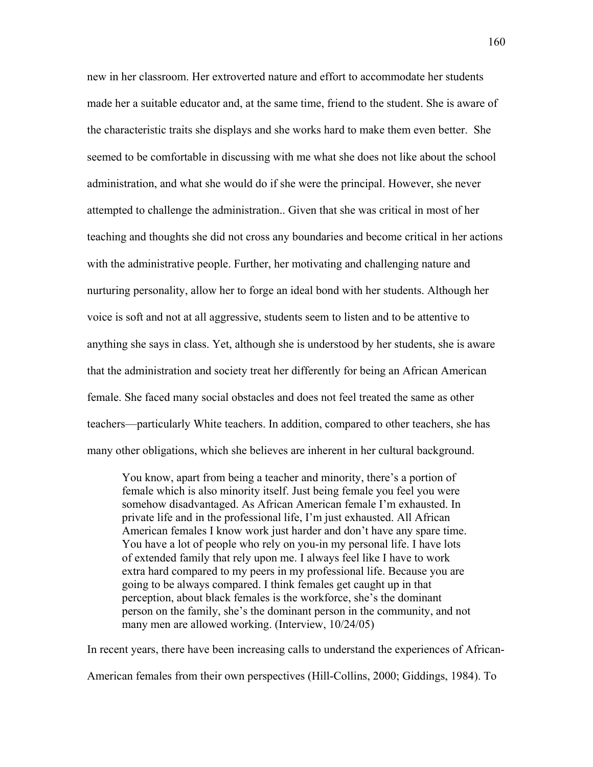new in her classroom. Her extroverted nature and effort to accommodate her students made her a suitable educator and, at the same time, friend to the student. She is aware of the characteristic traits she displays and she works hard to make them even better. She seemed to be comfortable in discussing with me what she does not like about the school administration, and what she would do if she were the principal. However, she never attempted to challenge the administration.. Given that she was critical in most of her teaching and thoughts she did not cross any boundaries and become critical in her actions with the administrative people. Further, her motivating and challenging nature and nurturing personality, allow her to forge an ideal bond with her students. Although her voice is soft and not at all aggressive, students seem to listen and to be attentive to anything she says in class. Yet, although she is understood by her students, she is aware that the administration and society treat her differently for being an African American female. She faced many social obstacles and does not feel treated the same as other teachers—particularly White teachers. In addition, compared to other teachers, she has many other obligations, which she believes are inherent in her cultural background.

You know, apart from being a teacher and minority, there's a portion of female which is also minority itself. Just being female you feel you were somehow disadvantaged. As African American female I'm exhausted. In private life and in the professional life, I'm just exhausted. All African American females I know work just harder and don't have any spare time. You have a lot of people who rely on you-in my personal life. I have lots of extended family that rely upon me. I always feel like I have to work extra hard compared to my peers in my professional life. Because you are going to be always compared. I think females get caught up in that perception, about black females is the workforce, she's the dominant person on the family, she's the dominant person in the community, and not many men are allowed working. (Interview, 10/24/05)

In recent years, there have been increasing calls to understand the experiences of African-American females from their own perspectives (Hill-Collins, 2000; Giddings, 1984). To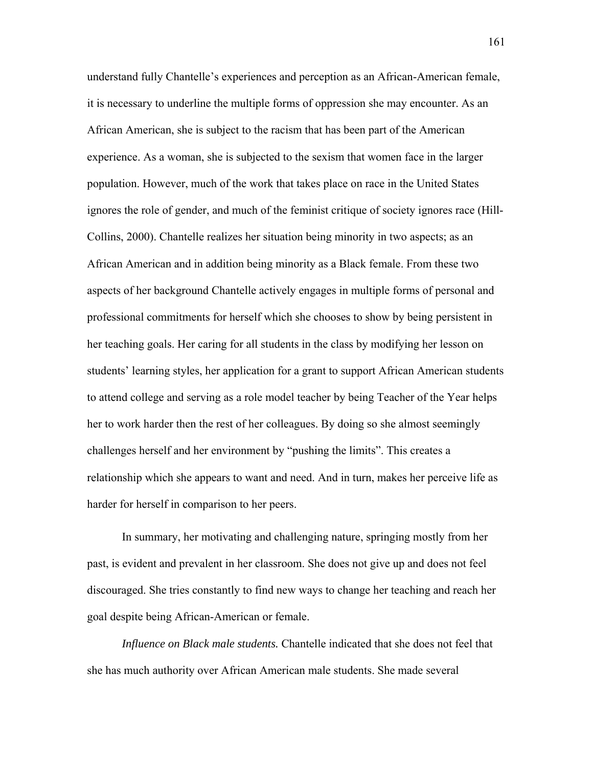understand fully Chantelle's experiences and perception as an African-American female, it is necessary to underline the multiple forms of oppression she may encounter. As an African American, she is subject to the racism that has been part of the American experience. As a woman, she is subjected to the sexism that women face in the larger population. However, much of the work that takes place on race in the United States ignores the role of gender, and much of the feminist critique of society ignores race (Hill-Collins, 2000). Chantelle realizes her situation being minority in two aspects; as an African American and in addition being minority as a Black female. From these two aspects of her background Chantelle actively engages in multiple forms of personal and professional commitments for herself which she chooses to show by being persistent in her teaching goals. Her caring for all students in the class by modifying her lesson on students' learning styles, her application for a grant to support African American students to attend college and serving as a role model teacher by being Teacher of the Year helps her to work harder then the rest of her colleagues. By doing so she almost seemingly challenges herself and her environment by "pushing the limits". This creates a relationship which she appears to want and need. And in turn, makes her perceive life as harder for herself in comparison to her peers.

In summary, her motivating and challenging nature, springing mostly from her past, is evident and prevalent in her classroom. She does not give up and does not feel discouraged. She tries constantly to find new ways to change her teaching and reach her goal despite being African-American or female.

*Influence on Black male students.* Chantelle indicated that she does not feel that she has much authority over African American male students. She made several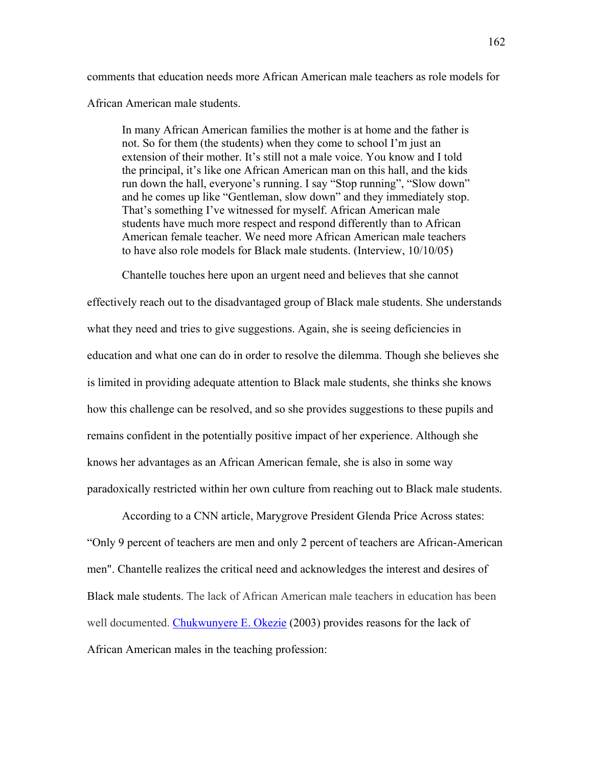comments that education needs more African American male teachers as role models for African American male students.

In many African American families the mother is at home and the father is not. So for them (the students) when they come to school I'm just an extension of their mother. It's still not a male voice. You know and I told the principal, it's like one African American man on this hall, and the kids run down the hall, everyone's running. I say "Stop running", "Slow down" and he comes up like "Gentleman, slow down" and they immediately stop. That's something I've witnessed for myself. African American male students have much more respect and respond differently than to African American female teacher. We need more African American male teachers to have also role models for Black male students. (Interview, 10/10/05)

Chantelle touches here upon an urgent need and believes that she cannot

effectively reach out to the disadvantaged group of Black male students. She understands what they need and tries to give suggestions. Again, she is seeing deficiencies in education and what one can do in order to resolve the dilemma. Though she believes she is limited in providing adequate attention to Black male students, she thinks she knows how this challenge can be resolved, and so she provides suggestions to these pupils and remains confident in the potentially positive impact of her experience. Although she knows her advantages as an African American female, she is also in some way paradoxically restricted within her own culture from reaching out to Black male students.

According to a CNN article, Marygrove President Glenda Price Across states: "Only 9 percent of teachers are men and only 2 percent of teachers are African-American men". Chantelle realizes the critical need and acknowledges the interest and desires of Black male students. The lack of African American male teachers in education has been well documented. Chukwunyere E. Okezie (2003) provides reasons for the lack of African American males in the teaching profession: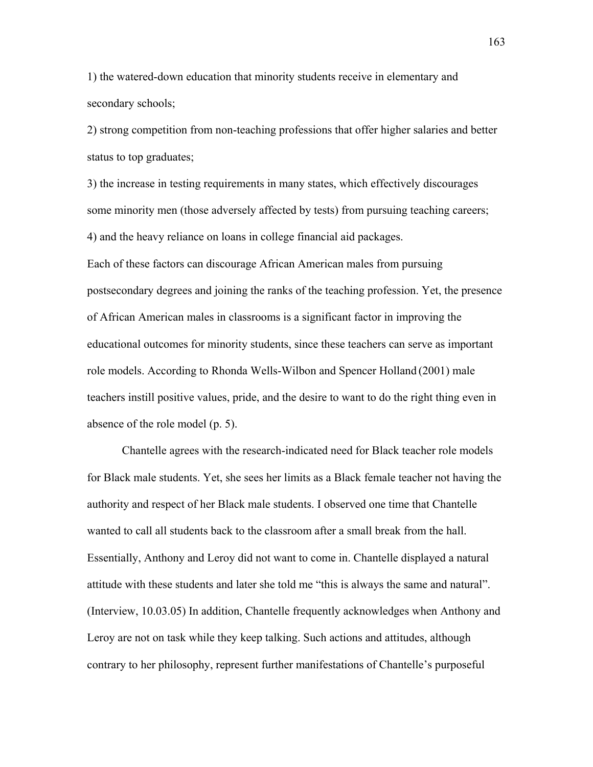1) the watered-down education that minority students receive in elementary and secondary schools;

2) strong competition from non-teaching professions that offer higher salaries and better status to top graduates;

3) the increase in testing requirements in many states, which effectively discourages some minority men (those adversely affected by tests) from pursuing teaching careers; 4) and the heavy reliance on loans in college financial aid packages. Each of these factors can discourage African American males from pursuing postsecondary degrees and joining the ranks of the teaching profession. Yet, the presence of African American males in classrooms is a significant factor in improving the educational outcomes for minority students, since these teachers can serve as important role models. According to Rhonda Wells-Wilbon and Spencer Holland (2001) male teachers instill positive values, pride, and the desire to want to do the right thing even in absence of the role model (p. 5).

Chantelle agrees with the research-indicated need for Black teacher role models for Black male students. Yet, she sees her limits as a Black female teacher not having the authority and respect of her Black male students. I observed one time that Chantelle wanted to call all students back to the classroom after a small break from the hall. Essentially, Anthony and Leroy did not want to come in. Chantelle displayed a natural attitude with these students and later she told me "this is always the same and natural". (Interview, 10.03.05) In addition, Chantelle frequently acknowledges when Anthony and Leroy are not on task while they keep talking. Such actions and attitudes, although contrary to her philosophy, represent further manifestations of Chantelle's purposeful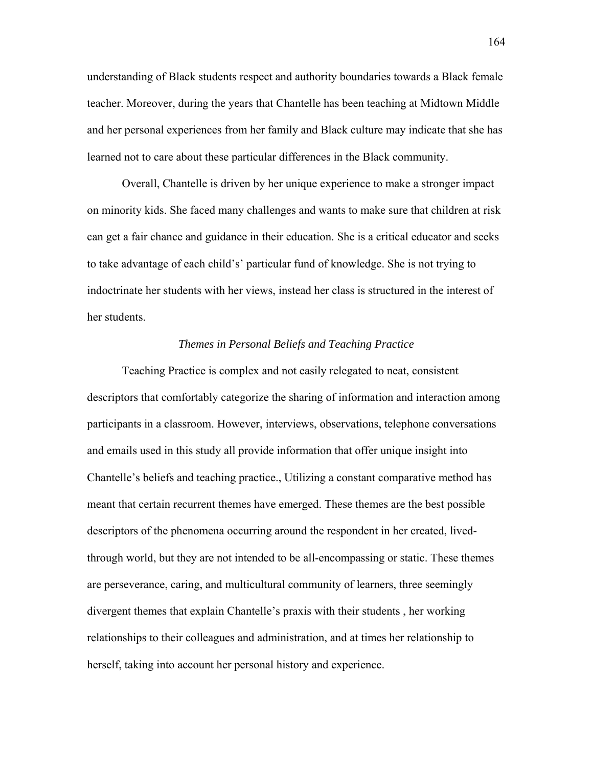understanding of Black students respect and authority boundaries towards a Black female teacher. Moreover, during the years that Chantelle has been teaching at Midtown Middle and her personal experiences from her family and Black culture may indicate that she has learned not to care about these particular differences in the Black community.

Overall, Chantelle is driven by her unique experience to make a stronger impact on minority kids. She faced many challenges and wants to make sure that children at risk can get a fair chance and guidance in their education. She is a critical educator and seeks to take advantage of each child's' particular fund of knowledge. She is not trying to indoctrinate her students with her views, instead her class is structured in the interest of her students.

## *Themes in Personal Beliefs and Teaching Practice*

Teaching Practice is complex and not easily relegated to neat, consistent descriptors that comfortably categorize the sharing of information and interaction among participants in a classroom. However, interviews, observations, telephone conversations and emails used in this study all provide information that offer unique insight into Chantelle's beliefs and teaching practice., Utilizing a constant comparative method has meant that certain recurrent themes have emerged. These themes are the best possible descriptors of the phenomena occurring around the respondent in her created, livedthrough world, but they are not intended to be all-encompassing or static. These themes are perseverance, caring, and multicultural community of learners, three seemingly divergent themes that explain Chantelle's praxis with their students , her working relationships to their colleagues and administration, and at times her relationship to herself, taking into account her personal history and experience.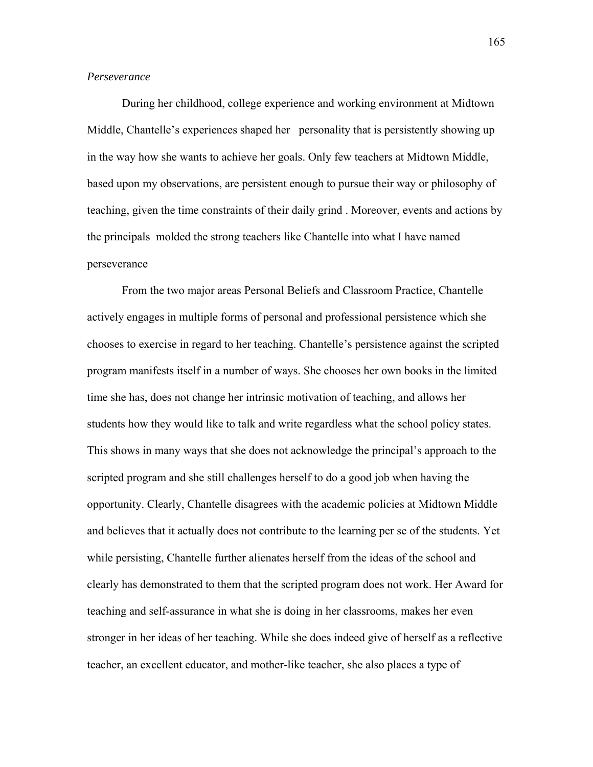# *Perseverance*

During her childhood, college experience and working environment at Midtown Middle, Chantelle's experiences shaped her personality that is persistently showing up in the way how she wants to achieve her goals. Only few teachers at Midtown Middle, based upon my observations, are persistent enough to pursue their way or philosophy of teaching, given the time constraints of their daily grind . Moreover, events and actions by the principals molded the strong teachers like Chantelle into what I have named perseverance

From the two major areas Personal Beliefs and Classroom Practice, Chantelle actively engages in multiple forms of personal and professional persistence which she chooses to exercise in regard to her teaching. Chantelle's persistence against the scripted program manifests itself in a number of ways. She chooses her own books in the limited time she has, does not change her intrinsic motivation of teaching, and allows her students how they would like to talk and write regardless what the school policy states. This shows in many ways that she does not acknowledge the principal's approach to the scripted program and she still challenges herself to do a good job when having the opportunity. Clearly, Chantelle disagrees with the academic policies at Midtown Middle and believes that it actually does not contribute to the learning per se of the students. Yet while persisting, Chantelle further alienates herself from the ideas of the school and clearly has demonstrated to them that the scripted program does not work. Her Award for teaching and self-assurance in what she is doing in her classrooms, makes her even stronger in her ideas of her teaching. While she does indeed give of herself as a reflective teacher, an excellent educator, and mother-like teacher, she also places a type of

165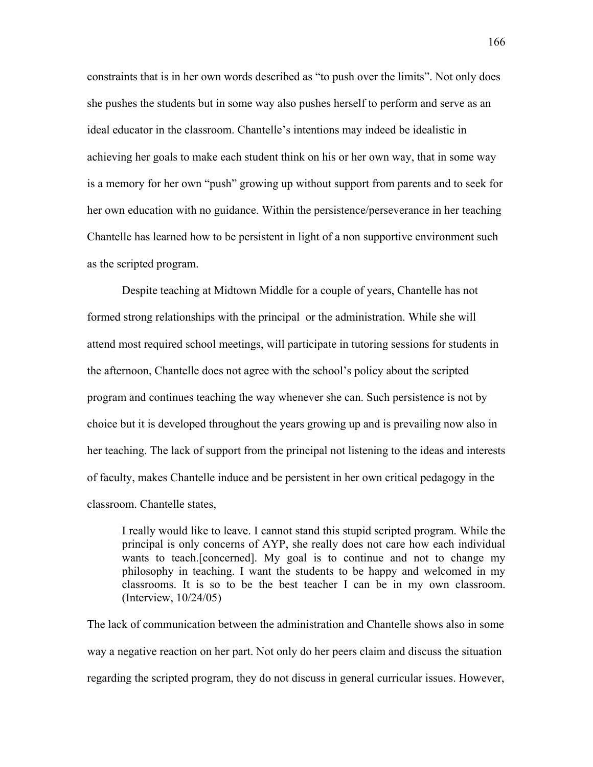constraints that is in her own words described as "to push over the limits". Not only does she pushes the students but in some way also pushes herself to perform and serve as an ideal educator in the classroom. Chantelle's intentions may indeed be idealistic in achieving her goals to make each student think on his or her own way, that in some way is a memory for her own "push" growing up without support from parents and to seek for her own education with no guidance. Within the persistence/perseverance in her teaching Chantelle has learned how to be persistent in light of a non supportive environment such as the scripted program.

Despite teaching at Midtown Middle for a couple of years, Chantelle has not formed strong relationships with the principal or the administration. While she will attend most required school meetings, will participate in tutoring sessions for students in the afternoon, Chantelle does not agree with the school's policy about the scripted program and continues teaching the way whenever she can. Such persistence is not by choice but it is developed throughout the years growing up and is prevailing now also in her teaching. The lack of support from the principal not listening to the ideas and interests of faculty, makes Chantelle induce and be persistent in her own critical pedagogy in the classroom. Chantelle states,

I really would like to leave. I cannot stand this stupid scripted program. While the principal is only concerns of AYP, she really does not care how each individual wants to teach.[concerned]. My goal is to continue and not to change my philosophy in teaching. I want the students to be happy and welcomed in my classrooms. It is so to be the best teacher I can be in my own classroom. (Interview, 10/24/05)

The lack of communication between the administration and Chantelle shows also in some way a negative reaction on her part. Not only do her peers claim and discuss the situation regarding the scripted program, they do not discuss in general curricular issues. However,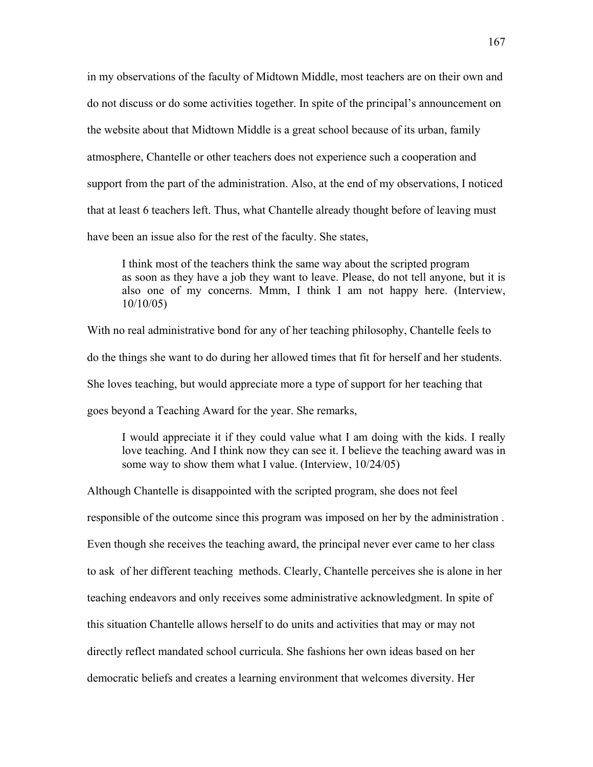in my observations of the faculty of Midtown Middle, most teachers are on their own and do not discuss or do some activities together. In spite of the principal's announcement on the website about that Midtown Middle is a great school because of its urban, family atmosphere, Chantelle or other teachers does not experience such a cooperation and support from the part of the administration. Also, at the end of my observations, I noticed that at least 6 teachers left. Thus, what Chantelle already thought before of leaving must have been an issue also for the rest of the faculty. She states,

 I think most of the teachers think the same way about the scripted program as soon as they have a job they want to leave. Please, do not tell anyone, but it is also one of my concerns. Mmm, I think I am not happy here. (Interview, 10/10/05)

With no real administrative bond for any of her teaching philosophy, Chantelle feels to do the things she want to do during her allowed times that fit for herself and her students. She loves teaching, but would appreciate more a type of support for her teaching that goes beyond a Teaching Award for the year. She remarks,

I would appreciate it if they could value what I am doing with the kids. I really love teaching. And I think now they can see it. I believe the teaching award was in some way to show them what I value. (Interview, 10/24/05)

Although Chantelle is disappointed with the scripted program, she does not feel responsible of the outcome since this program was imposed on her by the administration . Even though she receives the teaching award, the principal never ever came to her class to ask of her different teaching methods. Clearly, Chantelle perceives she is alone in her teaching endeavors and only receives some administrative acknowledgment. In spite of this situation Chantelle allows herself to do units and activities that may or may not directly reflect mandated school curricula. She fashions her own ideas based on her democratic beliefs and creates a learning environment that welcomes diversity. Her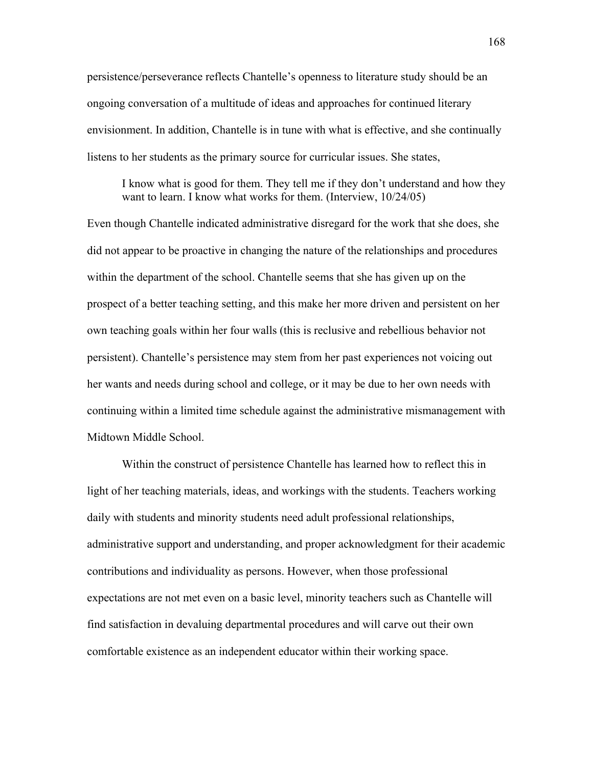persistence/perseverance reflects Chantelle's openness to literature study should be an ongoing conversation of a multitude of ideas and approaches for continued literary envisionment. In addition, Chantelle is in tune with what is effective, and she continually listens to her students as the primary source for curricular issues. She states,

I know what is good for them. They tell me if they don't understand and how they want to learn. I know what works for them. (Interview,  $10/24/05$ )

Even though Chantelle indicated administrative disregard for the work that she does, she did not appear to be proactive in changing the nature of the relationships and procedures within the department of the school. Chantelle seems that she has given up on the prospect of a better teaching setting, and this make her more driven and persistent on her own teaching goals within her four walls (this is reclusive and rebellious behavior not persistent). Chantelle's persistence may stem from her past experiences not voicing out her wants and needs during school and college, or it may be due to her own needs with continuing within a limited time schedule against the administrative mismanagement with Midtown Middle School.

 Within the construct of persistence Chantelle has learned how to reflect this in light of her teaching materials, ideas, and workings with the students. Teachers working daily with students and minority students need adult professional relationships, administrative support and understanding, and proper acknowledgment for their academic contributions and individuality as persons. However, when those professional expectations are not met even on a basic level, minority teachers such as Chantelle will find satisfaction in devaluing departmental procedures and will carve out their own comfortable existence as an independent educator within their working space.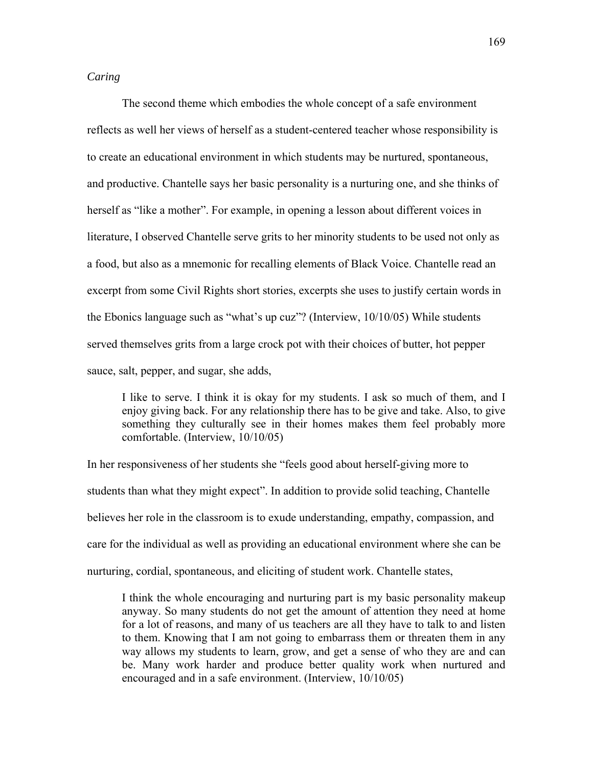# *Caring*

The second theme which embodies the whole concept of a safe environment reflects as well her views of herself as a student-centered teacher whose responsibility is to create an educational environment in which students may be nurtured, spontaneous, and productive. Chantelle says her basic personality is a nurturing one, and she thinks of herself as "like a mother". For example, in opening a lesson about different voices in literature, I observed Chantelle serve grits to her minority students to be used not only as a food, but also as a mnemonic for recalling elements of Black Voice. Chantelle read an excerpt from some Civil Rights short stories, excerpts she uses to justify certain words in the Ebonics language such as "what's up cuz"? (Interview, 10/10/05) While students served themselves grits from a large crock pot with their choices of butter, hot pepper sauce, salt, pepper, and sugar, she adds,

I like to serve. I think it is okay for my students. I ask so much of them, and I enjoy giving back. For any relationship there has to be give and take. Also, to give something they culturally see in their homes makes them feel probably more comfortable. (Interview, 10/10/05)

In her responsiveness of her students she "feels good about herself-giving more to students than what they might expect". In addition to provide solid teaching, Chantelle believes her role in the classroom is to exude understanding, empathy, compassion, and care for the individual as well as providing an educational environment where she can be nurturing, cordial, spontaneous, and eliciting of student work. Chantelle states,

I think the whole encouraging and nurturing part is my basic personality makeup anyway. So many students do not get the amount of attention they need at home for a lot of reasons, and many of us teachers are all they have to talk to and listen to them. Knowing that I am not going to embarrass them or threaten them in any way allows my students to learn, grow, and get a sense of who they are and can be. Many work harder and produce better quality work when nurtured and encouraged and in a safe environment. (Interview, 10/10/05)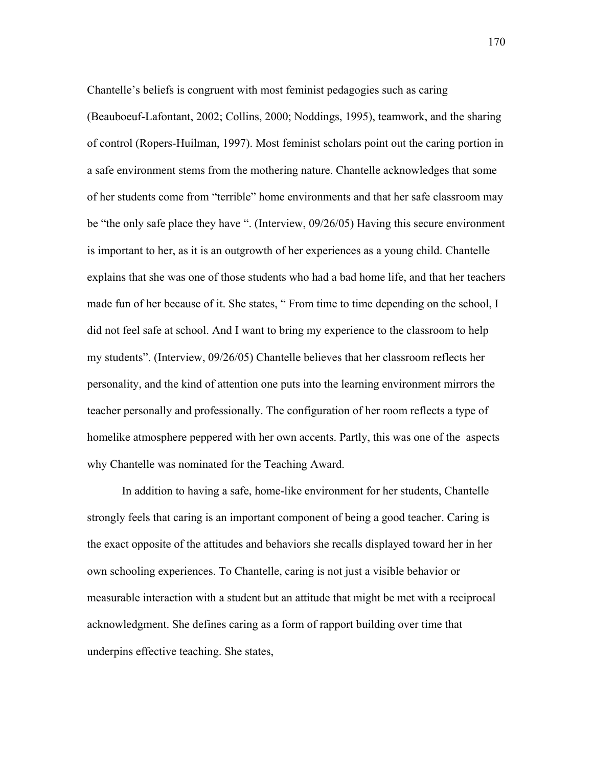Chantelle's beliefs is congruent with most feminist pedagogies such as caring

(Beauboeuf-Lafontant, 2002; Collins, 2000; Noddings, 1995), teamwork, and the sharing of control (Ropers-Huilman, 1997). Most feminist scholars point out the caring portion in a safe environment stems from the mothering nature. Chantelle acknowledges that some of her students come from "terrible" home environments and that her safe classroom may be "the only safe place they have ". (Interview, 09/26/05) Having this secure environment is important to her, as it is an outgrowth of her experiences as a young child. Chantelle explains that she was one of those students who had a bad home life, and that her teachers made fun of her because of it. She states, " From time to time depending on the school, I did not feel safe at school. And I want to bring my experience to the classroom to help my students". (Interview, 09/26/05) Chantelle believes that her classroom reflects her personality, and the kind of attention one puts into the learning environment mirrors the teacher personally and professionally. The configuration of her room reflects a type of homelike atmosphere peppered with her own accents. Partly, this was one of the aspects why Chantelle was nominated for the Teaching Award.

In addition to having a safe, home-like environment for her students, Chantelle strongly feels that caring is an important component of being a good teacher. Caring is the exact opposite of the attitudes and behaviors she recalls displayed toward her in her own schooling experiences. To Chantelle, caring is not just a visible behavior or measurable interaction with a student but an attitude that might be met with a reciprocal acknowledgment. She defines caring as a form of rapport building over time that underpins effective teaching. She states,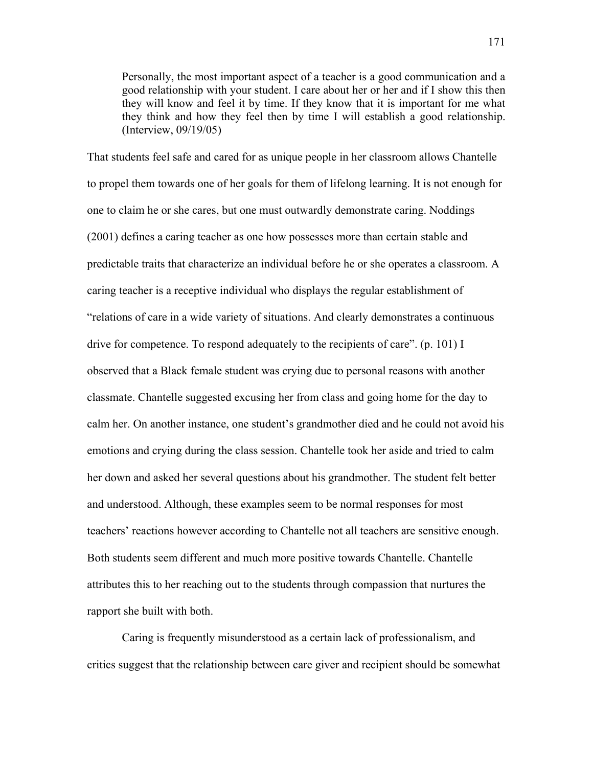Personally, the most important aspect of a teacher is a good communication and a good relationship with your student. I care about her or her and if I show this then they will know and feel it by time. If they know that it is important for me what they think and how they feel then by time I will establish a good relationship. (Interview, 09/19/05)

That students feel safe and cared for as unique people in her classroom allows Chantelle to propel them towards one of her goals for them of lifelong learning. It is not enough for one to claim he or she cares, but one must outwardly demonstrate caring. Noddings (2001) defines a caring teacher as one how possesses more than certain stable and predictable traits that characterize an individual before he or she operates a classroom. A caring teacher is a receptive individual who displays the regular establishment of "relations of care in a wide variety of situations. And clearly demonstrates a continuous drive for competence. To respond adequately to the recipients of care". (p. 101) I observed that a Black female student was crying due to personal reasons with another classmate. Chantelle suggested excusing her from class and going home for the day to calm her. On another instance, one student's grandmother died and he could not avoid his emotions and crying during the class session. Chantelle took her aside and tried to calm her down and asked her several questions about his grandmother. The student felt better and understood. Although, these examples seem to be normal responses for most teachers' reactions however according to Chantelle not all teachers are sensitive enough. Both students seem different and much more positive towards Chantelle. Chantelle attributes this to her reaching out to the students through compassion that nurtures the rapport she built with both.

 Caring is frequently misunderstood as a certain lack of professionalism, and critics suggest that the relationship between care giver and recipient should be somewhat

171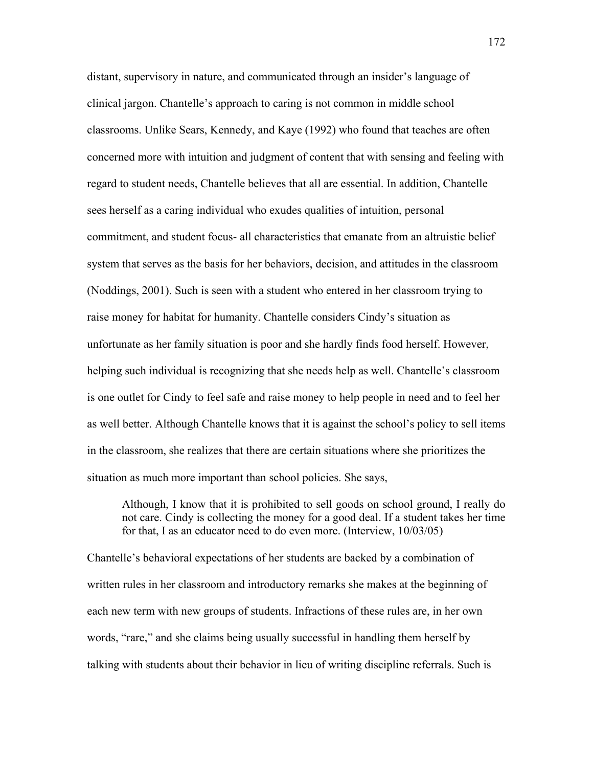distant, supervisory in nature, and communicated through an insider's language of clinical jargon. Chantelle's approach to caring is not common in middle school classrooms. Unlike Sears, Kennedy, and Kaye (1992) who found that teaches are often concerned more with intuition and judgment of content that with sensing and feeling with regard to student needs, Chantelle believes that all are essential. In addition, Chantelle sees herself as a caring individual who exudes qualities of intuition, personal commitment, and student focus- all characteristics that emanate from an altruistic belief system that serves as the basis for her behaviors, decision, and attitudes in the classroom (Noddings, 2001). Such is seen with a student who entered in her classroom trying to raise money for habitat for humanity. Chantelle considers Cindy's situation as unfortunate as her family situation is poor and she hardly finds food herself. However, helping such individual is recognizing that she needs help as well. Chantelle's classroom is one outlet for Cindy to feel safe and raise money to help people in need and to feel her as well better. Although Chantelle knows that it is against the school's policy to sell items in the classroom, she realizes that there are certain situations where she prioritizes the situation as much more important than school policies. She says,

Although, I know that it is prohibited to sell goods on school ground, I really do not care. Cindy is collecting the money for a good deal. If a student takes her time for that, I as an educator need to do even more. (Interview, 10/03/05)

Chantelle's behavioral expectations of her students are backed by a combination of written rules in her classroom and introductory remarks she makes at the beginning of each new term with new groups of students. Infractions of these rules are, in her own words, "rare," and she claims being usually successful in handling them herself by talking with students about their behavior in lieu of writing discipline referrals. Such is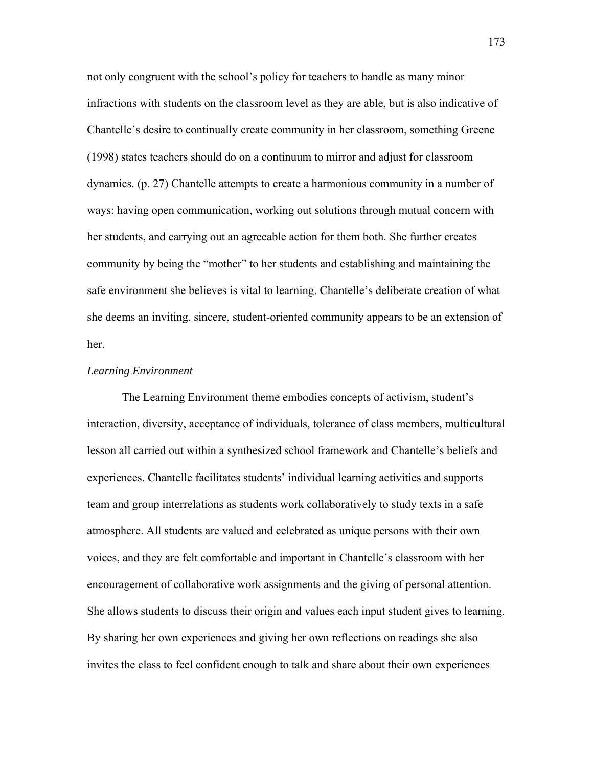not only congruent with the school's policy for teachers to handle as many minor infractions with students on the classroom level as they are able, but is also indicative of Chantelle's desire to continually create community in her classroom, something Greene (1998) states teachers should do on a continuum to mirror and adjust for classroom dynamics. (p. 27) Chantelle attempts to create a harmonious community in a number of ways: having open communication, working out solutions through mutual concern with her students, and carrying out an agreeable action for them both. She further creates community by being the "mother" to her students and establishing and maintaining the safe environment she believes is vital to learning. Chantelle's deliberate creation of what she deems an inviting, sincere, student-oriented community appears to be an extension of her.

# *Learning Environment*

 The Learning Environment theme embodies concepts of activism, student's interaction, diversity, acceptance of individuals, tolerance of class members, multicultural lesson all carried out within a synthesized school framework and Chantelle's beliefs and experiences. Chantelle facilitates students' individual learning activities and supports team and group interrelations as students work collaboratively to study texts in a safe atmosphere. All students are valued and celebrated as unique persons with their own voices, and they are felt comfortable and important in Chantelle's classroom with her encouragement of collaborative work assignments and the giving of personal attention. She allows students to discuss their origin and values each input student gives to learning. By sharing her own experiences and giving her own reflections on readings she also invites the class to feel confident enough to talk and share about their own experiences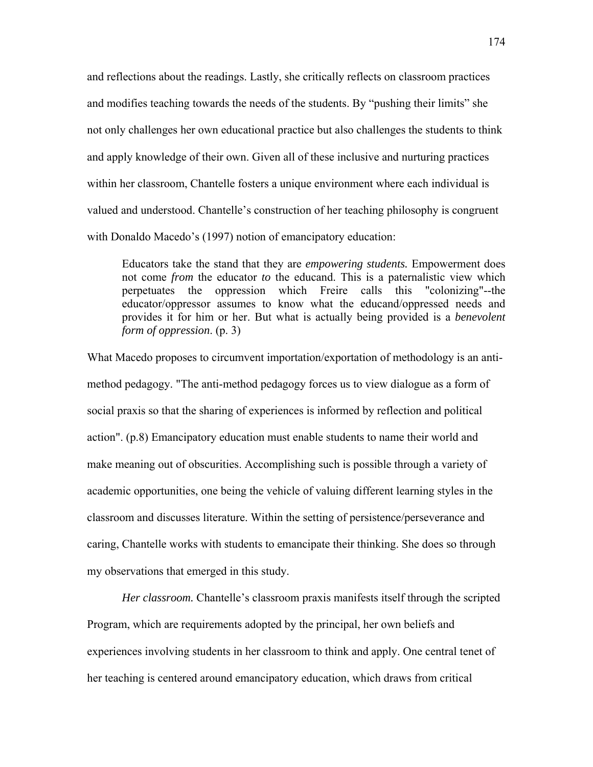and reflections about the readings. Lastly, she critically reflects on classroom practices and modifies teaching towards the needs of the students. By "pushing their limits" she not only challenges her own educational practice but also challenges the students to think and apply knowledge of their own. Given all of these inclusive and nurturing practices within her classroom, Chantelle fosters a unique environment where each individual is valued and understood. Chantelle's construction of her teaching philosophy is congruent with Donaldo Macedo's (1997) notion of emancipatory education:

Educators take the stand that they are *empowering students.* Empowerment does not come *from* the educator *to* the educand. This is a paternalistic view which perpetuates the oppression which Freire calls this "colonizing"--the educator/oppressor assumes to know what the educand/oppressed needs and provides it for him or her. But what is actually being provided is a *benevolent form of oppression*. (p. 3)

What Macedo proposes to circumvent importation/exportation of methodology is an antimethod pedagogy. "The anti-method pedagogy forces us to view dialogue as a form of social praxis so that the sharing of experiences is informed by reflection and political action". (p.8) Emancipatory education must enable students to name their world and make meaning out of obscurities. Accomplishing such is possible through a variety of academic opportunities, one being the vehicle of valuing different learning styles in the classroom and discusses literature. Within the setting of persistence/perseverance and caring, Chantelle works with students to emancipate their thinking. She does so through my observations that emerged in this study.

*Her classroom.* Chantelle's classroom praxis manifests itself through the scripted Program, which are requirements adopted by the principal, her own beliefs and experiences involving students in her classroom to think and apply. One central tenet of her teaching is centered around emancipatory education, which draws from critical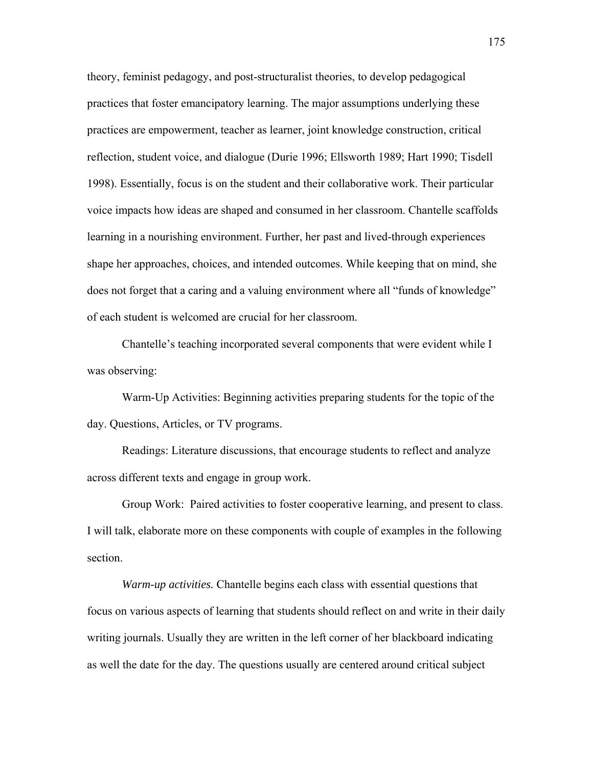theory, feminist pedagogy, and post-structuralist theories, to develop pedagogical practices that foster emancipatory learning. The major assumptions underlying these practices are empowerment, teacher as learner, joint knowledge construction, critical reflection, student voice, and dialogue (Durie 1996; Ellsworth 1989; Hart 1990; Tisdell 1998). Essentially, focus is on the student and their collaborative work. Their particular voice impacts how ideas are shaped and consumed in her classroom. Chantelle scaffolds learning in a nourishing environment. Further, her past and lived-through experiences shape her approaches, choices, and intended outcomes. While keeping that on mind, she does not forget that a caring and a valuing environment where all "funds of knowledge" of each student is welcomed are crucial for her classroom.

Chantelle's teaching incorporated several components that were evident while I was observing:

Warm-Up Activities: Beginning activities preparing students for the topic of the day. Questions, Articles, or TV programs.

Readings: Literature discussions, that encourage students to reflect and analyze across different texts and engage in group work.

Group Work: Paired activities to foster cooperative learning, and present to class. I will talk, elaborate more on these components with couple of examples in the following section.

*Warm-up activities.* Chantelle begins each class with essential questions that focus on various aspects of learning that students should reflect on and write in their daily writing journals. Usually they are written in the left corner of her blackboard indicating as well the date for the day. The questions usually are centered around critical subject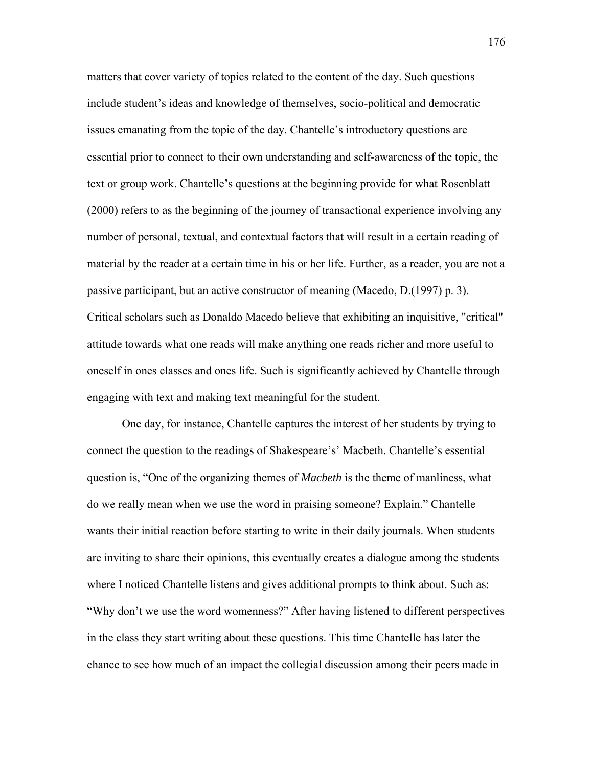matters that cover variety of topics related to the content of the day. Such questions include student's ideas and knowledge of themselves, socio-political and democratic issues emanating from the topic of the day. Chantelle's introductory questions are essential prior to connect to their own understanding and self-awareness of the topic, the text or group work. Chantelle's questions at the beginning provide for what Rosenblatt (2000) refers to as the beginning of the journey of transactional experience involving any number of personal, textual, and contextual factors that will result in a certain reading of material by the reader at a certain time in his or her life. Further, as a reader, you are not a passive participant, but an active constructor of meaning (Macedo, D.(1997) p. 3). Critical scholars such as Donaldo Macedo believe that exhibiting an inquisitive, "critical" attitude towards what one reads will make anything one reads richer and more useful to oneself in ones classes and ones life. Such is significantly achieved by Chantelle through engaging with text and making text meaningful for the student.

 One day, for instance, Chantelle captures the interest of her students by trying to connect the question to the readings of Shakespeare's' Macbeth. Chantelle's essential question is, "One of the organizing themes of *Macbeth* is the theme of manliness, what do we really mean when we use the word in praising someone? Explain." Chantelle wants their initial reaction before starting to write in their daily journals. When students are inviting to share their opinions, this eventually creates a dialogue among the students where I noticed Chantelle listens and gives additional prompts to think about. Such as: "Why don't we use the word womenness?" After having listened to different perspectives in the class they start writing about these questions. This time Chantelle has later the chance to see how much of an impact the collegial discussion among their peers made in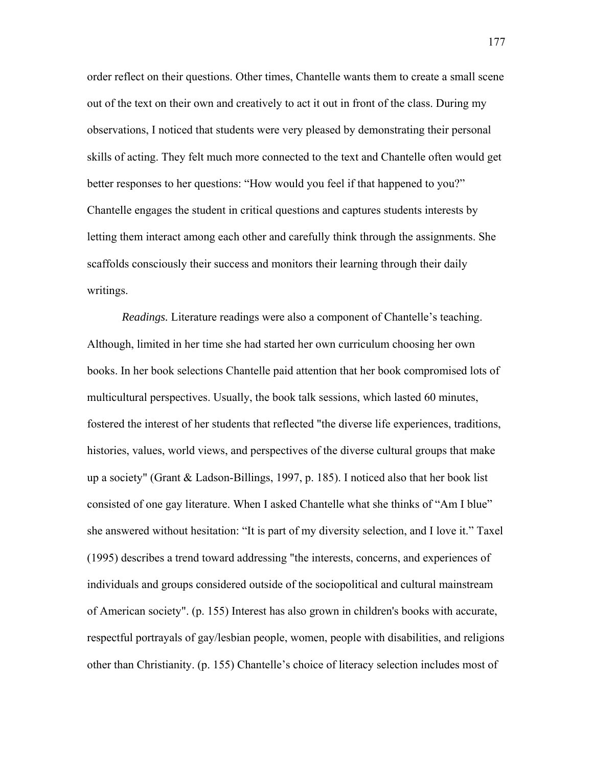order reflect on their questions. Other times, Chantelle wants them to create a small scene out of the text on their own and creatively to act it out in front of the class. During my observations, I noticed that students were very pleased by demonstrating their personal skills of acting. They felt much more connected to the text and Chantelle often would get better responses to her questions: "How would you feel if that happened to you?" Chantelle engages the student in critical questions and captures students interests by letting them interact among each other and carefully think through the assignments. She scaffolds consciously their success and monitors their learning through their daily writings.

*Readings.* Literature readings were also a component of Chantelle's teaching. Although, limited in her time she had started her own curriculum choosing her own books. In her book selections Chantelle paid attention that her book compromised lots of multicultural perspectives. Usually, the book talk sessions, which lasted 60 minutes, fostered the interest of her students that reflected "the diverse life experiences, traditions, histories, values, world views, and perspectives of the diverse cultural groups that make up a society" (Grant & Ladson-Billings, 1997, p. 185). I noticed also that her book list consisted of one gay literature. When I asked Chantelle what she thinks of "Am I blue" she answered without hesitation: "It is part of my diversity selection, and I love it." Taxel (1995) describes a trend toward addressing "the interests, concerns, and experiences of individuals and groups considered outside of the sociopolitical and cultural mainstream of American society". (p. 155) Interest has also grown in children's books with accurate, respectful portrayals of gay/lesbian people, women, people with disabilities, and religions other than Christianity. (p. 155) Chantelle's choice of literacy selection includes most of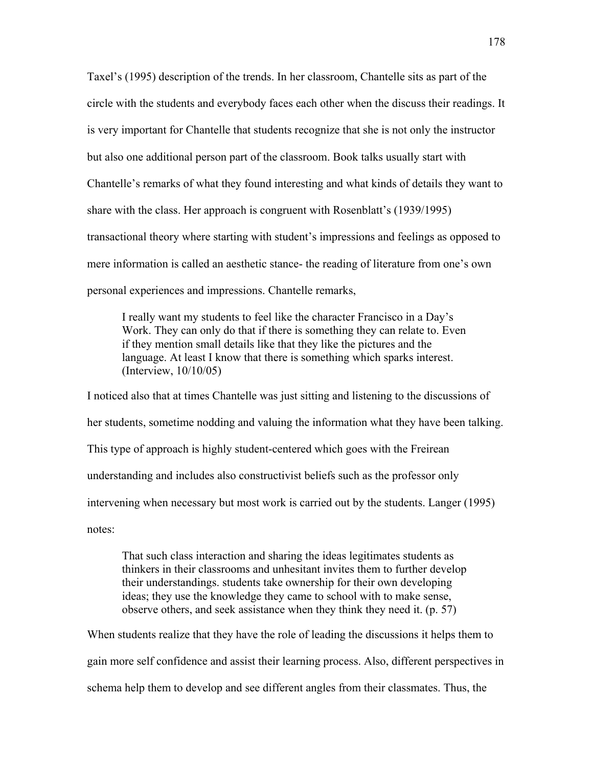Taxel's (1995) description of the trends. In her classroom, Chantelle sits as part of the circle with the students and everybody faces each other when the discuss their readings. It is very important for Chantelle that students recognize that she is not only the instructor but also one additional person part of the classroom. Book talks usually start with Chantelle's remarks of what they found interesting and what kinds of details they want to share with the class. Her approach is congruent with Rosenblatt's (1939/1995) transactional theory where starting with student's impressions and feelings as opposed to mere information is called an aesthetic stance- the reading of literature from one's own personal experiences and impressions. Chantelle remarks,

I really want my students to feel like the character Francisco in a Day's Work. They can only do that if there is something they can relate to. Even if they mention small details like that they like the pictures and the language. At least I know that there is something which sparks interest. (Interview, 10/10/05)

I noticed also that at times Chantelle was just sitting and listening to the discussions of her students, sometime nodding and valuing the information what they have been talking. This type of approach is highly student-centered which goes with the Freirean understanding and includes also constructivist beliefs such as the professor only intervening when necessary but most work is carried out by the students. Langer (1995) notes:

That such class interaction and sharing the ideas legitimates students as thinkers in their classrooms and unhesitant invites them to further develop their understandings. students take ownership for their own developing ideas; they use the knowledge they came to school with to make sense, observe others, and seek assistance when they think they need it. (p. 57)

When students realize that they have the role of leading the discussions it helps them to gain more self confidence and assist their learning process. Also, different perspectives in schema help them to develop and see different angles from their classmates. Thus, the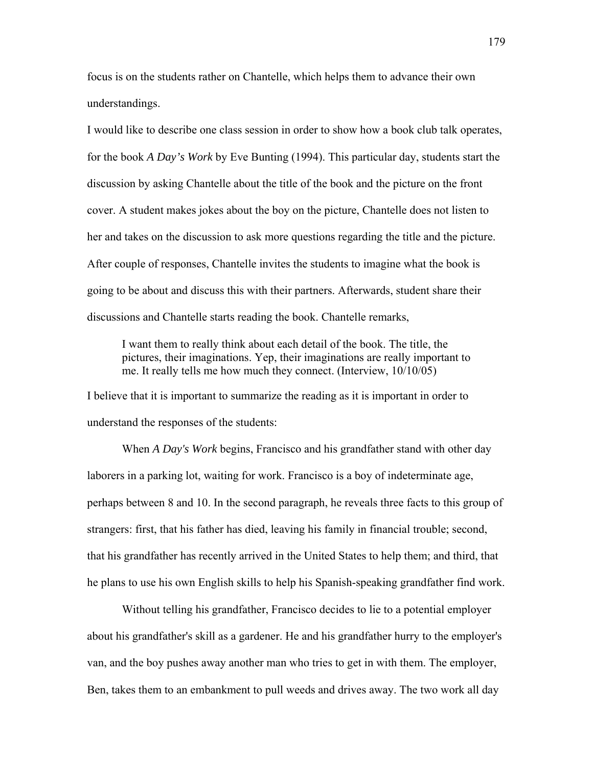focus is on the students rather on Chantelle, which helps them to advance their own understandings.

I would like to describe one class session in order to show how a book club talk operates, for the book *A Day's Work* by Eve Bunting (1994). This particular day, students start the discussion by asking Chantelle about the title of the book and the picture on the front cover. A student makes jokes about the boy on the picture, Chantelle does not listen to her and takes on the discussion to ask more questions regarding the title and the picture. After couple of responses, Chantelle invites the students to imagine what the book is going to be about and discuss this with their partners. Afterwards, student share their discussions and Chantelle starts reading the book. Chantelle remarks,

I want them to really think about each detail of the book. The title, the pictures, their imaginations. Yep, their imaginations are really important to me. It really tells me how much they connect. (Interview, 10/10/05)

I believe that it is important to summarize the reading as it is important in order to understand the responses of the students:

When *A Day's Work* begins, Francisco and his grandfather stand with other day laborers in a parking lot, waiting for work. Francisco is a boy of indeterminate age, perhaps between 8 and 10. In the second paragraph, he reveals three facts to this group of strangers: first, that his father has died, leaving his family in financial trouble; second, that his grandfather has recently arrived in the United States to help them; and third, that he plans to use his own English skills to help his Spanish-speaking grandfather find work.

 Without telling his grandfather, Francisco decides to lie to a potential employer about his grandfather's skill as a gardener. He and his grandfather hurry to the employer's van, and the boy pushes away another man who tries to get in with them. The employer, Ben, takes them to an embankment to pull weeds and drives away. The two work all day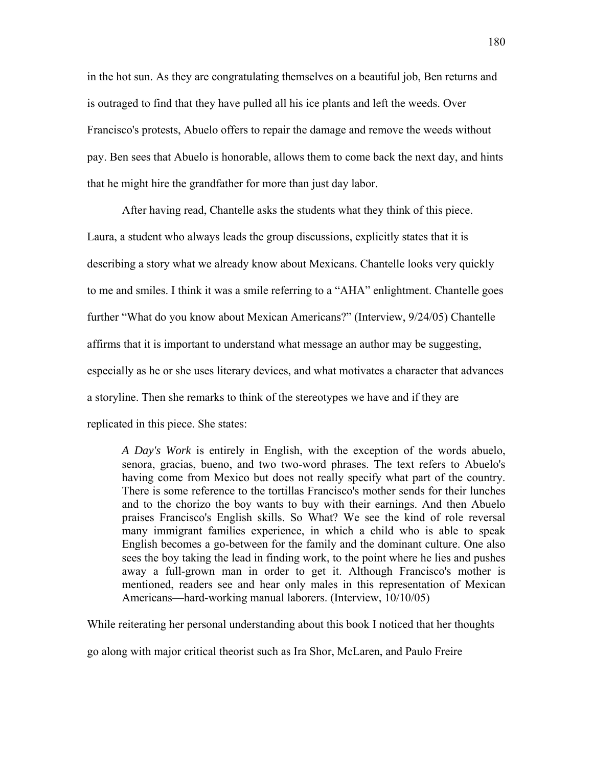in the hot sun. As they are congratulating themselves on a beautiful job, Ben returns and is outraged to find that they have pulled all his ice plants and left the weeds. Over Francisco's protests, Abuelo offers to repair the damage and remove the weeds without pay. Ben sees that Abuelo is honorable, allows them to come back the next day, and hints that he might hire the grandfather for more than just day labor.

 After having read, Chantelle asks the students what they think of this piece. Laura, a student who always leads the group discussions, explicitly states that it is describing a story what we already know about Mexicans. Chantelle looks very quickly to me and smiles. I think it was a smile referring to a "AHA" enlightment. Chantelle goes further "What do you know about Mexican Americans?" (Interview, 9/24/05) Chantelle affirms that it is important to understand what message an author may be suggesting, especially as he or she uses literary devices, and what motivates a character that advances a storyline. Then she remarks to think of the stereotypes we have and if they are replicated in this piece. She states:

*A Day's Work* is entirely in English, with the exception of the words abuelo, senora, gracias, bueno, and two two-word phrases. The text refers to Abuelo's having come from Mexico but does not really specify what part of the country. There is some reference to the tortillas Francisco's mother sends for their lunches and to the chorizo the boy wants to buy with their earnings. And then Abuelo praises Francisco's English skills. So What? We see the kind of role reversal many immigrant families experience, in which a child who is able to speak English becomes a go-between for the family and the dominant culture. One also sees the boy taking the lead in finding work, to the point where he lies and pushes away a full-grown man in order to get it. Although Francisco's mother is mentioned, readers see and hear only males in this representation of Mexican Americans—hard-working manual laborers. (Interview, 10/10/05)

While reiterating her personal understanding about this book I noticed that her thoughts

go along with major critical theorist such as Ira Shor, McLaren, and Paulo Freire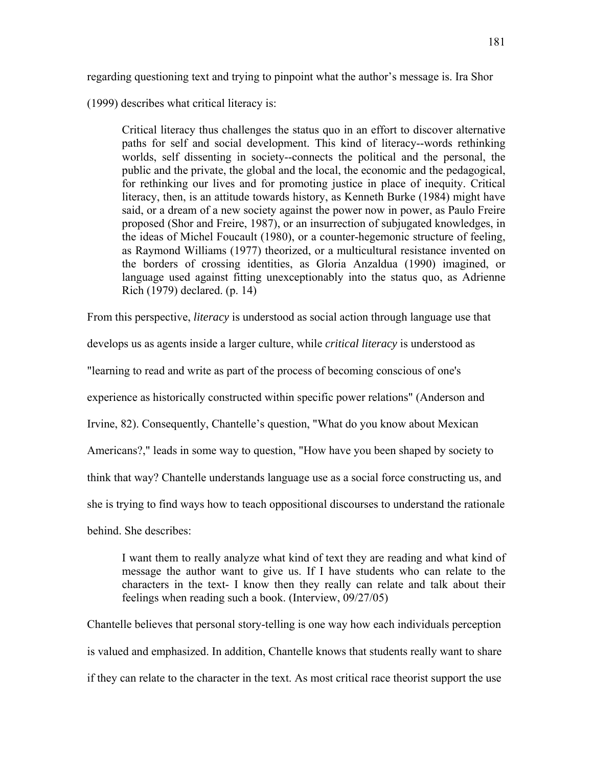regarding questioning text and trying to pinpoint what the author's message is. Ira Shor

(1999) describes what critical literacy is:

Critical literacy thus challenges the status quo in an effort to discover alternative paths for self and social development. This kind of literacy--words rethinking worlds, self dissenting in society--connects the political and the personal, the public and the private, the global and the local, the economic and the pedagogical, for rethinking our lives and for promoting justice in place of inequity. Critical literacy, then, is an attitude towards history, as Kenneth Burke (1984) might have said, or a dream of a new society against the power now in power, as Paulo Freire proposed (Shor and Freire, 1987), or an insurrection of subjugated knowledges, in the ideas of Michel Foucault (1980), or a counter-hegemonic structure of feeling, as Raymond Williams (1977) theorized, or a multicultural resistance invented on the borders of crossing identities, as Gloria Anzaldua (1990) imagined, or language used against fitting unexceptionably into the status quo, as Adrienne Rich (1979) declared. (p. 14)

From this perspective, *literacy* is understood as social action through language use that

develops us as agents inside a larger culture, while *critical literacy* is understood as

"learning to read and write as part of the process of becoming conscious of one's

experience as historically constructed within specific power relations" (Anderson and

Irvine, 82). Consequently, Chantelle's question, "What do you know about Mexican

Americans?," leads in some way to question, "How have you been shaped by society to

think that way? Chantelle understands language use as a social force constructing us, and

she is trying to find ways how to teach oppositional discourses to understand the rationale

behind. She describes:

I want them to really analyze what kind of text they are reading and what kind of message the author want to give us. If I have students who can relate to the characters in the text- I know then they really can relate and talk about their feelings when reading such a book. (Interview, 09/27/05)

Chantelle believes that personal story-telling is one way how each individuals perception is valued and emphasized. In addition, Chantelle knows that students really want to share if they can relate to the character in the text. As most critical race theorist support the use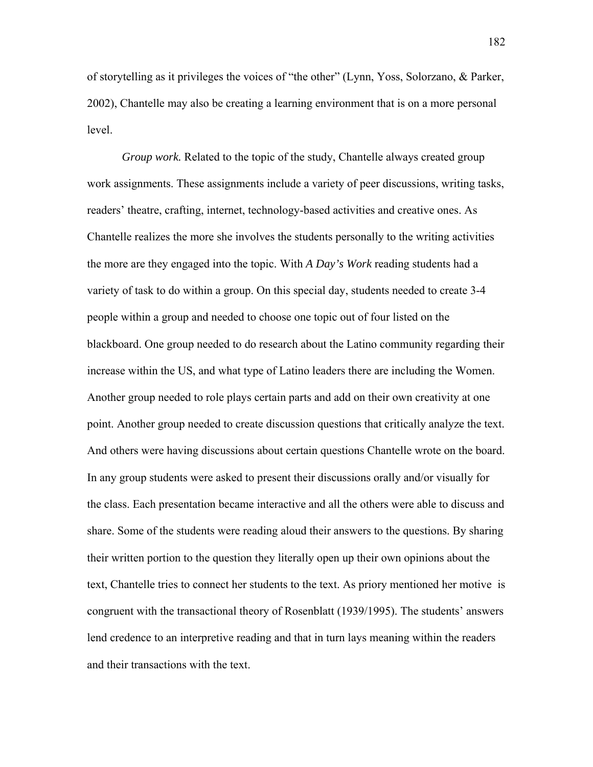of storytelling as it privileges the voices of "the other" (Lynn, Yoss, Solorzano, & Parker, 2002), Chantelle may also be creating a learning environment that is on a more personal level.

*Group work.* Related to the topic of the study, Chantelle always created group work assignments. These assignments include a variety of peer discussions, writing tasks, readers' theatre, crafting, internet, technology-based activities and creative ones. As Chantelle realizes the more she involves the students personally to the writing activities the more are they engaged into the topic. With *A Day's Work* reading students had a variety of task to do within a group. On this special day, students needed to create 3-4 people within a group and needed to choose one topic out of four listed on the blackboard. One group needed to do research about the Latino community regarding their increase within the US, and what type of Latino leaders there are including the Women. Another group needed to role plays certain parts and add on their own creativity at one point. Another group needed to create discussion questions that critically analyze the text. And others were having discussions about certain questions Chantelle wrote on the board. In any group students were asked to present their discussions orally and/or visually for the class. Each presentation became interactive and all the others were able to discuss and share. Some of the students were reading aloud their answers to the questions. By sharing their written portion to the question they literally open up their own opinions about the text, Chantelle tries to connect her students to the text. As priory mentioned her motive is congruent with the transactional theory of Rosenblatt (1939/1995). The students' answers lend credence to an interpretive reading and that in turn lays meaning within the readers and their transactions with the text.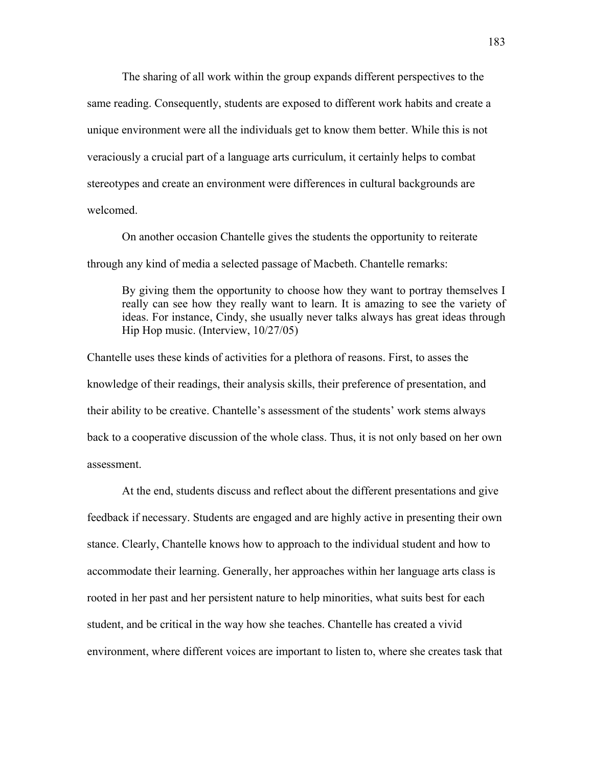The sharing of all work within the group expands different perspectives to the same reading. Consequently, students are exposed to different work habits and create a unique environment were all the individuals get to know them better. While this is not veraciously a crucial part of a language arts curriculum, it certainly helps to combat stereotypes and create an environment were differences in cultural backgrounds are welcomed.

On another occasion Chantelle gives the students the opportunity to reiterate through any kind of media a selected passage of Macbeth. Chantelle remarks:

By giving them the opportunity to choose how they want to portray themselves I really can see how they really want to learn. It is amazing to see the variety of ideas. For instance, Cindy, she usually never talks always has great ideas through Hip Hop music. (Interview, 10/27/05)

Chantelle uses these kinds of activities for a plethora of reasons. First, to asses the knowledge of their readings, their analysis skills, their preference of presentation, and their ability to be creative. Chantelle's assessment of the students' work stems always back to a cooperative discussion of the whole class. Thus, it is not only based on her own assessment.

 At the end, students discuss and reflect about the different presentations and give feedback if necessary. Students are engaged and are highly active in presenting their own stance. Clearly, Chantelle knows how to approach to the individual student and how to accommodate their learning. Generally, her approaches within her language arts class is rooted in her past and her persistent nature to help minorities, what suits best for each student, and be critical in the way how she teaches. Chantelle has created a vivid environment, where different voices are important to listen to, where she creates task that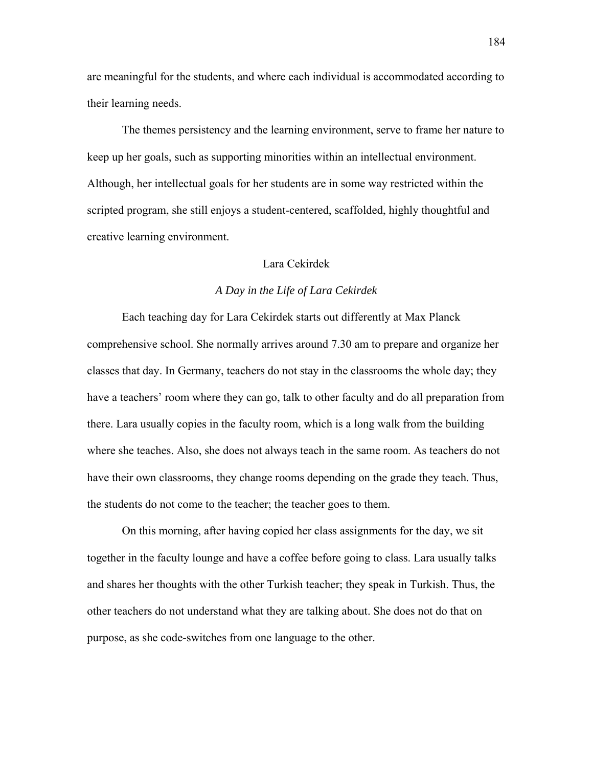are meaningful for the students, and where each individual is accommodated according to their learning needs.

 The themes persistency and the learning environment, serve to frame her nature to keep up her goals, such as supporting minorities within an intellectual environment. Although, her intellectual goals for her students are in some way restricted within the scripted program, she still enjoys a student-centered, scaffolded, highly thoughtful and creative learning environment.

## Lara Cekirdek

# *A Day in the Life of Lara Cekirdek*

Each teaching day for Lara Cekirdek starts out differently at Max Planck comprehensive school. She normally arrives around 7.30 am to prepare and organize her classes that day. In Germany, teachers do not stay in the classrooms the whole day; they have a teachers' room where they can go, talk to other faculty and do all preparation from there. Lara usually copies in the faculty room, which is a long walk from the building where she teaches. Also, she does not always teach in the same room. As teachers do not have their own classrooms, they change rooms depending on the grade they teach. Thus, the students do not come to the teacher; the teacher goes to them.

On this morning, after having copied her class assignments for the day, we sit together in the faculty lounge and have a coffee before going to class. Lara usually talks and shares her thoughts with the other Turkish teacher; they speak in Turkish. Thus, the other teachers do not understand what they are talking about. She does not do that on purpose, as she code-switches from one language to the other.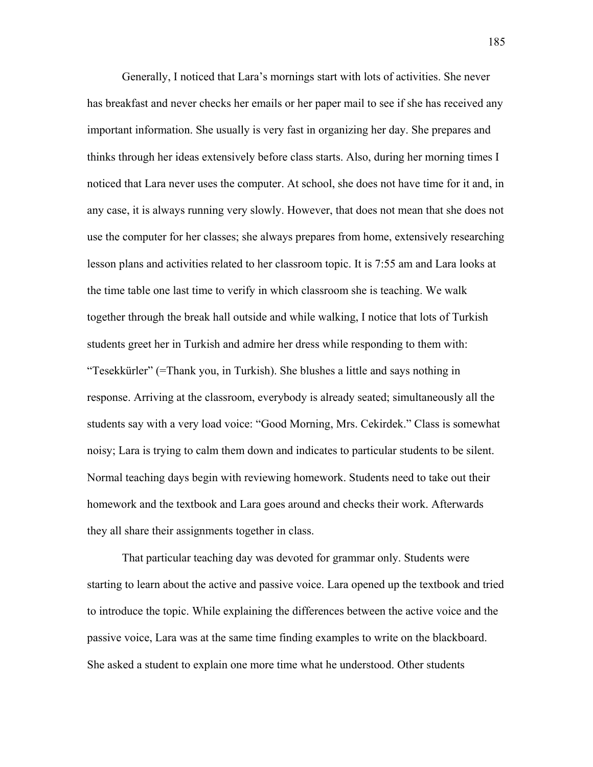Generally, I noticed that Lara's mornings start with lots of activities. She never has breakfast and never checks her emails or her paper mail to see if she has received any important information. She usually is very fast in organizing her day. She prepares and thinks through her ideas extensively before class starts. Also, during her morning times I noticed that Lara never uses the computer. At school, she does not have time for it and, in any case, it is always running very slowly. However, that does not mean that she does not use the computer for her classes; she always prepares from home, extensively researching lesson plans and activities related to her classroom topic. It is 7:55 am and Lara looks at the time table one last time to verify in which classroom she is teaching. We walk together through the break hall outside and while walking, I notice that lots of Turkish students greet her in Turkish and admire her dress while responding to them with: "Tesekkürler" (=Thank you, in Turkish). She blushes a little and says nothing in response. Arriving at the classroom, everybody is already seated; simultaneously all the students say with a very load voice: "Good Morning, Mrs. Cekirdek." Class is somewhat noisy; Lara is trying to calm them down and indicates to particular students to be silent. Normal teaching days begin with reviewing homework. Students need to take out their homework and the textbook and Lara goes around and checks their work. Afterwards they all share their assignments together in class.

 That particular teaching day was devoted for grammar only. Students were starting to learn about the active and passive voice. Lara opened up the textbook and tried to introduce the topic. While explaining the differences between the active voice and the passive voice, Lara was at the same time finding examples to write on the blackboard. She asked a student to explain one more time what he understood. Other students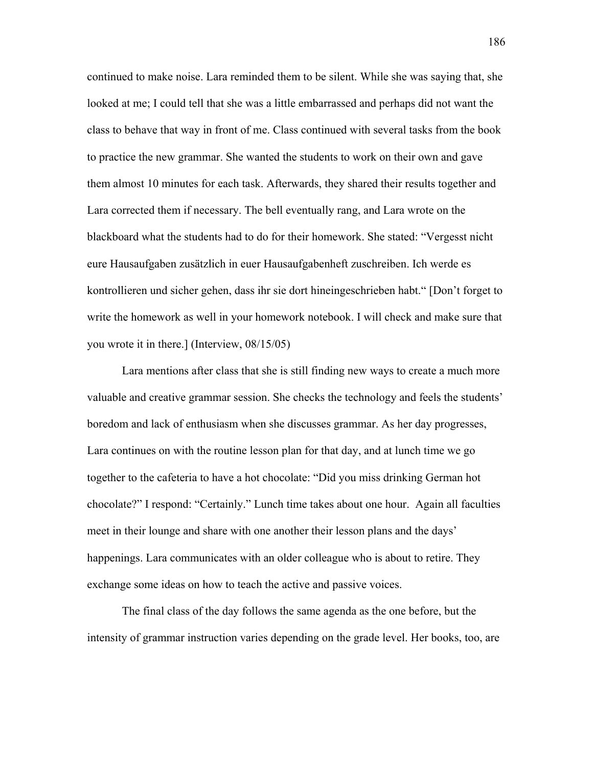continued to make noise. Lara reminded them to be silent. While she was saying that, she looked at me; I could tell that she was a little embarrassed and perhaps did not want the class to behave that way in front of me. Class continued with several tasks from the book to practice the new grammar. She wanted the students to work on their own and gave them almost 10 minutes for each task. Afterwards, they shared their results together and Lara corrected them if necessary. The bell eventually rang, and Lara wrote on the blackboard what the students had to do for their homework. She stated: "Vergesst nicht eure Hausaufgaben zusätzlich in euer Hausaufgabenheft zuschreiben. Ich werde es kontrollieren und sicher gehen, dass ihr sie dort hineingeschrieben habt." [Don't forget to write the homework as well in your homework notebook. I will check and make sure that you wrote it in there.] (Interview, 08/15/05)

 Lara mentions after class that she is still finding new ways to create a much more valuable and creative grammar session. She checks the technology and feels the students' boredom and lack of enthusiasm when she discusses grammar. As her day progresses, Lara continues on with the routine lesson plan for that day, and at lunch time we go together to the cafeteria to have a hot chocolate: "Did you miss drinking German hot chocolate?" I respond: "Certainly." Lunch time takes about one hour. Again all faculties meet in their lounge and share with one another their lesson plans and the days' happenings. Lara communicates with an older colleague who is about to retire. They exchange some ideas on how to teach the active and passive voices.

The final class of the day follows the same agenda as the one before, but the intensity of grammar instruction varies depending on the grade level. Her books, too, are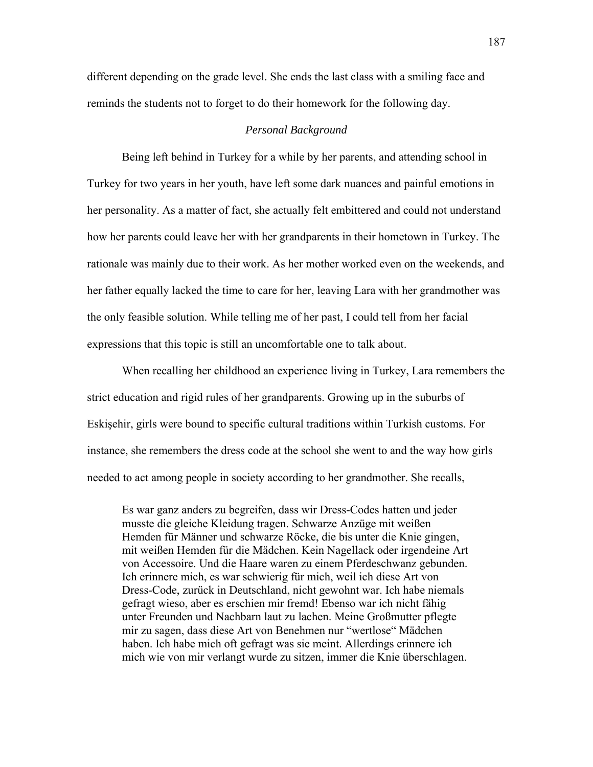different depending on the grade level. She ends the last class with a smiling face and reminds the students not to forget to do their homework for the following day.

### *Personal Background*

Being left behind in Turkey for a while by her parents, and attending school in Turkey for two years in her youth, have left some dark nuances and painful emotions in her personality. As a matter of fact, she actually felt embittered and could not understand how her parents could leave her with her grandparents in their hometown in Turkey. The rationale was mainly due to their work. As her mother worked even on the weekends, and her father equally lacked the time to care for her, leaving Lara with her grandmother was the only feasible solution. While telling me of her past, I could tell from her facial expressions that this topic is still an uncomfortable one to talk about.

When recalling her childhood an experience living in Turkey, Lara remembers the strict education and rigid rules of her grandparents. Growing up in the suburbs of Eskişehir, girls were bound to specific cultural traditions within Turkish customs. For instance, she remembers the dress code at the school she went to and the way how girls needed to act among people in society according to her grandmother. She recalls,

Es war ganz anders zu begreifen, dass wir Dress-Codes hatten und jeder musste die gleiche Kleidung tragen. Schwarze Anzüge mit weißen Hemden für Männer und schwarze Röcke, die bis unter die Knie gingen, mit weißen Hemden für die Mädchen. Kein Nagellack oder irgendeine Art von Accessoire. Und die Haare waren zu einem Pferdeschwanz gebunden. Ich erinnere mich, es war schwierig für mich, weil ich diese Art von Dress-Code, zurück in Deutschland, nicht gewohnt war. Ich habe niemals gefragt wieso, aber es erschien mir fremd! Ebenso war ich nicht fähig unter Freunden und Nachbarn laut zu lachen. Meine Großmutter pflegte mir zu sagen, dass diese Art von Benehmen nur "wertlose" Mädchen haben. Ich habe mich oft gefragt was sie meint. Allerdings erinnere ich mich wie von mir verlangt wurde zu sitzen, immer die Knie überschlagen.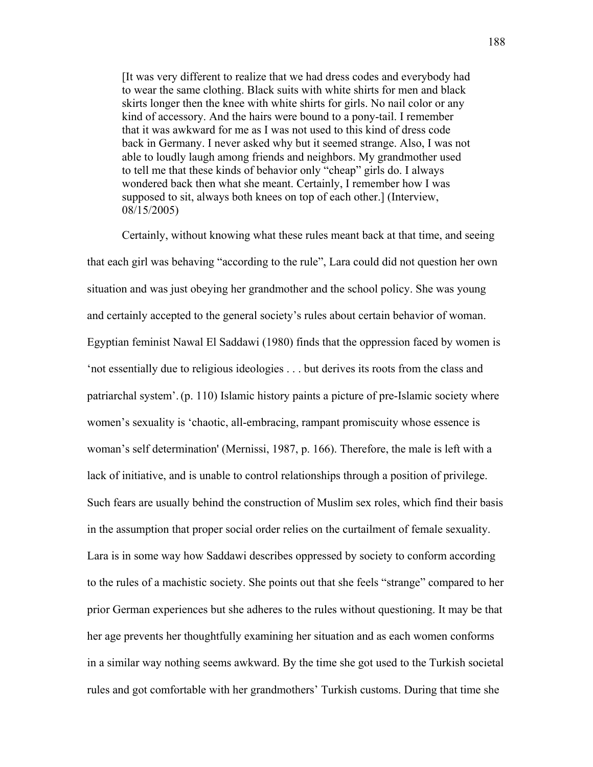[It was very different to realize that we had dress codes and everybody had to wear the same clothing. Black suits with white shirts for men and black skirts longer then the knee with white shirts for girls. No nail color or any kind of accessory. And the hairs were bound to a pony-tail. I remember that it was awkward for me as I was not used to this kind of dress code back in Germany. I never asked why but it seemed strange. Also, I was not able to loudly laugh among friends and neighbors. My grandmother used to tell me that these kinds of behavior only "cheap" girls do. I always wondered back then what she meant. Certainly, I remember how I was supposed to sit, always both knees on top of each other.] (Interview, 08/15/2005)

Certainly, without knowing what these rules meant back at that time, and seeing that each girl was behaving "according to the rule", Lara could did not question her own situation and was just obeying her grandmother and the school policy. She was young and certainly accepted to the general society's rules about certain behavior of woman. Egyptian feminist Nawal El Saddawi (1980) finds that the oppression faced by women is 'not essentially due to religious ideologies . . . but derives its roots from the class and patriarchal system'.(p. 110) Islamic history paints a picture of pre-Islamic society where women's sexuality is 'chaotic, all-embracing, rampant promiscuity whose essence is woman's self determination' (Mernissi, 1987, p. 166). Therefore, the male is left with a lack of initiative, and is unable to control relationships through a position of privilege. Such fears are usually behind the construction of Muslim sex roles, which find their basis in the assumption that proper social order relies on the curtailment of female sexuality. Lara is in some way how Saddawi describes oppressed by society to conform according to the rules of a machistic society. She points out that she feels "strange" compared to her prior German experiences but she adheres to the rules without questioning. It may be that her age prevents her thoughtfully examining her situation and as each women conforms in a similar way nothing seems awkward. By the time she got used to the Turkish societal rules and got comfortable with her grandmothers' Turkish customs. During that time she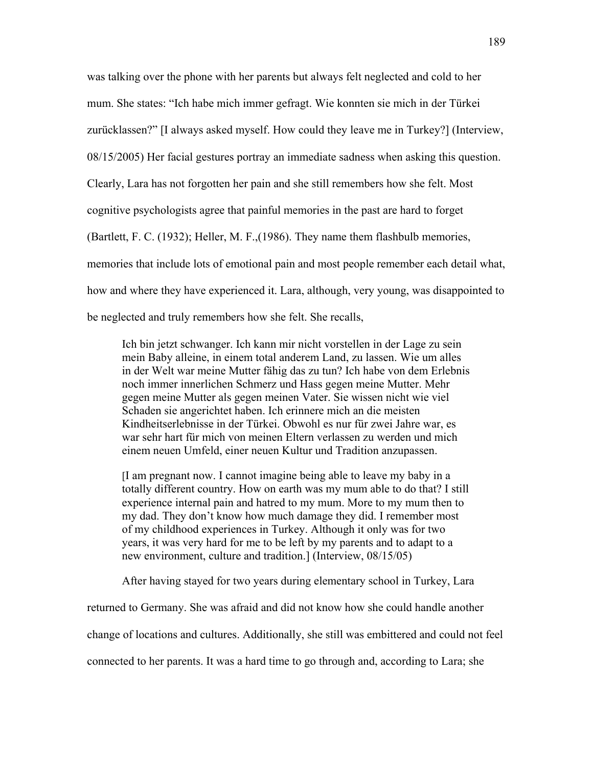was talking over the phone with her parents but always felt neglected and cold to her mum. She states: "Ich habe mich immer gefragt. Wie konnten sie mich in der Türkei zurücklassen?" [I always asked myself. How could they leave me in Turkey?] (Interview, 08/15/2005) Her facial gestures portray an immediate sadness when asking this question. Clearly, Lara has not forgotten her pain and she still remembers how she felt. Most cognitive psychologists agree that painful memories in the past are hard to forget (Bartlett, F. C. (1932); Heller, M. F.,(1986). They name them flashbulb memories, memories that include lots of emotional pain and most people remember each detail what, how and where they have experienced it. Lara, although, very young, was disappointed to be neglected and truly remembers how she felt. She recalls,

Ich bin jetzt schwanger. Ich kann mir nicht vorstellen in der Lage zu sein mein Baby alleine, in einem total anderem Land, zu lassen. Wie um alles in der Welt war meine Mutter fähig das zu tun? Ich habe von dem Erlebnis noch immer innerlichen Schmerz und Hass gegen meine Mutter. Mehr gegen meine Mutter als gegen meinen Vater. Sie wissen nicht wie viel Schaden sie angerichtet haben. Ich erinnere mich an die meisten Kindheitserlebnisse in der Türkei. Obwohl es nur für zwei Jahre war, es war sehr hart für mich von meinen Eltern verlassen zu werden und mich einem neuen Umfeld, einer neuen Kultur und Tradition anzupassen.

[I am pregnant now. I cannot imagine being able to leave my baby in a totally different country. How on earth was my mum able to do that? I still experience internal pain and hatred to my mum. More to my mum then to my dad. They don't know how much damage they did. I remember most of my childhood experiences in Turkey. Although it only was for two years, it was very hard for me to be left by my parents and to adapt to a new environment, culture and tradition.] (Interview, 08/15/05)

After having stayed for two years during elementary school in Turkey, Lara

returned to Germany. She was afraid and did not know how she could handle another

change of locations and cultures. Additionally, she still was embittered and could not feel

connected to her parents. It was a hard time to go through and, according to Lara; she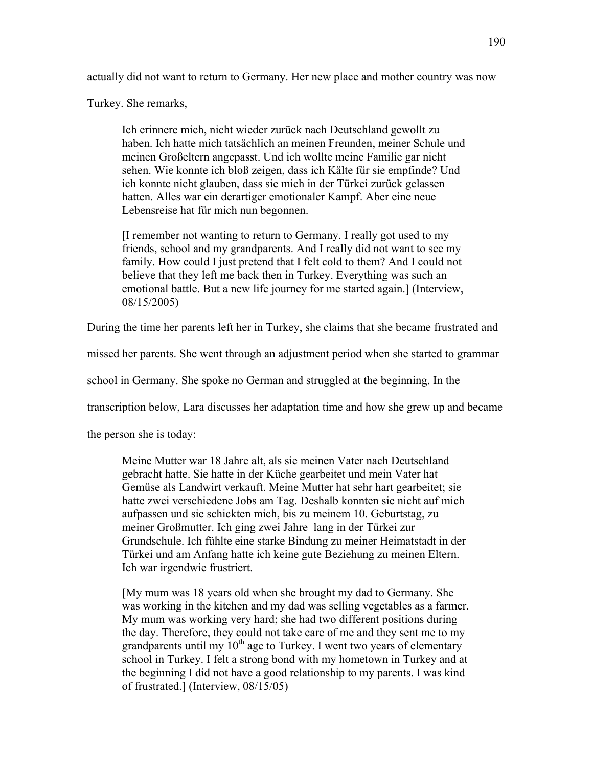actually did not want to return to Germany. Her new place and mother country was now

Turkey. She remarks,

Ich erinnere mich, nicht wieder zurück nach Deutschland gewollt zu haben. Ich hatte mich tatsächlich an meinen Freunden, meiner Schule und meinen Großeltern angepasst. Und ich wollte meine Familie gar nicht sehen. Wie konnte ich bloß zeigen, dass ich Kälte für sie empfinde? Und ich konnte nicht glauben, dass sie mich in der Türkei zurück gelassen hatten. Alles war ein derartiger emotionaler Kampf. Aber eine neue Lebensreise hat für mich nun begonnen.

[I remember not wanting to return to Germany. I really got used to my friends, school and my grandparents. And I really did not want to see my family. How could I just pretend that I felt cold to them? And I could not believe that they left me back then in Turkey. Everything was such an emotional battle. But a new life journey for me started again.] (Interview, 08/15/2005)

During the time her parents left her in Turkey, she claims that she became frustrated and

missed her parents. She went through an adjustment period when she started to grammar

school in Germany. She spoke no German and struggled at the beginning. In the

transcription below, Lara discusses her adaptation time and how she grew up and became

the person she is today:

Meine Mutter war 18 Jahre alt, als sie meinen Vater nach Deutschland gebracht hatte. Sie hatte in der Küche gearbeitet und mein Vater hat Gemüse als Landwirt verkauft. Meine Mutter hat sehr hart gearbeitet; sie hatte zwei verschiedene Jobs am Tag. Deshalb konnten sie nicht auf mich aufpassen und sie schickten mich, bis zu meinem 10. Geburtstag, zu meiner Großmutter. Ich ging zwei Jahre lang in der Türkei zur Grundschule. Ich fühlte eine starke Bindung zu meiner Heimatstadt in der Türkei und am Anfang hatte ich keine gute Beziehung zu meinen Eltern. Ich war irgendwie frustriert.

[My mum was 18 years old when she brought my dad to Germany. She was working in the kitchen and my dad was selling vegetables as a farmer. My mum was working very hard; she had two different positions during the day. Therefore, they could not take care of me and they sent me to my grandparents until my  $10^{th}$  age to Turkey. I went two years of elementary school in Turkey. I felt a strong bond with my hometown in Turkey and at the beginning I did not have a good relationship to my parents. I was kind of frustrated.] (Interview, 08/15/05)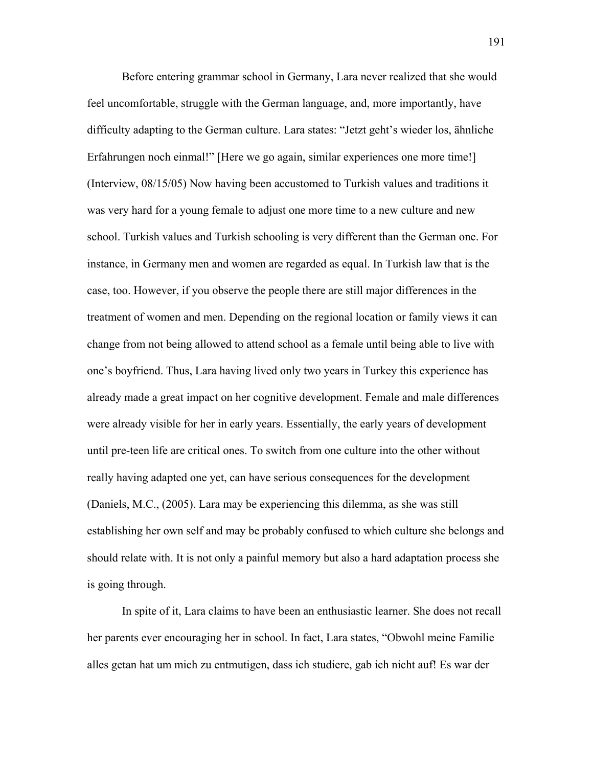Before entering grammar school in Germany, Lara never realized that she would feel uncomfortable, struggle with the German language, and, more importantly, have difficulty adapting to the German culture. Lara states: "Jetzt geht's wieder los, ähnliche Erfahrungen noch einmal!" [Here we go again, similar experiences one more time!] (Interview, 08/15/05) Now having been accustomed to Turkish values and traditions it was very hard for a young female to adjust one more time to a new culture and new school. Turkish values and Turkish schooling is very different than the German one. For instance, in Germany men and women are regarded as equal. In Turkish law that is the case, too. However, if you observe the people there are still major differences in the treatment of women and men. Depending on the regional location or family views it can change from not being allowed to attend school as a female until being able to live with one's boyfriend. Thus, Lara having lived only two years in Turkey this experience has already made a great impact on her cognitive development. Female and male differences were already visible for her in early years. Essentially, the early years of development until pre-teen life are critical ones. To switch from one culture into the other without really having adapted one yet, can have serious consequences for the development (Daniels, M.C., (2005). Lara may be experiencing this dilemma, as she was still establishing her own self and may be probably confused to which culture she belongs and should relate with. It is not only a painful memory but also a hard adaptation process she is going through.

In spite of it, Lara claims to have been an enthusiastic learner. She does not recall her parents ever encouraging her in school. In fact, Lara states, "Obwohl meine Familie alles getan hat um mich zu entmutigen, dass ich studiere, gab ich nicht auf! Es war der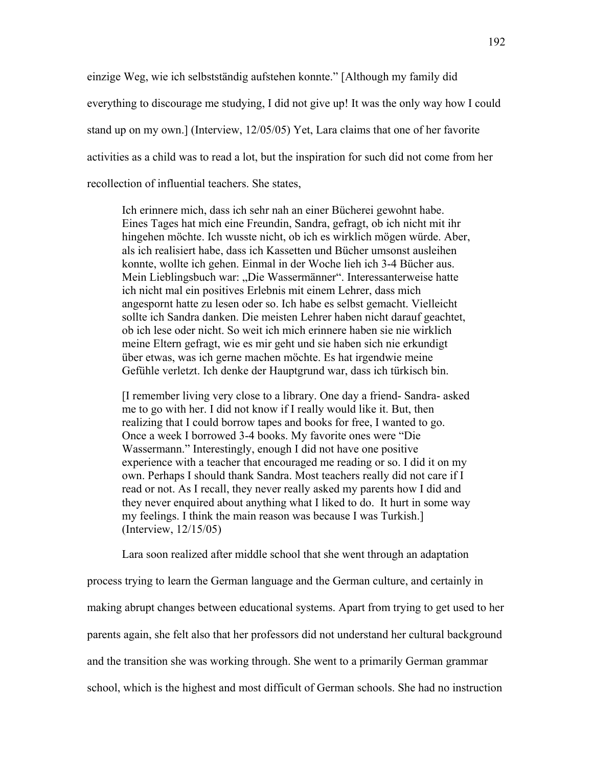einzige Weg, wie ich selbstständig aufstehen konnte." [Although my family did everything to discourage me studying, I did not give up! It was the only way how I could stand up on my own.] (Interview, 12/05/05) Yet, Lara claims that one of her favorite activities as a child was to read a lot, but the inspiration for such did not come from her recollection of influential teachers. She states,

Ich erinnere mich, dass ich sehr nah an einer Bücherei gewohnt habe. Eines Tages hat mich eine Freundin, Sandra, gefragt, ob ich nicht mit ihr hingehen möchte. Ich wusste nicht, ob ich es wirklich mögen würde. Aber, als ich realisiert habe, dass ich Kassetten und Bücher umsonst ausleihen konnte, wollte ich gehen. Einmal in der Woche lieh ich 3-4 Bücher aus. Mein Lieblingsbuch war: "Die Wassermänner". Interessanterweise hatte ich nicht mal ein positives Erlebnis mit einem Lehrer, dass mich angespornt hatte zu lesen oder so. Ich habe es selbst gemacht. Vielleicht sollte ich Sandra danken. Die meisten Lehrer haben nicht darauf geachtet, ob ich lese oder nicht. So weit ich mich erinnere haben sie nie wirklich meine Eltern gefragt, wie es mir geht und sie haben sich nie erkundigt über etwas, was ich gerne machen möchte. Es hat irgendwie meine Gefühle verletzt. Ich denke der Hauptgrund war, dass ich türkisch bin.

[I remember living very close to a library. One day a friend- Sandra- asked me to go with her. I did not know if I really would like it. But, then realizing that I could borrow tapes and books for free, I wanted to go. Once a week I borrowed 3-4 books. My favorite ones were "Die Wassermann." Interestingly, enough I did not have one positive experience with a teacher that encouraged me reading or so. I did it on my own. Perhaps I should thank Sandra. Most teachers really did not care if I read or not. As I recall, they never really asked my parents how I did and they never enquired about anything what I liked to do. It hurt in some way my feelings. I think the main reason was because I was Turkish.] (Interview, 12/15/05)

Lara soon realized after middle school that she went through an adaptation

process trying to learn the German language and the German culture, and certainly in making abrupt changes between educational systems. Apart from trying to get used to her parents again, she felt also that her professors did not understand her cultural background and the transition she was working through. She went to a primarily German grammar school, which is the highest and most difficult of German schools. She had no instruction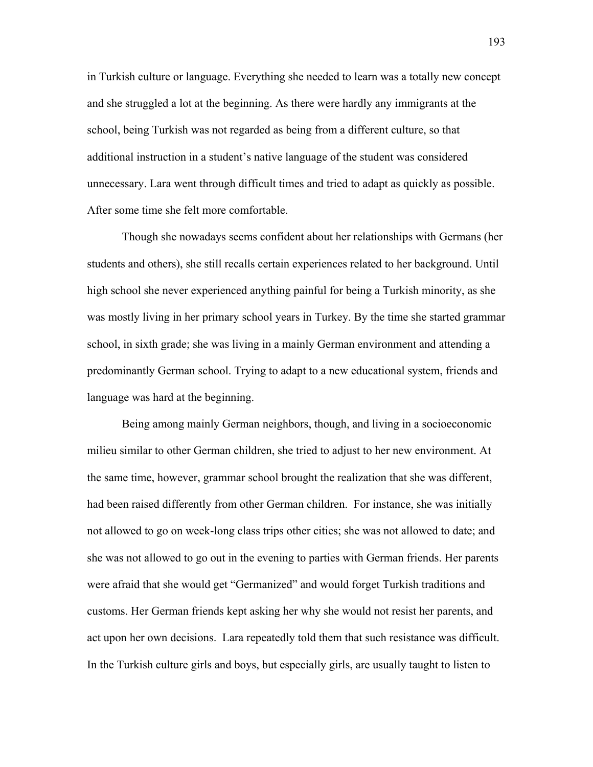in Turkish culture or language. Everything she needed to learn was a totally new concept and she struggled a lot at the beginning. As there were hardly any immigrants at the school, being Turkish was not regarded as being from a different culture, so that additional instruction in a student's native language of the student was considered unnecessary. Lara went through difficult times and tried to adapt as quickly as possible. After some time she felt more comfortable.

Though she nowadays seems confident about her relationships with Germans (her students and others), she still recalls certain experiences related to her background. Until high school she never experienced anything painful for being a Turkish minority, as she was mostly living in her primary school years in Turkey. By the time she started grammar school, in sixth grade; she was living in a mainly German environment and attending a predominantly German school. Trying to adapt to a new educational system, friends and language was hard at the beginning.

Being among mainly German neighbors, though, and living in a socioeconomic milieu similar to other German children, she tried to adjust to her new environment. At the same time, however, grammar school brought the realization that she was different, had been raised differently from other German children. For instance, she was initially not allowed to go on week-long class trips other cities; she was not allowed to date; and she was not allowed to go out in the evening to parties with German friends. Her parents were afraid that she would get "Germanized" and would forget Turkish traditions and customs. Her German friends kept asking her why she would not resist her parents, and act upon her own decisions. Lara repeatedly told them that such resistance was difficult. In the Turkish culture girls and boys, but especially girls, are usually taught to listen to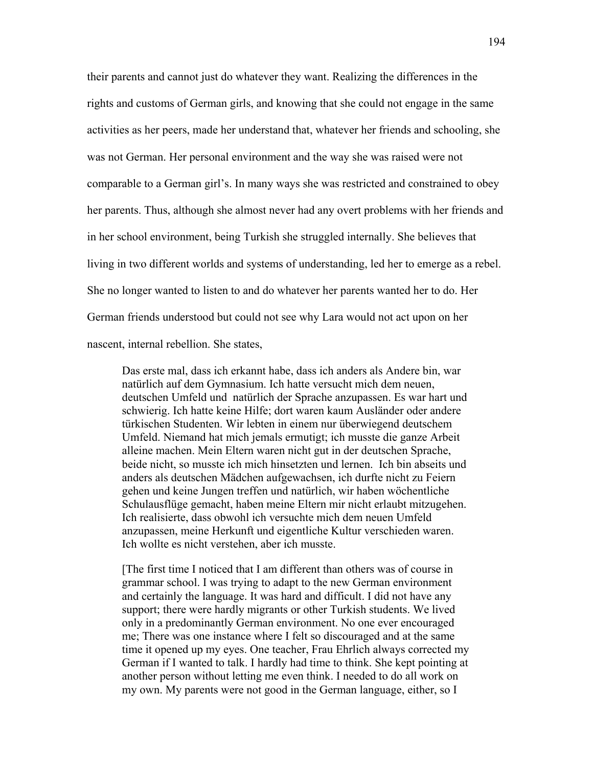their parents and cannot just do whatever they want. Realizing the differences in the rights and customs of German girls, and knowing that she could not engage in the same activities as her peers, made her understand that, whatever her friends and schooling, she was not German. Her personal environment and the way she was raised were not comparable to a German girl's. In many ways she was restricted and constrained to obey her parents. Thus, although she almost never had any overt problems with her friends and in her school environment, being Turkish she struggled internally. She believes that living in two different worlds and systems of understanding, led her to emerge as a rebel. She no longer wanted to listen to and do whatever her parents wanted her to do. Her German friends understood but could not see why Lara would not act upon on her nascent, internal rebellion. She states,

Das erste mal, dass ich erkannt habe, dass ich anders als Andere bin, war natürlich auf dem Gymnasium. Ich hatte versucht mich dem neuen, deutschen Umfeld und natürlich der Sprache anzupassen. Es war hart und schwierig. Ich hatte keine Hilfe; dort waren kaum Ausländer oder andere türkischen Studenten. Wir lebten in einem nur überwiegend deutschem Umfeld. Niemand hat mich jemals ermutigt; ich musste die ganze Arbeit alleine machen. Mein Eltern waren nicht gut in der deutschen Sprache, beide nicht, so musste ich mich hinsetzten und lernen. Ich bin abseits und anders als deutschen Mädchen aufgewachsen, ich durfte nicht zu Feiern gehen und keine Jungen treffen und natürlich, wir haben wöchentliche Schulausflüge gemacht, haben meine Eltern mir nicht erlaubt mitzugehen. Ich realisierte, dass obwohl ich versuchte mich dem neuen Umfeld anzupassen, meine Herkunft und eigentliche Kultur verschieden waren. Ich wollte es nicht verstehen, aber ich musste.

[The first time I noticed that I am different than others was of course in grammar school. I was trying to adapt to the new German environment and certainly the language. It was hard and difficult. I did not have any support; there were hardly migrants or other Turkish students. We lived only in a predominantly German environment. No one ever encouraged me; There was one instance where I felt so discouraged and at the same time it opened up my eyes. One teacher, Frau Ehrlich always corrected my German if I wanted to talk. I hardly had time to think. She kept pointing at another person without letting me even think. I needed to do all work on my own. My parents were not good in the German language, either, so I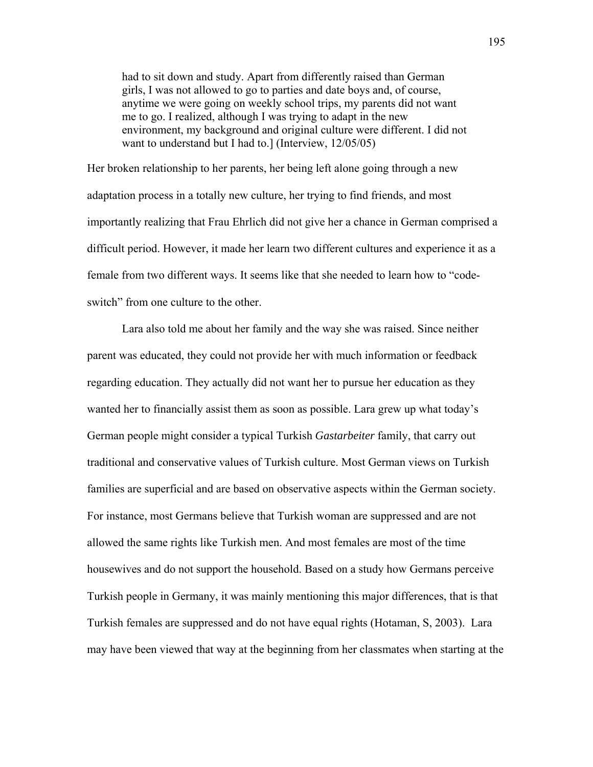had to sit down and study. Apart from differently raised than German girls, I was not allowed to go to parties and date boys and, of course, anytime we were going on weekly school trips, my parents did not want me to go. I realized, although I was trying to adapt in the new environment, my background and original culture were different. I did not want to understand but I had to.] (Interview, 12/05/05)

Her broken relationship to her parents, her being left alone going through a new adaptation process in a totally new culture, her trying to find friends, and most importantly realizing that Frau Ehrlich did not give her a chance in German comprised a difficult period. However, it made her learn two different cultures and experience it as a female from two different ways. It seems like that she needed to learn how to "codeswitch" from one culture to the other.

Lara also told me about her family and the way she was raised. Since neither parent was educated, they could not provide her with much information or feedback regarding education. They actually did not want her to pursue her education as they wanted her to financially assist them as soon as possible. Lara grew up what today's German people might consider a typical Turkish *Gastarbeiter* family, that carry out traditional and conservative values of Turkish culture. Most German views on Turkish families are superficial and are based on observative aspects within the German society. For instance, most Germans believe that Turkish woman are suppressed and are not allowed the same rights like Turkish men. And most females are most of the time housewives and do not support the household. Based on a study how Germans perceive Turkish people in Germany, it was mainly mentioning this major differences, that is that Turkish females are suppressed and do not have equal rights (Hotaman, S, 2003).Lara may have been viewed that way at the beginning from her classmates when starting at the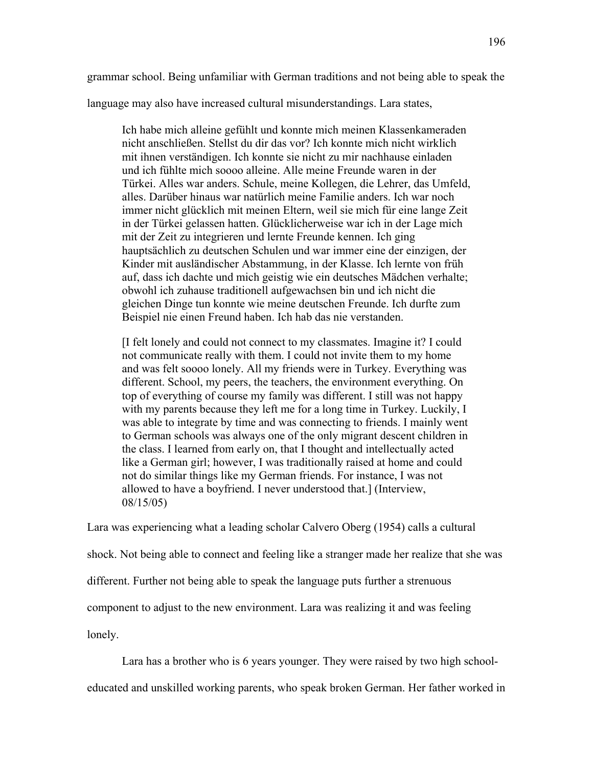grammar school. Being unfamiliar with German traditions and not being able to speak the

language may also have increased cultural misunderstandings. Lara states,

Ich habe mich alleine gefühlt und konnte mich meinen Klassenkameraden nicht anschließen. Stellst du dir das vor? Ich konnte mich nicht wirklich mit ihnen verständigen. Ich konnte sie nicht zu mir nachhause einladen und ich fühlte mich soooo alleine. Alle meine Freunde waren in der Türkei. Alles war anders. Schule, meine Kollegen, die Lehrer, das Umfeld, alles. Darüber hinaus war natürlich meine Familie anders. Ich war noch immer nicht glücklich mit meinen Eltern, weil sie mich für eine lange Zeit in der Türkei gelassen hatten. Glücklicherweise war ich in der Lage mich mit der Zeit zu integrieren und lernte Freunde kennen. Ich ging hauptsächlich zu deutschen Schulen und war immer eine der einzigen, der Kinder mit ausländischer Abstammung, in der Klasse. Ich lernte von früh auf, dass ich dachte und mich geistig wie ein deutsches Mädchen verhalte; obwohl ich zuhause traditionell aufgewachsen bin und ich nicht die gleichen Dinge tun konnte wie meine deutschen Freunde. Ich durfte zum Beispiel nie einen Freund haben. Ich hab das nie verstanden.

[I felt lonely and could not connect to my classmates. Imagine it? I could not communicate really with them. I could not invite them to my home and was felt soooo lonely. All my friends were in Turkey. Everything was different. School, my peers, the teachers, the environment everything. On top of everything of course my family was different. I still was not happy with my parents because they left me for a long time in Turkey. Luckily, I was able to integrate by time and was connecting to friends. I mainly went to German schools was always one of the only migrant descent children in the class. I learned from early on, that I thought and intellectually acted like a German girl; however, I was traditionally raised at home and could not do similar things like my German friends. For instance, I was not allowed to have a boyfriend. I never understood that.] (Interview, 08/15/05)

Lara was experiencing what a leading scholar Calvero Oberg (1954) calls a cultural shock. Not being able to connect and feeling like a stranger made her realize that she was different. Further not being able to speak the language puts further a strenuous component to adjust to the new environment. Lara was realizing it and was feeling lonely.

Lara has a brother who is 6 years younger. They were raised by two high school-

educated and unskilled working parents, who speak broken German. Her father worked in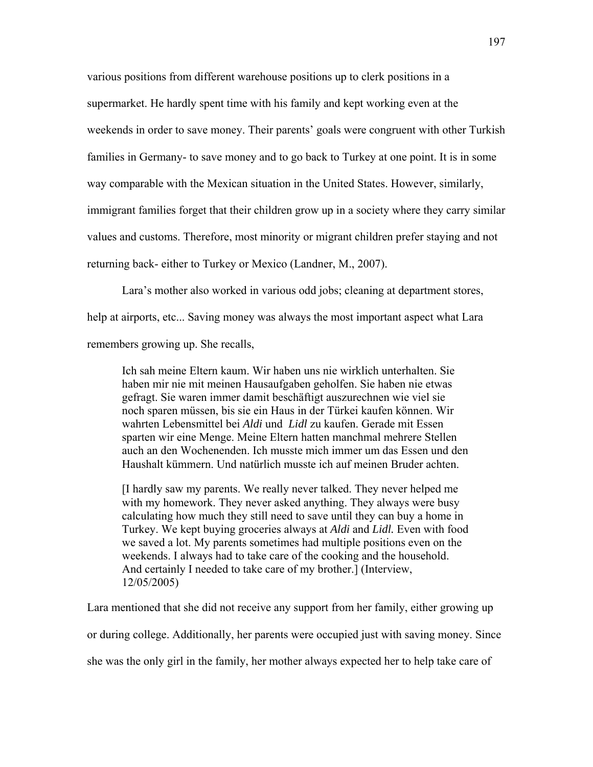various positions from different warehouse positions up to clerk positions in a supermarket. He hardly spent time with his family and kept working even at the weekends in order to save money. Their parents' goals were congruent with other Turkish families in Germany- to save money and to go back to Turkey at one point. It is in some way comparable with the Mexican situation in the United States. However, similarly, immigrant families forget that their children grow up in a society where they carry similar values and customs. Therefore, most minority or migrant children prefer staying and not returning back- either to Turkey or Mexico (Landner, M., 2007).

Lara's mother also worked in various odd jobs; cleaning at department stores, help at airports, etc... Saving money was always the most important aspect what Lara remembers growing up. She recalls,

Ich sah meine Eltern kaum. Wir haben uns nie wirklich unterhalten. Sie haben mir nie mit meinen Hausaufgaben geholfen. Sie haben nie etwas gefragt. Sie waren immer damit beschäftigt auszurechnen wie viel sie noch sparen müssen, bis sie ein Haus in der Türkei kaufen können. Wir wahrten Lebensmittel bei *Aldi* und *Lidl* zu kaufen. Gerade mit Essen sparten wir eine Menge. Meine Eltern hatten manchmal mehrere Stellen auch an den Wochenenden. Ich musste mich immer um das Essen und den Haushalt kümmern. Und natürlich musste ich auf meinen Bruder achten.

[I hardly saw my parents. We really never talked. They never helped me with my homework. They never asked anything. They always were busy calculating how much they still need to save until they can buy a home in Turkey. We kept buying groceries always at *Aldi* and *Lidl.* Even with food we saved a lot. My parents sometimes had multiple positions even on the weekends. I always had to take care of the cooking and the household. And certainly I needed to take care of my brother.] (Interview, 12/05/2005)

Lara mentioned that she did not receive any support from her family, either growing up

or during college. Additionally, her parents were occupied just with saving money. Since

she was the only girl in the family, her mother always expected her to help take care of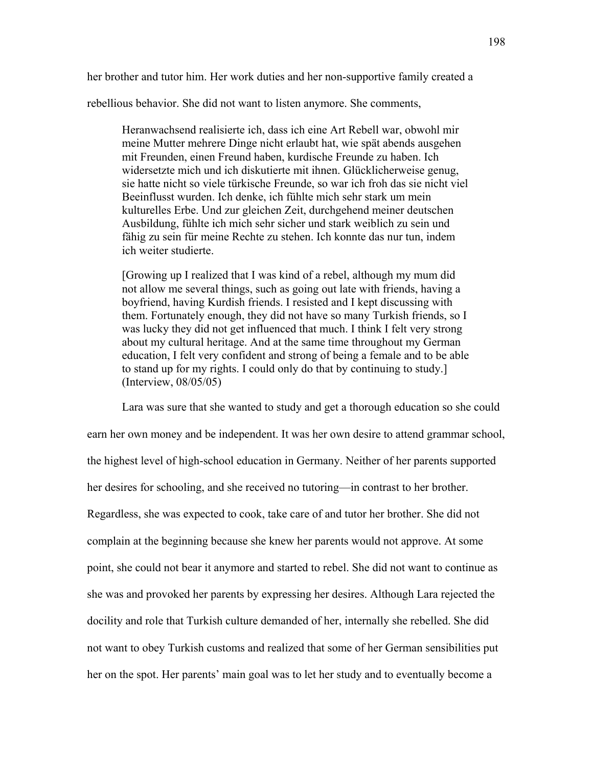her brother and tutor him. Her work duties and her non-supportive family created a

rebellious behavior. She did not want to listen anymore. She comments,

Heranwachsend realisierte ich, dass ich eine Art Rebell war, obwohl mir meine Mutter mehrere Dinge nicht erlaubt hat, wie spät abends ausgehen mit Freunden, einen Freund haben, kurdische Freunde zu haben. Ich widersetzte mich und ich diskutierte mit ihnen. Glücklicherweise genug, sie hatte nicht so viele türkische Freunde, so war ich froh das sie nicht viel Beeinflusst wurden. Ich denke, ich fühlte mich sehr stark um mein kulturelles Erbe. Und zur gleichen Zeit, durchgehend meiner deutschen Ausbildung, fühlte ich mich sehr sicher und stark weiblich zu sein und fähig zu sein für meine Rechte zu stehen. Ich konnte das nur tun, indem ich weiter studierte.

[Growing up I realized that I was kind of a rebel, although my mum did not allow me several things, such as going out late with friends, having a boyfriend, having Kurdish friends. I resisted and I kept discussing with them. Fortunately enough, they did not have so many Turkish friends, so I was lucky they did not get influenced that much. I think I felt very strong about my cultural heritage. And at the same time throughout my German education, I felt very confident and strong of being a female and to be able to stand up for my rights. I could only do that by continuing to study.] (Interview, 08/05/05)

Lara was sure that she wanted to study and get a thorough education so she could earn her own money and be independent. It was her own desire to attend grammar school, the highest level of high-school education in Germany. Neither of her parents supported her desires for schooling, and she received no tutoring—in contrast to her brother. Regardless, she was expected to cook, take care of and tutor her brother. She did not complain at the beginning because she knew her parents would not approve. At some point, she could not bear it anymore and started to rebel. She did not want to continue as she was and provoked her parents by expressing her desires. Although Lara rejected the docility and role that Turkish culture demanded of her, internally she rebelled. She did not want to obey Turkish customs and realized that some of her German sensibilities put her on the spot. Her parents' main goal was to let her study and to eventually become a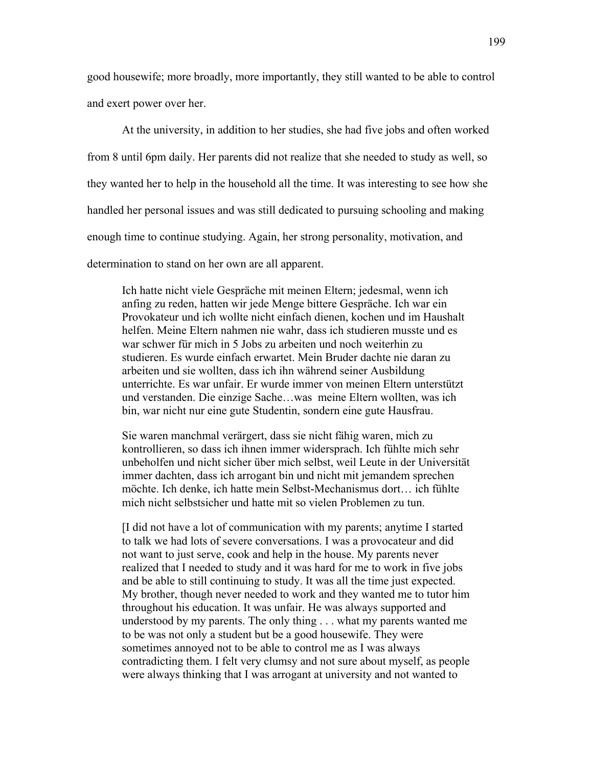good housewife; more broadly, more importantly, they still wanted to be able to control and exert power over her.

At the university, in addition to her studies, she had five jobs and often worked from 8 until 6pm daily. Her parents did not realize that she needed to study as well, so they wanted her to help in the household all the time. It was interesting to see how she handled her personal issues and was still dedicated to pursuing schooling and making enough time to continue studying. Again, her strong personality, motivation, and determination to stand on her own are all apparent.

Ich hatte nicht viele Gespräche mit meinen Eltern; jedesmal, wenn ich anfing zu reden, hatten wir jede Menge bittere Gespräche. Ich war ein Provokateur und ich wollte nicht einfach dienen, kochen und im Haushalt helfen. Meine Eltern nahmen nie wahr, dass ich studieren musste und es war schwer für mich in 5 Jobs zu arbeiten und noch weiterhin zu studieren. Es wurde einfach erwartet. Mein Bruder dachte nie daran zu arbeiten und sie wollten, dass ich ihn während seiner Ausbildung unterrichte. Es war unfair. Er wurde immer von meinen Eltern unterstützt und verstanden. Die einzige Sache…was meine Eltern wollten, was ich bin, war nicht nur eine gute Studentin, sondern eine gute Hausfrau.

Sie waren manchmal verärgert, dass sie nicht fähig waren, mich zu kontrollieren, so dass ich ihnen immer widersprach. Ich fühlte mich sehr unbeholfen und nicht sicher über mich selbst, weil Leute in der Universität immer dachten, dass ich arrogant bin und nicht mit jemandem sprechen möchte. Ich denke, ich hatte mein Selbst-Mechanismus dort… ich fühlte mich nicht selbstsicher und hatte mit so vielen Problemen zu tun.

[I did not have a lot of communication with my parents; anytime I started to talk we had lots of severe conversations. I was a provocateur and did not want to just serve, cook and help in the house. My parents never realized that I needed to study and it was hard for me to work in five jobs and be able to still continuing to study. It was all the time just expected. My brother, though never needed to work and they wanted me to tutor him throughout his education. It was unfair. He was always supported and understood by my parents. The only thing . . . what my parents wanted me to be was not only a student but be a good housewife. They were sometimes annoyed not to be able to control me as I was always contradicting them. I felt very clumsy and not sure about myself, as people were always thinking that I was arrogant at university and not wanted to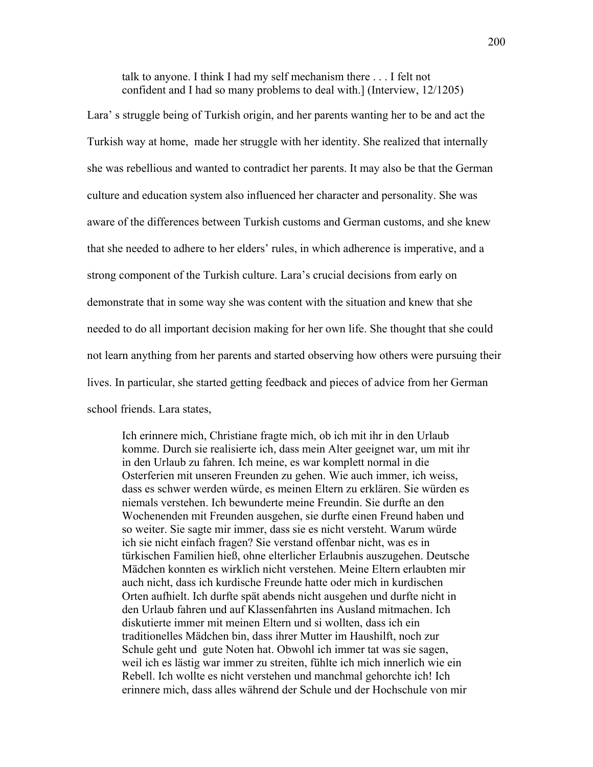talk to anyone. I think I had my self mechanism there . . . I felt not confident and I had so many problems to deal with.] (Interview, 12/1205)

Lara' s struggle being of Turkish origin, and her parents wanting her to be and act the Turkish way at home, made her struggle with her identity. She realized that internally she was rebellious and wanted to contradict her parents. It may also be that the German culture and education system also influenced her character and personality. She was aware of the differences between Turkish customs and German customs, and she knew that she needed to adhere to her elders' rules, in which adherence is imperative, and a strong component of the Turkish culture. Lara's crucial decisions from early on demonstrate that in some way she was content with the situation and knew that she needed to do all important decision making for her own life. She thought that she could not learn anything from her parents and started observing how others were pursuing their lives. In particular, she started getting feedback and pieces of advice from her German school friends. Lara states,

Ich erinnere mich, Christiane fragte mich, ob ich mit ihr in den Urlaub komme. Durch sie realisierte ich, dass mein Alter geeignet war, um mit ihr in den Urlaub zu fahren. Ich meine, es war komplett normal in die Osterferien mit unseren Freunden zu gehen. Wie auch immer, ich weiss, dass es schwer werden würde, es meinen Eltern zu erklären. Sie würden es niemals verstehen. Ich bewunderte meine Freundin. Sie durfte an den Wochenenden mit Freunden ausgehen, sie durfte einen Freund haben und so weiter. Sie sagte mir immer, dass sie es nicht versteht. Warum würde ich sie nicht einfach fragen? Sie verstand offenbar nicht, was es in türkischen Familien hieß, ohne elterlicher Erlaubnis auszugehen. Deutsche Mädchen konnten es wirklich nicht verstehen. Meine Eltern erlaubten mir auch nicht, dass ich kurdische Freunde hatte oder mich in kurdischen Orten aufhielt. Ich durfte spät abends nicht ausgehen und durfte nicht in den Urlaub fahren und auf Klassenfahrten ins Ausland mitmachen. Ich diskutierte immer mit meinen Eltern und si wollten, dass ich ein traditionelles Mädchen bin, dass ihrer Mutter im Haushilft, noch zur Schule geht und gute Noten hat. Obwohl ich immer tat was sie sagen, weil ich es lästig war immer zu streiten, fühlte ich mich innerlich wie ein Rebell. Ich wollte es nicht verstehen und manchmal gehorchte ich! Ich erinnere mich, dass alles während der Schule und der Hochschule von mir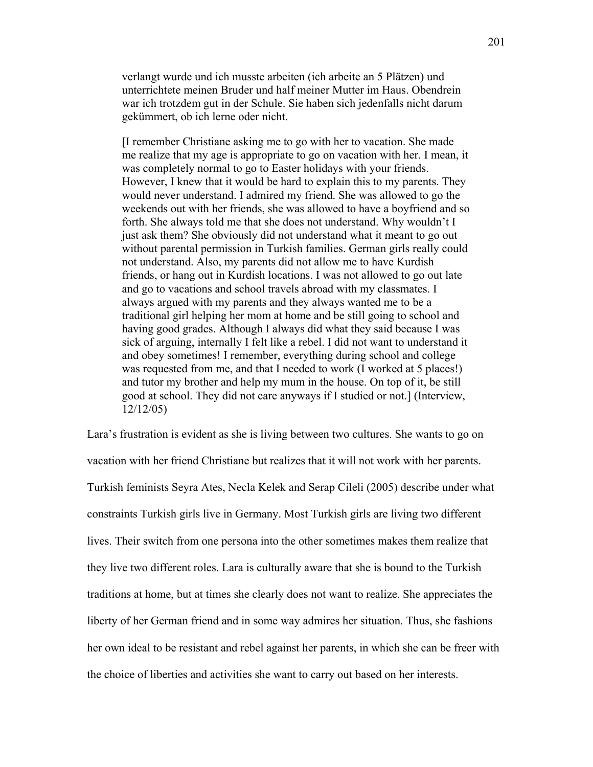verlangt wurde und ich musste arbeiten (ich arbeite an 5 Plätzen) und unterrichtete meinen Bruder und half meiner Mutter im Haus. Obendrein war ich trotzdem gut in der Schule. Sie haben sich jedenfalls nicht darum gekümmert, ob ich lerne oder nicht.

[I remember Christiane asking me to go with her to vacation. She made me realize that my age is appropriate to go on vacation with her. I mean, it was completely normal to go to Easter holidays with your friends. However, I knew that it would be hard to explain this to my parents. They would never understand. I admired my friend. She was allowed to go the weekends out with her friends, she was allowed to have a boyfriend and so forth. She always told me that she does not understand. Why wouldn't I just ask them? She obviously did not understand what it meant to go out without parental permission in Turkish families. German girls really could not understand. Also, my parents did not allow me to have Kurdish friends, or hang out in Kurdish locations. I was not allowed to go out late and go to vacations and school travels abroad with my classmates. I always argued with my parents and they always wanted me to be a traditional girl helping her mom at home and be still going to school and having good grades. Although I always did what they said because I was sick of arguing, internally I felt like a rebel. I did not want to understand it and obey sometimes! I remember, everything during school and college was requested from me, and that I needed to work (I worked at 5 places!) and tutor my brother and help my mum in the house. On top of it, be still good at school. They did not care anyways if I studied or not.] (Interview, 12/12/05)

Lara's frustration is evident as she is living between two cultures. She wants to go on vacation with her friend Christiane but realizes that it will not work with her parents. Turkish feminists Seyra Ates, Necla Kelek and Serap Cileli (2005) describe under what constraints Turkish girls live in Germany. Most Turkish girls are living two different lives. Their switch from one persona into the other sometimes makes them realize that they live two different roles. Lara is culturally aware that she is bound to the Turkish traditions at home, but at times she clearly does not want to realize. She appreciates the liberty of her German friend and in some way admires her situation. Thus, she fashions her own ideal to be resistant and rebel against her parents, in which she can be freer with the choice of liberties and activities she want to carry out based on her interests.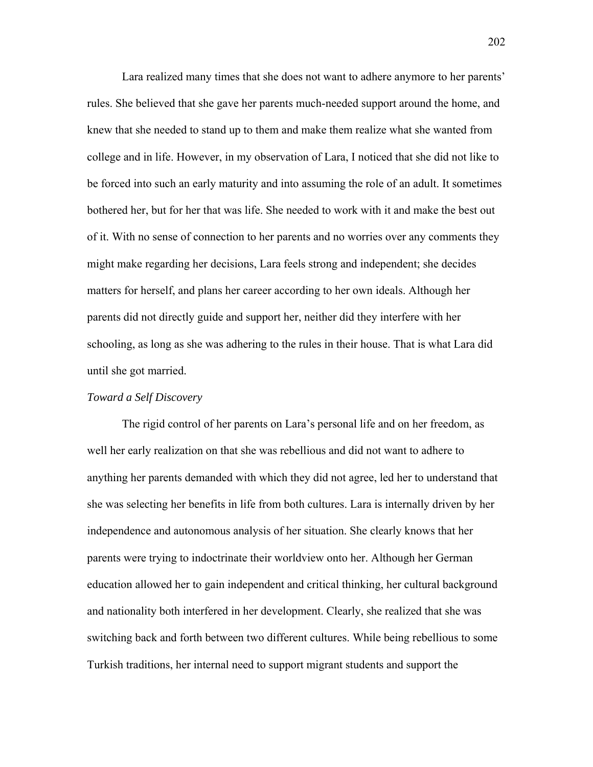Lara realized many times that she does not want to adhere anymore to her parents' rules. She believed that she gave her parents much-needed support around the home, and knew that she needed to stand up to them and make them realize what she wanted from college and in life. However, in my observation of Lara, I noticed that she did not like to be forced into such an early maturity and into assuming the role of an adult. It sometimes bothered her, but for her that was life. She needed to work with it and make the best out of it. With no sense of connection to her parents and no worries over any comments they might make regarding her decisions, Lara feels strong and independent; she decides matters for herself, and plans her career according to her own ideals. Although her parents did not directly guide and support her, neither did they interfere with her schooling, as long as she was adhering to the rules in their house. That is what Lara did until she got married.

#### *Toward a Self Discovery*

The rigid control of her parents on Lara's personal life and on her freedom, as well her early realization on that she was rebellious and did not want to adhere to anything her parents demanded with which they did not agree, led her to understand that she was selecting her benefits in life from both cultures. Lara is internally driven by her independence and autonomous analysis of her situation. She clearly knows that her parents were trying to indoctrinate their worldview onto her. Although her German education allowed her to gain independent and critical thinking, her cultural background and nationality both interfered in her development. Clearly, she realized that she was switching back and forth between two different cultures. While being rebellious to some Turkish traditions, her internal need to support migrant students and support the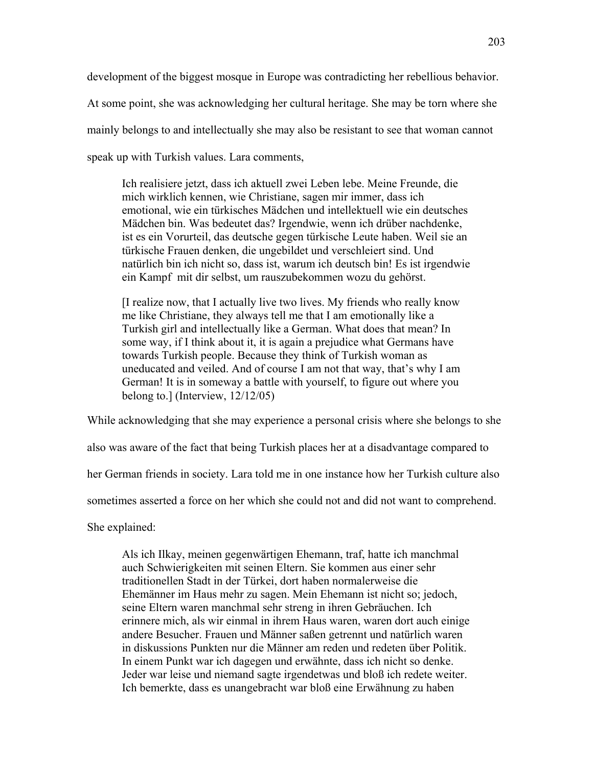development of the biggest mosque in Europe was contradicting her rebellious behavior.

At some point, she was acknowledging her cultural heritage. She may be torn where she

mainly belongs to and intellectually she may also be resistant to see that woman cannot

speak up with Turkish values. Lara comments,

Ich realisiere jetzt, dass ich aktuell zwei Leben lebe. Meine Freunde, die mich wirklich kennen, wie Christiane, sagen mir immer, dass ich emotional, wie ein türkisches Mädchen und intellektuell wie ein deutsches Mädchen bin. Was bedeutet das? Irgendwie, wenn ich drüber nachdenke, ist es ein Vorurteil, das deutsche gegen türkische Leute haben. Weil sie an türkische Frauen denken, die ungebildet und verschleiert sind. Und natürlich bin ich nicht so, dass ist, warum ich deutsch bin! Es ist irgendwie ein Kampf mit dir selbst, um rauszubekommen wozu du gehörst.

[I realize now, that I actually live two lives. My friends who really know me like Christiane, they always tell me that I am emotionally like a Turkish girl and intellectually like a German. What does that mean? In some way, if I think about it, it is again a prejudice what Germans have towards Turkish people. Because they think of Turkish woman as uneducated and veiled. And of course I am not that way, that's why I am German! It is in someway a battle with yourself, to figure out where you belong to.] (Interview, 12/12/05)

While acknowledging that she may experience a personal crisis where she belongs to she

also was aware of the fact that being Turkish places her at a disadvantage compared to

her German friends in society. Lara told me in one instance how her Turkish culture also

sometimes asserted a force on her which she could not and did not want to comprehend.

She explained:

Als ich Ilkay, meinen gegenwärtigen Ehemann, traf, hatte ich manchmal auch Schwierigkeiten mit seinen Eltern. Sie kommen aus einer sehr traditionellen Stadt in der Türkei, dort haben normalerweise die Ehemänner im Haus mehr zu sagen. Mein Ehemann ist nicht so; jedoch, seine Eltern waren manchmal sehr streng in ihren Gebräuchen. Ich erinnere mich, als wir einmal in ihrem Haus waren, waren dort auch einige andere Besucher. Frauen und Männer saßen getrennt und natürlich waren in diskussions Punkten nur die Männer am reden und redeten über Politik. In einem Punkt war ich dagegen und erwähnte, dass ich nicht so denke. Jeder war leise und niemand sagte irgendetwas und bloß ich redete weiter. Ich bemerkte, dass es unangebracht war bloß eine Erwähnung zu haben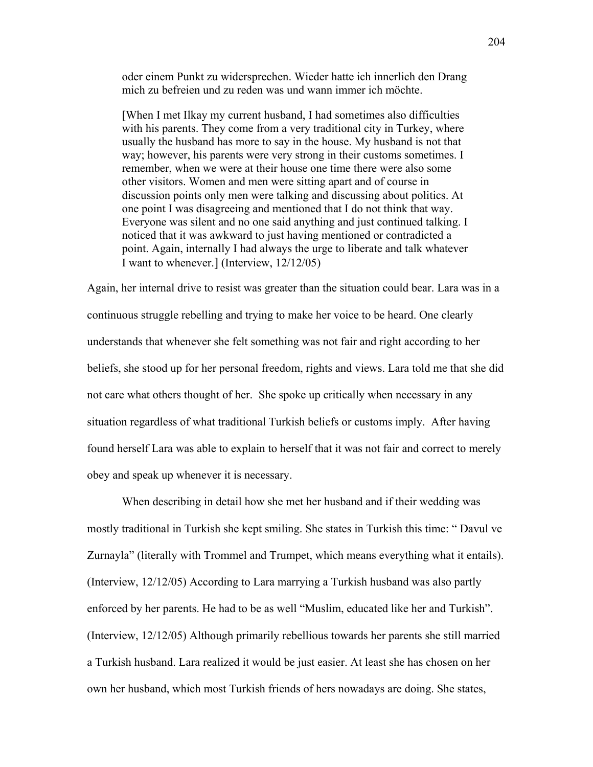oder einem Punkt zu widersprechen. Wieder hatte ich innerlich den Drang mich zu befreien und zu reden was und wann immer ich möchte.

[When I met Ilkay my current husband, I had sometimes also difficulties with his parents. They come from a very traditional city in Turkey, where usually the husband has more to say in the house. My husband is not that way; however, his parents were very strong in their customs sometimes. I remember, when we were at their house one time there were also some other visitors. Women and men were sitting apart and of course in discussion points only men were talking and discussing about politics. At one point I was disagreeing and mentioned that I do not think that way. Everyone was silent and no one said anything and just continued talking. I noticed that it was awkward to just having mentioned or contradicted a point. Again, internally I had always the urge to liberate and talk whatever I want to whenever.] (Interview, 12/12/05)

Again, her internal drive to resist was greater than the situation could bear. Lara was in a continuous struggle rebelling and trying to make her voice to be heard. One clearly understands that whenever she felt something was not fair and right according to her beliefs, she stood up for her personal freedom, rights and views. Lara told me that she did not care what others thought of her. She spoke up critically when necessary in any situation regardless of what traditional Turkish beliefs or customs imply. After having found herself Lara was able to explain to herself that it was not fair and correct to merely obey and speak up whenever it is necessary.

 When describing in detail how she met her husband and if their wedding was mostly traditional in Turkish she kept smiling. She states in Turkish this time: " Davul ve Zurnayla" (literally with Trommel and Trumpet, which means everything what it entails). (Interview, 12/12/05) According to Lara marrying a Turkish husband was also partly enforced by her parents. He had to be as well "Muslim, educated like her and Turkish". (Interview, 12/12/05) Although primarily rebellious towards her parents she still married a Turkish husband. Lara realized it would be just easier. At least she has chosen on her own her husband, which most Turkish friends of hers nowadays are doing. She states,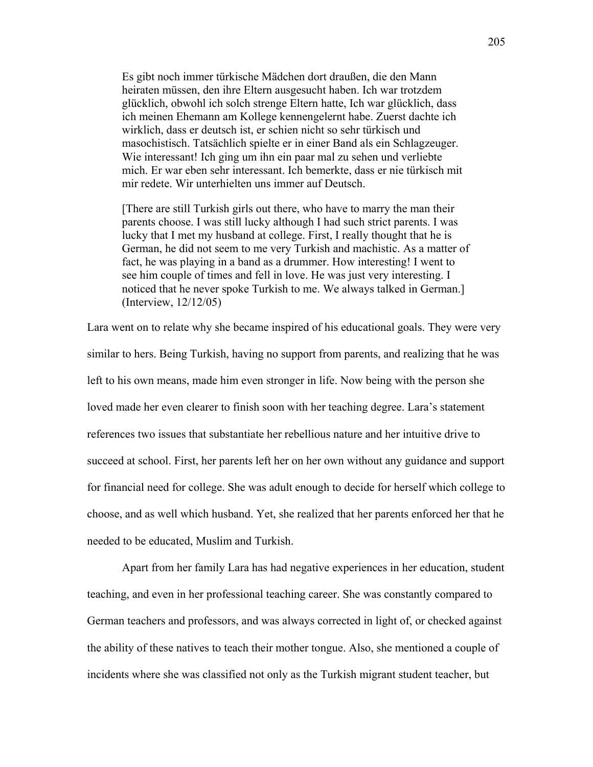Es gibt noch immer türkische Mädchen dort draußen, die den Mann heiraten müssen, den ihre Eltern ausgesucht haben. Ich war trotzdem glücklich, obwohl ich solch strenge Eltern hatte, Ich war glücklich, dass ich meinen Ehemann am Kollege kennengelernt habe. Zuerst dachte ich wirklich, dass er deutsch ist, er schien nicht so sehr türkisch und masochistisch. Tatsächlich spielte er in einer Band als ein Schlagzeuger. Wie interessant! Ich ging um ihn ein paar mal zu sehen und verliebte mich. Er war eben sehr interessant. Ich bemerkte, dass er nie türkisch mit mir redete. Wir unterhielten uns immer auf Deutsch.

[There are still Turkish girls out there, who have to marry the man their parents choose. I was still lucky although I had such strict parents. I was lucky that I met my husband at college. First, I really thought that he is German, he did not seem to me very Turkish and machistic. As a matter of fact, he was playing in a band as a drummer. How interesting! I went to see him couple of times and fell in love. He was just very interesting. I noticed that he never spoke Turkish to me. We always talked in German.] (Interview, 12/12/05)

Lara went on to relate why she became inspired of his educational goals. They were very similar to hers. Being Turkish, having no support from parents, and realizing that he was left to his own means, made him even stronger in life. Now being with the person she loved made her even clearer to finish soon with her teaching degree. Lara's statement references two issues that substantiate her rebellious nature and her intuitive drive to succeed at school. First, her parents left her on her own without any guidance and support for financial need for college. She was adult enough to decide for herself which college to choose, and as well which husband. Yet, she realized that her parents enforced her that he needed to be educated, Muslim and Turkish.

Apart from her family Lara has had negative experiences in her education, student teaching, and even in her professional teaching career. She was constantly compared to German teachers and professors, and was always corrected in light of, or checked against the ability of these natives to teach their mother tongue. Also, she mentioned a couple of incidents where she was classified not only as the Turkish migrant student teacher, but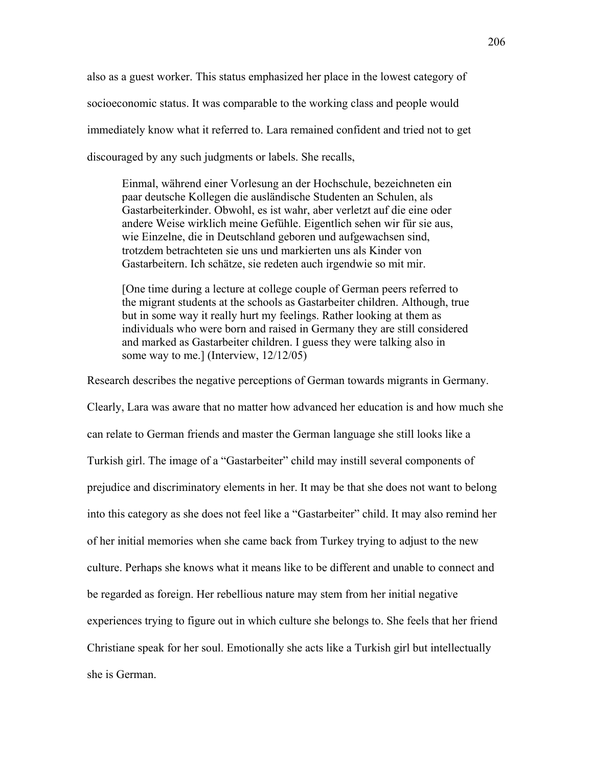also as a guest worker. This status emphasized her place in the lowest category of socioeconomic status. It was comparable to the working class and people would immediately know what it referred to. Lara remained confident and tried not to get discouraged by any such judgments or labels. She recalls,

Einmal, während einer Vorlesung an der Hochschule, bezeichneten ein paar deutsche Kollegen die ausländische Studenten an Schulen, als Gastarbeiterkinder. Obwohl, es ist wahr, aber verletzt auf die eine oder andere Weise wirklich meine Gefühle. Eigentlich sehen wir für sie aus, wie Einzelne, die in Deutschland geboren und aufgewachsen sind, trotzdem betrachteten sie uns und markierten uns als Kinder von Gastarbeitern. Ich schätze, sie redeten auch irgendwie so mit mir.

[One time during a lecture at college couple of German peers referred to the migrant students at the schools as Gastarbeiter children. Although, true but in some way it really hurt my feelings. Rather looking at them as individuals who were born and raised in Germany they are still considered and marked as Gastarbeiter children. I guess they were talking also in some way to me.] (Interview, 12/12/05)

Research describes the negative perceptions of German towards migrants in Germany. Clearly, Lara was aware that no matter how advanced her education is and how much she can relate to German friends and master the German language she still looks like a Turkish girl. The image of a "Gastarbeiter" child may instill several components of prejudice and discriminatory elements in her. It may be that she does not want to belong into this category as she does not feel like a "Gastarbeiter" child. It may also remind her of her initial memories when she came back from Turkey trying to adjust to the new culture. Perhaps she knows what it means like to be different and unable to connect and be regarded as foreign. Her rebellious nature may stem from her initial negative experiences trying to figure out in which culture she belongs to. She feels that her friend Christiane speak for her soul. Emotionally she acts like a Turkish girl but intellectually she is German.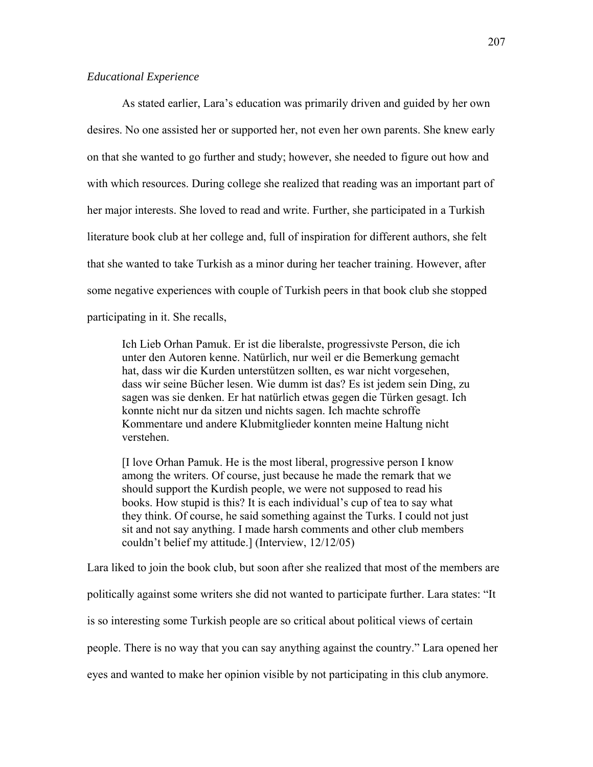# *Educational Experience*

As stated earlier, Lara's education was primarily driven and guided by her own desires. No one assisted her or supported her, not even her own parents. She knew early on that she wanted to go further and study; however, she needed to figure out how and with which resources. During college she realized that reading was an important part of her major interests. She loved to read and write. Further, she participated in a Turkish literature book club at her college and, full of inspiration for different authors, she felt that she wanted to take Turkish as a minor during her teacher training. However, after some negative experiences with couple of Turkish peers in that book club she stopped participating in it. She recalls,

Ich Lieb Orhan Pamuk. Er ist die liberalste, progressivste Person, die ich unter den Autoren kenne. Natürlich, nur weil er die Bemerkung gemacht hat, dass wir die Kurden unterstützen sollten, es war nicht vorgesehen, dass wir seine Bücher lesen. Wie dumm ist das? Es ist jedem sein Ding, zu sagen was sie denken. Er hat natürlich etwas gegen die Türken gesagt. Ich konnte nicht nur da sitzen und nichts sagen. Ich machte schroffe Kommentare und andere Klubmitglieder konnten meine Haltung nicht verstehen.

[I love Orhan Pamuk. He is the most liberal, progressive person I know among the writers. Of course, just because he made the remark that we should support the Kurdish people, we were not supposed to read his books. How stupid is this? It is each individual's cup of tea to say what they think. Of course, he said something against the Turks. I could not just sit and not say anything. I made harsh comments and other club members couldn't belief my attitude.] (Interview, 12/12/05)

Lara liked to join the book club, but soon after she realized that most of the members are

politically against some writers she did not wanted to participate further. Lara states: "It

is so interesting some Turkish people are so critical about political views of certain

people. There is no way that you can say anything against the country." Lara opened her

eyes and wanted to make her opinion visible by not participating in this club anymore.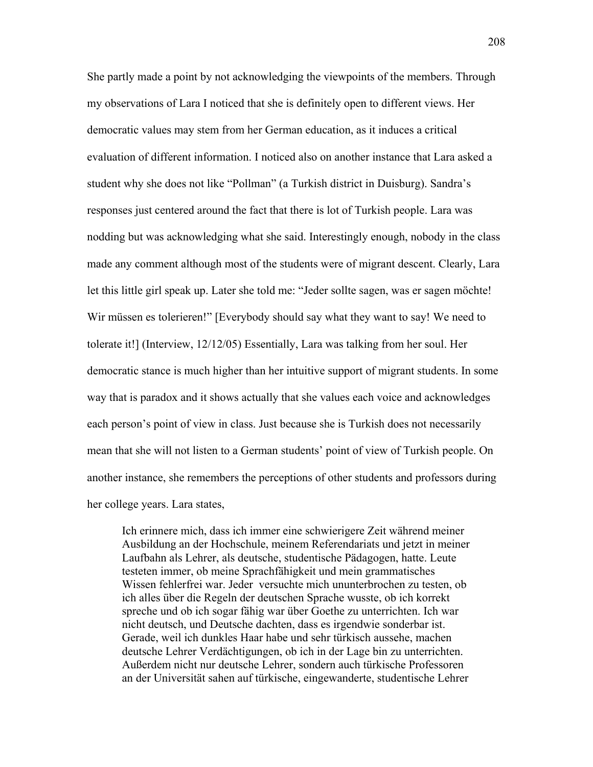She partly made a point by not acknowledging the viewpoints of the members. Through my observations of Lara I noticed that she is definitely open to different views. Her democratic values may stem from her German education, as it induces a critical evaluation of different information. I noticed also on another instance that Lara asked a student why she does not like "Pollman" (a Turkish district in Duisburg). Sandra's responses just centered around the fact that there is lot of Turkish people. Lara was nodding but was acknowledging what she said. Interestingly enough, nobody in the class made any comment although most of the students were of migrant descent. Clearly, Lara let this little girl speak up. Later she told me: "Jeder sollte sagen, was er sagen möchte! Wir müssen es tolerieren!" [Everybody should say what they want to say! We need to tolerate it!] (Interview, 12/12/05) Essentially, Lara was talking from her soul. Her democratic stance is much higher than her intuitive support of migrant students. In some way that is paradox and it shows actually that she values each voice and acknowledges each person's point of view in class. Just because she is Turkish does not necessarily mean that she will not listen to a German students' point of view of Turkish people. On another instance, she remembers the perceptions of other students and professors during her college years. Lara states,

Ich erinnere mich, dass ich immer eine schwierigere Zeit während meiner Ausbildung an der Hochschule, meinem Referendariats und jetzt in meiner Laufbahn als Lehrer, als deutsche, studentische Pädagogen, hatte. Leute testeten immer, ob meine Sprachfähigkeit und mein grammatisches Wissen fehlerfrei war. Jeder versuchte mich ununterbrochen zu testen, ob ich alles über die Regeln der deutschen Sprache wusste, ob ich korrekt spreche und ob ich sogar fähig war über Goethe zu unterrichten. Ich war nicht deutsch, und Deutsche dachten, dass es irgendwie sonderbar ist. Gerade, weil ich dunkles Haar habe und sehr türkisch aussehe, machen deutsche Lehrer Verdächtigungen, ob ich in der Lage bin zu unterrichten. Außerdem nicht nur deutsche Lehrer, sondern auch türkische Professoren an der Universität sahen auf türkische, eingewanderte, studentische Lehrer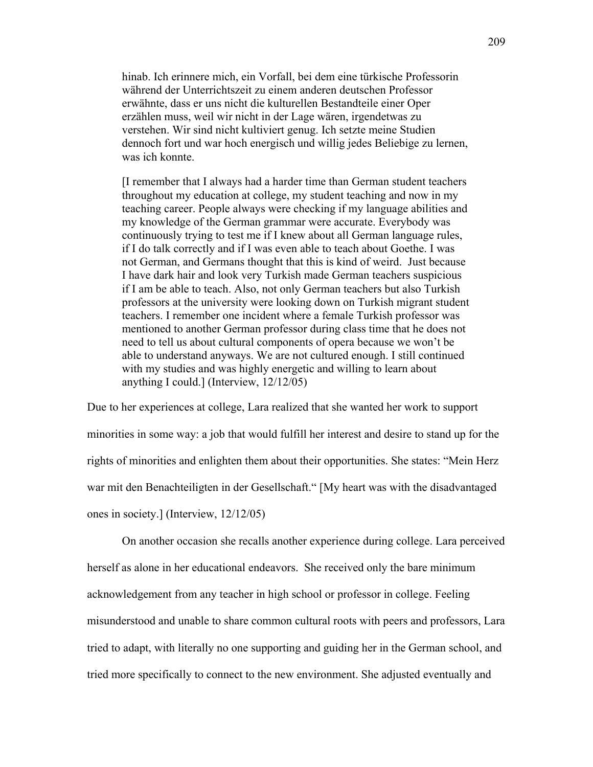hinab. Ich erinnere mich, ein Vorfall, bei dem eine türkische Professorin während der Unterrichtszeit zu einem anderen deutschen Professor erwähnte, dass er uns nicht die kulturellen Bestandteile einer Oper erzählen muss, weil wir nicht in der Lage wären, irgendetwas zu verstehen. Wir sind nicht kultiviert genug. Ich setzte meine Studien dennoch fort und war hoch energisch und willig jedes Beliebige zu lernen, was ich konnte.

[I remember that I always had a harder time than German student teachers throughout my education at college, my student teaching and now in my teaching career. People always were checking if my language abilities and my knowledge of the German grammar were accurate. Everybody was continuously trying to test me if I knew about all German language rules, if I do talk correctly and if I was even able to teach about Goethe. I was not German, and Germans thought that this is kind of weird. Just because I have dark hair and look very Turkish made German teachers suspicious if I am be able to teach. Also, not only German teachers but also Turkish professors at the university were looking down on Turkish migrant student teachers. I remember one incident where a female Turkish professor was mentioned to another German professor during class time that he does not need to tell us about cultural components of opera because we won't be able to understand anyways. We are not cultured enough. I still continued with my studies and was highly energetic and willing to learn about anything I could.] (Interview, 12/12/05)

Due to her experiences at college, Lara realized that she wanted her work to support minorities in some way: a job that would fulfill her interest and desire to stand up for the rights of minorities and enlighten them about their opportunities. She states: "Mein Herz war mit den Benachteiligten in der Gesellschaft." [My heart was with the disadvantaged ones in society.] (Interview, 12/12/05)

On another occasion she recalls another experience during college. Lara perceived herself as alone in her educational endeavors. She received only the bare minimum acknowledgement from any teacher in high school or professor in college. Feeling misunderstood and unable to share common cultural roots with peers and professors, Lara tried to adapt, with literally no one supporting and guiding her in the German school, and tried more specifically to connect to the new environment. She adjusted eventually and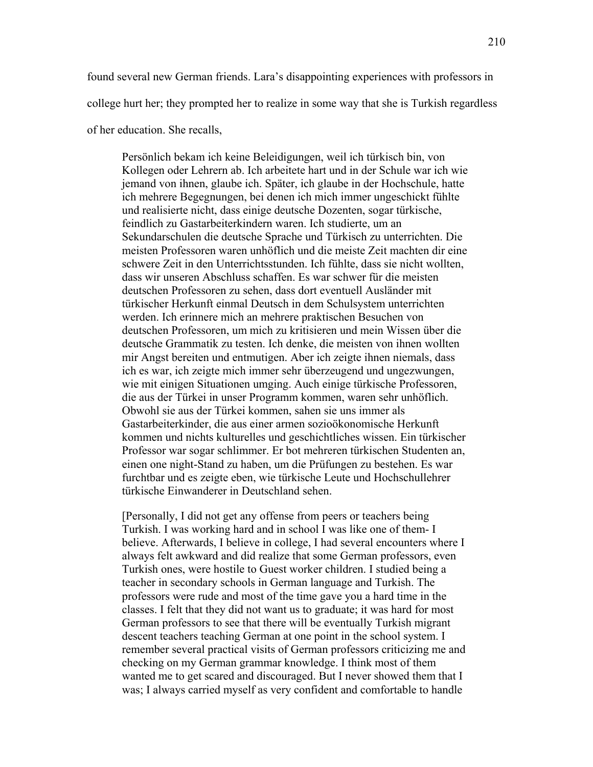found several new German friends. Lara's disappointing experiences with professors in

college hurt her; they prompted her to realize in some way that she is Turkish regardless

of her education. She recalls,

Persönlich bekam ich keine Beleidigungen, weil ich türkisch bin, von Kollegen oder Lehrern ab. Ich arbeitete hart und in der Schule war ich wie jemand von ihnen, glaube ich. Später, ich glaube in der Hochschule, hatte ich mehrere Begegnungen, bei denen ich mich immer ungeschickt fühlte und realisierte nicht, dass einige deutsche Dozenten, sogar türkische, feindlich zu Gastarbeiterkindern waren. Ich studierte, um an Sekundarschulen die deutsche Sprache und Türkisch zu unterrichten. Die meisten Professoren waren unhöflich und die meiste Zeit machten dir eine schwere Zeit in den Unterrichtsstunden. Ich fühlte, dass sie nicht wollten, dass wir unseren Abschluss schaffen. Es war schwer für die meisten deutschen Professoren zu sehen, dass dort eventuell Ausländer mit türkischer Herkunft einmal Deutsch in dem Schulsystem unterrichten werden. Ich erinnere mich an mehrere praktischen Besuchen von deutschen Professoren, um mich zu kritisieren und mein Wissen über die deutsche Grammatik zu testen. Ich denke, die meisten von ihnen wollten mir Angst bereiten und entmutigen. Aber ich zeigte ihnen niemals, dass ich es war, ich zeigte mich immer sehr überzeugend und ungezwungen, wie mit einigen Situationen umging. Auch einige türkische Professoren, die aus der Türkei in unser Programm kommen, waren sehr unhöflich. Obwohl sie aus der Türkei kommen, sahen sie uns immer als Gastarbeiterkinder, die aus einer armen sozioökonomische Herkunft kommen und nichts kulturelles und geschichtliches wissen. Ein türkischer Professor war sogar schlimmer. Er bot mehreren türkischen Studenten an, einen one night-Stand zu haben, um die Prüfungen zu bestehen. Es war furchtbar und es zeigte eben, wie türkische Leute und Hochschullehrer türkische Einwanderer in Deutschland sehen.

[Personally, I did not get any offense from peers or teachers being Turkish. I was working hard and in school I was like one of them- I believe. Afterwards, I believe in college, I had several encounters where I always felt awkward and did realize that some German professors, even Turkish ones, were hostile to Guest worker children. I studied being a teacher in secondary schools in German language and Turkish. The professors were rude and most of the time gave you a hard time in the classes. I felt that they did not want us to graduate; it was hard for most German professors to see that there will be eventually Turkish migrant descent teachers teaching German at one point in the school system. I remember several practical visits of German professors criticizing me and checking on my German grammar knowledge. I think most of them wanted me to get scared and discouraged. But I never showed them that I was; I always carried myself as very confident and comfortable to handle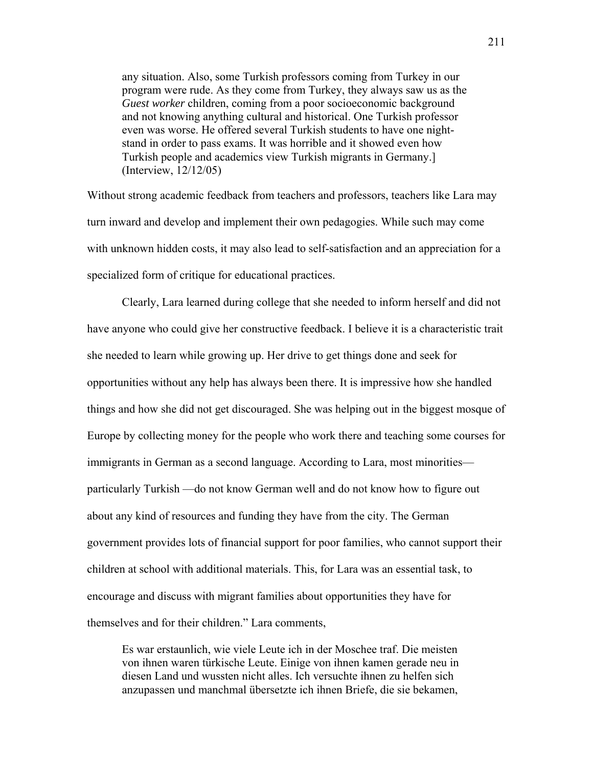any situation. Also, some Turkish professors coming from Turkey in our program were rude. As they come from Turkey, they always saw us as the *Guest worker* children, coming from a poor socioeconomic background and not knowing anything cultural and historical. One Turkish professor even was worse. He offered several Turkish students to have one nightstand in order to pass exams. It was horrible and it showed even how Turkish people and academics view Turkish migrants in Germany.] (Interview, 12/12/05)

Without strong academic feedback from teachers and professors, teachers like Lara may turn inward and develop and implement their own pedagogies. While such may come with unknown hidden costs, it may also lead to self-satisfaction and an appreciation for a specialized form of critique for educational practices.

Clearly, Lara learned during college that she needed to inform herself and did not have anyone who could give her constructive feedback. I believe it is a characteristic trait she needed to learn while growing up. Her drive to get things done and seek for opportunities without any help has always been there. It is impressive how she handled things and how she did not get discouraged. She was helping out in the biggest mosque of Europe by collecting money for the people who work there and teaching some courses for immigrants in German as a second language. According to Lara, most minorities particularly Turkish —do not know German well and do not know how to figure out about any kind of resources and funding they have from the city. The German government provides lots of financial support for poor families, who cannot support their children at school with additional materials. This, for Lara was an essential task, to encourage and discuss with migrant families about opportunities they have for themselves and for their children." Lara comments,

Es war erstaunlich, wie viele Leute ich in der Moschee traf. Die meisten von ihnen waren türkische Leute. Einige von ihnen kamen gerade neu in diesen Land und wussten nicht alles. Ich versuchte ihnen zu helfen sich anzupassen und manchmal übersetzte ich ihnen Briefe, die sie bekamen,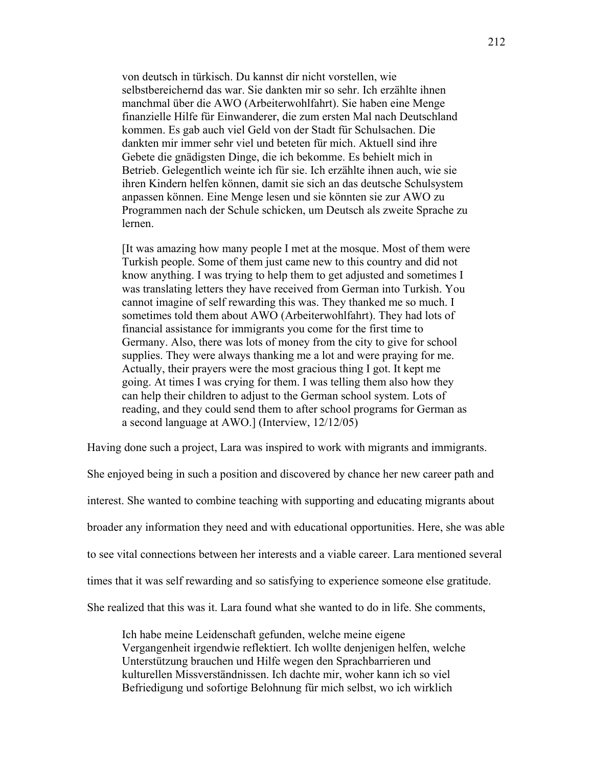von deutsch in türkisch. Du kannst dir nicht vorstellen, wie selbstbereichernd das war. Sie dankten mir so sehr. Ich erzählte ihnen manchmal über die AWO (Arbeiterwohlfahrt). Sie haben eine Menge finanzielle Hilfe für Einwanderer, die zum ersten Mal nach Deutschland kommen. Es gab auch viel Geld von der Stadt für Schulsachen. Die dankten mir immer sehr viel und beteten für mich. Aktuell sind ihre Gebete die gnädigsten Dinge, die ich bekomme. Es behielt mich in Betrieb. Gelegentlich weinte ich für sie. Ich erzählte ihnen auch, wie sie ihren Kindern helfen können, damit sie sich an das deutsche Schulsystem anpassen können. Eine Menge lesen und sie könnten sie zur AWO zu Programmen nach der Schule schicken, um Deutsch als zweite Sprache zu lernen.

[It was amazing how many people I met at the mosque. Most of them were Turkish people. Some of them just came new to this country and did not know anything. I was trying to help them to get adjusted and sometimes I was translating letters they have received from German into Turkish. You cannot imagine of self rewarding this was. They thanked me so much. I sometimes told them about AWO (Arbeiterwohlfahrt). They had lots of financial assistance for immigrants you come for the first time to Germany. Also, there was lots of money from the city to give for school supplies. They were always thanking me a lot and were praying for me. Actually, their prayers were the most gracious thing I got. It kept me going. At times I was crying for them. I was telling them also how they can help their children to adjust to the German school system. Lots of reading, and they could send them to after school programs for German as a second language at AWO.] (Interview, 12/12/05)

Having done such a project, Lara was inspired to work with migrants and immigrants.

She enjoyed being in such a position and discovered by chance her new career path and interest. She wanted to combine teaching with supporting and educating migrants about broader any information they need and with educational opportunities. Here, she was able to see vital connections between her interests and a viable career. Lara mentioned several times that it was self rewarding and so satisfying to experience someone else gratitude. She realized that this was it. Lara found what she wanted to do in life. She comments,

Ich habe meine Leidenschaft gefunden, welche meine eigene Vergangenheit irgendwie reflektiert. Ich wollte denjenigen helfen, welche Unterstützung brauchen und Hilfe wegen den Sprachbarrieren und kulturellen Missverständnissen. Ich dachte mir, woher kann ich so viel Befriedigung und sofortige Belohnung für mich selbst, wo ich wirklich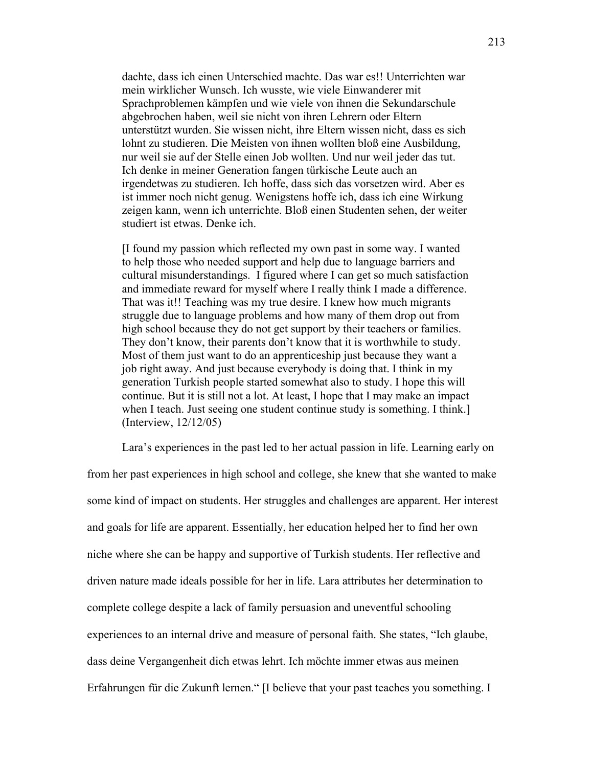dachte, dass ich einen Unterschied machte. Das war es!! Unterrichten war mein wirklicher Wunsch. Ich wusste, wie viele Einwanderer mit Sprachproblemen kämpfen und wie viele von ihnen die Sekundarschule abgebrochen haben, weil sie nicht von ihren Lehrern oder Eltern unterstützt wurden. Sie wissen nicht, ihre Eltern wissen nicht, dass es sich lohnt zu studieren. Die Meisten von ihnen wollten bloß eine Ausbildung, nur weil sie auf der Stelle einen Job wollten. Und nur weil jeder das tut. Ich denke in meiner Generation fangen türkische Leute auch an irgendetwas zu studieren. Ich hoffe, dass sich das vorsetzen wird. Aber es ist immer noch nicht genug. Wenigstens hoffe ich, dass ich eine Wirkung zeigen kann, wenn ich unterrichte. Bloß einen Studenten sehen, der weiter studiert ist etwas. Denke ich.

[I found my passion which reflected my own past in some way. I wanted to help those who needed support and help due to language barriers and cultural misunderstandings. I figured where I can get so much satisfaction and immediate reward for myself where I really think I made a difference. That was it!! Teaching was my true desire. I knew how much migrants struggle due to language problems and how many of them drop out from high school because they do not get support by their teachers or families. They don't know, their parents don't know that it is worthwhile to study. Most of them just want to do an apprenticeship just because they want a job right away. And just because everybody is doing that. I think in my generation Turkish people started somewhat also to study. I hope this will continue. But it is still not a lot. At least, I hope that I may make an impact when I teach. Just seeing one student continue study is something. I think.] (Interview, 12/12/05)

Lara's experiences in the past led to her actual passion in life. Learning early on

from her past experiences in high school and college, she knew that she wanted to make some kind of impact on students. Her struggles and challenges are apparent. Her interest and goals for life are apparent. Essentially, her education helped her to find her own niche where she can be happy and supportive of Turkish students. Her reflective and driven nature made ideals possible for her in life. Lara attributes her determination to complete college despite a lack of family persuasion and uneventful schooling experiences to an internal drive and measure of personal faith. She states, "Ich glaube, dass deine Vergangenheit dich etwas lehrt. Ich möchte immer etwas aus meinen Erfahrungen für die Zukunft lernen." [I believe that your past teaches you something. I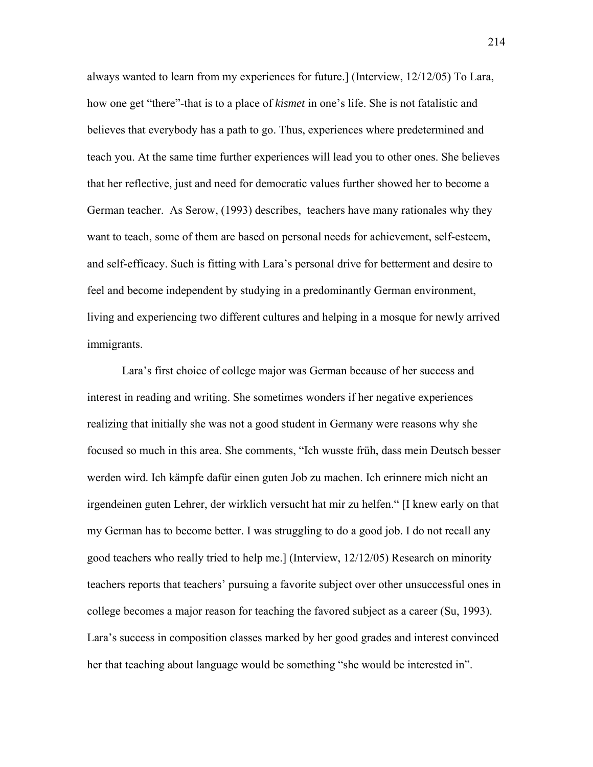always wanted to learn from my experiences for future.] (Interview, 12/12/05) To Lara, how one get "there"-that is to a place of *kismet* in one's life. She is not fatalistic and believes that everybody has a path to go. Thus, experiences where predetermined and teach you. At the same time further experiences will lead you to other ones. She believes that her reflective, just and need for democratic values further showed her to become a German teacher. As Serow, (1993) describes, teachers have many rationales why they want to teach, some of them are based on personal needs for achievement, self-esteem, and self-efficacy. Such is fitting with Lara's personal drive for betterment and desire to feel and become independent by studying in a predominantly German environment, living and experiencing two different cultures and helping in a mosque for newly arrived immigrants.

Lara's first choice of college major was German because of her success and interest in reading and writing. She sometimes wonders if her negative experiences realizing that initially she was not a good student in Germany were reasons why she focused so much in this area. She comments, "Ich wusste früh, dass mein Deutsch besser werden wird. Ich kämpfe dafür einen guten Job zu machen. Ich erinnere mich nicht an irgendeinen guten Lehrer, der wirklich versucht hat mir zu helfen." [I knew early on that my German has to become better. I was struggling to do a good job. I do not recall any good teachers who really tried to help me.] (Interview, 12/12/05) Research on minority teachers reports that teachers' pursuing a favorite subject over other unsuccessful ones in college becomes a major reason for teaching the favored subject as a career (Su, 1993). Lara's success in composition classes marked by her good grades and interest convinced her that teaching about language would be something "she would be interested in".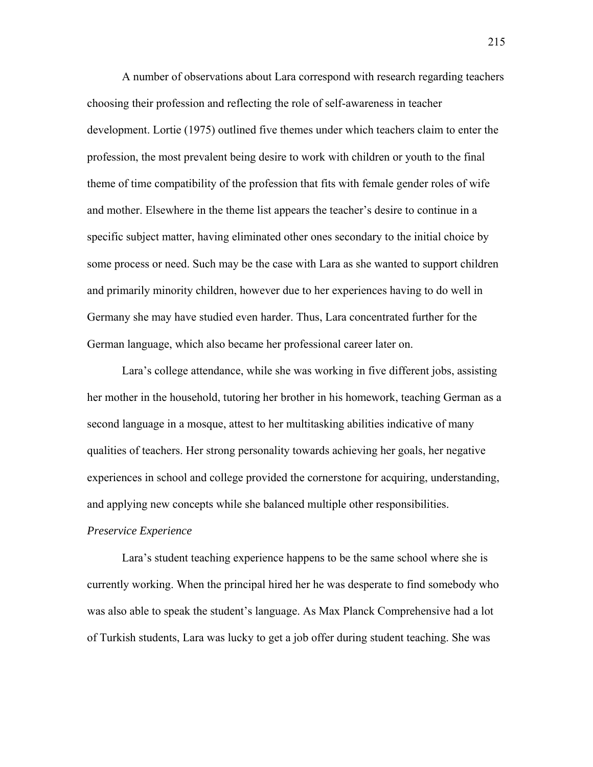A number of observations about Lara correspond with research regarding teachers choosing their profession and reflecting the role of self-awareness in teacher development. Lortie (1975) outlined five themes under which teachers claim to enter the profession, the most prevalent being desire to work with children or youth to the final theme of time compatibility of the profession that fits with female gender roles of wife and mother. Elsewhere in the theme list appears the teacher's desire to continue in a specific subject matter, having eliminated other ones secondary to the initial choice by some process or need. Such may be the case with Lara as she wanted to support children and primarily minority children, however due to her experiences having to do well in Germany she may have studied even harder. Thus, Lara concentrated further for the German language, which also became her professional career later on.

Lara's college attendance, while she was working in five different jobs, assisting her mother in the household, tutoring her brother in his homework, teaching German as a second language in a mosque, attest to her multitasking abilities indicative of many qualities of teachers. Her strong personality towards achieving her goals, her negative experiences in school and college provided the cornerstone for acquiring, understanding, and applying new concepts while she balanced multiple other responsibilities.

#### *Preservice Experience*

 Lara's student teaching experience happens to be the same school where she is currently working. When the principal hired her he was desperate to find somebody who was also able to speak the student's language. As Max Planck Comprehensive had a lot of Turkish students, Lara was lucky to get a job offer during student teaching. She was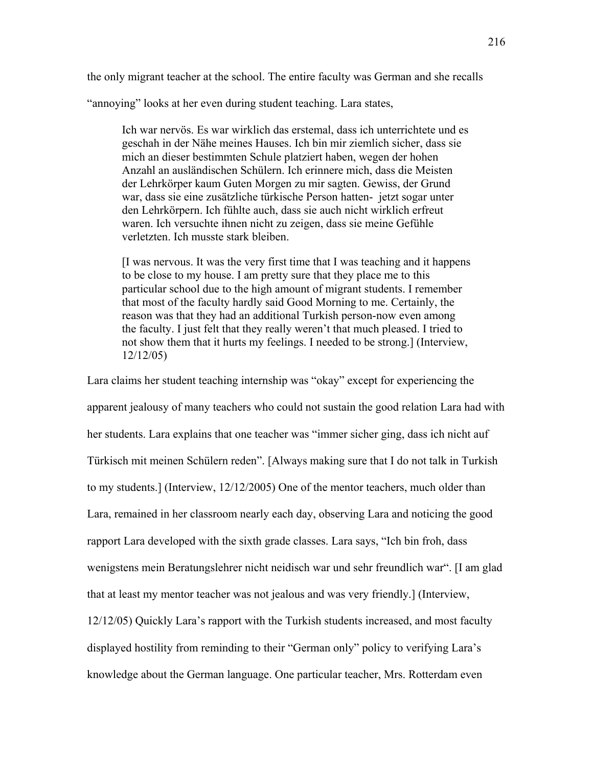the only migrant teacher at the school. The entire faculty was German and she recalls

"annoying" looks at her even during student teaching. Lara states,

Ich war nervös. Es war wirklich das erstemal, dass ich unterrichtete und es geschah in der Nähe meines Hauses. Ich bin mir ziemlich sicher, dass sie mich an dieser bestimmten Schule platziert haben, wegen der hohen Anzahl an ausländischen Schülern. Ich erinnere mich, dass die Meisten der Lehrkörper kaum Guten Morgen zu mir sagten. Gewiss, der Grund war, dass sie eine zusätzliche türkische Person hatten- jetzt sogar unter den Lehrkörpern. Ich fühlte auch, dass sie auch nicht wirklich erfreut waren. Ich versuchte ihnen nicht zu zeigen, dass sie meine Gefühle verletzten. Ich musste stark bleiben.

[I was nervous. It was the very first time that I was teaching and it happens to be close to my house. I am pretty sure that they place me to this particular school due to the high amount of migrant students. I remember that most of the faculty hardly said Good Morning to me. Certainly, the reason was that they had an additional Turkish person-now even among the faculty. I just felt that they really weren't that much pleased. I tried to not show them that it hurts my feelings. I needed to be strong.] (Interview, 12/12/05)

Lara claims her student teaching internship was "okay" except for experiencing the apparent jealousy of many teachers who could not sustain the good relation Lara had with her students. Lara explains that one teacher was "immer sicher ging, dass ich nicht auf Türkisch mit meinen Schülern reden". [Always making sure that I do not talk in Turkish to my students.] (Interview, 12/12/2005) One of the mentor teachers, much older than Lara, remained in her classroom nearly each day, observing Lara and noticing the good rapport Lara developed with the sixth grade classes. Lara says, "Ich bin froh, dass wenigstens mein Beratungslehrer nicht neidisch war und sehr freundlich war". [I am glad that at least my mentor teacher was not jealous and was very friendly.] (Interview, 12/12/05) Quickly Lara's rapport with the Turkish students increased, and most faculty displayed hostility from reminding to their "German only" policy to verifying Lara's knowledge about the German language. One particular teacher, Mrs. Rotterdam even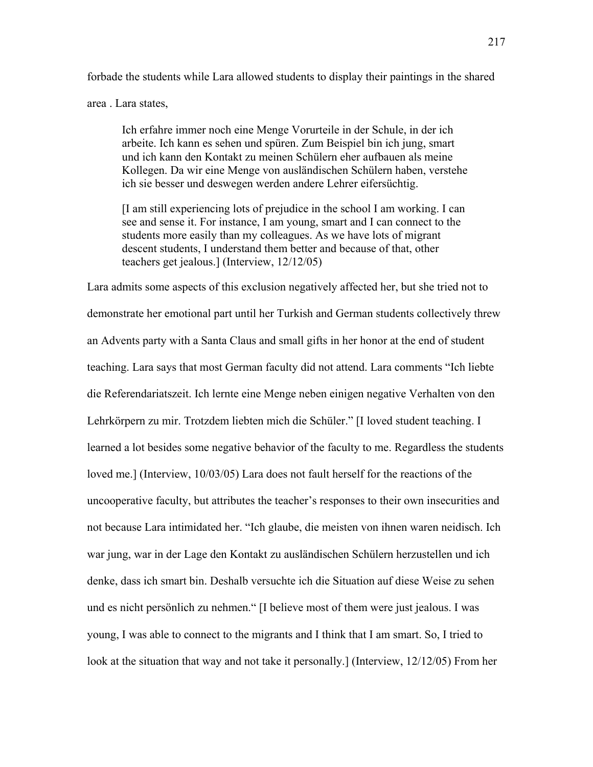forbade the students while Lara allowed students to display their paintings in the shared area . Lara states,

Ich erfahre immer noch eine Menge Vorurteile in der Schule, in der ich arbeite. Ich kann es sehen und spüren. Zum Beispiel bin ich jung, smart und ich kann den Kontakt zu meinen Schülern eher aufbauen als meine Kollegen. Da wir eine Menge von ausländischen Schülern haben, verstehe ich sie besser und deswegen werden andere Lehrer eifersüchtig.

[I am still experiencing lots of prejudice in the school I am working. I can see and sense it. For instance, I am young, smart and I can connect to the students more easily than my colleagues. As we have lots of migrant descent students, I understand them better and because of that, other teachers get jealous.] (Interview, 12/12/05)

Lara admits some aspects of this exclusion negatively affected her, but she tried not to demonstrate her emotional part until her Turkish and German students collectively threw an Advents party with a Santa Claus and small gifts in her honor at the end of student teaching. Lara says that most German faculty did not attend. Lara comments "Ich liebte die Referendariatszeit. Ich lernte eine Menge neben einigen negative Verhalten von den Lehrkörpern zu mir. Trotzdem liebten mich die Schüler." [I loved student teaching. I learned a lot besides some negative behavior of the faculty to me. Regardless the students loved me.] (Interview, 10/03/05) Lara does not fault herself for the reactions of the uncooperative faculty, but attributes the teacher's responses to their own insecurities and not because Lara intimidated her. "Ich glaube, die meisten von ihnen waren neidisch. Ich war jung, war in der Lage den Kontakt zu ausländischen Schülern herzustellen und ich denke, dass ich smart bin. Deshalb versuchte ich die Situation auf diese Weise zu sehen und es nicht persönlich zu nehmen." [I believe most of them were just jealous. I was young, I was able to connect to the migrants and I think that I am smart. So, I tried to look at the situation that way and not take it personally.] (Interview, 12/12/05) From her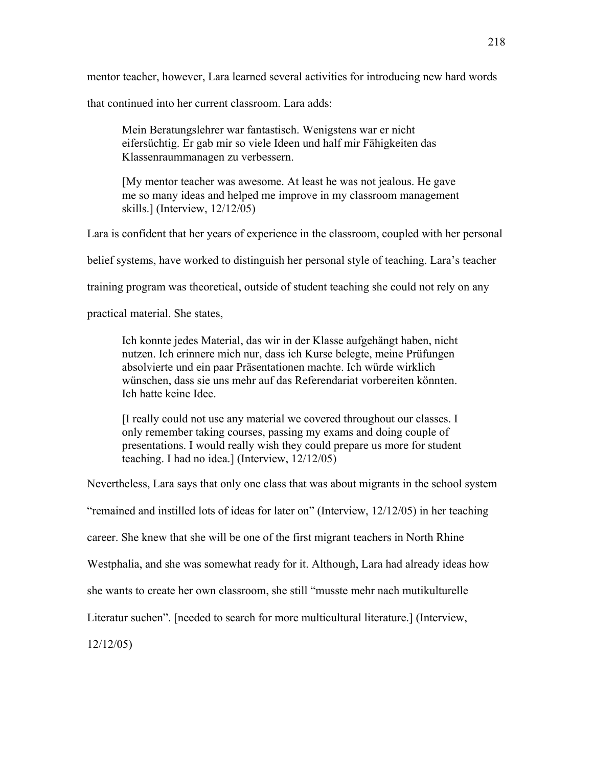mentor teacher, however, Lara learned several activities for introducing new hard words

that continued into her current classroom. Lara adds:

Mein Beratungslehrer war fantastisch. Wenigstens war er nicht eifersüchtig. Er gab mir so viele Ideen und half mir Fähigkeiten das Klassenraummanagen zu verbessern.

[My mentor teacher was awesome. At least he was not jealous. He gave me so many ideas and helped me improve in my classroom management skills.] (Interview, 12/12/05)

Lara is confident that her years of experience in the classroom, coupled with her personal

belief systems, have worked to distinguish her personal style of teaching. Lara's teacher

training program was theoretical, outside of student teaching she could not rely on any

practical material. She states,

Ich konnte jedes Material, das wir in der Klasse aufgehängt haben, nicht nutzen. Ich erinnere mich nur, dass ich Kurse belegte, meine Prüfungen absolvierte und ein paar Präsentationen machte. Ich würde wirklich wünschen, dass sie uns mehr auf das Referendariat vorbereiten könnten. Ich hatte keine Idee.

[I really could not use any material we covered throughout our classes. I only remember taking courses, passing my exams and doing couple of presentations. I would really wish they could prepare us more for student teaching. I had no idea.] (Interview, 12/12/05)

Nevertheless, Lara says that only one class that was about migrants in the school system

"remained and instilled lots of ideas for later on" (Interview, 12/12/05) in her teaching

career. She knew that she will be one of the first migrant teachers in North Rhine

Westphalia, and she was somewhat ready for it. Although, Lara had already ideas how

she wants to create her own classroom, she still "musste mehr nach mutikulturelle

Literatur suchen". [needed to search for more multicultural literature.] (Interview,

12/12/05)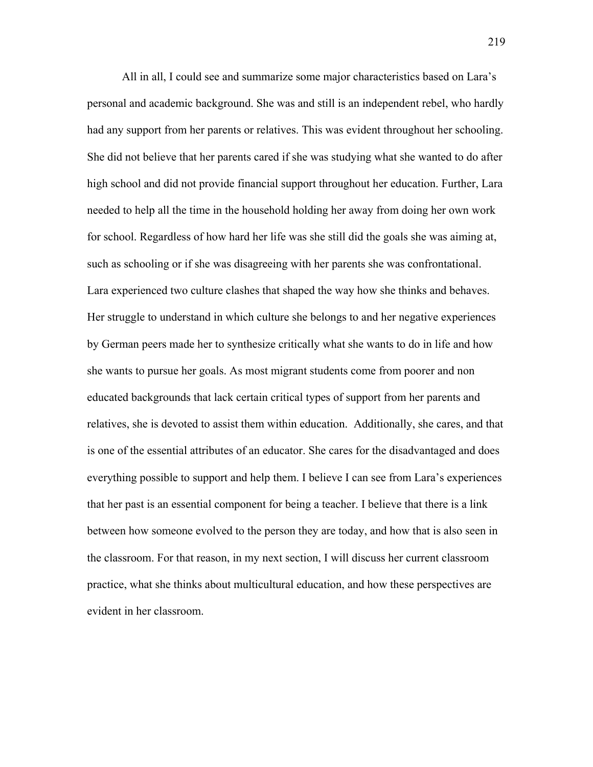All in all, I could see and summarize some major characteristics based on Lara's personal and academic background. She was and still is an independent rebel, who hardly had any support from her parents or relatives. This was evident throughout her schooling. She did not believe that her parents cared if she was studying what she wanted to do after high school and did not provide financial support throughout her education. Further, Lara needed to help all the time in the household holding her away from doing her own work for school. Regardless of how hard her life was she still did the goals she was aiming at, such as schooling or if she was disagreeing with her parents she was confrontational. Lara experienced two culture clashes that shaped the way how she thinks and behaves. Her struggle to understand in which culture she belongs to and her negative experiences by German peers made her to synthesize critically what she wants to do in life and how she wants to pursue her goals. As most migrant students come from poorer and non educated backgrounds that lack certain critical types of support from her parents and relatives, she is devoted to assist them within education. Additionally, she cares, and that is one of the essential attributes of an educator. She cares for the disadvantaged and does everything possible to support and help them. I believe I can see from Lara's experiences that her past is an essential component for being a teacher. I believe that there is a link between how someone evolved to the person they are today, and how that is also seen in the classroom. For that reason, in my next section, I will discuss her current classroom practice, what she thinks about multicultural education, and how these perspectives are evident in her classroom.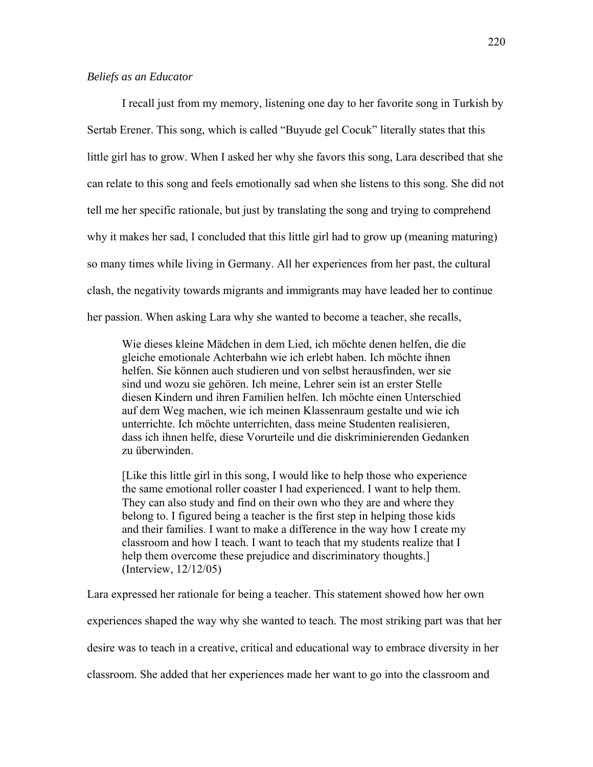I recall just from my memory, listening one day to her favorite song in Turkish by Sertab Erener. This song, which is called "Buyude gel Cocuk" literally states that this little girl has to grow. When I asked her why she favors this song, Lara described that she can relate to this song and feels emotionally sad when she listens to this song. She did not tell me her specific rationale, but just by translating the song and trying to comprehend why it makes her sad, I concluded that this little girl had to grow up (meaning maturing) so many times while living in Germany. All her experiences from her past, the cultural clash, the negativity towards migrants and immigrants may have leaded her to continue her passion. When asking Lara why she wanted to become a teacher, she recalls,

Wie dieses kleine Mädchen in dem Lied, ich möchte denen helfen, die die gleiche emotionale Achterbahn wie ich erlebt haben. Ich möchte ihnen helfen. Sie können auch studieren und von selbst herausfinden, wer sie sind und wozu sie gehören. Ich meine, Lehrer sein ist an erster Stelle diesen Kindern und ihren Familien helfen. Ich möchte einen Unterschied auf dem Weg machen, wie ich meinen Klassenraum gestalte und wie ich unterrichte. Ich möchte unterrichten, dass meine Studenten realisieren, dass ich ihnen helfe, diese Vorurteile und die diskriminierenden Gedanken zu überwinden.

[Like this little girl in this song, I would like to help those who experience the same emotional roller coaster I had experienced. I want to help them. They can also study and find on their own who they are and where they belong to. I figured being a teacher is the first step in helping those kids and their families. I want to make a difference in the way how I create my classroom and how I teach. I want to teach that my students realize that I help them overcome these prejudice and discriminatory thoughts. (Interview, 12/12/05)

Lara expressed her rationale for being a teacher. This statement showed how her own

experiences shaped the way why she wanted to teach. The most striking part was that her

desire was to teach in a creative, critical and educational way to embrace diversity in her

classroom. She added that her experiences made her want to go into the classroom and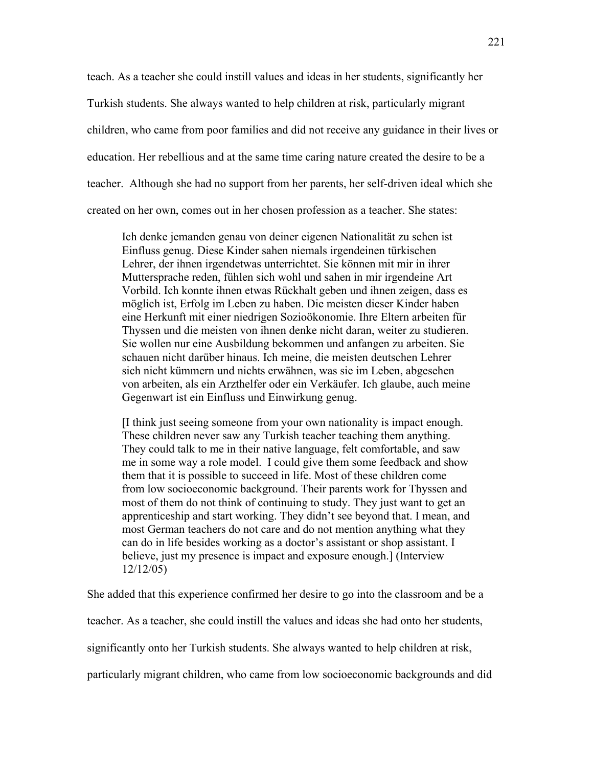teach. As a teacher she could instill values and ideas in her students, significantly her Turkish students. She always wanted to help children at risk, particularly migrant children, who came from poor families and did not receive any guidance in their lives or education. Her rebellious and at the same time caring nature created the desire to be a teacher. Although she had no support from her parents, her self-driven ideal which she created on her own, comes out in her chosen profession as a teacher. She states:

Ich denke jemanden genau von deiner eigenen Nationalität zu sehen ist Einfluss genug. Diese Kinder sahen niemals irgendeinen türkischen Lehrer, der ihnen irgendetwas unterrichtet. Sie können mit mir in ihrer Muttersprache reden, fühlen sich wohl und sahen in mir irgendeine Art Vorbild. Ich konnte ihnen etwas Rückhalt geben und ihnen zeigen, dass es möglich ist, Erfolg im Leben zu haben. Die meisten dieser Kinder haben eine Herkunft mit einer niedrigen Sozioökonomie. Ihre Eltern arbeiten für Thyssen und die meisten von ihnen denke nicht daran, weiter zu studieren. Sie wollen nur eine Ausbildung bekommen und anfangen zu arbeiten. Sie schauen nicht darüber hinaus. Ich meine, die meisten deutschen Lehrer sich nicht kümmern und nichts erwähnen, was sie im Leben, abgesehen von arbeiten, als ein Arzthelfer oder ein Verkäufer. Ich glaube, auch meine Gegenwart ist ein Einfluss und Einwirkung genug.

[I think just seeing someone from your own nationality is impact enough. These children never saw any Turkish teacher teaching them anything. They could talk to me in their native language, felt comfortable, and saw me in some way a role model. I could give them some feedback and show them that it is possible to succeed in life. Most of these children come from low socioeconomic background. Their parents work for Thyssen and most of them do not think of continuing to study. They just want to get an apprenticeship and start working. They didn't see beyond that. I mean, and most German teachers do not care and do not mention anything what they can do in life besides working as a doctor's assistant or shop assistant. I believe, just my presence is impact and exposure enough.] (Interview 12/12/05)

She added that this experience confirmed her desire to go into the classroom and be a

teacher. As a teacher, she could instill the values and ideas she had onto her students,

significantly onto her Turkish students. She always wanted to help children at risk,

particularly migrant children, who came from low socioeconomic backgrounds and did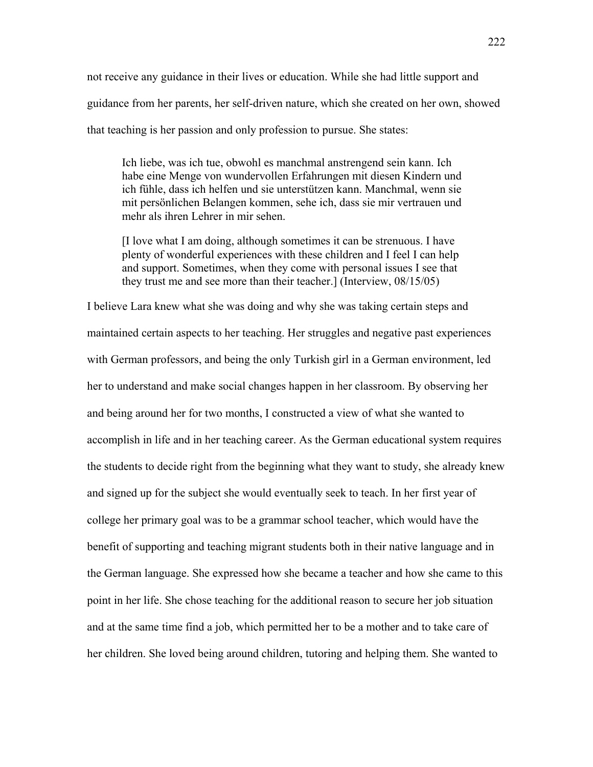not receive any guidance in their lives or education. While she had little support and guidance from her parents, her self-driven nature, which she created on her own, showed that teaching is her passion and only profession to pursue. She states:

Ich liebe, was ich tue, obwohl es manchmal anstrengend sein kann. Ich habe eine Menge von wundervollen Erfahrungen mit diesen Kindern und ich fühle, dass ich helfen und sie unterstützen kann. Manchmal, wenn sie mit persönlichen Belangen kommen, sehe ich, dass sie mir vertrauen und mehr als ihren Lehrer in mir sehen.

[I love what I am doing, although sometimes it can be strenuous. I have plenty of wonderful experiences with these children and I feel I can help and support. Sometimes, when they come with personal issues I see that they trust me and see more than their teacher.] (Interview, 08/15/05)

I believe Lara knew what she was doing and why she was taking certain steps and maintained certain aspects to her teaching. Her struggles and negative past experiences with German professors, and being the only Turkish girl in a German environment, led her to understand and make social changes happen in her classroom. By observing her and being around her for two months, I constructed a view of what she wanted to accomplish in life and in her teaching career. As the German educational system requires the students to decide right from the beginning what they want to study, she already knew and signed up for the subject she would eventually seek to teach. In her first year of college her primary goal was to be a grammar school teacher, which would have the benefit of supporting and teaching migrant students both in their native language and in the German language. She expressed how she became a teacher and how she came to this point in her life. She chose teaching for the additional reason to secure her job situation and at the same time find a job, which permitted her to be a mother and to take care of her children. She loved being around children, tutoring and helping them. She wanted to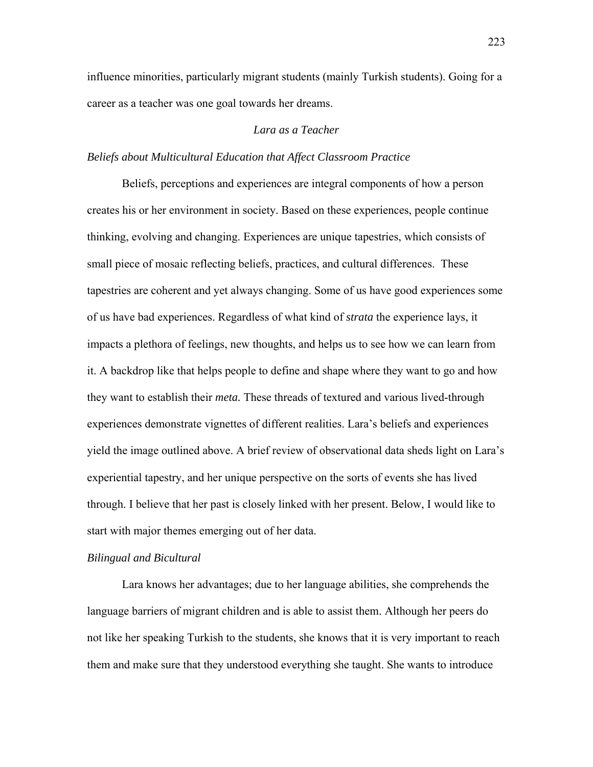influence minorities, particularly migrant students (mainly Turkish students). Going for a career as a teacher was one goal towards her dreams.

## *Lara as a Teacher*

## *Beliefs about Multicultural Education that Affect Classroom Practice*

 Beliefs, perceptions and experiences are integral components of how a person creates his or her environment in society. Based on these experiences, people continue thinking, evolving and changing. Experiences are unique tapestries, which consists of small piece of mosaic reflecting beliefs, practices, and cultural differences. These tapestries are coherent and yet always changing. Some of us have good experiences some of us have bad experiences. Regardless of what kind of *strata* the experience lays, it impacts a plethora of feelings, new thoughts, and helps us to see how we can learn from it. A backdrop like that helps people to define and shape where they want to go and how they want to establish their *meta.* These threads of textured and various lived-through experiences demonstrate vignettes of different realities. Lara's beliefs and experiences yield the image outlined above. A brief review of observational data sheds light on Lara's experiential tapestry, and her unique perspective on the sorts of events she has lived through. I believe that her past is closely linked with her present. Below, I would like to start with major themes emerging out of her data.

#### *Bilingual and Bicultural*

Lara knows her advantages; due to her language abilities, she comprehends the language barriers of migrant children and is able to assist them. Although her peers do not like her speaking Turkish to the students, she knows that it is very important to reach them and make sure that they understood everything she taught. She wants to introduce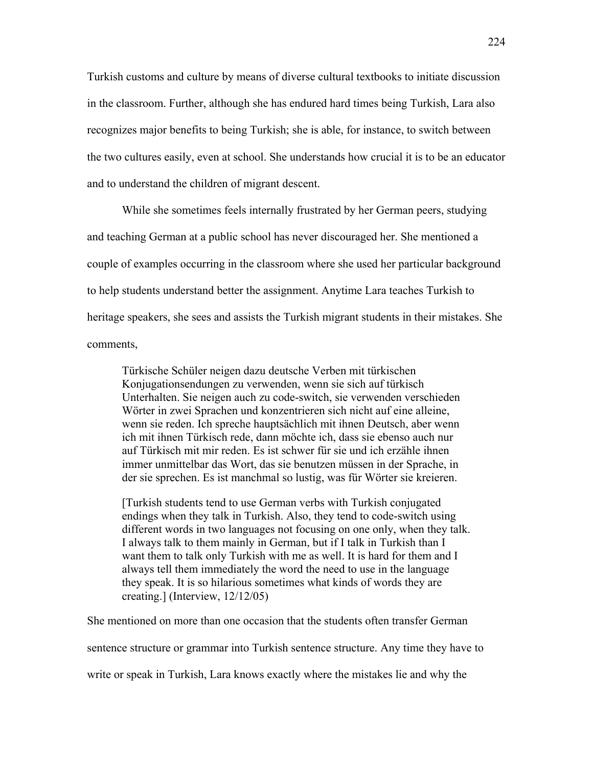Turkish customs and culture by means of diverse cultural textbooks to initiate discussion in the classroom. Further, although she has endured hard times being Turkish, Lara also recognizes major benefits to being Turkish; she is able, for instance, to switch between the two cultures easily, even at school. She understands how crucial it is to be an educator and to understand the children of migrant descent.

While she sometimes feels internally frustrated by her German peers, studying and teaching German at a public school has never discouraged her. She mentioned a couple of examples occurring in the classroom where she used her particular background to help students understand better the assignment. Anytime Lara teaches Turkish to heritage speakers, she sees and assists the Turkish migrant students in their mistakes. She comments,

Türkische Schüler neigen dazu deutsche Verben mit türkischen Konjugationsendungen zu verwenden, wenn sie sich auf türkisch Unterhalten. Sie neigen auch zu code-switch, sie verwenden verschieden Wörter in zwei Sprachen und konzentrieren sich nicht auf eine alleine, wenn sie reden. Ich spreche hauptsächlich mit ihnen Deutsch, aber wenn ich mit ihnen Türkisch rede, dann möchte ich, dass sie ebenso auch nur auf Türkisch mit mir reden. Es ist schwer für sie und ich erzähle ihnen immer unmittelbar das Wort, das sie benutzen müssen in der Sprache, in der sie sprechen. Es ist manchmal so lustig, was für Wörter sie kreieren.

[Turkish students tend to use German verbs with Turkish conjugated endings when they talk in Turkish. Also, they tend to code-switch using different words in two languages not focusing on one only, when they talk. I always talk to them mainly in German, but if I talk in Turkish than I want them to talk only Turkish with me as well. It is hard for them and I always tell them immediately the word the need to use in the language they speak. It is so hilarious sometimes what kinds of words they are creating.] (Interview, 12/12/05)

She mentioned on more than one occasion that the students often transfer German

sentence structure or grammar into Turkish sentence structure. Any time they have to

write or speak in Turkish, Lara knows exactly where the mistakes lie and why the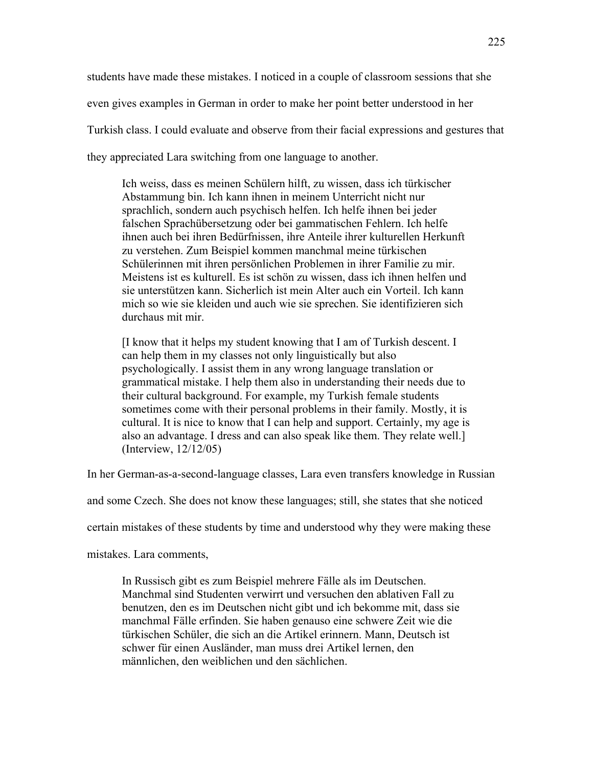students have made these mistakes. I noticed in a couple of classroom sessions that she even gives examples in German in order to make her point better understood in her Turkish class. I could evaluate and observe from their facial expressions and gestures that they appreciated Lara switching from one language to another.

Ich weiss, dass es meinen Schülern hilft, zu wissen, dass ich türkischer Abstammung bin. Ich kann ihnen in meinem Unterricht nicht nur sprachlich, sondern auch psychisch helfen. Ich helfe ihnen bei jeder falschen Sprachübersetzung oder bei gammatischen Fehlern. Ich helfe ihnen auch bei ihren Bedürfnissen, ihre Anteile ihrer kulturellen Herkunft zu verstehen. Zum Beispiel kommen manchmal meine türkischen Schülerinnen mit ihren persönlichen Problemen in ihrer Familie zu mir. Meistens ist es kulturell. Es ist schön zu wissen, dass ich ihnen helfen und sie unterstützen kann. Sicherlich ist mein Alter auch ein Vorteil. Ich kann mich so wie sie kleiden und auch wie sie sprechen. Sie identifizieren sich durchaus mit mir.

[I know that it helps my student knowing that I am of Turkish descent. I can help them in my classes not only linguistically but also psychologically. I assist them in any wrong language translation or grammatical mistake. I help them also in understanding their needs due to their cultural background. For example, my Turkish female students sometimes come with their personal problems in their family. Mostly, it is cultural. It is nice to know that I can help and support. Certainly, my age is also an advantage. I dress and can also speak like them. They relate well.] (Interview, 12/12/05)

In her German-as-a-second-language classes, Lara even transfers knowledge in Russian

and some Czech. She does not know these languages; still, she states that she noticed

certain mistakes of these students by time and understood why they were making these

mistakes. Lara comments,

In Russisch gibt es zum Beispiel mehrere Fälle als im Deutschen. Manchmal sind Studenten verwirrt und versuchen den ablativen Fall zu benutzen, den es im Deutschen nicht gibt und ich bekomme mit, dass sie manchmal Fälle erfinden. Sie haben genauso eine schwere Zeit wie die türkischen Schüler, die sich an die Artikel erinnern. Mann, Deutsch ist schwer für einen Ausländer, man muss drei Artikel lernen, den männlichen, den weiblichen und den sächlichen.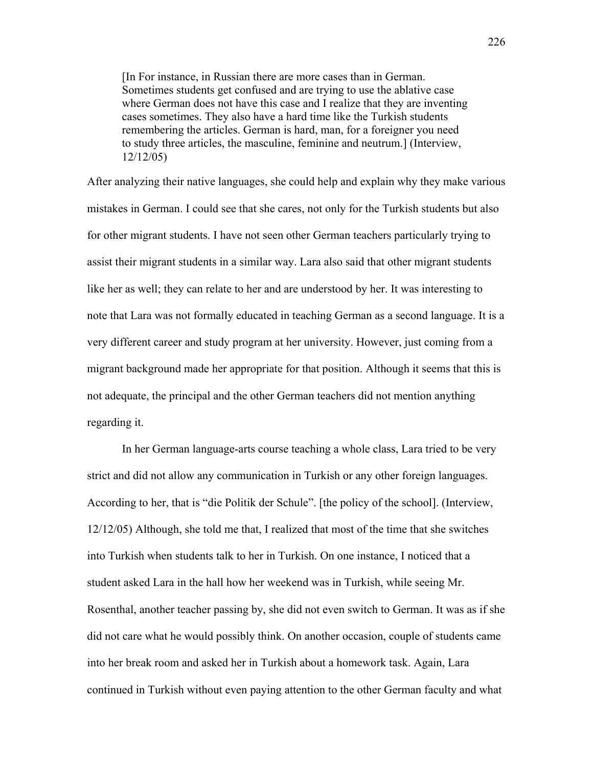[In For instance, in Russian there are more cases than in German. Sometimes students get confused and are trying to use the ablative case where German does not have this case and I realize that they are inventing cases sometimes. They also have a hard time like the Turkish students remembering the articles. German is hard, man, for a foreigner you need to study three articles, the masculine, feminine and neutrum.] (Interview, 12/12/05)

After analyzing their native languages, she could help and explain why they make various mistakes in German. I could see that she cares, not only for the Turkish students but also for other migrant students. I have not seen other German teachers particularly trying to assist their migrant students in a similar way. Lara also said that other migrant students like her as well; they can relate to her and are understood by her. It was interesting to note that Lara was not formally educated in teaching German as a second language. It is a very different career and study program at her university. However, just coming from a migrant background made her appropriate for that position. Although it seems that this is not adequate, the principal and the other German teachers did not mention anything regarding it.

In her German language-arts course teaching a whole class, Lara tried to be very strict and did not allow any communication in Turkish or any other foreign languages. According to her, that is "die Politik der Schule". [the policy of the school]. (Interview, 12/12/05) Although, she told me that, I realized that most of the time that she switches into Turkish when students talk to her in Turkish. On one instance, I noticed that a student asked Lara in the hall how her weekend was in Turkish, while seeing Mr. Rosenthal, another teacher passing by, she did not even switch to German. It was as if she did not care what he would possibly think. On another occasion, couple of students came into her break room and asked her in Turkish about a homework task. Again, Lara continued in Turkish without even paying attention to the other German faculty and what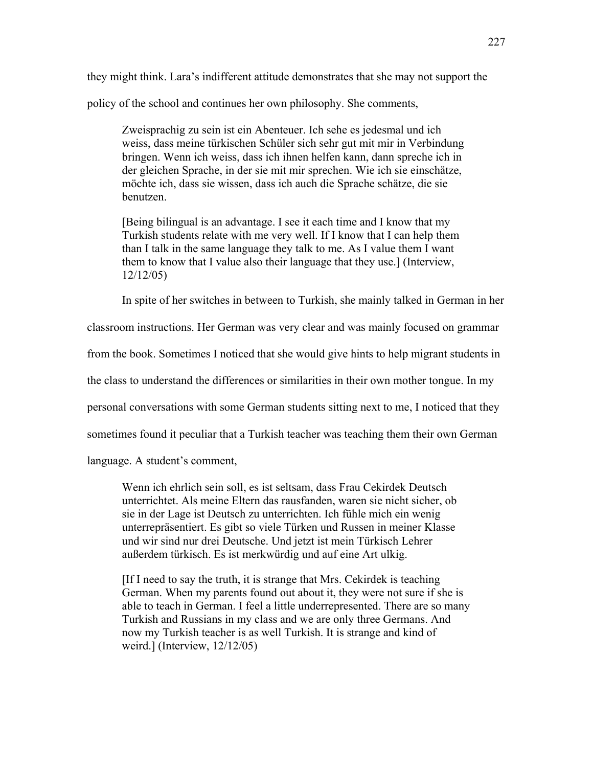they might think. Lara's indifferent attitude demonstrates that she may not support the policy of the school and continues her own philosophy. She comments,

Zweisprachig zu sein ist ein Abenteuer. Ich sehe es jedesmal und ich weiss, dass meine türkischen Schüler sich sehr gut mit mir in Verbindung bringen. Wenn ich weiss, dass ich ihnen helfen kann, dann spreche ich in der gleichen Sprache, in der sie mit mir sprechen. Wie ich sie einschätze, möchte ich, dass sie wissen, dass ich auch die Sprache schätze, die sie benutzen.

[Being bilingual is an advantage. I see it each time and I know that my Turkish students relate with me very well. If I know that I can help them than I talk in the same language they talk to me. As I value them I want them to know that I value also their language that they use.] (Interview, 12/12/05)

In spite of her switches in between to Turkish, she mainly talked in German in her

classroom instructions. Her German was very clear and was mainly focused on grammar

from the book. Sometimes I noticed that she would give hints to help migrant students in

the class to understand the differences or similarities in their own mother tongue. In my

personal conversations with some German students sitting next to me, I noticed that they

sometimes found it peculiar that a Turkish teacher was teaching them their own German

language. A student's comment,

Wenn ich ehrlich sein soll, es ist seltsam, dass Frau Cekirdek Deutsch unterrichtet. Als meine Eltern das rausfanden, waren sie nicht sicher, ob sie in der Lage ist Deutsch zu unterrichten. Ich fühle mich ein wenig unterrepräsentiert. Es gibt so viele Türken und Russen in meiner Klasse und wir sind nur drei Deutsche. Und jetzt ist mein Türkisch Lehrer außerdem türkisch. Es ist merkwürdig und auf eine Art ulkig.

[If I need to say the truth, it is strange that Mrs. Cekirdek is teaching German. When my parents found out about it, they were not sure if she is able to teach in German. I feel a little underrepresented. There are so many Turkish and Russians in my class and we are only three Germans. And now my Turkish teacher is as well Turkish. It is strange and kind of weird.] (Interview, 12/12/05)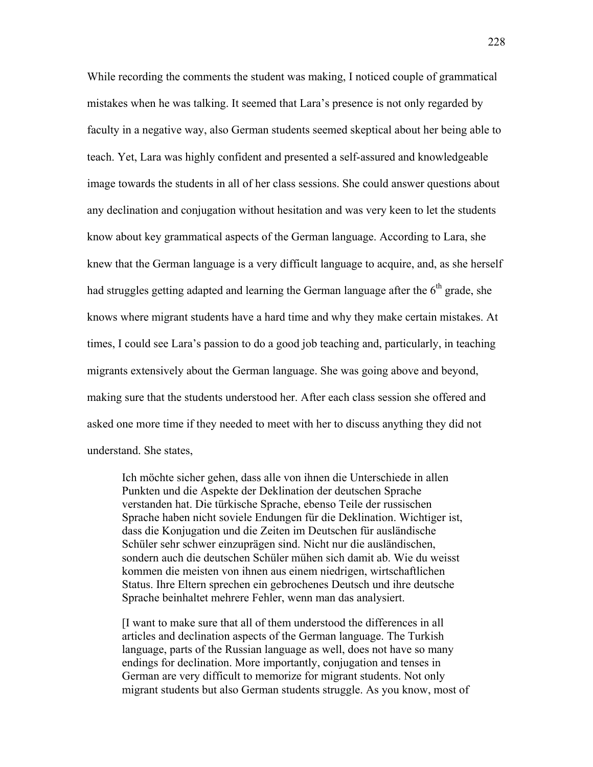While recording the comments the student was making, I noticed couple of grammatical mistakes when he was talking. It seemed that Lara's presence is not only regarded by faculty in a negative way, also German students seemed skeptical about her being able to teach. Yet, Lara was highly confident and presented a self-assured and knowledgeable image towards the students in all of her class sessions. She could answer questions about any declination and conjugation without hesitation and was very keen to let the students know about key grammatical aspects of the German language. According to Lara, she knew that the German language is a very difficult language to acquire, and, as she herself had struggles getting adapted and learning the German language after the  $6<sup>th</sup>$  grade, she knows where migrant students have a hard time and why they make certain mistakes. At times, I could see Lara's passion to do a good job teaching and, particularly, in teaching migrants extensively about the German language. She was going above and beyond, making sure that the students understood her. After each class session she offered and asked one more time if they needed to meet with her to discuss anything they did not understand. She states,

Ich möchte sicher gehen, dass alle von ihnen die Unterschiede in allen Punkten und die Aspekte der Deklination der deutschen Sprache verstanden hat. Die türkische Sprache, ebenso Teile der russischen Sprache haben nicht soviele Endungen für die Deklination. Wichtiger ist, dass die Konjugation und die Zeiten im Deutschen für ausländische Schüler sehr schwer einzuprägen sind. Nicht nur die ausländischen, sondern auch die deutschen Schüler mühen sich damit ab. Wie du weisst kommen die meisten von ihnen aus einem niedrigen, wirtschaftlichen Status. Ihre Eltern sprechen ein gebrochenes Deutsch und ihre deutsche Sprache beinhaltet mehrere Fehler, wenn man das analysiert.

[I want to make sure that all of them understood the differences in all articles and declination aspects of the German language. The Turkish language, parts of the Russian language as well, does not have so many endings for declination. More importantly, conjugation and tenses in German are very difficult to memorize for migrant students. Not only migrant students but also German students struggle. As you know, most of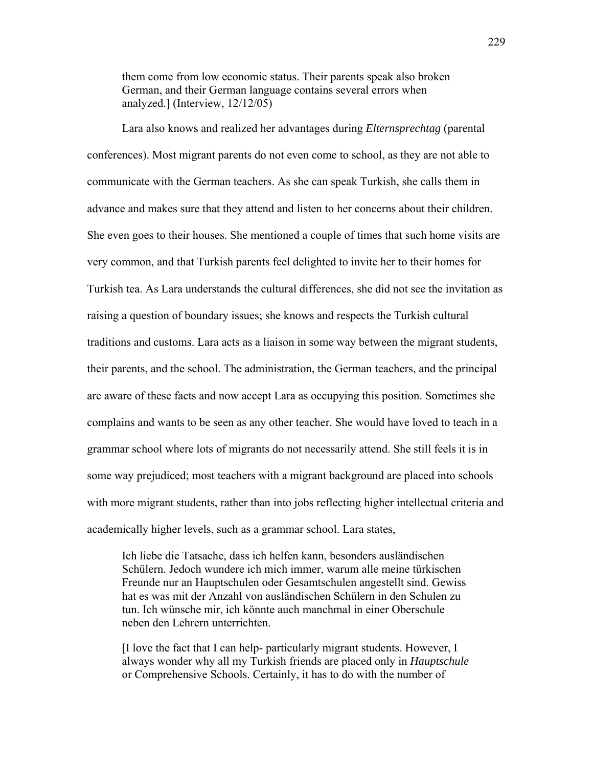them come from low economic status. Their parents speak also broken German, and their German language contains several errors when analyzed.] (Interview, 12/12/05)

Lara also knows and realized her advantages during *Elternsprechtag* (parental conferences). Most migrant parents do not even come to school, as they are not able to communicate with the German teachers. As she can speak Turkish, she calls them in advance and makes sure that they attend and listen to her concerns about their children. She even goes to their houses. She mentioned a couple of times that such home visits are very common, and that Turkish parents feel delighted to invite her to their homes for Turkish tea. As Lara understands the cultural differences, she did not see the invitation as raising a question of boundary issues; she knows and respects the Turkish cultural traditions and customs. Lara acts as a liaison in some way between the migrant students, their parents, and the school. The administration, the German teachers, and the principal are aware of these facts and now accept Lara as occupying this position. Sometimes she complains and wants to be seen as any other teacher. She would have loved to teach in a grammar school where lots of migrants do not necessarily attend. She still feels it is in some way prejudiced; most teachers with a migrant background are placed into schools with more migrant students, rather than into jobs reflecting higher intellectual criteria and academically higher levels, such as a grammar school. Lara states,

Ich liebe die Tatsache, dass ich helfen kann, besonders ausländischen Schülern. Jedoch wundere ich mich immer, warum alle meine türkischen Freunde nur an Hauptschulen oder Gesamtschulen angestellt sind. Gewiss hat es was mit der Anzahl von ausländischen Schülern in den Schulen zu tun. Ich wünsche mir, ich könnte auch manchmal in einer Oberschule neben den Lehrern unterrichten.

[I love the fact that I can help- particularly migrant students. However, I always wonder why all my Turkish friends are placed only in *Hauptschule* or Comprehensive Schools. Certainly, it has to do with the number of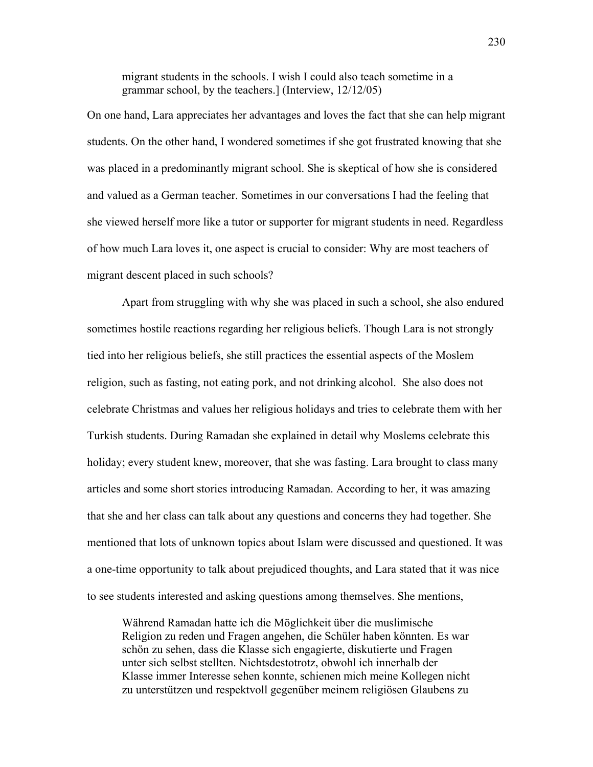migrant students in the schools. I wish I could also teach sometime in a grammar school, by the teachers.] (Interview, 12/12/05)

On one hand, Lara appreciates her advantages and loves the fact that she can help migrant students. On the other hand, I wondered sometimes if she got frustrated knowing that she was placed in a predominantly migrant school. She is skeptical of how she is considered and valued as a German teacher. Sometimes in our conversations I had the feeling that she viewed herself more like a tutor or supporter for migrant students in need. Regardless of how much Lara loves it, one aspect is crucial to consider: Why are most teachers of migrant descent placed in such schools?

Apart from struggling with why she was placed in such a school, she also endured sometimes hostile reactions regarding her religious beliefs. Though Lara is not strongly tied into her religious beliefs, she still practices the essential aspects of the Moslem religion, such as fasting, not eating pork, and not drinking alcohol. She also does not celebrate Christmas and values her religious holidays and tries to celebrate them with her Turkish students. During Ramadan she explained in detail why Moslems celebrate this holiday; every student knew, moreover, that she was fasting. Lara brought to class many articles and some short stories introducing Ramadan. According to her, it was amazing that she and her class can talk about any questions and concerns they had together. She mentioned that lots of unknown topics about Islam were discussed and questioned. It was a one-time opportunity to talk about prejudiced thoughts, and Lara stated that it was nice to see students interested and asking questions among themselves. She mentions,

Während Ramadan hatte ich die Möglichkeit über die muslimische Religion zu reden und Fragen angehen, die Schüler haben könnten. Es war schön zu sehen, dass die Klasse sich engagierte, diskutierte und Fragen unter sich selbst stellten. Nichtsdestotrotz, obwohl ich innerhalb der Klasse immer Interesse sehen konnte, schienen mich meine Kollegen nicht zu unterstützen und respektvoll gegenüber meinem religiösen Glaubens zu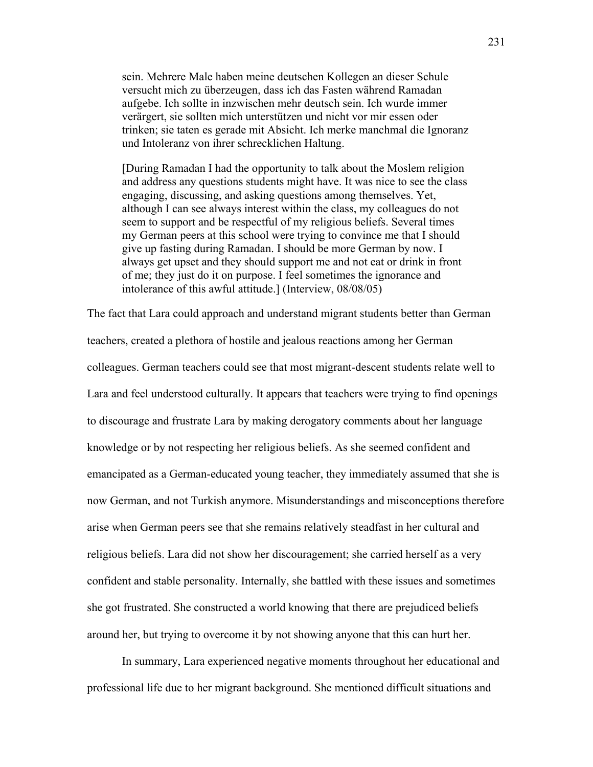sein. Mehrere Male haben meine deutschen Kollegen an dieser Schule versucht mich zu überzeugen, dass ich das Fasten während Ramadan aufgebe. Ich sollte in inzwischen mehr deutsch sein. Ich wurde immer verärgert, sie sollten mich unterstützen und nicht vor mir essen oder trinken; sie taten es gerade mit Absicht. Ich merke manchmal die Ignoranz und Intoleranz von ihrer schrecklichen Haltung.

[During Ramadan I had the opportunity to talk about the Moslem religion and address any questions students might have. It was nice to see the class engaging, discussing, and asking questions among themselves. Yet, although I can see always interest within the class, my colleagues do not seem to support and be respectful of my religious beliefs. Several times my German peers at this school were trying to convince me that I should give up fasting during Ramadan. I should be more German by now. I always get upset and they should support me and not eat or drink in front of me; they just do it on purpose. I feel sometimes the ignorance and intolerance of this awful attitude.] (Interview, 08/08/05)

The fact that Lara could approach and understand migrant students better than German teachers, created a plethora of hostile and jealous reactions among her German colleagues. German teachers could see that most migrant-descent students relate well to Lara and feel understood culturally. It appears that teachers were trying to find openings to discourage and frustrate Lara by making derogatory comments about her language knowledge or by not respecting her religious beliefs. As she seemed confident and emancipated as a German-educated young teacher, they immediately assumed that she is now German, and not Turkish anymore. Misunderstandings and misconceptions therefore arise when German peers see that she remains relatively steadfast in her cultural and religious beliefs. Lara did not show her discouragement; she carried herself as a very confident and stable personality. Internally, she battled with these issues and sometimes she got frustrated. She constructed a world knowing that there are prejudiced beliefs around her, but trying to overcome it by not showing anyone that this can hurt her.

In summary, Lara experienced negative moments throughout her educational and professional life due to her migrant background. She mentioned difficult situations and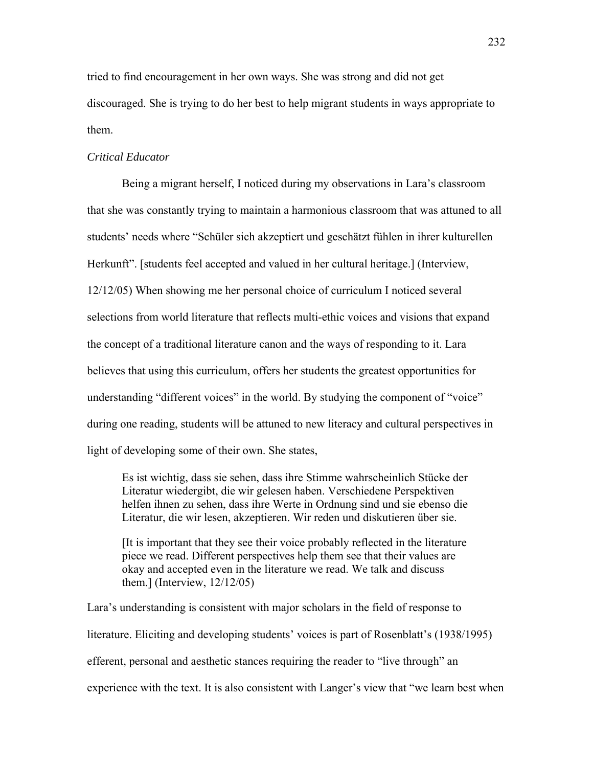tried to find encouragement in her own ways. She was strong and did not get discouraged. She is trying to do her best to help migrant students in ways appropriate to them.

### *Critical Educator*

Being a migrant herself, I noticed during my observations in Lara's classroom that she was constantly trying to maintain a harmonious classroom that was attuned to all students' needs where "Schüler sich akzeptiert und geschätzt fühlen in ihrer kulturellen Herkunft". [students feel accepted and valued in her cultural heritage.] (Interview, 12/12/05) When showing me her personal choice of curriculum I noticed several selections from world literature that reflects multi-ethic voices and visions that expand the concept of a traditional literature canon and the ways of responding to it. Lara believes that using this curriculum, offers her students the greatest opportunities for understanding "different voices" in the world. By studying the component of "voice" during one reading, students will be attuned to new literacy and cultural perspectives in light of developing some of their own. She states,

Es ist wichtig, dass sie sehen, dass ihre Stimme wahrscheinlich Stücke der Literatur wiedergibt, die wir gelesen haben. Verschiedene Perspektiven helfen ihnen zu sehen, dass ihre Werte in Ordnung sind und sie ebenso die Literatur, die wir lesen, akzeptieren. Wir reden und diskutieren über sie.

[It is important that they see their voice probably reflected in the literature piece we read. Different perspectives help them see that their values are okay and accepted even in the literature we read. We talk and discuss them.] (Interview, 12/12/05)

Lara's understanding is consistent with major scholars in the field of response to literature. Eliciting and developing students' voices is part of Rosenblatt's (1938/1995) efferent, personal and aesthetic stances requiring the reader to "live through" an experience with the text. It is also consistent with Langer's view that "we learn best when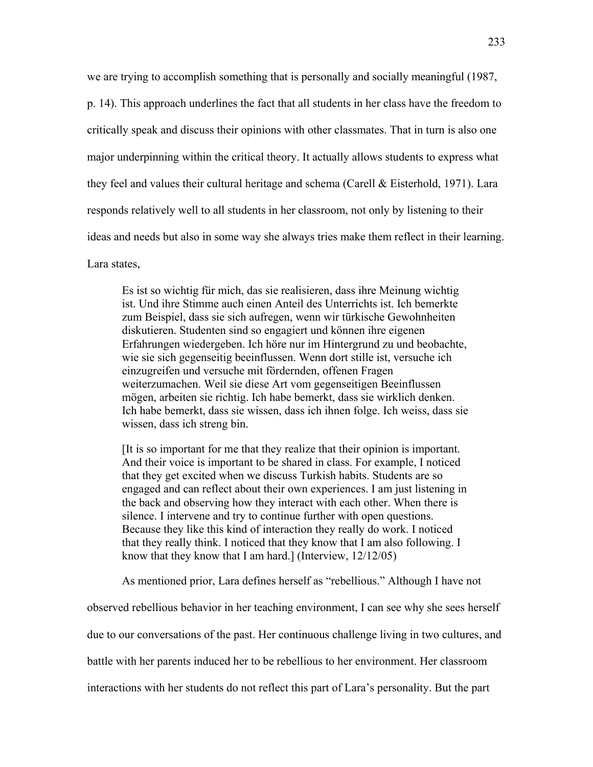we are trying to accomplish something that is personally and socially meaningful (1987, p. 14). This approach underlines the fact that all students in her class have the freedom to critically speak and discuss their opinions with other classmates. That in turn is also one major underpinning within the critical theory. It actually allows students to express what they feel and values their cultural heritage and schema (Carell & Eisterhold, 1971). Lara responds relatively well to all students in her classroom, not only by listening to their ideas and needs but also in some way she always tries make them reflect in their learning. Lara states,

Es ist so wichtig für mich, das sie realisieren, dass ihre Meinung wichtig ist. Und ihre Stimme auch einen Anteil des Unterrichts ist. Ich bemerkte zum Beispiel, dass sie sich aufregen, wenn wir türkische Gewohnheiten diskutieren. Studenten sind so engagiert und können ihre eigenen Erfahrungen wiedergeben. Ich höre nur im Hintergrund zu und beobachte, wie sie sich gegenseitig beeinflussen. Wenn dort stille ist, versuche ich einzugreifen und versuche mit fördernden, offenen Fragen weiterzumachen. Weil sie diese Art vom gegenseitigen Beeinflussen mögen, arbeiten sie richtig. Ich habe bemerkt, dass sie wirklich denken. Ich habe bemerkt, dass sie wissen, dass ich ihnen folge. Ich weiss, dass sie wissen, dass ich streng bin.

[It is so important for me that they realize that their opinion is important. And their voice is important to be shared in class. For example, I noticed that they get excited when we discuss Turkish habits. Students are so engaged and can reflect about their own experiences. I am just listening in the back and observing how they interact with each other. When there is silence. I intervene and try to continue further with open questions. Because they like this kind of interaction they really do work. I noticed that they really think. I noticed that they know that I am also following. I know that they know that I am hard.] (Interview, 12/12/05)

As mentioned prior, Lara defines herself as "rebellious." Although I have not

observed rebellious behavior in her teaching environment, I can see why she sees herself due to our conversations of the past. Her continuous challenge living in two cultures, and

battle with her parents induced her to be rebellious to her environment. Her classroom

interactions with her students do not reflect this part of Lara's personality. But the part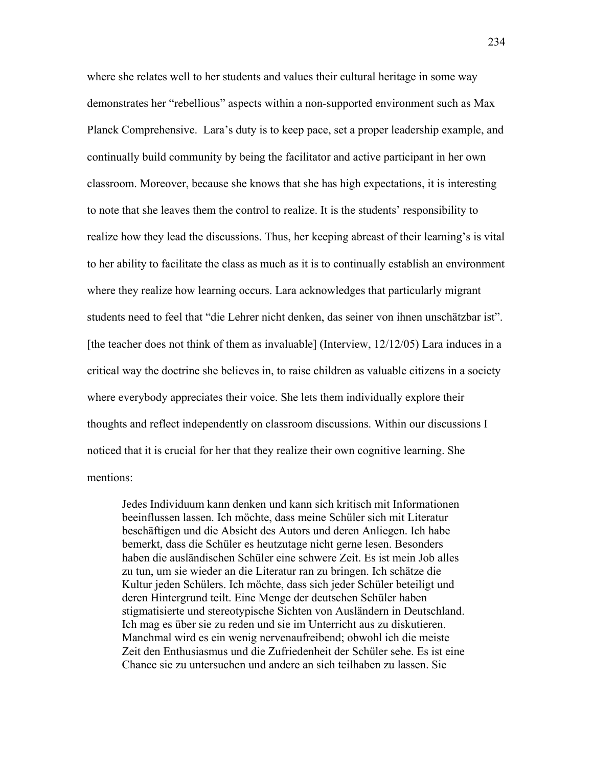where she relates well to her students and values their cultural heritage in some way demonstrates her "rebellious" aspects within a non-supported environment such as Max Planck Comprehensive. Lara's duty is to keep pace, set a proper leadership example, and continually build community by being the facilitator and active participant in her own classroom. Moreover, because she knows that she has high expectations, it is interesting to note that she leaves them the control to realize. It is the students' responsibility to realize how they lead the discussions. Thus, her keeping abreast of their learning's is vital to her ability to facilitate the class as much as it is to continually establish an environment where they realize how learning occurs. Lara acknowledges that particularly migrant students need to feel that "die Lehrer nicht denken, das seiner von ihnen unschätzbar ist". [the teacher does not think of them as invaluable] (Interview, 12/12/05) Lara induces in a critical way the doctrine she believes in, to raise children as valuable citizens in a society where everybody appreciates their voice. She lets them individually explore their thoughts and reflect independently on classroom discussions. Within our discussions I noticed that it is crucial for her that they realize their own cognitive learning. She mentions:

Jedes Individuum kann denken und kann sich kritisch mit Informationen beeinflussen lassen. Ich möchte, dass meine Schüler sich mit Literatur beschäftigen und die Absicht des Autors und deren Anliegen. Ich habe bemerkt, dass die Schüler es heutzutage nicht gerne lesen. Besonders haben die ausländischen Schüler eine schwere Zeit. Es ist mein Job alles zu tun, um sie wieder an die Literatur ran zu bringen. Ich schätze die Kultur jeden Schülers. Ich möchte, dass sich jeder Schüler beteiligt und deren Hintergrund teilt. Eine Menge der deutschen Schüler haben stigmatisierte und stereotypische Sichten von Ausländern in Deutschland. Ich mag es über sie zu reden und sie im Unterricht aus zu diskutieren. Manchmal wird es ein wenig nervenaufreibend; obwohl ich die meiste Zeit den Enthusiasmus und die Zufriedenheit der Schüler sehe. Es ist eine Chance sie zu untersuchen und andere an sich teilhaben zu lassen. Sie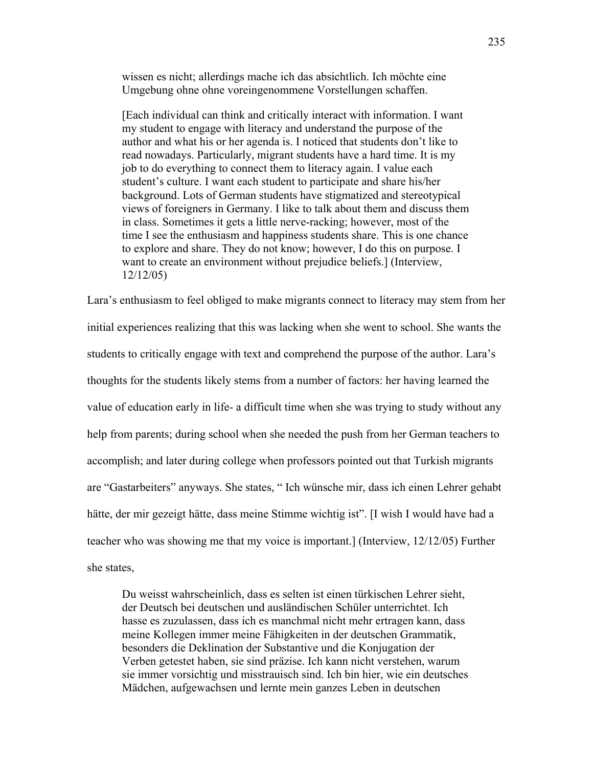wissen es nicht; allerdings mache ich das absichtlich. Ich möchte eine Umgebung ohne ohne voreingenommene Vorstellungen schaffen.

[Each individual can think and critically interact with information. I want my student to engage with literacy and understand the purpose of the author and what his or her agenda is. I noticed that students don't like to read nowadays. Particularly, migrant students have a hard time. It is my job to do everything to connect them to literacy again. I value each student's culture. I want each student to participate and share his/her background. Lots of German students have stigmatized and stereotypical views of foreigners in Germany. I like to talk about them and discuss them in class. Sometimes it gets a little nerve-racking; however, most of the time I see the enthusiasm and happiness students share. This is one chance to explore and share. They do not know; however, I do this on purpose. I want to create an environment without prejudice beliefs.] (Interview, 12/12/05)

Lara's enthusiasm to feel obliged to make migrants connect to literacy may stem from her initial experiences realizing that this was lacking when she went to school. She wants the students to critically engage with text and comprehend the purpose of the author. Lara's thoughts for the students likely stems from a number of factors: her having learned the value of education early in life- a difficult time when she was trying to study without any help from parents; during school when she needed the push from her German teachers to accomplish; and later during college when professors pointed out that Turkish migrants are "Gastarbeiters" anyways. She states, " Ich wünsche mir, dass ich einen Lehrer gehabt hätte, der mir gezeigt hätte, dass meine Stimme wichtig ist". [I wish I would have had a teacher who was showing me that my voice is important.] (Interview, 12/12/05) Further she states,

Du weisst wahrscheinlich, dass es selten ist einen türkischen Lehrer sieht, der Deutsch bei deutschen und ausländischen Schüler unterrichtet. Ich hasse es zuzulassen, dass ich es manchmal nicht mehr ertragen kann, dass meine Kollegen immer meine Fähigkeiten in der deutschen Grammatik, besonders die Deklination der Substantive und die Konjugation der Verben getestet haben, sie sind präzise. Ich kann nicht verstehen, warum sie immer vorsichtig und misstrauisch sind. Ich bin hier, wie ein deutsches Mädchen, aufgewachsen und lernte mein ganzes Leben in deutschen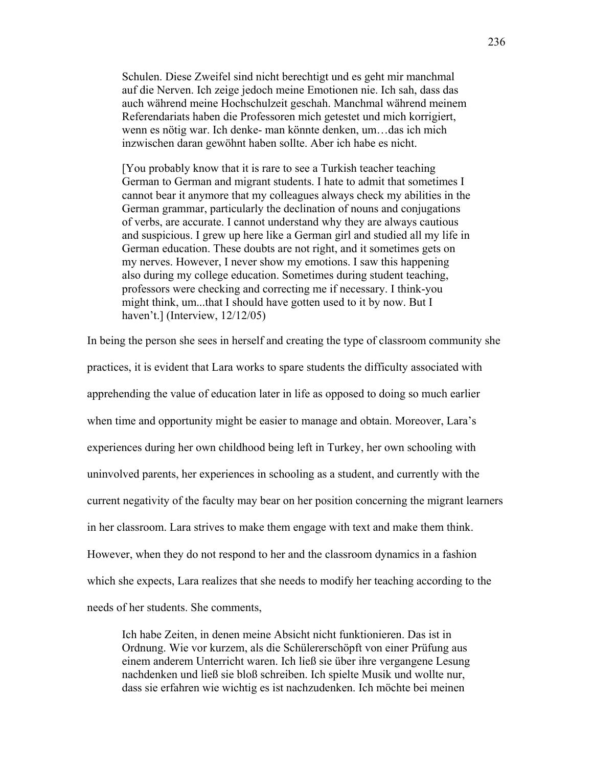Schulen. Diese Zweifel sind nicht berechtigt und es geht mir manchmal auf die Nerven. Ich zeige jedoch meine Emotionen nie. Ich sah, dass das auch während meine Hochschulzeit geschah. Manchmal während meinem Referendariats haben die Professoren mich getestet und mich korrigiert, wenn es nötig war. Ich denke- man könnte denken, um…das ich mich inzwischen daran gewöhnt haben sollte. Aber ich habe es nicht.

[You probably know that it is rare to see a Turkish teacher teaching German to German and migrant students. I hate to admit that sometimes I cannot bear it anymore that my colleagues always check my abilities in the German grammar, particularly the declination of nouns and conjugations of verbs, are accurate. I cannot understand why they are always cautious and suspicious. I grew up here like a German girl and studied all my life in German education. These doubts are not right, and it sometimes gets on my nerves. However, I never show my emotions. I saw this happening also during my college education. Sometimes during student teaching, professors were checking and correcting me if necessary. I think-you might think, um...that I should have gotten used to it by now. But I haven't.] (Interview, 12/12/05)

In being the person she sees in herself and creating the type of classroom community she practices, it is evident that Lara works to spare students the difficulty associated with apprehending the value of education later in life as opposed to doing so much earlier when time and opportunity might be easier to manage and obtain. Moreover, Lara's experiences during her own childhood being left in Turkey, her own schooling with uninvolved parents, her experiences in schooling as a student, and currently with the current negativity of the faculty may bear on her position concerning the migrant learners in her classroom. Lara strives to make them engage with text and make them think. However, when they do not respond to her and the classroom dynamics in a fashion which she expects, Lara realizes that she needs to modify her teaching according to the needs of her students. She comments,

Ich habe Zeiten, in denen meine Absicht nicht funktionieren. Das ist in Ordnung. Wie vor kurzem, als die Schülererschöpft von einer Prüfung aus einem anderem Unterricht waren. Ich ließ sie über ihre vergangene Lesung nachdenken und ließ sie bloß schreiben. Ich spielte Musik und wollte nur, dass sie erfahren wie wichtig es ist nachzudenken. Ich möchte bei meinen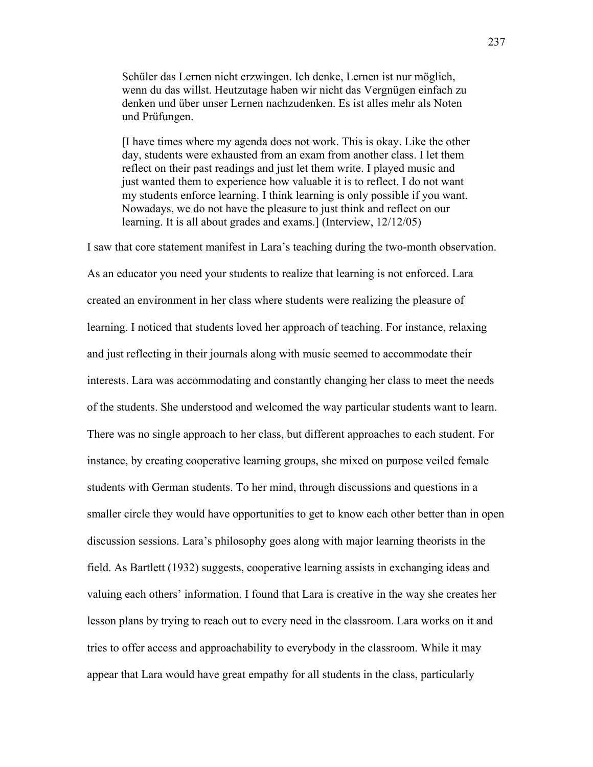Schüler das Lernen nicht erzwingen. Ich denke, Lernen ist nur möglich, wenn du das willst. Heutzutage haben wir nicht das Vergnügen einfach zu denken und über unser Lernen nachzudenken. Es ist alles mehr als Noten und Prüfungen.

[I have times where my agenda does not work. This is okay. Like the other day, students were exhausted from an exam from another class. I let them reflect on their past readings and just let them write. I played music and just wanted them to experience how valuable it is to reflect. I do not want my students enforce learning. I think learning is only possible if you want. Nowadays, we do not have the pleasure to just think and reflect on our learning. It is all about grades and exams.] (Interview, 12/12/05)

I saw that core statement manifest in Lara's teaching during the two-month observation. As an educator you need your students to realize that learning is not enforced. Lara created an environment in her class where students were realizing the pleasure of learning. I noticed that students loved her approach of teaching. For instance, relaxing and just reflecting in their journals along with music seemed to accommodate their interests. Lara was accommodating and constantly changing her class to meet the needs of the students. She understood and welcomed the way particular students want to learn. There was no single approach to her class, but different approaches to each student. For instance, by creating cooperative learning groups, she mixed on purpose veiled female students with German students. To her mind, through discussions and questions in a smaller circle they would have opportunities to get to know each other better than in open discussion sessions. Lara's philosophy goes along with major learning theorists in the field. As Bartlett (1932) suggests, cooperative learning assists in exchanging ideas and valuing each others' information. I found that Lara is creative in the way she creates her lesson plans by trying to reach out to every need in the classroom. Lara works on it and tries to offer access and approachability to everybody in the classroom. While it may appear that Lara would have great empathy for all students in the class, particularly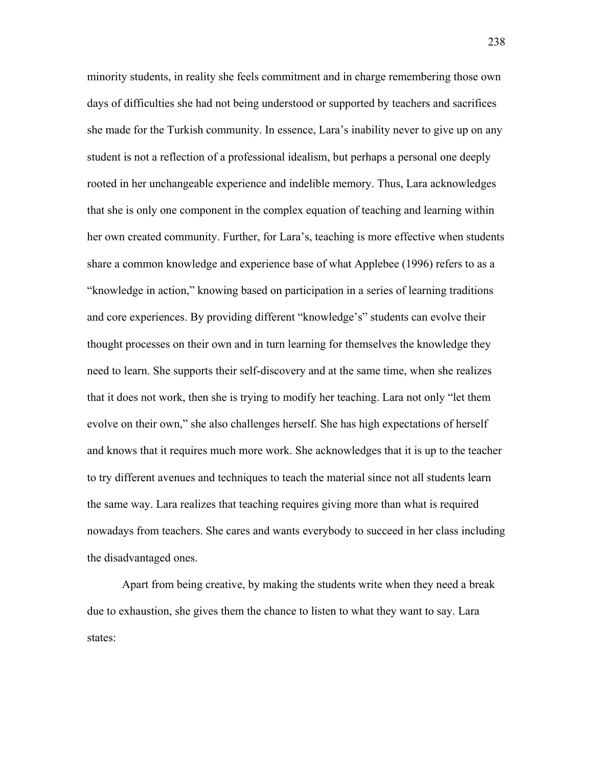minority students, in reality she feels commitment and in charge remembering those own days of difficulties she had not being understood or supported by teachers and sacrifices she made for the Turkish community. In essence, Lara's inability never to give up on any student is not a reflection of a professional idealism, but perhaps a personal one deeply rooted in her unchangeable experience and indelible memory. Thus, Lara acknowledges that she is only one component in the complex equation of teaching and learning within her own created community. Further, for Lara's, teaching is more effective when students share a common knowledge and experience base of what Applebee (1996) refers to as a "knowledge in action," knowing based on participation in a series of learning traditions and core experiences. By providing different "knowledge's" students can evolve their thought processes on their own and in turn learning for themselves the knowledge they need to learn. She supports their self-discovery and at the same time, when she realizes that it does not work, then she is trying to modify her teaching. Lara not only "let them evolve on their own," she also challenges herself. She has high expectations of herself and knows that it requires much more work. She acknowledges that it is up to the teacher to try different avenues and techniques to teach the material since not all students learn the same way. Lara realizes that teaching requires giving more than what is required nowadays from teachers. She cares and wants everybody to succeed in her class including the disadvantaged ones.

Apart from being creative, by making the students write when they need a break due to exhaustion, she gives them the chance to listen to what they want to say. Lara states: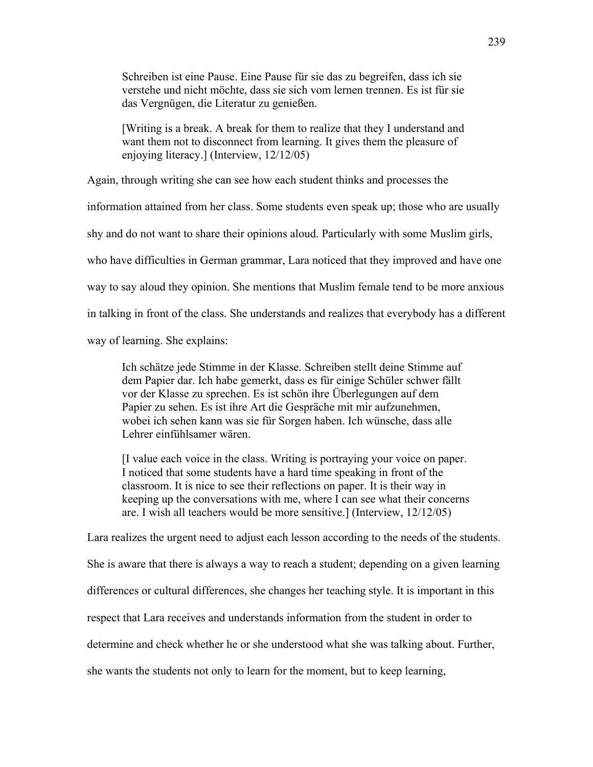Schreiben ist eine Pause. Eine Pause für sie das zu begreifen, dass ich sie verstehe und nicht möchte, dass sie sich vom lernen trennen. Es ist für sie das Vergnügen, die Literatur zu genießen.

[Writing is a break. A break for them to realize that they I understand and want them not to disconnect from learning. It gives them the pleasure of enjoying literacy.] (Interview, 12/12/05)

Again, through writing she can see how each student thinks and processes the

information attained from her class. Some students even speak up; those who are usually

shy and do not want to share their opinions aloud. Particularly with some Muslim girls,

who have difficulties in German grammar, Lara noticed that they improved and have one

way to say aloud they opinion. She mentions that Muslim female tend to be more anxious

in talking in front of the class. She understands and realizes that everybody has a different

way of learning. She explains:

Ich schätze jede Stimme in der Klasse. Schreiben stellt deine Stimme auf dem Papier dar. Ich habe gemerkt, dass es für einige Schüler schwer fällt vor der Klasse zu sprechen. Es ist schön ihre Überlegungen auf dem Papier zu sehen. Es ist ihre Art die Gespräche mit mir aufzunehmen, wobei ich sehen kann was sie für Sorgen haben. Ich wünsche, dass alle Lehrer einfühlsamer wären.

[I value each voice in the class. Writing is portraying your voice on paper. I noticed that some students have a hard time speaking in front of the classroom. It is nice to see their reflections on paper. It is their way in keeping up the conversations with me, where I can see what their concerns are. I wish all teachers would be more sensitive.] (Interview, 12/12/05)

Lara realizes the urgent need to adjust each lesson according to the needs of the students. She is aware that there is always a way to reach a student; depending on a given learning differences or cultural differences, she changes her teaching style. It is important in this respect that Lara receives and understands information from the student in order to determine and check whether he or she understood what she was talking about. Further, she wants the students not only to learn for the moment, but to keep learning,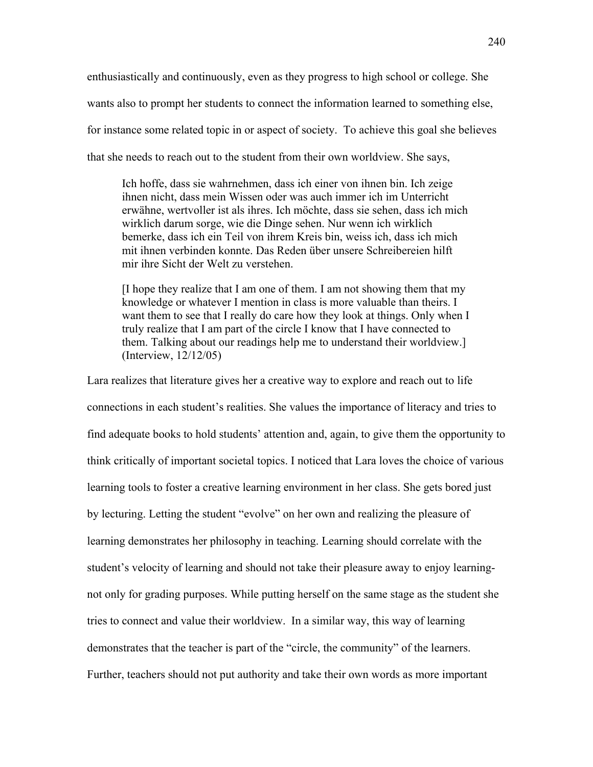enthusiastically and continuously, even as they progress to high school or college. She wants also to prompt her students to connect the information learned to something else, for instance some related topic in or aspect of society. To achieve this goal she believes that she needs to reach out to the student from their own worldview. She says,

Ich hoffe, dass sie wahrnehmen, dass ich einer von ihnen bin. Ich zeige ihnen nicht, dass mein Wissen oder was auch immer ich im Unterricht erwähne, wertvoller ist als ihres. Ich möchte, dass sie sehen, dass ich mich wirklich darum sorge, wie die Dinge sehen. Nur wenn ich wirklich bemerke, dass ich ein Teil von ihrem Kreis bin, weiss ich, dass ich mich mit ihnen verbinden konnte. Das Reden über unsere Schreibereien hilft mir ihre Sicht der Welt zu verstehen.

[I hope they realize that I am one of them. I am not showing them that my knowledge or whatever I mention in class is more valuable than theirs. I want them to see that I really do care how they look at things. Only when I truly realize that I am part of the circle I know that I have connected to them. Talking about our readings help me to understand their worldview.] (Interview, 12/12/05)

Lara realizes that literature gives her a creative way to explore and reach out to life connections in each student's realities. She values the importance of literacy and tries to find adequate books to hold students' attention and, again, to give them the opportunity to think critically of important societal topics. I noticed that Lara loves the choice of various learning tools to foster a creative learning environment in her class. She gets bored just by lecturing. Letting the student "evolve" on her own and realizing the pleasure of learning demonstrates her philosophy in teaching. Learning should correlate with the student's velocity of learning and should not take their pleasure away to enjoy learningnot only for grading purposes. While putting herself on the same stage as the student she tries to connect and value their worldview. In a similar way, this way of learning demonstrates that the teacher is part of the "circle, the community" of the learners. Further, teachers should not put authority and take their own words as more important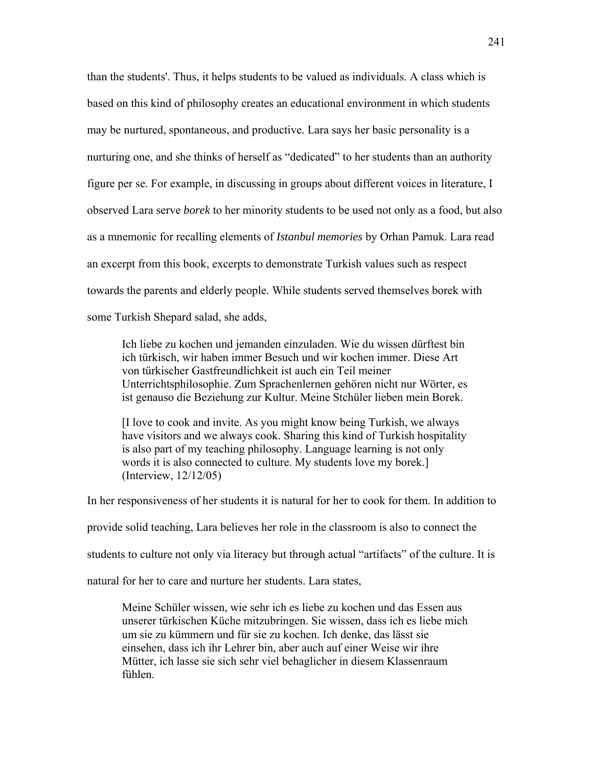than the students'. Thus, it helps students to be valued as individuals. A class which is based on this kind of philosophy creates an educational environment in which students may be nurtured, spontaneous, and productive. Lara says her basic personality is a nurturing one, and she thinks of herself as "dedicated" to her students than an authority figure per se. For example, in discussing in groups about different voices in literature, I observed Lara serve *borek* to her minority students to be used not only as a food, but also as a mnemonic for recalling elements of *Istanbul memories* by Orhan Pamuk. Lara read an excerpt from this book, excerpts to demonstrate Turkish values such as respect towards the parents and elderly people. While students served themselves borek with some Turkish Shepard salad, she adds,

Ich liebe zu kochen und jemanden einzuladen. Wie du wissen dürftest bin ich türkisch, wir haben immer Besuch und wir kochen immer. Diese Art von türkischer Gastfreundlichkeit ist auch ein Teil meiner Unterrichtsphilosophie. Zum Sprachenlernen gehören nicht nur Wörter, es ist genauso die Beziehung zur Kultur. Meine Stchüler lieben mein Borek.

[I love to cook and invite. As you might know being Turkish, we always have visitors and we always cook. Sharing this kind of Turkish hospitality is also part of my teaching philosophy. Language learning is not only words it is also connected to culture. My students love my borek.] (Interview, 12/12/05)

In her responsiveness of her students it is natural for her to cook for them. In addition to

provide solid teaching, Lara believes her role in the classroom is also to connect the

students to culture not only via literacy but through actual "artifacts" of the culture. It is

natural for her to care and nurture her students. Lara states,

Meine Schüler wissen, wie sehr ich es liebe zu kochen und das Essen aus unserer türkischen Küche mitzubringen. Sie wissen, dass ich es liebe mich um sie zu kümmern und für sie zu kochen. Ich denke, das lässt sie einsehen, dass ich ihr Lehrer bin, aber auch auf einer Weise wir ihre Mütter, ich lasse sie sich sehr viel behaglicher in diesem Klassenraum fühlen.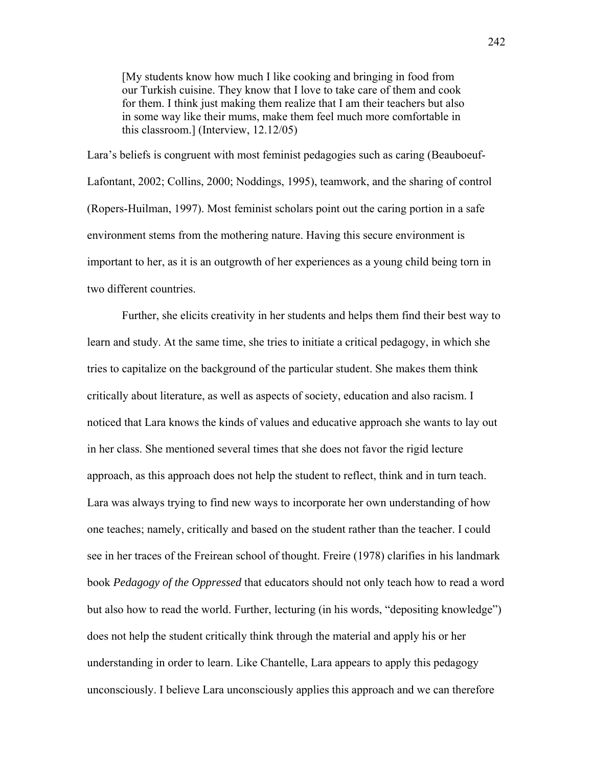[My students know how much I like cooking and bringing in food from our Turkish cuisine. They know that I love to take care of them and cook for them. I think just making them realize that I am their teachers but also in some way like their mums, make them feel much more comfortable in this classroom.] (Interview, 12.12/05)

Lara's beliefs is congruent with most feminist pedagogies such as caring (Beauboeuf-Lafontant, 2002; Collins, 2000; Noddings, 1995), teamwork, and the sharing of control (Ropers-Huilman, 1997). Most feminist scholars point out the caring portion in a safe environment stems from the mothering nature. Having this secure environment is important to her, as it is an outgrowth of her experiences as a young child being torn in two different countries.

Further, she elicits creativity in her students and helps them find their best way to learn and study. At the same time, she tries to initiate a critical pedagogy, in which she tries to capitalize on the background of the particular student. She makes them think critically about literature, as well as aspects of society, education and also racism. I noticed that Lara knows the kinds of values and educative approach she wants to lay out in her class. She mentioned several times that she does not favor the rigid lecture approach, as this approach does not help the student to reflect, think and in turn teach. Lara was always trying to find new ways to incorporate her own understanding of how one teaches; namely, critically and based on the student rather than the teacher. I could see in her traces of the Freirean school of thought. Freire (1978) clarifies in his landmark book *Pedagogy of the Oppressed* that educators should not only teach how to read a word but also how to read the world. Further, lecturing (in his words, "depositing knowledge") does not help the student critically think through the material and apply his or her understanding in order to learn. Like Chantelle, Lara appears to apply this pedagogy unconsciously. I believe Lara unconsciously applies this approach and we can therefore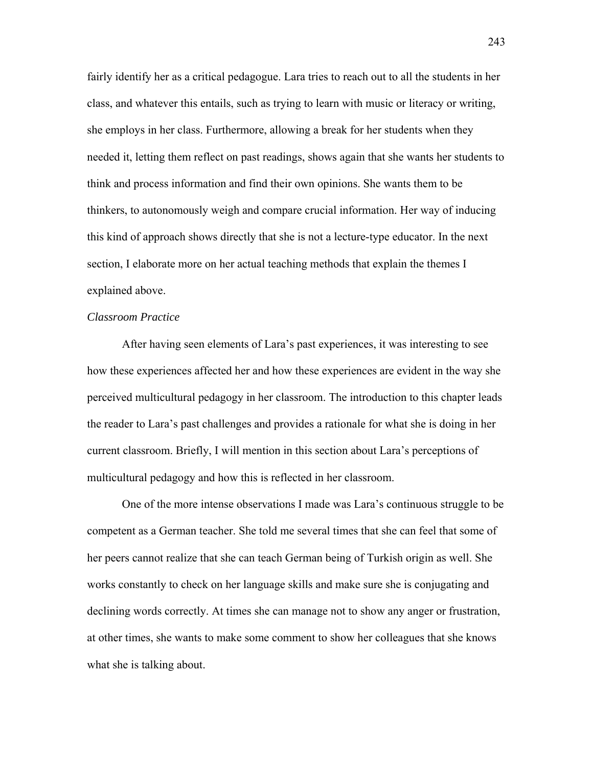fairly identify her as a critical pedagogue. Lara tries to reach out to all the students in her class, and whatever this entails, such as trying to learn with music or literacy or writing, she employs in her class. Furthermore, allowing a break for her students when they needed it, letting them reflect on past readings, shows again that she wants her students to think and process information and find their own opinions. She wants them to be thinkers, to autonomously weigh and compare crucial information. Her way of inducing this kind of approach shows directly that she is not a lecture-type educator. In the next section, I elaborate more on her actual teaching methods that explain the themes I explained above.

## *Classroom Practice*

After having seen elements of Lara's past experiences, it was interesting to see how these experiences affected her and how these experiences are evident in the way she perceived multicultural pedagogy in her classroom. The introduction to this chapter leads the reader to Lara's past challenges and provides a rationale for what she is doing in her current classroom. Briefly, I will mention in this section about Lara's perceptions of multicultural pedagogy and how this is reflected in her classroom.

One of the more intense observations I made was Lara's continuous struggle to be competent as a German teacher. She told me several times that she can feel that some of her peers cannot realize that she can teach German being of Turkish origin as well. She works constantly to check on her language skills and make sure she is conjugating and declining words correctly. At times she can manage not to show any anger or frustration, at other times, she wants to make some comment to show her colleagues that she knows what she is talking about.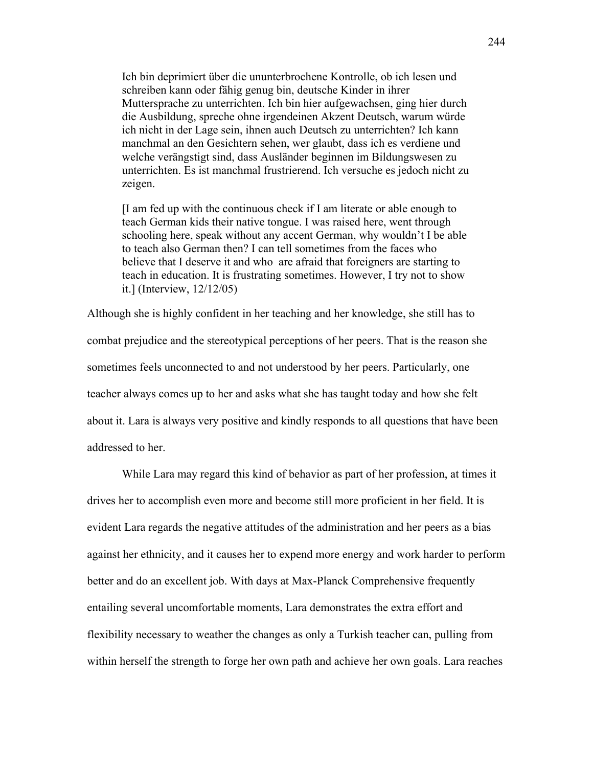Ich bin deprimiert über die ununterbrochene Kontrolle, ob ich lesen und schreiben kann oder fähig genug bin, deutsche Kinder in ihrer Muttersprache zu unterrichten. Ich bin hier aufgewachsen, ging hier durch die Ausbildung, spreche ohne irgendeinen Akzent Deutsch, warum würde ich nicht in der Lage sein, ihnen auch Deutsch zu unterrichten? Ich kann manchmal an den Gesichtern sehen, wer glaubt, dass ich es verdiene und welche verängstigt sind, dass Ausländer beginnen im Bildungswesen zu unterrichten. Es ist manchmal frustrierend. Ich versuche es jedoch nicht zu zeigen.

[I am fed up with the continuous check if I am literate or able enough to teach German kids their native tongue. I was raised here, went through schooling here, speak without any accent German, why wouldn't I be able to teach also German then? I can tell sometimes from the faces who believe that I deserve it and who are afraid that foreigners are starting to teach in education. It is frustrating sometimes. However, I try not to show it.] (Interview, 12/12/05)

Although she is highly confident in her teaching and her knowledge, she still has to combat prejudice and the stereotypical perceptions of her peers. That is the reason she sometimes feels unconnected to and not understood by her peers. Particularly, one teacher always comes up to her and asks what she has taught today and how she felt about it. Lara is always very positive and kindly responds to all questions that have been addressed to her.

 While Lara may regard this kind of behavior as part of her profession, at times it drives her to accomplish even more and become still more proficient in her field. It is evident Lara regards the negative attitudes of the administration and her peers as a bias against her ethnicity, and it causes her to expend more energy and work harder to perform better and do an excellent job. With days at Max-Planck Comprehensive frequently entailing several uncomfortable moments, Lara demonstrates the extra effort and flexibility necessary to weather the changes as only a Turkish teacher can, pulling from within herself the strength to forge her own path and achieve her own goals. Lara reaches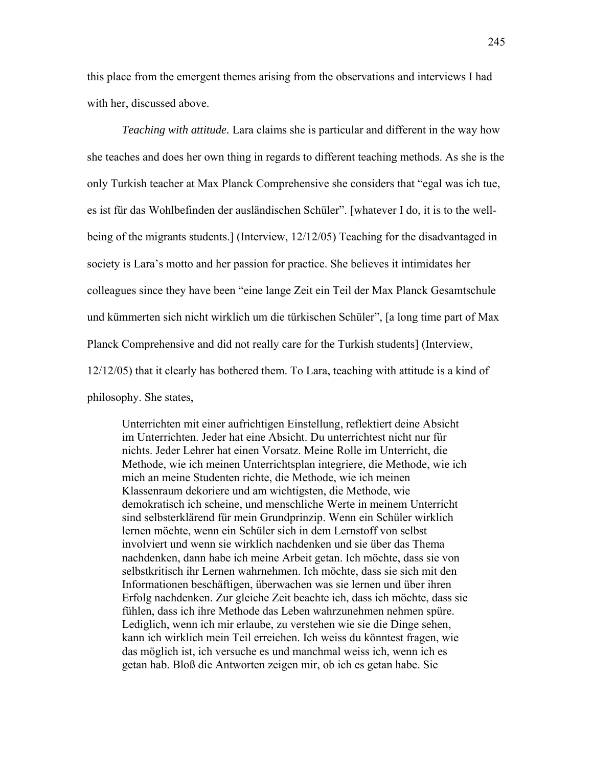this place from the emergent themes arising from the observations and interviews I had with her, discussed above.

*Teaching with attitude.* Lara claims she is particular and different in the way how she teaches and does her own thing in regards to different teaching methods. As she is the only Turkish teacher at Max Planck Comprehensive she considers that "egal was ich tue, es ist für das Wohlbefinden der ausländischen Schüler". [whatever I do, it is to the wellbeing of the migrants students.] (Interview, 12/12/05) Teaching for the disadvantaged in society is Lara's motto and her passion for practice. She believes it intimidates her colleagues since they have been "eine lange Zeit ein Teil der Max Planck Gesamtschule und kümmerten sich nicht wirklich um die türkischen Schüler", [a long time part of Max Planck Comprehensive and did not really care for the Turkish students] (Interview, 12/12/05) that it clearly has bothered them. To Lara, teaching with attitude is a kind of philosophy. She states,

Unterrichten mit einer aufrichtigen Einstellung, reflektiert deine Absicht im Unterrichten. Jeder hat eine Absicht. Du unterrichtest nicht nur für nichts. Jeder Lehrer hat einen Vorsatz. Meine Rolle im Unterricht, die Methode, wie ich meinen Unterrichtsplan integriere, die Methode, wie ich mich an meine Studenten richte, die Methode, wie ich meinen Klassenraum dekoriere und am wichtigsten, die Methode, wie demokratisch ich scheine, und menschliche Werte in meinem Unterricht sind selbsterklärend für mein Grundprinzip. Wenn ein Schüler wirklich lernen möchte, wenn ein Schüler sich in dem Lernstoff von selbst involviert und wenn sie wirklich nachdenken und sie über das Thema nachdenken, dann habe ich meine Arbeit getan. Ich möchte, dass sie von selbstkritisch ihr Lernen wahrnehmen. Ich möchte, dass sie sich mit den Informationen beschäftigen, überwachen was sie lernen und über ihren Erfolg nachdenken. Zur gleiche Zeit beachte ich, dass ich möchte, dass sie fühlen, dass ich ihre Methode das Leben wahrzunehmen nehmen spüre. Lediglich, wenn ich mir erlaube, zu verstehen wie sie die Dinge sehen, kann ich wirklich mein Teil erreichen. Ich weiss du könntest fragen, wie das möglich ist, ich versuche es und manchmal weiss ich, wenn ich es getan hab. Bloß die Antworten zeigen mir, ob ich es getan habe. Sie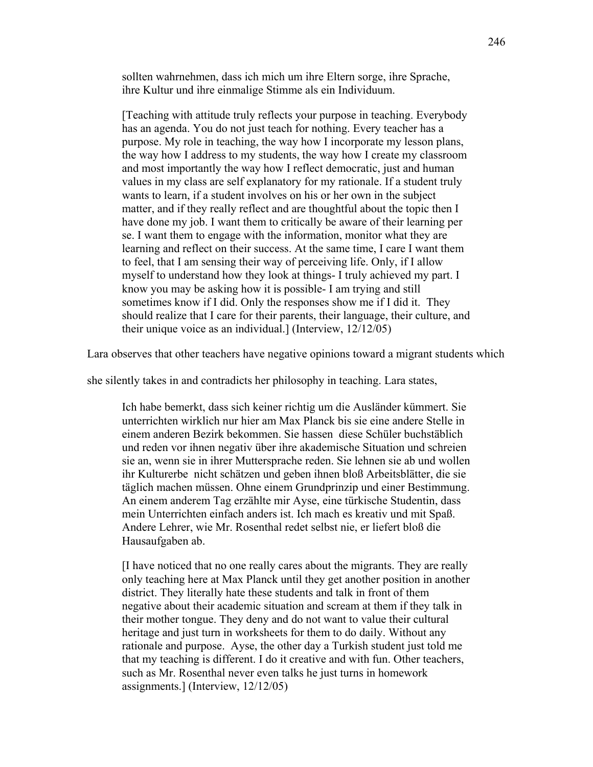sollten wahrnehmen, dass ich mich um ihre Eltern sorge, ihre Sprache, ihre Kultur und ihre einmalige Stimme als ein Individuum.

[Teaching with attitude truly reflects your purpose in teaching. Everybody has an agenda. You do not just teach for nothing. Every teacher has a purpose. My role in teaching, the way how I incorporate my lesson plans, the way how I address to my students, the way how I create my classroom and most importantly the way how I reflect democratic, just and human values in my class are self explanatory for my rationale. If a student truly wants to learn, if a student involves on his or her own in the subject matter, and if they really reflect and are thoughtful about the topic then I have done my job. I want them to critically be aware of their learning per se. I want them to engage with the information, monitor what they are learning and reflect on their success. At the same time, I care I want them to feel, that I am sensing their way of perceiving life. Only, if I allow myself to understand how they look at things- I truly achieved my part. I know you may be asking how it is possible- I am trying and still sometimes know if I did. Only the responses show me if I did it. They should realize that I care for their parents, their language, their culture, and their unique voice as an individual.] (Interview, 12/12/05)

Lara observes that other teachers have negative opinions toward a migrant students which

she silently takes in and contradicts her philosophy in teaching. Lara states,

Ich habe bemerkt, dass sich keiner richtig um die Ausländer kümmert. Sie unterrichten wirklich nur hier am Max Planck bis sie eine andere Stelle in einem anderen Bezirk bekommen. Sie hassen diese Schüler buchstäblich und reden vor ihnen negativ über ihre akademische Situation und schreien sie an, wenn sie in ihrer Muttersprache reden. Sie lehnen sie ab und wollen ihr Kulturerbe nicht schätzen und geben ihnen bloß Arbeitsblätter, die sie täglich machen müssen. Ohne einem Grundprinzip und einer Bestimmung. An einem anderem Tag erzählte mir Ayse, eine türkische Studentin, dass mein Unterrichten einfach anders ist. Ich mach es kreativ und mit Spaß. Andere Lehrer, wie Mr. Rosenthal redet selbst nie, er liefert bloß die Hausaufgaben ab.

[I have noticed that no one really cares about the migrants. They are really only teaching here at Max Planck until they get another position in another district. They literally hate these students and talk in front of them negative about their academic situation and scream at them if they talk in their mother tongue. They deny and do not want to value their cultural heritage and just turn in worksheets for them to do daily. Without any rationale and purpose. Ayse, the other day a Turkish student just told me that my teaching is different. I do it creative and with fun. Other teachers, such as Mr. Rosenthal never even talks he just turns in homework assignments.] (Interview, 12/12/05)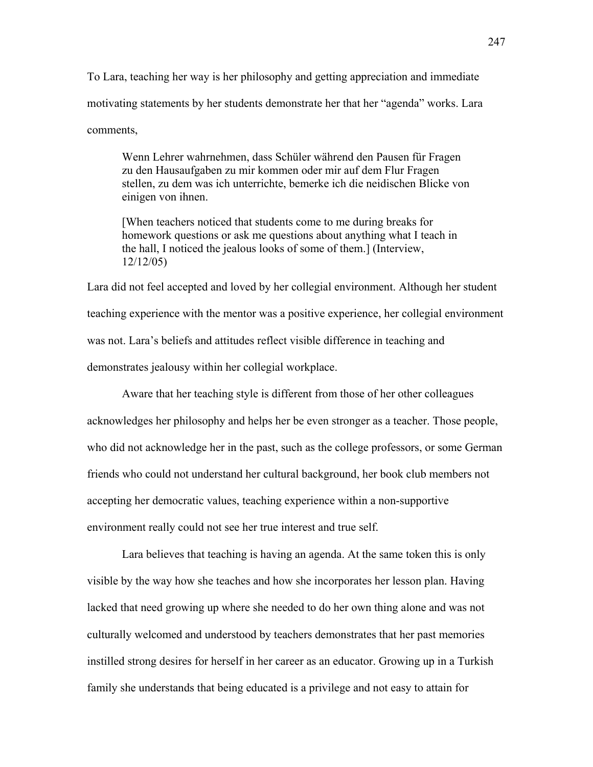To Lara, teaching her way is her philosophy and getting appreciation and immediate motivating statements by her students demonstrate her that her "agenda" works. Lara comments,

Wenn Lehrer wahrnehmen, dass Schüler während den Pausen für Fragen zu den Hausaufgaben zu mir kommen oder mir auf dem Flur Fragen stellen, zu dem was ich unterrichte, bemerke ich die neidischen Blicke von einigen von ihnen.

[When teachers noticed that students come to me during breaks for homework questions or ask me questions about anything what I teach in the hall, I noticed the jealous looks of some of them.] (Interview, 12/12/05)

Lara did not feel accepted and loved by her collegial environment. Although her student teaching experience with the mentor was a positive experience, her collegial environment was not. Lara's beliefs and attitudes reflect visible difference in teaching and demonstrates jealousy within her collegial workplace.

Aware that her teaching style is different from those of her other colleagues acknowledges her philosophy and helps her be even stronger as a teacher. Those people, who did not acknowledge her in the past, such as the college professors, or some German friends who could not understand her cultural background, her book club members not accepting her democratic values, teaching experience within a non-supportive environment really could not see her true interest and true self.

Lara believes that teaching is having an agenda. At the same token this is only visible by the way how she teaches and how she incorporates her lesson plan. Having lacked that need growing up where she needed to do her own thing alone and was not culturally welcomed and understood by teachers demonstrates that her past memories instilled strong desires for herself in her career as an educator. Growing up in a Turkish family she understands that being educated is a privilege and not easy to attain for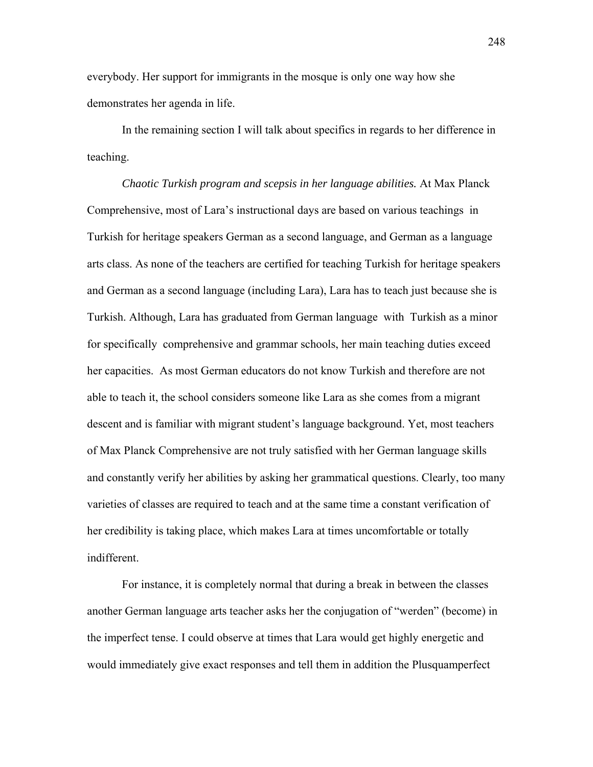everybody. Her support for immigrants in the mosque is only one way how she demonstrates her agenda in life.

In the remaining section I will talk about specifics in regards to her difference in teaching.

*Chaotic Turkish program and scepsis in her language abilities.* At Max Planck Comprehensive, most of Lara's instructional days are based on various teachings in Turkish for heritage speakers German as a second language, and German as a language arts class. As none of the teachers are certified for teaching Turkish for heritage speakers and German as a second language (including Lara), Lara has to teach just because she is Turkish. Although, Lara has graduated from German language with Turkish as a minor for specifically comprehensive and grammar schools, her main teaching duties exceed her capacities. As most German educators do not know Turkish and therefore are not able to teach it, the school considers someone like Lara as she comes from a migrant descent and is familiar with migrant student's language background. Yet, most teachers of Max Planck Comprehensive are not truly satisfied with her German language skills and constantly verify her abilities by asking her grammatical questions. Clearly, too many varieties of classes are required to teach and at the same time a constant verification of her credibility is taking place, which makes Lara at times uncomfortable or totally indifferent.

For instance, it is completely normal that during a break in between the classes another German language arts teacher asks her the conjugation of "werden" (become) in the imperfect tense. I could observe at times that Lara would get highly energetic and would immediately give exact responses and tell them in addition the Plusquamperfect

248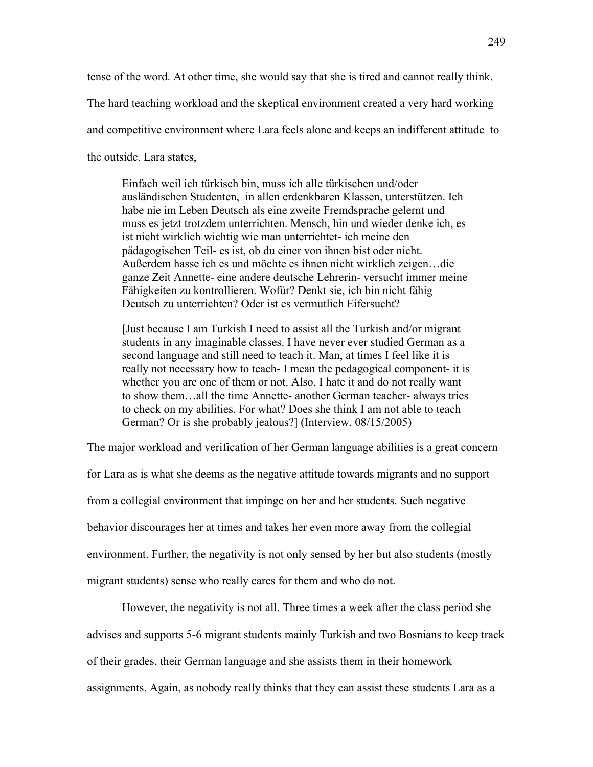tense of the word. At other time, she would say that she is tired and cannot really think.

The hard teaching workload and the skeptical environment created a very hard working

and competitive environment where Lara feels alone and keeps an indifferent attitude to

the outside. Lara states,

Einfach weil ich türkisch bin, muss ich alle türkischen und/oder ausländischen Studenten, in allen erdenkbaren Klassen, unterstützen. Ich habe nie im Leben Deutsch als eine zweite Fremdsprache gelernt und muss es jetzt trotzdem unterrichten. Mensch, hin und wieder denke ich, es ist nicht wirklich wichtig wie man unterrichtet- ich meine den pädagogischen Teil- es ist, ob du einer von ihnen bist oder nicht. Außerdem hasse ich es und möchte es ihnen nicht wirklich zeigen…die ganze Zeit Annette- eine andere deutsche Lehrerin- versucht immer meine Fähigkeiten zu kontrollieren. Wofür? Denkt sie, ich bin nicht fähig Deutsch zu unterrichten? Oder ist es vermutlich Eifersucht?

[Just because I am Turkish I need to assist all the Turkish and/or migrant students in any imaginable classes. I have never ever studied German as a second language and still need to teach it. Man, at times I feel like it is really not necessary how to teach- I mean the pedagogical component- it is whether you are one of them or not. Also, I hate it and do not really want to show them…all the time Annette- another German teacher- always tries to check on my abilities. For what? Does she think I am not able to teach German? Or is she probably jealous?] (Interview, 08/15/2005)

The major workload and verification of her German language abilities is a great concern

for Lara as is what she deems as the negative attitude towards migrants and no support from a collegial environment that impinge on her and her students. Such negative behavior discourages her at times and takes her even more away from the collegial environment. Further, the negativity is not only sensed by her but also students (mostly migrant students) sense who really cares for them and who do not.

However, the negativity is not all. Three times a week after the class period she advises and supports 5-6 migrant students mainly Turkish and two Bosnians to keep track of their grades, their German language and she assists them in their homework assignments. Again, as nobody really thinks that they can assist these students Lara as a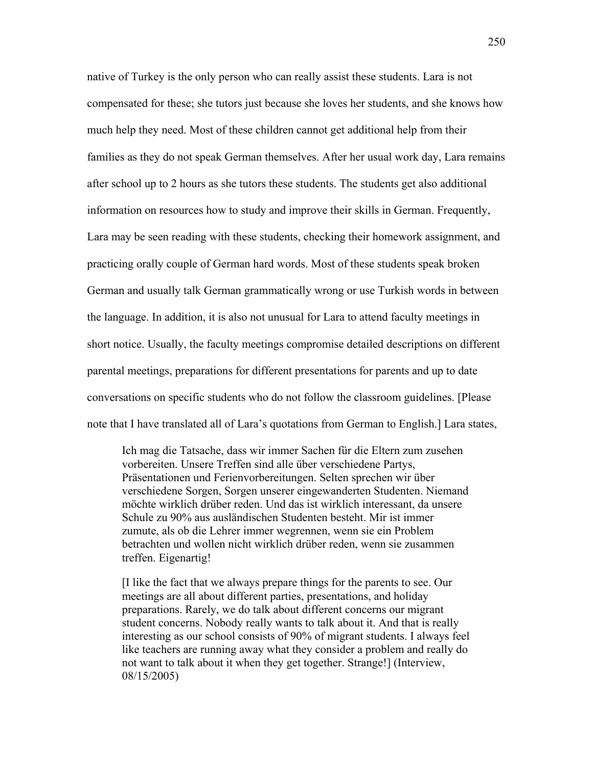native of Turkey is the only person who can really assist these students. Lara is not compensated for these; she tutors just because she loves her students, and she knows how much help they need. Most of these children cannot get additional help from their families as they do not speak German themselves. After her usual work day, Lara remains after school up to 2 hours as she tutors these students. The students get also additional information on resources how to study and improve their skills in German. Frequently, Lara may be seen reading with these students, checking their homework assignment, and practicing orally couple of German hard words. Most of these students speak broken German and usually talk German grammatically wrong or use Turkish words in between the language. In addition, it is also not unusual for Lara to attend faculty meetings in short notice. Usually, the faculty meetings compromise detailed descriptions on different parental meetings, preparations for different presentations for parents and up to date conversations on specific students who do not follow the classroom guidelines. [Please note that I have translated all of Lara's quotations from German to English.] Lara states,

Ich mag die Tatsache, dass wir immer Sachen für die Eltern zum zusehen vorbereiten. Unsere Treffen sind alle über verschiedene Partys, Präsentationen und Ferienvorbereitungen. Selten sprechen wir über verschiedene Sorgen, Sorgen unserer eingewanderten Studenten. Niemand möchte wirklich drüber reden. Und das ist wirklich interessant, da unsere Schule zu 90% aus ausländischen Studenten besteht. Mir ist immer zumute, als ob die Lehrer immer wegrennen, wenn sie ein Problem betrachten und wollen nicht wirklich drüber reden, wenn sie zusammen treffen. Eigenartig!

[I like the fact that we always prepare things for the parents to see. Our meetings are all about different parties, presentations, and holiday preparations. Rarely, we do talk about different concerns our migrant student concerns. Nobody really wants to talk about it. And that is really interesting as our school consists of 90% of migrant students. I always feel like teachers are running away what they consider a problem and really do not want to talk about it when they get together. Strange!] (Interview, 08/15/2005)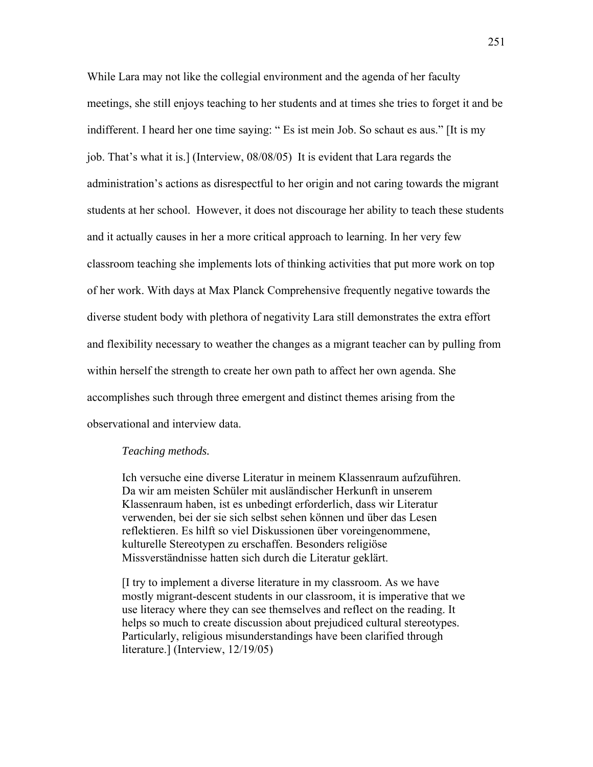While Lara may not like the collegial environment and the agenda of her faculty meetings, she still enjoys teaching to her students and at times she tries to forget it and be indifferent. I heard her one time saying: " Es ist mein Job. So schaut es aus." [It is my job. That's what it is.] (Interview, 08/08/05) It is evident that Lara regards the administration's actions as disrespectful to her origin and not caring towards the migrant students at her school. However, it does not discourage her ability to teach these students and it actually causes in her a more critical approach to learning. In her very few classroom teaching she implements lots of thinking activities that put more work on top of her work. With days at Max Planck Comprehensive frequently negative towards the diverse student body with plethora of negativity Lara still demonstrates the extra effort and flexibility necessary to weather the changes as a migrant teacher can by pulling from within herself the strength to create her own path to affect her own agenda. She accomplishes such through three emergent and distinct themes arising from the observational and interview data.

## *Teaching methods.*

Ich versuche eine diverse Literatur in meinem Klassenraum aufzuführen. Da wir am meisten Schüler mit ausländischer Herkunft in unserem Klassenraum haben, ist es unbedingt erforderlich, dass wir Literatur verwenden, bei der sie sich selbst sehen können und über das Lesen reflektieren. Es hilft so viel Diskussionen über voreingenommene, kulturelle Stereotypen zu erschaffen. Besonders religiöse Missverständnisse hatten sich durch die Literatur geklärt.

[I try to implement a diverse literature in my classroom. As we have mostly migrant-descent students in our classroom, it is imperative that we use literacy where they can see themselves and reflect on the reading. It helps so much to create discussion about prejudiced cultural stereotypes. Particularly, religious misunderstandings have been clarified through literature.] (Interview, 12/19/05)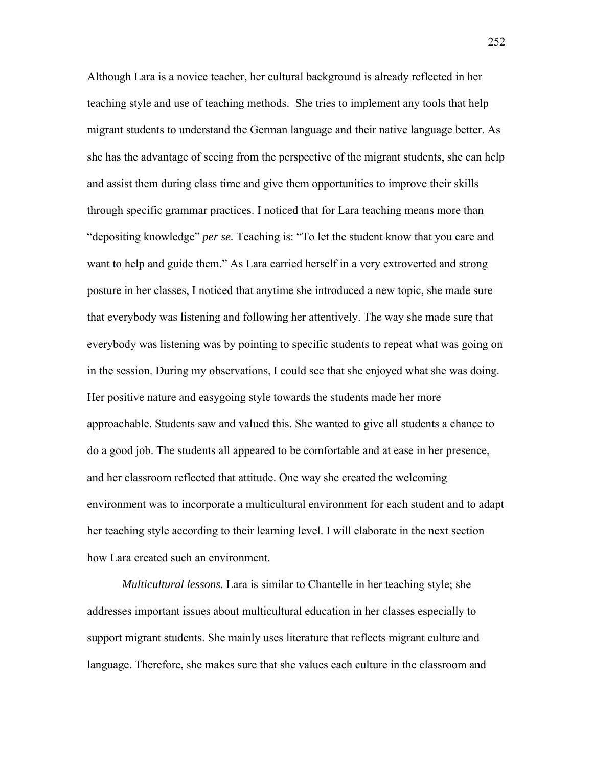Although Lara is a novice teacher, her cultural background is already reflected in her teaching style and use of teaching methods. She tries to implement any tools that help migrant students to understand the German language and their native language better. As she has the advantage of seeing from the perspective of the migrant students, she can help and assist them during class time and give them opportunities to improve their skills through specific grammar practices. I noticed that for Lara teaching means more than "depositing knowledge" *per se.* Teaching is: "To let the student know that you care and want to help and guide them." As Lara carried herself in a very extroverted and strong posture in her classes, I noticed that anytime she introduced a new topic, she made sure that everybody was listening and following her attentively. The way she made sure that everybody was listening was by pointing to specific students to repeat what was going on in the session. During my observations, I could see that she enjoyed what she was doing. Her positive nature and easygoing style towards the students made her more approachable. Students saw and valued this. She wanted to give all students a chance to do a good job. The students all appeared to be comfortable and at ease in her presence, and her classroom reflected that attitude. One way she created the welcoming environment was to incorporate a multicultural environment for each student and to adapt her teaching style according to their learning level. I will elaborate in the next section how Lara created such an environment.

*Multicultural lessons.* Lara is similar to Chantelle in her teaching style; she addresses important issues about multicultural education in her classes especially to support migrant students. She mainly uses literature that reflects migrant culture and language. Therefore, she makes sure that she values each culture in the classroom and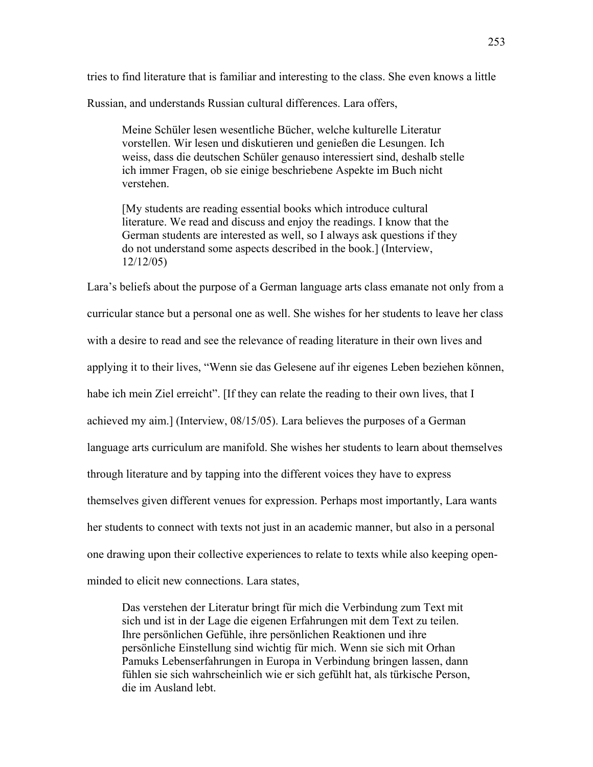tries to find literature that is familiar and interesting to the class. She even knows a little Russian, and understands Russian cultural differences. Lara offers,

Meine Schüler lesen wesentliche Bücher, welche kulturelle Literatur vorstellen. Wir lesen und diskutieren und genießen die Lesungen. Ich weiss, dass die deutschen Schüler genauso interessiert sind, deshalb stelle ich immer Fragen, ob sie einige beschriebene Aspekte im Buch nicht verstehen.

[My students are reading essential books which introduce cultural literature. We read and discuss and enjoy the readings. I know that the German students are interested as well, so I always ask questions if they do not understand some aspects described in the book.] (Interview, 12/12/05)

Lara's beliefs about the purpose of a German language arts class emanate not only from a curricular stance but a personal one as well. She wishes for her students to leave her class with a desire to read and see the relevance of reading literature in their own lives and applying it to their lives, "Wenn sie das Gelesene auf ihr eigenes Leben beziehen können, habe ich mein Ziel erreicht". [If they can relate the reading to their own lives, that I achieved my aim.] (Interview, 08/15/05). Lara believes the purposes of a German language arts curriculum are manifold. She wishes her students to learn about themselves through literature and by tapping into the different voices they have to express themselves given different venues for expression. Perhaps most importantly, Lara wants her students to connect with texts not just in an academic manner, but also in a personal one drawing upon their collective experiences to relate to texts while also keeping openminded to elicit new connections. Lara states,

Das verstehen der Literatur bringt für mich die Verbindung zum Text mit sich und ist in der Lage die eigenen Erfahrungen mit dem Text zu teilen. Ihre persönlichen Gefühle, ihre persönlichen Reaktionen und ihre persönliche Einstellung sind wichtig für mich. Wenn sie sich mit Orhan Pamuks Lebenserfahrungen in Europa in Verbindung bringen lassen, dann fühlen sie sich wahrscheinlich wie er sich gefühlt hat, als türkische Person, die im Ausland lebt.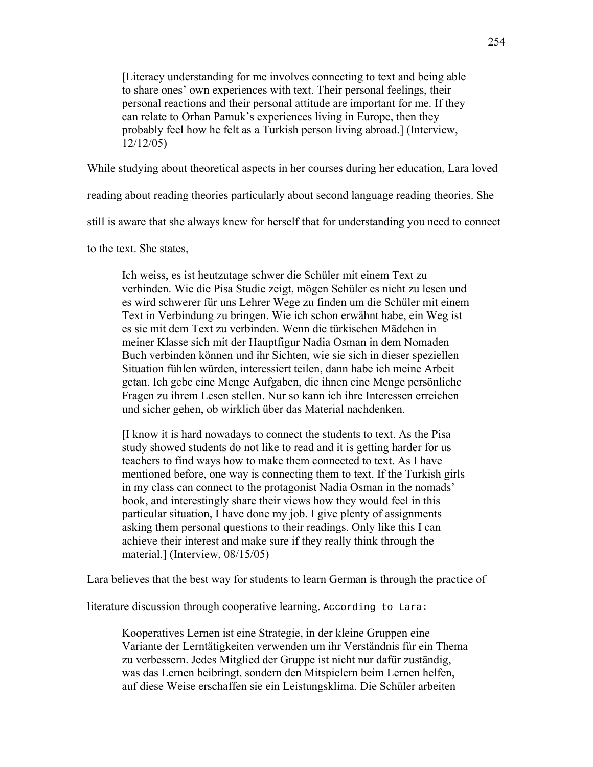[Literacy understanding for me involves connecting to text and being able to share ones' own experiences with text. Their personal feelings, their personal reactions and their personal attitude are important for me. If they can relate to Orhan Pamuk's experiences living in Europe, then they probably feel how he felt as a Turkish person living abroad.] (Interview, 12/12/05)

While studying about theoretical aspects in her courses during her education, Lara loved

reading about reading theories particularly about second language reading theories. She

still is aware that she always knew for herself that for understanding you need to connect

to the text. She states,

Ich weiss, es ist heutzutage schwer die Schüler mit einem Text zu verbinden. Wie die Pisa Studie zeigt, mögen Schüler es nicht zu lesen und es wird schwerer für uns Lehrer Wege zu finden um die Schüler mit einem Text in Verbindung zu bringen. Wie ich schon erwähnt habe, ein Weg ist es sie mit dem Text zu verbinden. Wenn die türkischen Mädchen in meiner Klasse sich mit der Hauptfigur Nadia Osman in dem Nomaden Buch verbinden können und ihr Sichten, wie sie sich in dieser speziellen Situation fühlen würden, interessiert teilen, dann habe ich meine Arbeit getan. Ich gebe eine Menge Aufgaben, die ihnen eine Menge persönliche Fragen zu ihrem Lesen stellen. Nur so kann ich ihre Interessen erreichen und sicher gehen, ob wirklich über das Material nachdenken.

[I know it is hard nowadays to connect the students to text. As the Pisa study showed students do not like to read and it is getting harder for us teachers to find ways how to make them connected to text. As I have mentioned before, one way is connecting them to text. If the Turkish girls in my class can connect to the protagonist Nadia Osman in the nomads' book, and interestingly share their views how they would feel in this particular situation, I have done my job. I give plenty of assignments asking them personal questions to their readings. Only like this I can achieve their interest and make sure if they really think through the material.] (Interview, 08/15/05)

Lara believes that the best way for students to learn German is through the practice of

literature discussion through cooperative learning. According to Lara:

Kooperatives Lernen ist eine Strategie, in der kleine Gruppen eine Variante der Lerntätigkeiten verwenden um ihr Verständnis für ein Thema zu verbessern. Jedes Mitglied der Gruppe ist nicht nur dafür zuständig, was das Lernen beibringt, sondern den Mitspielern beim Lernen helfen, auf diese Weise erschaffen sie ein Leistungsklima. Die Schüler arbeiten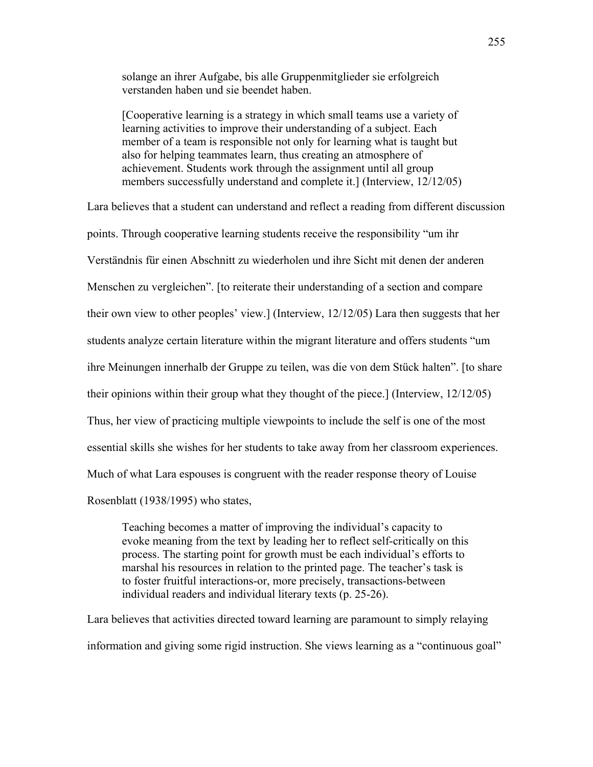solange an ihrer Aufgabe, bis alle Gruppenmitglieder sie erfolgreich verstanden haben und sie beendet haben.

[Cooperative learning is a strategy in which small teams use a variety of learning activities to improve their understanding of a subject. Each member of a team is responsible not only for learning what is taught but also for helping teammates learn, thus creating an atmosphere of achievement. Students work through the assignment until all group members successfully understand and complete it.] (Interview, 12/12/05)

Lara believes that a student can understand and reflect a reading from different discussion points. Through cooperative learning students receive the responsibility "um ihr Verständnis für einen Abschnitt zu wiederholen und ihre Sicht mit denen der anderen Menschen zu vergleichen". [to reiterate their understanding of a section and compare their own view to other peoples' view.] (Interview, 12/12/05) Lara then suggests that her students analyze certain literature within the migrant literature and offers students "um ihre Meinungen innerhalb der Gruppe zu teilen, was die von dem Stück halten". [to share their opinions within their group what they thought of the piece.] (Interview, 12/12/05) Thus, her view of practicing multiple viewpoints to include the self is one of the most essential skills she wishes for her students to take away from her classroom experiences. Much of what Lara espouses is congruent with the reader response theory of Louise Rosenblatt (1938/1995) who states,

Teaching becomes a matter of improving the individual's capacity to evoke meaning from the text by leading her to reflect self-critically on this process. The starting point for growth must be each individual's efforts to marshal his resources in relation to the printed page. The teacher's task is to foster fruitful interactions-or, more precisely, transactions-between individual readers and individual literary texts (p. 25-26).

Lara believes that activities directed toward learning are paramount to simply relaying information and giving some rigid instruction. She views learning as a "continuous goal"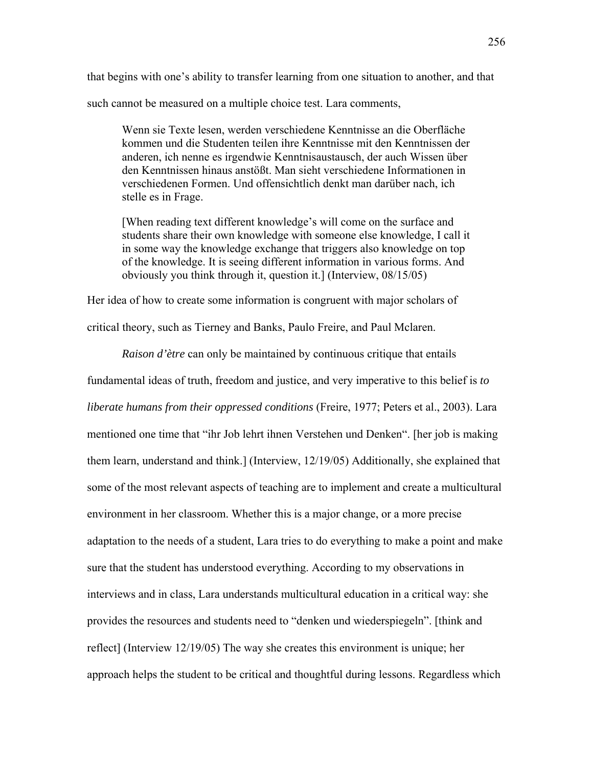that begins with one's ability to transfer learning from one situation to another, and that such cannot be measured on a multiple choice test. Lara comments,

Wenn sie Texte lesen, werden verschiedene Kenntnisse an die Oberfläche kommen und die Studenten teilen ihre Kenntnisse mit den Kenntnissen der anderen, ich nenne es irgendwie Kenntnisaustausch, der auch Wissen über den Kenntnissen hinaus anstößt. Man sieht verschiedene Informationen in verschiedenen Formen. Und offensichtlich denkt man darüber nach, ich stelle es in Frage.

[When reading text different knowledge's will come on the surface and students share their own knowledge with someone else knowledge, I call it in some way the knowledge exchange that triggers also knowledge on top of the knowledge. It is seeing different information in various forms. And obviously you think through it, question it.] (Interview, 08/15/05)

Her idea of how to create some information is congruent with major scholars of

critical theory, such as Tierney and Banks, Paulo Freire, and Paul Mclaren.

*Raison d'ètre* can only be maintained by continuous critique that entails

fundamental ideas of truth, freedom and justice, and very imperative to this belief is *to liberate humans from their oppressed conditions* (Freire, 1977; Peters et al., 2003). Lara mentioned one time that "ihr Job lehrt ihnen Verstehen und Denken". [her job is making them learn, understand and think.] (Interview, 12/19/05) Additionally, she explained that some of the most relevant aspects of teaching are to implement and create a multicultural environment in her classroom. Whether this is a major change, or a more precise adaptation to the needs of a student, Lara tries to do everything to make a point and make sure that the student has understood everything. According to my observations in interviews and in class, Lara understands multicultural education in a critical way: she provides the resources and students need to "denken und wiederspiegeln". [think and reflect] (Interview 12/19/05) The way she creates this environment is unique; her approach helps the student to be critical and thoughtful during lessons. Regardless which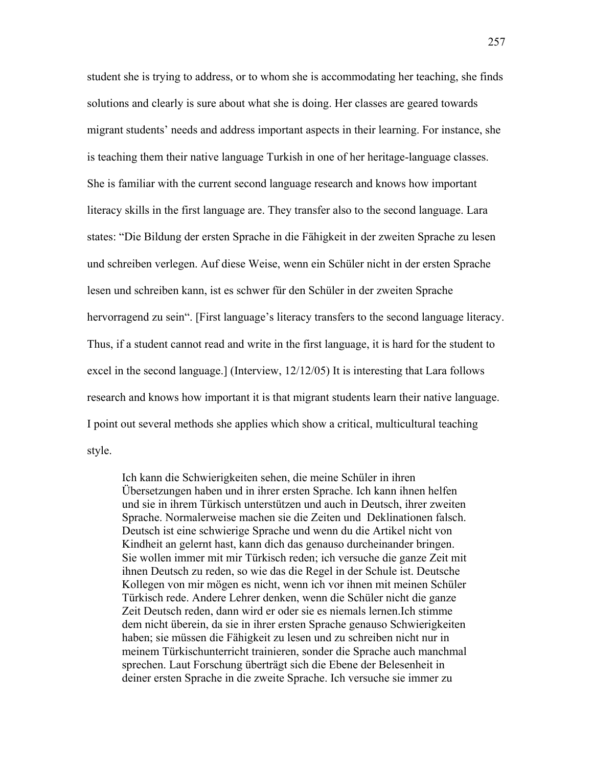student she is trying to address, or to whom she is accommodating her teaching, she finds solutions and clearly is sure about what she is doing. Her classes are geared towards migrant students' needs and address important aspects in their learning. For instance, she is teaching them their native language Turkish in one of her heritage-language classes. She is familiar with the current second language research and knows how important literacy skills in the first language are. They transfer also to the second language. Lara states: "Die Bildung der ersten Sprache in die Fähigkeit in der zweiten Sprache zu lesen und schreiben verlegen. Auf diese Weise, wenn ein Schüler nicht in der ersten Sprache lesen und schreiben kann, ist es schwer für den Schüler in der zweiten Sprache hervorragend zu sein". [First language's literacy transfers to the second language literacy. Thus, if a student cannot read and write in the first language, it is hard for the student to excel in the second language.] (Interview, 12/12/05) It is interesting that Lara follows research and knows how important it is that migrant students learn their native language. I point out several methods she applies which show a critical, multicultural teaching style.

Ich kann die Schwierigkeiten sehen, die meine Schüler in ihren Übersetzungen haben und in ihrer ersten Sprache. Ich kann ihnen helfen und sie in ihrem Türkisch unterstützen und auch in Deutsch, ihrer zweiten Sprache. Normalerweise machen sie die Zeiten und Deklinationen falsch. Deutsch ist eine schwierige Sprache und wenn du die Artikel nicht von Kindheit an gelernt hast, kann dich das genauso durcheinander bringen. Sie wollen immer mit mir Türkisch reden; ich versuche die ganze Zeit mit ihnen Deutsch zu reden, so wie das die Regel in der Schule ist. Deutsche Kollegen von mir mögen es nicht, wenn ich vor ihnen mit meinen Schüler Türkisch rede. Andere Lehrer denken, wenn die Schüler nicht die ganze Zeit Deutsch reden, dann wird er oder sie es niemals lernen.Ich stimme dem nicht überein, da sie in ihrer ersten Sprache genauso Schwierigkeiten haben; sie müssen die Fähigkeit zu lesen und zu schreiben nicht nur in meinem Türkischunterricht trainieren, sonder die Sprache auch manchmal sprechen. Laut Forschung überträgt sich die Ebene der Belesenheit in deiner ersten Sprache in die zweite Sprache. Ich versuche sie immer zu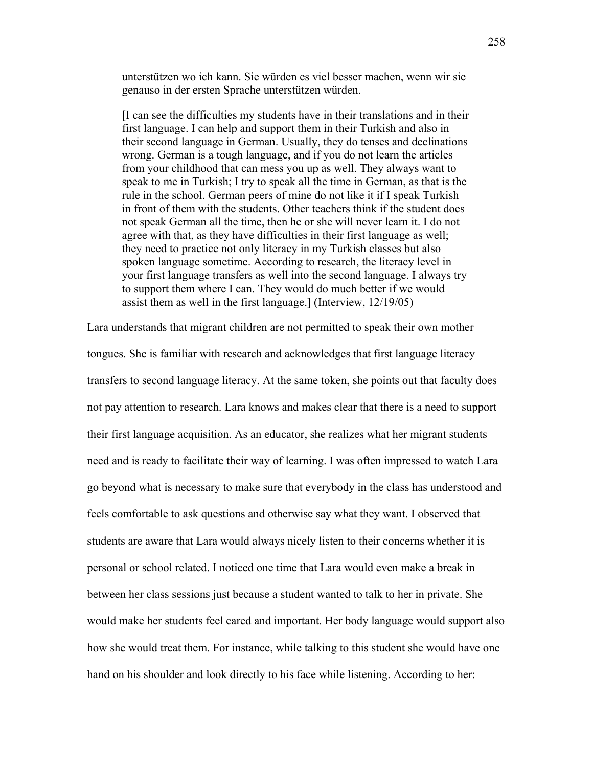unterstützen wo ich kann. Sie würden es viel besser machen, wenn wir sie genauso in der ersten Sprache unterstützen würden.

[I can see the difficulties my students have in their translations and in their first language. I can help and support them in their Turkish and also in their second language in German. Usually, they do tenses and declinations wrong. German is a tough language, and if you do not learn the articles from your childhood that can mess you up as well. They always want to speak to me in Turkish; I try to speak all the time in German, as that is the rule in the school. German peers of mine do not like it if I speak Turkish in front of them with the students. Other teachers think if the student does not speak German all the time, then he or she will never learn it. I do not agree with that, as they have difficulties in their first language as well; they need to practice not only literacy in my Turkish classes but also spoken language sometime. According to research, the literacy level in your first language transfers as well into the second language. I always try to support them where I can. They would do much better if we would assist them as well in the first language.] (Interview, 12/19/05)

Lara understands that migrant children are not permitted to speak their own mother tongues. She is familiar with research and acknowledges that first language literacy transfers to second language literacy. At the same token, she points out that faculty does not pay attention to research. Lara knows and makes clear that there is a need to support their first language acquisition. As an educator, she realizes what her migrant students need and is ready to facilitate their way of learning. I was often impressed to watch Lara go beyond what is necessary to make sure that everybody in the class has understood and feels comfortable to ask questions and otherwise say what they want. I observed that students are aware that Lara would always nicely listen to their concerns whether it is personal or school related. I noticed one time that Lara would even make a break in between her class sessions just because a student wanted to talk to her in private. She would make her students feel cared and important. Her body language would support also how she would treat them. For instance, while talking to this student she would have one hand on his shoulder and look directly to his face while listening. According to her: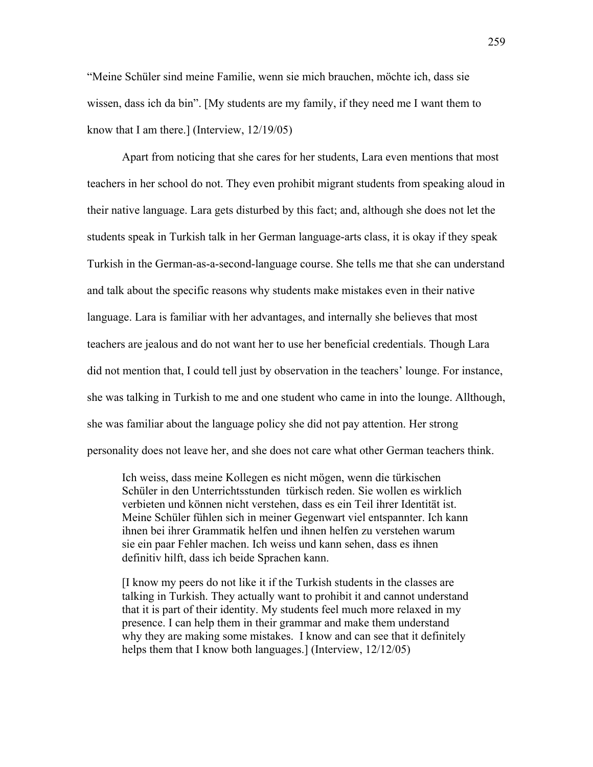"Meine Schüler sind meine Familie, wenn sie mich brauchen, möchte ich, dass sie wissen, dass ich da bin". [My students are my family, if they need me I want them to know that I am there.] (Interview, 12/19/05)

Apart from noticing that she cares for her students, Lara even mentions that most teachers in her school do not. They even prohibit migrant students from speaking aloud in their native language. Lara gets disturbed by this fact; and, although she does not let the students speak in Turkish talk in her German language-arts class, it is okay if they speak Turkish in the German-as-a-second-language course. She tells me that she can understand and talk about the specific reasons why students make mistakes even in their native language. Lara is familiar with her advantages, and internally she believes that most teachers are jealous and do not want her to use her beneficial credentials. Though Lara did not mention that, I could tell just by observation in the teachers' lounge. For instance, she was talking in Turkish to me and one student who came in into the lounge. Allthough, she was familiar about the language policy she did not pay attention. Her strong personality does not leave her, and she does not care what other German teachers think.

Ich weiss, dass meine Kollegen es nicht mögen, wenn die türkischen Schüler in den Unterrichtsstunden türkisch reden. Sie wollen es wirklich verbieten und können nicht verstehen, dass es ein Teil ihrer Identität ist. Meine Schüler fühlen sich in meiner Gegenwart viel entspannter. Ich kann ihnen bei ihrer Grammatik helfen und ihnen helfen zu verstehen warum sie ein paar Fehler machen. Ich weiss und kann sehen, dass es ihnen definitiv hilft, dass ich beide Sprachen kann.

[I know my peers do not like it if the Turkish students in the classes are talking in Turkish. They actually want to prohibit it and cannot understand that it is part of their identity. My students feel much more relaxed in my presence. I can help them in their grammar and make them understand why they are making some mistakes. I know and can see that it definitely helps them that I know both languages.] (Interview,  $12/12/05$ )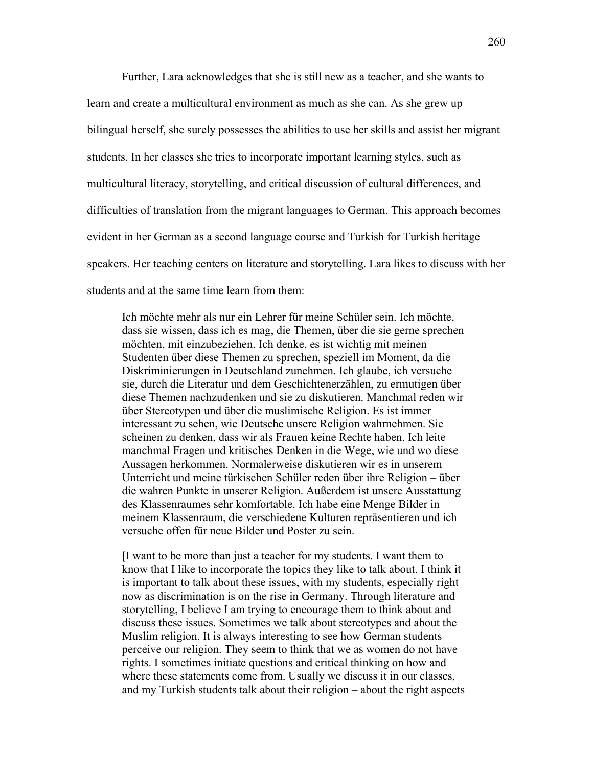Further, Lara acknowledges that she is still new as a teacher, and she wants to learn and create a multicultural environment as much as she can. As she grew up bilingual herself, she surely possesses the abilities to use her skills and assist her migrant students. In her classes she tries to incorporate important learning styles, such as multicultural literacy, storytelling, and critical discussion of cultural differences, and difficulties of translation from the migrant languages to German. This approach becomes evident in her German as a second language course and Turkish for Turkish heritage speakers. Her teaching centers on literature and storytelling. Lara likes to discuss with her students and at the same time learn from them:

Ich möchte mehr als nur ein Lehrer für meine Schüler sein. Ich möchte, dass sie wissen, dass ich es mag, die Themen, über die sie gerne sprechen möchten, mit einzubeziehen. Ich denke, es ist wichtig mit meinen Studenten über diese Themen zu sprechen, speziell im Moment, da die Diskriminierungen in Deutschland zunehmen. Ich glaube, ich versuche sie, durch die Literatur und dem Geschichtenerzählen, zu ermutigen über diese Themen nachzudenken und sie zu diskutieren. Manchmal reden wir über Stereotypen und über die muslimische Religion. Es ist immer interessant zu sehen, wie Deutsche unsere Religion wahrnehmen. Sie scheinen zu denken, dass wir als Frauen keine Rechte haben. Ich leite manchmal Fragen und kritisches Denken in die Wege, wie und wo diese Aussagen herkommen. Normalerweise diskutieren wir es in unserem Unterricht und meine türkischen Schüler reden über ihre Religion – über die wahren Punkte in unserer Religion. Außerdem ist unsere Ausstattung des Klassenraumes sehr komfortable. Ich habe eine Menge Bilder in meinem Klassenraum, die verschiedene Kulturen repräsentieren und ich versuche offen für neue Bilder und Poster zu sein.

[I want to be more than just a teacher for my students. I want them to know that I like to incorporate the topics they like to talk about. I think it is important to talk about these issues, with my students, especially right now as discrimination is on the rise in Germany. Through literature and storytelling, I believe I am trying to encourage them to think about and discuss these issues. Sometimes we talk about stereotypes and about the Muslim religion. It is always interesting to see how German students perceive our religion. They seem to think that we as women do not have rights. I sometimes initiate questions and critical thinking on how and where these statements come from. Usually we discuss it in our classes, and my Turkish students talk about their religion – about the right aspects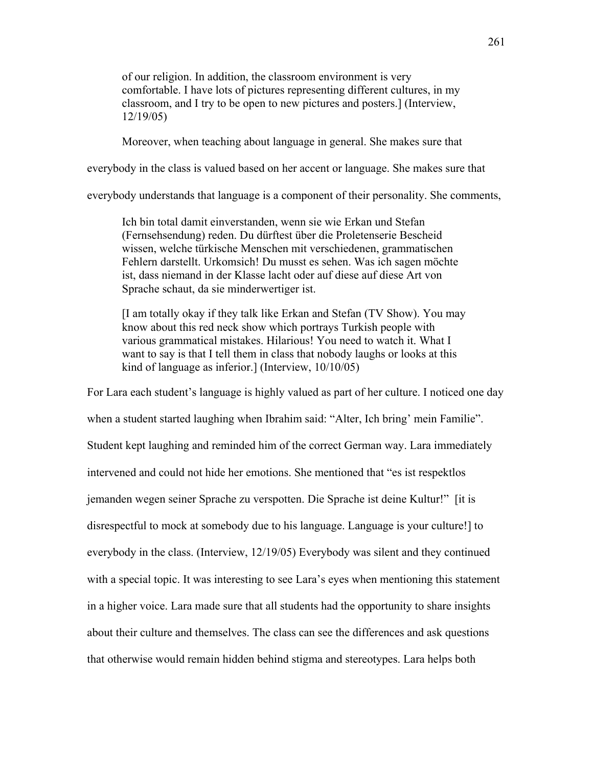of our religion. In addition, the classroom environment is very comfortable. I have lots of pictures representing different cultures, in my classroom, and I try to be open to new pictures and posters.] (Interview, 12/19/05)

Moreover, when teaching about language in general. She makes sure that

everybody in the class is valued based on her accent or language. She makes sure that

everybody understands that language is a component of their personality. She comments,

Ich bin total damit einverstanden, wenn sie wie Erkan und Stefan (Fernsehsendung) reden. Du dürftest über die Proletenserie Bescheid wissen, welche türkische Menschen mit verschiedenen, grammatischen Fehlern darstellt. Urkomsich! Du musst es sehen. Was ich sagen möchte ist, dass niemand in der Klasse lacht oder auf diese auf diese Art von Sprache schaut, da sie minderwertiger ist.

[I am totally okay if they talk like Erkan and Stefan (TV Show). You may know about this red neck show which portrays Turkish people with various grammatical mistakes. Hilarious! You need to watch it. What I want to say is that I tell them in class that nobody laughs or looks at this kind of language as inferior.] (Interview, 10/10/05)

For Lara each student's language is highly valued as part of her culture. I noticed one day when a student started laughing when Ibrahim said: "Alter, Ich bring' mein Familie". Student kept laughing and reminded him of the correct German way. Lara immediately intervened and could not hide her emotions. She mentioned that "es ist respektlos jemanden wegen seiner Sprache zu verspotten. Die Sprache ist deine Kultur!" [it is disrespectful to mock at somebody due to his language. Language is your culture!] to everybody in the class. (Interview, 12/19/05) Everybody was silent and they continued with a special topic. It was interesting to see Lara's eyes when mentioning this statement in a higher voice. Lara made sure that all students had the opportunity to share insights about their culture and themselves. The class can see the differences and ask questions that otherwise would remain hidden behind stigma and stereotypes. Lara helps both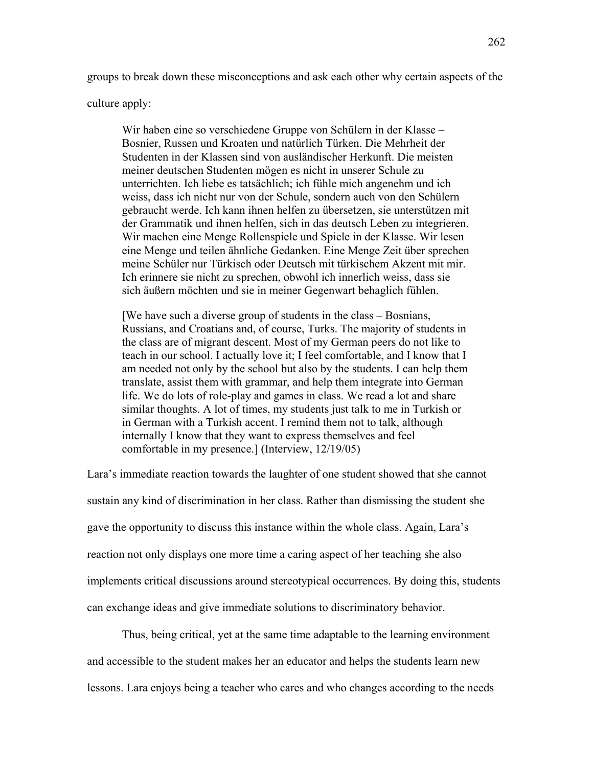groups to break down these misconceptions and ask each other why certain aspects of the

culture apply:

Wir haben eine so verschiedene Gruppe von Schülern in der Klasse – Bosnier, Russen und Kroaten und natürlich Türken. Die Mehrheit der Studenten in der Klassen sind von ausländischer Herkunft. Die meisten meiner deutschen Studenten mögen es nicht in unserer Schule zu unterrichten. Ich liebe es tatsächlich; ich fühle mich angenehm und ich weiss, dass ich nicht nur von der Schule, sondern auch von den Schülern gebraucht werde. Ich kann ihnen helfen zu übersetzen, sie unterstützen mit der Grammatik und ihnen helfen, sich in das deutsch Leben zu integrieren. Wir machen eine Menge Rollenspiele und Spiele in der Klasse. Wir lesen eine Menge und teilen ähnliche Gedanken. Eine Menge Zeit über sprechen meine Schüler nur Türkisch oder Deutsch mit türkischem Akzent mit mir. Ich erinnere sie nicht zu sprechen, obwohl ich innerlich weiss, dass sie sich äußern möchten und sie in meiner Gegenwart behaglich fühlen.

[We have such a diverse group of students in the class – Bosnians, Russians, and Croatians and, of course, Turks. The majority of students in the class are of migrant descent. Most of my German peers do not like to teach in our school. I actually love it; I feel comfortable, and I know that I am needed not only by the school but also by the students. I can help them translate, assist them with grammar, and help them integrate into German life. We do lots of role-play and games in class. We read a lot and share similar thoughts. A lot of times, my students just talk to me in Turkish or in German with a Turkish accent. I remind them not to talk, although internally I know that they want to express themselves and feel comfortable in my presence.] (Interview, 12/19/05)

Lara's immediate reaction towards the laughter of one student showed that she cannot sustain any kind of discrimination in her class. Rather than dismissing the student she gave the opportunity to discuss this instance within the whole class. Again, Lara's reaction not only displays one more time a caring aspect of her teaching she also implements critical discussions around stereotypical occurrences. By doing this, students can exchange ideas and give immediate solutions to discriminatory behavior.

Thus, being critical, yet at the same time adaptable to the learning environment and accessible to the student makes her an educator and helps the students learn new lessons. Lara enjoys being a teacher who cares and who changes according to the needs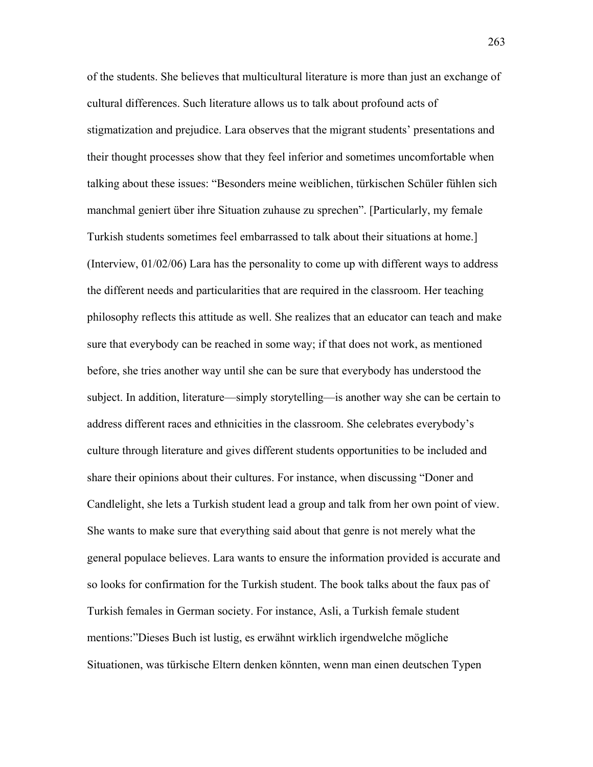of the students. She believes that multicultural literature is more than just an exchange of cultural differences. Such literature allows us to talk about profound acts of stigmatization and prejudice. Lara observes that the migrant students' presentations and their thought processes show that they feel inferior and sometimes uncomfortable when talking about these issues: "Besonders meine weiblichen, türkischen Schüler fühlen sich manchmal geniert über ihre Situation zuhause zu sprechen". [Particularly, my female Turkish students sometimes feel embarrassed to talk about their situations at home.] (Interview, 01/02/06) Lara has the personality to come up with different ways to address the different needs and particularities that are required in the classroom. Her teaching philosophy reflects this attitude as well. She realizes that an educator can teach and make sure that everybody can be reached in some way; if that does not work, as mentioned before, she tries another way until she can be sure that everybody has understood the subject. In addition, literature—simply storytelling—is another way she can be certain to address different races and ethnicities in the classroom. She celebrates everybody's culture through literature and gives different students opportunities to be included and share their opinions about their cultures. For instance, when discussing "Doner and Candlelight, she lets a Turkish student lead a group and talk from her own point of view. She wants to make sure that everything said about that genre is not merely what the general populace believes. Lara wants to ensure the information provided is accurate and so looks for confirmation for the Turkish student. The book talks about the faux pas of Turkish females in German society. For instance, Asli, a Turkish female student mentions:"Dieses Buch ist lustig, es erwähnt wirklich irgendwelche mögliche Situationen, was türkische Eltern denken könnten, wenn man einen deutschen Typen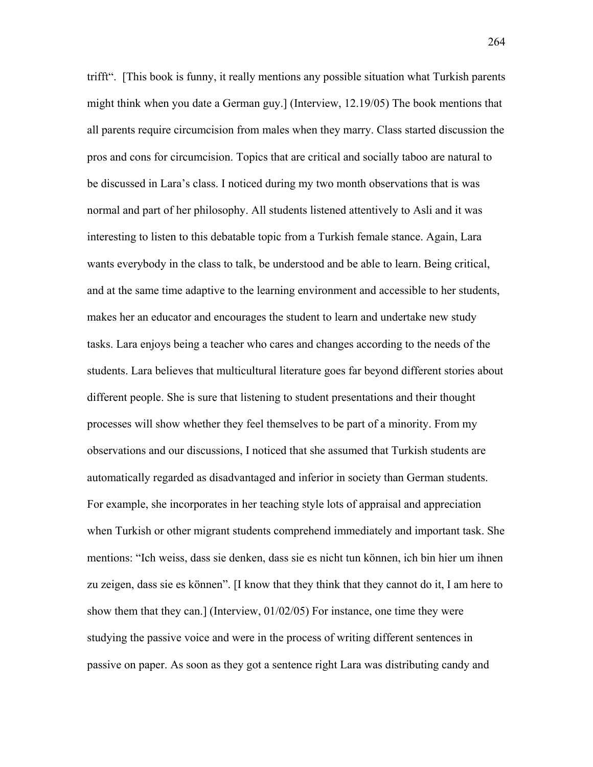trifft". [This book is funny, it really mentions any possible situation what Turkish parents might think when you date a German guy.] (Interview, 12.19/05) The book mentions that all parents require circumcision from males when they marry. Class started discussion the pros and cons for circumcision. Topics that are critical and socially taboo are natural to be discussed in Lara's class. I noticed during my two month observations that is was normal and part of her philosophy. All students listened attentively to Asli and it was interesting to listen to this debatable topic from a Turkish female stance. Again, Lara wants everybody in the class to talk, be understood and be able to learn. Being critical, and at the same time adaptive to the learning environment and accessible to her students, makes her an educator and encourages the student to learn and undertake new study tasks. Lara enjoys being a teacher who cares and changes according to the needs of the students. Lara believes that multicultural literature goes far beyond different stories about different people. She is sure that listening to student presentations and their thought processes will show whether they feel themselves to be part of a minority. From my observations and our discussions, I noticed that she assumed that Turkish students are automatically regarded as disadvantaged and inferior in society than German students. For example, she incorporates in her teaching style lots of appraisal and appreciation when Turkish or other migrant students comprehend immediately and important task. She mentions: "Ich weiss, dass sie denken, dass sie es nicht tun können, ich bin hier um ihnen zu zeigen, dass sie es können". [I know that they think that they cannot do it, I am here to show them that they can.] (Interview,  $01/02/05$ ) For instance, one time they were studying the passive voice and were in the process of writing different sentences in passive on paper. As soon as they got a sentence right Lara was distributing candy and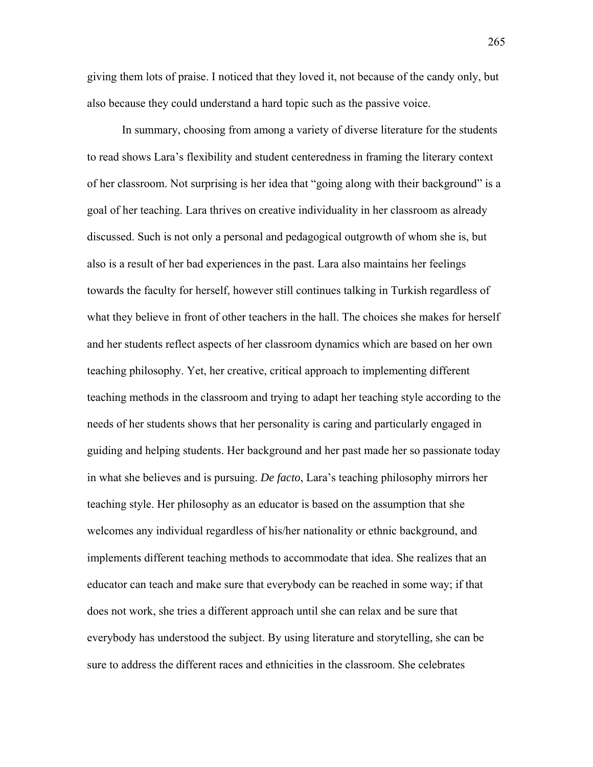giving them lots of praise. I noticed that they loved it, not because of the candy only, but also because they could understand a hard topic such as the passive voice.

In summary, choosing from among a variety of diverse literature for the students to read shows Lara's flexibility and student centeredness in framing the literary context of her classroom. Not surprising is her idea that "going along with their background" is a goal of her teaching. Lara thrives on creative individuality in her classroom as already discussed. Such is not only a personal and pedagogical outgrowth of whom she is, but also is a result of her bad experiences in the past. Lara also maintains her feelings towards the faculty for herself, however still continues talking in Turkish regardless of what they believe in front of other teachers in the hall. The choices she makes for herself and her students reflect aspects of her classroom dynamics which are based on her own teaching philosophy. Yet, her creative, critical approach to implementing different teaching methods in the classroom and trying to adapt her teaching style according to the needs of her students shows that her personality is caring and particularly engaged in guiding and helping students. Her background and her past made her so passionate today in what she believes and is pursuing. *De facto*, Lara's teaching philosophy mirrors her teaching style. Her philosophy as an educator is based on the assumption that she welcomes any individual regardless of his/her nationality or ethnic background, and implements different teaching methods to accommodate that idea. She realizes that an educator can teach and make sure that everybody can be reached in some way; if that does not work, she tries a different approach until she can relax and be sure that everybody has understood the subject. By using literature and storytelling, she can be sure to address the different races and ethnicities in the classroom. She celebrates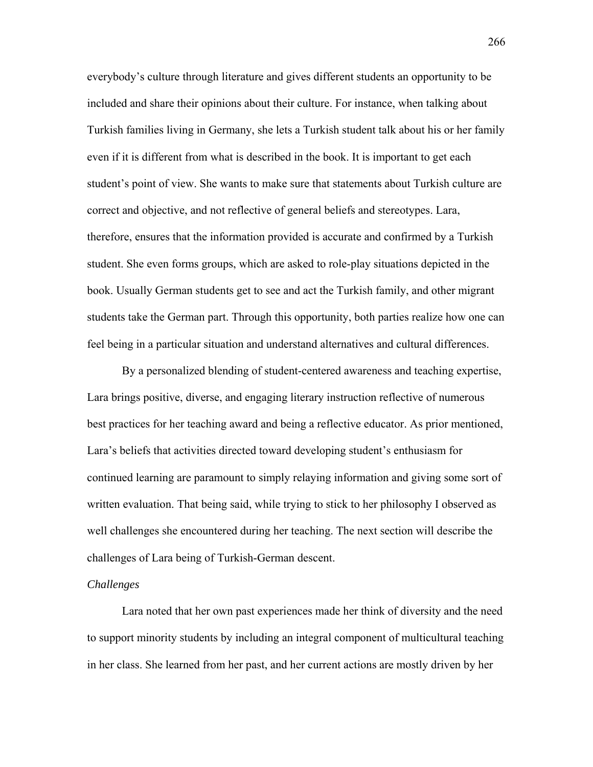everybody's culture through literature and gives different students an opportunity to be included and share their opinions about their culture. For instance, when talking about Turkish families living in Germany, she lets a Turkish student talk about his or her family even if it is different from what is described in the book. It is important to get each student's point of view. She wants to make sure that statements about Turkish culture are correct and objective, and not reflective of general beliefs and stereotypes. Lara, therefore, ensures that the information provided is accurate and confirmed by a Turkish student. She even forms groups, which are asked to role-play situations depicted in the book. Usually German students get to see and act the Turkish family, and other migrant students take the German part. Through this opportunity, both parties realize how one can feel being in a particular situation and understand alternatives and cultural differences.

By a personalized blending of student-centered awareness and teaching expertise, Lara brings positive, diverse, and engaging literary instruction reflective of numerous best practices for her teaching award and being a reflective educator. As prior mentioned, Lara's beliefs that activities directed toward developing student's enthusiasm for continued learning are paramount to simply relaying information and giving some sort of written evaluation. That being said, while trying to stick to her philosophy I observed as well challenges she encountered during her teaching. The next section will describe the challenges of Lara being of Turkish-German descent.

## *Challenges*

Lara noted that her own past experiences made her think of diversity and the need to support minority students by including an integral component of multicultural teaching in her class. She learned from her past, and her current actions are mostly driven by her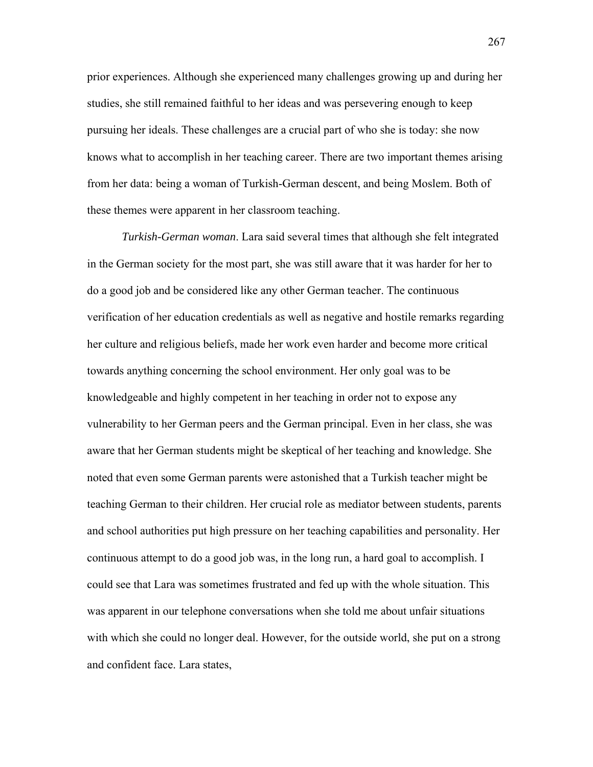prior experiences. Although she experienced many challenges growing up and during her studies, she still remained faithful to her ideas and was persevering enough to keep pursuing her ideals. These challenges are a crucial part of who she is today: she now knows what to accomplish in her teaching career. There are two important themes arising from her data: being a woman of Turkish-German descent, and being Moslem. Both of these themes were apparent in her classroom teaching.

*Turkish-German woman*. Lara said several times that although she felt integrated in the German society for the most part, she was still aware that it was harder for her to do a good job and be considered like any other German teacher. The continuous verification of her education credentials as well as negative and hostile remarks regarding her culture and religious beliefs, made her work even harder and become more critical towards anything concerning the school environment. Her only goal was to be knowledgeable and highly competent in her teaching in order not to expose any vulnerability to her German peers and the German principal. Even in her class, she was aware that her German students might be skeptical of her teaching and knowledge. She noted that even some German parents were astonished that a Turkish teacher might be teaching German to their children. Her crucial role as mediator between students, parents and school authorities put high pressure on her teaching capabilities and personality. Her continuous attempt to do a good job was, in the long run, a hard goal to accomplish. I could see that Lara was sometimes frustrated and fed up with the whole situation. This was apparent in our telephone conversations when she told me about unfair situations with which she could no longer deal. However, for the outside world, she put on a strong and confident face. Lara states,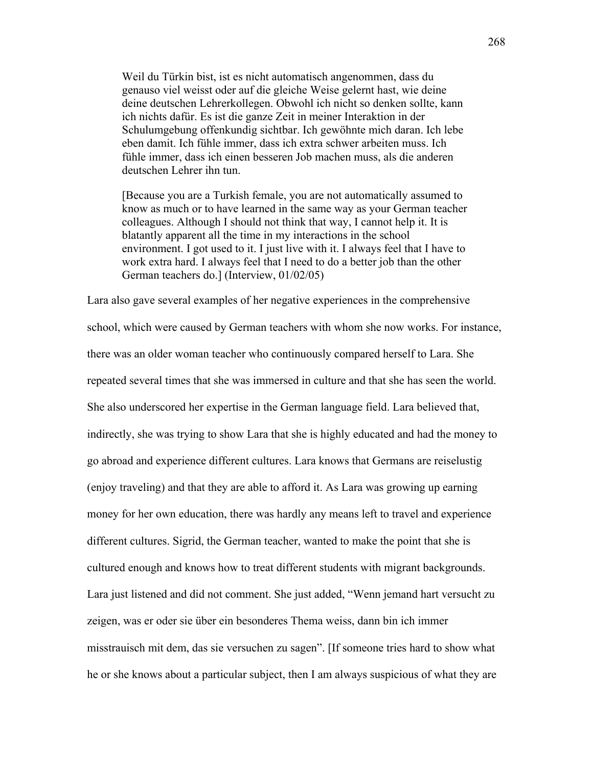Weil du Türkin bist, ist es nicht automatisch angenommen, dass du genauso viel weisst oder auf die gleiche Weise gelernt hast, wie deine deine deutschen Lehrerkollegen. Obwohl ich nicht so denken sollte, kann ich nichts dafür. Es ist die ganze Zeit in meiner Interaktion in der Schulumgebung offenkundig sichtbar. Ich gewöhnte mich daran. Ich lebe eben damit. Ich fühle immer, dass ich extra schwer arbeiten muss. Ich fühle immer, dass ich einen besseren Job machen muss, als die anderen deutschen Lehrer ihn tun.

[Because you are a Turkish female, you are not automatically assumed to know as much or to have learned in the same way as your German teacher colleagues. Although I should not think that way, I cannot help it. It is blatantly apparent all the time in my interactions in the school environment. I got used to it. I just live with it. I always feel that I have to work extra hard. I always feel that I need to do a better job than the other German teachers do.] (Interview, 01/02/05)

Lara also gave several examples of her negative experiences in the comprehensive school, which were caused by German teachers with whom she now works. For instance, there was an older woman teacher who continuously compared herself to Lara. She repeated several times that she was immersed in culture and that she has seen the world. She also underscored her expertise in the German language field. Lara believed that, indirectly, she was trying to show Lara that she is highly educated and had the money to go abroad and experience different cultures. Lara knows that Germans are reiselustig (enjoy traveling) and that they are able to afford it. As Lara was growing up earning money for her own education, there was hardly any means left to travel and experience different cultures. Sigrid, the German teacher, wanted to make the point that she is cultured enough and knows how to treat different students with migrant backgrounds. Lara just listened and did not comment. She just added, "Wenn jemand hart versucht zu zeigen, was er oder sie über ein besonderes Thema weiss, dann bin ich immer misstrauisch mit dem, das sie versuchen zu sagen". [If someone tries hard to show what he or she knows about a particular subject, then I am always suspicious of what they are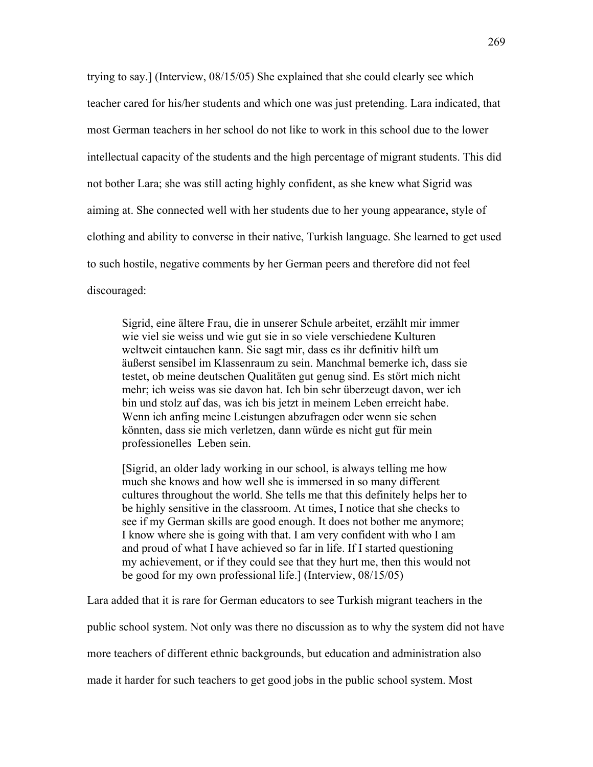trying to say.] (Interview, 08/15/05) She explained that she could clearly see which teacher cared for his/her students and which one was just pretending. Lara indicated, that most German teachers in her school do not like to work in this school due to the lower intellectual capacity of the students and the high percentage of migrant students. This did not bother Lara; she was still acting highly confident, as she knew what Sigrid was aiming at. She connected well with her students due to her young appearance, style of clothing and ability to converse in their native, Turkish language. She learned to get used to such hostile, negative comments by her German peers and therefore did not feel discouraged:

Sigrid, eine ältere Frau, die in unserer Schule arbeitet, erzählt mir immer wie viel sie weiss und wie gut sie in so viele verschiedene Kulturen weltweit eintauchen kann. Sie sagt mir, dass es ihr definitiv hilft um äußerst sensibel im Klassenraum zu sein. Manchmal bemerke ich, dass sie testet, ob meine deutschen Qualitäten gut genug sind. Es stört mich nicht mehr; ich weiss was sie davon hat. Ich bin sehr überzeugt davon, wer ich bin und stolz auf das, was ich bis jetzt in meinem Leben erreicht habe. Wenn ich anfing meine Leistungen abzufragen oder wenn sie sehen könnten, dass sie mich verletzen, dann würde es nicht gut für mein professionelles Leben sein.

[Sigrid, an older lady working in our school, is always telling me how much she knows and how well she is immersed in so many different cultures throughout the world. She tells me that this definitely helps her to be highly sensitive in the classroom. At times, I notice that she checks to see if my German skills are good enough. It does not bother me anymore; I know where she is going with that. I am very confident with who I am and proud of what I have achieved so far in life. If I started questioning my achievement, or if they could see that they hurt me, then this would not be good for my own professional life.] (Interview, 08/15/05)

Lara added that it is rare for German educators to see Turkish migrant teachers in the

public school system. Not only was there no discussion as to why the system did not have

more teachers of different ethnic backgrounds, but education and administration also

made it harder for such teachers to get good jobs in the public school system. Most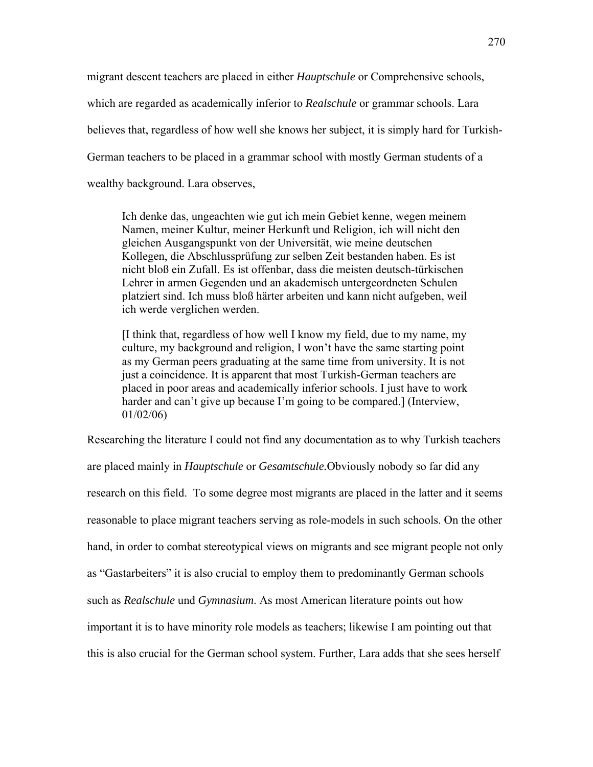migrant descent teachers are placed in either *Hauptschule* or Comprehensive schools, which are regarded as academically inferior to *Realschule* or grammar schools. Lara believes that, regardless of how well she knows her subject, it is simply hard for Turkish-German teachers to be placed in a grammar school with mostly German students of a wealthy background. Lara observes,

Ich denke das, ungeachten wie gut ich mein Gebiet kenne, wegen meinem Namen, meiner Kultur, meiner Herkunft und Religion, ich will nicht den gleichen Ausgangspunkt von der Universität, wie meine deutschen Kollegen, die Abschlussprüfung zur selben Zeit bestanden haben. Es ist nicht bloß ein Zufall. Es ist offenbar, dass die meisten deutsch-türkischen Lehrer in armen Gegenden und an akademisch untergeordneten Schulen platziert sind. Ich muss bloß härter arbeiten und kann nicht aufgeben, weil ich werde verglichen werden.

[I think that, regardless of how well I know my field, due to my name, my culture, my background and religion, I won't have the same starting point as my German peers graduating at the same time from university. It is not just a coincidence. It is apparent that most Turkish-German teachers are placed in poor areas and academically inferior schools. I just have to work harder and can't give up because I'm going to be compared.] (Interview, 01/02/06)

Researching the literature I could not find any documentation as to why Turkish teachers are placed mainly in *Hauptschule* or *Gesamtschule.*Obviously nobody so far did any research on this field. To some degree most migrants are placed in the latter and it seems reasonable to place migrant teachers serving as role-models in such schools. On the other hand, in order to combat stereotypical views on migrants and see migrant people not only as "Gastarbeiters" it is also crucial to employ them to predominantly German schools such as *Realschule* und *Gymnasium*. As most American literature points out how important it is to have minority role models as teachers; likewise I am pointing out that this is also crucial for the German school system. Further, Lara adds that she sees herself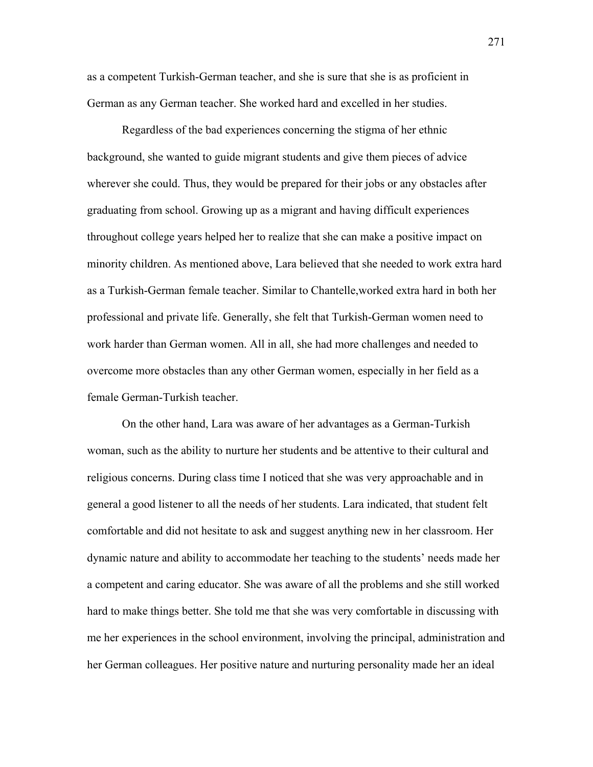as a competent Turkish-German teacher, and she is sure that she is as proficient in German as any German teacher. She worked hard and excelled in her studies.

Regardless of the bad experiences concerning the stigma of her ethnic background, she wanted to guide migrant students and give them pieces of advice wherever she could. Thus, they would be prepared for their jobs or any obstacles after graduating from school. Growing up as a migrant and having difficult experiences throughout college years helped her to realize that she can make a positive impact on minority children. As mentioned above, Lara believed that she needed to work extra hard as a Turkish-German female teacher. Similar to Chantelle,worked extra hard in both her professional and private life. Generally, she felt that Turkish-German women need to work harder than German women. All in all, she had more challenges and needed to overcome more obstacles than any other German women, especially in her field as a female German-Turkish teacher.

 On the other hand, Lara was aware of her advantages as a German-Turkish woman, such as the ability to nurture her students and be attentive to their cultural and religious concerns. During class time I noticed that she was very approachable and in general a good listener to all the needs of her students. Lara indicated, that student felt comfortable and did not hesitate to ask and suggest anything new in her classroom. Her dynamic nature and ability to accommodate her teaching to the students' needs made her a competent and caring educator. She was aware of all the problems and she still worked hard to make things better. She told me that she was very comfortable in discussing with me her experiences in the school environment, involving the principal, administration and her German colleagues. Her positive nature and nurturing personality made her an ideal

271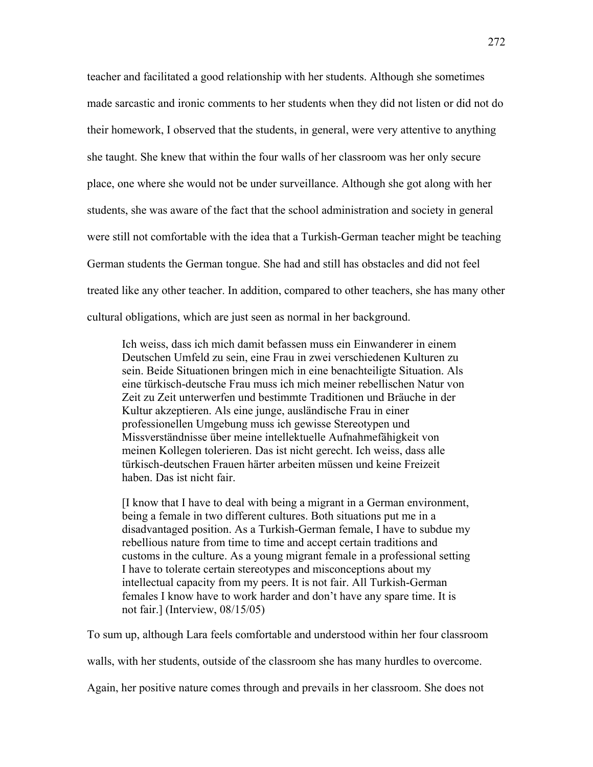teacher and facilitated a good relationship with her students. Although she sometimes made sarcastic and ironic comments to her students when they did not listen or did not do their homework, I observed that the students, in general, were very attentive to anything she taught. She knew that within the four walls of her classroom was her only secure place, one where she would not be under surveillance. Although she got along with her students, she was aware of the fact that the school administration and society in general were still not comfortable with the idea that a Turkish-German teacher might be teaching German students the German tongue. She had and still has obstacles and did not feel treated like any other teacher. In addition, compared to other teachers, she has many other cultural obligations, which are just seen as normal in her background.

Ich weiss, dass ich mich damit befassen muss ein Einwanderer in einem Deutschen Umfeld zu sein, eine Frau in zwei verschiedenen Kulturen zu sein. Beide Situationen bringen mich in eine benachteiligte Situation. Als eine türkisch-deutsche Frau muss ich mich meiner rebellischen Natur von Zeit zu Zeit unterwerfen und bestimmte Traditionen und Bräuche in der Kultur akzeptieren. Als eine junge, ausländische Frau in einer professionellen Umgebung muss ich gewisse Stereotypen und Missverständnisse über meine intellektuelle Aufnahmefähigkeit von meinen Kollegen tolerieren. Das ist nicht gerecht. Ich weiss, dass alle türkisch-deutschen Frauen härter arbeiten müssen und keine Freizeit haben. Das ist nicht fair.

[I know that I have to deal with being a migrant in a German environment, being a female in two different cultures. Both situations put me in a disadvantaged position. As a Turkish-German female, I have to subdue my rebellious nature from time to time and accept certain traditions and customs in the culture. As a young migrant female in a professional setting I have to tolerate certain stereotypes and misconceptions about my intellectual capacity from my peers. It is not fair. All Turkish-German females I know have to work harder and don't have any spare time. It is not fair.] (Interview, 08/15/05)

To sum up, although Lara feels comfortable and understood within her four classroom

walls, with her students, outside of the classroom she has many hurdles to overcome.

Again, her positive nature comes through and prevails in her classroom. She does not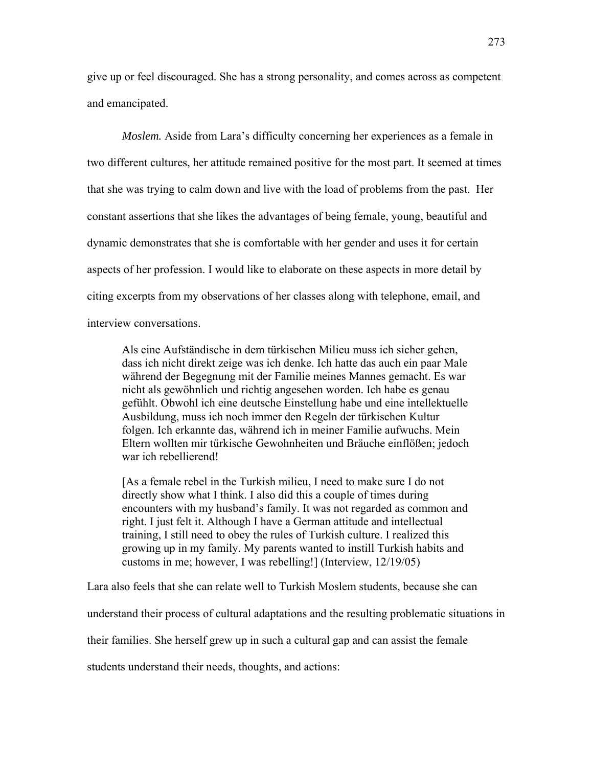give up or feel discouraged. She has a strong personality, and comes across as competent and emancipated.

*Moslem.* Aside from Lara's difficulty concerning her experiences as a female in two different cultures, her attitude remained positive for the most part. It seemed at times that she was trying to calm down and live with the load of problems from the past. Her constant assertions that she likes the advantages of being female, young, beautiful and dynamic demonstrates that she is comfortable with her gender and uses it for certain aspects of her profession. I would like to elaborate on these aspects in more detail by citing excerpts from my observations of her classes along with telephone, email, and interview conversations.

Als eine Aufständische in dem türkischen Milieu muss ich sicher gehen, dass ich nicht direkt zeige was ich denke. Ich hatte das auch ein paar Male während der Begegnung mit der Familie meines Mannes gemacht. Es war nicht als gewöhnlich und richtig angesehen worden. Ich habe es genau gefühlt. Obwohl ich eine deutsche Einstellung habe und eine intellektuelle Ausbildung, muss ich noch immer den Regeln der türkischen Kultur folgen. Ich erkannte das, während ich in meiner Familie aufwuchs. Mein Eltern wollten mir türkische Gewohnheiten und Bräuche einflößen; jedoch war ich rebellierend!

[As a female rebel in the Turkish milieu, I need to make sure I do not directly show what I think. I also did this a couple of times during encounters with my husband's family. It was not regarded as common and right. I just felt it. Although I have a German attitude and intellectual training, I still need to obey the rules of Turkish culture. I realized this growing up in my family. My parents wanted to instill Turkish habits and customs in me; however, I was rebelling!] (Interview, 12/19/05)

Lara also feels that she can relate well to Turkish Moslem students, because she can

understand their process of cultural adaptations and the resulting problematic situations in

their families. She herself grew up in such a cultural gap and can assist the female

students understand their needs, thoughts, and actions: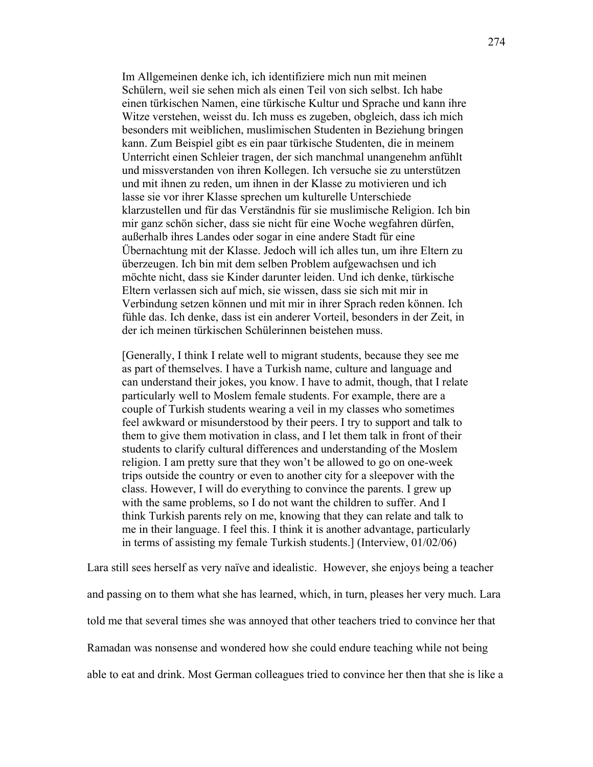Im Allgemeinen denke ich, ich identifiziere mich nun mit meinen Schülern, weil sie sehen mich als einen Teil von sich selbst. Ich habe einen türkischen Namen, eine türkische Kultur und Sprache und kann ihre Witze verstehen, weisst du. Ich muss es zugeben, obgleich, dass ich mich besonders mit weiblichen, muslimischen Studenten in Beziehung bringen kann. Zum Beispiel gibt es ein paar türkische Studenten, die in meinem Unterricht einen Schleier tragen, der sich manchmal unangenehm anfühlt und missverstanden von ihren Kollegen. Ich versuche sie zu unterstützen und mit ihnen zu reden, um ihnen in der Klasse zu motivieren und ich lasse sie vor ihrer Klasse sprechen um kulturelle Unterschiede klarzustellen und für das Verständnis für sie muslimische Religion. Ich bin mir ganz schön sicher, dass sie nicht für eine Woche wegfahren dürfen, außerhalb ihres Landes oder sogar in eine andere Stadt für eine Übernachtung mit der Klasse. Jedoch will ich alles tun, um ihre Eltern zu überzeugen. Ich bin mit dem selben Problem aufgewachsen und ich möchte nicht, dass sie Kinder darunter leiden. Und ich denke, türkische Eltern verlassen sich auf mich, sie wissen, dass sie sich mit mir in Verbindung setzen können und mit mir in ihrer Sprach reden können. Ich fühle das. Ich denke, dass ist ein anderer Vorteil, besonders in der Zeit, in der ich meinen türkischen Schülerinnen beistehen muss.

[Generally, I think I relate well to migrant students, because they see me as part of themselves. I have a Turkish name, culture and language and can understand their jokes, you know. I have to admit, though, that I relate particularly well to Moslem female students. For example, there are a couple of Turkish students wearing a veil in my classes who sometimes feel awkward or misunderstood by their peers. I try to support and talk to them to give them motivation in class, and I let them talk in front of their students to clarify cultural differences and understanding of the Moslem religion. I am pretty sure that they won't be allowed to go on one-week trips outside the country or even to another city for a sleepover with the class. However, I will do everything to convince the parents. I grew up with the same problems, so I do not want the children to suffer. And I think Turkish parents rely on me, knowing that they can relate and talk to me in their language. I feel this. I think it is another advantage, particularly in terms of assisting my female Turkish students.] (Interview, 01/02/06)

Lara still sees herself as very naïve and idealistic. However, she enjoys being a teacher and passing on to them what she has learned, which, in turn, pleases her very much. Lara told me that several times she was annoyed that other teachers tried to convince her that Ramadan was nonsense and wondered how she could endure teaching while not being able to eat and drink. Most German colleagues tried to convince her then that she is like a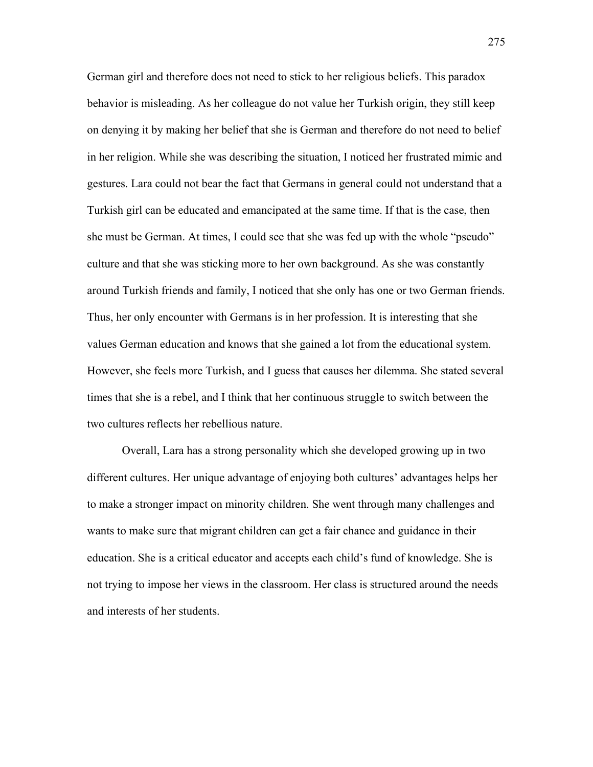German girl and therefore does not need to stick to her religious beliefs. This paradox behavior is misleading. As her colleague do not value her Turkish origin, they still keep on denying it by making her belief that she is German and therefore do not need to belief in her religion. While she was describing the situation, I noticed her frustrated mimic and gestures. Lara could not bear the fact that Germans in general could not understand that a Turkish girl can be educated and emancipated at the same time. If that is the case, then she must be German. At times, I could see that she was fed up with the whole "pseudo" culture and that she was sticking more to her own background. As she was constantly around Turkish friends and family, I noticed that she only has one or two German friends. Thus, her only encounter with Germans is in her profession. It is interesting that she values German education and knows that she gained a lot from the educational system. However, she feels more Turkish, and I guess that causes her dilemma. She stated several times that she is a rebel, and I think that her continuous struggle to switch between the two cultures reflects her rebellious nature.

Overall, Lara has a strong personality which she developed growing up in two different cultures. Her unique advantage of enjoying both cultures' advantages helps her to make a stronger impact on minority children. She went through many challenges and wants to make sure that migrant children can get a fair chance and guidance in their education. She is a critical educator and accepts each child's fund of knowledge. She is not trying to impose her views in the classroom. Her class is structured around the needs and interests of her students.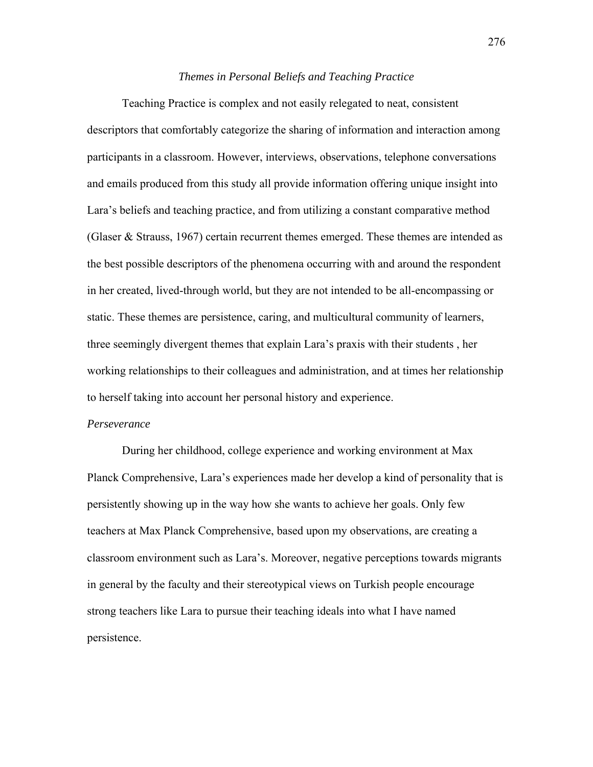### *Themes in Personal Beliefs and Teaching Practice*

Teaching Practice is complex and not easily relegated to neat, consistent descriptors that comfortably categorize the sharing of information and interaction among participants in a classroom. However, interviews, observations, telephone conversations and emails produced from this study all provide information offering unique insight into Lara's beliefs and teaching practice, and from utilizing a constant comparative method (Glaser  $\&$  Strauss, 1967) certain recurrent themes emerged. These themes are intended as the best possible descriptors of the phenomena occurring with and around the respondent in her created, lived-through world, but they are not intended to be all-encompassing or static. These themes are persistence, caring, and multicultural community of learners, three seemingly divergent themes that explain Lara's praxis with their students , her working relationships to their colleagues and administration, and at times her relationship to herself taking into account her personal history and experience.

#### *Perseverance*

During her childhood, college experience and working environment at Max Planck Comprehensive, Lara's experiences made her develop a kind of personality that is persistently showing up in the way how she wants to achieve her goals. Only few teachers at Max Planck Comprehensive, based upon my observations, are creating a classroom environment such as Lara's. Moreover, negative perceptions towards migrants in general by the faculty and their stereotypical views on Turkish people encourage strong teachers like Lara to pursue their teaching ideals into what I have named persistence.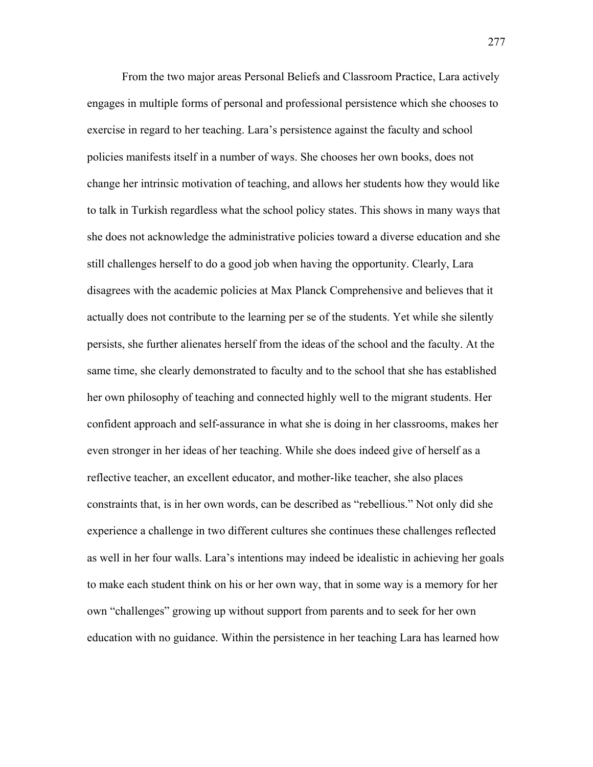From the two major areas Personal Beliefs and Classroom Practice, Lara actively engages in multiple forms of personal and professional persistence which she chooses to exercise in regard to her teaching. Lara's persistence against the faculty and school policies manifests itself in a number of ways. She chooses her own books, does not change her intrinsic motivation of teaching, and allows her students how they would like to talk in Turkish regardless what the school policy states. This shows in many ways that she does not acknowledge the administrative policies toward a diverse education and she still challenges herself to do a good job when having the opportunity. Clearly, Lara disagrees with the academic policies at Max Planck Comprehensive and believes that it actually does not contribute to the learning per se of the students. Yet while she silently persists, she further alienates herself from the ideas of the school and the faculty. At the same time, she clearly demonstrated to faculty and to the school that she has established her own philosophy of teaching and connected highly well to the migrant students. Her confident approach and self-assurance in what she is doing in her classrooms, makes her even stronger in her ideas of her teaching. While she does indeed give of herself as a reflective teacher, an excellent educator, and mother-like teacher, she also places constraints that, is in her own words, can be described as "rebellious." Not only did she experience a challenge in two different cultures she continues these challenges reflected as well in her four walls. Lara's intentions may indeed be idealistic in achieving her goals to make each student think on his or her own way, that in some way is a memory for her own "challenges" growing up without support from parents and to seek for her own education with no guidance. Within the persistence in her teaching Lara has learned how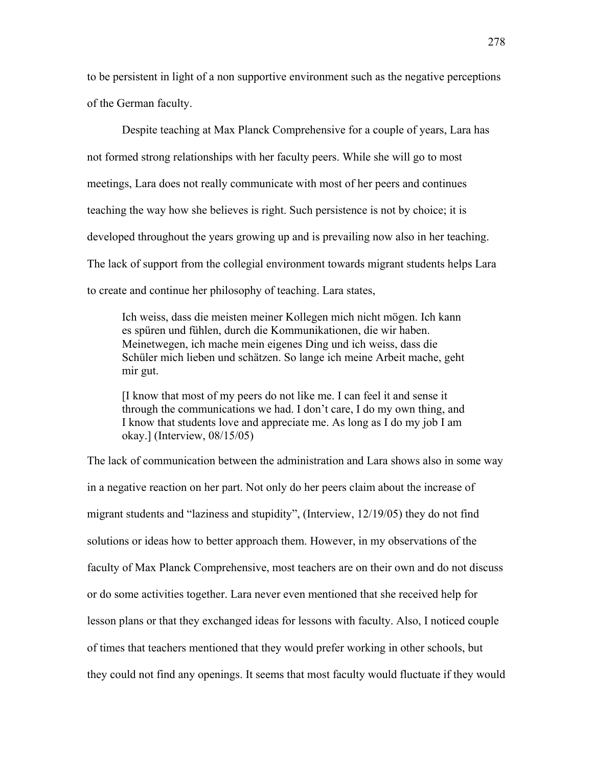to be persistent in light of a non supportive environment such as the negative perceptions of the German faculty.

Despite teaching at Max Planck Comprehensive for a couple of years, Lara has not formed strong relationships with her faculty peers. While she will go to most meetings, Lara does not really communicate with most of her peers and continues teaching the way how she believes is right. Such persistence is not by choice; it is developed throughout the years growing up and is prevailing now also in her teaching. The lack of support from the collegial environment towards migrant students helps Lara to create and continue her philosophy of teaching. Lara states,

Ich weiss, dass die meisten meiner Kollegen mich nicht mögen. Ich kann es spüren und fühlen, durch die Kommunikationen, die wir haben. Meinetwegen, ich mache mein eigenes Ding und ich weiss, dass die Schüler mich lieben und schätzen. So lange ich meine Arbeit mache, geht mir gut.

[I know that most of my peers do not like me. I can feel it and sense it through the communications we had. I don't care, I do my own thing, and I know that students love and appreciate me. As long as I do my job I am okay.] (Interview, 08/15/05)

The lack of communication between the administration and Lara shows also in some way in a negative reaction on her part. Not only do her peers claim about the increase of migrant students and "laziness and stupidity", (Interview, 12/19/05) they do not find solutions or ideas how to better approach them. However, in my observations of the faculty of Max Planck Comprehensive, most teachers are on their own and do not discuss or do some activities together. Lara never even mentioned that she received help for lesson plans or that they exchanged ideas for lessons with faculty. Also, I noticed couple of times that teachers mentioned that they would prefer working in other schools, but they could not find any openings. It seems that most faculty would fluctuate if they would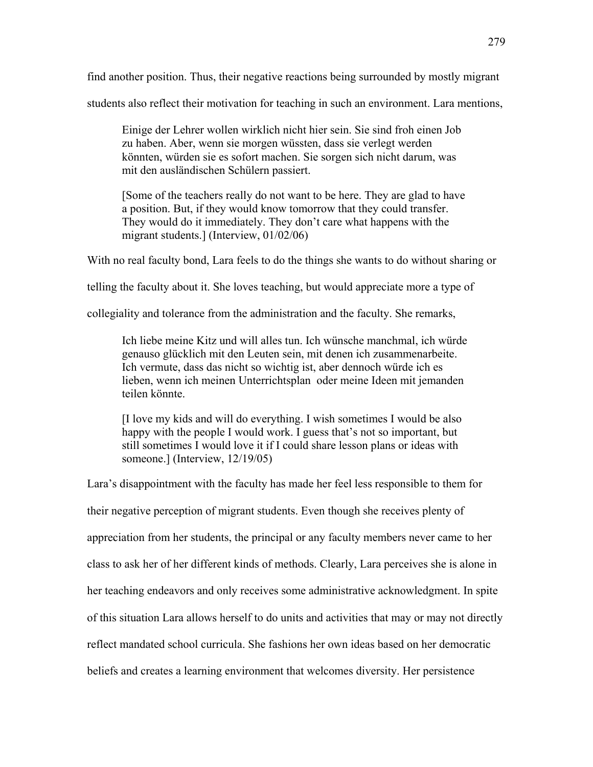find another position. Thus, their negative reactions being surrounded by mostly migrant

students also reflect their motivation for teaching in such an environment. Lara mentions,

Einige der Lehrer wollen wirklich nicht hier sein. Sie sind froh einen Job zu haben. Aber, wenn sie morgen wüssten, dass sie verlegt werden könnten, würden sie es sofort machen. Sie sorgen sich nicht darum, was mit den ausländischen Schülern passiert.

[Some of the teachers really do not want to be here. They are glad to have a position. But, if they would know tomorrow that they could transfer. They would do it immediately. They don't care what happens with the migrant students.] (Interview, 01/02/06)

With no real faculty bond, Lara feels to do the things she wants to do without sharing or

telling the faculty about it. She loves teaching, but would appreciate more a type of

collegiality and tolerance from the administration and the faculty. She remarks,

Ich liebe meine Kitz und will alles tun. Ich wünsche manchmal, ich würde genauso glücklich mit den Leuten sein, mit denen ich zusammenarbeite. Ich vermute, dass das nicht so wichtig ist, aber dennoch würde ich es lieben, wenn ich meinen Unterrichtsplan oder meine Ideen mit jemanden teilen könnte.

[I love my kids and will do everything. I wish sometimes I would be also happy with the people I would work. I guess that's not so important, but still sometimes I would love it if I could share lesson plans or ideas with someone.] (Interview, 12/19/05)

Lara's disappointment with the faculty has made her feel less responsible to them for their negative perception of migrant students. Even though she receives plenty of appreciation from her students, the principal or any faculty members never came to her class to ask her of her different kinds of methods. Clearly, Lara perceives she is alone in her teaching endeavors and only receives some administrative acknowledgment. In spite of this situation Lara allows herself to do units and activities that may or may not directly reflect mandated school curricula. She fashions her own ideas based on her democratic beliefs and creates a learning environment that welcomes diversity. Her persistence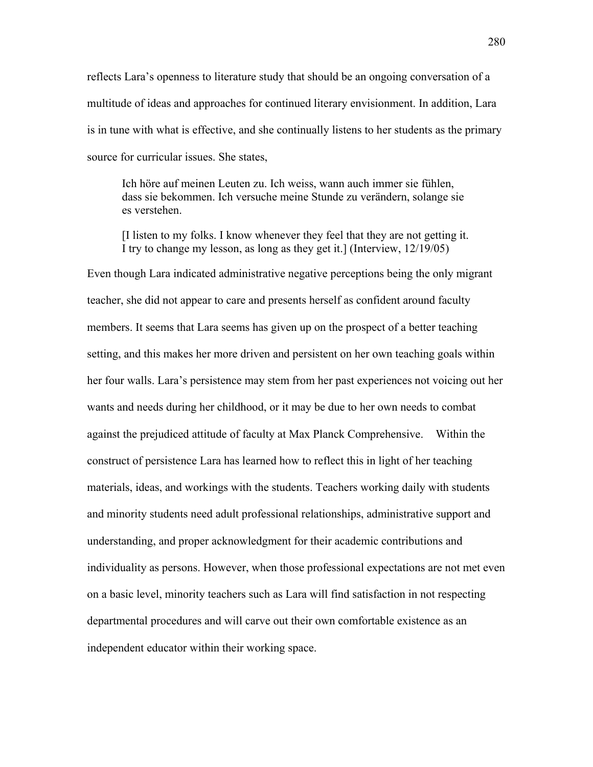reflects Lara's openness to literature study that should be an ongoing conversation of a multitude of ideas and approaches for continued literary envisionment. In addition, Lara is in tune with what is effective, and she continually listens to her students as the primary source for curricular issues. She states,

Ich höre auf meinen Leuten zu. Ich weiss, wann auch immer sie fühlen, dass sie bekommen. Ich versuche meine Stunde zu verändern, solange sie es verstehen.

[I listen to my folks. I know whenever they feel that they are not getting it. I try to change my lesson, as long as they get it.] (Interview, 12/19/05)

Even though Lara indicated administrative negative perceptions being the only migrant teacher, she did not appear to care and presents herself as confident around faculty members. It seems that Lara seems has given up on the prospect of a better teaching setting, and this makes her more driven and persistent on her own teaching goals within her four walls. Lara's persistence may stem from her past experiences not voicing out her wants and needs during her childhood, or it may be due to her own needs to combat against the prejudiced attitude of faculty at Max Planck Comprehensive. Within the construct of persistence Lara has learned how to reflect this in light of her teaching materials, ideas, and workings with the students. Teachers working daily with students and minority students need adult professional relationships, administrative support and understanding, and proper acknowledgment for their academic contributions and individuality as persons. However, when those professional expectations are not met even on a basic level, minority teachers such as Lara will find satisfaction in not respecting departmental procedures and will carve out their own comfortable existence as an independent educator within their working space.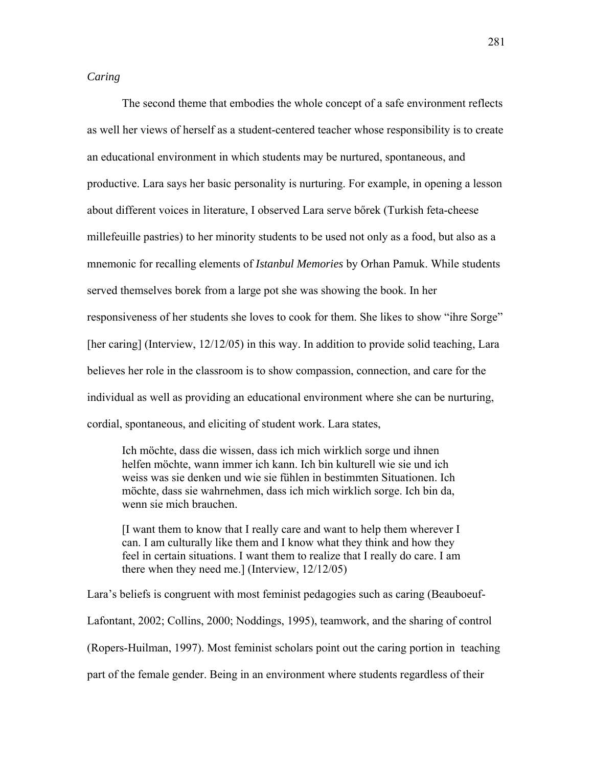# *Caring*

The second theme that embodies the whole concept of a safe environment reflects as well her views of herself as a student-centered teacher whose responsibility is to create an educational environment in which students may be nurtured, spontaneous, and productive. Lara says her basic personality is nurturing. For example, in opening a lesson about different voices in literature, I observed Lara serve bőrek (Turkish feta-cheese millefeuille pastries) to her minority students to be used not only as a food, but also as a mnemonic for recalling elements of *Istanbul Memories* by Orhan Pamuk. While students served themselves borek from a large pot she was showing the book. In her responsiveness of her students she loves to cook for them. She likes to show "ihre Sorge" [her caring] (Interview, 12/12/05) in this way. In addition to provide solid teaching, Lara believes her role in the classroom is to show compassion, connection, and care for the individual as well as providing an educational environment where she can be nurturing, cordial, spontaneous, and eliciting of student work. Lara states,

Ich möchte, dass die wissen, dass ich mich wirklich sorge und ihnen helfen möchte, wann immer ich kann. Ich bin kulturell wie sie und ich weiss was sie denken und wie sie fühlen in bestimmten Situationen. Ich möchte, dass sie wahrnehmen, dass ich mich wirklich sorge. Ich bin da, wenn sie mich brauchen.

[I want them to know that I really care and want to help them wherever I can. I am culturally like them and I know what they think and how they feel in certain situations. I want them to realize that I really do care. I am there when they need me.] (Interview, 12/12/05)

Lara's beliefs is congruent with most feminist pedagogies such as caring (Beauboeuf-

Lafontant, 2002; Collins, 2000; Noddings, 1995), teamwork, and the sharing of control

(Ropers-Huilman, 1997). Most feminist scholars point out the caring portion in teaching

part of the female gender. Being in an environment where students regardless of their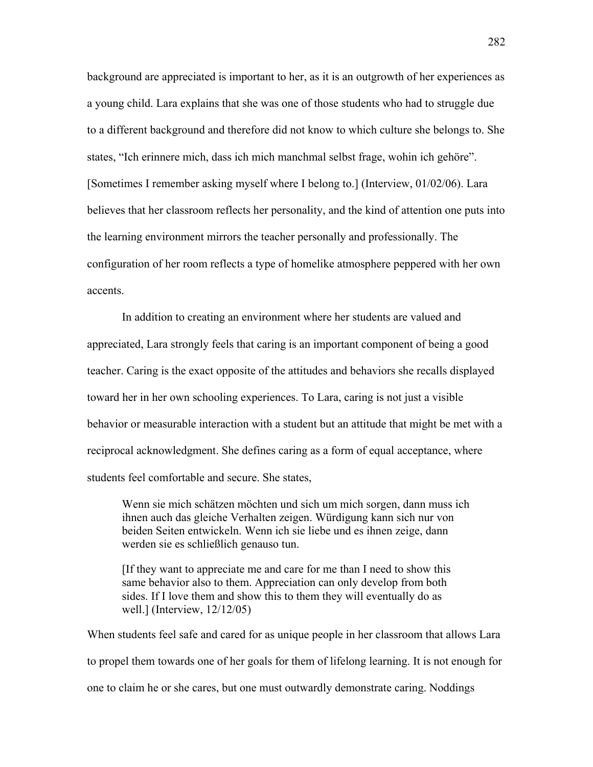background are appreciated is important to her, as it is an outgrowth of her experiences as a young child. Lara explains that she was one of those students who had to struggle due to a different background and therefore did not know to which culture she belongs to. She states, "Ich erinnere mich, dass ich mich manchmal selbst frage, wohin ich gehöre". [Sometimes I remember asking myself where I belong to.] (Interview, 01/02/06). Lara believes that her classroom reflects her personality, and the kind of attention one puts into the learning environment mirrors the teacher personally and professionally. The configuration of her room reflects a type of homelike atmosphere peppered with her own accents.

In addition to creating an environment where her students are valued and appreciated, Lara strongly feels that caring is an important component of being a good teacher. Caring is the exact opposite of the attitudes and behaviors she recalls displayed toward her in her own schooling experiences. To Lara, caring is not just a visible behavior or measurable interaction with a student but an attitude that might be met with a reciprocal acknowledgment. She defines caring as a form of equal acceptance, where students feel comfortable and secure. She states,

Wenn sie mich schätzen möchten und sich um mich sorgen, dann muss ich ihnen auch das gleiche Verhalten zeigen. Würdigung kann sich nur von beiden Seiten entwickeln. Wenn ich sie liebe und es ihnen zeige, dann werden sie es schließlich genauso tun.

[If they want to appreciate me and care for me than I need to show this same behavior also to them. Appreciation can only develop from both sides. If I love them and show this to them they will eventually do as well.] (Interview, 12/12/05)

When students feel safe and cared for as unique people in her classroom that allows Lara to propel them towards one of her goals for them of lifelong learning. It is not enough for one to claim he or she cares, but one must outwardly demonstrate caring. Noddings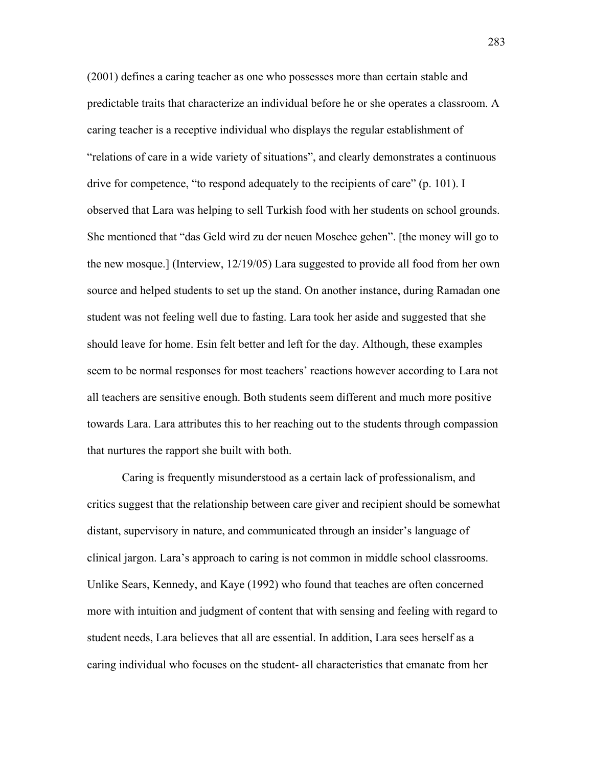(2001) defines a caring teacher as one who possesses more than certain stable and predictable traits that characterize an individual before he or she operates a classroom. A caring teacher is a receptive individual who displays the regular establishment of "relations of care in a wide variety of situations", and clearly demonstrates a continuous drive for competence, "to respond adequately to the recipients of care" (p. 101). I observed that Lara was helping to sell Turkish food with her students on school grounds. She mentioned that "das Geld wird zu der neuen Moschee gehen". [the money will go to the new mosque.] (Interview, 12/19/05) Lara suggested to provide all food from her own source and helped students to set up the stand. On another instance, during Ramadan one student was not feeling well due to fasting. Lara took her aside and suggested that she should leave for home. Esin felt better and left for the day. Although, these examples seem to be normal responses for most teachers' reactions however according to Lara not all teachers are sensitive enough. Both students seem different and much more positive towards Lara. Lara attributes this to her reaching out to the students through compassion that nurtures the rapport she built with both.

 Caring is frequently misunderstood as a certain lack of professionalism, and critics suggest that the relationship between care giver and recipient should be somewhat distant, supervisory in nature, and communicated through an insider's language of clinical jargon. Lara's approach to caring is not common in middle school classrooms. Unlike Sears, Kennedy, and Kaye (1992) who found that teaches are often concerned more with intuition and judgment of content that with sensing and feeling with regard to student needs, Lara believes that all are essential. In addition, Lara sees herself as a caring individual who focuses on the student- all characteristics that emanate from her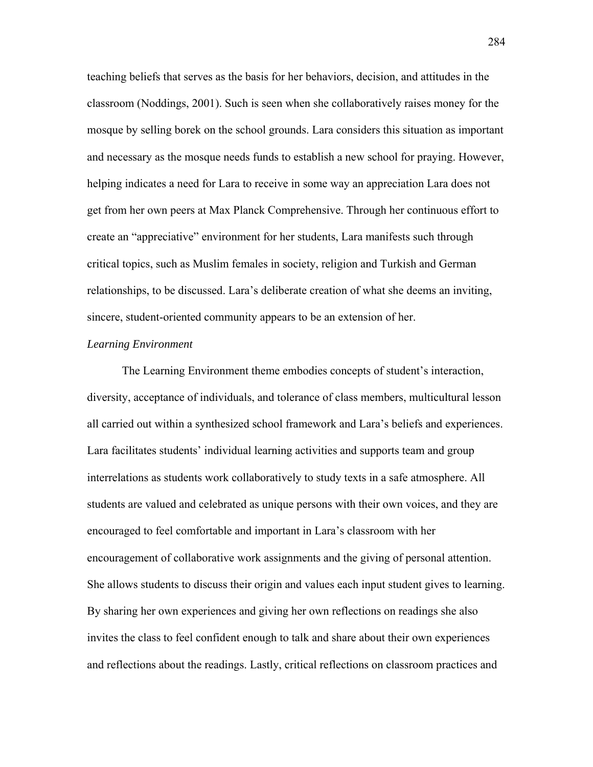teaching beliefs that serves as the basis for her behaviors, decision, and attitudes in the classroom (Noddings, 2001). Such is seen when she collaboratively raises money for the mosque by selling borek on the school grounds. Lara considers this situation as important and necessary as the mosque needs funds to establish a new school for praying. However, helping indicates a need for Lara to receive in some way an appreciation Lara does not get from her own peers at Max Planck Comprehensive. Through her continuous effort to create an "appreciative" environment for her students, Lara manifests such through critical topics, such as Muslim females in society, religion and Turkish and German relationships, to be discussed. Lara's deliberate creation of what she deems an inviting, sincere, student-oriented community appears to be an extension of her.

#### *Learning Environment*

 The Learning Environment theme embodies concepts of student's interaction, diversity, acceptance of individuals, and tolerance of class members, multicultural lesson all carried out within a synthesized school framework and Lara's beliefs and experiences. Lara facilitates students' individual learning activities and supports team and group interrelations as students work collaboratively to study texts in a safe atmosphere. All students are valued and celebrated as unique persons with their own voices, and they are encouraged to feel comfortable and important in Lara's classroom with her encouragement of collaborative work assignments and the giving of personal attention. She allows students to discuss their origin and values each input student gives to learning. By sharing her own experiences and giving her own reflections on readings she also invites the class to feel confident enough to talk and share about their own experiences and reflections about the readings. Lastly, critical reflections on classroom practices and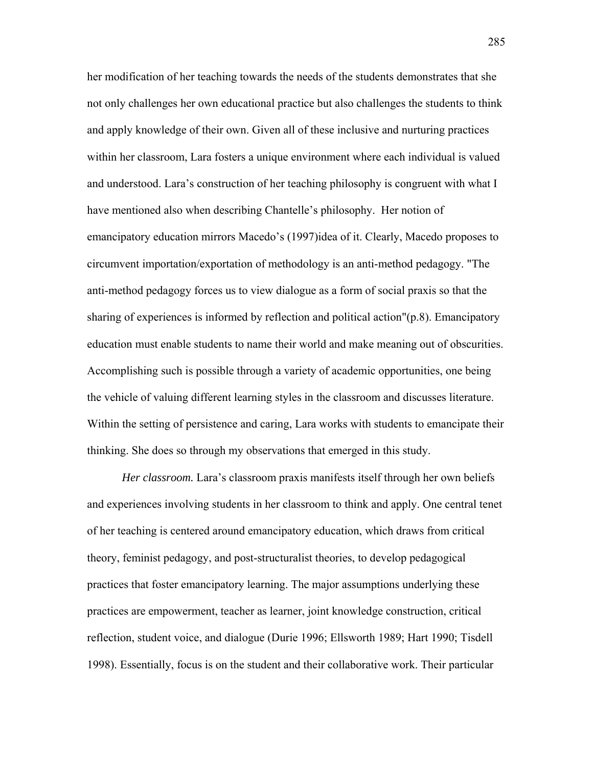her modification of her teaching towards the needs of the students demonstrates that she not only challenges her own educational practice but also challenges the students to think and apply knowledge of their own. Given all of these inclusive and nurturing practices within her classroom, Lara fosters a unique environment where each individual is valued and understood. Lara's construction of her teaching philosophy is congruent with what I have mentioned also when describing Chantelle's philosophy. Her notion of emancipatory education mirrors Macedo's (1997)idea of it. Clearly, Macedo proposes to circumvent importation/exportation of methodology is an anti-method pedagogy. "The anti-method pedagogy forces us to view dialogue as a form of social praxis so that the sharing of experiences is informed by reflection and political action"(p.8). Emancipatory education must enable students to name their world and make meaning out of obscurities. Accomplishing such is possible through a variety of academic opportunities, one being the vehicle of valuing different learning styles in the classroom and discusses literature. Within the setting of persistence and caring, Lara works with students to emancipate their thinking. She does so through my observations that emerged in this study.

*Her classroom.* Lara's classroom praxis manifests itself through her own beliefs and experiences involving students in her classroom to think and apply. One central tenet of her teaching is centered around emancipatory education, which draws from critical theory, feminist pedagogy, and post-structuralist theories, to develop pedagogical practices that foster emancipatory learning. The major assumptions underlying these practices are empowerment, teacher as learner, joint knowledge construction, critical reflection, student voice, and dialogue (Durie 1996; Ellsworth 1989; Hart 1990; Tisdell 1998). Essentially, focus is on the student and their collaborative work. Their particular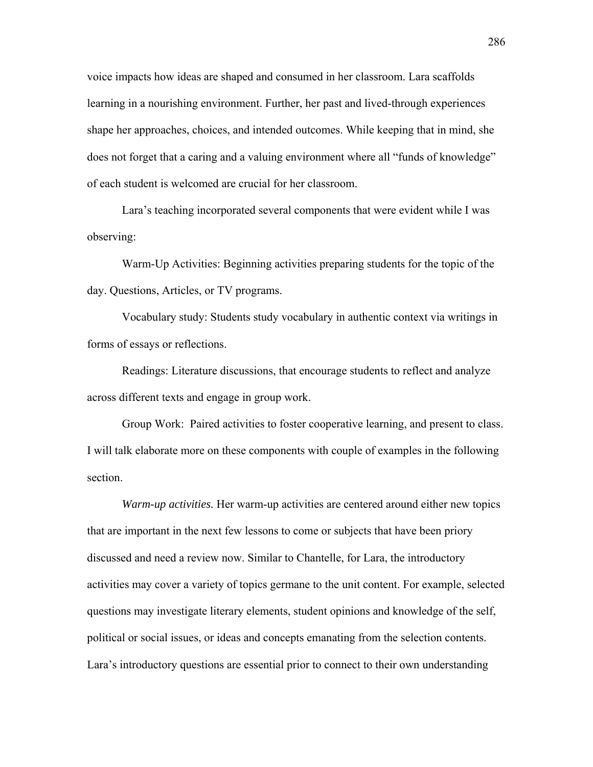voice impacts how ideas are shaped and consumed in her classroom. Lara scaffolds learning in a nourishing environment. Further, her past and lived-through experiences shape her approaches, choices, and intended outcomes. While keeping that in mind, she does not forget that a caring and a valuing environment where all "funds of knowledge" of each student is welcomed are crucial for her classroom.

Lara's teaching incorporated several components that were evident while I was observing:

Warm-Up Activities: Beginning activities preparing students for the topic of the day. Questions, Articles, or TV programs.

Vocabulary study: Students study vocabulary in authentic context via writings in forms of essays or reflections.

Readings: Literature discussions, that encourage students to reflect and analyze across different texts and engage in group work.

Group Work: Paired activities to foster cooperative learning, and present to class. I will talk elaborate more on these components with couple of examples in the following section.

*Warm-up activities.* Her warm-up activities are centered around either new topics that are important in the next few lessons to come or subjects that have been priory discussed and need a review now. Similar to Chantelle, for Lara, the introductory activities may cover a variety of topics germane to the unit content. For example, selected questions may investigate literary elements, student opinions and knowledge of the self, political or social issues, or ideas and concepts emanating from the selection contents. Lara's introductory questions are essential prior to connect to their own understanding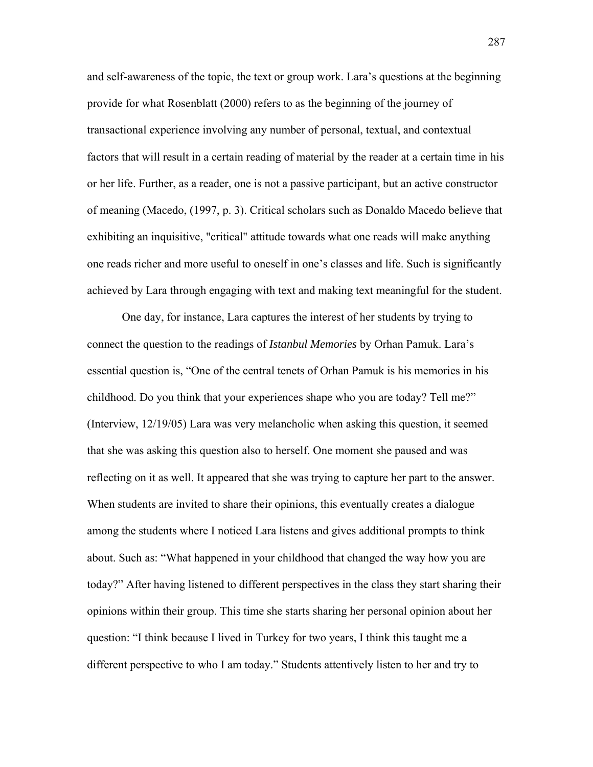and self-awareness of the topic, the text or group work. Lara's questions at the beginning provide for what Rosenblatt (2000) refers to as the beginning of the journey of transactional experience involving any number of personal, textual, and contextual factors that will result in a certain reading of material by the reader at a certain time in his or her life. Further, as a reader, one is not a passive participant, but an active constructor of meaning (Macedo, (1997, p. 3). Critical scholars such as Donaldo Macedo believe that exhibiting an inquisitive, "critical" attitude towards what one reads will make anything one reads richer and more useful to oneself in one's classes and life. Such is significantly achieved by Lara through engaging with text and making text meaningful for the student.

 One day, for instance, Lara captures the interest of her students by trying to connect the question to the readings of *Istanbul Memories* by Orhan Pamuk. Lara's essential question is, "One of the central tenets of Orhan Pamuk is his memories in his childhood. Do you think that your experiences shape who you are today? Tell me?" (Interview, 12/19/05) Lara was very melancholic when asking this question, it seemed that she was asking this question also to herself. One moment she paused and was reflecting on it as well. It appeared that she was trying to capture her part to the answer. When students are invited to share their opinions, this eventually creates a dialogue among the students where I noticed Lara listens and gives additional prompts to think about. Such as: "What happened in your childhood that changed the way how you are today?" After having listened to different perspectives in the class they start sharing their opinions within their group. This time she starts sharing her personal opinion about her question: "I think because I lived in Turkey for two years, I think this taught me a different perspective to who I am today." Students attentively listen to her and try to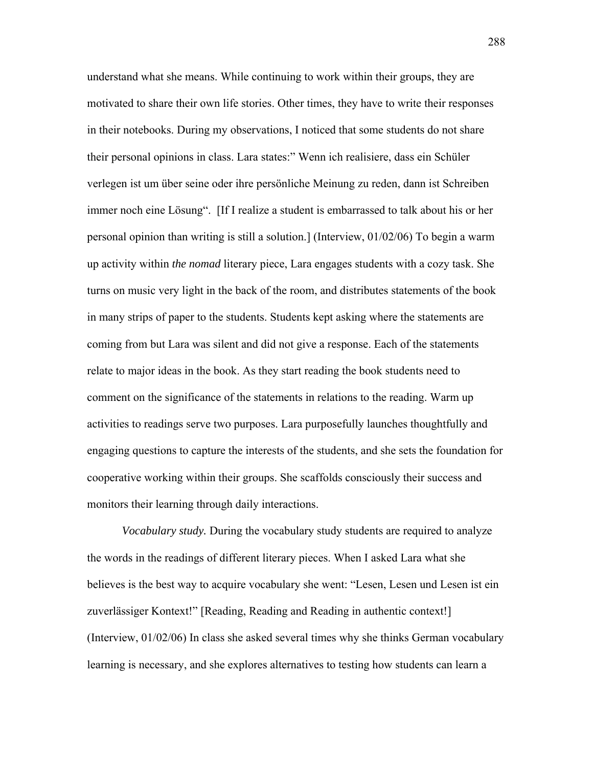understand what she means. While continuing to work within their groups, they are motivated to share their own life stories. Other times, they have to write their responses in their notebooks. During my observations, I noticed that some students do not share their personal opinions in class. Lara states:" Wenn ich realisiere, dass ein Schüler verlegen ist um über seine oder ihre persönliche Meinung zu reden, dann ist Schreiben immer noch eine Lösung". [If I realize a student is embarrassed to talk about his or her personal opinion than writing is still a solution.] (Interview, 01/02/06) To begin a warm up activity within *the nomad* literary piece, Lara engages students with a cozy task. She turns on music very light in the back of the room, and distributes statements of the book in many strips of paper to the students. Students kept asking where the statements are coming from but Lara was silent and did not give a response. Each of the statements relate to major ideas in the book. As they start reading the book students need to comment on the significance of the statements in relations to the reading. Warm up activities to readings serve two purposes. Lara purposefully launches thoughtfully and engaging questions to capture the interests of the students, and she sets the foundation for cooperative working within their groups. She scaffolds consciously their success and monitors their learning through daily interactions.

*Vocabulary study.* During the vocabulary study students are required to analyze the words in the readings of different literary pieces. When I asked Lara what she believes is the best way to acquire vocabulary she went: "Lesen, Lesen und Lesen ist ein zuverlässiger Kontext!" [Reading, Reading and Reading in authentic context!] (Interview, 01/02/06) In class she asked several times why she thinks German vocabulary learning is necessary, and she explores alternatives to testing how students can learn a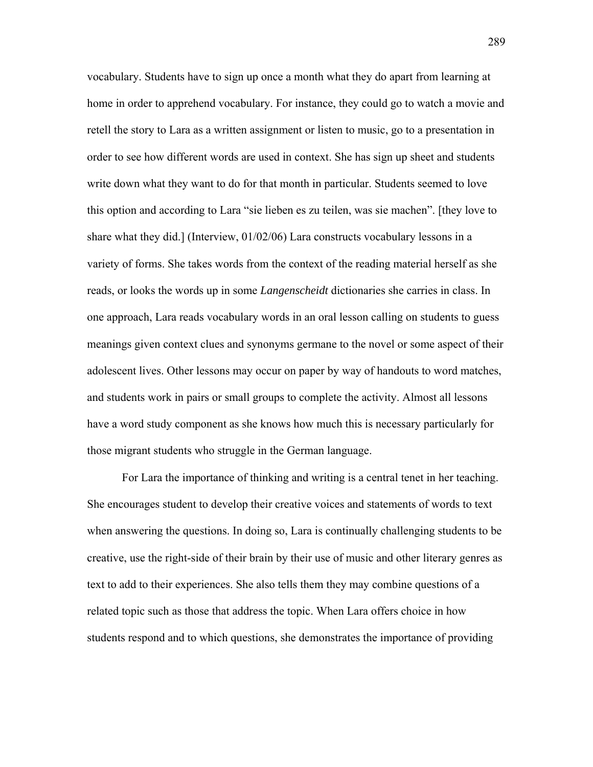vocabulary. Students have to sign up once a month what they do apart from learning at home in order to apprehend vocabulary. For instance, they could go to watch a movie and retell the story to Lara as a written assignment or listen to music, go to a presentation in order to see how different words are used in context. She has sign up sheet and students write down what they want to do for that month in particular. Students seemed to love this option and according to Lara "sie lieben es zu teilen, was sie machen". [they love to share what they did.] (Interview, 01/02/06) Lara constructs vocabulary lessons in a variety of forms. She takes words from the context of the reading material herself as she reads, or looks the words up in some *Langenscheidt* dictionaries she carries in class. In one approach, Lara reads vocabulary words in an oral lesson calling on students to guess meanings given context clues and synonyms germane to the novel or some aspect of their adolescent lives. Other lessons may occur on paper by way of handouts to word matches, and students work in pairs or small groups to complete the activity. Almost all lessons have a word study component as she knows how much this is necessary particularly for those migrant students who struggle in the German language.

 For Lara the importance of thinking and writing is a central tenet in her teaching. She encourages student to develop their creative voices and statements of words to text when answering the questions. In doing so, Lara is continually challenging students to be creative, use the right-side of their brain by their use of music and other literary genres as text to add to their experiences. She also tells them they may combine questions of a related topic such as those that address the topic. When Lara offers choice in how students respond and to which questions, she demonstrates the importance of providing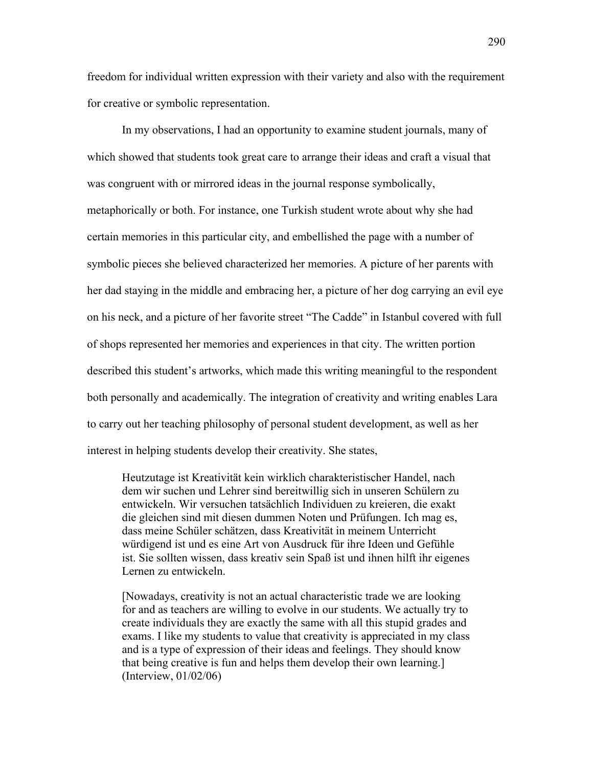freedom for individual written expression with their variety and also with the requirement for creative or symbolic representation.

 In my observations, I had an opportunity to examine student journals, many of which showed that students took great care to arrange their ideas and craft a visual that was congruent with or mirrored ideas in the journal response symbolically, metaphorically or both. For instance, one Turkish student wrote about why she had certain memories in this particular city, and embellished the page with a number of symbolic pieces she believed characterized her memories. A picture of her parents with her dad staying in the middle and embracing her, a picture of her dog carrying an evil eye on his neck, and a picture of her favorite street "The Cadde" in Istanbul covered with full of shops represented her memories and experiences in that city. The written portion described this student's artworks, which made this writing meaningful to the respondent both personally and academically. The integration of creativity and writing enables Lara to carry out her teaching philosophy of personal student development, as well as her interest in helping students develop their creativity. She states,

Heutzutage ist Kreativität kein wirklich charakteristischer Handel, nach dem wir suchen und Lehrer sind bereitwillig sich in unseren Schülern zu entwickeln. Wir versuchen tatsächlich Individuen zu kreieren, die exakt die gleichen sind mit diesen dummen Noten und Prüfungen. Ich mag es, dass meine Schüler schätzen, dass Kreativität in meinem Unterricht würdigend ist und es eine Art von Ausdruck für ihre Ideen und Gefühle ist. Sie sollten wissen, dass kreativ sein Spaß ist und ihnen hilft ihr eigenes Lernen zu entwickeln.

[Nowadays, creativity is not an actual characteristic trade we are looking for and as teachers are willing to evolve in our students. We actually try to create individuals they are exactly the same with all this stupid grades and exams. I like my students to value that creativity is appreciated in my class and is a type of expression of their ideas and feelings. They should know that being creative is fun and helps them develop their own learning.] (Interview, 01/02/06)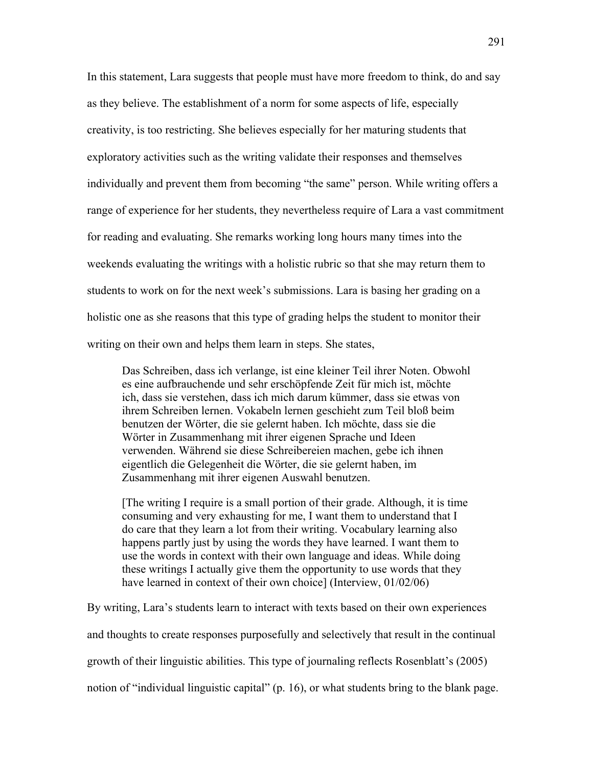In this statement, Lara suggests that people must have more freedom to think, do and say as they believe. The establishment of a norm for some aspects of life, especially creativity, is too restricting. She believes especially for her maturing students that exploratory activities such as the writing validate their responses and themselves individually and prevent them from becoming "the same" person. While writing offers a range of experience for her students, they nevertheless require of Lara a vast commitment for reading and evaluating. She remarks working long hours many times into the weekends evaluating the writings with a holistic rubric so that she may return them to students to work on for the next week's submissions. Lara is basing her grading on a holistic one as she reasons that this type of grading helps the student to monitor their writing on their own and helps them learn in steps. She states,

Das Schreiben, dass ich verlange, ist eine kleiner Teil ihrer Noten. Obwohl es eine aufbrauchende und sehr erschöpfende Zeit für mich ist, möchte ich, dass sie verstehen, dass ich mich darum kümmer, dass sie etwas von ihrem Schreiben lernen. Vokabeln lernen geschieht zum Teil bloß beim benutzen der Wörter, die sie gelernt haben. Ich möchte, dass sie die Wörter in Zusammenhang mit ihrer eigenen Sprache und Ideen verwenden. Während sie diese Schreibereien machen, gebe ich ihnen eigentlich die Gelegenheit die Wörter, die sie gelernt haben, im Zusammenhang mit ihrer eigenen Auswahl benutzen.

[The writing I require is a small portion of their grade. Although, it is time consuming and very exhausting for me, I want them to understand that I do care that they learn a lot from their writing. Vocabulary learning also happens partly just by using the words they have learned. I want them to use the words in context with their own language and ideas. While doing these writings I actually give them the opportunity to use words that they have learned in context of their own choice] (Interview,  $01/02/06$ )

By writing, Lara's students learn to interact with texts based on their own experiences and thoughts to create responses purposefully and selectively that result in the continual growth of their linguistic abilities. This type of journaling reflects Rosenblatt's (2005) notion of "individual linguistic capital" (p. 16), or what students bring to the blank page.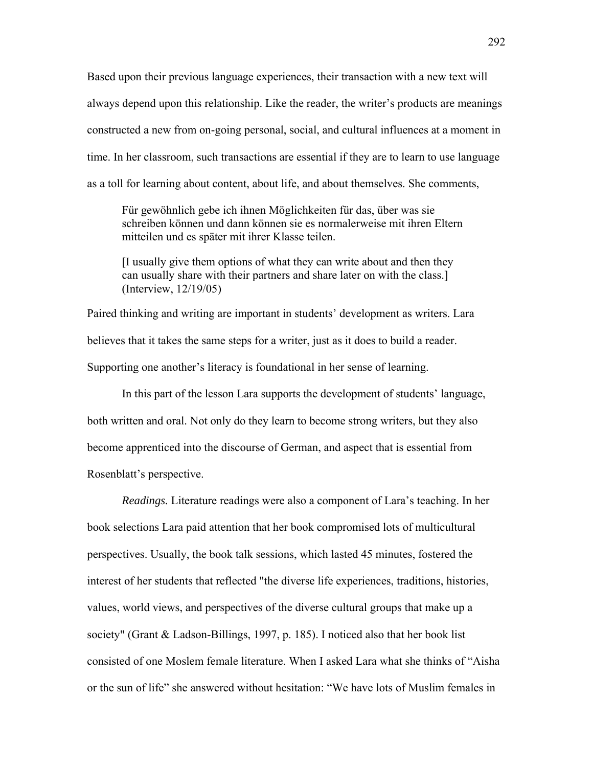Based upon their previous language experiences, their transaction with a new text will always depend upon this relationship. Like the reader, the writer's products are meanings constructed a new from on-going personal, social, and cultural influences at a moment in time. In her classroom, such transactions are essential if they are to learn to use language as a toll for learning about content, about life, and about themselves. She comments,

Für gewöhnlich gebe ich ihnen Möglichkeiten für das, über was sie schreiben können und dann können sie es normalerweise mit ihren Eltern mitteilen und es später mit ihrer Klasse teilen.

[I usually give them options of what they can write about and then they can usually share with their partners and share later on with the class.] (Interview, 12/19/05)

Paired thinking and writing are important in students' development as writers. Lara believes that it takes the same steps for a writer, just as it does to build a reader. Supporting one another's literacy is foundational in her sense of learning.

 In this part of the lesson Lara supports the development of students' language, both written and oral. Not only do they learn to become strong writers, but they also become apprenticed into the discourse of German, and aspect that is essential from Rosenblatt's perspective.

*Readings.* Literature readings were also a component of Lara's teaching. In her book selections Lara paid attention that her book compromised lots of multicultural perspectives. Usually, the book talk sessions, which lasted 45 minutes, fostered the interest of her students that reflected "the diverse life experiences, traditions, histories, values, world views, and perspectives of the diverse cultural groups that make up a society" (Grant & Ladson-Billings, 1997, p. 185). I noticed also that her book list consisted of one Moslem female literature. When I asked Lara what she thinks of "Aisha or the sun of life" she answered without hesitation: "We have lots of Muslim females in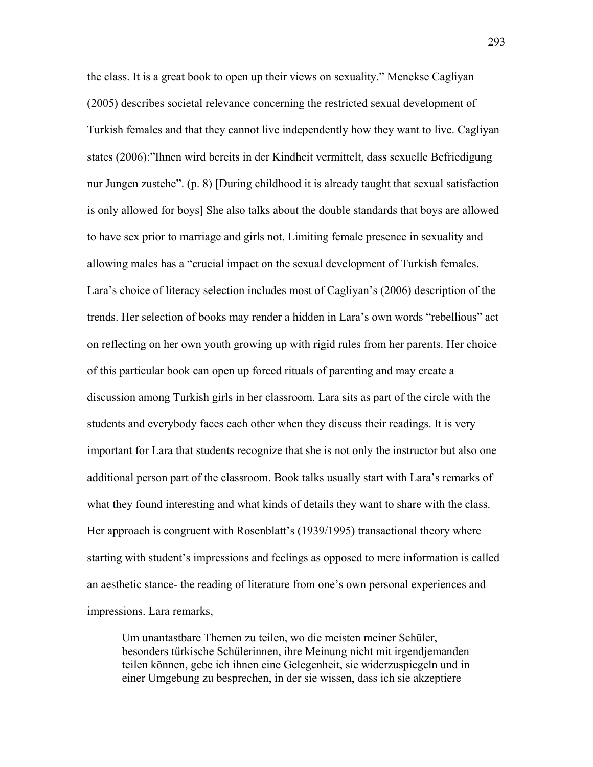the class. It is a great book to open up their views on sexuality." Menekse Cagliyan (2005) describes societal relevance concerning the restricted sexual development of Turkish females and that they cannot live independently how they want to live. Cagliyan states (2006):"Ihnen wird bereits in der Kindheit vermittelt, dass sexuelle Befriedigung nur Jungen zustehe". (p. 8) [During childhood it is already taught that sexual satisfaction is only allowed for boys] She also talks about the double standards that boys are allowed to have sex prior to marriage and girls not. Limiting female presence in sexuality and allowing males has a "crucial impact on the sexual development of Turkish females. Lara's choice of literacy selection includes most of Cagliyan's (2006) description of the trends. Her selection of books may render a hidden in Lara's own words "rebellious" act on reflecting on her own youth growing up with rigid rules from her parents. Her choice of this particular book can open up forced rituals of parenting and may create a discussion among Turkish girls in her classroom. Lara sits as part of the circle with the students and everybody faces each other when they discuss their readings. It is very important for Lara that students recognize that she is not only the instructor but also one additional person part of the classroom. Book talks usually start with Lara's remarks of what they found interesting and what kinds of details they want to share with the class. Her approach is congruent with Rosenblatt's (1939/1995) transactional theory where starting with student's impressions and feelings as opposed to mere information is called an aesthetic stance- the reading of literature from one's own personal experiences and impressions. Lara remarks,

Um unantastbare Themen zu teilen, wo die meisten meiner Schüler, besonders türkische Schülerinnen, ihre Meinung nicht mit irgendjemanden teilen können, gebe ich ihnen eine Gelegenheit, sie widerzuspiegeln und in einer Umgebung zu besprechen, in der sie wissen, dass ich sie akzeptiere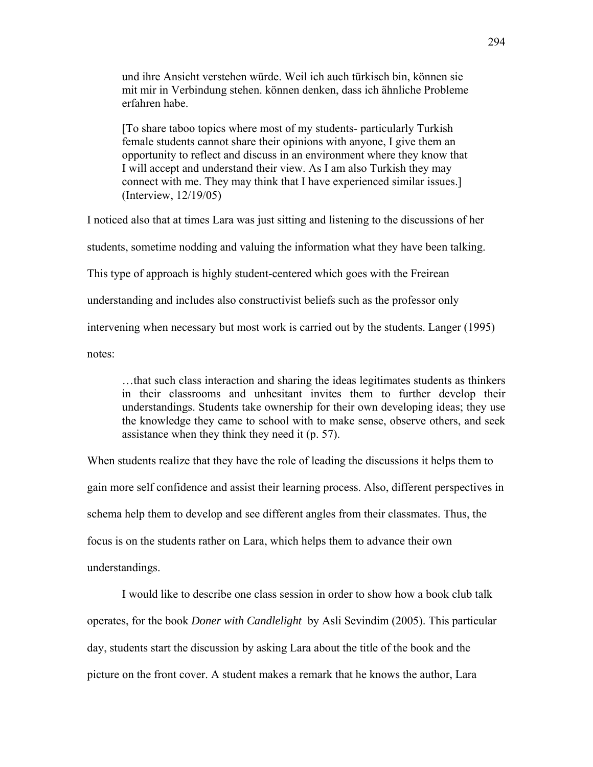und ihre Ansicht verstehen würde. Weil ich auch türkisch bin, können sie mit mir in Verbindung stehen. können denken, dass ich ähnliche Probleme erfahren habe.

[To share taboo topics where most of my students- particularly Turkish female students cannot share their opinions with anyone, I give them an opportunity to reflect and discuss in an environment where they know that I will accept and understand their view. As I am also Turkish they may connect with me. They may think that I have experienced similar issues.] (Interview, 12/19/05)

I noticed also that at times Lara was just sitting and listening to the discussions of her students, sometime nodding and valuing the information what they have been talking. This type of approach is highly student-centered which goes with the Freirean understanding and includes also constructivist beliefs such as the professor only intervening when necessary but most work is carried out by the students. Langer (1995) notes:

…that such class interaction and sharing the ideas legitimates students as thinkers in their classrooms and unhesitant invites them to further develop their understandings. Students take ownership for their own developing ideas; they use the knowledge they came to school with to make sense, observe others, and seek assistance when they think they need it (p. 57).

When students realize that they have the role of leading the discussions it helps them to gain more self confidence and assist their learning process. Also, different perspectives in schema help them to develop and see different angles from their classmates. Thus, the focus is on the students rather on Lara, which helps them to advance their own understandings.

I would like to describe one class session in order to show how a book club talk operates, for the book *Doner with Candlelight* by Asli Sevindim (2005). This particular day, students start the discussion by asking Lara about the title of the book and the picture on the front cover. A student makes a remark that he knows the author, Lara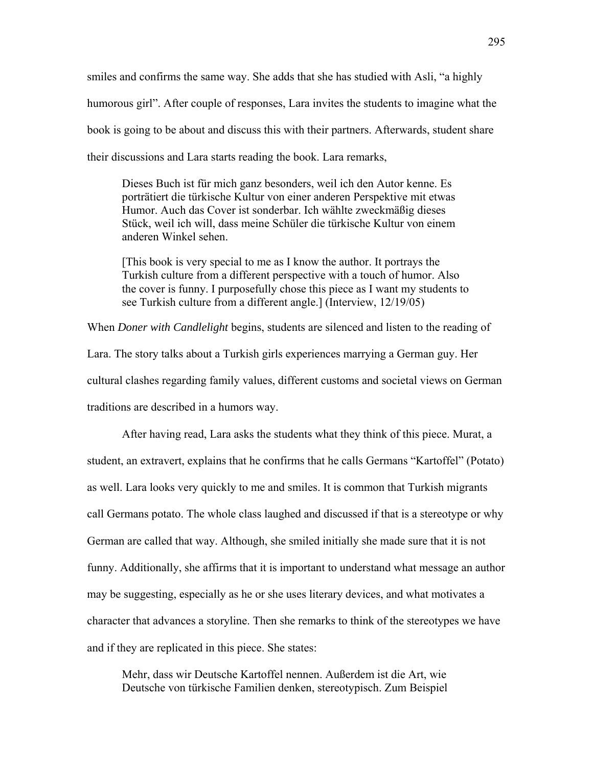smiles and confirms the same way. She adds that she has studied with Asli, "a highly humorous girl". After couple of responses, Lara invites the students to imagine what the book is going to be about and discuss this with their partners. Afterwards, student share their discussions and Lara starts reading the book. Lara remarks,

Dieses Buch ist für mich ganz besonders, weil ich den Autor kenne. Es porträtiert die türkische Kultur von einer anderen Perspektive mit etwas Humor. Auch das Cover ist sonderbar. Ich wählte zweckmäßig dieses Stück, weil ich will, dass meine Schüler die türkische Kultur von einem anderen Winkel sehen.

[This book is very special to me as I know the author. It portrays the Turkish culture from a different perspective with a touch of humor. Also the cover is funny. I purposefully chose this piece as I want my students to see Turkish culture from a different angle.] (Interview, 12/19/05)

When *Doner with Candlelight* begins, students are silenced and listen to the reading of Lara. The story talks about a Turkish girls experiences marrying a German guy. Her cultural clashes regarding family values, different customs and societal views on German traditions are described in a humors way.

After having read, Lara asks the students what they think of this piece. Murat, a student, an extravert, explains that he confirms that he calls Germans "Kartoffel" (Potato) as well. Lara looks very quickly to me and smiles. It is common that Turkish migrants call Germans potato. The whole class laughed and discussed if that is a stereotype or why German are called that way. Although, she smiled initially she made sure that it is not funny. Additionally, she affirms that it is important to understand what message an author may be suggesting, especially as he or she uses literary devices, and what motivates a character that advances a storyline. Then she remarks to think of the stereotypes we have and if they are replicated in this piece. She states:

Mehr, dass wir Deutsche Kartoffel nennen. Außerdem ist die Art, wie Deutsche von türkische Familien denken, stereotypisch. Zum Beispiel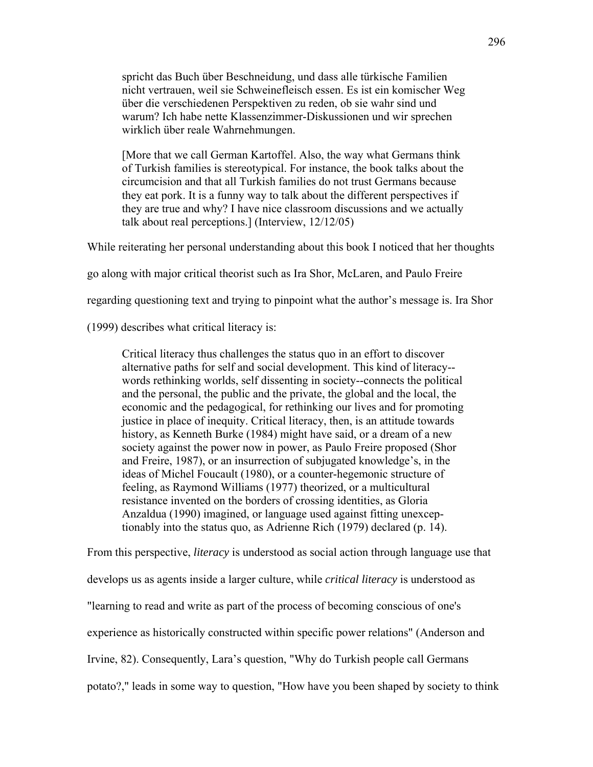spricht das Buch über Beschneidung, und dass alle türkische Familien nicht vertrauen, weil sie Schweinefleisch essen. Es ist ein komischer Weg über die verschiedenen Perspektiven zu reden, ob sie wahr sind und warum? Ich habe nette Klassenzimmer-Diskussionen und wir sprechen wirklich über reale Wahrnehmungen.

[More that we call German Kartoffel. Also, the way what Germans think of Turkish families is stereotypical. For instance, the book talks about the circumcision and that all Turkish families do not trust Germans because they eat pork. It is a funny way to talk about the different perspectives if they are true and why? I have nice classroom discussions and we actually talk about real perceptions.] (Interview, 12/12/05)

While reiterating her personal understanding about this book I noticed that her thoughts

go along with major critical theorist such as Ira Shor, McLaren, and Paulo Freire

regarding questioning text and trying to pinpoint what the author's message is. Ira Shor

(1999) describes what critical literacy is:

Critical literacy thus challenges the status quo in an effort to discover alternative paths for self and social development. This kind of literacy- words rethinking worlds, self dissenting in society--connects the political and the personal, the public and the private, the global and the local, the economic and the pedagogical, for rethinking our lives and for promoting justice in place of inequity. Critical literacy, then, is an attitude towards history, as Kenneth Burke (1984) might have said, or a dream of a new society against the power now in power, as Paulo Freire proposed (Shor and Freire, 1987), or an insurrection of subjugated knowledge's, in the ideas of Michel Foucault (1980), or a counter-hegemonic structure of feeling, as Raymond Williams (1977) theorized, or a multicultural resistance invented on the borders of crossing identities, as Gloria Anzaldua (1990) imagined, or language used against fitting unexceptionably into the status quo, as Adrienne Rich (1979) declared (p. 14).

From this perspective, *literacy* is understood as social action through language use that

develops us as agents inside a larger culture, while *critical literacy* is understood as

"learning to read and write as part of the process of becoming conscious of one's

experience as historically constructed within specific power relations" (Anderson and

Irvine, 82). Consequently, Lara's question, "Why do Turkish people call Germans

potato?," leads in some way to question, "How have you been shaped by society to think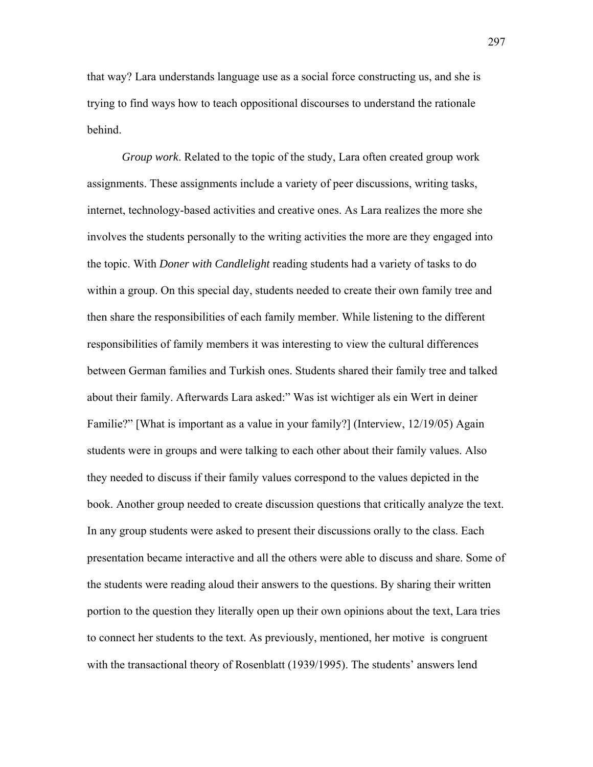that way? Lara understands language use as a social force constructing us, and she is trying to find ways how to teach oppositional discourses to understand the rationale behind.

*Group work*. Related to the topic of the study, Lara often created group work assignments. These assignments include a variety of peer discussions, writing tasks, internet, technology-based activities and creative ones. As Lara realizes the more she involves the students personally to the writing activities the more are they engaged into the topic. With *Doner with Candlelight* reading students had a variety of tasks to do within a group. On this special day, students needed to create their own family tree and then share the responsibilities of each family member. While listening to the different responsibilities of family members it was interesting to view the cultural differences between German families and Turkish ones. Students shared their family tree and talked about their family. Afterwards Lara asked:" Was ist wichtiger als ein Wert in deiner Familie?" [What is important as a value in your family?] (Interview, 12/19/05) Again students were in groups and were talking to each other about their family values. Also they needed to discuss if their family values correspond to the values depicted in the book. Another group needed to create discussion questions that critically analyze the text. In any group students were asked to present their discussions orally to the class. Each presentation became interactive and all the others were able to discuss and share. Some of the students were reading aloud their answers to the questions. By sharing their written portion to the question they literally open up their own opinions about the text, Lara tries to connect her students to the text. As previously, mentioned, her motive is congruent with the transactional theory of Rosenblatt (1939/1995). The students' answers lend

297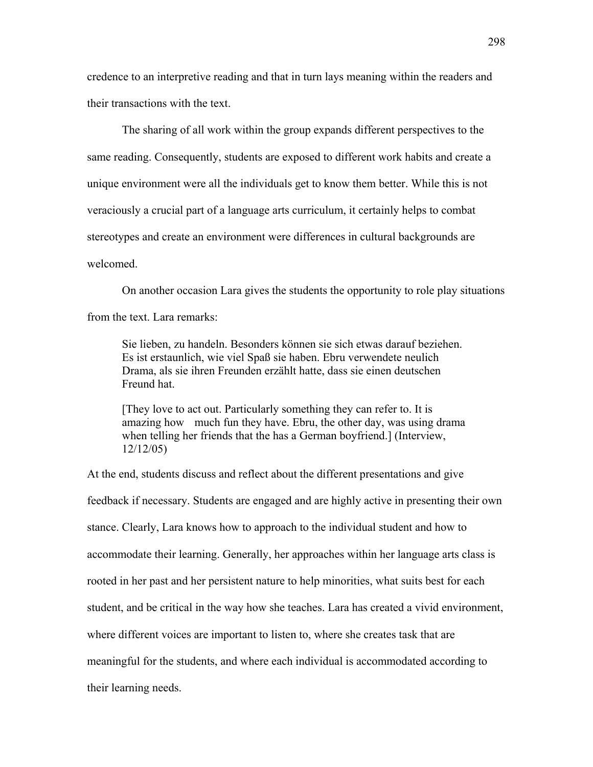credence to an interpretive reading and that in turn lays meaning within the readers and their transactions with the text.

The sharing of all work within the group expands different perspectives to the same reading. Consequently, students are exposed to different work habits and create a unique environment were all the individuals get to know them better. While this is not veraciously a crucial part of a language arts curriculum, it certainly helps to combat stereotypes and create an environment were differences in cultural backgrounds are welcomed.

On another occasion Lara gives the students the opportunity to role play situations from the text. Lara remarks:

Sie lieben, zu handeln. Besonders können sie sich etwas darauf beziehen. Es ist erstaunlich, wie viel Spaß sie haben. Ebru verwendete neulich Drama, als sie ihren Freunden erzählt hatte, dass sie einen deutschen Freund hat.

[They love to act out. Particularly something they can refer to. It is amazing how much fun they have. Ebru, the other day, was using drama when telling her friends that the has a German boyfriend.] (Interview, 12/12/05)

At the end, students discuss and reflect about the different presentations and give feedback if necessary. Students are engaged and are highly active in presenting their own stance. Clearly, Lara knows how to approach to the individual student and how to accommodate their learning. Generally, her approaches within her language arts class is rooted in her past and her persistent nature to help minorities, what suits best for each student, and be critical in the way how she teaches. Lara has created a vivid environment, where different voices are important to listen to, where she creates task that are meaningful for the students, and where each individual is accommodated according to their learning needs.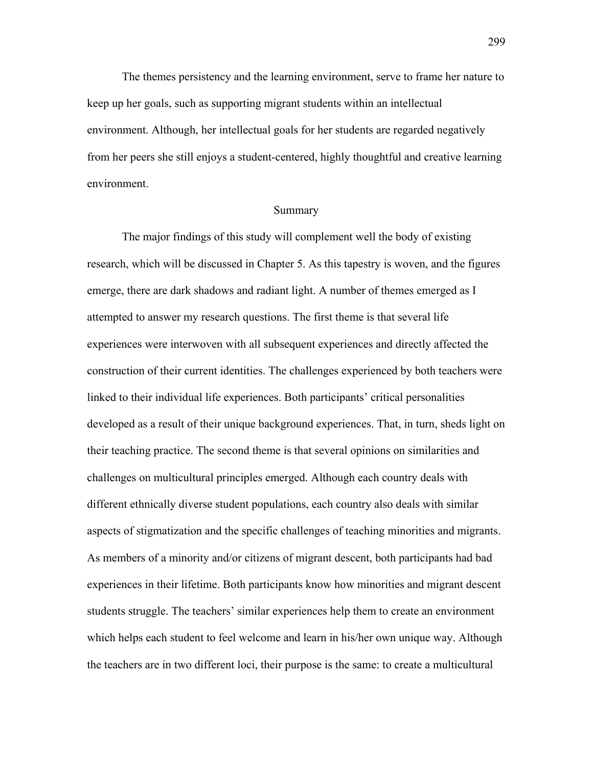The themes persistency and the learning environment, serve to frame her nature to keep up her goals, such as supporting migrant students within an intellectual environment. Although, her intellectual goals for her students are regarded negatively from her peers she still enjoys a student-centered, highly thoughtful and creative learning environment.

#### Summary

The major findings of this study will complement well the body of existing research, which will be discussed in Chapter 5. As this tapestry is woven, and the figures emerge, there are dark shadows and radiant light. A number of themes emerged as I attempted to answer my research questions. The first theme is that several life experiences were interwoven with all subsequent experiences and directly affected the construction of their current identities. The challenges experienced by both teachers were linked to their individual life experiences. Both participants' critical personalities developed as a result of their unique background experiences. That, in turn, sheds light on their teaching practice. The second theme is that several opinions on similarities and challenges on multicultural principles emerged. Although each country deals with different ethnically diverse student populations, each country also deals with similar aspects of stigmatization and the specific challenges of teaching minorities and migrants. As members of a minority and/or citizens of migrant descent, both participants had bad experiences in their lifetime. Both participants know how minorities and migrant descent students struggle. The teachers' similar experiences help them to create an environment which helps each student to feel welcome and learn in his/her own unique way. Although the teachers are in two different loci, their purpose is the same: to create a multicultural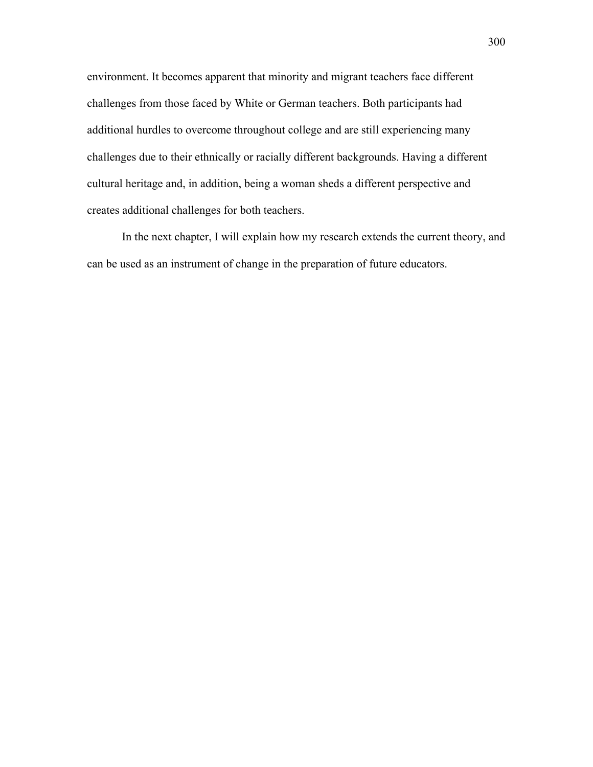environment. It becomes apparent that minority and migrant teachers face different challenges from those faced by White or German teachers. Both participants had additional hurdles to overcome throughout college and are still experiencing many challenges due to their ethnically or racially different backgrounds. Having a different cultural heritage and, in addition, being a woman sheds a different perspective and creates additional challenges for both teachers.

 In the next chapter, I will explain how my research extends the current theory, and can be used as an instrument of change in the preparation of future educators.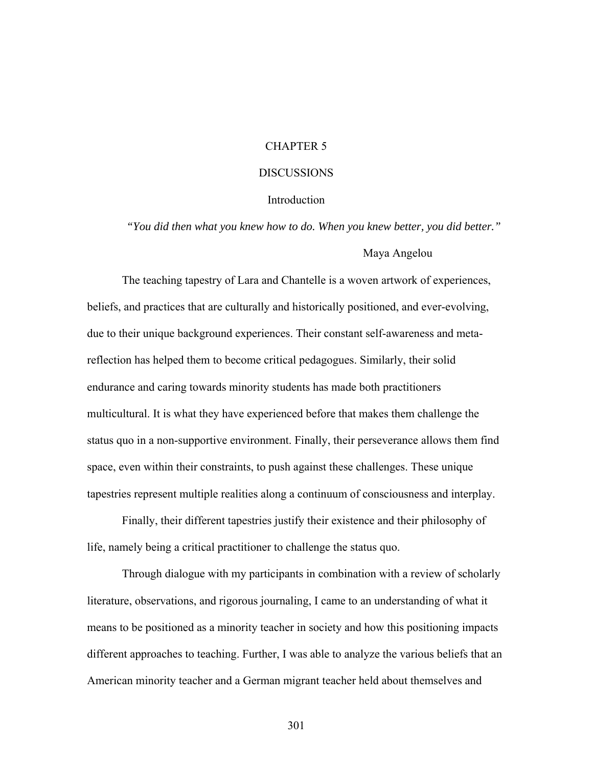# CHAPTER 5

## DISCUSSIONS

### **Introduction**

*"You did then what you knew how to do. When you knew better, you did better."*  Maya Angelou

The teaching tapestry of Lara and Chantelle is a woven artwork of experiences, beliefs, and practices that are culturally and historically positioned, and ever-evolving, due to their unique background experiences. Their constant self-awareness and metareflection has helped them to become critical pedagogues. Similarly, their solid endurance and caring towards minority students has made both practitioners multicultural. It is what they have experienced before that makes them challenge the status quo in a non-supportive environment. Finally, their perseverance allows them find space, even within their constraints, to push against these challenges. These unique tapestries represent multiple realities along a continuum of consciousness and interplay.

Finally, their different tapestries justify their existence and their philosophy of life, namely being a critical practitioner to challenge the status quo.

Through dialogue with my participants in combination with a review of scholarly literature, observations, and rigorous journaling, I came to an understanding of what it means to be positioned as a minority teacher in society and how this positioning impacts different approaches to teaching. Further, I was able to analyze the various beliefs that an American minority teacher and a German migrant teacher held about themselves and

301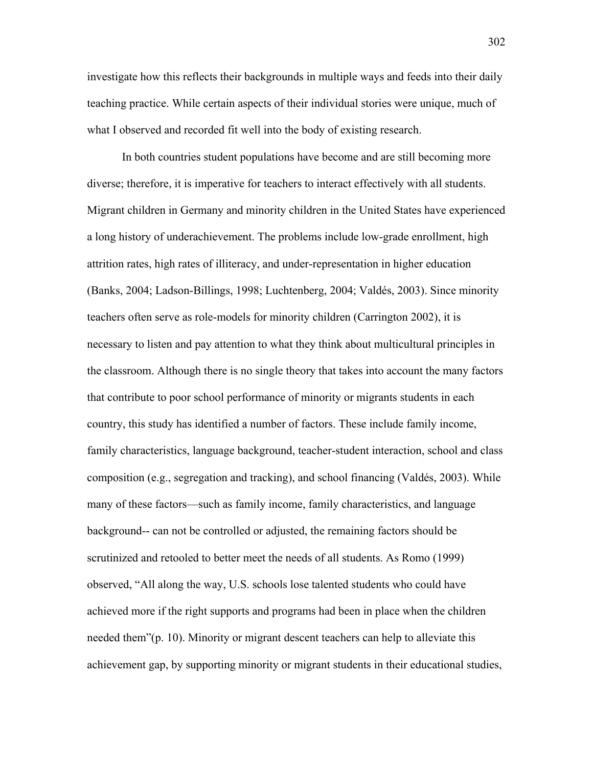investigate how this reflects their backgrounds in multiple ways and feeds into their daily teaching practice. While certain aspects of their individual stories were unique, much of what I observed and recorded fit well into the body of existing research.

In both countries student populations have become and are still becoming more diverse; therefore, it is imperative for teachers to interact effectively with all students. Migrant children in Germany and minority children in the United States have experienced a long history of underachievement. The problems include low-grade enrollment, high attrition rates, high rates of illiteracy, and under-representation in higher education (Banks, 2004; Ladson-Billings, 1998; Luchtenberg, 2004; Valdés, 2003). Since minority teachers often serve as role-models for minority children (Carrington 2002), it is necessary to listen and pay attention to what they think about multicultural principles in the classroom. Although there is no single theory that takes into account the many factors that contribute to poor school performance of minority or migrants students in each country, this study has identified a number of factors. These include family income, family characteristics, language background, teacher-student interaction, school and class composition (e.g., segregation and tracking), and school financing (Valdés, 2003). While many of these factors—such as family income, family characteristics, and language background-- can not be controlled or adjusted, the remaining factors should be scrutinized and retooled to better meet the needs of all students. As Romo (1999) observed, "All along the way, U.S. schools lose talented students who could have achieved more if the right supports and programs had been in place when the children needed them"(p. 10). Minority or migrant descent teachers can help to alleviate this achievement gap, by supporting minority or migrant students in their educational studies,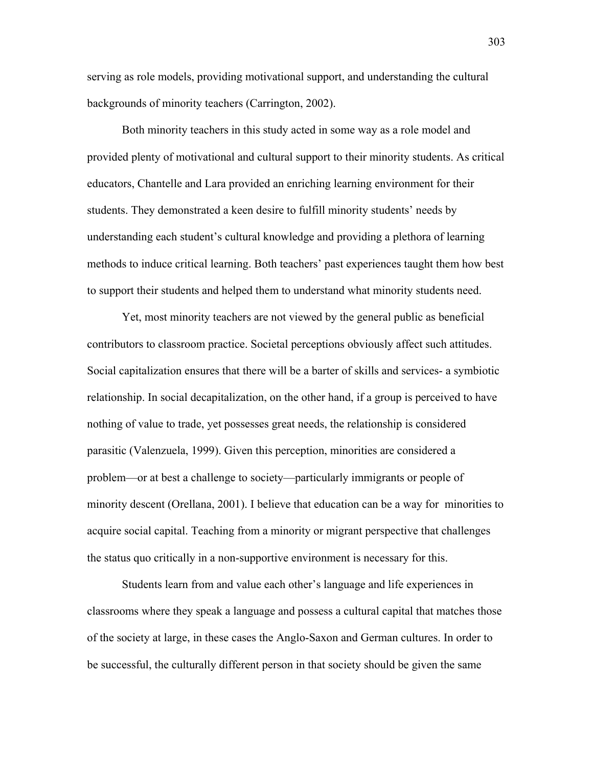serving as role models, providing motivational support, and understanding the cultural backgrounds of minority teachers (Carrington, 2002).

Both minority teachers in this study acted in some way as a role model and provided plenty of motivational and cultural support to their minority students. As critical educators, Chantelle and Lara provided an enriching learning environment for their students. They demonstrated a keen desire to fulfill minority students' needs by understanding each student's cultural knowledge and providing a plethora of learning methods to induce critical learning. Both teachers' past experiences taught them how best to support their students and helped them to understand what minority students need.

Yet, most minority teachers are not viewed by the general public as beneficial contributors to classroom practice. Societal perceptions obviously affect such attitudes. Social capitalization ensures that there will be a barter of skills and services- a symbiotic relationship. In social decapitalization, on the other hand, if a group is perceived to have nothing of value to trade, yet possesses great needs, the relationship is considered parasitic (Valenzuela, 1999). Given this perception, minorities are considered a problem—or at best a challenge to society—particularly immigrants or people of minority descent (Orellana, 2001). I believe that education can be a way for minorities to acquire social capital. Teaching from a minority or migrant perspective that challenges the status quo critically in a non-supportive environment is necessary for this.

Students learn from and value each other's language and life experiences in classrooms where they speak a language and possess a cultural capital that matches those of the society at large, in these cases the Anglo-Saxon and German cultures. In order to be successful, the culturally different person in that society should be given the same

303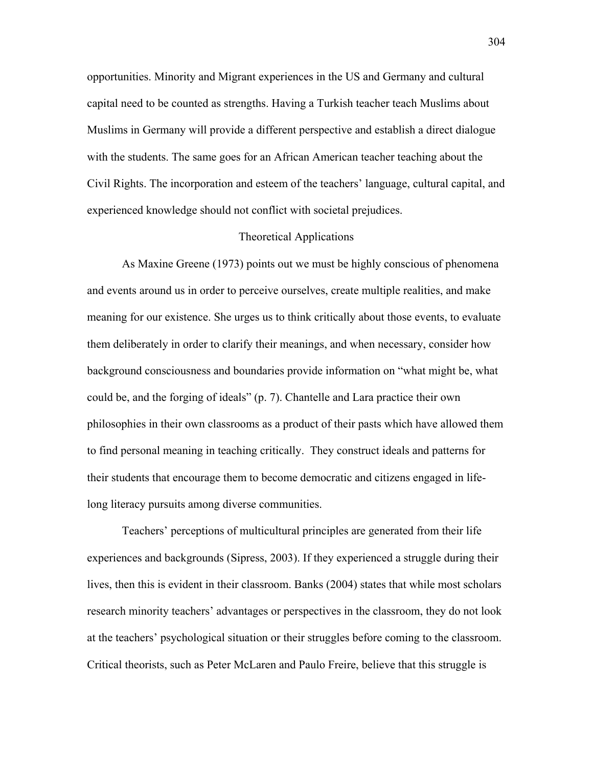opportunities. Minority and Migrant experiences in the US and Germany and cultural capital need to be counted as strengths. Having a Turkish teacher teach Muslims about Muslims in Germany will provide a different perspective and establish a direct dialogue with the students. The same goes for an African American teacher teaching about the Civil Rights. The incorporation and esteem of the teachers' language, cultural capital, and experienced knowledge should not conflict with societal prejudices.

#### Theoretical Applications

 As Maxine Greene (1973) points out we must be highly conscious of phenomena and events around us in order to perceive ourselves, create multiple realities, and make meaning for our existence. She urges us to think critically about those events, to evaluate them deliberately in order to clarify their meanings, and when necessary, consider how background consciousness and boundaries provide information on "what might be, what could be, and the forging of ideals" (p. 7). Chantelle and Lara practice their own philosophies in their own classrooms as a product of their pasts which have allowed them to find personal meaning in teaching critically. They construct ideals and patterns for their students that encourage them to become democratic and citizens engaged in lifelong literacy pursuits among diverse communities.

Teachers' perceptions of multicultural principles are generated from their life experiences and backgrounds (Sipress, 2003). If they experienced a struggle during their lives, then this is evident in their classroom. Banks (2004) states that while most scholars research minority teachers' advantages or perspectives in the classroom, they do not look at the teachers' psychological situation or their struggles before coming to the classroom. Critical theorists, such as Peter McLaren and Paulo Freire, believe that this struggle is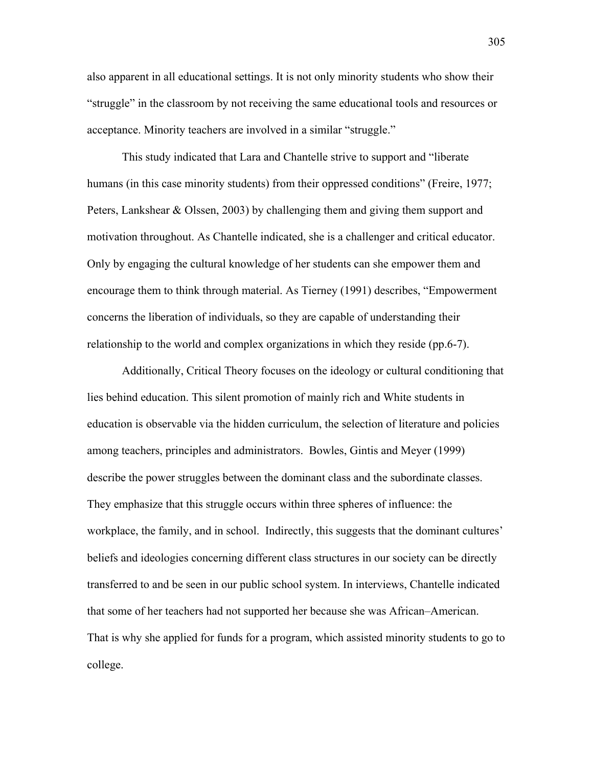also apparent in all educational settings. It is not only minority students who show their "struggle" in the classroom by not receiving the same educational tools and resources or acceptance. Minority teachers are involved in a similar "struggle."

This study indicated that Lara and Chantelle strive to support and "liberate humans (in this case minority students) from their oppressed conditions" (Freire, 1977; Peters, Lankshear & Olssen, 2003) by challenging them and giving them support and motivation throughout. As Chantelle indicated, she is a challenger and critical educator. Only by engaging the cultural knowledge of her students can she empower them and encourage them to think through material. As Tierney (1991) describes, "Empowerment concerns the liberation of individuals, so they are capable of understanding their relationship to the world and complex organizations in which they reside (pp.6-7).

Additionally, Critical Theory focuses on the ideology or cultural conditioning that lies behind education. This silent promotion of mainly rich and White students in education is observable via the hidden curriculum, the selection of literature and policies among teachers, principles and administrators. Bowles, Gintis and Meyer (1999) describe the power struggles between the dominant class and the subordinate classes. They emphasize that this struggle occurs within three spheres of influence: the workplace, the family, and in school. Indirectly, this suggests that the dominant cultures' beliefs and ideologies concerning different class structures in our society can be directly transferred to and be seen in our public school system. In interviews, Chantelle indicated that some of her teachers had not supported her because she was African–American. That is why she applied for funds for a program, which assisted minority students to go to college.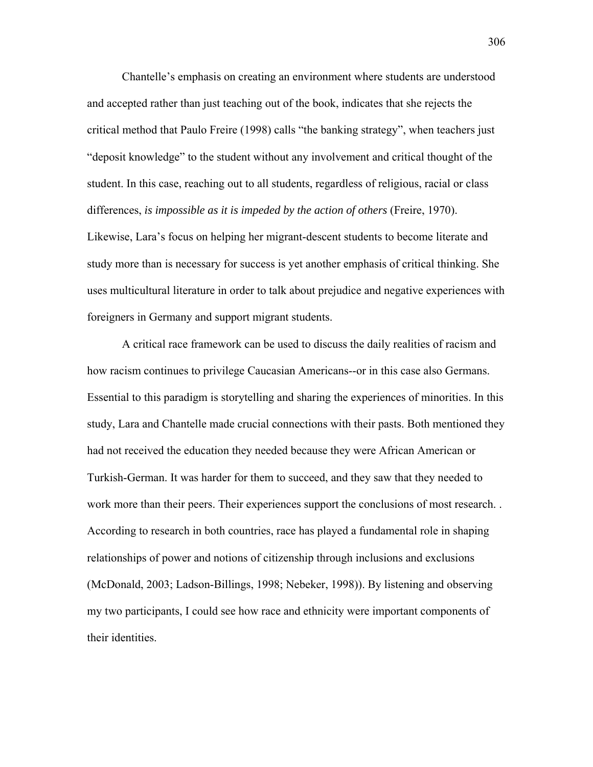Chantelle's emphasis on creating an environment where students are understood and accepted rather than just teaching out of the book, indicates that she rejects the critical method that Paulo Freire (1998) calls "the banking strategy", when teachers just "deposit knowledge" to the student without any involvement and critical thought of the student. In this case, reaching out to all students, regardless of religious, racial or class differences, *is impossible as it is impeded by the action of others* (Freire, 1970).

Likewise, Lara's focus on helping her migrant-descent students to become literate and study more than is necessary for success is yet another emphasis of critical thinking. She uses multicultural literature in order to talk about prejudice and negative experiences with foreigners in Germany and support migrant students.

A critical race framework can be used to discuss the daily realities of racism and how racism continues to privilege Caucasian Americans--or in this case also Germans. Essential to this paradigm is storytelling and sharing the experiences of minorities. In this study, Lara and Chantelle made crucial connections with their pasts. Both mentioned they had not received the education they needed because they were African American or Turkish-German. It was harder for them to succeed, and they saw that they needed to work more than their peers. Their experiences support the conclusions of most research. . According to research in both countries, race has played a fundamental role in shaping relationships of power and notions of citizenship through inclusions and exclusions (McDonald, 2003; Ladson-Billings, 1998; Nebeker, 1998)). By listening and observing my two participants, I could see how race and ethnicity were important components of their identities.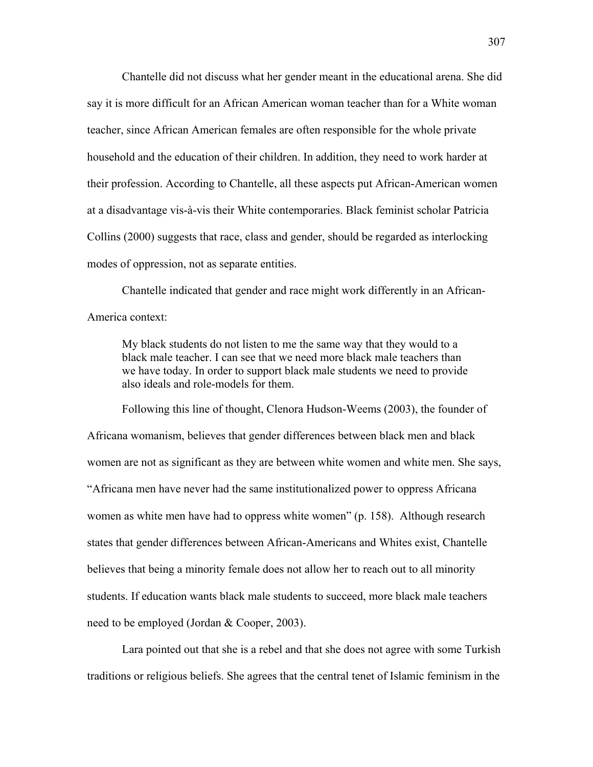Chantelle did not discuss what her gender meant in the educational arena. She did say it is more difficult for an African American woman teacher than for a White woman teacher, since African American females are often responsible for the whole private household and the education of their children. In addition, they need to work harder at their profession. According to Chantelle, all these aspects put African-American women at a disadvantage vis-à-vis their White contemporaries. Black feminist scholar Patricia Collins (2000) suggests that race, class and gender, should be regarded as interlocking modes of oppression, not as separate entities.

Chantelle indicated that gender and race might work differently in an African-America context:

My black students do not listen to me the same way that they would to a black male teacher. I can see that we need more black male teachers than we have today. In order to support black male students we need to provide also ideals and role-models for them.

Following this line of thought, Clenora Hudson-Weems (2003), the founder of Africana womanism, believes that gender differences between black men and black women are not as significant as they are between white women and white men. She says, "Africana men have never had the same institutionalized power to oppress Africana women as white men have had to oppress white women" (p. 158). Although research states that gender differences between African-Americans and Whites exist, Chantelle believes that being a minority female does not allow her to reach out to all minority students. If education wants black male students to succeed, more black male teachers need to be employed (Jordan & Cooper, 2003).

Lara pointed out that she is a rebel and that she does not agree with some Turkish traditions or religious beliefs. She agrees that the central tenet of Islamic feminism in the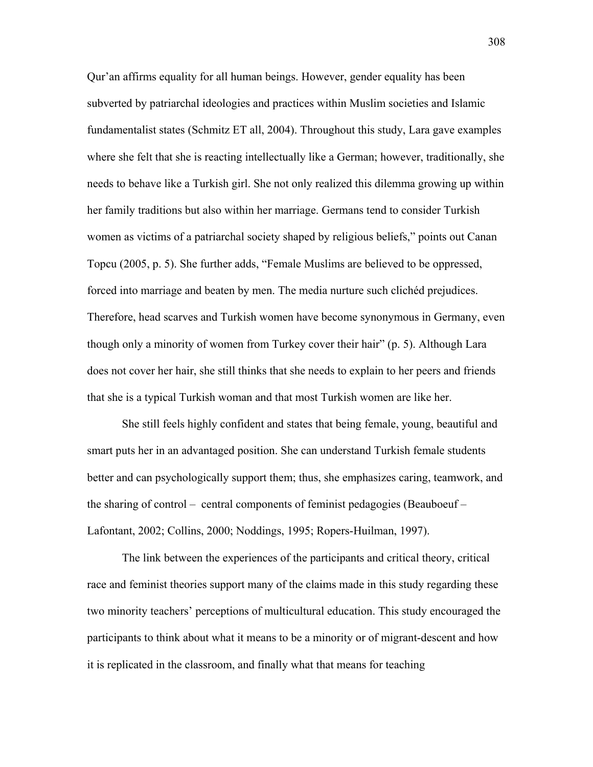Qur'an affirms equality for all human beings. However, gender equality has been subverted by patriarchal ideologies and practices within Muslim societies and Islamic fundamentalist states (Schmitz ET all, 2004). Throughout this study, Lara gave examples where she felt that she is reacting intellectually like a German; however, traditionally, she needs to behave like a Turkish girl. She not only realized this dilemma growing up within her family traditions but also within her marriage. Germans tend to consider Turkish women as victims of a patriarchal society shaped by religious beliefs," points out Canan Topcu (2005, p. 5). She further adds, "Female Muslims are believed to be oppressed, forced into marriage and beaten by men. The media nurture such clichéd prejudices. Therefore, head scarves and Turkish women have become synonymous in Germany, even though only a minority of women from Turkey cover their hair" (p. 5). Although Lara does not cover her hair, she still thinks that she needs to explain to her peers and friends that she is a typical Turkish woman and that most Turkish women are like her.

She still feels highly confident and states that being female, young, beautiful and smart puts her in an advantaged position. She can understand Turkish female students better and can psychologically support them; thus, she emphasizes caring, teamwork, and the sharing of control – central components of feminist pedagogies (Beauboeuf – Lafontant, 2002; Collins, 2000; Noddings, 1995; Ropers-Huilman, 1997).

The link between the experiences of the participants and critical theory, critical race and feminist theories support many of the claims made in this study regarding these two minority teachers' perceptions of multicultural education. This study encouraged the participants to think about what it means to be a minority or of migrant-descent and how it is replicated in the classroom, and finally what that means for teaching

308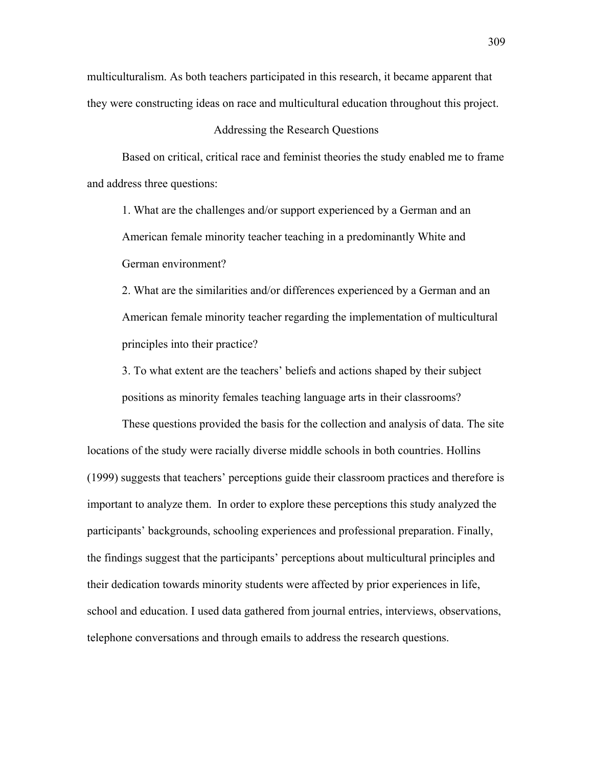multiculturalism. As both teachers participated in this research, it became apparent that they were constructing ideas on race and multicultural education throughout this project.

### Addressing the Research Questions

Based on critical, critical race and feminist theories the study enabled me to frame and address three questions:

1. What are the challenges and/or support experienced by a German and an American female minority teacher teaching in a predominantly White and German environment?

2. What are the similarities and/or differences experienced by a German and an American female minority teacher regarding the implementation of multicultural principles into their practice?

3. To what extent are the teachers' beliefs and actions shaped by their subject positions as minority females teaching language arts in their classrooms?

These questions provided the basis for the collection and analysis of data. The site locations of the study were racially diverse middle schools in both countries. Hollins (1999) suggests that teachers' perceptions guide their classroom practices and therefore is important to analyze them. In order to explore these perceptions this study analyzed the participants' backgrounds, schooling experiences and professional preparation. Finally, the findings suggest that the participants' perceptions about multicultural principles and their dedication towards minority students were affected by prior experiences in life, school and education. I used data gathered from journal entries, interviews, observations, telephone conversations and through emails to address the research questions.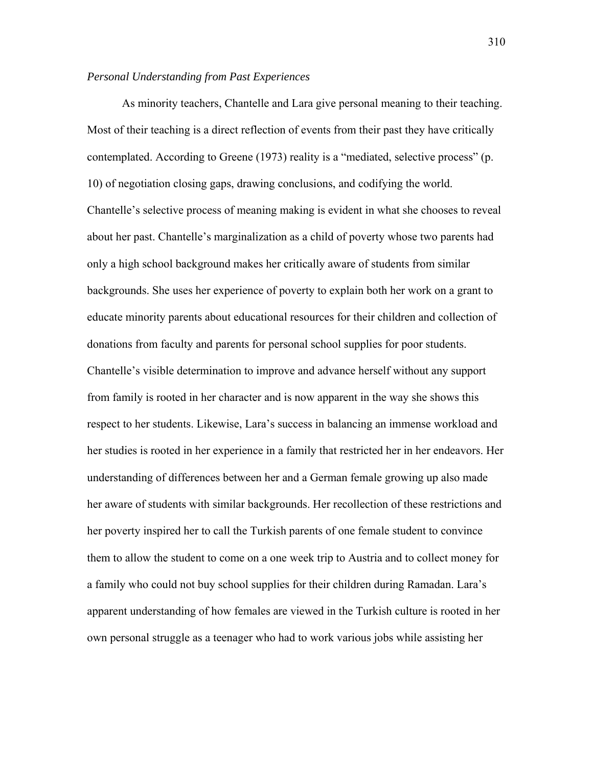## *Personal Understanding from Past Experiences*

As minority teachers, Chantelle and Lara give personal meaning to their teaching. Most of their teaching is a direct reflection of events from their past they have critically contemplated. According to Greene (1973) reality is a "mediated, selective process" (p. 10) of negotiation closing gaps, drawing conclusions, and codifying the world. Chantelle's selective process of meaning making is evident in what she chooses to reveal about her past. Chantelle's marginalization as a child of poverty whose two parents had only a high school background makes her critically aware of students from similar backgrounds. She uses her experience of poverty to explain both her work on a grant to educate minority parents about educational resources for their children and collection of donations from faculty and parents for personal school supplies for poor students. Chantelle's visible determination to improve and advance herself without any support from family is rooted in her character and is now apparent in the way she shows this respect to her students. Likewise, Lara's success in balancing an immense workload and her studies is rooted in her experience in a family that restricted her in her endeavors. Her understanding of differences between her and a German female growing up also made her aware of students with similar backgrounds. Her recollection of these restrictions and her poverty inspired her to call the Turkish parents of one female student to convince them to allow the student to come on a one week trip to Austria and to collect money for a family who could not buy school supplies for their children during Ramadan. Lara's apparent understanding of how females are viewed in the Turkish culture is rooted in her own personal struggle as a teenager who had to work various jobs while assisting her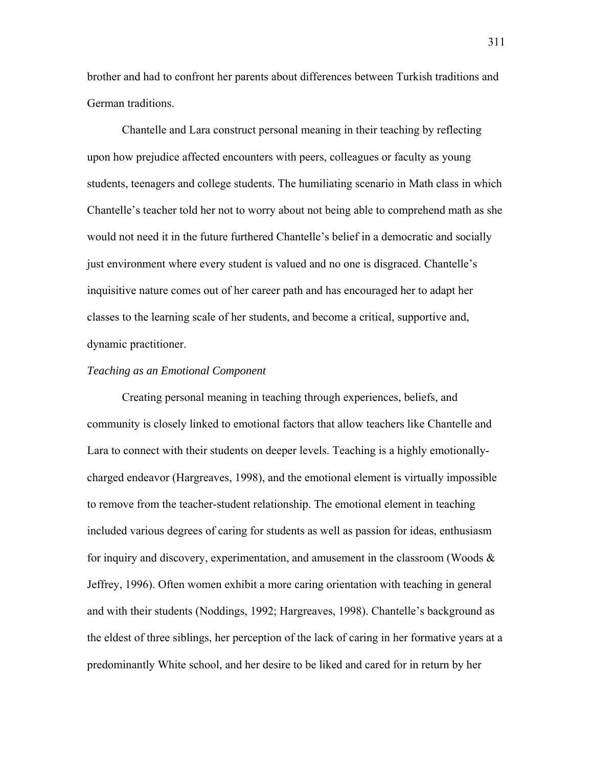brother and had to confront her parents about differences between Turkish traditions and German traditions.

Chantelle and Lara construct personal meaning in their teaching by reflecting upon how prejudice affected encounters with peers, colleagues or faculty as young students, teenagers and college students. The humiliating scenario in Math class in which Chantelle's teacher told her not to worry about not being able to comprehend math as she would not need it in the future furthered Chantelle's belief in a democratic and socially just environment where every student is valued and no one is disgraced. Chantelle's inquisitive nature comes out of her career path and has encouraged her to adapt her classes to the learning scale of her students, and become a critical, supportive and, dynamic practitioner.

# *Teaching as an Emotional Component*

Creating personal meaning in teaching through experiences, beliefs, and community is closely linked to emotional factors that allow teachers like Chantelle and Lara to connect with their students on deeper levels. Teaching is a highly emotionallycharged endeavor (Hargreaves, 1998), and the emotional element is virtually impossible to remove from the teacher-student relationship. The emotional element in teaching included various degrees of caring for students as well as passion for ideas, enthusiasm for inquiry and discovery, experimentation, and amusement in the classroom (Woods  $\&$ Jeffrey, 1996). Often women exhibit a more caring orientation with teaching in general and with their students (Noddings, 1992; Hargreaves, 1998). Chantelle's background as the eldest of three siblings, her perception of the lack of caring in her formative years at a predominantly White school, and her desire to be liked and cared for in return by her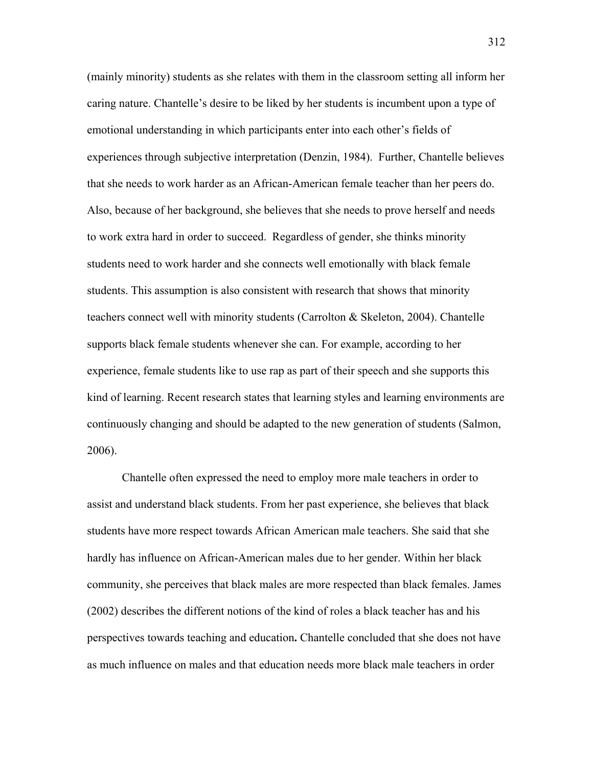(mainly minority) students as she relates with them in the classroom setting all inform her caring nature. Chantelle's desire to be liked by her students is incumbent upon a type of emotional understanding in which participants enter into each other's fields of experiences through subjective interpretation (Denzin, 1984). Further, Chantelle believes that she needs to work harder as an African-American female teacher than her peers do. Also, because of her background, she believes that she needs to prove herself and needs to work extra hard in order to succeed. Regardless of gender, she thinks minority students need to work harder and she connects well emotionally with black female students. This assumption is also consistent with research that shows that minority teachers connect well with minority students (Carrolton & Skeleton, 2004). Chantelle supports black female students whenever she can. For example, according to her experience, female students like to use rap as part of their speech and she supports this kind of learning. Recent research states that learning styles and learning environments are continuously changing and should be adapted to the new generation of students (Salmon, 2006).

Chantelle often expressed the need to employ more male teachers in order to assist and understand black students. From her past experience, she believes that black students have more respect towards African American male teachers. She said that she hardly has influence on African-American males due to her gender. Within her black community, she perceives that black males are more respected than black females. James (2002) describes the different notions of the kind of roles a black teacher has and his perspectives towards teaching and education**.** Chantelle concluded that she does not have as much influence on males and that education needs more black male teachers in order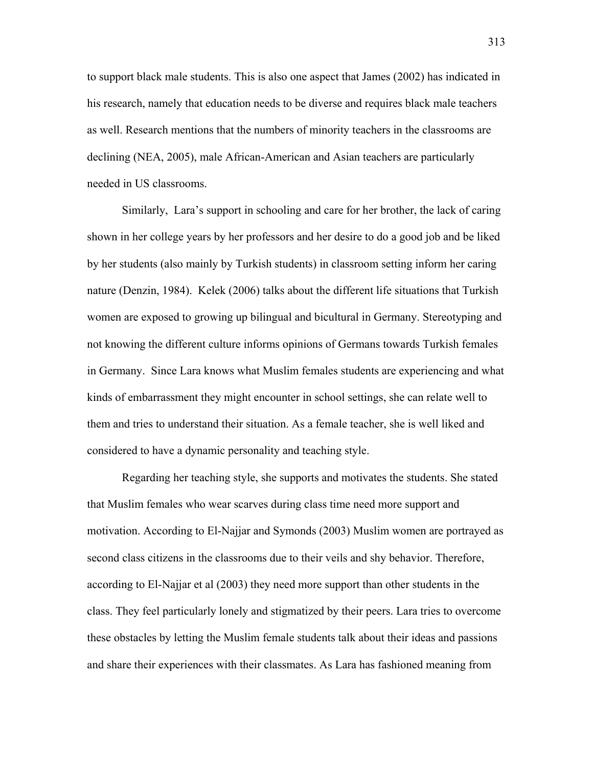to support black male students. This is also one aspect that James (2002) has indicated in his research, namely that education needs to be diverse and requires black male teachers as well. Research mentions that the numbers of minority teachers in the classrooms are declining (NEA, 2005), male African-American and Asian teachers are particularly needed in US classrooms.

Similarly, Lara's support in schooling and care for her brother, the lack of caring shown in her college years by her professors and her desire to do a good job and be liked by her students (also mainly by Turkish students) in classroom setting inform her caring nature (Denzin, 1984). Kelek (2006) talks about the different life situations that Turkish women are exposed to growing up bilingual and bicultural in Germany. Stereotyping and not knowing the different culture informs opinions of Germans towards Turkish females in Germany. Since Lara knows what Muslim females students are experiencing and what kinds of embarrassment they might encounter in school settings, she can relate well to them and tries to understand their situation. As a female teacher, she is well liked and considered to have a dynamic personality and teaching style.

Regarding her teaching style, she supports and motivates the students. She stated that Muslim females who wear scarves during class time need more support and motivation. According to El-Najjar and Symonds (2003) Muslim women are portrayed as second class citizens in the classrooms due to their veils and shy behavior. Therefore, according to El-Najjar et al (2003) they need more support than other students in the class. They feel particularly lonely and stigmatized by their peers. Lara tries to overcome these obstacles by letting the Muslim female students talk about their ideas and passions and share their experiences with their classmates. As Lara has fashioned meaning from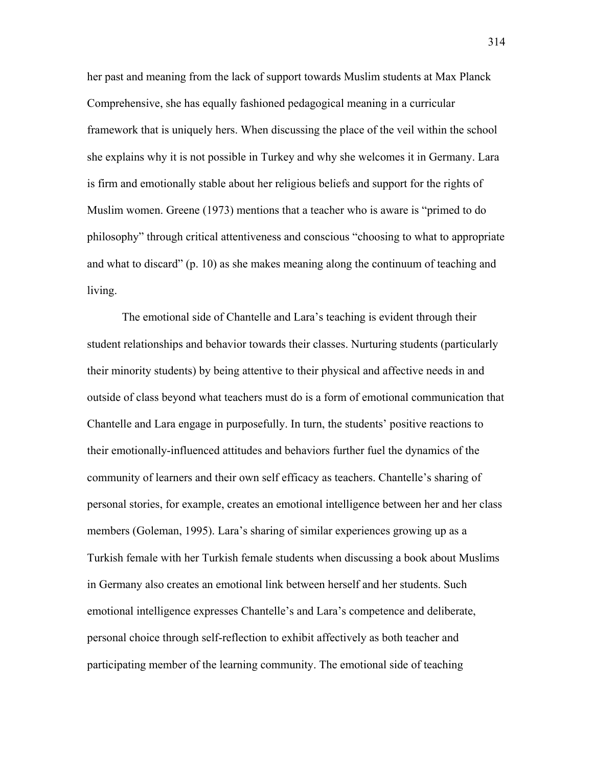her past and meaning from the lack of support towards Muslim students at Max Planck Comprehensive, she has equally fashioned pedagogical meaning in a curricular framework that is uniquely hers. When discussing the place of the veil within the school she explains why it is not possible in Turkey and why she welcomes it in Germany. Lara is firm and emotionally stable about her religious beliefs and support for the rights of Muslim women. Greene (1973) mentions that a teacher who is aware is "primed to do philosophy" through critical attentiveness and conscious "choosing to what to appropriate and what to discard" (p. 10) as she makes meaning along the continuum of teaching and living.

The emotional side of Chantelle and Lara's teaching is evident through their student relationships and behavior towards their classes. Nurturing students (particularly their minority students) by being attentive to their physical and affective needs in and outside of class beyond what teachers must do is a form of emotional communication that Chantelle and Lara engage in purposefully. In turn, the students' positive reactions to their emotionally-influenced attitudes and behaviors further fuel the dynamics of the community of learners and their own self efficacy as teachers. Chantelle's sharing of personal stories, for example, creates an emotional intelligence between her and her class members (Goleman, 1995). Lara's sharing of similar experiences growing up as a Turkish female with her Turkish female students when discussing a book about Muslims in Germany also creates an emotional link between herself and her students. Such emotional intelligence expresses Chantelle's and Lara's competence and deliberate, personal choice through self-reflection to exhibit affectively as both teacher and participating member of the learning community. The emotional side of teaching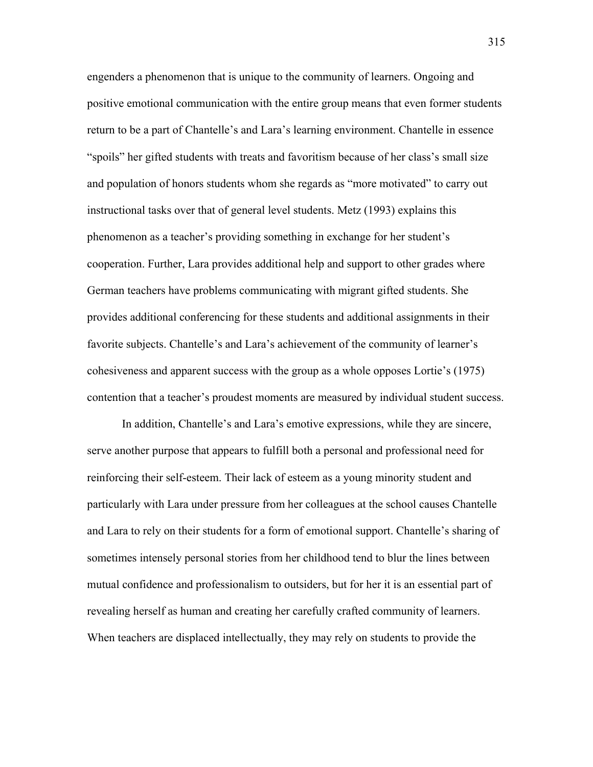engenders a phenomenon that is unique to the community of learners. Ongoing and positive emotional communication with the entire group means that even former students return to be a part of Chantelle's and Lara's learning environment. Chantelle in essence "spoils" her gifted students with treats and favoritism because of her class's small size and population of honors students whom she regards as "more motivated" to carry out instructional tasks over that of general level students. Metz (1993) explains this phenomenon as a teacher's providing something in exchange for her student's cooperation. Further, Lara provides additional help and support to other grades where German teachers have problems communicating with migrant gifted students. She provides additional conferencing for these students and additional assignments in their favorite subjects. Chantelle's and Lara's achievement of the community of learner's cohesiveness and apparent success with the group as a whole opposes Lortie's (1975) contention that a teacher's proudest moments are measured by individual student success.

 In addition, Chantelle's and Lara's emotive expressions, while they are sincere, serve another purpose that appears to fulfill both a personal and professional need for reinforcing their self-esteem. Their lack of esteem as a young minority student and particularly with Lara under pressure from her colleagues at the school causes Chantelle and Lara to rely on their students for a form of emotional support. Chantelle's sharing of sometimes intensely personal stories from her childhood tend to blur the lines between mutual confidence and professionalism to outsiders, but for her it is an essential part of revealing herself as human and creating her carefully crafted community of learners. When teachers are displaced intellectually, they may rely on students to provide the

315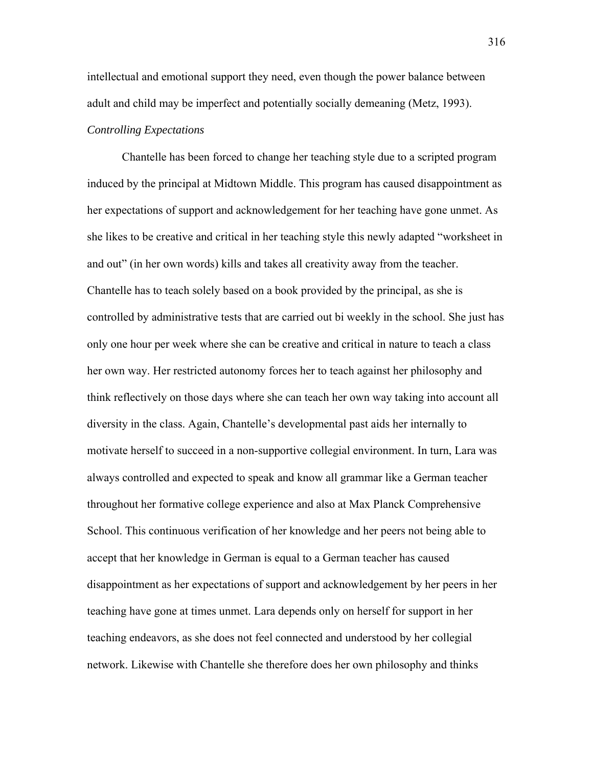intellectual and emotional support they need, even though the power balance between adult and child may be imperfect and potentially socially demeaning (Metz, 1993). *Controlling Expectations* 

Chantelle has been forced to change her teaching style due to a scripted program induced by the principal at Midtown Middle. This program has caused disappointment as her expectations of support and acknowledgement for her teaching have gone unmet. As she likes to be creative and critical in her teaching style this newly adapted "worksheet in and out" (in her own words) kills and takes all creativity away from the teacher. Chantelle has to teach solely based on a book provided by the principal, as she is controlled by administrative tests that are carried out bi weekly in the school. She just has only one hour per week where she can be creative and critical in nature to teach a class her own way. Her restricted autonomy forces her to teach against her philosophy and think reflectively on those days where she can teach her own way taking into account all diversity in the class. Again, Chantelle's developmental past aids her internally to motivate herself to succeed in a non-supportive collegial environment. In turn, Lara was always controlled and expected to speak and know all grammar like a German teacher throughout her formative college experience and also at Max Planck Comprehensive School. This continuous verification of her knowledge and her peers not being able to accept that her knowledge in German is equal to a German teacher has caused disappointment as her expectations of support and acknowledgement by her peers in her teaching have gone at times unmet. Lara depends only on herself for support in her teaching endeavors, as she does not feel connected and understood by her collegial network. Likewise with Chantelle she therefore does her own philosophy and thinks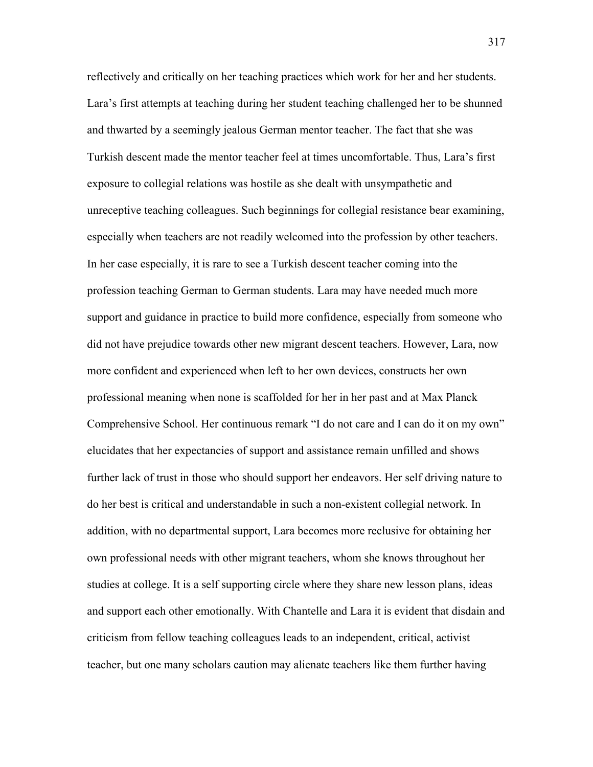reflectively and critically on her teaching practices which work for her and her students. Lara's first attempts at teaching during her student teaching challenged her to be shunned and thwarted by a seemingly jealous German mentor teacher. The fact that she was Turkish descent made the mentor teacher feel at times uncomfortable. Thus, Lara's first exposure to collegial relations was hostile as she dealt with unsympathetic and unreceptive teaching colleagues. Such beginnings for collegial resistance bear examining, especially when teachers are not readily welcomed into the profession by other teachers. In her case especially, it is rare to see a Turkish descent teacher coming into the profession teaching German to German students. Lara may have needed much more support and guidance in practice to build more confidence, especially from someone who did not have prejudice towards other new migrant descent teachers. However, Lara, now more confident and experienced when left to her own devices, constructs her own professional meaning when none is scaffolded for her in her past and at Max Planck Comprehensive School. Her continuous remark "I do not care and I can do it on my own" elucidates that her expectancies of support and assistance remain unfilled and shows further lack of trust in those who should support her endeavors. Her self driving nature to do her best is critical and understandable in such a non-existent collegial network. In addition, with no departmental support, Lara becomes more reclusive for obtaining her own professional needs with other migrant teachers, whom she knows throughout her studies at college. It is a self supporting circle where they share new lesson plans, ideas and support each other emotionally. With Chantelle and Lara it is evident that disdain and criticism from fellow teaching colleagues leads to an independent, critical, activist teacher, but one many scholars caution may alienate teachers like them further having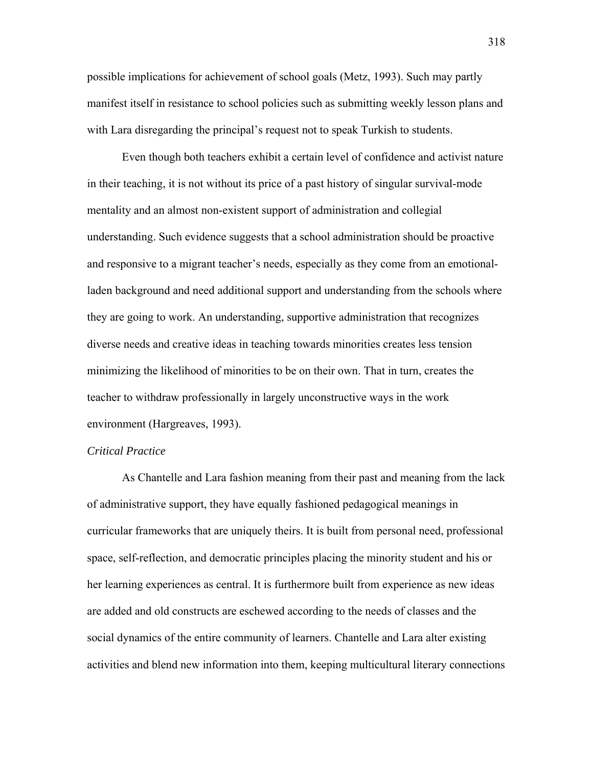possible implications for achievement of school goals (Metz, 1993). Such may partly manifest itself in resistance to school policies such as submitting weekly lesson plans and with Lara disregarding the principal's request not to speak Turkish to students.

Even though both teachers exhibit a certain level of confidence and activist nature in their teaching, it is not without its price of a past history of singular survival-mode mentality and an almost non-existent support of administration and collegial understanding. Such evidence suggests that a school administration should be proactive and responsive to a migrant teacher's needs, especially as they come from an emotionalladen background and need additional support and understanding from the schools where they are going to work. An understanding, supportive administration that recognizes diverse needs and creative ideas in teaching towards minorities creates less tension minimizing the likelihood of minorities to be on their own. That in turn, creates the teacher to withdraw professionally in largely unconstructive ways in the work environment (Hargreaves, 1993).

### *Critical Practice*

As Chantelle and Lara fashion meaning from their past and meaning from the lack of administrative support, they have equally fashioned pedagogical meanings in curricular frameworks that are uniquely theirs. It is built from personal need, professional space, self-reflection, and democratic principles placing the minority student and his or her learning experiences as central. It is furthermore built from experience as new ideas are added and old constructs are eschewed according to the needs of classes and the social dynamics of the entire community of learners. Chantelle and Lara alter existing activities and blend new information into them, keeping multicultural literary connections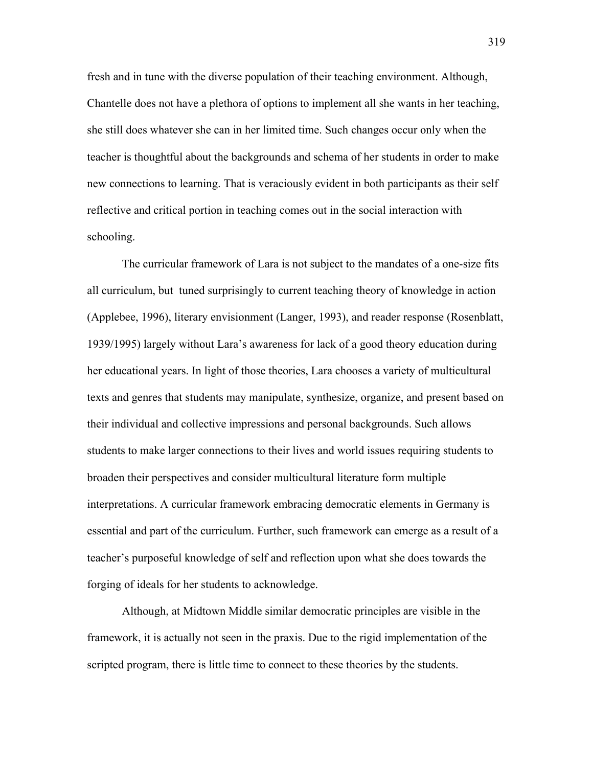fresh and in tune with the diverse population of their teaching environment. Although, Chantelle does not have a plethora of options to implement all she wants in her teaching, she still does whatever she can in her limited time. Such changes occur only when the teacher is thoughtful about the backgrounds and schema of her students in order to make new connections to learning. That is veraciously evident in both participants as their self reflective and critical portion in teaching comes out in the social interaction with schooling.

The curricular framework of Lara is not subject to the mandates of a one-size fits all curriculum, but tuned surprisingly to current teaching theory of knowledge in action (Applebee, 1996), literary envisionment (Langer, 1993), and reader response (Rosenblatt, 1939/1995) largely without Lara's awareness for lack of a good theory education during her educational years. In light of those theories, Lara chooses a variety of multicultural texts and genres that students may manipulate, synthesize, organize, and present based on their individual and collective impressions and personal backgrounds. Such allows students to make larger connections to their lives and world issues requiring students to broaden their perspectives and consider multicultural literature form multiple interpretations. A curricular framework embracing democratic elements in Germany is essential and part of the curriculum. Further, such framework can emerge as a result of a teacher's purposeful knowledge of self and reflection upon what she does towards the forging of ideals for her students to acknowledge.

Although, at Midtown Middle similar democratic principles are visible in the framework, it is actually not seen in the praxis. Due to the rigid implementation of the scripted program, there is little time to connect to these theories by the students.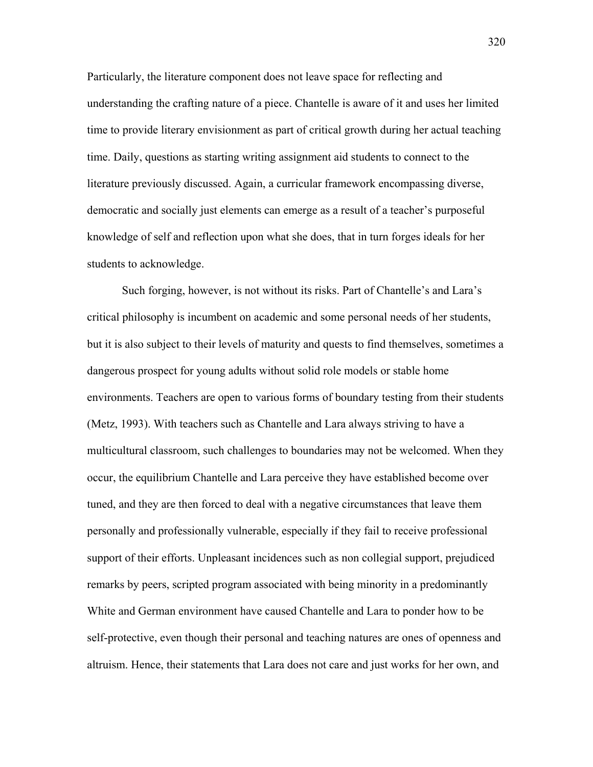Particularly, the literature component does not leave space for reflecting and understanding the crafting nature of a piece. Chantelle is aware of it and uses her limited time to provide literary envisionment as part of critical growth during her actual teaching time. Daily, questions as starting writing assignment aid students to connect to the literature previously discussed. Again, a curricular framework encompassing diverse, democratic and socially just elements can emerge as a result of a teacher's purposeful knowledge of self and reflection upon what she does, that in turn forges ideals for her students to acknowledge.

 Such forging, however, is not without its risks. Part of Chantelle's and Lara's critical philosophy is incumbent on academic and some personal needs of her students, but it is also subject to their levels of maturity and quests to find themselves, sometimes a dangerous prospect for young adults without solid role models or stable home environments. Teachers are open to various forms of boundary testing from their students (Metz, 1993). With teachers such as Chantelle and Lara always striving to have a multicultural classroom, such challenges to boundaries may not be welcomed. When they occur, the equilibrium Chantelle and Lara perceive they have established become over tuned, and they are then forced to deal with a negative circumstances that leave them personally and professionally vulnerable, especially if they fail to receive professional support of their efforts. Unpleasant incidences such as non collegial support, prejudiced remarks by peers, scripted program associated with being minority in a predominantly White and German environment have caused Chantelle and Lara to ponder how to be self-protective, even though their personal and teaching natures are ones of openness and altruism. Hence, their statements that Lara does not care and just works for her own, and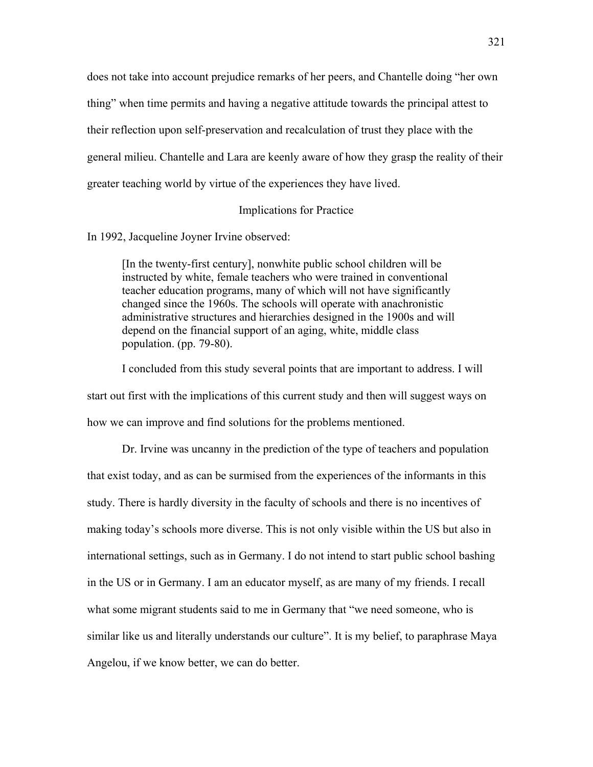does not take into account prejudice remarks of her peers, and Chantelle doing "her own thing" when time permits and having a negative attitude towards the principal attest to their reflection upon self-preservation and recalculation of trust they place with the general milieu. Chantelle and Lara are keenly aware of how they grasp the reality of their greater teaching world by virtue of the experiences they have lived.

# Implications for Practice

In 1992, Jacqueline Joyner Irvine observed:

[In the twenty-first century], nonwhite public school children will be instructed by white, female teachers who were trained in conventional teacher education programs, many of which will not have significantly changed since the 1960s. The schools will operate with anachronistic administrative structures and hierarchies designed in the 1900s and will depend on the financial support of an aging, white, middle class population. (pp. 79-80).

I concluded from this study several points that are important to address. I will start out first with the implications of this current study and then will suggest ways on how we can improve and find solutions for the problems mentioned.

Dr. Irvine was uncanny in the prediction of the type of teachers and population that exist today, and as can be surmised from the experiences of the informants in this study. There is hardly diversity in the faculty of schools and there is no incentives of making today's schools more diverse. This is not only visible within the US but also in international settings, such as in Germany. I do not intend to start public school bashing in the US or in Germany. I am an educator myself, as are many of my friends. I recall what some migrant students said to me in Germany that "we need someone, who is similar like us and literally understands our culture". It is my belief, to paraphrase Maya Angelou, if we know better, we can do better.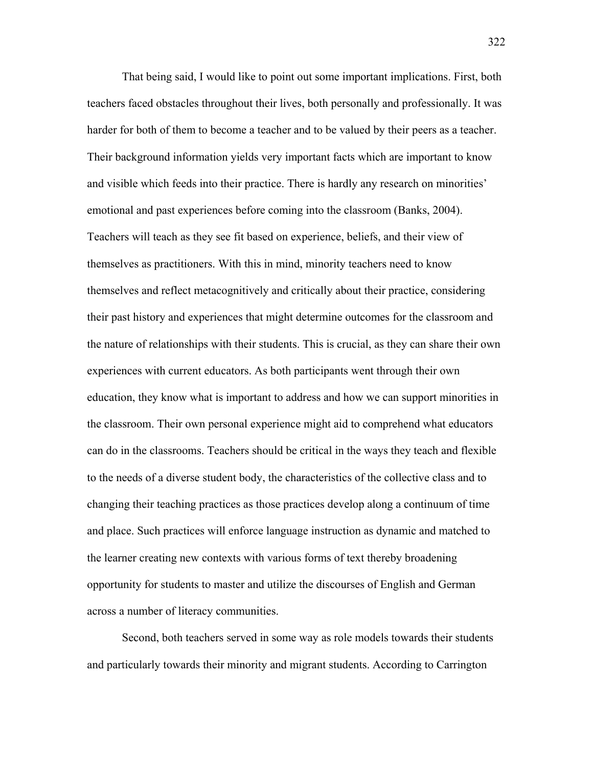That being said, I would like to point out some important implications. First, both teachers faced obstacles throughout their lives, both personally and professionally. It was harder for both of them to become a teacher and to be valued by their peers as a teacher. Their background information yields very important facts which are important to know and visible which feeds into their practice. There is hardly any research on minorities' emotional and past experiences before coming into the classroom (Banks, 2004). Teachers will teach as they see fit based on experience, beliefs, and their view of themselves as practitioners. With this in mind, minority teachers need to know themselves and reflect metacognitively and critically about their practice, considering their past history and experiences that might determine outcomes for the classroom and the nature of relationships with their students. This is crucial, as they can share their own experiences with current educators. As both participants went through their own education, they know what is important to address and how we can support minorities in the classroom. Their own personal experience might aid to comprehend what educators can do in the classrooms. Teachers should be critical in the ways they teach and flexible to the needs of a diverse student body, the characteristics of the collective class and to changing their teaching practices as those practices develop along a continuum of time and place. Such practices will enforce language instruction as dynamic and matched to the learner creating new contexts with various forms of text thereby broadening opportunity for students to master and utilize the discourses of English and German across a number of literacy communities.

Second, both teachers served in some way as role models towards their students and particularly towards their minority and migrant students. According to Carrington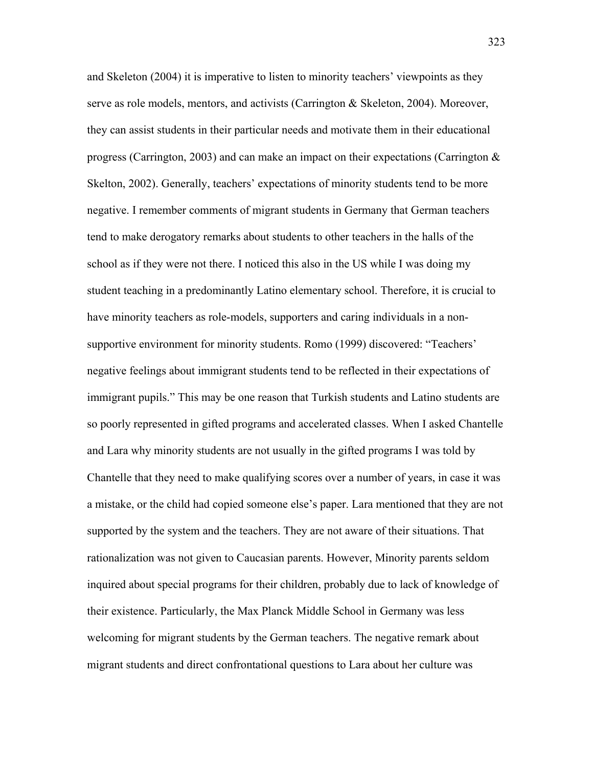and Skeleton (2004) it is imperative to listen to minority teachers' viewpoints as they serve as role models, mentors, and activists (Carrington & Skeleton, 2004). Moreover, they can assist students in their particular needs and motivate them in their educational progress (Carrington, 2003) and can make an impact on their expectations (Carrington & Skelton, 2002). Generally, teachers' expectations of minority students tend to be more negative. I remember comments of migrant students in Germany that German teachers tend to make derogatory remarks about students to other teachers in the halls of the school as if they were not there. I noticed this also in the US while I was doing my student teaching in a predominantly Latino elementary school. Therefore, it is crucial to have minority teachers as role-models, supporters and caring individuals in a nonsupportive environment for minority students. Romo (1999) discovered: "Teachers' negative feelings about immigrant students tend to be reflected in their expectations of immigrant pupils." This may be one reason that Turkish students and Latino students are so poorly represented in gifted programs and accelerated classes. When I asked Chantelle and Lara why minority students are not usually in the gifted programs I was told by Chantelle that they need to make qualifying scores over a number of years, in case it was a mistake, or the child had copied someone else's paper. Lara mentioned that they are not supported by the system and the teachers. They are not aware of their situations. That rationalization was not given to Caucasian parents. However, Minority parents seldom inquired about special programs for their children, probably due to lack of knowledge of their existence. Particularly, the Max Planck Middle School in Germany was less welcoming for migrant students by the German teachers. The negative remark about migrant students and direct confrontational questions to Lara about her culture was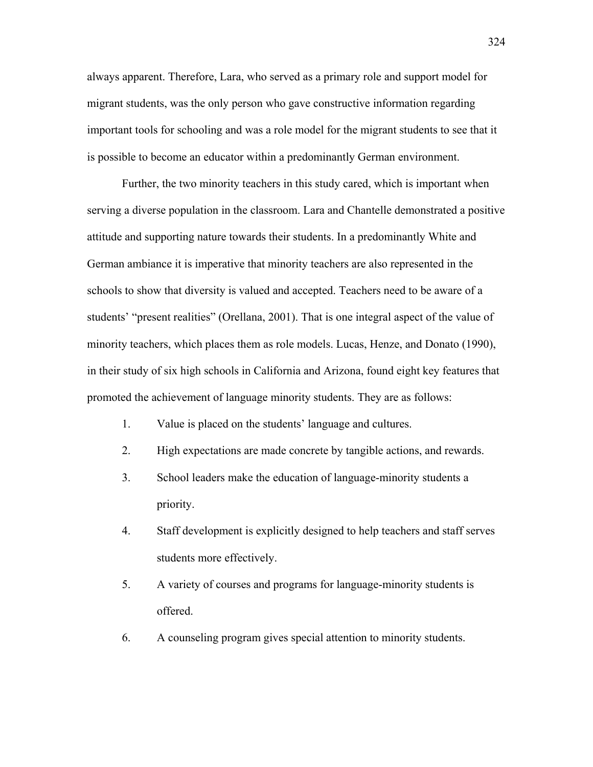always apparent. Therefore, Lara, who served as a primary role and support model for migrant students, was the only person who gave constructive information regarding important tools for schooling and was a role model for the migrant students to see that it is possible to become an educator within a predominantly German environment.

Further, the two minority teachers in this study cared, which is important when serving a diverse population in the classroom. Lara and Chantelle demonstrated a positive attitude and supporting nature towards their students. In a predominantly White and German ambiance it is imperative that minority teachers are also represented in the schools to show that diversity is valued and accepted. Teachers need to be aware of a students' "present realities" (Orellana, 2001). That is one integral aspect of the value of minority teachers, which places them as role models. Lucas, Henze, and Donato (1990), in their study of six high schools in California and Arizona, found eight key features that promoted the achievement of language minority students. They are as follows:

- 1. Value is placed on the students' language and cultures.
- 2. High expectations are made concrete by tangible actions, and rewards.
- 3. School leaders make the education of language-minority students a priority.
- 4. Staff development is explicitly designed to help teachers and staff serves students more effectively.
- 5. A variety of courses and programs for language-minority students is offered.
- 6. A counseling program gives special attention to minority students.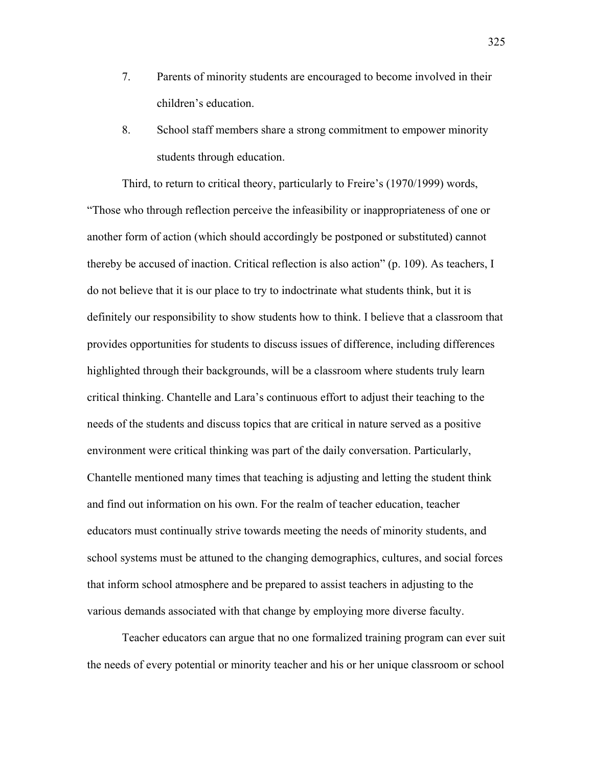- 7. Parents of minority students are encouraged to become involved in their children's education.
- 8. School staff members share a strong commitment to empower minority students through education.

Third, to return to critical theory, particularly to Freire's (1970/1999) words, "Those who through reflection perceive the infeasibility or inappropriateness of one or another form of action (which should accordingly be postponed or substituted) cannot thereby be accused of inaction. Critical reflection is also action" (p. 109). As teachers, I do not believe that it is our place to try to indoctrinate what students think, but it is definitely our responsibility to show students how to think. I believe that a classroom that provides opportunities for students to discuss issues of difference, including differences highlighted through their backgrounds, will be a classroom where students truly learn critical thinking. Chantelle and Lara's continuous effort to adjust their teaching to the needs of the students and discuss topics that are critical in nature served as a positive environment were critical thinking was part of the daily conversation. Particularly, Chantelle mentioned many times that teaching is adjusting and letting the student think and find out information on his own. For the realm of teacher education, teacher educators must continually strive towards meeting the needs of minority students, and school systems must be attuned to the changing demographics, cultures, and social forces that inform school atmosphere and be prepared to assist teachers in adjusting to the various demands associated with that change by employing more diverse faculty.

Teacher educators can argue that no one formalized training program can ever suit the needs of every potential or minority teacher and his or her unique classroom or school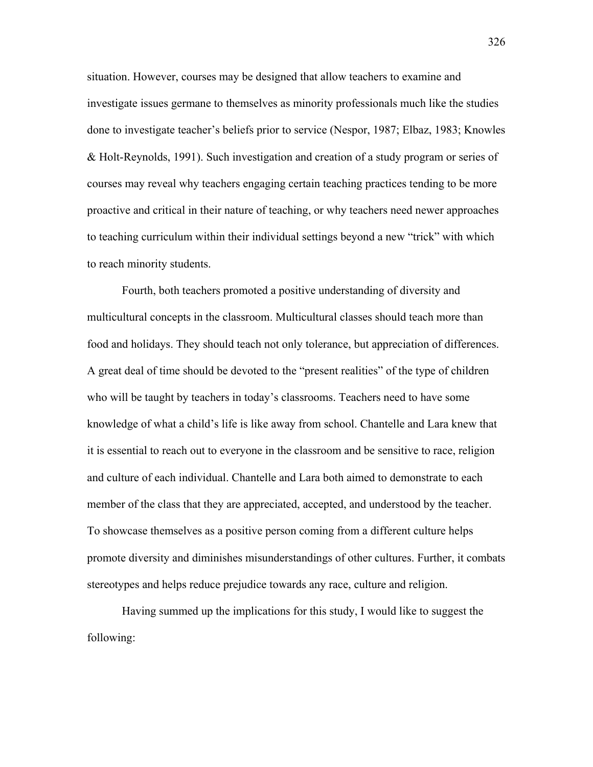situation. However, courses may be designed that allow teachers to examine and investigate issues germane to themselves as minority professionals much like the studies done to investigate teacher's beliefs prior to service (Nespor, 1987; Elbaz, 1983; Knowles & Holt-Reynolds, 1991). Such investigation and creation of a study program or series of courses may reveal why teachers engaging certain teaching practices tending to be more proactive and critical in their nature of teaching, or why teachers need newer approaches to teaching curriculum within their individual settings beyond a new "trick" with which to reach minority students.

Fourth, both teachers promoted a positive understanding of diversity and multicultural concepts in the classroom. Multicultural classes should teach more than food and holidays. They should teach not only tolerance, but appreciation of differences. A great deal of time should be devoted to the "present realities" of the type of children who will be taught by teachers in today's classrooms. Teachers need to have some knowledge of what a child's life is like away from school. Chantelle and Lara knew that it is essential to reach out to everyone in the classroom and be sensitive to race, religion and culture of each individual. Chantelle and Lara both aimed to demonstrate to each member of the class that they are appreciated, accepted, and understood by the teacher. To showcase themselves as a positive person coming from a different culture helps promote diversity and diminishes misunderstandings of other cultures. Further, it combats stereotypes and helps reduce prejudice towards any race, culture and religion.

Having summed up the implications for this study, I would like to suggest the following:

326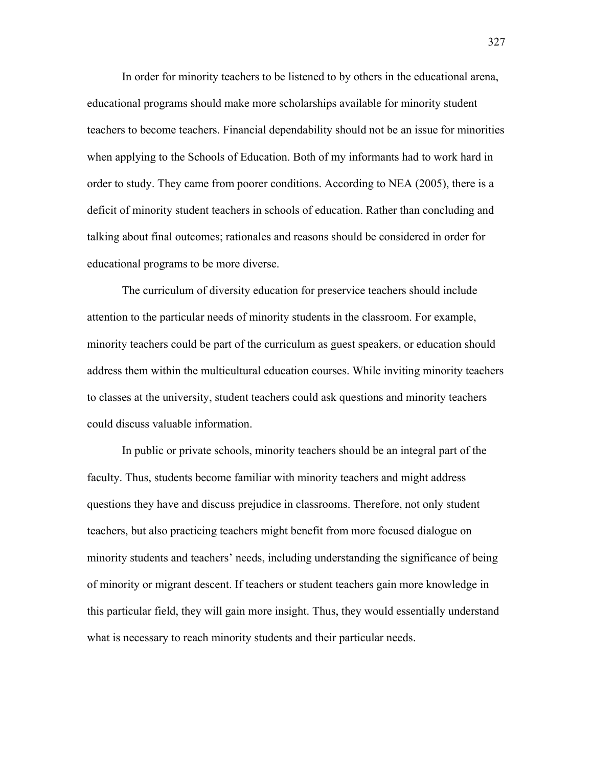In order for minority teachers to be listened to by others in the educational arena, educational programs should make more scholarships available for minority student teachers to become teachers. Financial dependability should not be an issue for minorities when applying to the Schools of Education. Both of my informants had to work hard in order to study. They came from poorer conditions. According to NEA (2005), there is a deficit of minority student teachers in schools of education. Rather than concluding and talking about final outcomes; rationales and reasons should be considered in order for educational programs to be more diverse.

The curriculum of diversity education for preservice teachers should include attention to the particular needs of minority students in the classroom. For example, minority teachers could be part of the curriculum as guest speakers, or education should address them within the multicultural education courses. While inviting minority teachers to classes at the university, student teachers could ask questions and minority teachers could discuss valuable information.

In public or private schools, minority teachers should be an integral part of the faculty. Thus, students become familiar with minority teachers and might address questions they have and discuss prejudice in classrooms. Therefore, not only student teachers, but also practicing teachers might benefit from more focused dialogue on minority students and teachers' needs, including understanding the significance of being of minority or migrant descent. If teachers or student teachers gain more knowledge in this particular field, they will gain more insight. Thus, they would essentially understand what is necessary to reach minority students and their particular needs.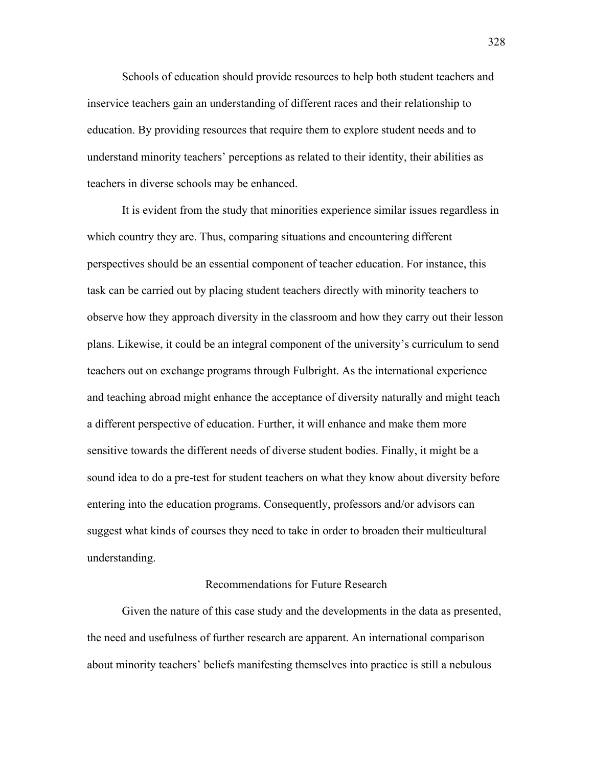Schools of education should provide resources to help both student teachers and inservice teachers gain an understanding of different races and their relationship to education. By providing resources that require them to explore student needs and to understand minority teachers' perceptions as related to their identity, their abilities as teachers in diverse schools may be enhanced.

It is evident from the study that minorities experience similar issues regardless in which country they are. Thus, comparing situations and encountering different perspectives should be an essential component of teacher education. For instance, this task can be carried out by placing student teachers directly with minority teachers to observe how they approach diversity in the classroom and how they carry out their lesson plans. Likewise, it could be an integral component of the university's curriculum to send teachers out on exchange programs through Fulbright. As the international experience and teaching abroad might enhance the acceptance of diversity naturally and might teach a different perspective of education. Further, it will enhance and make them more sensitive towards the different needs of diverse student bodies. Finally, it might be a sound idea to do a pre-test for student teachers on what they know about diversity before entering into the education programs. Consequently, professors and/or advisors can suggest what kinds of courses they need to take in order to broaden their multicultural understanding.

## Recommendations for Future Research

 Given the nature of this case study and the developments in the data as presented, the need and usefulness of further research are apparent. An international comparison about minority teachers' beliefs manifesting themselves into practice is still a nebulous

328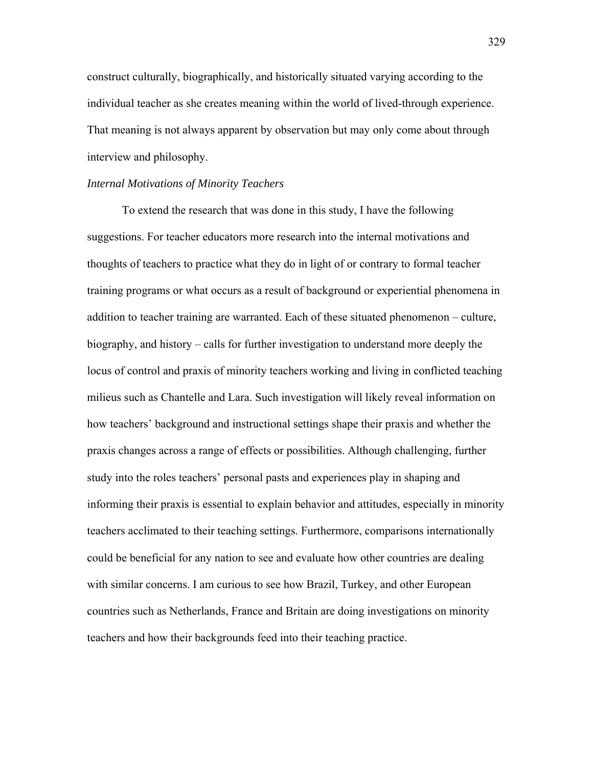construct culturally, biographically, and historically situated varying according to the individual teacher as she creates meaning within the world of lived-through experience. That meaning is not always apparent by observation but may only come about through interview and philosophy.

#### *Internal Motivations of Minority Teachers*

To extend the research that was done in this study, I have the following suggestions. For teacher educators more research into the internal motivations and thoughts of teachers to practice what they do in light of or contrary to formal teacher training programs or what occurs as a result of background or experiential phenomena in addition to teacher training are warranted. Each of these situated phenomenon – culture, biography, and history – calls for further investigation to understand more deeply the locus of control and praxis of minority teachers working and living in conflicted teaching milieus such as Chantelle and Lara. Such investigation will likely reveal information on how teachers' background and instructional settings shape their praxis and whether the praxis changes across a range of effects or possibilities. Although challenging, further study into the roles teachers' personal pasts and experiences play in shaping and informing their praxis is essential to explain behavior and attitudes, especially in minority teachers acclimated to their teaching settings. Furthermore, comparisons internationally could be beneficial for any nation to see and evaluate how other countries are dealing with similar concerns. I am curious to see how Brazil, Turkey, and other European countries such as Netherlands, France and Britain are doing investigations on minority teachers and how their backgrounds feed into their teaching practice.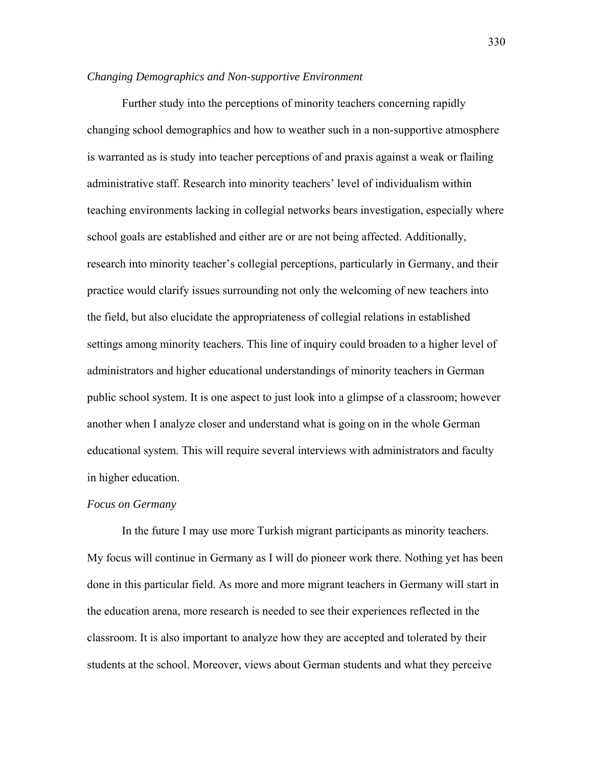# *Changing Demographics and Non-supportive Environment*

Further study into the perceptions of minority teachers concerning rapidly changing school demographics and how to weather such in a non-supportive atmosphere is warranted as is study into teacher perceptions of and praxis against a weak or flailing administrative staff. Research into minority teachers' level of individualism within teaching environments lacking in collegial networks bears investigation, especially where school goals are established and either are or are not being affected. Additionally, research into minority teacher's collegial perceptions, particularly in Germany, and their practice would clarify issues surrounding not only the welcoming of new teachers into the field, but also elucidate the appropriateness of collegial relations in established settings among minority teachers. This line of inquiry could broaden to a higher level of administrators and higher educational understandings of minority teachers in German public school system. It is one aspect to just look into a glimpse of a classroom; however another when I analyze closer and understand what is going on in the whole German educational system. This will require several interviews with administrators and faculty in higher education.

# *Focus on Germany*

 In the future I may use more Turkish migrant participants as minority teachers. My focus will continue in Germany as I will do pioneer work there. Nothing yet has been done in this particular field. As more and more migrant teachers in Germany will start in the education arena, more research is needed to see their experiences reflected in the classroom. It is also important to analyze how they are accepted and tolerated by their students at the school. Moreover, views about German students and what they perceive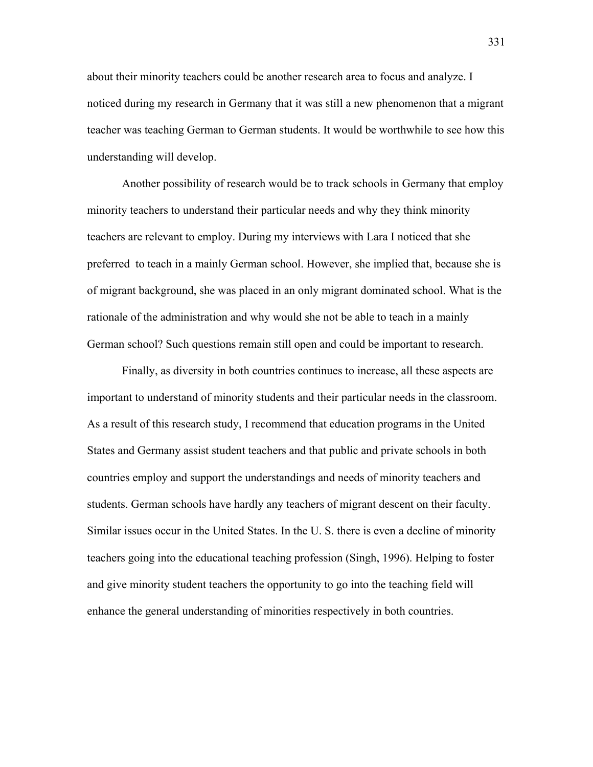about their minority teachers could be another research area to focus and analyze. I noticed during my research in Germany that it was still a new phenomenon that a migrant teacher was teaching German to German students. It would be worthwhile to see how this understanding will develop.

Another possibility of research would be to track schools in Germany that employ minority teachers to understand their particular needs and why they think minority teachers are relevant to employ. During my interviews with Lara I noticed that she preferred to teach in a mainly German school. However, she implied that, because she is of migrant background, she was placed in an only migrant dominated school. What is the rationale of the administration and why would she not be able to teach in a mainly German school? Such questions remain still open and could be important to research.

 Finally, as diversity in both countries continues to increase, all these aspects are important to understand of minority students and their particular needs in the classroom. As a result of this research study, I recommend that education programs in the United States and Germany assist student teachers and that public and private schools in both countries employ and support the understandings and needs of minority teachers and students. German schools have hardly any teachers of migrant descent on their faculty. Similar issues occur in the United States. In the U. S. there is even a decline of minority teachers going into the educational teaching profession (Singh, 1996). Helping to foster and give minority student teachers the opportunity to go into the teaching field will enhance the general understanding of minorities respectively in both countries.

331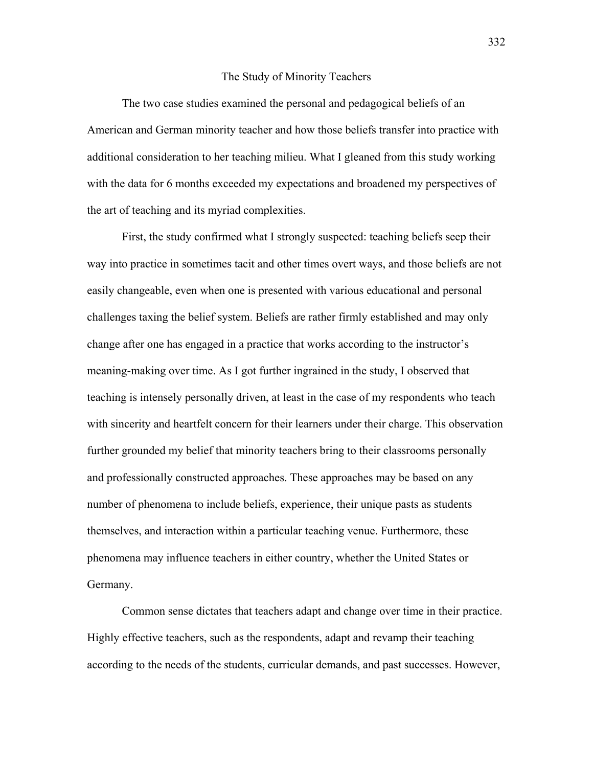#### The Study of Minority Teachers

The two case studies examined the personal and pedagogical beliefs of an American and German minority teacher and how those beliefs transfer into practice with additional consideration to her teaching milieu. What I gleaned from this study working with the data for 6 months exceeded my expectations and broadened my perspectives of the art of teaching and its myriad complexities.

 First, the study confirmed what I strongly suspected: teaching beliefs seep their way into practice in sometimes tacit and other times overt ways, and those beliefs are not easily changeable, even when one is presented with various educational and personal challenges taxing the belief system. Beliefs are rather firmly established and may only change after one has engaged in a practice that works according to the instructor's meaning-making over time. As I got further ingrained in the study, I observed that teaching is intensely personally driven, at least in the case of my respondents who teach with sincerity and heartfelt concern for their learners under their charge. This observation further grounded my belief that minority teachers bring to their classrooms personally and professionally constructed approaches. These approaches may be based on any number of phenomena to include beliefs, experience, their unique pasts as students themselves, and interaction within a particular teaching venue. Furthermore, these phenomena may influence teachers in either country, whether the United States or Germany.

 Common sense dictates that teachers adapt and change over time in their practice. Highly effective teachers, such as the respondents, adapt and revamp their teaching according to the needs of the students, curricular demands, and past successes. However,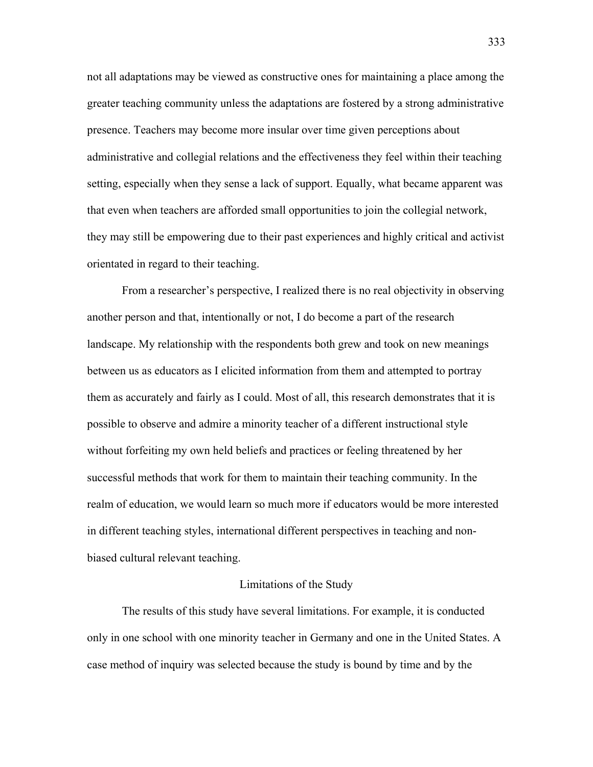not all adaptations may be viewed as constructive ones for maintaining a place among the greater teaching community unless the adaptations are fostered by a strong administrative presence. Teachers may become more insular over time given perceptions about administrative and collegial relations and the effectiveness they feel within their teaching setting, especially when they sense a lack of support. Equally, what became apparent was that even when teachers are afforded small opportunities to join the collegial network, they may still be empowering due to their past experiences and highly critical and activist orientated in regard to their teaching.

 From a researcher's perspective, I realized there is no real objectivity in observing another person and that, intentionally or not, I do become a part of the research landscape. My relationship with the respondents both grew and took on new meanings between us as educators as I elicited information from them and attempted to portray them as accurately and fairly as I could. Most of all, this research demonstrates that it is possible to observe and admire a minority teacher of a different instructional style without forfeiting my own held beliefs and practices or feeling threatened by her successful methods that work for them to maintain their teaching community. In the realm of education, we would learn so much more if educators would be more interested in different teaching styles, international different perspectives in teaching and nonbiased cultural relevant teaching.

#### Limitations of the Study

 The results of this study have several limitations. For example, it is conducted only in one school with one minority teacher in Germany and one in the United States. A case method of inquiry was selected because the study is bound by time and by the

333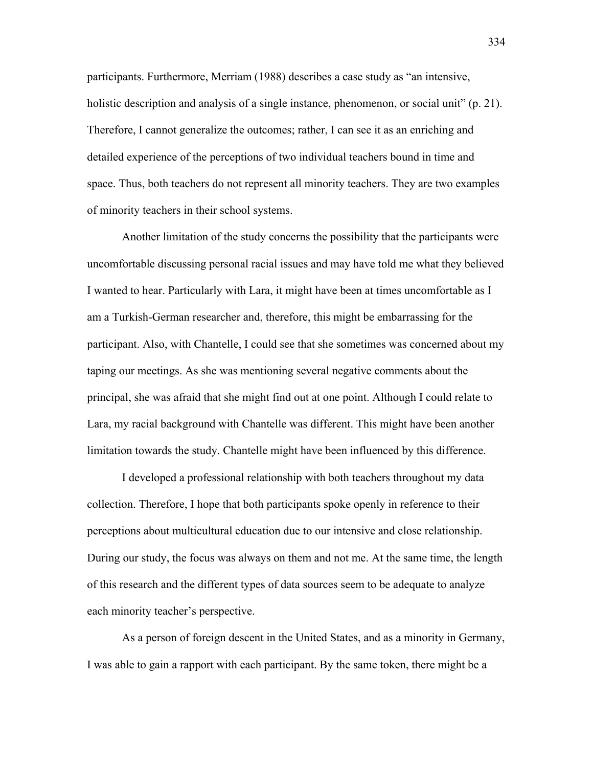participants. Furthermore, Merriam (1988) describes a case study as "an intensive, holistic description and analysis of a single instance, phenomenon, or social unit" (p. 21). Therefore, I cannot generalize the outcomes; rather, I can see it as an enriching and detailed experience of the perceptions of two individual teachers bound in time and space. Thus, both teachers do not represent all minority teachers. They are two examples of minority teachers in their school systems.

 Another limitation of the study concerns the possibility that the participants were uncomfortable discussing personal racial issues and may have told me what they believed I wanted to hear. Particularly with Lara, it might have been at times uncomfortable as I am a Turkish-German researcher and, therefore, this might be embarrassing for the participant. Also, with Chantelle, I could see that she sometimes was concerned about my taping our meetings. As she was mentioning several negative comments about the principal, she was afraid that she might find out at one point. Although I could relate to Lara, my racial background with Chantelle was different. This might have been another limitation towards the study. Chantelle might have been influenced by this difference.

 I developed a professional relationship with both teachers throughout my data collection. Therefore, I hope that both participants spoke openly in reference to their perceptions about multicultural education due to our intensive and close relationship. During our study, the focus was always on them and not me. At the same time, the length of this research and the different types of data sources seem to be adequate to analyze each minority teacher's perspective.

 As a person of foreign descent in the United States, and as a minority in Germany, I was able to gain a rapport with each participant. By the same token, there might be a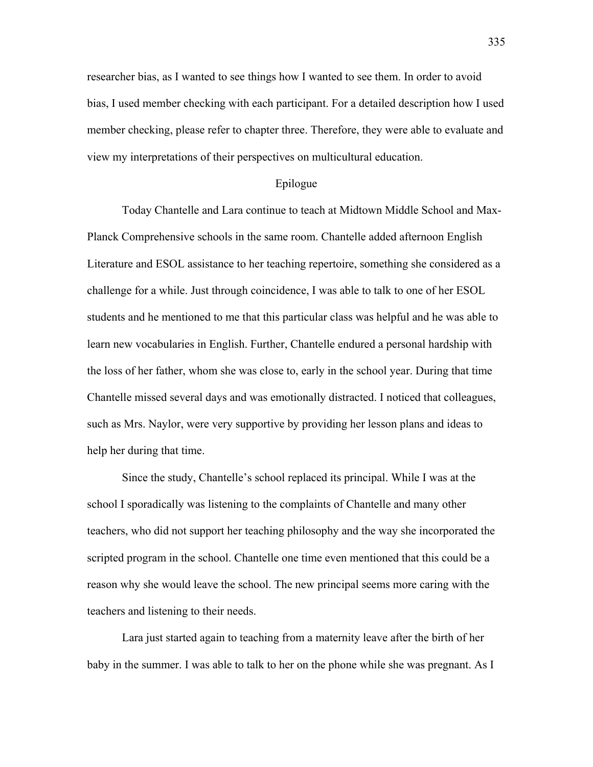researcher bias, as I wanted to see things how I wanted to see them. In order to avoid bias, I used member checking with each participant. For a detailed description how I used member checking, please refer to chapter three. Therefore, they were able to evaluate and view my interpretations of their perspectives on multicultural education.

# Epilogue

Today Chantelle and Lara continue to teach at Midtown Middle School and Max-Planck Comprehensive schools in the same room. Chantelle added afternoon English Literature and ESOL assistance to her teaching repertoire, something she considered as a challenge for a while. Just through coincidence, I was able to talk to one of her ESOL students and he mentioned to me that this particular class was helpful and he was able to learn new vocabularies in English. Further, Chantelle endured a personal hardship with the loss of her father, whom she was close to, early in the school year. During that time Chantelle missed several days and was emotionally distracted. I noticed that colleagues, such as Mrs. Naylor, were very supportive by providing her lesson plans and ideas to help her during that time.

Since the study, Chantelle's school replaced its principal. While I was at the school I sporadically was listening to the complaints of Chantelle and many other teachers, who did not support her teaching philosophy and the way she incorporated the scripted program in the school. Chantelle one time even mentioned that this could be a reason why she would leave the school. The new principal seems more caring with the teachers and listening to their needs.

Lara just started again to teaching from a maternity leave after the birth of her baby in the summer. I was able to talk to her on the phone while she was pregnant. As I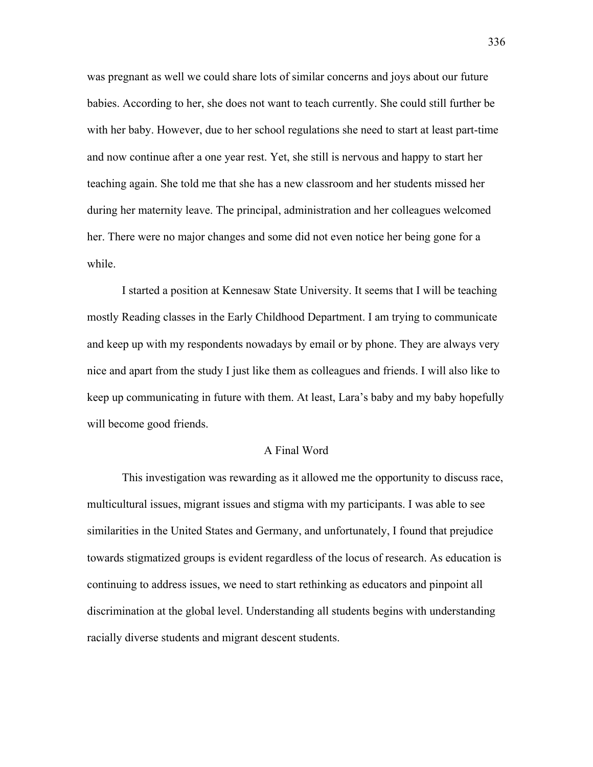was pregnant as well we could share lots of similar concerns and joys about our future babies. According to her, she does not want to teach currently. She could still further be with her baby. However, due to her school regulations she need to start at least part-time and now continue after a one year rest. Yet, she still is nervous and happy to start her teaching again. She told me that she has a new classroom and her students missed her during her maternity leave. The principal, administration and her colleagues welcomed her. There were no major changes and some did not even notice her being gone for a while.

I started a position at Kennesaw State University. It seems that I will be teaching mostly Reading classes in the Early Childhood Department. I am trying to communicate and keep up with my respondents nowadays by email or by phone. They are always very nice and apart from the study I just like them as colleagues and friends. I will also like to keep up communicating in future with them. At least, Lara's baby and my baby hopefully will become good friends.

#### A Final Word

This investigation was rewarding as it allowed me the opportunity to discuss race, multicultural issues, migrant issues and stigma with my participants. I was able to see similarities in the United States and Germany, and unfortunately, I found that prejudice towards stigmatized groups is evident regardless of the locus of research. As education is continuing to address issues, we need to start rethinking as educators and pinpoint all discrimination at the global level. Understanding all students begins with understanding racially diverse students and migrant descent students.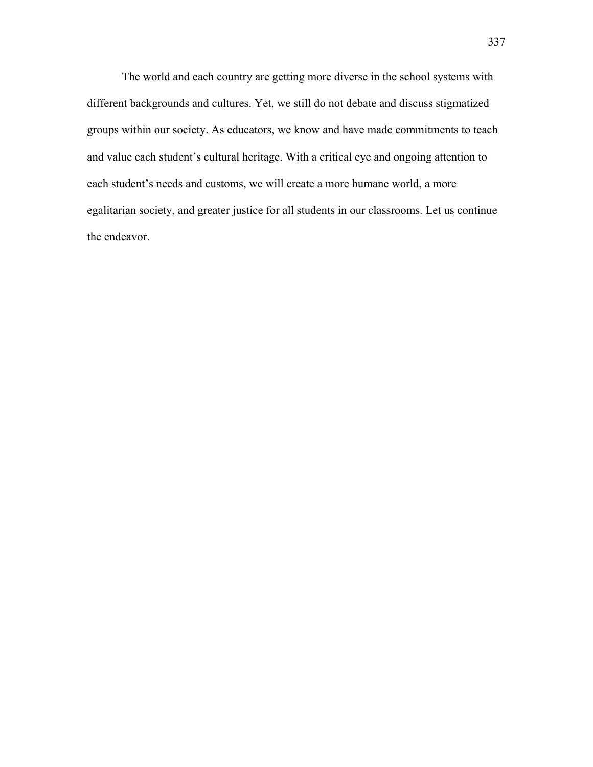The world and each country are getting more diverse in the school systems with different backgrounds and cultures. Yet, we still do not debate and discuss stigmatized groups within our society. As educators, we know and have made commitments to teach and value each student's cultural heritage. With a critical eye and ongoing attention to each student's needs and customs, we will create a more humane world, a more egalitarian society, and greater justice for all students in our classrooms. Let us continue the endeavor.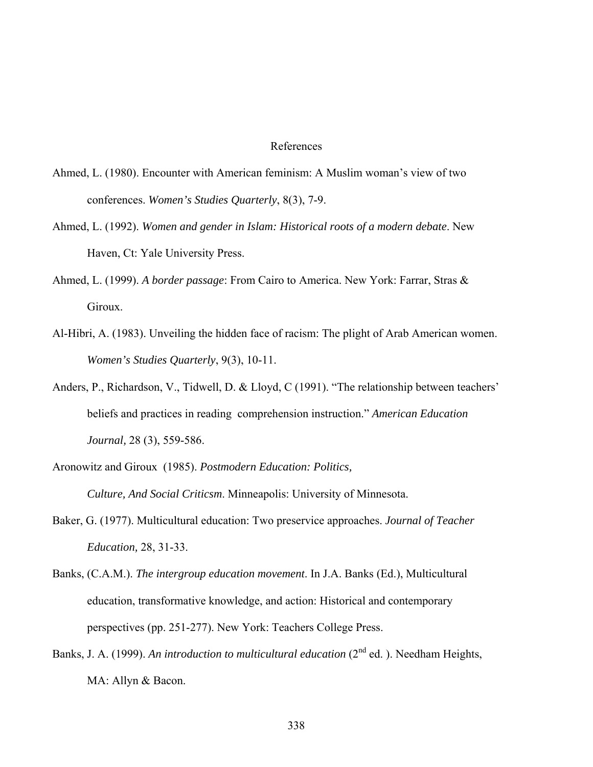### References

- Ahmed, L. (1980). Encounter with American feminism: A Muslim woman's view of two conferences. *Women's Studies Quarterly*, 8(3), 7-9.
- Ahmed, L. (1992). *Women and gender in Islam: Historical roots of a modern debate*. New Haven, Ct: Yale University Press.
- Ahmed, L. (1999). *A border passage*: From Cairo to America. New York: Farrar, Stras & Giroux.
- Al-Hibri, A. (1983). Unveiling the hidden face of racism: The plight of Arab American women. *Women's Studies Quarterly*, 9(3), 10-11.
- Anders, P., Richardson, V., Tidwell, D. & Lloyd, C (1991). "The relationship between teachers' beliefs and practices in reading comprehension instruction." *American Education Journal,* 28 (3), 559-586.
- Aronowitz and Giroux (1985). *Postmodern Education: Politics,*

*Culture, And Social Criticsm*. Minneapolis: University of Minnesota.

- Baker, G. (1977). Multicultural education: Two preservice approaches. *Journal of Teacher Education,* 28, 31-33.
- Banks, (C.A.M.). *The intergroup education movement*. In J.A. Banks (Ed.), Multicultural education, transformative knowledge, and action: Historical and contemporary perspectives (pp. 251-277). New York: Teachers College Press.
- Banks, J. A. (1999). *An introduction to multicultural education* (2<sup>nd</sup> ed.). Needham Heights, MA: Allyn & Bacon.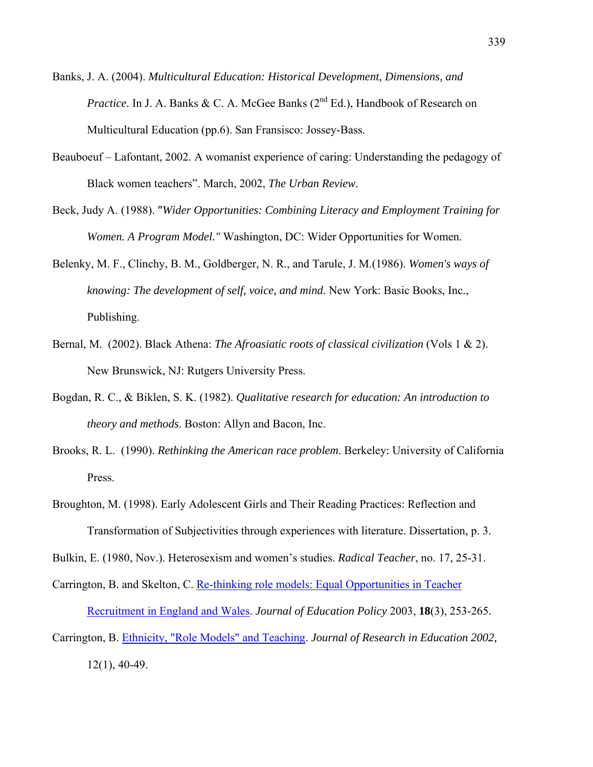- Banks, J. A. (2004). *Multicultural Education: Historical Development, Dimensions, and Practice.* In J. A. Banks  $& C$ . A. McGee Banks ( $2<sup>nd</sup> Ed$ .), Handbook of Research on Multicultural Education (pp.6). San Fransisco: Jossey-Bass.
- Beauboeuf Lafontant, 2002. A womanist experience of caring: Understanding the pedagogy of Black women teachers". March, 2002, *The Urban Review.*
- Beck, Judy A. (1988). "*Wider Opportunities: Combining Literacy and Employment Training for Women. A Program Model."* Washington, DC: Wider Opportunities for Women.
- Belenky, M. F., Clinchy, B. M., Goldberger, N. R., and Tarule, J. M.(1986). *Women's ways of knowing: The development of self, voice, and mind.* New York: Basic Books, Inc., Publishing.
- Bernal, M. (2002). Black Athena: *The Afroasiatic roots of classical civilization* (Vols 1 & 2). New Brunswick, NJ: Rutgers University Press.
- Bogdan, R. C., & Biklen, S. K. (1982). *Qualitative research for education: An introduction to theory and methods*. Boston: Allyn and Bacon, Inc.
- Brooks, R. L. (1990). *Rethinking the American race problem*. Berkeley: University of California Press.
- Broughton, M. (1998). Early Adolescent Girls and Their Reading Practices: Reflection and Transformation of Subjectivities through experiences with literature. Dissertation, p. 3.
- Bulkin, E. (1980, Nov.). Heterosexism and women's studies. *Radical Teacher*, no. 17, 25-31.

Carrington, B. and Skelton, C. Re-thinking role models: Equal Opportunities in Teacher Recruitment in England and Wales. *Journal of Education Policy* 2003, **18**(3), 253-265. Carrington, B. Ethnicity, "Role Models" and Teaching. *Journal of Research in Education 2002,*

12(1), 40-49.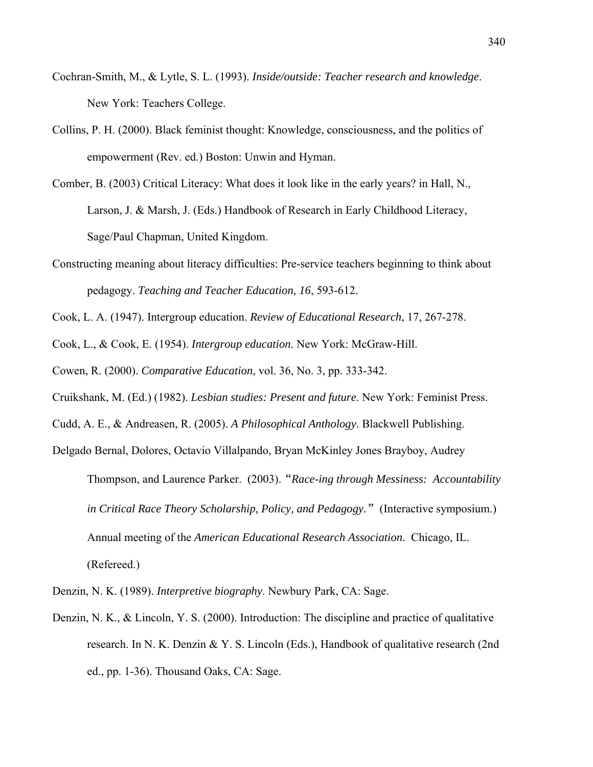- Cochran-Smith, M., & Lytle, S. L. (1993). *Inside/outside: Teacher research and knowledge*. New York: Teachers College.
- Collins, P. H. (2000). Black feminist thought: Knowledge, consciousness, and the politics of empowerment (Rev. ed.) Boston: Unwin and Hyman.
- Comber, B. (2003) Critical Literacy: What does it look like in the early years? in Hall, N., Larson, J. & Marsh, J. (Eds.) Handbook of Research in Early Childhood Literacy, Sage/Paul Chapman, United Kingdom.
- Constructing meaning about literacy difficulties: Pre-service teachers beginning to think about pedagogy. *Teaching and Teacher Education, 16*, 593-612.
- Cook, L. A. (1947). Intergroup education. *Review of Educational Research*, 17, 267-278.
- Cook, L., & Cook, E. (1954). *Intergroup education*. New York: McGraw-Hill.
- Cowen, R. (2000). *Comparative Education*, vol. 36, No. 3, pp. 333-342.
- Cruikshank, M. (Ed.) (1982). *Lesbian studies: Present and future*. New York: Feminist Press.
- Cudd, A. E., & Andreasen, R. (2005). *A Philosophical Anthology*. Blackwell Publishing.
- Delgado Bernal, Dolores, Octavio Villalpando, Bryan McKinley Jones Brayboy, Audrey Thompson, and Laurence Parker. (2003). *"Race-ing through Messiness: Accountability in Critical Race Theory Scholarship, Policy, and Pedagogy."* (Interactive symposium.) Annual meeting of the *American Educational Research Association*. Chicago, IL. (Refereed.)
- Denzin, N. K. (1989). *Interpretive biography*. Newbury Park, CA: Sage.
- Denzin, N. K., & Lincoln, Y. S. (2000). Introduction: The discipline and practice of qualitative research. In N. K. Denzin & Y. S. Lincoln (Eds.), Handbook of qualitative research (2nd ed., pp. 1-36). Thousand Oaks, CA: Sage.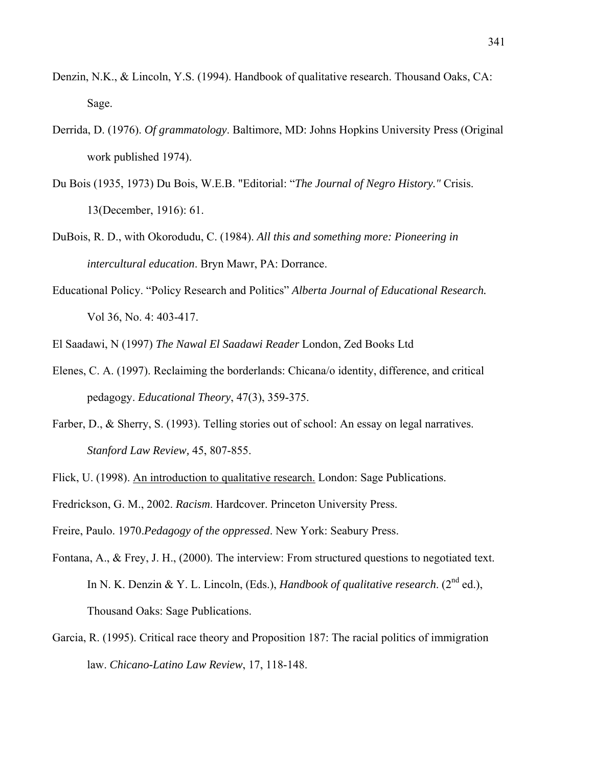- Denzin, N.K., & Lincoln, Y.S. (1994). Handbook of qualitative research. Thousand Oaks, CA: Sage.
- Derrida, D. (1976). *Of grammatology*. Baltimore, MD: Johns Hopkins University Press (Original work published 1974).
- Du Bois (1935, 1973) Du Bois, W.E.B. "Editorial: "*The Journal of Negro History."* Crisis. 13(December, 1916): 61.
- DuBois, R. D., with Okorodudu, C. (1984). *All this and something more: Pioneering in intercultural education*. Bryn Mawr, PA: Dorrance.
- Educational Policy. "Policy Research and Politics" *Alberta Journal of Educational Research.* Vol 36, No. 4: 403-417.

El Saadawi, N (1997) *The Nawal El Saadawi Reader* London, Zed Books Ltd

- Elenes, C. A. (1997). Reclaiming the borderlands: Chicana/o identity, difference, and critical pedagogy. *Educational Theory*, 47(3), 359-375.
- Farber, D., & Sherry, S. (1993). Telling stories out of school: An essay on legal narratives. *Stanford Law Review,* 45, 807-855.
- Flick, U. (1998). An introduction to qualitative research. London: Sage Publications.

Fredrickson, G. M., 2002. *Racism*. Hardcover. Princeton University Press.

Freire, Paulo. 1970.*Pedagogy of the oppressed*. New York: Seabury Press.

- Fontana, A., & Frey, J. H., (2000). The interview: From structured questions to negotiated text. In N. K. Denzin & Y. L. Lincoln, (Eds.), *Handbook of qualitative research*. ( $2^{nd}$  ed.), Thousand Oaks: Sage Publications.
- Garcia, R. (1995). Critical race theory and Proposition 187: The racial politics of immigration law. *Chicano-Latino Law Review*, 17, 118-148.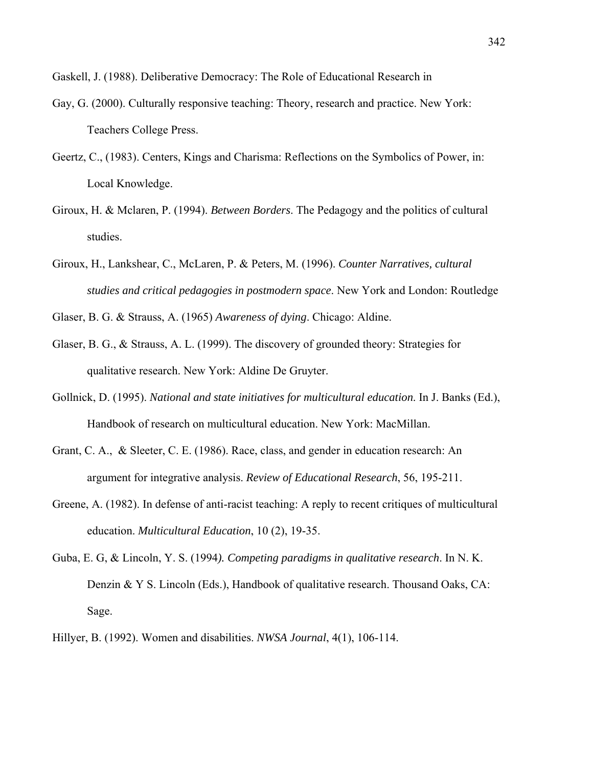Gaskell, J. (1988). Deliberative Democracy: The Role of Educational Research in

- Gay, G. (2000). Culturally responsive teaching: Theory, research and practice. New York: Teachers College Press.
- Geertz, C., (1983). Centers, Kings and Charisma: Reflections on the Symbolics of Power, in: Local Knowledge.
- Giroux, H. & Mclaren, P. (1994). *Between Borders*. The Pedagogy and the politics of cultural studies.
- Giroux, H., Lankshear, C., McLaren, P. & Peters, M. (1996). *Counter Narratives, cultural studies and critical pedagogies in postmodern space*. New York and London: Routledge
- Glaser, B. G. & Strauss, A. (1965) *Awareness of dying*. Chicago: Aldine.
- Glaser, B. G., & Strauss, A. L. (1999). The discovery of grounded theory: Strategies for qualitative research. New York: Aldine De Gruyter.
- Gollnick, D. (1995). *National and state initiatives for multicultural education*. In J. Banks (Ed.), Handbook of research on multicultural education. New York: MacMillan.
- Grant, C. A., & Sleeter, C. E. (1986). Race, class, and gender in education research: An argument for integrative analysis. *Review of Educational Research*, 56, 195-211.
- Greene, A. (1982). In defense of anti-racist teaching: A reply to recent critiques of multicultural education. *Multicultural Education*, 10 (2), 19-35.
- Guba, E. G, & Lincoln, Y. S. (1994*). Competing paradigms in qualitative research*. In N. K. Denzin & Y S. Lincoln (Eds.), Handbook of qualitative research. Thousand Oaks, CA: Sage.
- Hillyer, B. (1992). Women and disabilities. *NWSA Journal*, 4(1), 106-114.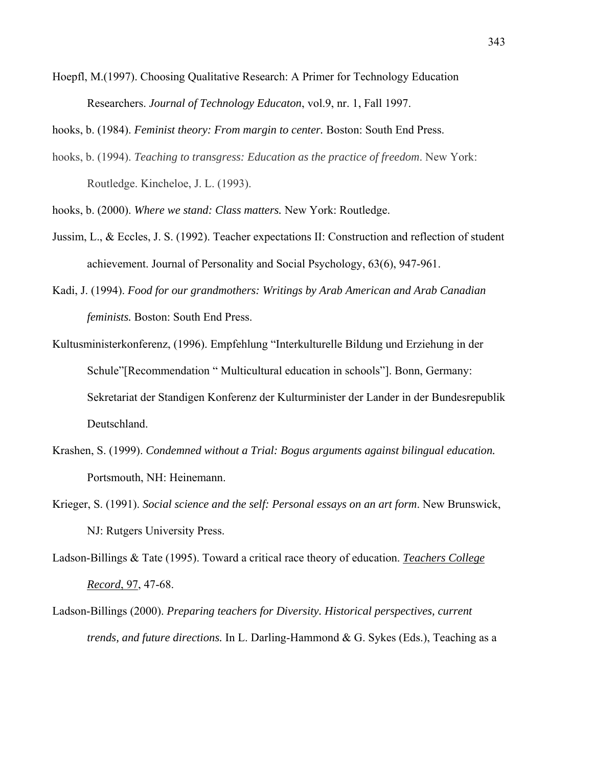Hoepfl, M.(1997). Choosing Qualitative Research: A Primer for Technology Education Researchers. *Journal of Technology Educaton*, vol.9, nr. 1, Fall 1997.

hooks, b. (1984). *Feminist theory: From margin to center.* Boston: South End Press.

- hooks, b. (1994). *Teaching to transgress: Education as the practice of freedom*. New York: Routledge. Kincheloe, J. L. (1993).
- hooks, b. (2000). *Where we stand: Class matters.* New York: Routledge.
- Jussim, L., & Eccles, J. S. (1992). Teacher expectations II: Construction and reflection of student achievement. Journal of Personality and Social Psychology, 63(6), 947-961.
- Kadi, J. (1994). *Food for our grandmothers: Writings by Arab American and Arab Canadian feminists.* Boston: South End Press.
- Kultusministerkonferenz, (1996). Empfehlung "Interkulturelle Bildung und Erziehung in der Schule"[Recommendation " Multicultural education in schools"]. Bonn, Germany: Sekretariat der Standigen Konferenz der Kulturminister der Lander in der Bundesrepublik Deutschland.
- Krashen, S. (1999). *Condemned without a Trial: Bogus arguments against bilingual education.* Portsmouth, NH: Heinemann.
- Krieger, S. (1991). *Social science and the self: Personal essays on an art form*. New Brunswick, NJ: Rutgers University Press.
- Ladson-Billings & Tate (1995). Toward a critical race theory of education. *Teachers College Record*, 97, 47-68.
- Ladson-Billings (2000). *Preparing teachers for Diversity. Historical perspectives, current trends, and future directions.* In L. Darling-Hammond & G. Sykes (Eds.), Teaching as a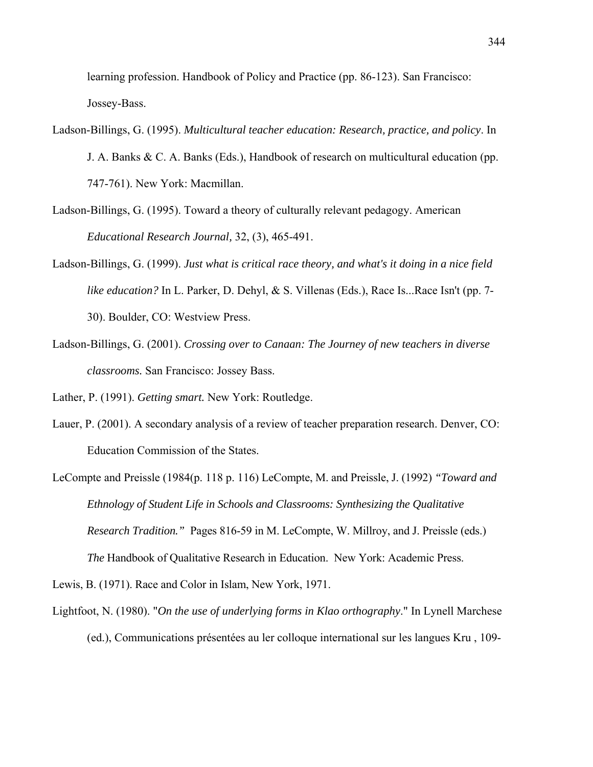learning profession. Handbook of Policy and Practice (pp. 86-123). San Francisco: Jossey-Bass.

- Ladson-Billings, G. (1995). *Multicultural teacher education: Research, practice, and policy*. In J. A. Banks & C. A. Banks (Eds.), Handbook of research on multicultural education (pp. 747-761). New York: Macmillan.
- Ladson-Billings, G. (1995). Toward a theory of culturally relevant pedagogy. American *Educational Research Journal,* 32, (3), 465-491.
- Ladson-Billings, G. (1999). *Just what is critical race theory, and what's it doing in a nice field like education?* In L. Parker, D. Dehyl, & S. Villenas (Eds.), Race Is...Race Isn't (pp. 7- 30). Boulder, CO: Westview Press.
- Ladson-Billings, G. (2001). *Crossing over to Canaan: The Journey of new teachers in diverse classrooms.* San Francisco: Jossey Bass.

Lather, P. (1991). *Getting smart.* New York: Routledge.

- Lauer, P. (2001). A secondary analysis of a review of teacher preparation research. Denver, CO: Education Commission of the States.
- LeCompte and Preissle (1984(p. 118 p. 116) LeCompte, M. and Preissle, J. (1992) *"Toward and Ethnology of Student Life in Schools and Classrooms: Synthesizing the Qualitative Research Tradition."* Pages 816-59 in M. LeCompte, W. Millroy, and J. Preissle (eds.) *The* Handbook of Qualitative Research in Education. New York: Academic Press.

Lewis, B. (1971). Race and Color in Islam, New York, 1971.

Lightfoot, N. (1980). "*On the use of underlying forms in Klao orthography*." In Lynell Marchese (ed.), Communications présentées au ler colloque international sur les langues Kru , 109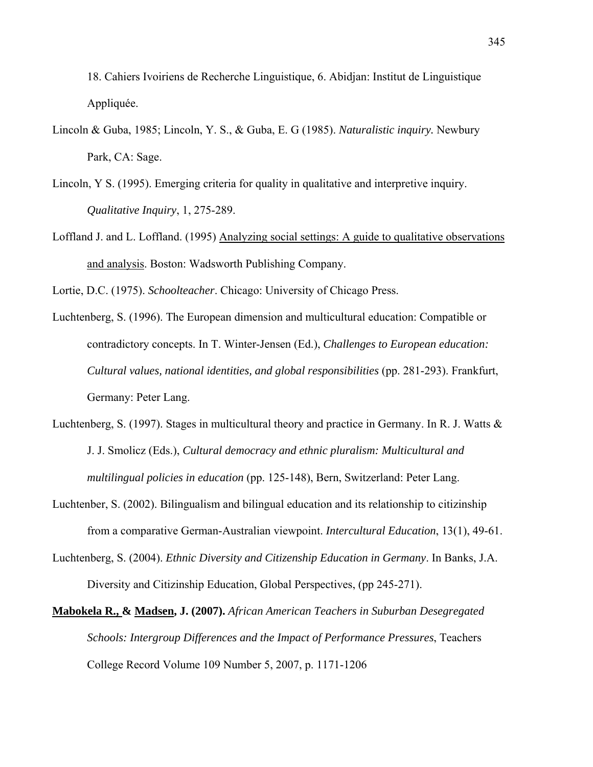18. Cahiers Ivoiriens de Recherche Linguistique, 6. Abidjan: Institut de Linguistique Appliquée.

- Lincoln & Guba, 1985; Lincoln, Y. S., & Guba, E. G (1985). *Naturalistic inquiry.* Newbury Park, CA: Sage.
- Lincoln, Y S. (1995). Emerging criteria for quality in qualitative and interpretive inquiry. *Qualitative Inquiry*, 1, 275-289.
- Loffland J. and L. Loffland. (1995) Analyzing social settings: A guide to qualitative observations and analysis. Boston: Wadsworth Publishing Company.

Lortie, D.C. (1975). *Schoolteacher*. Chicago: University of Chicago Press.

- Luchtenberg, S. (1996). The European dimension and multicultural education: Compatible or contradictory concepts. In T. Winter-Jensen (Ed.), *Challenges to European education: Cultural values, national identities, and global responsibilities* (pp. 281-293). Frankfurt, Germany: Peter Lang.
- Luchtenberg, S. (1997). Stages in multicultural theory and practice in Germany. In R. J. Watts  $\&$ J. J. Smolicz (Eds.), *Cultural democracy and ethnic pluralism: Multicultural and multilingual policies in education* (pp. 125-148), Bern, Switzerland: Peter Lang.
- Luchtenber, S. (2002). Bilingualism and bilingual education and its relationship to citizinship from a comparative German-Australian viewpoint. *Intercultural Education*, 13(1), 49-61.
- Luchtenberg, S. (2004). *Ethnic Diversity and Citizenship Education in Germany*. In Banks, J.A. Diversity and Citizinship Education, Global Perspectives, (pp 245-271).
- **Mabokela R., & Madsen, J. (2007).** *African American Teachers in Suburban Desegregated Schools: Intergroup Differences and the Impact of Performance Pressures*, Teachers College Record Volume 109 Number 5, 2007, p. 1171-1206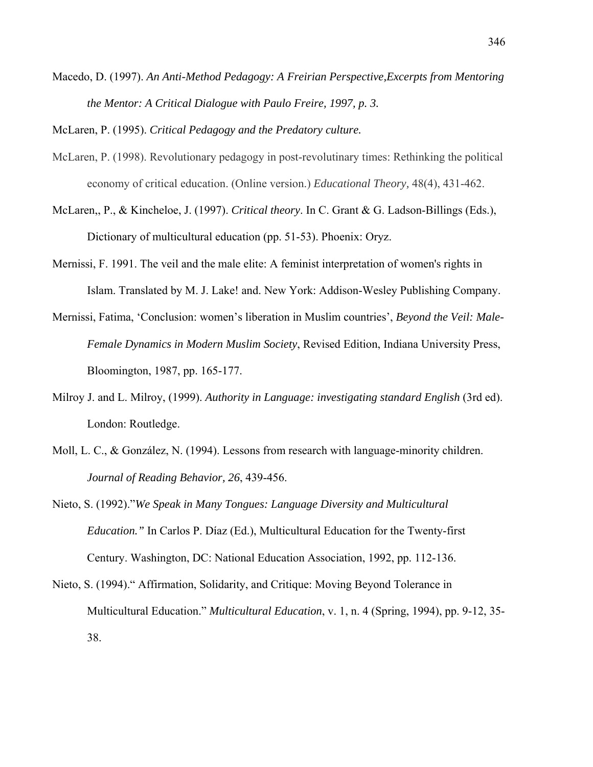Macedo, D. (1997). *An Anti-Method Pedagogy: A Freirian Perspective,Excerpts from Mentoring the Mentor: A Critical Dialogue with Paulo Freire, 1997, p. 3.*

McLaren, P. (1995). *Critical Pedagogy and the Predatory culture.*

- McLaren, P. (1998). Revolutionary pedagogy in post-revolutinary times: Rethinking the political economy of critical education. (Online version.) *Educational Theory,* 48(4), 431-462.
- McLaren,, P., & Kincheloe, J. (1997). *Critical theory*. In C. Grant & G. Ladson-Billings (Eds.), Dictionary of multicultural education (pp. 51-53). Phoenix: Oryz.
- Mernissi, F. 1991. The veil and the male elite: A feminist interpretation of women's rights in Islam. Translated by M. J. Lake! and. New York: Addison-Wesley Publishing Company.
- Mernissi, Fatima, 'Conclusion: women's liberation in Muslim countries', *Beyond the Veil: Male-Female Dynamics in Modern Muslim Society*, Revised Edition, Indiana University Press, Bloomington, 1987, pp. 165-177.
- Milroy J. and L. Milroy, (1999). *Authority in Language: investigating standard English* (3rd ed). London: Routledge.
- Moll, L. C., & González, N. (1994). Lessons from research with language-minority children. *Journal of Reading Behavior, 26*, 439-456.
- Nieto, S. (1992)."*We Speak in Many Tongues: Language Diversity and Multicultural Education."* In Carlos P. Díaz (Ed.), Multicultural Education for the Twenty-first Century. Washington, DC: National Education Association, 1992, pp. 112-136.
- Nieto, S. (1994)." Affirmation, Solidarity, and Critique: Moving Beyond Tolerance in Multicultural Education." *Multicultural Education*, v. 1, n. 4 (Spring, 1994), pp. 9-12, 35- 38.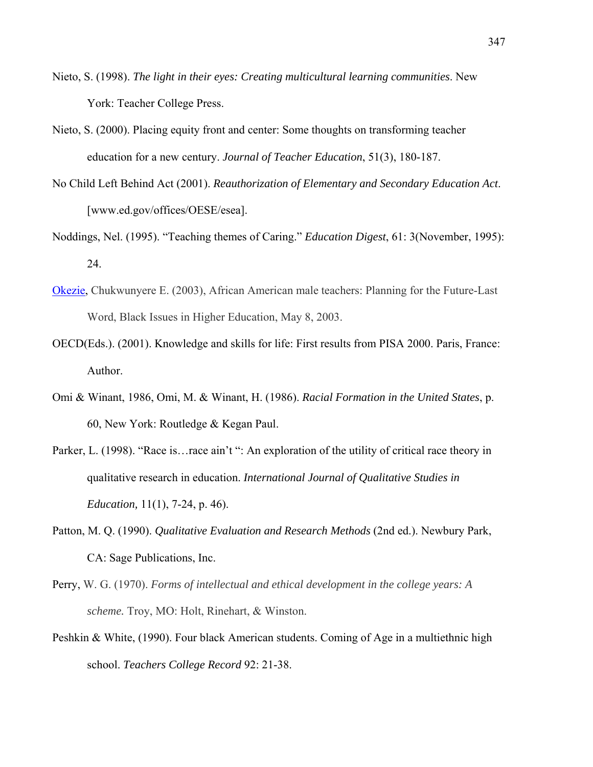- Nieto, S. (1998). *The light in their eyes: Creating multicultural learning communities*. New York: Teacher College Press.
- Nieto, S. (2000). Placing equity front and center: Some thoughts on transforming teacher education for a new century. *Journal of Teacher Education*, 51(3), 180-187.
- No Child Left Behind Act (2001). *Reauthorization of Elementary and Secondary Education Act*. [www.ed.gov/offices/OESE/esea].
- Noddings, Nel. (1995). "Teaching themes of Caring." *Education Digest*, 61: 3(November, 1995): 24.
- Okezie, Chukwunyere E. (2003), African American male teachers: Planning for the Future-Last Word, Black Issues in Higher Education, May 8, 2003.
- OECD(Eds.). (2001). Knowledge and skills for life: First results from PISA 2000. Paris, France: Author.
- Omi & Winant, 1986, Omi, M. & Winant, H. (1986). *Racial Formation in the United States*, p. 60, New York: Routledge & Kegan Paul.
- Parker, L. (1998). "Race is... race ain't ": An exploration of the utility of critical race theory in qualitative research in education. *International Journal of Qualitative Studies in Education,* 11(1), 7-24, p. 46).
- Patton, M. Q. (1990). *Qualitative Evaluation and Research Methods* (2nd ed.). Newbury Park, CA: Sage Publications, Inc.
- Perry, W. G. (1970). *Forms of intellectual and ethical development in the college years: A scheme.* Troy, MO: Holt, Rinehart, & Winston.
- Peshkin & White, (1990). Four black American students. Coming of Age in a multiethnic high school. *Teachers College Record* 92: 21-38.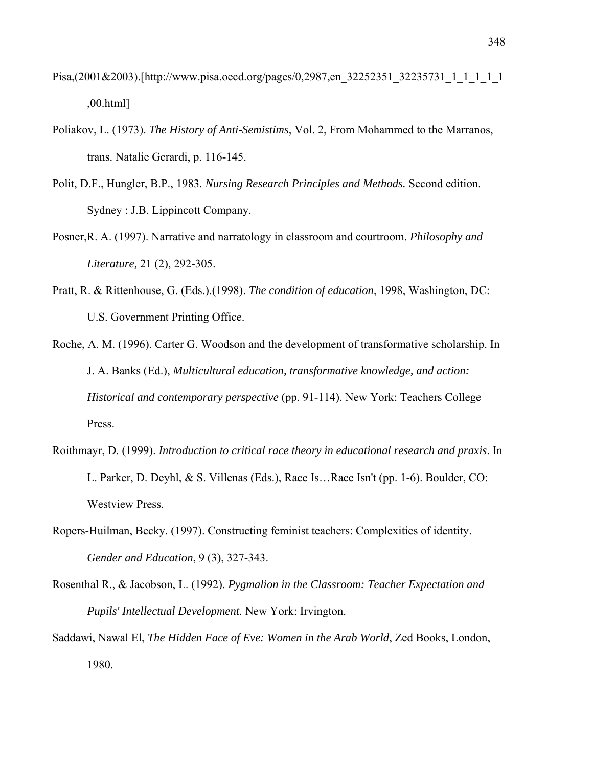- Pisa,(2001&2003).[http://www.pisa.oecd.org/pages/0,2987,en\_32252351\_32235731\_1\_1\_1\_1\_1\_1\_1\_1\_1\_1\_1\_1\_ ,00.html]
- Poliakov, L. (1973). *The History of Anti-Semistims*, Vol. 2, From Mohammed to the Marranos, trans. Natalie Gerardi, p. 116-145.
- Polit, D.F., Hungler, B.P., 1983. *Nursing Research Principles and Methods.* Second edition. Sydney : J.B. Lippincott Company.
- Posner,R. A. (1997). Narrative and narratology in classroom and courtroom. *Philosophy and Literature,* 21 (2), 292-305.
- Pratt, R. & Rittenhouse, G. (Eds.).(1998). *The condition of education*, 1998, Washington, DC: U.S. Government Printing Office.
- Roche, A. M. (1996). Carter G. Woodson and the development of transformative scholarship. In J. A. Banks (Ed.), *Multicultural education, transformative knowledge, and action: Historical and contemporary perspective* (pp. 91-114). New York: Teachers College Press.
- Roithmayr, D. (1999). *Introduction to critical race theory in educational research and praxis*. In L. Parker, D. Deyhl, & S. Villenas (Eds.), Race Is…Race Isn't (pp. 1-6). Boulder, CO: Westview Press.
- Ropers-Huilman, Becky. (1997). Constructing feminist teachers: Complexities of identity. *Gender and Education*, 9(3), 327-343.
- Rosenthal R., & Jacobson, L. (1992). *Pygmalion in the Classroom: Teacher Expectation and Pupils' Intellectual Development*. New York: Irvington.
- Saddawi, Nawal El, *The Hidden Face of Eve: Women in the Arab World*, Zed Books, London, 1980.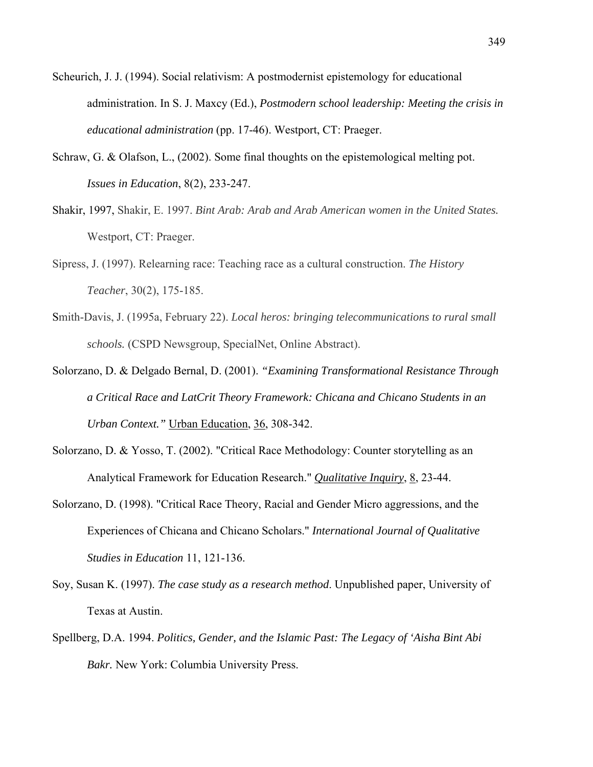- Scheurich, J. J. (1994). Social relativism: A postmodernist epistemology for educational administration. In S. J. Maxcy (Ed.), *Postmodern school leadership: Meeting the crisis in educational administration* (pp. 17-46). Westport, CT: Praeger.
- Schraw, G. & Olafson, L., (2002). Some final thoughts on the epistemological melting pot. *Issues in Education*, 8(2), 233-247.
- Shakir, 1997, Shakir, E. 1997. *Bint Arab: Arab and Arab American women in the United States.* Westport, CT: Praeger.
- Sipress, J. (1997). Relearning race: Teaching race as a cultural construction. *The History Teacher*, 30(2), 175-185.
- Smith-Davis, J. (1995a, February 22). *Local heros: bringing telecommunications to rural small schools.* (CSPD Newsgroup, SpecialNet, Online Abstract).
- Solorzano, D. & Delgado Bernal, D. (2001). *"Examining Transformational Resistance Through a Critical Race and LatCrit Theory Framework: Chicana and Chicano Students in an Urban Context."* Urban Education, 36, 308-342.
- Solorzano, D. & Yosso, T. (2002). "Critical Race Methodology: Counter storytelling as an Analytical Framework for Education Research." *Qualitative Inquiry*, 8, 23-44.
- Solorzano, D. (1998). "Critical Race Theory, Racial and Gender Micro aggressions, and the Experiences of Chicana and Chicano Scholars." *International Journal of Qualitative Studies in Education* 11, 121-136.
- Soy, Susan K. (1997). *The case study as a research method*. Unpublished paper, University of Texas at Austin.
- Spellberg, D.A. 1994. *Politics, Gender, and the Islamic Past: The Legacy of 'Aisha Bint Abi Bakr.* New York: Columbia University Press.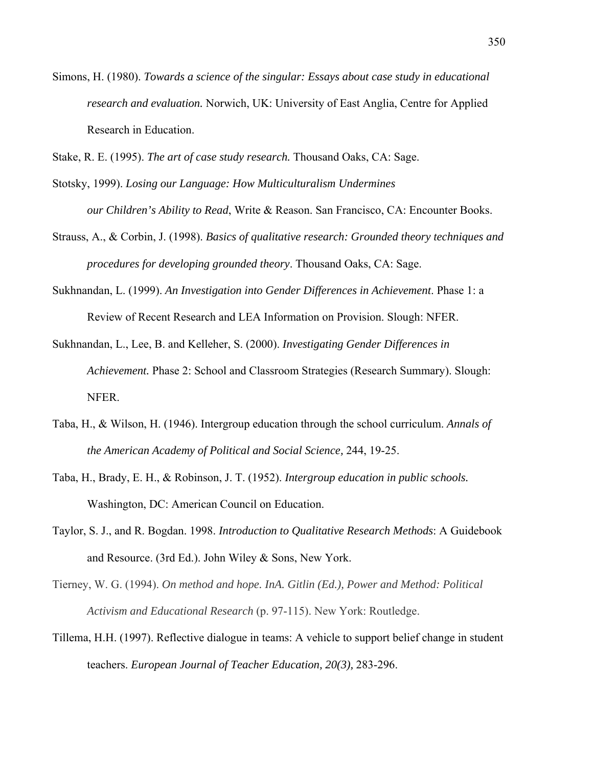- Simons, H. (1980). *Towards a science of the singular: Essays about case study in educational research and evaluation.* Norwich, UK: University of East Anglia, Centre for Applied Research in Education.
- Stake, R. E. (1995). *The art of case study research.* Thousand Oaks, CA: Sage.
- Stotsky, 1999). *Losing our Language: How Multiculturalism Undermines our Children's Ability to Read*, Write & Reason. San Francisco, CA: Encounter Books.
- Strauss, A., & Corbin, J. (1998). *Basics of qualitative research: Grounded theory techniques and procedures for developing grounded theory*. Thousand Oaks, CA: Sage.
- Sukhnandan, L. (1999). *An Investigation into Gender Differences in Achievement*. Phase 1: a Review of Recent Research and LEA Information on Provision. Slough: NFER.
- Sukhnandan, L., Lee, B. and Kelleher, S. (2000). *Investigating Gender Differences in Achievement.* Phase 2: School and Classroom Strategies (Research Summary). Slough: NFER.
- Taba, H., & Wilson, H. (1946). Intergroup education through the school curriculum. *Annals of the American Academy of Political and Social Science,* 244, 19-25.
- Taba, H., Brady, E. H., & Robinson, J. T. (1952). *Intergroup education in public schools.* Washington, DC: American Council on Education.
- Taylor, S. J., and R. Bogdan. 1998. *Introduction to Qualitative Research Methods*: A Guidebook and Resource. (3rd Ed.). John Wiley & Sons, New York.
- Tierney, W. G. (1994). *On method and hope. InA. Gitlin (Ed.), Power and Method: Political Activism and Educational Research* (p. 97-115). New York: Routledge.
- Tillema, H.H. (1997). Reflective dialogue in teams: A vehicle to support belief change in student teachers. *European Journal of Teacher Education, 20(3),* 283-296.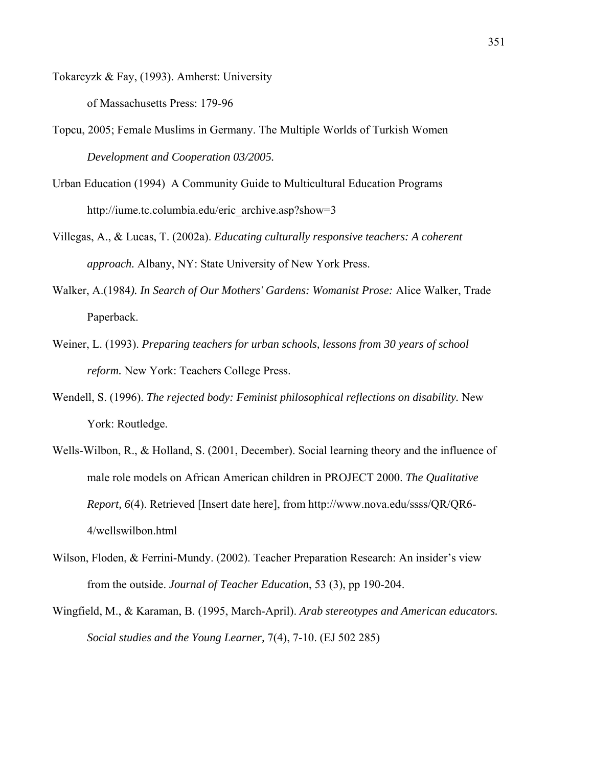Tokarcyzk & Fay, (1993). Amherst: University

of Massachusetts Press: 179-96

- Topcu, 2005; Female Muslims in Germany. The Multiple Worlds of Turkish Women *Development and Cooperation 03/2005.*
- Urban Education (1994) A Community Guide to Multicultural Education Programs http://iume.tc.columbia.edu/eric\_archive.asp?show=3
- Villegas, A., & Lucas, T. (2002a). *Educating culturally responsive teachers: A coherent approach.* Albany, NY: State University of New York Press.
- Walker, A.(1984*). In Search of Our Mothers' Gardens: Womanist Prose:* Alice Walker, Trade Paperback.
- Weiner, L. (1993). *Preparing teachers for urban schools, lessons from 30 years of school reform.* New York: Teachers College Press.
- Wendell, S. (1996). *The rejected body: Feminist philosophical reflections on disability.* New York: Routledge.
- Wells-Wilbon, R., & Holland, S. (2001, December). Social learning theory and the influence of male role models on African American children in PROJECT 2000. *The Qualitative Report, 6*(4). Retrieved [Insert date here], from http://www.nova.edu/ssss/QR/QR6- 4/wellswilbon.html
- Wilson, Floden, & Ferrini-Mundy. (2002). Teacher Preparation Research: An insider's view from the outside. *Journal of Teacher Education*, 53 (3), pp 190-204.
- Wingfield, M., & Karaman, B. (1995, March-April). *Arab stereotypes and American educators. Social studies and the Young Learner,* 7(4), 7-10. (EJ 502 285)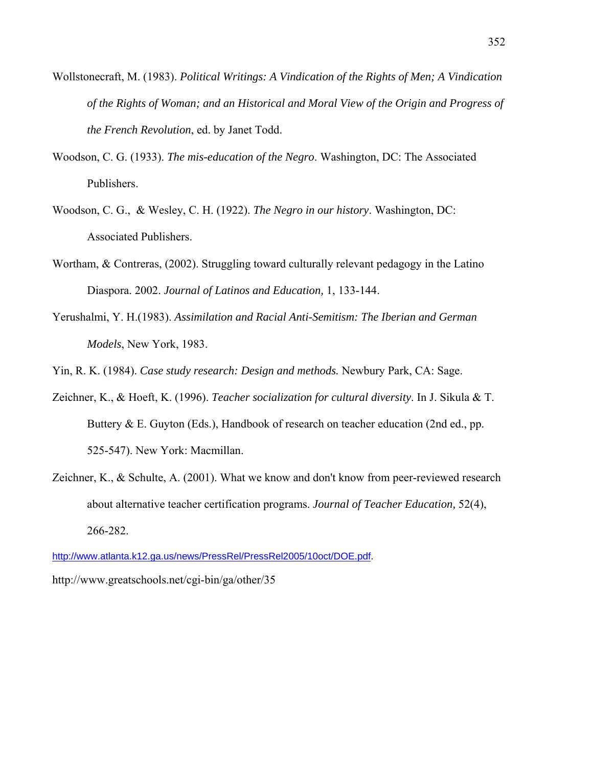- Wollstonecraft, M. (1983). *Political Writings: A Vindication of the Rights of Men; A Vindication of the Rights of Woman; and an Historical and Moral View of the Origin and Progress of the French Revolution*, ed. by Janet Todd.
- Woodson, C. G. (1933). *The mis-education of the Negro*. Washington, DC: The Associated Publishers.
- Woodson, C. G., & Wesley, C. H. (1922). *The Negro in our history*. Washington, DC: Associated Publishers.
- Wortham, & Contreras, (2002). Struggling toward culturally relevant pedagogy in the Latino Diaspora. 2002. *Journal of Latinos and Education,* 1, 133-144.
- Yerushalmi, Y. H.(1983). *Assimilation and Racial Anti-Semitism: The Iberian and German Models*, New York, 1983.

Yin, R. K. (1984). *Case study research: Design and methods.* Newbury Park, CA: Sage.

- Zeichner, K., & Hoeft, K. (1996). *Teacher socialization for cultural diversity*. In J. Sikula & T. Buttery & E. Guyton (Eds.), Handbook of research on teacher education (2nd ed., pp. 525-547). New York: Macmillan.
- Zeichner, K., & Schulte, A. (2001). What we know and don't know from peer-reviewed research about alternative teacher certification programs. *Journal of Teacher Education,* 52(4), 266-282.

http://www.atlanta.k12.ga.us/news/PressRel/PressRel2005/10oct/DOE.pdf.

http://www.greatschools.net/cgi-bin/ga/other/35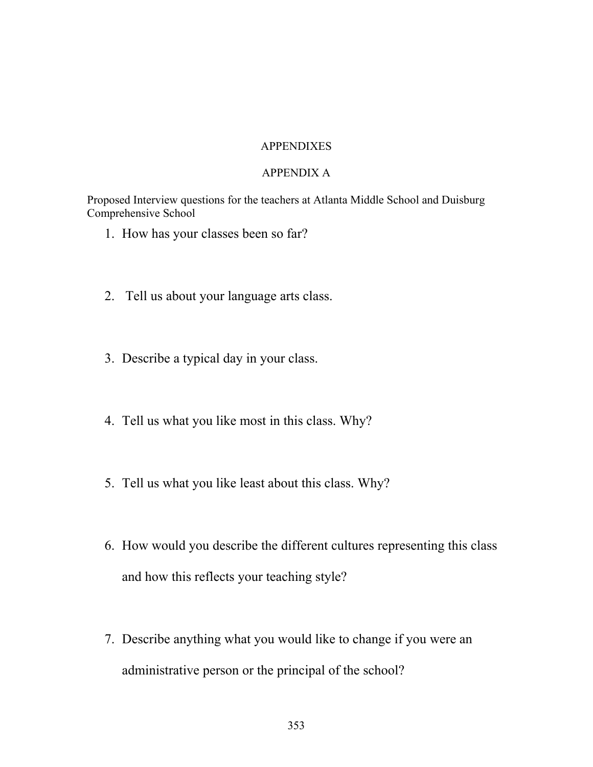## APPENDIXES

### APPENDIX A

Proposed Interview questions for the teachers at Atlanta Middle School and Duisburg Comprehensive School

- 1. How has your classes been so far?
- 2. Tell us about your language arts class.
- 3. Describe a typical day in your class.
- 4. Tell us what you like most in this class. Why?
- 5. Tell us what you like least about this class. Why?
- 6. How would you describe the different cultures representing this class and how this reflects your teaching style?
- 7. Describe anything what you would like to change if you were an administrative person or the principal of the school?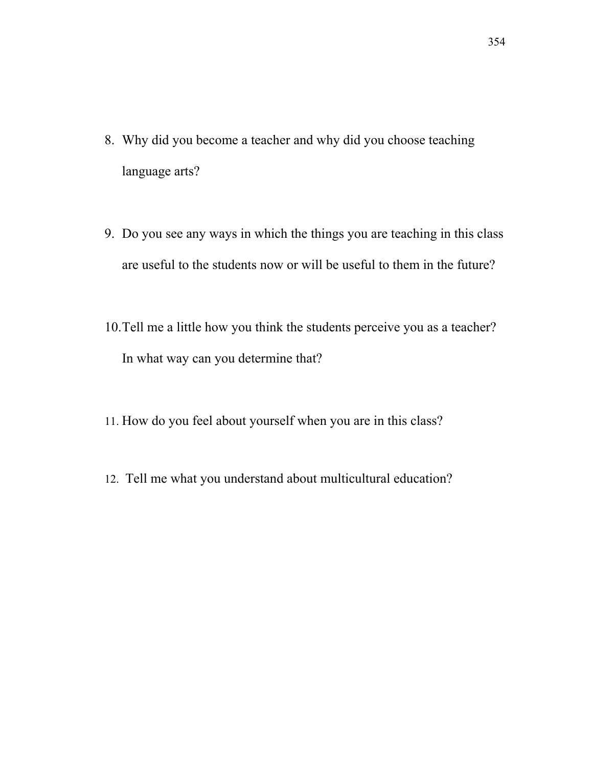- 8. Why did you become a teacher and why did you choose teaching language arts?
- 9. Do you see any ways in which the things you are teaching in this class are useful to the students now or will be useful to them in the future?
- 10.Tell me a little how you think the students perceive you as a teacher? In what way can you determine that?
- 11. How do you feel about yourself when you are in this class?
- 12. Tell me what you understand about multicultural education?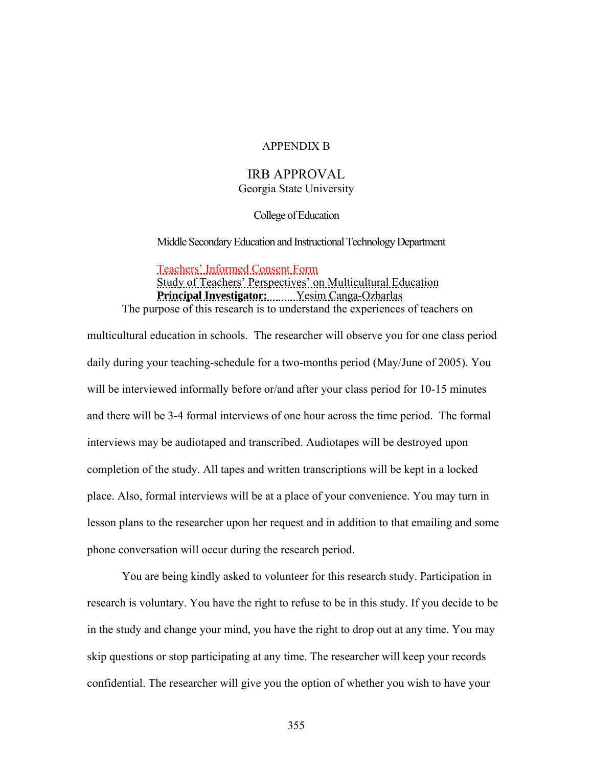#### APPENDIX B

#### IRB APPROVAL Georgia State University

College of Education

Middle Secondary Education and Instructional Technology Department

Teachers' Informed Consent Form Study of Teachers' Perspectives' on Multicultural Education **Principal Investigator:** Yesim Canga-Ozbarlas The purpose of this research is to understand the experiences of teachers on

multicultural education in schools. The researcher will observe you for one class period daily during your teaching-schedule for a two-months period (May/June of 2005). You will be interviewed informally before or/and after your class period for 10-15 minutes and there will be 3-4 formal interviews of one hour across the time period. The formal interviews may be audiotaped and transcribed. Audiotapes will be destroyed upon completion of the study. All tapes and written transcriptions will be kept in a locked place. Also, formal interviews will be at a place of your convenience. You may turn in lesson plans to the researcher upon her request and in addition to that emailing and some phone conversation will occur during the research period.

 You are being kindly asked to volunteer for this research study. Participation in research is voluntary. You have the right to refuse to be in this study. If you decide to be in the study and change your mind, you have the right to drop out at any time. You may skip questions or stop participating at any time. The researcher will keep your records confidential. The researcher will give you the option of whether you wish to have your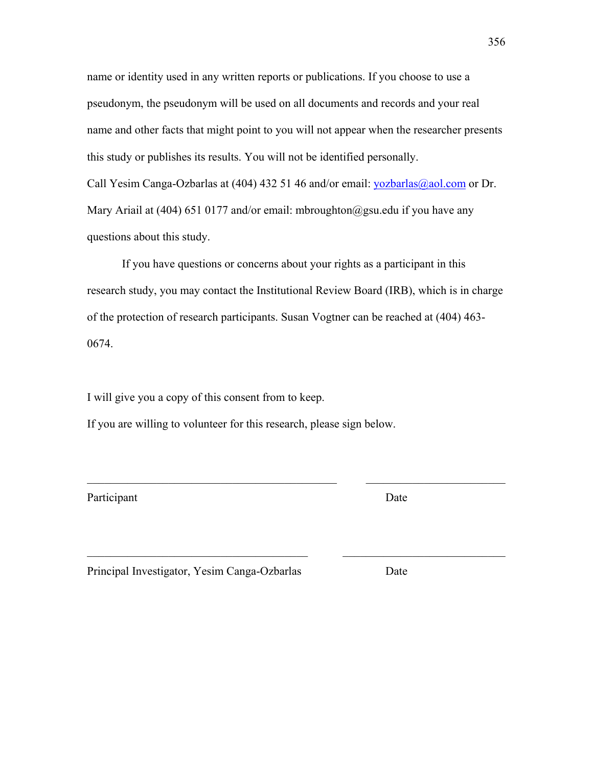name or identity used in any written reports or publications. If you choose to use a pseudonym, the pseudonym will be used on all documents and records and your real name and other facts that might point to you will not appear when the researcher presents this study or publishes its results. You will not be identified personally. Call Yesim Canga-Ozbarlas at (404) 432 51 46 and/or email: yozbarlas@aol.com or Dr. Mary Ariail at (404) 651 0177 and/or email: mbroughton@gsu.edu if you have any questions about this study.

If you have questions or concerns about your rights as a participant in this research study, you may contact the Institutional Review Board (IRB), which is in charge of the protection of research participants. Susan Vogtner can be reached at (404) 463- 0674.

 $\mathcal{L}_\text{max}$  , and the contribution of the contribution of the contribution of the contribution of the contribution of the contribution of the contribution of the contribution of the contribution of the contribution of t

 $\mathcal{L}_\text{max} = \mathcal{L}_\text{max} = \mathcal{L}_\text{max} = \mathcal{L}_\text{max} = \mathcal{L}_\text{max} = \mathcal{L}_\text{max} = \mathcal{L}_\text{max} = \mathcal{L}_\text{max} = \mathcal{L}_\text{max} = \mathcal{L}_\text{max} = \mathcal{L}_\text{max} = \mathcal{L}_\text{max} = \mathcal{L}_\text{max} = \mathcal{L}_\text{max} = \mathcal{L}_\text{max} = \mathcal{L}_\text{max} = \mathcal{L}_\text{max} = \mathcal{L}_\text{max} = \mathcal{$ 

I will give you a copy of this consent from to keep.

If you are willing to volunteer for this research, please sign below.

Participant Date

Principal Investigator, Yesim Canga-Ozbarlas Date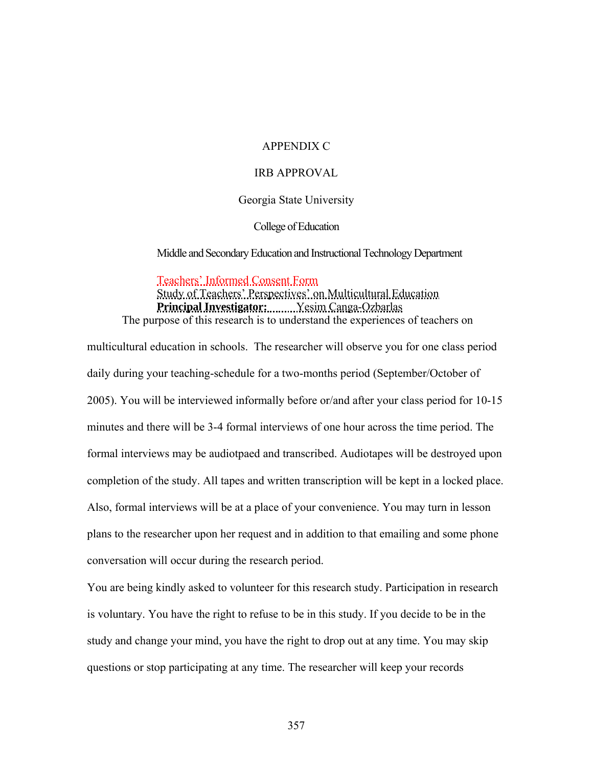## APPENDIX C

#### IRB APPROVAL

#### Georgia State University

College of Education

Middle and Secondary Education and Instructional Technology Department

Teachers' Informed Consent Form

Study of Teachers' Perspectives' on Multicultural Education **Principal Investigator:** Yesim Canga-Ozbarlas The purpose of this research is to understand the experiences of teachers on

multicultural education in schools. The researcher will observe you for one class period daily during your teaching-schedule for a two-months period (September/October of 2005). You will be interviewed informally before or/and after your class period for 10-15 minutes and there will be 3-4 formal interviews of one hour across the time period. The formal interviews may be audiotpaed and transcribed. Audiotapes will be destroyed upon completion of the study. All tapes and written transcription will be kept in a locked place. Also, formal interviews will be at a place of your convenience. You may turn in lesson plans to the researcher upon her request and in addition to that emailing and some phone conversation will occur during the research period.

You are being kindly asked to volunteer for this research study. Participation in research is voluntary. You have the right to refuse to be in this study. If you decide to be in the study and change your mind, you have the right to drop out at any time. You may skip questions or stop participating at any time. The researcher will keep your records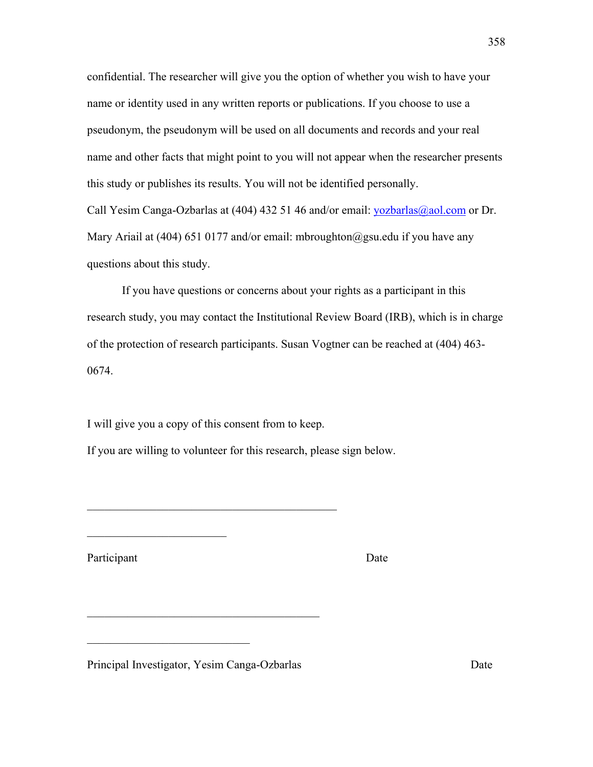confidential. The researcher will give you the option of whether you wish to have your name or identity used in any written reports or publications. If you choose to use a pseudonym, the pseudonym will be used on all documents and records and your real name and other facts that might point to you will not appear when the researcher presents this study or publishes its results. You will not be identified personally.

Call Yesim Canga-Ozbarlas at (404) 432 51 46 and/or email: yozbarlas@aol.com or Dr. Mary Ariail at (404) 651 0177 and/or email: mbroughton@gsu.edu if you have any questions about this study.

If you have questions or concerns about your rights as a participant in this research study, you may contact the Institutional Review Board (IRB), which is in charge of the protection of research participants. Susan Vogtner can be reached at (404) 463- 0674.

I will give you a copy of this consent from to keep.

 $\mathcal{L}_\text{max}$  , and the set of the set of the set of the set of the set of the set of the set of the set of the set of the set of the set of the set of the set of the set of the set of the set of the set of the set of the

If you are willing to volunteer for this research, please sign below.

Participant Date

 $\mathcal{L}_\text{max}$  , where  $\mathcal{L}_\text{max}$  , we have the set of  $\mathcal{L}_\text{max}$ 

Principal Investigator, Yesim Canga-Ozbarlas Date

 $\mathcal{L}_\text{max}$  , where  $\mathcal{L}_\text{max}$  and  $\mathcal{L}_\text{max}$ 

 $\mathcal{L}_\text{max}$  , and the set of the set of the set of the set of the set of the set of the set of the set of the set of the set of the set of the set of the set of the set of the set of the set of the set of the set of the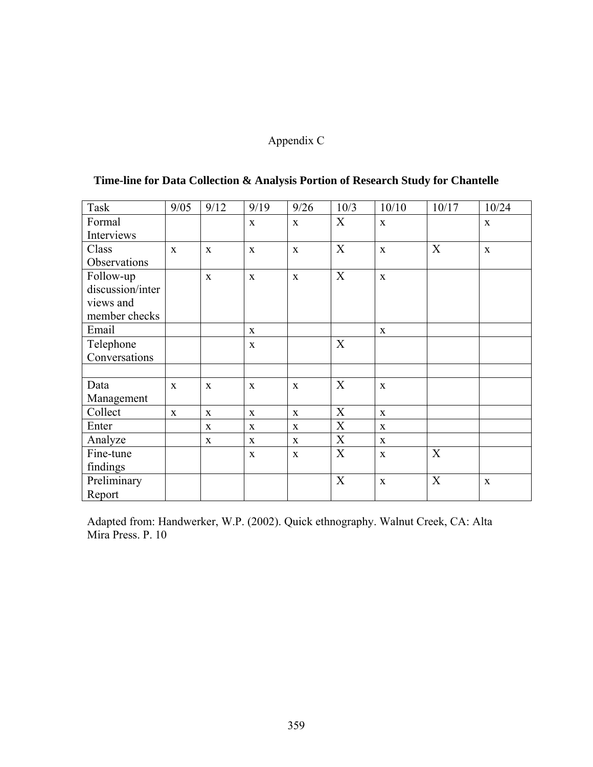# Appendix C

| Task             | 9/05         | 9/12         | 9/19         | 9/26         | 10/3 | 10/10        | 10/17       | 10/24        |
|------------------|--------------|--------------|--------------|--------------|------|--------------|-------------|--------------|
| Formal           |              |              | $\mathbf{x}$ | X            | X    | $\mathbf{X}$ |             | $\mathbf{X}$ |
| Interviews       |              |              |              |              |      |              |             |              |
| Class            | $\mathbf{x}$ | $\mathbf{X}$ | $\mathbf{X}$ | $\mathbf{X}$ | X    | $\mathbf X$  | X           | $\mathbf X$  |
| Observations     |              |              |              |              |      |              |             |              |
| Follow-up        |              | $\mathbf X$  | $\mathbf X$  | $\mathbf{X}$ | X    | $\mathbf{X}$ |             |              |
| discussion/inter |              |              |              |              |      |              |             |              |
| views and        |              |              |              |              |      |              |             |              |
| member checks    |              |              |              |              |      |              |             |              |
| Email            |              |              | $\mathbf{X}$ |              |      | X            |             |              |
| Telephone        |              |              | $\mathbf{X}$ |              | X    |              |             |              |
| Conversations    |              |              |              |              |      |              |             |              |
|                  |              |              |              |              |      |              |             |              |
| Data             | $\mathbf{X}$ | $\mathbf X$  | $\mathbf X$  | X            | X    | $\mathbf X$  |             |              |
| Management       |              |              |              |              |      |              |             |              |
| Collect          | $\mathbf{X}$ | $\mathbf X$  | $\mathbf{X}$ | $\mathbf X$  | X    | $\mathbf{X}$ |             |              |
| Enter            |              | $\mathbf{X}$ | X            | X            | X    | X            |             |              |
| Analyze          |              | $\mathbf{X}$ | $\mathbf{X}$ | $\mathbf{X}$ | X    | $\mathbf X$  |             |              |
| Fine-tune        |              |              | $\mathbf X$  | $\mathbf{X}$ | X    | X            | X           |              |
| findings         |              |              |              |              |      |              |             |              |
| Preliminary      |              |              |              |              | X    | $\mathbf X$  | $\mathbf X$ | $\mathbf X$  |
| Report           |              |              |              |              |      |              |             |              |

## **Time-line for Data Collection & Analysis Portion of Research Study for Chantelle**

Adapted from: Handwerker, W.P. (2002). Quick ethnography. Walnut Creek, CA: Alta Mira Press. P. 10